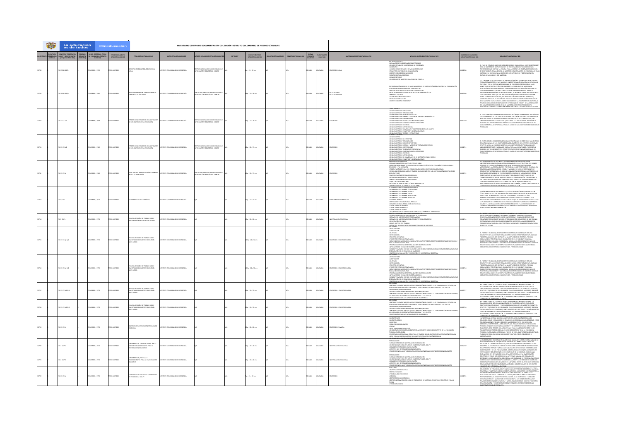|  | La educación<br>es de todos            |                                                                             | Mineducación      |                                                                                                                        |                                    | INVENTARIO CENTRO DE DOCUMENTACIÓN COLECCIÓN INSTITUTO COLOMBIANO DE PEDAGOGÍA ICOLPE |           |                                           |  |                                  |                             |                                     |                                                                                                                                                                                                                                                                                                                                                                                                                                                                                                                                                                                  |                                               |                                                                                                                                                                                                                                                                                                                                                                                                                                                                                                                                                                                                                                                                                                                                                                                                                                                                                                                                                  |
|--|----------------------------------------|-----------------------------------------------------------------------------|-------------------|------------------------------------------------------------------------------------------------------------------------|------------------------------------|---------------------------------------------------------------------------------------|-----------|-------------------------------------------|--|----------------------------------|-----------------------------|-------------------------------------|----------------------------------------------------------------------------------------------------------------------------------------------------------------------------------------------------------------------------------------------------------------------------------------------------------------------------------------------------------------------------------------------------------------------------------------------------------------------------------------------------------------------------------------------------------------------------------|-----------------------------------------------|--------------------------------------------------------------------------------------------------------------------------------------------------------------------------------------------------------------------------------------------------------------------------------------------------------------------------------------------------------------------------------------------------------------------------------------------------------------------------------------------------------------------------------------------------------------------------------------------------------------------------------------------------------------------------------------------------------------------------------------------------------------------------------------------------------------------------------------------------------------------------------------------------------------------------------------------------|
|  | <b>CLAVE DE AUTOR</b><br>ETA MARC 0821 | <b>UDGAR - EDITORIAL - FECHA<br/>DE PUBLICACIÓN (ETIQUETA<br/>MARC 260)</b> | TIPO DE DOCUMENTO | TITULO (ETIQUETA MARC 245)                                                                                             | AUTOR (ETIQUETA MARC 100)          |                                                                                       | COPYRIGHT | DESCRIPCIÓN FISICA<br>(ETIQUETA MARC 200) |  | IDIOMA<br>(ETIQUETA<br>MARC 041) | PAIS (ETIQUETA<br>MARC 0081 | MATERIAS (LEMB) (ETIQUETA MARC 650) | NOTAS DE CONTENIDO (ETIQUETA MARC SOS)                                                                                                                                                                                                                                                                                                                                                                                                                                                                                                                                           | NUMERO DE INVENTARIO<br>MEN IETOUETA MARCIONI | RESUMEN (ETIQUETA MARC 520)                                                                                                                                                                                                                                                                                                                                                                                                                                                                                                                                                                                                                                                                                                                                                                                                                                                                                                                      |
|  | 139346 K17e                            | MEIA: , 1959                                                                | O IMPRESO         | LOS ESTUDIOS EN LA PEQUEÑA ESCUELA                                                                                     |                                    | .<br>1780 NACIONAL DE DOCUMENTACIÓN E<br>ORMACIÓN PEDAGÓGICA - CENDIP                 |           | $: 22 \times 28$ cm                       |  | PAÑOL                            | <b>AIGNO</b>                | <b>UCACIÓN RURA</b>                 | .<br>PLAN DE ESTUDIOS DE LA ESCUELA PRIMARIA<br>MO SE ESTABLECE EL PROGRAMA DE ENSEÑANZA<br>RARIO A BASE DE UNA O DE VARIAS DISCIPLINAS<br>RINGPIOS Y MÉTODOS DE ORGANIZ<br>EBERES INDICADOS EN LA PIZARRA<br>ARIETONES PARA EJERCICIOS<br>AS DE ESTUDIO                                                                                                                                                                                                                                                                                                                         | 12708                                         | .<br>HAN DE ESTIMUSE MAIS QUE IMPONER NORMAS ORIGIATORIAS HACE SINSESTIQUE<br>14 AL MARSTRO UN AMPIO MARGEN DE INCLATIVILHOM UNIVERSION DE LOS<br>DIRECTOS COLES ESPORA LA ESCOLIA PARA ALCANDAR EN LA UTILIZACIÓN DE LOS<br>DIDA TAMBIÉN GRAN LIBERTAD AL MASSITIO PARA ESTABLICER EL PROGRAMA DE CADA<br>TERA Y SU                                                                                                                                                                                                                                                                                                                                                                                                                                                                                                                                                                                                                             |
|  | 270.19346 IC17p                        | DLOMBIA:, 1961                                                              | O22RRMI OTX       | PRIMER SEMINARIO INTERNO DE TRABAJO<br>SOBRE EDUCACIÓN BÁSICA                                                          | ASTITUTO COLOMBANO DE PEDAGOGÍA    | TRO NACIONAL DE DOCUMENTACIÓN<br>3RMACIÓN PEDAGÓGICA - CENDIP                         |           | 19 p. : 22 x 28 cm                        |  | SPAÑOL                           | <b>CLOWAIA</b>              | ESCUELA RURAL<br>ESCUELA UNITARI    | MENDACIÓN NÚMERO 52 A LOS MINISTERIOS DE INSTRUCCIÓN PÚBLICA SOBRE LA ORGANIZACIÓN<br>SE LA ESCUELA PRIMARIA DE UN SOLO MAESTRO<br>EXISTENCIA DE LAS ESCUELAS DE UN SOLO MAESTRO<br>MEDIDINA ADMINISTRATIVAS MEDIDAS DE ORDEN PEDAGÓGICO<br>RERECHIAL DOCENTE<br><b>ESCIVAL DOCENTE</b><br>RSONAL Lonare - .<br>Ilaboración internacional<br>Edidas de Aplicación<br>******^ Hümero 150 de 1967                                                                                                                                                                                  | 112200                                        | A CONFERENCIA INTERNACIONAL DE INSTRUCCIÓN PÚBLICA, CONVOCADA EN GINEBRA.<br>OR LA ORGANIZACIÓN DE LAS NACIONES UNIDAS PARA LA EDUCACIÓN, LA CIENCIA Y LA.<br>JULTURA Y POR LA OFICINA INTERNACIONAL DE EDUCACIÓN, RECOMIENDAN A LOS<br>STERIOS DE INSTRUCCIÓN PÚBLICA SOBRE LA POSIBILIDAD DE ACCESO A LA<br>EDUCACIÓN EN LAS ZONAS RUBALES, CONSIDERANDO LA DECLARACIÓN UNINERSAL DE<br>DERECHOS HUMANOS QUE PROCLAMA QUE DEBE PROPORCIONARSE A TODOS LA<br>NHAMMAN PRAMARA ULIA PRILAMANA NULO GÉRÉ PROPORCIONAISE A TODOS LAS<br>18 SORA ESPARANA GRATUITA Y OBLIGATORIA, SUPERANDO TODAS LAS DIFICULTADES<br>19 TODA ESPATA PRAA QUE LOS MÁRIOS DE LAS PROJENÍAS COMUNINARES PLICIDAS<br>2000 DE<br>KU MANJI NU MA MALI MAJU KA GANURALAMA DA LA KOSIMANJA (UKLAMI MICA)<br>SAR DE LOS CANBIOS REGISTRADOS EN DITERRINADOS PAÍSES Y DE LA DISMINICIÓN<br>DI NÚMERO DE ESCUELAS DE UN SOLO MAESTRO COMO RESULTADO DE ESTA<br>OLUCIÓN, LOS NI |
|  | 20111012v1                             | LOMBIA: , 1969                                                              | O22RRMI GTX       | ATRINÓN CONDINSADA DE LA CLASIFICACIÓ<br>IE LOS OBJETIVOS DE LA EDUCACIÓN                                              | AGODACIO DE OMAINMO DE PERSONA     | .<br>TRO NACIONAL DE DOCUMENTACIÓN E<br>YRNACIÓN PEDAGÓGICA - CENDIP                  |           | $r_{\rm p}$ : 22 x 28 cm                  |  | SPAÑOL                           | <b>AIGMOJ</b>               | DUCADÓN                             | INDOIMINTO<br>DNOCMIENTO DE ESPECÍFICOS<br>DNOCMIENTO DE TERMINOLOGÍA<br>DNOCMIENTO DE FORMAS Y MEDIDS DE TRATAR CON ESPECÍFICOS<br>DNOCMIENTO DE FORMAS Y MEDIDS DE TRATAR CON ESPECÍFICOS<br>DINOCIMIENTO DE CONVENCIONES<br>DNOCIMIENTO DE REGLAS COMUNES DE ETQUETA<br>DNOCIMIENTO DE REGLAS COMUNES DE ETQUETA<br>DNOCIMIENTO DE CAREFICACIONES Y CATEGORÍAS<br>DNOCIMIENTO DE CRITERIOS<br>UNULIMINIU DE LIEI NICOLOGÍA<br>ONOCIMIENTO DE METODOLOGÍA<br>ONOCIMIENTO DE UNIVERSALES Y ABSTRACOOMES EN UN CAMPO<br>ONOCIMIENTO DE PRINCIPIOS Y GENERALIZACIONES<br>ZACIONES | 12710                                         | .<br>Texto versión condensada de la clasificación que corresponde a la síntest<br>La taxonomía de los objetivos de la educación en los aspectos cognitivo y<br>IN LA I FANDRUMAN DE LUIS UNIDENTIFICA DE LA ELIUTATION DE LUIS ANNO LOS CIENTIFICATOS<br>UNIDENDIS DE ESTUDID Y LAS CLASSES QUIEDA PUES A LA INICIATIVA DEL PROSEGURAN, LAS<br>UNIDADES DE ESTUDID Y LAS CLASSES QUIEDA PUES A LA I<br>1111                                                                                                                                                                                                                                                                                                                                                                                                                                                                                                                                      |
|  | 11101742                               | MEIA: , 1969                                                                |                   | .<br>Kiển condensada de la clasificació<br>Los objetivos de la equeación                                               | ARONADIA 30 OMAINMO DE DELA        | NALDE DOCUMENTACIÓN E<br>PENGÓGICA - CENDIP                                           |           | $5p : 22 \times 33$ cm                    |  | <b>PAÑOL</b>                     | wax                         | <b>NGACIÓN</b>                      | )<br>DNOCIMIENTO<br>DNOCIMIENTO DE LO ESPECÍ<br>NOCIMENTO DE HECHOS ESPECÍFICOS<br>.<br>DNOCIMIENTO DE FORMAS Y MIEDIOS DE TRATAR LO ESPECÍFICO<br>DNOCIMIENTO DE CONVENCIÓNES<br>DNOCIMIENTO DE TENDENCIAS Y SECUENCIAS<br>NOCIMENTO DE CLASIFICACIONES Y CATEGORÍA<br>NOCIMENTO DE PRINCIPIOS Y GENERALIZACIONES<br>25 DE REOCRAMACIÓN                                                                                                                                                                                                                                         |                                               | ENSADA DE LA CLASIFICACIÓN QUE CORRESPONDE A LA SÍNTESE<br>OF LA TAXONOMÍA DE LOS OBJETIVOS DE LA EDUCACIÓN EN LOS ASPECTOS COGNITIVO<br>ECTIVO ANUDA AL PROFESOR A DEFINIR LOS OBIETIVOS DE LOS PROGRAMAS, LAS<br>KIDADES DE ESTUDIO Y LAS CLASES; QUIDA PUES A LA INICIATIVA DEL PROFESOR LA<br>ECCIÓN DEL TIPO DE OBIETIVOS ESPECÍFICOS QUE SE PROPONGA DESARROLLAR EN<br>ADA DIPERENCIA DE APRENDIZAJE PARA EL LOGRO DE LOS OBJETIVOS GENERALES DE I<br><b>SRAMA</b>                                                                                                                                                                                                                                                                                                                                                                                                                                                                         |
|  | 111 1017 a                             | CMEIA: , 1969                                                               | <b>IMPRESO</b>    | <b>CODE OF TRABAJO ACADEMICO EN LOS</b><br><b>CMY SI ABICACIÓN</b>                                                     | ARODAGER 30 OMAIRMOJOS OTUTT       | BO NACIONAL DE DOCUMENTACIÓN I<br>Cra. crane                                          |           | 9p.: 22 x 33 cm                           |  |                                  |                             | <b>NICACIÓN</b>                     | AKSI CO PROCAMAMOCÓN<br>L'ARRIGUAL REVOLUCIÓN<br>STARDALONA COLANDITE D'ARRIGO Y EL SEGUIDO PRÍODOS DE CIELO BÁSEO QUE ANUANIA<br>SECURBA Y FUA NOCACIÓN<br>PSECULOM PER VICO A CONTAERADA ESCONAR O DIENTACÓN VOCACIONAL<br>SECURDADO EL SEL<br>IOVILIDAD HORZONTAL Y TRANSFERENCIA<br>MPUO USO DE MEDIOS AUDIOVISUALES<br>APACITACIÓN PROFESIONAL<br>IÉTODOS ACTIVOS DE DIRECCIÓN DEL APRENDIZAJE<br>PARTAMENTOS ACADÉMICOS DE LOS INEM                                                                                                                                        |                                               | A PROGRAMMOÓN DE LOS INSTRUYES NACIONALES DE EDUCACÓN MEDIA<br>A PROGRAMMOÓN DE LOS INSTRUYES NACIONALES DE LOCACIÓN MEDIA<br>A COLORADO NA PERIOD DE LOS INSTRUIRON DE CONSULTANTS DE LOS INSTRUIRON DE CONSULTANTS<br>COLORADO NA LO<br>UANTELES SATÉLITE" A QUE HACE REFRENCIA LA PROGRAMACIÓN. CORRESPONDE A<br>DI FACULTADES DE EDUCACIÓN UN ESTURIO MUY ATENTO DE ESTA PROGRAMACIÓN<br>DI LA NITENCIÓN DE LOGRAP LA GINERALIZACIÓN DE AQUELLOS MÉTODOS,<br>DOCEDIMIENTOS Y<br>JONTROLADA GARANTICE LA BONDAD DE SU INTRODUCCIÓN.                                                                                                                                                                                                                                                                                                                                                                                                           |
|  | 225 IC17m                              | DLOMBIA: . 1970                                                             | OZRRNI OTXIT      | QUORRED 230 OTHERMANDER                                                                                                | INSTITUTO COLOMBIANO DE PEDAGOGÍA  |                                                                                       |           | $60:22 \times 34$ cm                      |  | <b>SPAÑOL</b>                    | <b>AIGNOJO</b>              | ANGAMENTO CURRICULA                 | DEMANDA DEL HOMERE OCUPACIONA<br>DEMANDA DEL HOMBRE POLÍTICO<br>N DEMANDA DEL HOMBRE SOCIAL<br>A DEMANDA DEL HOMBRE INTELECTUAL<br>A DEMANDA DEL HOMBRE RELIGIOSO<br>L CAMPO TEÓRICO<br>.<br>TRUCTURA Y PRÁCTICA DEL CURRÍCULO<br>SARROLLO DEL CURRÍCULO DE LAS ESCUELAS<br>S FACTORES DE RECURSO<br>E FACTORES OPERATIVOS<br>E FACTORES DE DISEÑO<br>FORMULACIÓN DE OBIETIVOS EN EL PROCESO ENSEÑANZA -<br>ETO Y FUNCIONES DEL PRESENTE DUCUMENTO                                                                                                                               | 0012713                                       | UEN DEBE PLANEAR EL CURRÍCULO? / CUÁL ES LA RELACIÓN DEL CURRÍCULO CON<br>CAMAM MAMI FAPANAM NA NAMPANAMO (CAMA NA DANIARCADA NA LEGANGULASI CASOS)<br>CORDES AGRICITOS DE LA ACTIVIDAD EDUCATIVAP CUALES SON LAS TÉCNICAS A UTILIZAR<br>NYERO EN LA PAJAKEANISTATO CORDE DE EL DISARROLLO Y LA EVALUACIÓN?<br>NY<br>FRANCIA DE CORRECTIO ES UN PROCESO CONTINUO Y UN PROCESO ABIERTO AL<br>CAMARIO Y LA ACTUALIZACIÓN, LOS FACTORES CONTINUO Y UN PROCESO ABIERTO AL<br>CAMARIO Y LA ACTUALIZACIÓN, LOS FACTORES CONTINUO Y UN PROCESO ABIERTO AL<br>CAMARI                                                                                                                                                                                                                                                                                                                                                                                     |
|  | N17 IC17a                              | <b>OMBIA: . 1970</b>                                                        | OZBRANI OT        | .<br>Mera reunión de trabajo sobre<br>Estigación en educación -icolpe-                                                 | TUTO COLOMBIANO DE PEDAGOGÍA       |                                                                                       |           | $n: 22 \times 28$ cm                      |  | <b>PAÑOL</b>                     | <b>AIRMO</b>                | <b>MISTIGACIÓN EDUCATIVA</b>        | e iu i funulune edil preminie luluimento<br>NCLUSIONES PREVIAS PRESENTADAS EN EL SEMINARIO<br>SUMEN DE LAS PONENCIAS PROGRAMADAS<br>SUMEN DE LAS PONENCIAS DE LOS ASISTENTES AL CONGRESO<br>DIFICACIÓN DE CINTAS<br>EXO: SÍNTESIS DEL TRABAJO<br><b>CRACTOS: ALC</b>                                                                                                                                                                                                                                                                                                             | 112714                                        | GENTE LUCLUMENTLY PRETENCE SER UNA ETAPA LE ELABLIKALILIN INTERMECI<br>entre el material primario del primer seminario sobre investigación<br>edicativa dibangrado por sodre y la memoria y conclisioner que será<br>redactada a por el comité adano: este documento reductamás que so págnas<br>re porticulas                                                                                                                                                                                                                                                                                                                                                                                                                                                                                                                                                                                                                                   |
|  | 270.11 (C17o EL1)                      | DTRL . AIRMON                                                               | OZBRANI OT        | MERA REUNIÓN DE TRABAJO SOBRE<br>SEMESTRAUZACIÓN DE ESTUDIOS EN EL<br>NIVEL MEDIO                                      | TUTO COLOMBIANO DE PEDAGOGÍA       |                                                                                       |           | 23 p. : 21 x 32 cm                        |  | <b>PAÑOL</b>                     | <b>AIGNOX</b>               | DUCACIÓN - EDUCACIÓN MEDIA          | .<br>ENTES<br>TEICADÓN<br><b>ETIVOS</b><br>METTOS<br>KETODOLOGÍA<br>TROS PROVECTOS CONTEMPLADOS<br><b>ESULTADOS DE LA ENCUESTA ENVIADA POR ICOLPE A TODOS LOS RECTORES DE ESTABLECIMIENTOS DE</b><br>MOLTANDA DE VA MINIDADE EN ESTADO POR FINOLO E EL PRODUCTO DE EL PRODUCTO DE LA FACILITAD<br>SOCIONAMON DE LA SENSETALIZACIÓN DEL BAOBLERATO<br>SOCIAMA SOBRE EL PLAN DE SEMESTRALIZACIÓN<br>LAN EXPERIMENTAL DEL BAOBLERATO PARA UN GR<br>DUCACIÓN DE LA UNIV<br>NTESIS DE LA EVALUACIÓN Y PROMOCIÓN EN EL PRO-                                                            | 112715                                        | RESENTE TRABAJO QUE ACTUALMENTE DESARROLLA ICOLPE ES UN ESTUDIO<br>.<br>DESCRIPTIVO DE LAS DIVERSAS FORMAS COMO HA SIDO INTERPRETADA Y APLICADA LA<br>"SEMESTRALIZACIÓN". NO OBSTANTE LA MULTIPUICIDAD DE CRITERIOS, PODRÍAN<br>NGRUPARSE EN TRES TENDENICIAS COMO APARECE EN EL SIGUENTE ESQUEMA :<br>MINIMANIA DEL CICLO PROFESONAL; AGRUPACIÓN DE MATERIAS EN EL CICLO<br>PROFESONAL (MICAMENET Y SIN NIRAS A LA DIVERSIONACIÓN, UN OBLETINO COMÚN I<br>PROFESONAL (MICAMENET Y SIN NIRAS A LA DIVERSIONACIÓN, UN OBLETINO COMÚN I<br>SETAS                                                                                                                                                                                                                                                                                                                                                                                                   |
|  | .<br>Nasa ica 7 p. il. 2               | CMEIA: , 1970                                                               |                   | PRIMERA REUNIÓN DE TRABAJO SOBRE<br>SEMESTRAUZACIÓN DE ESTUDIOS EN EL<br>NIVEL MEDIO                                   | TUTO COLOMBIANO DE PEDAGOGÍA       |                                                                                       |           | 123 p. : 21 x 32 cm                       |  | <b>PAÑOL</b>                     |                             | <b>DUCACIÓN - EDUCACIÓN MEI</b>     | JUMNY)<br>TECEDENTES<br>STEICACIÓN<br>JETIVOS<br>TEODOLOGÍA<br>INTONAMMEN<br>RONDETO DEFINITIVO<br>1990S: PROYECTOS CONTEMPLADOS<br>RESULTADOS DE LA ENCUESTA ENVINDA POR ICOLPE A TODOS LOS RECTORES DE ESTABLECIMIENTOS DE<br>.<br>Cación mediaen el país<br>Dgramación de la semestralización del Bachillerato<br>orme sobre el plan de semestralización<br>Ni expermental del bachillerato para lhi grupo de colegios asesorados por la facult<br>Iducación de la universidad javernana<br>TESIS DE LA EVALUACIÓN Y PROMOCIÓN EN EL PROGRA                                   | 312711                                        | RESERVED TRADANTY ONE ACTIVAL MENTO DESARRATURA VOTI DE DS UN DSTUDI<br>SCRIPTIVO DE LAS DI<br>S FORMAS COMO HA SIDO INTERPRETADA Y APLICADA LA<br>"SEMESTRALIZACIÓN". NO OBSTANTE LA MULTIPUCIDAD DE CRITERIOS, PODRÍAN<br>AGRIFANSE EN TRES TRIDENDAS COMO APAREIS EN 11. SIGUENTE ESQUEMA:<br>BIVERSIFICACIÓN DEL OCLO PRINTSIONAL; AGRIFACIÓN DE MATERIAS EN EL OCLO<br>PROFESIONAL ÜN<br>IANTE EL MEJOR APROVECHAMENTO DEL PERÍODO ESCOLAR.                                                                                                                                                                                                                                                                                                                                                                                                                                                                                                 |
|  | 270.11 IC17p1 Ej.1                     | LOMBIA: , 1970                                                              | O22RRM OT         | <b>BA DELINION DE TRAD</b><br>PRIMERA REUNIÓN DE TRABAJO SOBRE<br>SEMESTRAUZACIÓN DE ESTUDIOS EN EL<br><b>OIDA JIV</b> | ARODAGED DE CAMBARO DE PERSONA     |                                                                                       |           | 6p.: 21 x 32 cm                           |  | <b>PAÑOL</b>                     | LOMBIA                      | DUCACIÓN - EDUCACIÓN MEDIA          | ilimaty II<br>Intanas y desventavas de la semestralización en cuanto a los programas de estudio, la<br>Alliación y promoción de alumnos, el calendario, el profesorado y los costos<br>Icomendaciones generales<br>nammimiričkima ramarala<br>Beandachán er programas en el sistema semestral<br>Intalas y desuentalas de la semestralización en cuanto.<br>Dirorades, la contratación de personal y los costos<br>Dirokn II<br>Lumen II<br>TO A LA ORGANIZACIÓN DEL CALENI                                                                                                      | 112717                                        | «VANUANCIN NA LA MORINHU AK, LONG, TRIN LA MA SAISE DE ROPOLANCINONA CIONALES<br>KEESARD CONDERE CUANDO SE PIERSA EN INFRANTAR UN RUEVO SEITEMA, LA<br>NEUKOÓN DEBE SER LA CULAIRMADÓN DE UN PROCESO DIDÁCTICO EN QUE LOS<br>NETROS SER<br>.<br>CUENTA NO SÓLO LOS CONTENIDOS SINO LAS APTITUDES, ACTITUDES Y DEMÁS ASPECTOS<br>QUE CONCIERNEN A LA FORMACIÓN INTREGRAL DEL ALUMNO. PARA QUE LA<br>EVALUACIÓN CUMPLA SU FUNCIÓN, EL PROFESOR TIENE QUE ESTAR CAPACITADO Y SER                                                                                                                                                                                                                                                                                                                                                                                                                                                                    |
|  | 111 (17p1 0) 2                         | MEIA: , 1970                                                                |                   | IMERA REUNÓN DE TRABAJO SOBRE<br>MESTRAUZACIÓN DE ESTUDIOS EN EL<br>VEL MEDIO                                          | TUTO COLOMBIANO DE PEDAGOGÍA       |                                                                                       |           | p.: 21 x 32 cm                            |  | <b>MGCL</b>                      |                             | <b>UCACIÓN - EDUCACIÓN MEDIA</b>    | <br>Intaias y desventajas de la semestralización en cuanto a los programas de estudio, la<br>Aluación y promoción de alumnos. El calendario, el profesorado y los costos<br>.<br>Formendación de Programas en el sistema semestral.<br>Intaias y desventaias de la semestralización en cua<br>aamn a ca coor<br><b><i>ACCOUNT CALENDAR</i></b><br>HORARIOS, LA CONTRATACIÓN DE PERSONAL Y LOS COSTOS<br>JPOSICIÓN GENERALES APROBADAS POR LA ASAMBLEA                                                                                                                            | 2711                                          | NOMINAL CONDERN AU PORTUGUE DE PRODUCTION TINNE QUE DE MONDIAL DE LA DISPOSICIÓN DE LA CONDERNATION DE LA CONDE<br>CESARIO CONDERN CUANDO SE PIENSA EN IMPLANTAR UN NUEVO SESTEMA, LA<br>NUACIÓN DEBE SER LA CULMINACIÓN DE UN PROCE<br>EVALUADÓN DERE SER A CULAINMACÍÓN EN UN PROCESO DISÁCTICO EN QUE LOS<br>ÓBETTIVOS SEAN CONOCIDOS Y PRECISADOS EN FUNCIÓN DE LOS ASPECTOS COGNITIVO,<br>ÁRETTIVOS SEAN CONOCIDOS Y PRECISADO EN A UN RUSULACIÓN ES MOCEANOS TIENER EN<br>SCIENTE DE SII MISSÓN EDISCATIVA                                                                                                                                                                                                                                                                                                                                                                                                                                 |
|  | 20.11 (0176)                           | OLOMBIA: , 1970                                                             | O22RRM (IT)       | OBJETIVOS DE LA EDUCACIÓN PRIMARIA EN<br>COLOMBIA                                                                      | INSTITUTO COLOMBIANO DE PEDIAGOGÍA |                                                                                       |           | 0 p.: 22 x 28 cm                          |  | SPAÑOL                           | <b>KOMBIA</b>               | DUCACIÓN PR                         | el grupo base<br>El grupo asesor<br>IERNO<br>ULTADES DE EDUCACIÓN<br><br>DEAS SORRE LA METODOLOGÍA<br>ONSIGRIACIONES GENERALES EN TORNO AL PROVECTO SORRE LOS OBIETIVOS DE LA EDUCACIÓN<br>BRARIA EN COLOMBIA<br>KUMERACIÓN DE ALGUNAS IDEAS PARA EL TRABAJO SOBRE OBJETIVOS DE LA EDUCACIÓN PRIMARIA.<br>EAS PARA LA DISCUSIÓN SOBRE LOS OBJETIVOS DE LA EDUCACIÓN PRIMARIA                                                                                                                                                                                                     | 12719                                         | $\begin{minipage}[t]{0.9\textwidth} {\small\textbf{MUCM}}&\textbf{MUCM} &\textbf{MUCM} &\textbf{MUCM} &\textbf{MUCM} &\textbf{MUCM} \\ \textbf{MUCM} &\textbf{MUCM} &\textbf{MUCM} &\textbf{MUCM} &\textbf{MUCM} &\textbf{MUCM} &\textbf{MUCM} \\ \textbf{MUCM} &\textbf{MUCM} &\textbf{MUCM} &\textbf{MUCM} &\textbf{MUCM} &\textbf{MUCM} &\textbf{MUCM} &\textbf{MUCM} &\textbf{MUCM} \\ \textbf{$<br>OSÓFICO, SOCIO CULTURAL, ECONÓMICO Y POLÍTICO, PSICO-PEDAGÓGICO Y<br>odsocico.                                                                                                                                                                                                                                                                                                                                                                                                                                                           |
|  | 97 (17)                                | <b>CRABLA: . 1970</b>                                                       | O22RRM (D)        | MENTOS - ORIENTACIONES - AREA<br>AJ ARAS 20THT<br><b>ICAS Y PROCEDIMIENTOS</b><br>ESTIGACIÓN EDUCATIVA                 | ARONADIA 30 OMAINMO DE DELA        |                                                                                       |           | $a: 21 \times 28$ cm                      |  | wkou                             | OMBIA                       | INESTIGACIÓN EDUCATIVA              | MITTIN<br>TRODUCCIÓN<br>UNDAMENTOS DE LA INVESTIGACIÓN EN EDUCACIÓN<br>REENTACIONES PARA LA FUNCIÓN INVESTIGATIVA DEL ICOURE<br>PRIMIPINAIRIE FORMAN FURINAIRIE INFINIERINI PRI AGAPE<br>BEAS DE INVESTIGACIÓN EN EDUCACIÓN<br>ROCEDIMIENTOS ADOPTADOS PARA LA REALIZACIÓN DE LAS INVESTIGACIONES EN EDUCACIÓN<br>RODUCCON                                                                                                                                                                                                                                                       | 112720                                        | .<br>A INVESTIGACIÓN EDUCATIVA ES LA ACTIVIDAD BÁSICA DEL INSTITUTO COLOMBIANO DE<br>NICIACIÓN DE LABORES HA DEDICADO, EN FORMA PERMANENTE GRAN PARTE DE SUS<br>NICIACIÓN DE LABORES HA DEDICADO, EN FORMA PERMANENTE GRAN PARTE DE SUS<br><b>ICHORY IS USED IN A STOROGIC IN THE CARRIER CONSTRUCTS IN A STATE OF A LANDING IN THE CARRIER CONSTRUCTS IN A STATE AND STATE OF A LAND CONSTRUCT OF A LAND CONSTRUCT OF A LAND CONSTRUCT OF A LAND CONSTRUCT OF A LAND CONS</b>                                                                                                                                                                                                                                                                                                                                                                                                                                                                   |
|  | 20120                                  | MEIA: , 1970                                                                | <b>IMBRESO</b>    | AMENTOS, POLÍTICAS Y<br><b><i>RA LA INVESTIGACIÓN</i></b><br>ATIVA                                                     | THE COLOMBIANO DE REDACOCÍA        |                                                                                       |           | $p. : 21 \times 28$ cm                    |  |                                  |                             | <b>ESTIGACIÓN EDISCATIVA</b>        | I MAANLANTI<br>INDAMENTOS DE LA INVESTIGACIÓN EN EDUCACIÓN<br>RENTACIONES PARA LA FUNCIÓN INVESTIGATIVA DEL ICOLPE<br>REAS DE INVESTIGACIÓN EN EDUCACIÓN<br>PECTOS QUE SE CONSIDERAN EN CADA ÁREA<br>DCEDIMIENTOS ADOPTADOS PARA LA REALIZACIÓN DE LAS INVESTIGACIONES EN EDUCACIÓN                                                                                                                                                                                                                                                                                              |                                               | 20 YOM CLARIDAD Y SE JUSTIFIQUEN EN RELACIÓN CON LAS NECESIDADES DE LOS GRUPOS<br>ANDCORE WITCH HAS SOCIEDAD. HE WAS DRIVING TO THE TECHNIC                                                                                                                                                                                                                                                                                                                                                                                                                                                                                                                                                                                                                                                                                                                                                                                                      |
|  | 20.11 IC17a                            | <b>CRABLA: . 1970</b>                                                       | O22RRM OT         | ACTIVIDADES DEL INSTITUT<br>DE PEDAGOGÍA - ICOLPE                                                                      | ASTITUTO COLOMBIANO DE PEDAGOGÍA   |                                                                                       |           | $1:21 \times 28$ cm                       |  | <b>AÑOL</b>                      | <b>OMBIA</b>                | <b>DUCACIÓN</b>                     | <b>40 ONES</b><br>JESTIGACIÓN EDUCATIVA<br>KTOS ESCOLARES<br>RAYUDAS EDUCATIVAS<br>FIORIA<br><b>FIRCE</b><br>ntro de Documentación<br>NTRO INTERAMERICANO PARA LA PRODUCCIÓN DE MATERIAL EDUCATIVO Y CIENTÍFICO PARA LA                                                                                                                                                                                                                                                                                                                                                          | 12722                                         | <b>JUONAIKKO DE PEDAGOGÍA ICOLPE ANDIO A LA UNIVERSIDAD PEDAGÓGICA NACIONAL</b><br>COLOMBIANO DI FROMOGOA ICONO ANNO A LA DINIVERSIDAD PONACOLONA INDIA COMO PROCEDUALE SUR SERVATO A DI CONTINUE IN CONTROL COMO PROCEDUALE SUR COMO A RESULTANTA QUE CONTROL COMO COMO COMO COMO COMO COMO CONTROL CONTROL CONT                                                                                                                                                                                                                                                                                                                                                                                                                                                                                                                                                                                                                                |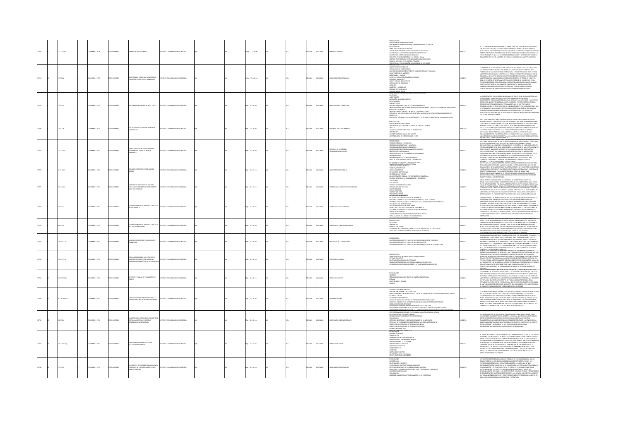|       | 10120            | MELA: , 1970        |                  |                                                                                                               |                                    |  | Ap.: 22 x 28 cm          |  | AÑOL          |               | SONAL DOCENTE                                     | RODUCCIÓN<br>MAESTRO Y LA MODERNIZACIÓN<br>5 ORGANIZACIONES Y EL ESTUDIO DEL MOVIMIENTO DE FECODE<br>ODOLOGÍA<br>ILIA Y EDUCACIÓN EN BOGOTÁ<br>GUNDS CRITEROS DE LA INVESTIGACIÓN: SU DISC<br>CONTEXTO LATINOAMERICANO DE LA INVESTIGAI<br>CONTEXTO INSTITUCIONAL COLOMBIANO<br>.<br>ROYECTO DE INVESTIGACIÓN DE LA ESCUELA RURAL<br>DRRE EL PROYECTO DE INVESTIGACIÓN DE LA ESCUELA RURAL<br>NÁLICIC DEL EL LIO EN EL OCTENAL DRIAAGIO<br>NO DE LOS ANOS                                                                                                                                                                               |       | DIO SERIO Y OBJETIVO SOBRE LA TRAVECTORIA DEL MAESTRO COLOMBIANO ES<br>N: MINUMO ARROY IO CONTRADANTE ISONO DO SÓLO POR LOS PROPOS<br>LIN TEMA DISCONDODO Y GENERALMENTE ISONO DO SÓLO POR LOS PROPOS<br>ANTERGARSE POR LOS PORPEOS ALLA MODERNICA QUE EN ON AÑOS RECIDITES HAN VENIDO<br>ANTERGARSE POR LOS P<br>MÁTICA QUE VINE EL MAESTRO. SE TRATA DE UN DESCONOCIMIENTO HISTÓRICO.                                                                                                                                                                                                                                                                     |
|-------|------------------|---------------------|------------------|---------------------------------------------------------------------------------------------------------------|------------------------------------|--|--------------------------|--|---------------|---------------|---------------------------------------------------|-----------------------------------------------------------------------------------------------------------------------------------------------------------------------------------------------------------------------------------------------------------------------------------------------------------------------------------------------------------------------------------------------------------------------------------------------------------------------------------------------------------------------------------------------------------------------------------------------------------------------------------------|-------|-------------------------------------------------------------------------------------------------------------------------------------------------------------------------------------------------------------------------------------------------------------------------------------------------------------------------------------------------------------------------------------------------------------------------------------------------------------------------------------------------------------------------------------------------------------------------------------------------------------------------------------------------------------|
|       | $25 \times 12$ g | CMEIA: , 1970       | <b>OZSRRMIC</b>  | GUÍA PARA UN CURRÍCULO BASADO EN LA<br>PSICOLOGÍA EVOLUTIVA DE JEAN PIAGET                                    | THE COLOMBIANO DE REDACOCÍA        |  | (Ap.: 33 x 22 cm         |  | <b>DART</b>   | owaw          | <b>CAMPAGN CURRICULA</b>                          | -PARLIES OR FAULD IN 15 SETTAM PROMOCOL<br>PRODUCTOS DE WASTIGAGÓN - UNIVERSID<br>PRODUCTOS DE WASTIGAGÓN -<br>-PRODUCTONIS GENERALIS<br>-<br>-RESIDENCIS DE MARGIA DE DERIMITES COLOR<br>-CARAFICARIZAS DE MARGIAS<br>-<br>-LETAVINATIS TORRANTOS<br>-<br><br>CONTRACTOR TO THE RESIDENCE<br>TWIDADES DE SERIACIÓN<br>IREROS<br>IÑECAS Y SOMBRILLAS<br>IÑNAS RECTANGULARES<br>URAS GEOMÉTRICAS<br>ESTIGACIÓN CURRICULAR SOBRE EDUCACIÓN EN                                                                                                                                                                                             |       | .<br>PRESENTE CHÍA SE ELARORÓ CON EL OBIETO DE OHE EHERA HTHIZADA HINTO CON<br>.<br>DS TEXTOS "PIAGET'S THEORY APPLIED TO AN EARLY CHILDHDOD CURRICULUM" Y<br>AATERIALS KIT EARLY CHILDHOOD CURRICULUM - A PIAGET PROGRAM!". ESTE ÚLTIMO<br>WARDBALKS TANK ORGENOOD GERSCHAF HAR WAST PROGRAMMENT IN THE THREE SIMPLEMS AND RESIDENT CHARGED AS IN THE SERVE OF THE SIMPLEM CHARGED AS IN THE SIMPLEM OF THE SIMPLEM CHARGED AS IN THE SIMPLEM CHARGED AS IN THE SIMPLEM                                                                                                                                                                                    |
|       | 5K17             | <b>CRABLA: 1971</b> | <b>OZSRRMIC</b>  | ESTIGACIÓN CURRICULAR 1971 - 1975                                                                             | ARODACES DE OMAINMO DE PERSONA     |  | $60:22 \times 28$ cm     |  | PAÑOL         | LOMBIA        | VESTIGACIÓN - CURRÍCULOS                          | eathereness<br>Gaetivos<br>JSTIFICACIÓN<br>SFINICIÓN, ALCANCE Y LÍMITES<br>MPROVINCIA<br>LIBROWICAL MAIL TURNES<br>LIBROVICTOS<br>VIERONCOS SOBE OSEMBOLO PSICOLOGO DE NÍROS Y ADOLESCINTIS EN COLONIBA, ENTIS<br>VIERONCOS SOBE CONSTAURO PSICOLOGO DE NÍROS Y ADOLESCINTIS EN COLONIBA, ENTIS<br>VIERONCOS ELOS CONTEN<br><b>CHICO</b><br>NEULD<br>UDIO DE LAS ÁREAS DE EDUCACIÓN FÍSICA Y ESTÉTICA Y SU RELACIÓN DE EDUCACIÓN FÍSICA Y                                                                                                                                                                                               |       | INVESTIGACIÓN CURRICULAR QUE ADELANTA EL ICOLPE SE HA GLOBALIZADO EN DOS<br>WINDING MANUSCHAPPING (SURFANDING MANUSCHAPPING)<br>KESTIGACIÓN CURRICULAR NECESARIA PARA BESOLVER LAS CONSULTAS Y SOLICITUDES<br>KESTIGACIÓN CURRICULAR NECESARIA PARA BESOLVER LAS CONSULTAS Y SOLICITUDES<br>KESORÍA CURRICULAR NECE<br>SHOWER INVESTIGATION WAS ARRESTED OF USING THE WAY IN WHAT A CONSIDERATION OF THE STANDARD CONSIDERATION OF THE<br>SESARIOLILLAND DISK CUMPLIMIENTO DE UNO DE LOS DILITIVOS FUNDAMENTALES QUI<br>SESARIOLILLAND DI SE CUMPLIMIENTO D<br>LICOLPE ASÍ LO REQUIERAN.<br>A DOS AÑOS ESTAMOS EVECEMENTANDO EN INICIDADO DE SIOI OGÍA DADA |
|       | 34 IC17b         | CMEIA: , 1971       | O22RRM 0         | BIOLOGÍA PARA LOS PRIMEROS AÑOS DE                                                                            | UTO COLOMBIANO DE PEDAGOGÍA        |  | 28 p. : 22 x 28 cm       |  | <b>SPAÑOL</b> | <b>LOMBIA</b> | OLOGÍA - EDUCACIÓN MEDIA                          | <b>MOON</b><br>idios de un solo animal<br>Diferencias que se encuentran en una sola especie<br>ULAS<br>HEURA: CONDICIONES PARA SU RESPIRACIÓN<br>VARIUKA: CONDICIONAS PAKA SU HASPIAAL<br>ESPIRACIÓN<br>ONSERVACIÓN DEL CALOR DEL CUERPO<br>OS PROBLEMAS DE ESTAR MOUADO Y SECO                                                                                                                                                                                                                                                                                                                                                         |       | AT YI A CON ARCHER SIMPARE DIFFERENCE ON IN CASE OF EXAMPLE AND ARCHER SIMPARE OF THE SECTION AND CONSIDER A CONTROL IN A SUBJECT OF THE SECTION AND CONSIDERED AS CONTROL IN A SUBJECT OF THE SECTION AND CONTROL IN A SUBJE                                                                                                                                                                                                                                                                                                                                                                                                                               |
|       | 71.3 IC17c       | CMEIA: , 1971       |                  | CARACTERÍSTICAS DE LA INSTRUCCIÓN<br>PROGRAMADA COMO TÉCNICA DE<br>ENSEÑANZA                                  | JTD COLOMBIANO DE PEDAGOGÍA        |  | 19 p. : 22 x 28 cm       |  | <b>PAÑOL</b>  | <b>WELA</b>   | .<br>Étodos de Enseñanza<br>Íonicas de Evaluación | MTRODUCCIÓN<br>FUNDAMENTACIÓN PSICOLÓGICA<br>REFORZADORES POSITIVOS Y NEGATIVOS<br>PROGRAMACIÓN DE LOS REFORZADORES<br>APLICACIONES DEL CONDICIONAMENTO O<br>RISTRUCCIÓN PROGRAMADA<br>ARACTERÍSTICAS DE LA ENSEÑANZA PROGRAMADA<br>POGRAMACIÓN<br>ROGRAMACIÓN<br>ROGRAMAS DE ELECCIÓN DE RESPUESTA<br>RÍTICAS A LOS MÉTODOS LINEAL Y RAMIFI                                                                                                                                                                                                                                                                                            |       | NECESARIA UNA REVISIÓN DE LAS TÉCNICAS PEDAGÓGICAS TRADICIONALES. ENTRE ELLA<br>PODEMOS CITAR LA EXCESIVA MULTIPUCACIÓN DEL CONOCIMIENTO, RÁPIDO<br>CONDUCTES AN ANTICONS MALIFUNDADIS IN CONSIDERATO, RAPODO CITATA E SUSTENTES CONSIDERATO DE LA POSA ACONTECIDADE EN OPOSICIÓN A LA FAITA DE SUSTENTES CONSIDERATOS DE LA POSA ACONTECIDADE EN EN ENTRE EN EN EN EN EN EN EN EN                                                                                                                                                                                                                                                                          |
|       | 2 IC17a          | WEIA:, 1971         |                  | ORES ESCOLARES EN                                                                                             | <b>UTO COLOMBIANO DE PEDAGOGÍA</b> |  | $p_1$ : 22 x 33 cm       |  | <b>PAÑOL</b>  |               | <b>KTBACIÓN ESCOLA</b>                            | N: HVILMARS UPSKAHWAS T AU<br>NIVELES DE LA ACCIÓN ADMINI<br>LAS SITUACIONES CONCRETAS<br>RS SHUNGLONGS LONGRITAS<br>IBIGRI, COORDINAR<br>IBIGRI, COORDINAR<br>DMINICAR, INVESTIGAR<br>DMINICTOR ISCOLAR E INV<br>CONNAT COVENAIT DE ORCANI<br>CONNAT COVENAIT DE ORCANI<br>ACIÓN PEDAGÓGICA                                                                                                                                                                                                                                                                                                                                            |       | <b>STATE CONTINUES AND COMPANY OF CONTINUES AND ANOXINATION OF A RANGE CONTINUES.</b><br>In the company of a local property of the continues of the continues of a continues of a continues of the continues of the continues of the c<br>DLVERLAS EN DIFERENTES NIVELES Y PLANCIS, Y SI PARA ELLO TIENEN QUE DECIDIR<br>NYMBON IN HAMPING THE MANUAL ASSOCIATION OF THE MANUAL CONTRACTOR CONTRACTOR IN THE MANUAL CONTRACTOR OF THE MANUAL CONTRACTOR OF THE MANUAL CONTRACTOR OF THE MANUAL CONTRACTOR OF THE MANUAL CONTRACTOR OF THE MANUAL CONTRA                                                                                                     |
| 2729  | 22.7 IC17a       | CMBIA: . 1971       | <b>OZSRRMIC</b>  | ACTIVIDADES MATEMÁTICAS PRIMERO.<br>OCLO BÁSICO. PROGRAMA EXPERIMENTAL<br>UBRO DEL PROFESOR                   | TUTO COLOMBIANO DE PEDAGOGÍA       |  | $50.12882$ cm            |  | <b>SPAÑOL</b> | <b>LOMBIA</b> | <b>ATEMÁTICAS - PROVECTOS EDUCATIVOS</b>          | 10006.006**<br>UIGO LERS<br>MLUADÓN<br>TIVIDAD CON TODO EL CURSO<br>TIVIDADES INDIVIDUALES<br>Literature<br>Lasificaciones<br>Ara el Profesor<br>Cennoades Libres<br>Cennoades Organi                                                                                                                                                                                                                                                                                                                                                                                                                                                   | 12230 | EXISTENTES EN UN MOMENTO DADO.<br>CON EL PROPÓSITO DE MEJORAR EL CURRÍCULO DE MATEMÁTICAS ICOLPE HA<br>ESTABLICIO UN PROGRAMA EXPERIMENTAL PARA EL CILO BÁSICO DE 9 AÑOS. NO SE<br>PUEBLICO UN PROGRAMA EXPERIMENTAL PARA EL CILO BÁSICO DE 9 AÑOS. NO SE<br>PUEBLICA EXPERIMENTA ESE RIOGRAMA A TODO DE PAÍS SIN ANTIS PROBREILO SOBRE UNA<br>IIINNIDUS TUN LAMMID UN MILIONENDUAN NUS PARALIO INIERAPINSAMIA ANICHIORE<br>ESCOR CON UNA GUÍA, ESO SIGNIFICA, QUE EN NUNGÚN CASO LA GUÍA CONSTITUIT<br>CAMISA DE FUERZA DE LA CUAL UNO NO SE PUEDE ALEIAR, SINO UNA FUENTE DE<br>IRMA                                                                      |
|       | K17a             | MEIA: , 1971        |                  | ALGUNOS CONCEPTOS PARA UN CURRÍCULO<br>DE MATEMÁTICA                                                          | TITUTO COLOMBIANO DE PEDAGOGÍA     |  | $p: 22 \times 28$ cm     |  | <b>PAÑOL</b>  |               | RRÍCULOS - MATEMÁTICA                             | ANNOUS EN LA ENSEÑANZA DE LA MATEMÁTICA<br>LETIVOS EN LA ENSEÑANZA DE LA MATEMÁTICA EN EL COLEGIO<br>ACTORIC SAUGANTES DE CAMBIO DE MATEMÁTICA EN EL COLEGO<br>SETIERCE AMA SELECCIONA ESTANTIGUAS EN LA DESÉRVEIX DE LA MATEMÁTICA<br>A CONTRIBUCIÓN DE VIA BUEN TEND<br>LA COLEGO DE TRABA Y MANUALES DE LA MATEMÁTICA<br>LUGO ADECUADO DE LO                                                                                                                                                                                                                                                                                         |       | CON FRECUENCIA LOS PROFESORES HAN DISCUTIDO LOS MÉRITOS DE UN NUEVO TEXTO<br>LOW PRILINING LOS PROFINSORIO PRO LOS DE LOS MONDES DE MATERIALES, UNA AVIGA ESDEVIDO DE ENSEÑANZA SU<br>25 MATEMÁTICA, UNA AVIGA ESDEVATIVA O UN MÉTODO DE ENSEÑANZA SU<br>25 MATEMÁTICA, UNA AVIGA ESDEVATA O UN MÉTODO DE ENSEÑAN<br>11 MARY PARÁMANA SALMAINTE LUMAIÓ CONOCENOS A DONCE DESCANDE (R.)<br>1805 HECHO UNA DECISIÓN BÁSICA PARA SELECCIONAR MATERIALES APROPIADOS,<br>VIETAIDOS O MÉTODOS DE INSTRUCCIÓN Y CUANDO CONOCEMOS LOS PROGRESOS EN<br>SITUCIONI.<br>TRU                                                                                             |
|       | 0.017a           | OMBIA: , 1971       | <b>O22RRMIC</b>  | NIGUNOS CONCEPTOS PARA UN CURRÍCULO<br>IE CIENCIAS NATURALES                                                  | ITUTO COLOMBIANO DE PEDAGOGÍA      |  | $1 p. : 22 \times 28$ cm |  | <b>DARGE</b>  | <b>WELA</b>   | RRÍCULOS - CIENCIAS NATURALES                     | <b>MODERN</b><br>ETIVOS<br>IDENCIAS<br>INIUMI, IN<br>INROD CONCEPTUAL<br>ONDUCTAS ACTUANTES EN LOS PROCESOS DE APRENDIZAJE DE LAS CIENCIAS<br>ASES PARA UN NUEVO CURRÍCULO DE CIENCIAS NATURALES                                                                                                                                                                                                                                                                                                                                                                                                                                        |       | in lle ultimité usiz anle la linguariza de las cilinuas ha hicibilica di rus.<br>Países y debe recibir en nuestro medio un tratamiento especial: debido a la<br>ússy y denir regirir en Musstro Mikido (meta transforto especial, crisico a las<br>Mar revolución de la censita y de la Téchica. El henribir tradó a 75.000 à Ágy.<br>Romanamartet d'aba alcancar lo que se puede cintonana revoluci                                                                                                                                                                                                                                                        |
|       | 0.15 IC17a       | MEIA:, 1971         |                  | NIGUNAS NOTAS SOBRE PSICOLOGÍA DEL<br>VPRENDIZAJE                                                             | JTD COLOMBIANO DE PEDAGOGÍA        |  | 4 p. : 22 x 28 cm        |  | <b>DARGE</b>  | <b>MBIA</b>   | COLOGÍA DE LA EDUCACIÓN                           | DUCCIÓN<br>.<br>1. Aprendizaje ossos el punto de vista conexionista de Thornoixe<br>1. Aprendizaje ossos el punto de vista de la psicología de la estructura.<br>1. Aprendizaje ossos el punto de vista de la psicología de la estructura.                                                                                                                                                                                                                                                                                                                                                                                              |       | SERIANNIARISCHE VON PRESIDENT CHRISTIANISTE CHRISTIANISTE CHARACTER (1992)<br>1993 - Maria Carl Paramentania Schief La Producció del Antariotal Com Maria A La<br>1994 - Maria Carl Paramentania Schiller (1993)<br>1995 - Maria Carl<br>ES. EN LA GRAN MAYORÍA DE NUESTRAS CLASES, EL TEXTO CONSTITUYE EL MARCO<br><mark>de Nerodele (Nelerenth) el Nortuad, una majo de natalitata lamanana a</mark><br>Dieceris (LG) individuos de Alto Nivel Que Trabajan en el sector educativo. Hay                                                                                                                                                                   |
|       | u av             | MEIA: , 1971        | <b>MPRESO</b>    | CONCLUSIONES SOBRE LAS ENTREVISTAS<br>HECHAS POR EL GRUPO DE CURRÍCULO<br>ACERCA DE LOS OBJETIVOS DE LA EDUCA | TO COLOMBIANO DE PEDAGOGÍA         |  | $5p:22 \times 28$ cm     |  | <b>DAR</b>    | <b>VSIA</b>   | CACIÓN PRIMARIA                                   | RODUCCIÓN<br>RACTERÍSTICAS ACTUALES DEL SISTEMA EDUCATIVO<br>STEMA EDUCATIVO<br>BETIVOS DE LA EDUCACIÓN PRIMARIA<br>ECOMENDACIONES QUE AMPLIAN LOS ANTERIORES OBJETIVOS<br>ONSIDERACIONES GENERALES SOBRE LOS OBJETIVOS DE LA EDUCACIÓN                                                                                                                                                                                                                                                                                                                                                                                                 |       | QUE ACLARAR QUE NO PRENTENDÍAN HACER UNA ENCUESTA CON METODOLOGÍA<br>BIGUROSA, NI TAMPOCO PRETENDÍAN DESCRUIR SETEMÁTICAMENTE LOS ENCUENTROS<br>SOLAMENTE PRETENDÍAN INDAGAR ALGUNAS OPINONES QUE PODRÍAN ORIENTAR UN<br>FUTURO ESTUDIO<br>IUNU ISI ULUNU MAS JASI INDAHULU JUMNI LUS OLINI INTUS UN LA LUSULALIJON MAKILA.<br>PRIMERA PARTE SE OESCRIBIRĀN LAS BESPUESTAS DE LAS PERSONAS ENTREVISTADAS<br>NEEPTUAI, LAS CUALES, SE ESPERA SIRVAN DE MARCO DE REFERENCIA PARA<br>HABAILOS.<br>VTRE LAS FUNCIONES CONFERIDAS POR EL DECRETO Nº. 3153 DE 1968: AL INSTITUTO                                                                                  |
|       | 71012            | MEIA: , 1971        |                  | CRITEROS Y ESCALAS DE EVALUACIÓN DE                                                                           | OMBANO DE PEDAGOGÍA                |  | p.: 22 x 28 cm           |  | <b>PAÑOL</b>  |               |                                                   | <b>HOCHTAGE</b><br>ITERIOS<br>CNICAS PARA EVALUAR TEXTOS DE ENSEÑANZA PRI<br>SCALAS<br>UESTIONARIO Y TABLAS<br><b>NEXOS</b>                                                                                                                                                                                                                                                                                                                                                                                                                                                                                                             |       | IN THE LAS INNOCREATION FOR SIMPLES AND ARRANGEMENT AND RESIDENCE COLORED AND COLORED CONDUCTS CONTROL INTO A CONTROL CONTROL CONTROL CONTROL CONTROL CONTROL CONTROL CONTROL CONTROL CONTROL CONTROL CONTROL CONTROL CONTROL<br>AMPLIO CAMBIO DE LOS MEDIOS AUXILIARES DEL APRENDIZAJE, PERO SIN OTORGARI<br>ARCTER EXCLUSIVISTA QUE TRADICIONALMENTE SE LE DABA.                                                                                                                                                                                                                                                                                          |
|       | 1412 IC17c       | MEIA: , 1971        |                  | CONSIDERACIONES GENERALES SOBRE LAS<br>CONCENTRACIONES DE DESARROLLO RURAL                                    | TITUTO COLOMBIANO DE PEDAGOGÍA     |  | $2p:22\times28$ cm       |  | <b>PAÑOL</b>  | VGIA          | AROLLO RURAL                                      | -<br>Thio se concibe el provecto<br>Escripción general de los núcleos<br>Reve comparación entre los núcleo<br>25 ESCOLARES RURALES Y LAS CONCENTRACIONES PARA EL<br>-RIVE COMPARACAIN 1814-1844<br>- DIMIROBANDANS PROMAS<br>- DIMIROBANDANS PROMAS<br>ALFACTOR GONDANIS DE NASTRO DE PROMECTO DE CONCENTRACIONES<br>ASPECTOS GENERALES DE LA 1767<br>ASPECTOS GENERALES DE LA 1767<br>ASPECTOS GENERALES DE LA 1767<br>LUMINUMUUNIS VANERALES<br>COMENDACIONES EN BASE A EXPERIENCIAS DE LOS NÚCLEOS<br>COMENDACIONES FARA LAS ACTIVIDADES DETRA ESCOLARES DEL SECTOR EDUCATIVO<br>COMENDACIONES COM RELACIÓN A LA ADARMETRACIÓN CENTO |       | REINAUDAD RURAL, O LA FALTA DE PARTICIPACIÓN DE LOS INDIVIDUOS EN LA 1<br><b>ML CONIUM</b><br>MENTE CON LA MULTIPLICIDAD DE FUNCION<br>SOCIAL, COMMINIMATION EN ON A MAILINDICION DE FRANCISMENT NA MATA DE CONSIDIALACIÓN EN EL MATINO COMPANYA EN EN<br>ROMAN HAN ULLIVADO A QUE SUFABANTES SECTORES QUE PRESTAN SERVADOS EN EL MATINO<br>ROMANOS CON BELIVADO A QUE SUFA                                                                                                                                                                                                                                                                                 |
| 12726 | 00 IC17c         | CMBIA: , 1971       |                  | EL CURRÍCULO Y LAS CIENCIAS SOCI<br>LECTURAS ADICIONALES SOBRE LA<br>ENSEÑANZA DE LA GEOGRAFÍA                | NTO COLOMBIANO DE PEDAGOGÍA        |  | 17 p. : 22 x 28 cm       |  | <b>SPAÑOL</b> | <b>LOMBIA</b> | RRÍCULOS - CIENCIAS SOCIALES                      | <del>utalizadivadrije (kimi mirimini)</del><br>Os programas de sociales en colombia durante la última década<br>444 FYNANSMONN DE SOCIÁLES EN COLOMBIA DURA<br>180ETIVOS DE LAS CIENCIAS SOCIALES<br>TRIDERACIA<br>180 INCRAEÎA<br>IBLIOGRAFÍA<br>ICTURAS ADICIONALES SOBRE LA ENSEÑANZA DE LA GEOGRAFÍA<br>IÉTODOS DE ENSEÑANZA DE LA GEOGRAFÍA, LA OBSERVACIÓN DIRECTA<br>MINIMUM DE LIN PROGRAMA DE GEOGRAFÍA GENERAL<br>ESROZIO DE LIN PROGRAMA DE GEOGRAFÍA GENERAL<br>CONDICIONES PRÁCTICAS<br>STROUGHER                                                                                                                          |       | JA PROGRAMACIÓN DE LAS CIENCIAS SOCIALES EN COLOMBIA NO SE HA EFECTUADO<br>NUNCA SOBRE BASES CIENTÍFICAS, O SOBRE LA REALIDAD NACIONAL Y LA ESTRICITURA<br>FOCIO-ECONÓMICA QUE FORMAN SU IDIOBNICARIA; SENCILIAMENTE SE HA<br>TRANSFORT<br>IO-CULTURAL Y ECONÓMICO ES TAN COMPLEJO QUE NECESITA UNA<br>ONALIZACIÓN ACORDE CON LAS ANTERIORES APRECIACIONES.                                                                                                                                                                                                                                                                                                 |
|       | 77 IC17p         | CMEIA: , 1971       | <b>OZZRRMI O</b> | PLAN OPERATIVO PARA LOS TEXTOS<br>ESCOLARES DE LOS INEM                                                       | JTO COLOMBANO DE PEDAGOGÍA         |  | 12 p. : 22 x 33 cm       |  | PAÑOL         | <b>LOMBIA</b> | <b>CTOS EDUCATIVOS</b>                            | -<br>HAMANG GENERALES<br>-FINANCIACIÓN<br>-MANUSCRITOS Y DIAGRAMAS POR<br>-AREA DE ESPAÑOL Y LITERATURA<br>-AREA DE ESPAÑOL Y LITERATURA<br><b>JASA DE CENCIAS SOCIALES</b><br>JASA DE MATEMÁTICAS<br>-FLAN OPERATIVO<br>funn Liferating<br>Liverisades y Costos<br>Costo Total de le Programa<br>Costo Linitario de Los Libros                                                                                                                                                                                                                                                                                                         |       | GRUPO PEDAGÓGICO DEL ICCE APROBÓ LA ELABORACIÓN EN EL ICOUR DE LOS TEXTOS<br>COLARES QUE REQUIRIEN LOS INEMIY DELÓ LIBERTAD PARA CONTRATABLOS SEGÚN LA<br>LOR CONVINENCIA DE LAS ALTERNATIVAS PRESENTADAS. EL PLAN OFERATIVO QUE<br>SEN<br>$\begin{smallmatrix} \textbf{0.13}\textbf{0.14}\textbf{0.14}\textbf{0.14}\textbf{0.14}\textbf{0.14}\textbf{0.14}\textbf{0.14}\textbf{0.14}\textbf{0.14}\textbf{0.14}\textbf{0.14}\textbf{0.14}\textbf{0.14}\textbf{0.14}\textbf{0.14}\textbf{0.14}\textbf{0.14}\textbf{0.14}\textbf{0.14}\textbf{0.14}\textbf{0.14}\textbf{0.14}\textbf{0.14}\textbf{0.14}\textbf{0.14}\textbf{0.$<br>AIGNA ASSA REGION          |
|       | 1017d            | MEIA: , 1971        | OZERNA           | CURRÍCULO DE EDUCACIÓN BÁSICA EN EL<br>ÁREA DE LENGUAIE                                                       | NTO COLOMBIANO DE PEDAGOGÍA        |  | $6 p. : 22 \times 28$ cm |  | <b>PAÑOL</b>  | <b>MBA</b>    |                                                   | RESENTACIÓN<br>AMILIEDRE<br>N THUMHIMM<br>DBETTIVOS DEL PROYECTO<br>PSONIONÍA DE NUESTRO TRABAJO (CUADROS)<br>BASES PARA LA FORMULACIÓN DE OBIETIVOS Y CONTENIDOS ESPECÍFICOS<br>BASES PARA LA FORMULACIÓN DE OBIETIVOS Y CONTENIDOS ESPECÍFICOS<br>RENCIAS GENERALES<br>LIDGRAFÍA<br>NDICE: BASES PARA LA PROGRAMACIÓN DE LA LITERATURA                                                                                                                                                                                                                                                                                                |       | MMEMINIA LA MONDEMANO MARI INTERNACIONAL A MONDEMANO (NEMOS<br>ITANTARA DENTRO DE LOS LIAMADOS ESTUDIDS DE EDUCACIÓN BÁSICA, HEMOS<br>MOLITARO DE LA MEDIDA DE LAS POSBILIDADES DESTRUTOS EN IL PÁRS, LOS<br>ICTORES QUE DETERMINAN DIC<br>UGANAMALIUM T EN LA MARCHISTA DE L'OS COLOGICO Y SOCIAL DEL<br>ILICANDO RITRE LOS ASPECTOS DE L'OSSARGILLO SICOLÓGICO Y SOCIAL DEL<br>ILICANDO RITRE LOS CINCO Y LOS DECISIDS AÑOS. CON RASE IN ELLO, PRESENTANDO<br>I CONSIDERACIÓN CL                                                                                                                                                                          |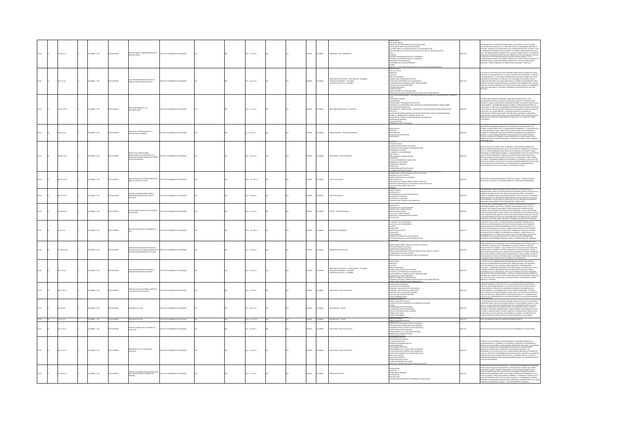|       | 2.24 IC17a  | MEIA:, 1971    | O22RRMI OT     | NTES SOBRE LA ENSEÑANZA BÁSICA EN                                                                                        | STITUTO COLOMBANO DE PEDAGOGÍ             |  | p.: 22 x 33 cm                |  | PAÑOL         | <b>MEM</b>     | GEÑANZA - EDUCACIÓ                                                                                                            | <b>BUCACIÓN BÁSICA</b><br>KALAKUNA MANLA<br>ENKORDE DUE DEBEN REGIR LA EDUCADÓN DE BASE<br>ENCADÓN DE BASE Y EDUCADÓN ORDIDIAL<br>MPUCADÓNES DE LA POLÍTICA EDUCATIVA ESTRUCTURA DEL SECTOR EDUCATIVO<br>MPUCADÓNES DE LA POLÍTICA EDUCATIVA ESTRUCTURA DEL SECTOR E<br>TEA<br>CUADOR<br>VUDAR AL MEJORAMENTO SOCIAL Y ECONÓMICA<br>ANORECER LA MOVILIDAD SOCIAL Y ECONÓMICA<br>DRENTAR VOCACIONALMENTE<br>IN GENERAL DE LA EDUCACIÓN MEDIA                                                          |          | EDUCACÓN BÁSICA, EDUCACÓN GENERA BÁSICA, CELO BÁSICO, TRONCO CONÚN<br>EDUCACÓN MERIA ARRESTANTES (ET, COM DIVISIÓN MERIA ARRESTANTES EN CELO DE COMPOSICIONAL EN CONDUCTIVISIÓN ARRESTANTES EN CONDUCTIVISIÓN EN CONDUCTIVISIÓN<br>UCACIÓN BÁSICA, COMO UNA FORMA DE RESPUESTA A LAS NECESIDADES ANTES<br>HCADAS, Y PARTICULARMENTE SU CONCEPCIÓN, FINALIDADES Y OBJETIVOS.                                                                                                                                                                                                                                                                       |
|-------|-------------|----------------|----------------|--------------------------------------------------------------------------------------------------------------------------|-------------------------------------------|--|-------------------------------|--|---------------|----------------|-------------------------------------------------------------------------------------------------------------------------------|------------------------------------------------------------------------------------------------------------------------------------------------------------------------------------------------------------------------------------------------------------------------------------------------------------------------------------------------------------------------------------------------------------------------------------------------------------------------------------------------------|----------|---------------------------------------------------------------------------------------------------------------------------------------------------------------------------------------------------------------------------------------------------------------------------------------------------------------------------------------------------------------------------------------------------------------------------------------------------------------------------------------------------------------------------------------------------------------------------------------------------------------------------------------------------|
|       | 220228      | MEM . 1971     | OZBRANI OT     | PARA PRESENTAR SOLICITUDES DE                                                                                            | <b>COLOR COLORADO DE REDACIÇÃO</b>        |  | p.: 16 x 22 cm                |  | <b>PAÑOL</b>  | <b>MBA</b>     | WESTIGACIÓN CENTÍFICA - INVESTIG<br>SISTENCIA ECONÓMICA - COLOMBIA<br>SISTENCIA EDUCATIVA - COLOMBIA<br><b>CON - COLOMBIA</b> | QUE ES EL ICOLPE<br>RINGIPIOS<br>OLÍTICAS<br>POINING<br>ÁREAS DE PRIORIDAD<br>AORMAS PARA PRESENTAR SOLICITUDES<br>GINITADO DE LAS PROPUESTAS DE FRANCIACIÓN<br>CONTROL DE LAS INVESTIGACIONES<br>CONTROL DE LAS INVESTIGACIONES<br>CONTROL DE LAS INVESTIGACIONES<br>FORMES PERIÓDICOS<br>XFICACIONES<br>ECHOS SOBRE LAS INVESTIGACIONES<br>.<br>SQUEMA GUÍA PARA LA PRESENTACIÓN DE PROVECTOS DE INVESTIGACIÓN.<br>ITRUCTURA: ORGANIGRAMA Y FUNCIONES PRINCIPALES DEL INSTITUTO COLOMBIANO DE PEDA |          | .<br>EFICACIA DE UN SISTEMA EDUCATIVO DEPENDE ENTRE OTROS FACTORES DEL VALOR<br>DISÓFICO DE SUS OBJETIVOS, DE LA CALIDAD CIENTÍFICA DE LOS MÉTODOS Y TÉCNICAS<br>REIGNIRICO RESI CORETIVOS, DE LA CALINANO CIDATIFICA DE LOS MATIONOS Y TECNICAS.<br>ESC CHEAMISMON, DE LA SPICIENCIA CORRACIÓNA DE SUS MISTRICORISTES DE LIGIDO.<br>ESCUELABRO DE RECURSOS A SU SERVICIO Y EL AL CORÁNDICA DEL AL DI                                                                                                                                                                                                                                             |
|       | 0.1751017b  | CMEIA: , 1971  | O22RRMI OT:    | LETÎN INFORMATIVO Y DE<br>CUMENTACIÓN                                                                                    | TITUTO COLOMBANO DE PEDAGOGÍA             |  | 6 p. : 17 × 23 cm             |  | <b>SPAÑOL</b> | <b>CLOMBIA</b> | OLETINES INFORMATIVOS - EDUCACIÓN                                                                                             | OUPE<br>JOCUMENTOS LEGALES<br>MIMMINIMO<br>EALIZACIONES Y PROGRAMAS DEL INSTITUTO<br>VESTIGACIÓN EN EDUCACIÓN<br>VESTIGACIÓN EN EDUCACIÓN<br>UNDAMENTOS - ORIENTACIONES - ÁREAS BÁSICAS Y PROCEDIMIENTOS PARA INVESTIGACIÓN<br>ucativa<br>Vestigación sobre semestralización de estudios en el nivel de enseñanza media                                                                                                                                                                              |          | ACCT & 20 ATTAILER IN A FEET AND FORTER COMPLETA R LOS CRATTIVOS DE TODA<br>BRYKSTKAACÓN, HAGIENDO CONOCER LOS PROCESOS SKGLIDOS Y LOS BESULTADOS.<br>DIETINDOS, AGENAÁS SUARNESTRAÁR NO EDIGALOGIA SOBRE LIS ASUNTOS ESCOLATAVOS, A<br>ISCALA MUNICAL, Y RESEÑAS BIBLIOGRÁFICAS SOBRE LA PRODUCCIÓN EDITORIAL E<br>.<br>PUESTO QUE, EN LA HORA PRESENTE, LA COMUNICACIÓN EN LOS CAMPOS DE<br>RIVESTIGACIÓN, DISEÑO, EVALUACIÓN Y DISTRIBUCIÓN DE MATERIALES DIDÁCTICOS,<br>CAPACITACIÓN Y EVALUACIÓN CURRICULAR ES INDISPENSABLE PARA LA REALIZACIÓN DE<br>BIODSO PROGRAMA DE TRANSFORMACIÓN EDUCATIVA Y CULTURAL DEL PUEBLO<br>OMBIANO.         |
|       | 8.3 K17m    | CMBIA: . 1971  | <b>CORRENT</b> | AJ 20 MÚDATZRREITH 20 OJE                                                                                                | <b>COLOR COLORADO DE REDACIÇÃO</b>        |  | $: 22 \times 28$ cm           |  | <b>HÁOL</b>   | LOMBIA         | MOMMENTO - EDISCACIÓN SISERIOS                                                                                                | TECEDENTES<br>JELETIVOS<br>Vitarianos<br>TAPAS DE LA INVESTIGACIÓN<br>RESUPUESTO                                                                                                                                                                                                                                                                                                                                                                                                                     | 12742    | NIVERSIDAD COLOMBIANA, BASADO EN EL ENFOCUE MULTIDISCIPLINARIO DE LA<br>NININGIUNO LUI LUMBANO, MANDO EN EL ENFOLIJE MULTIDOLIMENARIO DE LA<br>ISTORIA, LA ESTRUCTURA SOCIAL, LA ORGANIZACIÓN ECONÓMICA Y LA ACCIÓN POLÍTICA<br>EL PAÍS, RELEVANTES PARA EL OBLETO DE LA INVESTIGACIÓN. DE ESTA MANERA SE<br>IC<br>.<br>SOCIEDAD Y LAS ACTIVIDADES DOCENTES E INVESTIGATIVAS DE LA INSTITUCIÓN EN<br>ESTUDIO: EL MIODELO DETERMINÓ LA PARTICIPACIÓN DE LAS CLASES SOCIALES EN LA<br>INTRIENO EN SUS DIVERSOS PERÍODOS Y EL EMPLEO DE AQUÉLIAS PARA ALCANZAR                                                                                       |
|       | 44.8611017p | LOMBIA: , 1971 | O22RRMI OT:    | DRIO DE DECRETO SOBRE<br>COMPEAGÓN Y ACTUALIZACIÓN DE LAS<br>PRINCIPALES NORMAS VIGENTES QUE RIGEN<br>LA EDUCACIÓN MEDIA | ALCOAMENTO DE PEDAGOGÍA                   |  | 8 p. : 22 x 33 cm             |  | SPAÑOL        | <b>CLOMBIA</b> | GSLACIÓN - EDUCACIÓN MEDI                                                                                                     | <b>PLAN DE ESTUDIOS</b><br><b>GONACIÓN DE MATERIAS POR CURSOS</b><br>TIVIDADES VOCACIONALES E INTENSIFICACIONES<br>ROGRAMAS DE ESTUDIO<br>LINDRARIO Y LAS INTENSIDADES<br>ÁO ELECTIVO<br>EVALUACION DEL TRABAJO ESCOLAR<br>FROMOCIÓN<br>FEOMA DE EXÁMENES DE HABILITACIÓN<br>EXÁMENES DE VALIDACIÓN<br>AMATRÍCULAS<br>AMATRÍCULAS<br>AMATRÍCULAS<br>LA PAIFORMETACIÓN DE FETURIOS<br>LA PAIFORMETACIÓN DE FETURIOS<br>LONGREFICACIÓN DE ESTUDIOS<br>NUMMERICA PARTICULATUR DE LA SE                  | 012742   | INECTO DE DECRETO POR EL CUAL SE UNIFICAN Y ACTUALIZAN LAS PRINCIPALES<br>.<br>Normas sobre educación media, que la evolución y el progreso de la ciencia y<br>De la cultura determinan la necesidad de actuauzar los sistemas, planes y<br>Programas de enseñanza en general y concretamente los de educación me<br>PRODUCED ANOTHER AND UNIVERSITY CONSTRUCTION CONSTRUCTION CONSTRUCTS AND A CONSTRUCT CONSTRUCT ON A CONSTRUCT CONSTRUCT ON A CONSTRUCT CONSTRUCT CONSTRUCTS OF A CONSTRUCT CONSTRUCT CONSTRUCTS OF A CONSTRUCT CONSTRUCT CONST<br>ENATURAS QUE EVITEN, EN LO POSIELE, LA DESERCIÓN ESCOLAR.                                  |
|       | 312221735   | CARLA 1971     | O298841.0TV    | PASOS A SEGUIR EN LA PREPARACIÓN DE UN                                                                                   | <b>VETITI TO COLOMBIANO DE REDUCIDEÍA</b> |  | $A = 22 \times 28$ cm         |  | <b>PAÑOL</b>  | <b>COMBIA</b>  | <b>DODS</b> ENVIRONMEN                                                                                                        | <b>CORMAS PARA LA PREPARACIÓN DE LIBROS DE LECTURA</b><br>IOSQUEIOS DE LOS CUENTOS<br>NSTRUCCIONES PARA EL ILUSTRADOR<br>JERO: DÍAS DE SOL<br>JINKIZ LINN DI SUL<br>RECLIENDA DEL VOCABULARIO DEL LIBRO, DÁS DE SOL<br>JEIETIVOS GENERALES DE LA GUÍA DIDÁCTICA PARA DÁS DE SOL<br>JECODNIES PARA EL LIBRO, DÁS DE SOL                                                                                                                                                                               | 012244   | .<br>SCRIPCIÓN PARA LA ELABORACIÓN DE LIBROS DE LECTURA , CONTIENE CLIADROS.<br>FLICATIVOS: CUENTOS Y ACTIVIDADES RESPECTO A TERRÁTICAS DE APRENDIZAJE.                                                                                                                                                                                                                                                                                                                                                                                                                                                                                           |
|       | 177710174   | CMBIA: . 1971  | OZBRANI OT     | NSIDERACIONES SOBRE EL<br>RIMENTAL PARA TEXTOS<br>SEÑO EXPE<br>COLARES                                                   | <b>TITUTO COLOMBANO DE PEDAGOGÍA</b>      |  | $n: 22 \times 28$ cm          |  | <b>PAÑOL</b>  | <b>WELA</b>    | <b>OTOS EDUCATIVOS</b>                                                                                                        | PLAN DE TRABAJO<br>-IUSTIFICACIÓN<br>-DETERMINACIÓN DE CRUETIV<br>-ENUNCIADO DE HIPÓTESIS<br>ELECCIÓN DE LA MUESTRA<br>DNSTRUCCIÓN Y PRUEBA DE INSTRUMENTOS                                                                                                                                                                                                                                                                                                                                          | 012745   | IS HIDISPENSARLE, PARA ASEGURANSE QUE LOS CRIETIVOS PROPUESTOS EN LA<br>ELARCHACON OEL URRO DE TEXTO CURPEAN SU PROVISTION (ANTIS DE PROCEDE A LA<br>ARPRESÓN DE ERMITAN, SE BEAUCE UNA EVALUACIÓN DE LARSAO. LA EOCICÍN DE<br>PRIXER,<br>i indispensagle volver sobre los objetivos que se plantearon inicialmente,<br>kra medir hasta donde estos se realizan en la publicación.                                                                                                                                                                                                                                                                |
|       | 120610174   | 10MBIA: 1971   | O22RRM (CTX    | HO SOBRE COSTOS DE LA EDUCACIÓN<br>COLOMBIA                                                                              | AROGA COLOMBANO DE PEDAGOGÍA              |  | $n: 22 \times 28$ cm          |  | <b>PAÑOL</b>  | <b>KOMBIA</b>  | STOS - EDUCACIÓN MEDIA                                                                                                        | ARTICEDENTES<br>- NATURALEZA DE LA INVESTIGACIÓN<br>- OBJETIVOS DE LA INVESTIGACIÓN<br>- METODOLOGÍA A SEGUR<br>TAPAS DE LA INVESTIGACIÓN<br>Keción y coordinación del estudio<br>(Supuesto                                                                                                                                                                                                                                                                                                          | 012746   | NAME MUSIC IN A MARKON CONSISTENCY AND A COMPANY CONSISTENCY AND A THEORY OF A REPORT OF A STATE OF A STATE OF A STATE OF A STATE OF A STATE OF A STATE OF A STATE OF A STATE OF A STATE OF A STATE OF A STATE OF A STATE OF                                                                                                                                                                                                                                                                                                                                                                                                                      |
|       | 1310174     | CMEIA: , 1971  | TO IMPRESO     | OIO DE UNA ESCUELA EXPERIMENTAL-                                                                                         |                                           |  | $\sigma_{\rm p}$ : 22 x 28 cm |  | SPAÑOL        | <b>LOMBIA</b>  | <b>ETODOS DE ENSEÑANO</b>                                                                                                     | EL HOMBRE Y SU METODOLOGÍA<br>LA ESCUELA Y SUS COMPONENTES<br><i>I</i> ALORES<br>CONDICIONES<br>ISTRUCTURA DE GRUPO<br>IELLAS ARTES<br>BLLAS ARTIS<br>CONOCIMIENTOS<br>CAMBIO PSICOLÓGICO EN LOS ESTUDIANTES<br>KCTITUDES CÍVICAS DE LOS ESTUDIANTES DEL IPAG                                                                                                                                                                                                                                        | 112740   | ENERO DE 1970, ICOURE Y LA FUNDACIÓN FORD INICIARON EL TRABAJO QUE SE<br>.<br>SENTA A CONTINUACIÓN CON EL FIN DE ESTUDIAR A FONDO LAS ACTIVIDADES Y<br>ILIZACIONES DE UN CENTRO EXPERIMENTAL DOCENTE SITUADO EN BOGOTÁ : EL                                                                                                                                                                                                                                                                                                                                                                                                                       |
|       | 1200610174  | MEIA:, 1971    | OZBRMI O       | eriencias realizadas en El Núcleo<br>Dijar rural de la Arada, municipio i<br>Ularra departamento del Tolima              | TITUTO COLOMBIANO DE PEDAGOGÍA            |  | $p. : 22 \times 28$ cm        |  | <b>PAÑOL</b>  |                | <b>OON ESCOLAR</b>                                                                                                            | <b>ERALIDADES SOBRE EL NÚCLEO ESCOLAR DE LA ARADA</b><br>UIILIN MIOMPAPA-MINIURUA<br>IGANCIACÓN ADMINISTRATIVA<br>ANIANINISTO DE LAS ACTIVIDADES ESPECIALES QUE PRESTA EL NÚCLEO<br>ANIANINENTO DE LAS CONUNIDADES PARA SU DESARROLLO<br>IDMOCIÓN DE LAS CONUNIDADES PARA SU DESARROLLO                                                                                                                                                                                                              | 12748    | .<br>En una zona dispoblada, quebrada y pedisegisa en el corregimiento de la<br>arada, municipio de alpularra al sur del departamento del tolima a unos 172<br>olómetros de ibagué viene funcionando la escuela central del múcleo<br>MANIMI MUNIN IMPARA VINNA FANNARINGI DI LA MANIMI MANIMI MANIMI MANIMI MANIMI MANIMI MANIMI MANIMI MANIMI MAN<br>KATIKICI JARAH DE PARAKISA AL SÉRTIMO GRANDO DE LA KOLONIDÊN A ÁRNA KOLONIDÊN<br>NUTRICULARA DEL PARAKISO AL SÁTTIM<br>JLARIDAD DEL TERCERO AL SÉPTIMO GRADO; COMPRENDE ADEMÁS SIETE ESCUELAS                                                                                              |
|       | 221028      | CMBIA: , 1971  | O22RRMI OT     | GUÍA PARA PRESENTAR SOUCITUDES DE<br>FINANCIACIÓN DE INVESTIGACIONES                                                     | AND AN AMERICAN DE PERMISSION             |  | $p. : 22 \times 28$ cm        |  | PAÑOL         | <b>LOMBIA</b>  | WESTIGACIÓN CIENTÍFICA - INVESTIGACIÓN - COLOMBIA<br>SISTENCIA ECONÓMICA - COLOMBIA<br>SISTENCIA EDUCATIVA - COLOMBIA         | NEW FROUD<br>PEINCIPIOS<br>POLÍTICAS<br>POLITICAS<br>ÁREAS DE PRIORIDAD<br>NORMAS PARA PRESENTAR SOLICITUDES<br>ESTICIDO DE LAS PROPUESTAS DE FRANCIALIÓN<br>LIMITACIONES EN LA FINANCIACIÓN DE INVESTIGACIONES<br>CONTROL DE LAS INVESTIGACIONES<br>RECHOS SOBRE LAS INVESTIGACIONES<br>QUEMA GUÍA PARA LA PRESENTACIÓN DE PROVECTOS DE INVESTIGACIÓN                                                                                                                                               | 12749    | SECCIONALES, CON SUS RESPECTIVOS VECINOJENOS O CONUMIDADES.<br>LA TAREA ES DE UNA IMPRESIDIANTE RESPONSABILIDAD, PORQUE TODO SISTEMA<br>EDUCATIVO ES RESPECTIVOS DE FORMACIÓN Y DIRECTOR SOCIAL EN EUROCÓR DE<br>EDUCATIVOS DEFINIDOS,<br>-MILION DATINING, LAN KUNANDIA PRAGAMINING LANDARONINGINI.<br>LANADIADO, LA INVESIÓN FINANDERA ESTÁ CONDICIONADA, DE GRAN PARTE, POR LA<br>CAPADIADO HUMANA PARA ERALDORES ANTERCONDAMINE UN VASTO PROGRAMA<br>BROMANDIADAS A LA UNIVER<br>iro, por otra parte, involucra la sociedad entera y compromete en gran.<br>Iamera sus destinos.                                                              |
|       | 0.11 (017p  | LOMBIA: , 1971 | O23RRMI OT     | RL DE LA ESCUELA NORMAL DENTRO DE<br>NUEVA POLÍTICA EDUCATIVA                                                            | STITUTO COLOMBIANO DE PEDAGOGÍA           |  | p.: 22 x 28 cm                |  | SPAÑOL        | OMBA           | DUCACIÓN - POLÍTICA EDUCATIVA                                                                                                 | <b>MOOKALIGREEFORFORMALENTUCHMES</b><br>HI MARINA REINA CU KA FUNDRALINI UL BRA<br>CONSIZACIÓN DEL PROBLEMA<br>FROBLEMA CUANTITATIVO DE LA EDUCACIÓN<br>FROBLEMA CUANTITATIVO DE LA EDUCACIÓN<br>FROBLEMA CUANTITATIVO DE LA EDUCACIÓN<br>FROBLEMA CONSIDERACIÓNES<br>OTRAS CONSIDERACIÓ<br><b>ALCOHOL:</b>                                                                                                                                                                                          | 0012750  | unkkukus tus primilinna lijii abbunia il para di malibia liulkaina, li<br>Diensio MacDona a Tranga se kolor v las opprega agencas concataga.<br>Istnecia varias modificaciones a la estructura actual de la edicación. Il<br>Semale edi<br>vivel integra la educación primaria actual con el ciclo básico de educación<br>Media; se inicia en el primer grado y se extiende hasta el 9°. El segundo nivel<br>Ncluye el ciclo diversificado de la educación media y la educación                                                                                                                                                                   |
|       | K17ml       | MEIA:, 1971    | O23RMI OT      | MTEMÁTICA ACTUAL                                                                                                         | STITUTO COLOMBANO DE PEDAGOGÍ             |  | p.: 33 x 22 cm                |  | PAÑOL         | <b>LOMBIA</b>  | TEMÁTICAS - JUEGOS                                                                                                            | NO DEL FROFEJOR<br>VOER CURSO PREPARATORIO<br>EGOS ÚTILES EN EL DESARROLLO DE DIVERSAS ACTIVIDADES<br>UEGOS<br>EUMERACIÓN EN DISTINTAS BASES<br>IL CONTADOR PARA CUALQUIER BA<br>50 DEL CONTADOR A NIVEL DE KINDER<br>MANJO CON FICHAS<br>224AMUJ1R92C<br>1100011000101101<br>BRO DEI AILIMNO                                                                                                                                                                                                        | 1275     | .<br>1 ESTABLECIMIENTO DE LOS KINDERS O JARDINES INFANTILES SE HACE HOY NECESARIO<br>IN NUESTRO MEDIO, POR SER ALLÍ DONDE EMPIEZA LA ADAPTACIÓN DEL NIÑO A LA VIDA<br>ESCOLAR. LA IDEA DE DAR MAYOR IMPORTANCIA EN LA FORMACIÓN INTELECTUAL DEL<br>NIÑO A LAS HABILIDADES PARA RAZONAR QUE A LAS HABILIDADES PARA EL CÁLCULO<br>NUMÉRICO ES ACEPTADA UNÁNIMEMENTE. APROVECHANDO LA NECESIDAD QUE TIENE<br>NOMINALA AR ANAF FRAN GAMMANIANA ILA PARAFILMONIANO LA MARCAS (TILES)<br>16 IUGAR, EL MARSTRO PUEDE LLEVARIO A INICIAR LA FORMACIÓN DE HÁBITOS ÚTILES<br>16 SÓLO EN LA ESCUELA SINO EN LA VIDA MISMA DEL ALUMNO Y A PERMITIRILE CON<br> |
| 12752 | 00 K17m2    | COLOMBIA: 1971 | OZERNI OTX3    | MATEMÁTICA ACTUAL                                                                                                        | ABOGAGER 30 OMAIRMOJO DE UTITZ            |  | 102 p. : 33 x 22 cm           |  | SPAÑOL        | COLOMBIA       | MATEMÁTICAS - JUEGOS                                                                                                          | NDER CURSO PREPARATORIO                                                                                                                                                                                                                                                                                                                                                                                                                                                                              | 00012752 | TEXTO CON GRÁFICAS PARA ACTIVIDADES EN PRIMERA INFANCIA.                                                                                                                                                                                                                                                                                                                                                                                                                                                                                                                                                                                          |
|       | 0.11 (0.70) | CARLA 1971     | O2995641 OT    | necto general de ley general de<br>Joación                                                                               | <b>CERTIFICATIONS IN CASHIOLOGY</b>       |  | $n: 22 \times 28$ cm          |  | <b>PAÑOL</b>  | OMBIA          | IN KACIÓN - ROLÍTICA EDIKATIVA                                                                                                | NUMICIO DE LA EDICIOCIÓN Y FINIS DE LA MISMA<br>ESTRUCTURA DEL SISTEMA EDUCATNO NACIONAL<br>DEGANGACIÓN DEL SECTOR EDUCATNO NACIONAL<br>ONDOS EDUCATNOS ESCIONALES<br>VIANCAMENTO DE LA EDUCACIÓN NACIONAL<br>VIANCAMENTO DE LA EDUCACIÓN NAC                                                                                                                                                                                                                                                        | 0012753  | OVECTO DE LEY POR LA CUAL SE DICTA EL ESTATUTO GENERAL DE LA EDUCACIÓN.                                                                                                                                                                                                                                                                                                                                                                                                                                                                                                                                                                           |
|       | 20.11 IC17a | DLOMBIA: 1971  | OZRRAMI OTX    | NTEPROYECTO DE LEY GENERAL DE<br>JUCACIÓN                                                                                | ALCOLAGED DE PERSONAL                     |  | $6a:22 \times 28$ cm          |  | <b>SPAÑOL</b> | <b>OLOMBIA</b> | DUCACIÓN - POLÍTICA EDUCATIVA                                                                                                 | <b>VERPENTIONES VARIAS<br/>KPOSICIÓN DE MOTIVOS<br/>ISTRUCTURA DEL PROYECTO</b><br>IL SISTEMA EDUCATIVO<br>NA MINIMUM MOMINISTRATIVA<br>DREAS FINANCIERAS<br>DISPOSICIONES GENERALES<br>FINES GENERALES DE LA EDUCACIÓN CI<br>FINES GENERALES DE LA EDUCACIÓN CI<br>ODD DESARROU<br>STRUCTURA ACADÉMICA DEL SISTEMA EDUCATIVO<br>VELES DEL SISTEMA<br>IUCACIÓN SUPERIOR<br>ODALIDADES DEL CIET<br>ADES DEL SISTEMA<br>ANDS Y PROGR<br>MAS DE ESTUDI<br>ECOÓN Y ADMINISTRACIÓN DEL SISTE              | 12754    | ROYECTO DE LEY GENERAL DE EDUCACIÓN QUE EL GOBIERNO PRESENTA A LA<br>IN PROFICION LINE GENERAL AS EDUCACIÓN EN LES COMBINENTANTS ARRESTED AND CONSIDERATIVE ORDER CONSIDERATIVE ORDER CONSIDERATIVE ORDER CONSIDERATIVE ORDER CONSIDERATIVE ORDER CONSIDERATIVE ORDER CONSIDERATIVE ORDER CONSIDE<br>EDUCACIÓN NACIONAL                                                                                                                                                                                                                                                                                                                           |
|       | 28 IC17p    | MEIA:, 1971    | O IMPRESO      | PROVECTO DE PROMOCIÓN ACELERADA PARA<br>LOS GRADOS PRIMERO Y SEGUNDO DE<br>PRIMARIA                                      | TITUTO COLOMBIANO DE PEDAGOG              |  | $p. : 22 \times 33$ cm        |  | <b>PAÑOL</b>  |                |                                                                                                                               | RODUCCIÓN<br>SOUTHER<br>SENACIÓN DE TÉRMINOS<br>STERIOS PARA INTRODUCIR EL PROGRAMA EN UNA ESCUELA                                                                                                                                                                                                                                                                                                                                                                                                   |          | el<br>El ministerio de Educación (nacional y el instituto colombiano de Pedagogía)<br>Kanores de 10 años, cursan actualmente los dos primeros grados en las<br>Mayores de 10 años, cursan actualmente los dos primeros grados en las<br>MAYORIS DE 10 ANGE, CURSAN ACTUALMENTE LOS DOS PROMERIOS CARACIONES EN 12 ANGERES (11 AN 1992).<br>ISOLIDAS PRIMARIAS DEL PAÍS, CON EL FIN DE COLUCIÓNAS, AL MÉNICO EN PARTE, EL<br>MONDELMA QUE ESPERICAN PARA SEDEL MÍNICO EN ESPE                                                                                                                                                                      |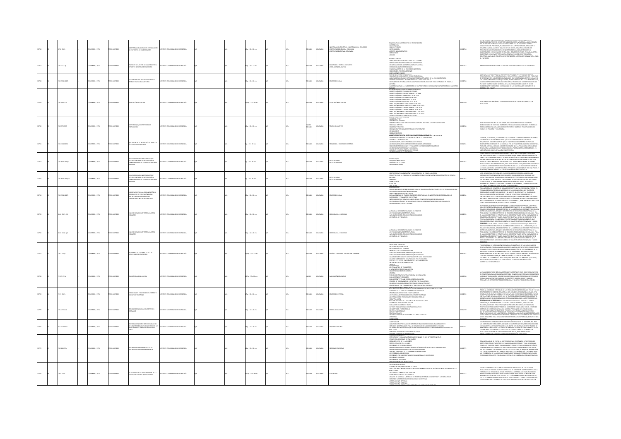|       | 2.21017g       | CMELA: , 1971       | COSSERVI C | IA PARA LA ELABORACIÓN Y EVALUACIÓN<br>PROYECTOS DE INVESTIGACIÓN                                                               | TITUTO COLOMBIANO DE PEDAGOGÍA         |  | $p. : 22 \times 28$ cm  |  | <b>PAÑOL</b>    | LOMBIA         | SISTENCIA ECONÓMICA - COLOMBIA<br>SISTENCIA EDUCATIVA - COLOMBIA | ESQUEMA PARA UN PROVECTO DE INVESTIGACIÓN<br>-EL PROBLEMA<br>-MARCO TEÓBECO<br>-METODOLOGÍA<br>-KEFTODOLOGÍA<br>-KEFTODOLOGÍA<br>SFERENCIAS<br>NEXOS                                                                                                                                                                                                                                                                                                                                                                                                                                                                                  | 12756  | MA INVENTION CONTINUES IN CONTINUES CONTINUES IN A CONTINUES IN SEALURE CONTINUES IN A SUBJECT AND REALIZED ACCORDINATION OF THE SEALURE SEALURE SEALURE SEALURE SEALURE SEALURE SEALURE SEALURE SEALURE SEALURE SEALURE SEALU                                                                                                                                                                                                                                                                                                                                                                                                              |
|-------|----------------|---------------------|------------|---------------------------------------------------------------------------------------------------------------------------------|----------------------------------------|--|-------------------------|--|-----------------|----------------|------------------------------------------------------------------|---------------------------------------------------------------------------------------------------------------------------------------------------------------------------------------------------------------------------------------------------------------------------------------------------------------------------------------------------------------------------------------------------------------------------------------------------------------------------------------------------------------------------------------------------------------------------------------------------------------------------------------|--------|---------------------------------------------------------------------------------------------------------------------------------------------------------------------------------------------------------------------------------------------------------------------------------------------------------------------------------------------------------------------------------------------------------------------------------------------------------------------------------------------------------------------------------------------------------------------------------------------------------------------------------------------|
|       | 11 (17)        | MEIA: , 1971        |            | <b>PECTO DE LEY POR EL CUAL SE DICTA EL</b>                                                                                     |                                        |  | $: 33 \times 22$ cm     |  | xkou            |                | BUCACIÓN - POLÍTICA EDUCATIVA                                    | .<br>FRECHO A LA EDUCACIÓN Y FINES DE LA MISMA<br>ITRUCTURA DEL SISTEMA EDUCATIVO NACIONAL<br>REANIZACIÓN DEL SECTOR EDUCATIVO NACIONAL<br>IMDOS EDUCATIVOS REGIONALES<br>NANCIAMIENTO DE LA EDUCACIÓN NACIONAL<br>GIMEN DEL PERSONAL DOCENTE                                                                                                                                                                                                                                                                                                                                                                                         | 12757  | ECTO DE LEY POR LA CUAL SE DICTA EL ESTATUTO GENERAL DE LA EDUCACIÓN.                                                                                                                                                                                                                                                                                                                                                                                                                                                                                                                                                                       |
|       | 19346 10170    | MEIA: , 1971        | O IMPRESO  | .<br>Capacitación del docente para el<br>Bajo en Escuela Unitaria                                                               | <b>STITUTO COLOMBIANO DE PEDAGOGÍA</b> |  | $p. : 22 \times 28$ cm  |  | <b>PAÑOL</b>    | <b>WELA</b>    | UCACIÓN RURA                                                     | SÉCÉIGINS XIELES<br>SAUDAD DE LA EDUCACIÓN RURAL COLOMBIANA<br>-BANJAMO DE LA DIOLOCIÓN RUBA COLOMBIANA<br>-PAGUNAS DE LAS CALISAS DETERMINANTES DE LA SITUACIÓN DE LA EDUCACIÓN BURAL<br>-PAGUNAS DE LAS CALISAS DE TERMINANTES DE LA SITUACIÓN DE LA EDUCACIÓN BURAL<br>-HECESINO DE LA FORMACIÓN Y                                                                                                                                                                                                                                                                                                                                 | 12758  | SULTA DIFÍCIL POR LA COMPLEIIDAD DE SUS ASPECTOS, LA MAGNITUD DEL PROBLEMA<br>MI ADIO POPOLE VALIVA VALIVATA DE LA PARTICIPALE DE MARINA DE LA COLOR PRIMIARA DE LA CONSTANTA DE LA COLOR DE LA COLOR DE LA COLOR DE LA PARTICIPALE DE LA PARTICIPALE DE LA PARTICIPALE DE LA PARTICIPALE DE LA PARTICIPALE                                                                                                                                                                                                                                                                                                                                 |
|       | 1541017        | CMELA: , 1971       | O IMPRESO  | SLACIÓN EDUCATIVA                                                                                                               |                                        |  | .<br>Ap.: 22 x 28 cm    |  | <b>PAÑOL</b>    | <b>WELA</b>    |                                                                  | SOLEMANISMO MANUAL DE DE DESIRIO MANUAL DE DE 1959<br>ESCATTO MÁMINEO 2300 DECEMBRE 21 DE 1959<br>COCATTO MÁMINEO 2300 DECEMBRE 21 DE 1959<br>COCATTO MÁMINEO 249 SEPTERMBE 201 1968<br>COCATTO MÁMINEO 2414 SEPTERMBE 201 1970<br>COCATTO M<br>SECULTION NÚMERO 2449 SEPTEMBRE 21 DE 1970<br>DECRETO NÚMERO 1764 SEPTEMBRE 21 DE 1970<br>DECRETO NÚMERO 1764 SEPTEMBRE 23 DE 1970<br>SECULTIÓN NÚMERO SOM NOVEMBRE 18 DE 1970<br>SECULTIÓN NÚMERO SOM NOVEMBRE 23 DE 1970<br>SECULTIÓN NÚMER<br>CRETO NÚMERO 070 ENERO 25 DE 1971                                                                                                    | 12759  | ste texto contiene îneice y descripción de decretos relacionados con<br>Ducación.                                                                                                                                                                                                                                                                                                                                                                                                                                                                                                                                                           |
|       | 333 ICLY       | MEIA:, 1971         | OZRESNIC   | FIRST SEMINAR, ICOLPE TEXTROOK<br>PREPARATION                                                                                   | <b>COLOR COLORADO DE REDACIÇÃO</b>     |  | $p. : 22 \times 28$ cm  |  | ngles<br>Spañol |                | TOS ENLIGATIVO                                                   | conco questa?<br>HE PRESENT SEMINAR<br>SPORT: CONSULTANT SERVICES TO EDUCATIONAL MATERIALS DEPARTMENT ICOLPE<br>SGIONAL CENTERS<br>SADABILITY FACTORS<br>EMINAR ON TECHNIQUES OF TEXBOOK PREPARATION<br>INCLUSIONS<br>COMENDATIONS                                                                                                                                                                                                                                                                                                                                                                                                    | 12260  | ESTE SEMINARIO ES UNO DE LOS TRES PLANEADOS PARA ENTRENIAR UN GRUPO<br>SELECCIONADO DE EDITORES, ESCRITORES Y EDUCADORES COLOMBIANOS EN TÉCNICA<br>ESPECIALIZADAS EN LA ELABORACIÓN DE TEXTOS EN MATERIAS PRINCIPALES DE LOS<br>VELES DE PRIMARIA Y SECUNDARIA.                                                                                                                                                                                                                                                                                                                                                                             |
|       | 0.7134 K17h    | CMBIA: , 1971       | O22RRMI OT | 20 JIWA JA AGOGAAL NAJ 20 RIZAH 3<br>2010ATI283TARIOS                                                                           | <b>TITUTO COLOMBANO DE PEDAGOGÍA</b>   |  | : 22 x 28 cm            |  | SPAÑOL          | <b>MBA</b>     | DAGOGÍA - EDUCACIÓN SUPERIOR                                     | <b>ABELSCON TÉCTURALISTO TYLEL EN LA FREE DE CRYLEID.</b><br>20PCIÓN DE SISTEMAS DE ORGANIZACIÓN DE LA UNIVERSIDAD<br>DEENCIA E INVESTIGACIÓN<br>NONCON DI PLANES Y PROGRAMAS DE ESTUDIO<br>ADPOIÓN DE PLANES Y PROGRAMAS DE ESTUDIO<br>ADPOIÓN DE PARINOCIONES Y FINALIACIÓN DE REI<br>ÁGINEN DE PROFECIONAL Y CONSEIGÍA<br>ANGENITE FORMATIVO DE LA UNIVERSIDAD<br>ANGENITE FORMATIVO DE LA                                                                                                                                                                                                                                         | 11276  | .<br>DUCAR, SE HA DICHO, ES UNA TAREA QUE CONSISTE EN PRODUCIR MODIFICACIONES O<br>NMBIOS EN LA VIDA HUMANA PARA QUE ESTA LOGRE DESARROLLO PLENO Y<br>-<br>ARMENIA EN A VAN PARAISIONA POR QUE LA UNIVERSIDAD DESEMPERA UN PAPEL DE<br>RINGARI EN ASCENDIRACIÓN EN LA SICIEMA EN EL FUERDO KORA EL SETEMBRA ADEMANTA DE CON ETAPA<br>PORA DEL SETEMBRA ADEMANTA DE EN EN EN EN A FEDRACIÓN, C                                                                                                                                                                                                                                               |
| 12762 | 0.19346 IC17p1 | LOMBIA: , 1971      | O22RRM OT  | PRIMER SEMINARIO NACIONAL SOBRE<br>ISCUELA UNITARIA: DEMOSTRACIÓN Y<br>IOMPROBACIÓN DEL SISTEMA DE ESCUELA<br>TARIA             | ALCOLAGED DE PERSON ENTITY             |  | $: 22 \times 28$ cm     |  | <b>SPAÑOL</b>   | ABM0J02        | SCUELA RURAL<br>SCUELA UNITARI                                   | JSTIFICACIÓN<br>15POSICIÓN DEL AULA<br>1NÁMICA DE LA CLASE<br>COMENDACIONES                                                                                                                                                                                                                                                                                                                                                                                                                                                                                                                                                           | 012762 | con el propósito de Hacer Kár Concreta Nuestra Teoría Sobre la Escuela<br>Jinitaria Presintandia la rourinte formical que permitañ lina observación<br>Bibecta de la Manera Como se trabala a Trans es este setema fundamentado<br>Bib                                                                                                                                                                                                                                                                                                                                                                                                      |
|       | 19346 IC17p2   | MEIA:, 1971         | D IMPRESO  | R SEMINARIO NACIONAL SOBRE<br>CUELA UNITARIA: DEMOSTRACIÓN Y<br>IMPROBACIÓN DEL SISTEMA DE ESCUEI<br>ETARIA                     | TITUTO COLOMBIANO DE PEDAGOGÍA         |  | $: 22 \times 28$ cm     |  | <b>PAÑOL</b>    | <b>AIGNS</b>   | SCUELA RURAL<br>SCUELA UNITAR                                    | AFFIRADOR DIPERMENTADÓN Y DEMOSTRADÓN DE ESCUELA UNITABIA<br>FRONCTO PARA LA CREACIÓN DE UN CENTRO DE EXPERIMENTADÓN Y DEMOSTRADÓN DE ESCUELA<br>FRANCISCO PAR<br>NITARIA<br>"ERSONAL<br>"ITACIÓN<br>"ITACIÓN<br><b>ACACIÓN</b><br>FROQUECIÓN                                                                                                                                                                                                                                                                                                                                                                                         | 012763 | RECEIVED COMPOSITION (SURVEYER) ΤΙ ΕΡΩΡΟ ΜΕ ΤΑ ΠΑΙ ΤΑ ΠΑΙ ΤΑ ΠΑΙ ΤΑ ΠΑΙ ΤΑ ΠΑΙ ΤΑ ΠΑΙ ΤΑ ΠΑΙ ΤΑ ΠΑΙ ΤΑ ΠΑΙ ΤΑ ΠΑΙ ΤΑ ΠΑΙ ΤΑ ΠΑΙ ΤΑ ΠΑΙ ΤΑ ΠΑΙ ΤΑ ΠΑΙ ΤΑ ΠΑΙ ΤΑ ΠΑΙ ΤΑ ΠΑΙ ΤΑ ΠΑΙ ΤΑ ΠΑΙ ΤΑ ΠΑΙ ΤΑ ΠΑΙ ΤΑ ΠΑΙ ΤΑ ΠΑΙ ΤΑ ΠΑΙ Τ                                                                                                                                                                                                                                                                                                                                                                                                                |
|       | 1034617174     | MEM: 1971           |            | IGERENCIAS PARA LA ORGANIZACIÓN DE<br>6 NÚCLEOS DE EDUCACIÓN RURAL<br>INTRO DEL PROGRAMA DE LAS<br>INCENTRACIONES DE DESARROLLO | THEO COLOMBIANO DE REDACOCÍA           |  | $n: 22 \times 28$ cm    |  | <b>HÁOL</b>     |                | <b>ICACIÓN BIBA</b>                                              | NTRODUCCIÓN<br>SERICCON Y VORATIVO QUE DEBE SEGUISEE PRRA LA ORGANISACIÓN DE LOS NÚCLEOS DE EDUCACIÓN RURAL<br>SERICCON Y VORATIVOCÓN DE PRESIDAL<br>4 PARAS GENERAL DE TRANSCO QUE GEBER EFECTUAR LAS CONCENTRACIONES DE DESARROLLO<br>4                                                                                                                                                                                                                                                                                                                                                                                             |        | PARA ACELERAR EL DESARROLLO RURAL ES MENESTER QUE LA EDUCACIÓN, ATIENDA EN<br>NOW, ACTIVITY IS CONSIDER AN ALL CONTROL OF A MONEY CONVERSION AND A SUBSESSION CONTROL OF A MONEY CONTROL OF A SUBSESSION CONTROL OF A MONEY CONTROL OF A SUBSESSION CONTROL OF A SUBSESSION CONTROL OF A SUBSESSION CONTROL                                                                                                                                                                                                                                                                                                                                 |
|       | 6 IC17p Ej. 1  | MEA:, 1971          |            | PLAN DE DESARROLLO TERCERA PARTE 4<br>POBLACIÓN                                                                                 |                                        |  | $: 22 \times 28$ cm     |  | <b>PAÑOL</b>    |                | RAFÍA - COLOMB                                                   | LA REALIDAD DEMOGRÁFICA HASTA EL PRESENTE<br>-LA SITUACIÓN DEMOGRÁFICA FUTURA<br>-IMPLICACIONES DEL CRECIMIENTO DEMOGRÁFICO<br>A POLÍTICA DE POBLACIÓN                                                                                                                                                                                                                                                                                                                                                                                                                                                                                |        | .<br>De Personas Jónenes, grandes monmientos de redistribución especial de la<br>Población, y un intenso proceso de Crecimiento de los Núcleos Urbanos. Para<br>11. análisis científico de esta situación demográfica no basta, sin emb<br>- PRIMISION DESCRIPTIVA DEL CARÁCTER Y EL BITMO DE DICHO CRECIMIENTO, SE<br>DISDERACIÓN DESCRIPTIVA DEL CARÁCTER Y EL BITMO DE DICHO CRECIMIENTO, SE<br>IGIAS CONDICIONES SON CONSECUENCIA DE UNA ESTRUCTURA ECONÓMICA Y SOCIAL<br>IGIA                                                                                                                                                          |
|       | LG IC17p Ej.2  | MEA:, 1971          | O22RRMI OT | PLAN DE DESARROLLO TERCERA PARTE 4<br>POBLACIÓN                                                                                 | TITUTO COLOMBIANO DE PEDAGOGÍA         |  | $p. : 22 \times 28$ cm  |  | <b>PAÑOL</b>    |                | AAFA - COLOMBI                                                   | LA REALIDAD DEMOGRÁFICA HASTA EL PRESENTE<br>-LA SITUACIÓN DEMOGRÁFICA FUTURA<br>-RAPUCACIONES DEL CRECIMIENTO DEMOGRÁFICO<br>-LA POLÍTICA DE POBLACIÓN                                                                                                                                                                                                                                                                                                                                                                                                                                                                               | 012766 | .<br>Tratas presenta de la colonida la multanta de la que presentante.<br>Uchos préses en desabrollo : acelerado cricimento de la población, altas<br>Sas de fecundidad, descenso rápido de la mortalidad, crecente proporción<br>TARAK DA FRONNOLON, DISKONIKO BAPIDO DI LANDOTALINON, CONCIDITATO PROPORCIONI CON CHARGANI CHA ESSENTINO CON C<br>DI PRESCINAL JOURNEL, GRANICES MOVIMIENTOS DI REDISTRIBUIDONI ESPECIAL DE LA<br>PONDEDIAL JOURNEL CON ESTA SITUACI                                                                                                                                                                      |
|       | .<br>31 IC17p  | CMBIA: . 1971       | OZRESNIC   | PROGRAMA DE DESARROLLO DE LAS<br>¡ACULTADES DE EDUCACIÓN                                                                        | <b>COLOR COLORADO DE REDACIÇÃO</b>     |  | .<br>Ap.: 33 x 22 cm    |  | <b>PAÑOL</b>    | LOMBIA         | OITICA EDIICATIVA - EDIICACIÓN SIDEBICO                          | -<br>-<br>- OBIETIVOS DE LA ENCUESTA<br>- METODOLOGÍA DEL TRABAJO<br>-MITODOGGIA DEL TANÀNO<br>FRONTIER DE LOS MINITESIDADES<br>-TARINACIÓN DE LOS PROGRAMAS QUE SE MICIAN<br>-TARINACIÓN DE LOS PROGRAMAS QUE SE AMPIAN<br>-CINDRIS SOBRE COSTOS COMPARADOS POR PROGRAMAS<br>-CINDRIS SOBRE COSTOS COMPARADOS POR                                                                                                                                                                                                                                                                                                                    |        | .<br>12 PROGRAMA DE INTEGRACIÓN Y DESARROLLO ACADÉMICO DE LAS FACULTADES DE<br>3 UCACIÓN ES EL PROGRAMA MEDULAR POR CUANTO A LAS FACULTADES CORRESPONI<br>NOUGALISM IS NI PROGRAMM MIEDIUM FOR CONCERCIÓN DE LOS CONTENIDOS DE LA<br>FORMAR LOS DOCENTES QUE GARANTICEN LA CONCERCIÓN DE LOS CONTENIDOS DE LA<br>NUEVA POLÍTICA EDUCATIVA EN EL PROCESO DE ENSEÑANZA - APRENDICAIE. LAS<br>NUEVA<br>NHPAAR AL-NHIMMADIN, LL UNIMI MUURT IL UULLINTS 36 SHUIDI PARA<br>DISSARIDILAR EL CURÈCULO, FOR TANTO, LA FORMACIÓN DEL PERSONAL QUE DIRIGE,<br>PARINCIPA Y ACTIVA EL PROCESO EDUCATIVO ES LA PRINERA PROBIDAD PARA<br>GARANTIZAR SU DI |
|       | 12710174       | CMEIA: , 1971       | O22RRM OT  | ATIONAL EVALUATION                                                                                                              | TITUTO COLOMBIANO DE PEDAGOGÍA         |  | 67 p. : 33 x 22 cm      |  | <b>CLES</b>     | <b>LOMBIA</b>  | ALUACIÓN EDUCATI                                                 | <b>-WERGE-COINST THE SECTION OF DEVICE AND ACCORDINATION OF CHARGE CONTINUES AND ACCORDINATION OF CHARGE CONTINUES AND CONTINUES OF CHARGE CONTINUES AND CONTINUES AND CONTINUES AND CONTINUES AND CONTINUES AND CONTINUES AND </b>                                                                                                                                                                                                                                                                                                                                                                                                   | 1276   | HACIÓN BHEDE SER HIN ASBECTO MHY IMPORTANTE EN EL CAMBO EDIVCATIVO<br>k vonlumenta veneta sak un manisto in manisto morte la in canden under internationes<br>Ammana Tymelingenda de Manera apropanda, concerto das prevais y operaciones<br>Ammana Tymelingenda (n. 1940)<br>E EVALUACIÓN CONTRAPORÁBILAS, E<br>IS DEL DESCUBRIMENTO DE LA SEXUAUDAD INFANTIL LLEVADO A CABO POR                                                                                                                                                                                                                                                           |
|       | 19 K170        | <b>CRABLA: 1971</b> | OZRRNI OT  | <b>GELIDADES Y LÍMITES DE UN FOMENTO</b><br>SNITIVO TEMPRANO                                                                    | STITUTO COLOMBIANO DE PEDAGOGÍA        |  | $7a:22 \times 28$ cm    |  | <b>PAÑOL</b>    | OMBA           | <b>UCADÓN ESPECIA</b>                                            | PRESUPUESTOS PSICOLÓGICOS DE LOS PROGRAMAS EDUCATIVOS PREESCOLARES<br>-FOMENTO DE LA LENGUA Y DESARROLLO COGNITIVO<br>-FROGRAMAS ARTILÁTICOS Y MATEMÁTICOS<br>-LA EFICIDICIA DE PROGRAMAS DE LECTURA TEMPRANA                                                                                                                                                                                                                                                                                                                                                                                                                         | 012769 | FORMAS ON LONGUARMENTI SIGLO, DE LAS CRISTA FRANCIA DE DE MONDO A CADA POR LOS PERIODOS ANOS EN VIGLOS AREADOS<br>FREUDO AL COMENZAR ESTE SIGLO, DE LAS CRISTA ARCTIVAS PROVOCADAS POR ÉL Y DE LOS<br>FUELOS DE ÉLECAS SOBRE EL ESSA                                                                                                                                                                                                                                                                                                                                                                                                        |
|       | 177710170      | LOMBIA: , 1971      | O22RRM OT  | FÉCNICAS DE ELABORACIÓN DE TEXTOS<br>ISCOLARES                                                                                  | A ARONADA DE OMAIRMOJO DE TATITA       |  | $2 p : 22 \times 28$ cm |  | <b>SPAÑOL</b>   | <b>CLOMBIA</b> | <b>CTOS EDUCATIVO</b>                                            | A FREDINAN RY PROGRAMAS DI LICTUAN<br>LOKSTRAMINYO PRESCOLAR Y MADUREZ ESCOLAR<br>RESONTANCIÓN<br>MARIN REL MINU DE TRATUAN <del>DI RUDOREN ESTORI</del><br>VOLUCIÓN DEL LIBRO DE TRATUAN<br>VOLUCIÓN DEL LIBRO DE TRATUAN<br>VI TRATO ESCOLAR COMO COMPL<br>EL TEXTO ESCOLAR COMO COMPILIO DIDACTICO<br>CONCEPTO DEL TEXTO ESCOLAR<br>TEXTOS TRADICIDIALES<br>ORGANIZACIÓN DE UN PROGRAMA DE LIBROS DE TEXTO<br>ORGANIZACIÓN<br>ASESORÍAS                                                                                                                                                                                            | 012770 | WE WITH A REPORT OF THE CONSULTING CONTINUES AND AN ANOTHER CONSULTING THE CONSULTING CONSULTING CONSULTING THE CONSULTING CONSULTING CONSULTING A REPORT OF THE CONSULTING CONSULTING A REPORT OF THE CONSULTING CONSULTING                                                                                                                                                                                                                                                                                                                                                                                                                |
|       | 1412 1017      | MEA:, 1971          |            | TIGACIÓN SOBRE SERVICIOS BÁSICOS<br>DE BENESTAR EDUCATIVO QUE PRESTAN LOS<br>PRINCIPALES SECTORES DE DESARROLLO                 | TITUTO COLOMBIANO DE PEDAGOGÍA         |  | p.: 22 x 28 cm          |  | <b>PAÑOL</b>    | wax            | <b>ARCLLO RURA</b>                                               | <b>WASCOLOGISTIC</b><br>ISTEICACIÓN<br>GUNOS CONCEPTOS BÁSICOS GENERALES RELACIONADOS CON EL PLANTEAMENTO<br>SERVICIOS INDISPENSABLES PARA EL DESARROLLO DE LAS COMUNIDADES RURALES<br>SECTORIS DEL DESARROLLO QUE VIENEN PRESTANDO SERVICIOS INDISPENSABLES DE BENESTAR<br>SERVICIOS BÁSICOS DE BIENESTAR EDUCATIVO<br>SERVICIOS BÁSICOS DE BIENEST                                                                                                                                                                                                                                                                                  | 1277   | .<br>2000: Animana de Demonald Rom, se primere : primere de 1980.<br>2000: Nacín E integración de los servicos prestados al sector rural por<br>os destintos sectores institucionales de Manera que se dviten dupucacione:<br>NON MONTENUE DE DESCRIPTION DE LILOS. ENTRE LOS CONTINUOS DE ESTE TRABAJO SE<br>NER ALIMENTE LA EFICACIA FINAL DE ELLOS. ENTRE LOS CONTINUOS DE ESTE TRABAJO SE<br>KIENCIONAN : INVESTIGAR LAS CLASES DE SERVICIOS DÁSICOS DE BIENES<br>UCATIVO, DISPONER DE FUNDAMENTOS CENTÍFICOS, PARA PROMOVER EL                                                                                                         |
|       | 19861017       | LOMBIA: 1971        | OZERNI OT  | REFORMA EDUCATIVA PROYECTO DE<br>REFORMA EDUCATIVA PARA FRANCIA                                                                 | TITUTO COLOMBIANO DE PEDAGOGÍA         |  | 8 p. : 22 x 28 cm       |  | <b>SPAÑOL</b>   | <b>LOMBIA</b>  |                                                                  | HENTECK MEDIOS DE HADVANADOR<br>SNOJPICA GENERALES<br>STRUCTURA Y ORGANIZACIÓN DE LA ENSEÑANZA EN SUS DIFERENTES NIVELES<br>RIMER CICLO ESCOLAR, DE 7.A 11 AÑOS<br>GAINDO OCLO DE 11 A 15 AÑOS<br>ERCER CICLO, DE 15 A 18 AÑOS<br>nsenanza de segundo grado<br>Eagrupamiento de las enseñanzas teóricas y<br>Eagrupamiento regional de las universidade<br>CTENDING V TENNING EN LAS INVERSIVANO<br>aparas politicus paraside da dã Universidades<br>AS TRES FUNCIONES DE LA ENSIÑANZA UNIVERSITABIA<br>NEIÑANZA PRE-UNIVERSITABIA ESCUELAS NORMALES SUPERIORES<br>eseñanza superior<br>Eseñanzas especiales<br>EVOS CONTROLES PEDAGÓ |        | CON LA FINALIDAD DE EVITAR LA DISPERSIÓN DE LAS ENSEÑANZAS A TRAVÉS DE LOS<br>NAM NA PRIMINIMA DA NOMINA NA MARINA UNA CAMA NOMINA NA PARA KEACCIDINA.<br>CONTRA NA CARÁCTER TANTO ENCLUSIVAMENTE TÉCNICO COMO DENARADO TECNICO.<br>CONVINNE REALIZAR ENTRE ELLOS LAS COORDINACIONIS INISISTIKARILES EN TOGOR.<br>CON<br>- WAS MOTOR ESTADIOS LIAMADOS INSTITUTOS DE UNIVERSIDAD, QUE UNIFICARÁN<br>5 CINTROS DE ESTUDIOS LIAMADOS INSTITUTOS DE UNIVERSIDAD, QUE UNIFICARÁN<br>5 ENSEÑANZAS DE LA MISMA NATURALEZA O ESTRECHANENTE COMPLEMENTAROS.<br>10RÁN ASÍ                                                                            |
|       | 4 10171        | CMEIA: , 1971       | O2RRMI D   | COONES DE LA CRISIS MUNDIAL DE LA<br>UCACIÓN UN ANÁLISIS DE SISTEMA                                                             | TITUTO COLOMBIANO DE PEDAGOGÍA         |  | £p.:22 x 28 cm          |  | <b>PAÑOL</b>    | <b>AIGNOZ</b>  | <b>UCACIÓN</b>                                                   | A ESENCIA DE LA CRISIS<br>A EBRIELA DE LA CASA<br>JNA EXPLOSITOS PARA SUPERAR LA CRISIS<br>JNA EXPLORACIÓN PARCIAL DEL CONSERV<br>GRICULTURA<br>SMO DE LA EDUCACIÓN Y UN INDICIO TOMADO DE LA<br>AGRICULTURA<br>LA SOCIEDAD TAMBIEN DIBE ADAPTAR<br>ANÁLISE DE SETTINATE UN IMARCO DE BEFRIRICA PARA EL DAGNÓSTICO Y LAS ESTRATEGIAS<br>AMRANDO EL SITEMAR EGUCACIONAL COMO UN SISTEMA<br>LAS REACIONES ENTERNAS<br>LAS REACIONES ENTERNAS<br>LAS<br><b>SELECTARE INTERNATION</b>                                                                                                                                                     |        | esoe el convienzo de los años cinclienta se ha iniciado en los sistemas<br>Jucativos de Todo el Mundo un proceso de expansión sin precedentes en la<br>Istoria de la humanidad, desde entonces la natifícula se ha dupucado en<br>Jucho<br>.<br>AYOR Y LA EDUCACIÓN SE HA ERIGIDO EN LA MÁS GRANDE INDUSTRIA LOCAL. ESTOS<br>ETALLES FUERON SIEMPRE MENSURABLES A LO LARGO DEL CAMINO Y EN ELLOS PODÍA<br>ERSE LA BRILLANTE PROMESA DE UN SEGURO PROGRESO FUTURO DE LA EDUCACIÓN.                                                                                                                                                           |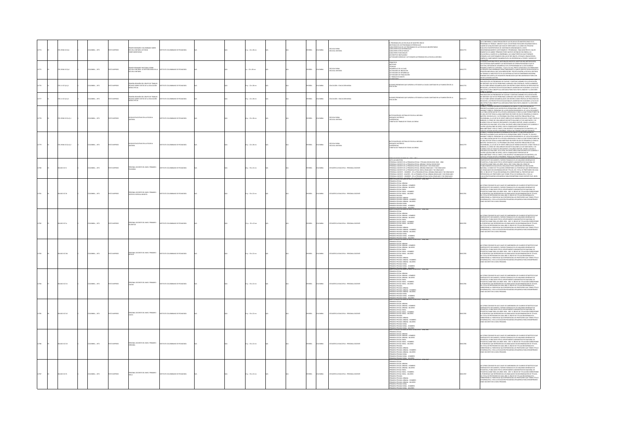| 12774 | 19346 IC17p1     | OLOMBIA: , 1971  | O22RRMI OT     | PRIMER SEMINARIO COLOMBIANO SOBRE<br>ESCUELA UNITARIA LECTURAS<br>LEMENTARIAS                  | ALODAGER 30 OMAILMAND OF UT       |  | $p: 22 \times 28$ cm     |  | SPAÑOL        | COLOMBIA        | - ESCUELA RURAL<br>- ESCUELA UNITARIA          | PROGRAMA EN LAS ESCUELAS DE MAESTRO ÚNICO<br>ECESIDAD DE LOS PROGRAMAS DIFERENCIALES<br>ARACTERÍSTICAS DE LOS PROGRAMAS DE LAS ESCUELAS UNIVERSITARIAS<br>ARACTERÍSTICAS DEERENCIALES<br>OS AURAIDAS US VENTRAIRAS<br>RACTERES ESTRUCTURALES<br>OBLETINS INVADORALES<br>TIVIDADES DIRIGIDAS Y ACTIVIDADES AUTÓNOMAS EN LA ESCUELA UNITARIA                                                                                                                                                                                       |       | THE CONVERSION AN CARACTERIZATION OF LAS ESCURRAS OF MARSTRO GINEOLOGIC ACCORDINATION OF THANGER CARACTERIZATION CONCIDENTS EN ANGLES CONTINUES IN THE CARACTERIZATION OF A POLYGIC CONTINUES IN THE CARACTERIZATION OF THE C<br>ATRIBUIR A LOS CUESTIONARIOS SON LAS DE SER ÚNICOS, OFICIALES, OBLIGATORIOS,<br>GENÉRICOS, SIMPLEMENTE ENUMERATIVOS, SIN REFERENCIAS A TIEMPO Y MODOS DE                                                                                                                                                                                                                                                                                                                                  |
|-------|------------------|------------------|----------------|------------------------------------------------------------------------------------------------|-----------------------------------|--|--------------------------|--|---------------|-----------------|------------------------------------------------|----------------------------------------------------------------------------------------------------------------------------------------------------------------------------------------------------------------------------------------------------------------------------------------------------------------------------------------------------------------------------------------------------------------------------------------------------------------------------------------------------------------------------------|-------|----------------------------------------------------------------------------------------------------------------------------------------------------------------------------------------------------------------------------------------------------------------------------------------------------------------------------------------------------------------------------------------------------------------------------------------------------------------------------------------------------------------------------------------------------------------------------------------------------------------------------------------------------------------------------------------------------------------------------|
|       | 8346 IC17p2      | MEIA: , 1971     | O ZAPRESO      | PRIMER SEMINARIO NACIONAL SOBRE<br>ESCUELA UNITARIA: LA METODOLOGÍA EN<br>ESCUELA UNITARIA     | LOMBANO DE PEDAGOGÍA              |  | : 22 x 28 cm             |  | <b>PAÑOL</b>  | CLOMBA          | - ESCUELA RURAL<br>- ESCUELA UNITARIA          | NTRUGULCIUN<br>PRINCIPIOS<br>MÉTODOS<br>MELGIOUS<br>TÉCNICAS<br>OESARROLLO DE LA CLASE<br>ACTIVIDADES DE INICIACIÓN<br>CTIVIDADES DE INICIACIÓN<br>CTIVIDADES DE DESARROLLO<br>CTIVIDADES DE FINALIZACIÓN<br>: TRABAJO EN GRUPO                                                                                                                                                                                                                                                                                                  |       | .<br>I ESCUELA UNITARIA POR SU NATURALEZA NECESITA ADOPTAR UNA METODOLOGÍ<br>UE SATISFAGA AMPUAMENTE LAS NECESIDADES DE ORDEN PEDAGÓGICO QUE SE<br>SUE ANTISTAS AMPERIMANTE INSEREGADORES DE OBSTANTAS DE LA ESCOLARIDA DE SUELAS ANTISAS ANTISAS EN EL ESCOLARIDA<br>EL ESCOLA, EN BADÓN DEL DESARROLLO DE LOS PROGRAMAS DE LA ESCOLARIDAD<br>PRIMARIA COMPATA E INTEGRAL, Y QUE A SU                                                                                                                                                                                                                                                                                                                                     |
|       | 111017p1(1)      | OMBIA: , 1971    | <b>IMPRESO</b> | PRIMERA REUNIÓN DEL GRUPO DE TRABAJO<br>TÉCNICO SOBRE COSTOS DE LA EDUCACIÓN<br>MEDIA OFICIAL  | ITUTO COLOMBIANO DE PEDAGOGÍA     |  | $1 p. : 22 \times 28$ cm |  | <b>WHOL</b>   | LOMBIA.         | UCACIÓN - EDUCACIÓN MEDIA                      | usunos problemas que surgen al estudiar la cauda-cantidad en la planeación de la.<br>Ducación                                                                                                                                                                                                                                                                                                                                                                                                                                    | 12776 | STREET AND COMPANY IN A MONEMATICAL PROPERTY AND ANNOUNCEMENT AND CONSUMER THE STREET AND STREET AND STREET AND CONSUMER THE STREET AND CONSUMER THE STREET AND CONSUMER THE STREET AND CONSUMER AND CONSUMER AND CONSUMER AND                                                                                                                                                                                                                                                                                                                                                                                                                                                                                             |
|       | 1110170112       | OMBIA: . 1971    | O22R4MI        | <b>GRA REUNIÓN DEL GRUPO DE TRABA</b><br>TÉCNICO SOBRE COSTOS DE LA EDUCACIÓN<br>MEDIA OFICIAL | UTO COLOMBIANO DE PEDAGOGÍA       |  | $n: 22 \times 28$ cm.    |  | <b>PAÑOL</b>  | <b>AIRMOJO</b>  | NGAN WOOACHOW HERA                             | INDS PROBLEMAS OUE SURGEN AL ESTUDIAR LA CAUDA-CANTIDAD EN LA PLANEACIÓN DE LA<br><b>JOACIÓN</b>                                                                                                                                                                                                                                                                                                                                                                                                                                 |       | THE CERTIFICATION CONCEPTIAL AGEOLOGICAL STATE IN ANALISE V LA DECISIÓN AND A COMPANY CONTINUES IN A COMPANY CONTINUES IN A COMPANY CONTINUES IN A COMPANY CONTINUES IN A COMPANY CONTINUES IN A COMPANY CONTINUES IN A COMPA                                                                                                                                                                                                                                                                                                                                                                                                                                                                                              |
|       | 0346 IC17p Ej.1  | MEA:, 1971       | O22RRMI OT     | AYUDAS EDUCATIVAS EN LA ESCUELA<br>UNITARIA                                                    | MANO DE PEDAGOGÍA                 |  | 6 p. : 22 x 28 cm        |  | <b>SPAÑOL</b> | <b>COLOMBIA</b> | - ESCUELA RURAL<br>- ESCUELA UNITARIA          | USTIFICACIÓN DEL SISTEMA DE ESCUELA UNITARIA<br>BOSQUELO HISTÓRICO<br>SUGERENCIAS<br>TARIETAS DE TRABAJO EN TODAS LAS ÁREAS                                                                                                                                                                                                                                                                                                                                                                                                      |       | KOMER EL DETTANA<br>LEYKIND Y OTTANO ALGUNDS ESTADÍGRAFOS ACTUALES, Y CON ESPECIALDAD AL<br>LEYKIND Y OTTANO CALGUNDS ESTADÍGRAFOS ACTUALES, Y CON ESPECIALDAD AL<br>HUMANO" SOBRE EL PROBLEMA DE LA ERFLOSIÓN DENOCRÁFICA, SE LUGA FÁC<br>DE UNIVATE POR TODAS AL ANNAPARTEMO DI PARSE SUI VA O ESPARRADO COMO<br>VIATERO, SEGUAL DI CAPA DE PORTE ARRA NON ESPARA DE CAPA DE CAPA EN EN ENTRE A CONSTANTA COM A CONSTANTA EN E<br>COLONINHANO, EL CENSO DE 1964 ARRATO DIECES<br>INNUARILI DARU T PUKKU IANTOL, LON DIK BUHUL ISLANBIAKUDU UK BINASI IKUS, LUS.<br>IJIALES EL ESTADO NO IRÁ A NOMBRAR, PORQUI NO TENDRÁCIÓN QUÍ PAGARLOS.<br>EVENDO Y OVENDO ALGUNOS ESTADÍGRAFOS ACTUALES, Y CON ESPECIAUDAD AL.<br>ERI |
|       | 19346 IC17p Ej.2 | DLOMBIA:, 1971   | O22RRM OT      | AYUDAS EDUCATIVAS EN LA ESCUELA.<br>UNITARIA                                                   | TUTO COLOMBIANO DE PEDAGOGÍA      |  | 6 p. : 22 x 28 cm        |  | <b>SPAROL</b> | COLOMBIA.       | ESCUELA RURAL<br>ESCUELA UNITARIA              | USTIFICACIÓN DEL SISTEMA DE ESCUELA UNITARIA<br>EOSQUEJO HISTÓRICO<br>SUGERENCIAS<br>TARIETAS DE TRABAJO EN TODAS LAS ÁREAS                                                                                                                                                                                                                                                                                                                                                                                                      |       | <b>EXERCISE AND RESOLUTION CONSULTANT CONSULTANT CONSULTANT CONSULTANT CONSULTANT CONSULTANT CONSULTANT CONSULTANT CONSULTANT CONSULTANT CONSULTANT CONSULTANT CONSULTANT CONSULTANT CONSULTANT CONSULTANT CONSULTANT CONSULTAN</b>                                                                                                                                                                                                                                                                                                                                                                                                                                                                                        |
| 12780 | 60210170         | LOMBIA: , 1971   | O22RRMI OT     | PERSONAL DOCENTE DEL NIVEL PRIMARIO:<br>COLONIBA                                               | TITUTO COLOMBIANO DE PEDAGOGÍA    |  | 8 p. : 33 x 22 cm        |  | PAÑOL         | COLOMBIA        | MOŠTICA EDUCATIVA - PERSONAL DOCENTE           | ARS ISTADESTICKS ANGKAS NAVE EDUCATIVO - 1958-1967                                                                                                                                                                                                                                                                                                                                                                                                                                                                               | 12790 |                                                                                                                                                                                                                                                                                                                                                                                                                                                                                                                                                                                                                                                                                                                            |
|       | 0210176          | DLOMBIA:, 1971   | O22RRM (D)     | PERSONAL DOCENTE DEL NIVEL PRIMARIO:<br>35TRITIO ESPECIAL ROGOTÁ                               | UTO COLOMBIANO DE PEDAGOGÍA       |  | p.: 33 x 22 cm           |  | <b>PAÑOL</b>  | CMBA            | OSTICA EDUCATIVA - PERSONAL DOCENTE            | PRIMARIA OFICIAL<br>PRIMARIA OFICIAL URBANA<br>PRIMARIA OFICIAL URBANA - HOMBRES<br>PRIMARIA OFICIAL DRIANA - HUMBRIS<br>PRIMARIA OFICIAL RIBANA - MUIERES<br>PRIMARIA OFICIAL RURAL - HOMBRES<br>PRIMARIA OFICIAL RURAL - HOMBRES<br>PRIMARIA OFICIAL RURAL - MUIERES<br>PRIMARA OFICIA RURAL-MUERES<br>PRIMARA PRIVADA<br>PRIMARA PRIVADA<br>PRIMARA PRIVADA URBANA-HOMBRES<br>PRIMARA PRIVADA URBANA-HOMBRES<br>PRIMARA PRIVADA RURAL-HOMBRES<br>PRIMARA PRIVADA RURAL-HOMBRES<br>PRIMARA PRIVADA RURAL-HOMBRES<br>RERES ESTA |       | S CIFRAS CON BASE EN LAS CUALES SE ELABORARON LOS CUADROS ESTADÍSTICOS OL<br>JUST UTONG COMPANY IN A LOWARD STATE STANDARDON CONTRACTOR CONTRACTOR CONTRACTOR CONTRACTOR CONTRACTOR CONTRACTOR CONTRACTOR CONTRACTOR CONTRACTOR CONTRACTOR CONTRACTOR CONTRACTOR CONTRACTOR CONTRACTOR CONTRACTOR CONTRACT                                                                                                                                                                                                                                                                                                                                                                                                                 |
| 2782  | 2012             | LOMBIA: , 1971   | OZBRANI OT     | PERSONAL DOCENTE DEL NIVEL PRIMARIO:<br>ATLÁNTICO                                              | TITUTO COLOMBIANO DE REDACOCÍA    |  | 15 p. : 33 x 22 cm       |  | wka.          | <b>AIGNOZ</b>   | ADSTICA EDISCATIVA - DEDSCHAAL DOCENTE         | $\begin{array}{l} \textbf{MSE} \\ \textbf{MSE} \\ \textbf{MSE} \\ \textbf{MSE} \\ \textbf{MSE} \\ \textbf{MSE} \\ \textbf{MSE} \\ \textbf{MSE} \\ \textbf{MSE} \\ \textbf{MSE} \\ \textbf{MSE} \\ \textbf{MSE} \\ \textbf{MSE} \\ \textbf{MSE} \\ \textbf{MSE} \\ \textbf{MSE} \\ \textbf{MSE} \\ \textbf{MSE} \\ \textbf{MSE} \\ \textbf{MSE} \\ \textbf{MSE} \\ \textbf{MSE} \\ \textbf{MSE} \\ \textbf{MSE} \\ \textbf{MSE} \\ \textbf{MSE} \\ \textbf{M$                                                                     |       | .<br>FRAS CON BASE EN LAS CUALES SE ELABORARON LOS CUADROS EST<br>ENE ESTE DOCUMENTO. FUERON TOMADAS DE LOS ANLIARIOS GER<br>COMIENTE ATT COCUMENTO, FUERNO TORMANISTO ACMINISTORIA DE STANDARIO CONSIDERATION INFORMATION CONSIDERATION IN<br>STARISTICA, PUBLICADOS POR IL DEPARTAMENTO ADMINISTRATIVO INACIONAL CO<br>STARISTICA, ONA E PARA LOS CARDA AREA CO                                                                                                                                                                                                                                                                                                                                                          |
| 12783 | 1602101701       | COLOMBIA: , 1971 | O22RRM (IT)    | PERSONAL DOCENTE DEL NIVEL PRIMARIO:<br>BOYACÁ                                                 | STITUTO COLOMBANO DE PEDAGOGÍA    |  | 5 p. : 33 × 22 cm        |  | SPAÑOL        | <b>COLOMBIA</b> | STADÍSTICA EDUCATIVA - PERSONAL DOCENTE        | $\begin{array}{l} \texttt{SMALA} \texttt{FROOAR} \texttt{RORA} \texttt{:}\texttt{FROOAR} \texttt{:}\texttt{FROOAR} \texttt{:}\texttt{FROOAR} \texttt{:}\texttt{FROOAR} \texttt{:}\texttt{FROOAR} \texttt{:}\texttt{FROOAR} \texttt{:}\texttt{FROOAR} \texttt{:}\texttt{FROOAR} \texttt{:}\texttt{FROOAR} \texttt{:}\texttt{FROOAR} \texttt{:}\texttt{FROOAR} \texttt{:}\texttt{FROOAR} \texttt{:}\texttt{FROOAR} \texttt{:}\$                                                                                                    |       | AS CON BASE EN LAS CUALES SE ELABORARON LO<br>JAC CHRAC COM MARC FAULAR CHARGES MOMENTARY CONTROL CONTROL CONTROL CONTROL CONTROL CONTROL CONTROL CONTROL CONTROL CONTROL CONTROL CONTROL CONTROL CONTROL CONTROL CONTROL CONTROL CONTROL CONTROL CONTROL CONTROL CONTROL C<br>MO DOCENTE EN EL MIVEL PRIMARIO.                                                                                                                                                                                                                                                                                                                                                                                                            |
|       | 21022c           | MEA:, 1971       | IMPRESO        | ONAL DOCENTE DEL NIVEL PRIMARIO:<br>nasum<br>Saldas                                            | TUTO COLOMBIANO DE PEDAGOGÍA      |  | $p. : 33 \times 22$ cm   |  | <b>Wick</b>   | <b>WELA</b>     | <b>ISTICA EDUCATIVA - PERSONAL DOCENTE</b>     | KIN SAIMENSIKUMA MAKUMA NINSI SEKI<br>SIMARIA OFICIAL<br>SIMARIA OFICIAL URBANA<br>SIMARIA OFICIAL URBANA - MUJERES<br>SIMARIA OFICIAL URBANA - MUJERES<br>-PRIMARIA OFICIAL URBANA - MUIDERS<br>PRIMARIA OFICIAL URBANA - MUIDERS<br>PRIMARIA OFICIAL RURAL - MUIDERS<br>PRIMARIA OFICIAL RURAL - MUIDERS<br>PRIMARIA PRIVADA URBANA<br>- PRIMARIA PRIVADA URBANA - MUIDERS<br>PRIMARIA PRIVADA URBANA -                                                                                                                        |       |                                                                                                                                                                                                                                                                                                                                                                                                                                                                                                                                                                                                                                                                                                                            |
|       | 021017c2         | DLOMBIA: , 1971  | O23R4MI OT     | PERSONAL DOCENTE DEL NIVEL PRIMARIO:<br>CAUCA                                                  | BIANO DE PEDAGOGÍA                |  | $p: 33 \times 22$ cm     |  | <b>SPAÑOL</b> | <b>COLOMBIA</b> |                                                | MARIA OFICIAL<br>MARIA OFICIAL URBANA<br>PRIMARA OFICIAL URBANA<br>PRIMARA OFICIAL URBANA - HOMBRES<br>PRIMARA OFICIAL URBANA - HOURRES<br>PRIMARA OFICIAL URBANA -<br>PRIMARA OFICIAL RURAL - HOMBRES<br>PRIMARA PRIVADA URBANA - HOMBRES<br>PRIMARA PRIVADA URBANA - HOMBRES<br>PRIMARA PR<br>AARIA PRAVADA RURAL - MUJERES<br>IS ESTADISTICAS BASICAS NIVEL EDU                                                                                                                                                               |       | AS GIRAS CON BASE DI LAS CUALES SE ELABORADON LOS CUASINOS ESTADÍSTICOS QUE<br>CONTINUE ENTE DOCUMENTO, FUERON TORANOM DE ES AN ANUALISTAS ENERGAIS ESTADENTOS.<br>ESTADENTIA, PUBLICADOS POR IL ESPACHAMENTO ADMINISTRATIVO INACIDI<br>DE NORMALISTA, O SEA LA EDUCACIÓN PEDAGÓGICA REQUERIDA PARA DESEMPEÑARS<br>COMO DOCENTE EN EL NIVEL PRIMARIO.                                                                                                                                                                                                                                                                                                                                                                      |
| 2786  | 54.602 (C17c3)   | COLOMBIA: . 1971 | OZERRI OTX     | MAL DOCENTE DEL NIVEL PRIMARIO:<br>GROOM                                                       | ALCOLAGER 20 CAMBARD DE PEDAGOGÍA |  | $50.138 + 22 cm$         |  | SPAÑOL        | COLOMBIA        | <b>STADISTICA EDUCATIVA - PERSONAL DOCENTE</b> | <b>KRISI STRASNING KACINA MARKANING KRISTANING KACINA (KRISTANING KACINA USATA)</b><br>PRIMARMA OFICIAL USBANA - HOMBRIS<br>PRIMARMA OFICIAL USBANA - HOMBRIS<br>PRIMARMA OFICIAL USBANA -<br>PRIMARMA PRIVADA ISBANA - HOMBRIS<br>PRIMARMA PRIVAD<br>RIMARIA PRIVADA RURAL<br>RIMARIA PRIVADA RURAL - HOMBRES<br>RIMARIA PRIVADA RURAL - HOMBRES<br>RIIS ESTADISTICAS BASICAS NIVEL EDUC                                                                                                                                        |       | AS CON BASE EN LAS CHALES SE ELABORADOR<br>NO LIFERATURE ESTE DOCUMENTO, PUERDIN TOMADAS DE LOS ANLIARIOS GENERALES DE<br>CONTIENE ESTE DOCUMENTO, PUERDIN TOMADAS DE LOS ANLIARIOS GENERALES DE<br>ESTADÍSTICA DANE PARA LOS AÑOS 1958 - 1967. EL ÍNDICE DE TITULACIÓN CORRESP<br>RSTAGESTICK DANK PARA LOS ANYS SING - DAN - N. HAMMA HAR INTERNACIÓN DE TÍTULOS,<br>SIL PORCENTAJE QUE REPRESENTAN LOS GRADUADOS DIN DISCERNINACIÓN DE TÍTULOS,<br>SIL PORCENTAJE QUE REPRESENTAN LOS GRADUADOS DIN DISCERNINACIÓN D                                                                                                                                                                                                    |
|       | 0210176          | MEIA:, 1971      | O IMPRESO      | PERSONAL DOCENTE DEL NIVEL PRIMARIO:<br>HUILA                                                  | MNO DE PEDAGOGÍ                   |  | $p. : 33 \times 22$ cm   |  | <b>WACK</b>   | COLOMBIA        |                                                | <b>KRIS ISTAGENYJA BASIJA WAL KRUC<br/>PRIMARA OFICIAL URBANA<br/>PRIMARA OFICIAL URBANA - HOMBRES<br/>PRIMARA OFICIAL URBANA - HOMBRES<br/>PRIMARA OFICIAL RURAL - MULITRES<br/>PRIMARA OFICIAL RURAL - MULITRES<br/>PRIMARA OFICIAL RURAL - MULITRES<br/>P</b><br>PRIMARIA PRIVADA<br>PRIMARIA PRIVADA URGANA<br>PRIMARIA PRIVADA URGANA - HOMBRES<br>PRIMARIA PRIVADA IURANA - MUIERES<br>PRIMARIA PRIVADA RURAL - HOMBRES<br>PRIMARIA PRIVADA RURAL - MUIERES<br>PRIMARIA PRIVADA RURAL - MUIERES                            |       | JAS CIFRAS CON BASE EN LAS CUALES SE ELABORADON LOS CUADROS ESTADÍSTICOS QUE<br>CONTIENE ENTE DOCUMENTO, FUEDON TODAMOS EN LOS ANLIANOS GENERALES DE<br>ESTADESFICA, PUBLICADOS POR EL DEPARTAMENTO ADMINISTRATIVO INACIDIAL DE<br>ESTA<br>DE NORMALISTA, O SEA LA EDUCACIÓN PEDAGÓGICA REQUERIDA PARA DESEMPEÑARS<br>COMO DOCENTE EN EL NIVEL PRIMARIO.                                                                                                                                                                                                                                                                                                                                                                   |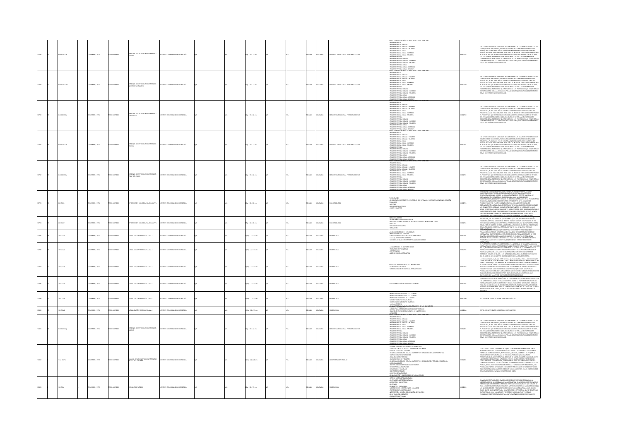| 12788 |       | 4.6021017n  | OMBIA: , 1971  |             | PERSONAL DOCENTE DEL NIVEL PRIMARIO:<br>NARIÑO             | OMBIANO DE PEDAGOGÍA           |  | 15 p. : 33 x 22 cm      |  | <b>MAOL</b>  |                | TADÍSTICA EDUCATIVA - PERSONAL DOCENTI         | ERIS ESTADISTICAS BASICAS NIVEL EDUCA<br>-<br>PRIMARIA OFICIAL<br>-PRIMARIA OFICIAL URBANA<br>-PRIMARIA OFICIAL URBANA - HOMBRES<br>-PRIMARIA CHILIAL CRIANIA - HIZMIRKIS<br>-PRIMARIA CFICIAL URBANA - MUJERES<br>-PRIMARIA CFICIAL RURAL<br>-PRIMARIA CFICIAL RURAL - HOMBRES<br>-PRIMARIA ORCHA RURAL - HOMBRES<br>-PRIMARIA ORCHA RURAL - MUIERES<br>-PRIMARIA PRIVADA<br>-PRIMARIA PRIVADA URBANA - HOMBRES<br>-PRIMARIA PRIVADA URBANA - HOMBRES<br>-PRIMARIA PRIVADA URBAL<br>-PRIMARIA PRIVADA RURAL<br>-PRIMARIA PRIVADA RURA                                                                                                                                                               | 012788     | FRAS CON BASE EN LAS CUALES SE ELABORARON LOS<br>JAS CIENAS COM MAS EN LAS CUALES ES LAMENHADO NOS CUASICADOS EXPLÁNTICOS QUE CONSIDERADO EN EN DOCUMENTO, PALIDAD INDIAMAS EN ANOS COMENHADO DE EN ENCANTRO EN ENTRE EN ENTRE EN ENTRE EN ENTRE EN ENTRE EN ENTRE EN ENTRE EN<br>NORMALISTA, O SEA LA EDUCACIÓN PEDAGÓGICA REQUERDA PARA DESEMPEÑARSE<br>MO DOCENTE EN EL NIVEL PRIMARIO.                                                                                                                                                                                                                                                                                                                                                                                                                                                           |
|-------|-------|-------------|----------------|-------------|------------------------------------------------------------|--------------------------------|--|-------------------------|--|--------------|----------------|------------------------------------------------|------------------------------------------------------------------------------------------------------------------------------------------------------------------------------------------------------------------------------------------------------------------------------------------------------------------------------------------------------------------------------------------------------------------------------------------------------------------------------------------------------------------------------------------------------------------------------------------------------------------------------------------------------------------------------------------------------|------------|------------------------------------------------------------------------------------------------------------------------------------------------------------------------------------------------------------------------------------------------------------------------------------------------------------------------------------------------------------------------------------------------------------------------------------------------------------------------------------------------------------------------------------------------------------------------------------------------------------------------------------------------------------------------------------------------------------------------------------------------------------------------------------------------------------------------------------------------------|
|       | 12789 | 4.6021017n1 | OMBIA: , 1971  | OZERNI OTH  | PERSONAL DOCENTE DEL NIVEL PRIMARIO:<br>NORTE DE SANTANDER | ITUTO COLOMBIANO DE PEDAGOGÍA  |  | 15 p. : 33 x 22 cm      |  | <b>PAÑOL</b> | CLOMBA         | TADÍSTICA EDUCATIVA - PERSONAL DOCENTE         | RIMARIA PRIVADA RURAL - MULERES<br>RHIS ESTADISTICAS BASICAS NIVEL ED<br>SERIS STROSTICKS BASICKS NIVEL EDU<br>-PRIMARIA OFICIAL<br>-PRIMARIA OFICIAL URBANA<br>-PRIMARIA OFICIAL URBANA - HOMBRES<br>-PRIMARIA OFICIAL RURAL - HOMBRES<br>-PRIMARIA OFICIAL RURAL - HOMBRES<br>-PRIMARIA OFICIAL RURAL - HOMBRES<br>-PRIMARA OFICIAL RURAL - HOMBRES<br>-PRIMARA OFICIAL RURAL - MULERES<br>-PRIMARA PRIVADA<br>-PRIMARA PRIVADA URBANA - HOMBRES<br>-PRIMARA PRIVADA URBANA - HOMBRES<br>-PRIMARA PRIVADA RURAL<br>-PRIMARA PRIVADA RURAL<br>-PRIMARA PRIVADA RURAL -<br><u>SIMARIA PRIVADA RURAL - MUIERES</u><br>IRIES ESTADÍSTICAS BÁSICAS NIVEL EDUC                                           | 012789     | S CIFRAS CON BASE EN LAS CUALES SE ELABORARON LOS CUARROS ESTADÍSTICOS QU<br>NYITENE ESTE DOCUMENTO, FUERON TOMADAS OF LOS ANILAROS GENERALES DE<br>TADÍSTICA, PUBLICADOS POR EL DEPARTAMENTO ADMINISTRATIVO NACIONAL DE<br>TADÍSTICA D<br>KSTALISTIKA KANK PARA LOS ANKOS 1968 - 1967. EL NIDELE DE TITULACIÓN COSBESPONDE<br>AL PORCENTALE QUE REPRESENTAN LOS GRAGUAISOS SIN DISCRIMINACIÓN DE TÍTULOS,<br>DEL TOTAL DE PROFESORES EN CADA AÑO. EL ÍNDICE DE TITULACIÓN NOBM<br>MO DOCENTE EN EL NIVEL PRIMARIO.                                                                                                                                                                                                                                                                                                                                  |
|       |       | 460210174   | LOMBIA: , 1971 | O22RRMI OT  | SONAL DOCENTE DEL NIVEL PRIMARIO:<br>ITANDER               | TUTO COLOMBIANO DE PEDAGOGÍA   |  | 15 p. : 33 x 22 cm      |  | PAÑOL        | <b>CLOMBIA</b> | TADÍSTICA EDUCATIVA - PERSONAL DOCENTE         | SERIS ISTANSINGAS BASICAS NIVEL EDU<br>-PSIMARIA OFICIAL<br>-PSIMARIA OFICIAL USBANA<br>-PSIMARIA OFICIAL USBANA<br>-PSIMARIA OFICIAL USBANA - NOVERES<br>-PSIMARIA OFICIAL RURAL - NOVERES<br>-PSIMARIA OFICIAL RURAL - NOMERES<br>-PSIMARIA OFICI<br>-<br>PRIMARIA PRIVADA<br>-<br>PRIMARIA PRIVADA URBANA - HOMBRES<br>promara provinca uriana - Humbric<br>Promara provinca uriana - Muitres<br>Promara provinca rural - Hombres<br>Promara provinca rural - Hombres<br><b>RIMARIA PRIVADA RUBAL - MUIERES</b><br>RIES ESTADÍSTICAS BÁSICAS NIVEL E                                                                                                                                              | 012790     | CIFRAS CON BASE EN LAS CUALES SE ELABORARON LOS CUADROS ESTADÍSTICOS OU<br>AG CHRAS COM BASE DI MAG CUALES SE EMBADIARON LOT, CAMBOROS ESTABÉTICOS QUE<br>CONTINE ESTE DOCUMENTO, FUERDA TOMADANS DE LOS ANIMARCS GENERALES DE<br>STARÉSTICA, PABILANDOS POR EL DEPARTAMENTO ARMINHISTANO INACIONAL DE<br>LORENTAR<br>MO DOCENTE EN EL NIVEL PRIMARIO.                                                                                                                                                                                                                                                                                                                                                                                                                                                                                               |
|       |       | 460210176   | OMBIA: , 1971  |             | ONAL DOCENTE DEL NIVEL PRIMARIO:<br><b>UMA</b>             |                                |  | 5 p. : 33 x 22 cm       |  | <b>MOL</b>   | <b>AIRMC</b>   | ADÍSTICA EDUCATIVA - PERSONAL DOCENT           | SENIMARIA OFICIAL<br>-PRIMARIA OFICIAL URBANA<br>-PRIMARIA OFICIAL URBANA - HOMBRES<br>-PRIMARIA OFICIAL URBANA - MUIERES<br>-<br>PRIMARIA OFICIAL RURAL<br>- PRIMARIA OFICIAL RURAL - HOMBRES<br>- PRIMARIA OFICIAL RURAL - MULERES<br>-PRIMARIA PRIVADA<br>-PRIMARIA PRIVADA URBANA<br>-PRIMARIA PRIVADA URBANA - HOMBRES<br>-PRIMARIA PRIVALIA URIANIA - FILOMENIA<br>-PRIMARIA PRIVADA URIANIA - MUJERES<br>-PRIMARIA PRIVADA RURAL<br>-PRIMARIA PRIVADA RURAL - HOMBRES<br>.<br>RISS ESTADÉSTICAS RURAL - MUIERES<br>RIES ESTADÉSTICAS RÁSICAS NIVEL EE                                                                                                                                         | 112793     | LAS CHINA COM MASTER UNA COMPUS ES USADAMENTARI CON CARRIERATE DE CONSIDERATIVA EN CONSIDERATIVA EN CONSIDERAT<br>CONSIDERAT EN DOCUMENTARI (NECESSARE DE CONSIDERATIVA CONSIDERATIVA CONSIDERATIVA COMPUS PARA CONSIDERATIVA CO                                                                                                                                                                                                                                                                                                                                                                                                                                                                                                                                                                                                                     |
|       |       | 4.6021017v  | LOMBIA: . 1971 | CORRECTED   | ONAL DOCENTE DEL NIVEL PRIMARIO:<br>ALLE DEL CAUCA         | ARODARIO DE PERSOGIA           |  | $15a : 33 \times 22$ cm |  | <b>Wick</b>  | <b>OLOMBIA</b> | TADÍSTICA EDUCATIVA - PERSONAL DOCENTE         | SERIS ISTRAŠINCAS BÁSICAS NIVEL EDU<br>PRIMARIA OFICIAL<br>PRIMARIA OFICIAL URBANA<br>PRIMARIA OFICIAL URBANA - HOMBRES<br>PRIMARIA OFICIAL RURAL - NUIERES<br>PRIMARIA OFICIAL RURAL - NOMBRES<br>PRIMARIA OFICIAL RURAL - NOMBRES<br>PRIMARIA OFI<br>-PRIMARN DPILIA ROMA - WOMANI<br>-PRIMARN PRIVADA URBANA<br>-PRIMARN PRIVADA URBANA - HOMBRES<br>-PRIMARIA PRIVADA URBANA - MUITRES<br>-PRIMARIA PRIVADA RURAL<br>-PRIMARIA PRIVADA RURAL - HOMBRES<br><b>ARA PRIVADA RURAL - I</b>                                                                                                                                                                                                           | 12792      | S CIFRAS CON BASE EN LAS CUALES SE ELABORARON LOS CUADROS ESTADÍSTICOS QUE<br>HAN LITYPIN SATE DOCUMENTO, FUERDA TOMANING DE LOS ANUARIOS GENERALES DE<br>ESTADÍSTICA, PUBLICADOS POR EL DEPARTAMENTO ADMINISTRATIVO NACIONAL DE<br>ESTADÍSTICA DANE PARA LOS AÑOS 1958 - 1967. EL ÍNDICE DE TITULACIÓN CORRESPOI<br>i ANISITIKA ADNA MARA KLOSANDA 1994 – 1944 – 14 NORAS VA TIIDAKSANDA OSARA MARA 1945<br>I PORCIDIRANT QUI ARPAISANTAN LOS GRANDAROS SIN DISCUNDINACIÓN DE TITULOS,<br>IL TORAL DE PROFESCRIS DE CARA ÁRO. EL NORTE DE TITULOS (NORMA                                                                                                                                                                                                                                                                                            |
|       |       | 0.017       | CMBIA: , 1971  |             |                                                            |                                |  | $5p:22\times28$ cm      |  | <b>MGC</b>   |                |                                                | RESENTACIÓN<br>PRAINTINGAN<br>-CONSIDERACIONES SOBRE EL DESARROLLO DEL SETEMA DE DOCUMETACIÓN E INFORMACIÓN<br>-NOTICIAS<br>-NOTICIAS<br>NUEVAS ADQUISICIONES<br>LIBROS Y REVISTAS                                                                                                                                                                                                                                                                                                                                                                                                                                                                                                                   |            | STANTE PREOCUPACIÓN DEL ICOLPE, DESDE SU CREACIÓN COMO ENTIDAD<br>DIMINI PRODUSPADUN KRI KOLPA, ULSAK SO DRAKUN KOMO MILIONO<br>CACIÓN NACIONAL, NA SIDO LA ORGANIZACIÓN DE UN CENTRO NACIONAL DE<br>UNICINA NACIONAL, NA SIDO LA ORGANIZACIÓN DE UN CENTRO NACIONAL DE<br>UNICINADONES, DOCINTES Y PÚBLI<br>VASTIGADORES, DOCENTES Y PORDUCTOS GENERAL IN TENSANDOS EN LA PROBELINATIC<br>IOCATIVA EN SUS DEFRINYITS ASPOCTOS ESTE OBJETIVO SE VA REALIZANDO<br>IOCAKSIVAMENTE: YA HOY, EL CENTRO CUENTA CON UNA BASE INICIAL DE<br>IOCAMENTACIÓN A<br>MANAMINIMANA MILIONEA EL CENTRO TERRE LA FUNCIÓN DE INFORMAR NO SOLO<br>LOS CONSULTORES, ADEMÁS, EL CENTRO TERRE LA FUNCIÓN DE INFORMAR NO SOLO<br>QUE SE PRODUCEN EN EL CAMPO DE SU ESPECIALIDAD; CONSCIENTES DE ELLO, HENOS<br>CONVENIENTE PUBLICAR UN ÓRGANO INFORMATIVO QUE LLEGUE A LOS |
|       |       | 0.0172      | OMBIA: , 1971  |             | <b>ICA EDUCATIVA</b>                                       | MEMMO DE PEDAGOGÍA             |  | $p. : 22 \times 28$ cm  |  | <b>MOL</b>   |                | LIOTECOLOGÍA                                   | AGRADECIMIENTOS<br>- 4.5 TATOGO MENTALON MATOMÁTICA<br>- 4.5 TATUTO GEMERA DE LA EDUCACIÓN ESTUDIA EL CONGRESO NACIONAL<br>- 450 TUAS<br>- 400 TUAS ADQUISICIONES<br>SÚMENES<br>SÚMENES                                                                                                                                                                                                                                                                                                                                                                                                                                                                                                              | 1279       | SHIROLOWING INTERNATIONAL COMMON DISCRETE INTERNATIONAL AND A TOUR COMMON CONTINUES INTO A CONSTRUCTION CONTINUES ON THE TRANSPORTED INTERNATIONAL COMMON CONTINUES INTO A CONSTRUCT ON A CONSTRUCT ON THE TRANSPORT OF THE TR                                                                                                                                                                                                                                                                                                                                                                                                                                                                                                                                                                                                                       |
|       |       | 0.017a1     | MEIA: , 1971   |             | ALIZACIÓN MATEMÁTICA AM-1                                  |                                |  | Ap.: 22 x 33 cm         |  | AÑOL         |                | MÁTICAS                                        | LOS BILOQUES LÓGICOS Y LOS ÁREOLES<br>-PRESENTACIÓN DEL MATERIAL<br>-FORMAS POSBLES DE CONOCER ESTE MATERIAL<br>-HACIA QUE NOS CONOUCE ESTO<br>-HACIA QUE NOS CONOCERENTES A LOS CONJUNTOS                                                                                                                                                                                                                                                                                                                                                                                                                                                                                                           | 112795     | L'ANGIONALE DE MANIFERANT IN ANNO 1998 IL DISTITUITO CONSTITUIANO DE<br>L'OMBION DI MANISTRAKONIS DISPATTICA DEI INSTITUITO CONNENANO DE<br>EDAGOGÍA ICOUPE ESTÁ DESARROLLANDO UNA SERIE DE INVESTIGACIONES SOBRE<br>IATEMÁTICA, QUE PR<br>MPHIMPION AND PROTESTINGS VALUABLES DEL PAÍS, EL PROPÓRTIO CENTRAL DE LA<br>CAMPO A LOS PROTESTINGS VALUABLOS DEL PAÍS, EL PROPÓRTIO CENTRAL DE LA<br>PRESENTE PUBLICACIÓN ES LA DE LOGRAR LA DIVULGACIÓN DE LOS TRABAJOS HASTA<br>AHOR                                                                                                                                                                                                                                                                                                                                                                   |
|       |       | in the      | TOP - AIRPA    | nassen      | CAGO ASSESSMENT AND WILLIAMS                               | n chi nashaan ne penachcia     |  | $5 - 22 + 32$ cm        |  | <b>MAG</b>   |                | Máticas                                        | LA NUMERACIÓN EN DISTINTAS BASES<br>-PROBLEMAS DE FRONTERAS<br>-LAS POTENCIAS<br>-ALGO DE LÓGICA MATEMÁTICA                                                                                                                                                                                                                                                                                                                                                                                                                                                                                                                                                                                          | <b>DOM</b> | TEMÁTICA<br>PLANTEAR EN NUESTRO PRIMER FASCÍCULO LA NECESIDAD DE UNA ACTUALIZACIÓN                                                                                                                                                                                                                                                                                                                                                                                                                                                                                                                                                                                                                                                                                                                                                                   |
|       |       | icizia      | CMBIA: 1971    | inaggron.   | ALIZACIÓN MATEMÁTICA AM-1                                  | THE COLOMBIANO DE REDACOCÍA    |  | .<br>KA 0. : 22 x 33 cm |  | wkou         |                | <b>NASTICAS</b>                                | TODOS LOS SUBCONJUNTOS DE UN CONJUNTO<br>-EL TRIÁNGULO DE PASCAL<br>-ELABORACIÓN DE UN MATERIAL ESTRUCTURADO                                                                                                                                                                                                                                                                                                                                                                                                                                                                                                                                                                                         |            | <b>EVALUATION THE CONSULTANT CONSULTANT CONSULTANT CONSULTANT CONSULTANT CONSULTANT CONSULTANT CONSULTANT CONSULTANT CONSULTANT CONSULTANT CONSULTANT CONSULTANT CONSULTANT CONSULTANT CONSULTANT CONSULTANT CONSULTANT CONSUL</b><br>.05 INNOVADLING INDIGINING QUE LLO MUNICIPALM VIN HIMMARI<br>ES CON LA ACTITUD QUE ELLOS CONSIDERAN DESEARLE.<br>UN LUMUN SUBRE LA QUE INSISTAN TUDUS LUS PRUGARISMS ALTUALIZADO.<br>MÁTICA ES LA DE ESTRUCTURA. SE TRADUCE EN                                                                                                                                                                                                                                                                                                                                                                                 |
|       |       | 0.017a4     | MEIA: , 1971   |             | ALIZACIÓN MATEMÁTICA AM-4                                  | MNO DE PEDAGOGÍA               |  | Ap.: 22 x 33 cm         |  | ARCL         |                | MÁTICAS                                        | .<br>LA INTERSECCIÓN A LA NOCIÓN DE GRUPO                                                                                                                                                                                                                                                                                                                                                                                                                                                                                                                                                                                                                                                            | 12798      | 1 MONTMOURA IN A LOI BOI MONT-LOIS-A 11 MOIDEAL DU ON LOISINDICIPAI DOMOCHA DE MARIA EN 1991 MARI<br>15 MAY TRANSVERSI (FILIP DE MARIA EN 1992 POR LOIS PRODUCTOR DE MARIA EST EN LOI DE MARIA EN 1992 EN 1992 POR<br>ANTARI EN 1992                                                                                                                                                                                                                                                                                                                                                                                                                                                                                                                                                                                                                 |
|       |       | 0101745     | OMBIA: , 1971  | CORRENT     | UALIZACIÓN MATEMÁTICA ANAS                                 | TUTO COLOMBIANO DE PEDAGOGÍA   |  | Ap.: 22 x 33 cm         |  | <b>MACL</b>  | <b>XOMBIA</b>  | TEMÁTICAS                                      | <b>SEPERDAD CUASILIBATIVES CLAUSING</b><br>SEPERDAD CONSULTATIVES OF LA UNIÓN<br>SEPERDAD CONSULTATIVES OF LA UNIÓN<br>SEPERDAD ASCOLTIVIA DE LA UNIÓN<br>CLAUSING PROTOCOLTIVES EN UNIÓN<br>CARGO ANTICOLOGIA EN TRODUCCIA LAS INCOLECTAS P                                                                                                                                                                                                                                                                                                                                                                                                                                                         | 012799     | TO CON ACTIVIDADES Y EJERCICIOS MATEMÁTICOS                                                                                                                                                                                                                                                                                                                                                                                                                                                                                                                                                                                                                                                                                                                                                                                                          |
|       |       | 101746      | CMBIA: , 1971  | OZSRANI     | UALIXOÓN MATEMÁTICA AM-6                                   | TUTO COLOMBIANO DE PEDAGOGÍA   |  | Ap.: 22 x 33 cm         |  | wka.         | <b>CLOMBIA</b> | TEMÁTICAS                                      |                                                                                                                                                                                                                                                                                                                                                                                                                                                                                                                                                                                                                                                                                                      | 12800      | TO CON ACTIVIDADES Y EJERCICIOS MATEMÁTICOS                                                                                                                                                                                                                                                                                                                                                                                                                                                                                                                                                                                                                                                                                                                                                                                                          |
|       |       | 4.6021017p  | LOMBIA: . 1971 | O22RRM (TD) | ONAL DOCENTE DEL NIVEL PRIMARIO:<br><b>LIVAR</b>           | TITUTO COLOMBIANO DE PEDAGOGÍA |  | $15a : 33 \times 22$ cm |  | PAÑOL        | <b>AIRMOJO</b> | <b>STADISTICA EDUCATIVA - PERSONAL DOCENTE</b> | ERCICIOS<br>ERCICIOS<br>HES ESTADÍSTICAS BÁSICAS NIVEL EDUCATIVO<br>SERIS ISTRAŠINCAS BÁSICAS NIVEL EDU<br>-PRIMARIA OFICIAL<br>-PRIMARIA OFICIAL URBANA<br>-PRIMARIA OFICIAL URBANA - HOMBRES<br>-PRIMARIA OFICIAL RURAL - MULERES<br>-PRIMARIA OFICIAL RURAL - MOMBRES<br>-PRIMARIA OFICIAL RURAL - MOMBRES<br>-PRIMA<br>-PRIMARN DPILIA ROMA - WOMANI<br>-PRIMARN PRIVADA URBANA<br>-PRIMARN PRIVADA URBANA - HOMBRES<br>PRIMARIA PRIVALIA URBANA - FILIPINIA<br>PRIMARIA PRIVADA URBANA - MUJERES<br>PRIMARIA PRIVADA RURAL<br>PRIMARIA PRIVADA RURAL - HOMBRES                                                                                                                                  | 12803      | CIFRAS CON BASE EN LAS CUALES SE ELABORARON LOS CUADROS ESTADÍSTICOS QUI<br>LAS CHINA COM MASTE DE LA LAS LES TRANSPARSION COLONEOS ESTABRITUDES QUE SON ANNO 1972 DE LA CONSTANTA DE LA C<br>CONSTANT EN TROCANDINTO, PUEDEN TRANSPARS ES LOS ANIMADOS CARRANTES DE MESMO EN CONSTANTANTO DE LA CARRANTES D                                                                                                                                                                                                                                                                                                                                                                                                                                                                                                                                         |
|       |       | 712 K17m    | LOMBIA: , 1972 |             | MJAL DE ADMINISTRACIÓN Y TÉCNICAS<br>ESCUELA UNITARI       | MAIANO DE PEDAGOG              |  | 115 p. : 22 x 28 cm     |  | <b>PAÑOL</b> | CLOMBIA        | ÓN ESCOLAR                                     | <b>IMARIA PRIVADA RURAL - MUIERES</b><br>DSOFIA Y CONSIDERACIONES GENERALES<br>-conferent announcement generales<br>Concepto y Nentans de la escuela unitaria<br>Justificación de la escuela unitaria en colon<br>Fines de la escuela unitaria<br>ARTANIZACIÓN DE UNA ESCUELA UNITARIA TIPO ORGANIZACIÓN ADMINISTRATIVA<br>ISTRIBUCIÓN Y DESTINACIONES<br>OCAL ESCOLAR Y TERRENO<br>-LOCAL SECONAL TIBRINIO<br>- ANDREWATCHING REGISTION INTERNATION TIPO CHEANGACHT TECHNOLOGICAL -<br>- FUNCONAMISMICO<br>- FUNCONAMISMICO<br>- FUNCON PORCUNINICIS<br>- FUNCON PARA LA DISTÉRNICA<br>- SECONDO TO UNA LA DISTÉRNATA<br>- SECONDO TO<br>CRIERNO DE LA ESCUELA<br>NOCIMENTO Y CLASFICACIÓN DE LOS A |            | A AUTOMY CASURA UNIVANA EX ASURIA UNIGANA GRABAMANT EN 20045<br>A GRAMMA CASURA UNIGA EN COCORRE A CASURA UNIGA EN CORRESPONDENCIA EN COLORES COMERCIÓNS CON EN COLORES COMERCIÓNS CON CASURA UNIVANA CONSUMER CON EN CONTRA CON                                                                                                                                                                                                                                                                                                                                                                                                                                                                                                                                                                                                                     |
|       |       | 0.017c      | MEIA:, 1972    |             | <b>UNTOS Y LÓGICA</b>                                      | TUTO COLOMBIANO DE PEDAGOGÍA   |  | il p. : 22 x 33 cm      |  | <b>MGL</b>   | CLOMBIA        |                                                | $\begin{tabular}{l c c c c} \hline & GDR & GDR & GDR & GDR & GDR \\ \hline & \textit{out} & \textit{out} & \textit{out} & \textit{out} & \textit{out} & \textit{out} \\ \hline & \textit{out} & \textit{out} & \textit{out} & \textit{out} & \textit{out} \\ \hline & \textit{out} & \textit{out} & \textit{out} & \textit{out} & \textit{out} \\ \hline & \textit{out} & \textit{out} & \textit{out} & \textit{out} & \textit{out} \\ \hline & \textit{out} & \textit{out} & \textit{$<br>--------                                                                                                                                                                                                  |            | .<br>Rus oportunidades hemos insistido en la necesidad de cambiar la<br>Idología de la enseñanza de la matemática. Con este fin, proponemos i<br>ALI DODOLOGIA DE NA ENGANNASA DE LA MATEMATICA. CON ESTE FIN, POUS DERNIS UN<br>AÉTODO QUE DENOMINANOS "MÉTODO MATEMATICO COLOMBIA" Y QUE SERVIRÓ DE<br>AKE A INVESTIGACIONES PARA INILIAR UN MÉTODO (O VARIGE) LO MÁS ADECUADO (S)<br><br>UNA NICLASIEMUAS DEL PARS. EL SATURID UR LA CURRIA MATINDATI LOS ANYIEL MANELI<br>BUSCA QUE EL ALUMNO DRITENGA : UNA FORMACIÓN INTELECTUAL QUE SE IDENTIFIQUE<br>EN PARTICULAR CON : HARILIDADES Y DESTREZAS PARA PLANTEAR Y RESOLVE                                                                                                                                                                                                                     |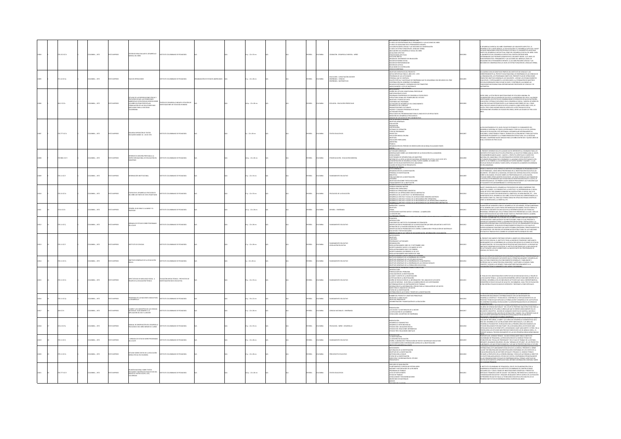|       | 0.1521C17c  | CMELA: , 1972       | O22RRMI OTX     | CRITEROS PARA EVALUAR EL DESARROLLO<br>MENTAL DEL NIÑO                                                                                                                                                            | MANO DE PEDAGOGÍA                                                       |                                | 64 p. : 22 x 33 cm       |  | <b>PAÑOL</b> |                | DENIOÓN - DESARROLLO MENTAL - NIÑEZ                                                | <b>RELATIONS IN BURNING IN EUROPEAN CONTRACT CONTRACT CONTRACT CONTRACT CONTRACT CONTRACT CONTRACT CONTRACT CONTRACT CONTRACT CONTRACT CONTRACT CONTRACT CONTRACT CONTRACT CONTRACT CONTRACT CONTRACT CONTRACT CONTRACT CONTRAC</b>                                                                                                                                                                                                                                                                                                                                                                                                                                                                                   | 2808      | DESARROLLO MINITAL DEL NAÑO COMPRINDE LOS SIGUENTES ASPECTOS : EL<br>CARROLLO DE LA INTELIGENCA, LA SCOLANZACIÓN Y EL DESARROLLO AFOCTIVO PAGE<br>INDO DI INSPARROLLO INTELICTIVA COMO DEL DEVINO Y EL DIVANICATICO ACERTADO<br>INTO DI<br>USMO EN EL PENSAMENTO INFANTIL CI LAS AGRUPACIONES LÓGICAS Y LAS<br>CIONES DE CONSERVACIÓN D) EL NIVEL DE ESTRUCTURACIÓN DEL LENGUAJE VERBA                                                                                                                                                                                                                                                         |
|-------|-------------|---------------------|-----------------|-------------------------------------------------------------------------------------------------------------------------------------------------------------------------------------------------------------------|-------------------------------------------------------------------------|--------------------------------|--------------------------|--|--------------|----------------|------------------------------------------------------------------------------------|-----------------------------------------------------------------------------------------------------------------------------------------------------------------------------------------------------------------------------------------------------------------------------------------------------------------------------------------------------------------------------------------------------------------------------------------------------------------------------------------------------------------------------------------------------------------------------------------------------------------------------------------------------------------------------------------------------------------------|-----------|------------------------------------------------------------------------------------------------------------------------------------------------------------------------------------------------------------------------------------------------------------------------------------------------------------------------------------------------------------------------------------------------------------------------------------------------------------------------------------------------------------------------------------------------------------------------------------------------------------------------------------------------|
|       | 1.14 (170)  | LOMBIA: . 1972      | O22RRM (TD)     | PLAN DE OPERACIONES                                                                                                                                                                                               | ALCOARDR 30 CAMBARD DE DEUTIT                                           | ANZACIÓN DE ESTADOS AMERICANOS | 11 n. : 22 x 28 cm       |  | PAÑOL        | <b>AIRMOJO</b> | DUCACIÓN - CAPACITACIÓN DOCENTE<br>ENSEÑANZA - CIENCIAS<br>ENSEÑANZA - MATEMÁTICAS | RELACIONES DE COOPERACIÓN<br>CERES DE IDENTIDAD<br>OBETIVOS ESPECÍFICOS DEL PROYECTO<br>ANETANS ESPECÍFICOS DEL PROYECTO<br>METAS ESPECÍFICAS PARA EL AÑO 1972 - 1973<br>PERSONAL QUE SE CONTRATA<br>PERSONAL QUE SE CONTRATA<br>kraiding (salt analistic)<br>Divinsiación del Gobierno Colonibuno<br>Divinsiación del Gobierno Colonibuno<br>Belhesce Destinados y desemblisces por Triniestres<br>Mexid Numero I lista de Maternales<br>Mexid Numero I lista de Maternales                                                                                                                                                                                                                                          | 12805     | DE ACUERDO CON LOS OBJETIVOS PROPIOS DEL INSTITUTO DE CIENCIAS Y LOS<br>CORRESPONDIENTES AL PROYECTO MULTINACIONAL DE ENSEÑANZA DE LAS CIENCIAS D<br>LA ORGANIZACIÓN, LOS PROGRAMAS QUIETO DEL PRESENTE PAIA DE PRINACIONES<br>TIDINEN<br>TIINIIN PUK ORIILITYIS KANKARIAS LUS SIKURINTAS : APUTAK LUS ISATAKIALINEINUS<br>EDULATIVOS, Y ESPECIALINENTE A LOS DEDICADOS A LA FORMACIÓN DE MARSTROS<br>ESCUELAS NORMALES) PARA ELEVAR SU NIVEL Y CONTRIBUIR A ALCAIZAR LAS<br>COND<br><b>TEMÁTICA</b>                                                                                                                                           |
|       | 04.2 IC17e  | LOMBIA: . 1972      |                 | ESTUDIO DE LAS REPERCUCIONES FÍSICAS Y<br>PSICOLÓGICAS QUE LAS CONDICIONES<br>AMBIENTALES (ECOLÓGICAS) EJERCEN SOBR<br>LOS NIÑOS EN EDAD PREESCOLAR,<br>MULACIÓN DE LAS SOLUCIONES MAS<br>CUADAS PARA LA SOCIEDAD | RO DE DESARROLLO INFANTIL ESTACIÓN DE<br>STIGACIONES DE ECOLOGÍA HUMANA |                                | (Ap.: 22 x 28 cm)        |  | PAÑOL        | <b>OLOMBIA</b> | COLOGÍA - EDUCACIÓN PREESCOLAR                                                     | ANCHO NURMAN<br>ANTICECENTS<br>ANTICECENTS<br>- DISTRICTORY OF LONGITUDINAL PRESCOLAR<br>-<br>- PROGRAMA COMPRENSIVO DE DESARROLLO PSICOLÓGICO<br>- PROGRAMA COMPRENSIVO DE DESARROLLO PSICOLÓGICO<br>- PROGRAMA COMPRENSIVO DE DESARROLLO PSICOLÓG<br>OBIETIVOS Y PUNTOS DE VISTA<br>CONTENIDO DEL PROGRAMA<br>ACTIVIDADES DE DESARROLLO DEL CONOCIMIENTO<br>PRIMINING ON WARRANT UNIVERSITY OF THE STATE OF STATE STATE STATE OF STATE STATE OF STATE STATE STATE OF STATE<br>DRAMATIZACIONS CULTURALS<br>ACTIVISATES FRECAS<br>SESULTADOS DEL PROGRAMA IMAS PARA EL ANÁLISIS DE LOS RESULTADOS<br>RES<br>AEDICIÓN DEL DESARROLLO PSICOLÓGICO<br>nálisis de los datos de tipo cognosciti<br>Jucación básica peruana | 12000     | SOE 1968, LA ESTACIÓN DE INVESTIGACIONES DE ECOLOGÍA HUMANA, EN<br>ANNO 1990 ESCOLAR PERTRICIDATES A LAS FAMILIAS MAS PORTES DE CALI, DONOCA EN CONTROLADO LOS EFECTOS DE CALIDO DE LA UNIVERIDAD DE VALLE, HA VENIDO<br>RIVISSTIGANDO LOS EFECTOS DE CONRINADONES DE SERVICIOS DE SALUO, NUTRIDÓN,<br><br>32 0001 Y 8961 3RTH3 OBA3 A 200AV3JJ 20TOJN 2010UT23 200AW 30 00ATJL<br>EGÓ A TRES CONCLUSIONES BÁSICAS ACERCA DE LA EFECTIVIDAD DE ESTAS<br>TERVENCIONES EN NIÑOS DE ESCASOS RECURSOS, ENTRE LAS EDADES DE TRES A SEIS                                                                                                             |
|       | 0.77710174  | <b>CREAK . 1972</b> |                 | the prenticular or textor<br>ILARES MARZO 16 - 26 DE 1972                                                                                                                                                         | THE COLOMBIANO DE REDUCCIÓN                                             |                                | $0.122 + 28$ cm          |  | <b>DAR</b>   | OLOMBIA        | <b>DOTOS EDUCATIVO</b>                                                             | $\begin{minipage}[t]{0.03\textwidth} \begin{tabular}{lcccc} \textbf{0.03\textwidth} & \textbf{0.04\textwidth} & \textbf{0.04\textwidth} & \textbf{0.04\textwidth} & \textbf{0.04\textwidth} \\ \textbf{0.04\textwidth} & \textbf{0.04\textwidth} & \textbf{0.04\textwidth} & \textbf{0.04\textwidth} & \textbf{0.04\textwidth} \\ \textbf{0.04\textwidth} & \textbf{0.04\textwidth} & \textbf{0.04\textwidth} & \textbf{0.04\textwidth} & \textbf{0.04\textwidth}$                                                                                                                                                                                                                                                    | 012807    | a educación básica es el nivel en que se establece el fundamento del<br>Desarrollo integral de todos los perlanos y por ello de si ele cil estera<br>Regiliar de educación: está destinada a desarrollar integrabatate al<br>Reucando,<br>ruania. Comprende Nueve Grados para los Niños entre seis y quince años de<br>Ad, divididos en tres ciclos.                                                                                                                                                                                                                                                                                           |
|       | 9861 K.17   | MEIA: , 1972        |                 | )BME DE ASESORÍA PRESTADA A LA<br>FECCIÓN NACIONAL DE EDUCACIÓN DEI<br>AZONAS                                                                                                                                     |                                                                         |                                | Ap.: 22 x 28 cm          |  |              |                | NECKOÓN - EDUCACIÓN INDÍGEN                                                        | .<br>CTWIDADES GENERALES<br>ENERALIDADES SOBRE LAS CONDICIONES DE LA EDUCACIÓN EN LA AMAZONÍA<br>ZIMORUJONG<br>-COMMUNISMES<br>-CHIESTICHNICH OF CHRISTING AND MASSINGS<br>-GONGIME DE LA VISITA AN NÚCLEO MACHINA PRITEO NAROD DE LETICH, JULIO 10 DE 1071<br>-CONCENTRACIÓN DE DESARGILLO BURA: PURTO NARÓD.<br>-COMPOS DE MAAUSTE DE PRESUPUESTO<br>-CUAD                                                                                                                                                                                                                                                                                                                                                          |           | IL PRESENTE INFORME INCLUIT AGGINOS DATOS REFERENTES AL SEMINARIO PARA LOS<br>OCCHITS EFECTIVOS DA ILITELA RA NTROČIN A LA SOCIUTUR CHARANA AL ICOLFE<br>OCR MONSIÈGIS MARCELLANO E CANNES 4, PREFICTO APÓSTOLICO I INSPECTOR<br>MOCONA<br>RÍA AMAZONAS                                                                                                                                                                                                                                                                                                                                                                                        |
|       | 0.11 (27)   | LOMBIA: . 1972      | <b>OZSRRMIC</b> | MAGON INSTITUCIONAL                                                                                                                                                                                               | ALTO COLOMBIANO DE PEDAGOGÍA                                            |                                | $16.22 \times 32$ cm     |  | PAÑOL        | <b>OLOMBIA</b> | <b>ENTO EDUCATIVO</b>                                                              | ARTOS GENERALES<br>ORGANIZACIÓN DE LA INVESTIGACIÓN<br>-PERSONAL DE INVESTIGACIÓN<br>-RIBLIOTECA<br>FUBLICACIONES DE LA INVESTIGACIÓN<br><b>FUBLICATIONS DE LA INVESTIGACIÓN<br/>ASESORIAS<br/>AVESTIGACIÓN SOBRE TEXTOS ESCOLARES<br/>FINANCIATION SOBRE TEXTOS ESCOLARES<br/>PERÍODO SENSORIA DE LA INSTITUCIÓN<br/>FERÍODO SENSORIATORIO<br/>FERÍODO DE COFERATORIO</b>                                                                                                                                                                                                                                                                                                                                            | 12809     | ossoe el punto de vista teórico el instituto colombiano de Pedagogía Icolpe<br>Ha determinado, como áreas probitarias en la investigación Educativa las<br>Siguientes : estudios de la socieda; estudios del setema educativa, estud<br>MINI NA SUGUPANO, SAI VANNI JOHNA SAN KANSANI SA DA KANGUNANO,<br>KPOLÍTICA DE PRIOBIDADES COUE DI MATERIA DE NAVESTICACIÓN SOCIÉTICA (PRIMARCAN)<br>KPOLÍTICA DE PRIOBIDADES COUE DI MATERIA DE NAVESTICACIÓN SOCIETICOUES, SE<br>LIDD                                                                                                                                                                |
|       | 0.15 IC17e  | CMBIA:, 1972        | O22RRM C        | APAS EN EL DESARROLLO PRICOLÓGICO<br>. NIÑO UN PUNTO DE VISTA PIAGETIANO                                                                                                                                          | TUTO COLOMBIANO DE PEDAGOGÍA                                            |                                | .<br>7 p.: 22 x 33 cm    |  | wkou         | <b>AIRMOJO</b> | SCOLOGÍA DE LA EDUCACIÓN                                                           | PRISODO DE LANGUEURIS L'ONCARIA (NE MESSICALES)<br>DESPOIS DE LA GUERRA DES L'ONCARIA ARSTRACTAS<br>DESARGLIO DE LO AFFICTIO Y LO INTERNETATIVALLA<br>DESARGLIO AFFICTIO Y SOCIAL DE LA SERACCIONES SENSORO-MOTRICES<br>DESARGLIO AFFICTIO                                                                                                                                                                                                                                                                                                                                                                                                                                                                            | 281       | GET CONSIDERA QUE EL DESARROLLO PSICOLÓGICO DEL NIÑO COMPRENDE TRES<br>CTOS, A SABER : LO COGNOSCITIVO, LO AFECTIVO Y LO INTERINDIVIDUAL O SOCIAL<br>ASPICTOS, ASAIRA : LO COGNOSCITAD, LO ARACTADO Y LO BATERNONDULA LO SCOLLA<br>DURA DE ESTOS TRES GRANDES COMINICA NO EXISTIA CITROS, ES DICIR, QUE SI ES<br>DURA DE ESTOS TRES GRANDES COMINICA NO EXISTIA CITRO, ES DACIR, QUE SI E                                                                                                                                                                                                                                                      |
|       | 2.6 (0174)  | CRABLA: . 1972      |                 | 27 CANULIA 23 ARA RIJA 2014<br>                                                                                                                                                                                   | THE COLOMBIANO DE REDUCCIÓN                                             |                                | $21a:22 \times 28$ cm    |  | <b>MACK</b>  | <b>VOMBIA</b>  | <b>PAÑOL - ENSEÑANZA</b>                                                           | 51979104**<br>-NARRACIÓN - CUENTOS<br>-OBIETIVOS<br>-TEMAS<br>NOZCAMOS NUESTROS MITOS Y LEYENDAS - LA NARRACIÓN<br>A DESCRIPCIÓN                                                                                                                                                                                                                                                                                                                                                                                                                                                                                                                                                                                      | 12811     | MANU VA URGADO TANTO AL PROFESOR COMO AL ESTUDIANTE. E TA<br>ITE INVENIU DE LINGUADES COMO EL DESARROLLO DE LOS MISMOS, ESTÁN ELABORADOS<br>ANEACIÓN DE LINGUADES COMO EL DESARROLLO DE LOS MISMOS, ESTÁN ELABORADOS<br>IDEESOR SE CONVIERTE EN UNA GUÍA FAI LA INTERPRETACIÓN DE LOS TEMAS DEL<br>I<br>PERIMA CREENIDS QUE, EN LA FORMA COMO ESTÁ PRESENTADA LA CLASE, CON LOS<br>20 MATODOLÓGICOS QUE EN LA FORMA COMO ESTÁ PRESENTADA LA CLASE, CON LOS<br>205 METODOLÓGICOS QUE DEBE SEGUIR TANTO EL PROFESOR COMO EL ALUMNO,                                                                                                              |
|       | 0.111017    | CRABLA: . 1972      | <b>IMPRESO</b>  | )<br>Panada de estudio sobre programas<br>El Icolpe                                                                                                                                                               | TITUTO COLOMBIANO DE REDACOCÍA                                          |                                | $0 p. : 22 \times 28$ cm |  | <b>MG</b>    |                |                                                                                    | <b>ENGINE LITERATO </b><br>GOGÍA<br>NTRODUCCIÓN<br>v Haudiculin<br>Linciones del Instituto Colombiano de Pedagogía<br>Enfinención de Probibanges de la investigación que debe adelantar el Instituto<br>Ispinición de la función asesora del Instituto<br>Entitucación de Prioridades en el E<br>CATINOS Y TEXTOS ESCOLARES                                                                                                                                                                                                                                                                                                                                                                                           | .<br>281. | : EACH C'HMBH RI CON LOS CRHETIVOS DEL ESDAÑOL<br>TADO COLOMBIANO EN LA DÉCADA DE LOS AÑOS SESENTA IMPULSÓ UNA POLÍTICA<br>IN EUROPOSITION MARINALISTA EN DE SUS ANTIFICIOS EN PARA LO CUAL PROTECTO A LA CARA EL CARACTERISTA EN EL CARA<br>19 SE ESPONACIÓN Y AMPINACIÓN DE SUS ANSTRALOÑYMEN COM PARA LO CUAL PROTECTO A A<br>ANMINISTRACIÓN NACIONAL DESCRI<br>OS MINISTERIOS. ESE PROCESO DE DIFERENCIACIÓN ESTRUCTURAL DE LAS FUNCIONES<br>STATALES SE TRADUJO EN EL CAMBIO DE LAS BASES INSTITUCIONALES DEL PAÍS.                                                                                                                       |
|       | 0.11 (C17)  | CMEIA: , 1972       |                 | <b>ITUTO DE CIENCIAS</b>                                                                                                                                                                                          | MNO DE PEDAGOGÍA                                                        |                                | $7 p. : 22 \times 28$ cm |  | wkou         | <b>CLOMBIA</b> | ANIAMENTO EDUCATII<br>GISLACIÓN EDUCATIVA                                          | -<br>ANTECEDENTES<br>- FUNCIONES<br>- FROGRAMAS Y ACTIVIDADES<br>PRUGARANOS Y NEI INTONIOS<br>GREGANIZACIÓN<br>RESCRUCIÓN NÚMERO 2005 DE 17 SEPTIEMBRE 1999<br>DECRETO NÚMERO 240 DE 11 DE MARZO DE 1971<br>RESCRUCIÓN NÚMERO 0242 3 DE FEBRERO<br>ecreto número 220 febrero 21 de 1072<br>Esclución número 0019 enero 8 de 1968                                                                                                                                                                                                                                                                                                                                                                                      | 12813     | RESENTE DOCUMENTO PRETENDE DEEMIR EL ÁMBITO DE OPERACIONES DE<br>PRESINTI COCUMENTO PRITINGO DENHA EL AMBITO DE COFARACIMES DEL<br>ESTIUTO DE CIENCIA, EL INSTITUTO TIEN LA MASCHI DE FONDATAR E IMPLILAR EL<br>ESTIUTO DE CIENCIA, EL INSTINUCIÓ TEN LA MASCHI MEDICIÓ DE ACCINISTA EL ISTUEDA<br>INVES<br>NCIAS, EN TODO EL PAÍS.                                                                                                                                                                                                                                                                                                            |
|       | 111 1220    | COL - ANNA          | inaggron.       | UETIVOS GENERALES DE LA EDUCACIÓN<br>SICA                                                                                                                                                                         | THE COLOMBIANO DE REDACOCÍA                                             |                                | $: 22 \times 28$ cm      |  | a Res        |                | <b>MTO EDUCATIVO</b>                                                               | -<br>ADENTINOS GENERALES DE LA DISEÑANZA DEL ESPAÑOL<br>- OBETINOS GENERALES DE LOS ESTUDIOS SOCIALES<br>- OBETINOS GENERALES DE LA DISEÑANZA DE LA MATEMÁTICA<br>- OBETINOS GENERALES DE LA DISEÑANZA DE LAS OIDICIAS SOCIALES<br>BIETIVOS GENERALES DE LA FORMACIÓN VOCACIONAL<br><b>PUCACIÓN DEL PROBLEMA Y MARCO CONCEPTUAL</b>                                                                                                                                                                                                                                                                                                                                                                                   | 12814     | n tre los deretinos generales de la educación basica estan : proporcionar al<br>Envirolo docrituroares subficintes que le permitan adquirir y desarrollar<br>estreas que lo común rea en condicintentos generales y habileades y<br>est<br>NOTAL TECNICO ALIMANÁTICA DEL MEDIO COLOR                                                                                                                                                                                                                                                                                                                                                           |
| 12815 | 0.11 (0174) | CMBIA: , 1972       | O22RRMI OT      | EXPECTATIVAS DE MOVILIDAD SOCIAL A<br>TRAVÉS DE LA EDUCACIÓN TÉCNICA                                                                                                                                              | <b>EDUCACIÓN MEDIA TÉCNICA - PROVECTOS DE</b>                           |                                | 6 p. : 22 x 33 cm        |  | wko.         | COLOMBIA       |                                                                                    | VTRODUCCIÓN<br>ORMULACIÓN DEL PROBLEMA<br>FORMAL CONSTRUCTION (FORMAL CONSTRUCT)<br>ASSAULTED IN A INVESTIGATION<br>ASSAULTED IN A INVESTIGATION<br>ASSAULTED IN A INVESTIGATION<br>ASSAULTED IN A INVESTIGATION (FOR A INC. CONTINUES)<br>ASSAULTED IN A INVESTIGATION CONSTRUCT ON A                                                                                                                                                                                                                                                                                                                                                                                                                                | 012815    | TEMA DE ESTA INVESTIGACIÓN ES EXPECTATIVAS DE MOVILIDAD SOCIAL A TRAVÉS DE<br>NA TIONE AN ENTIRE LA DE DISTRIBUIX DE L'ANYANE MENTALE DE LA TIONES DE LA TIONE ANTIQUE DE LA TIONE ANNE DE L<br>SOCIEDAD, DESARROLLA EN LOS INDIVIDIOS ACTITUDES QUE VAN A CORRESPONDER AL<br>DESEMPEÑO DE ROLES SOCIALES DE ADULT<br>NO IENTRA STI IAOO EN NIVELES DIEERENTES Y DESPONDE A EINES ESPECIALES                                                                                                                                                                                                                                                   |
|       | 0.111C17p   | OMBIA: , 1972       | O23RMI OT       | GRAMA DE LAS NACIONES UNIDAS PARA<br>ISARROLLO                                                                                                                                                                    | ARODARIES DE PERSONA DE TRAS                                            |                                | 4 p. : 33 x 22 cm        |  | <b>MACL</b>  | <b>CLOMBIA</b> | NEAMENTO EDUCATIVO                                                                 | CHARGE OR PROVECTO Y ORIETAIOS REMOVALES<br>NOMING DIL PROTICIO T OBILITIVO PRINCIPALIS<br>OBIETIVOS A LARGO PLAZO<br>ADMINISTRACIÓN Y PLANIFICACIÓN DE LA EDUCACIÓN                                                                                                                                                                                                                                                                                                                                                                                                                                                                                                                                                  | 12816     | PRIFIL I D'AUSEA LUN IRIAUN A LA ANTILULACIÓN DE LUS HILURSUS DEL<br>DRAMOÓN NACIONALES E INTERNACIONALES CON LAS NECESIDADES DEL<br>ARROLLO CIENTÍFICO Y TECNOLÓGICO. CONTRIBUR AL FORTALECIMIENTO<br>TO DE LOS<br>)<br>Cesos técnicos que implican la formulación y desarrollo de las políticas<br>L gobierno nacional en educación y la descentralización de los servicios                                                                                                                                                                                                                                                                  |
|       | 0.017       | MEIA: , 1972        |                 | 6ÑO Y LOS CONCEPTOS DE LAS CIENC<br>TURALES, GUÍA NÚMERO 1 LA<br>LICACIÓN DEL DÍA Y LA NOCHE                                                                                                                      | DMINNO DE PEDAGOGÍA                                                     |                                | $: 22 \times 28$ cm      |  | κkα          |                | ENCHS NATURALES - ENSEÑANZ                                                         | PRESENTACIÓN<br>LAS CAUSAS Y LA NATURALEZA DE LA NOCHE<br>LA EXPLICACIÓN DE LAS SOMBRAS<br>CONCLUSIÓN: UN MÉTODO DE ENSEÑANZA                                                                                                                                                                                                                                                                                                                                                                                                                                                                                                                                                                                         |           | ARVANNIRA<br>DEVENIS EN L'INIUSA DE L'ANGUARDO PRAGINALE PER EL GAUPO DE ASESONIS<br>DEL ÁREA DE CIENCIAS NATURALES " DEL ICOLPE SE PROPONE UNA ESTRUCTURA PARA L<br>DGRAMACIÓN DE ESTA ÁREA CURRICULAR QUE SE ORIENTA BÁSICAMENTE EN LOS<br>LIBENTES CONCEPTOS : NOCIÓN DE UNIDADES DECARTAS DE MATERIA, NOCIÓN O<br>ES DE CONSERVACIÓN, NOCIÓN DE INTERACCIÓN Y CAMBIO. EN LA PRESENTE GUÍA SE<br>N LOS DA                                                                                                                                                                                                                                   |
|       | L4 IC17m    | MEIA: , 1972        |                 | nual de Orservación del Desarrou<br>20.0Geco del Niño Menor de 2 años                                                                                                                                             | NTO COLOMBIANO DE PEDAGOGÍA                                             |                                | $: 22 \times 33$ cm      |  | wkou         |                | SCOLOGÍA - NIÑEZ - DESARROLLO                                                      | KSENTACIÓN<br>DISARROLLO COGNOSCITIVO<br>DISARROLLO INTER-INDIVIDUAL<br>ESTADIO UNO: ADUALISMO INICIAL<br>ESTADIO DOS: REACCIONES INTERMEDIA<br>ESTADIO TRES: RELACIONES ORIETALES                                                                                                                                                                                                                                                                                                                                                                                                                                                                                                                                    | 12818     | UPPRI KUS URAI UN UNIMIDUO SIMI MINIMINO NOMINARIONO MONTE DE LOS ANGUNO DIA<br><mark>EN PONTE DE LA BEDIACCIÓN EN INISTO CON DINANT MUNICIPAL DE LOS ANOS SE PUEDE</mark><br>EN MUNA EN TRES ÁREAS, A SARER : AJ EL ÁREA DEL DESARROLLO COGNOS<br>MINISTRA L'UNIMINALIA UNA PRANCIATA SI INTERNAZIONALIA, LE LA MINISTRA ARRAIXA LUIS<br>ESTADORE REALIZADES POR JEAN PIAGET, EN LA SEGUNDA ÁREA LOS ESTADORES LOS<br>DESTACADOS SON LOS DE RENÉ SPITZ, JOHN BOWLEY, MARY AINS-WORTH Y<br>reera área los estudios más precisos parecen ser los de arnold gesell. El<br>Esente manual tratará únicamente de las dos primeras áreas mencionadas |
|       | 0.111017j   | CMELA: , 1972       | <b>OZSRRMIC</b> | JORNADA DE ESTUDIO SOBRE PROGRAMAS<br>EL ICOLPE                                                                                                                                                                   |                                                                         |                                | $p. : 22 \times 28$ cm   |  | AÑOL         |                | INTO EDUCATIVO                                                                     | <b>SACOON</b><br>.<br>DÓN<br>A ASESCRÍA EN EDUCACIÓN<br>155 RO, ELABORACIÓN Y PRODUCCIÓN DE TEXTOS Y MATERIALES EDUCATIVOS<br>A DOCUMENTACIÓN E INFORMACIÓN ACERCA DE LA INVESTIGACIÓN<br>VEITILITOS ADSORTOS AL ICOURE                                                                                                                                                                                                                                                                                                                                                                                                                                                                                               | 12819     | ANTES<br>PROPUESTA DEL CONSEJO TÉCNICO : HA SIDO ESTIMULANTE PARA EL INSTITUTO<br>COMBIANO DE PEDAGOGÍA, LA PREDCUPACIÓN DE SU CONSEJO TÉCNICO DE<br>JOURNAIS DE PRANDUIR, UN PRINCURPADANT DE RAIN DE TRABAID DE LA ENTIDAD,<br>IEDANITE UN ANÁLISIS RIGURDEO, EN UNA "IORNADA DE ESTUDIO", DE LOS PROYECTOS<br>JARDRADOS, LOS QUE ESTÁN EN MARCHA Y LOS QUE ES FRONSPOCAN DRA DE FUERDO                                                                                                                                                                                                                                                      |
| 05820 | 29.11 (217) | LOMBIA: . 1972      | OZERNI OTX      | ITUDIO SOBRE COSTOS DE LA EDUCACIÓN<br>EDIA OFICIAL EN COLOMBIA                                                                                                                                                   | ASTITUTO COLOMBIANO DE PEDAGOGÍA                                        |                                | $15a : 22 \times 28$ cm  |  | PAÑOL        | COLOMBIA       | <b>RESUPLIESTO EDUCATIVO</b>                                                       | ntecedentes<br>Iaturaleza de la investigación<br>Ibietivos de la investigación<br>METODOLOGÍA A SEGUR<br>ANTODOLOGÍA A SEGUR<br>ETAPAS DE LA INVESTIGACIÓN<br>DIRECCIÓN Y COORDINACIÓN DEL ESTUDIO<br>PRESUPUESTO                                                                                                                                                                                                                                                                                                                                                                                                                                                                                                     | 012820    | E COMMAND MODELE DE REANTA EN DESTRUCTION DE LA UNISICIA PRODUCTION DE LA MARCA DE SERVICIONAL DE PLANERAM UNA<br>LA LICE TRI PARA REALIZZAR UNA INVESTIGACIÓN COMPARADA DE LOS COSTOS DE LA<br>LA LICE TRI PARA REALIZZA UNA INVEST<br>ANNOUNCE IN MISSION CONTROL AND A CONTROL OF THE CONTROL CONTROL CONTROL CONTROL AND CONTROL CONTROL CONTROL CONTROL CONTROL CONTROL CONTROL CONTROL CONTROL CONTROL CONTROL CONTROL CONTROL CONTROL CONTROL CONTROL CONTROL C                                                                                                                                                                         |
|       | 0.7771017   | LOMBIA: , 1972      |                 | .<br>DLARES Y MATERIALES EDUCA<br>INECTO TEXTOS ICOLPE, ICCE,<br>LCENCIAS                                                                                                                                         |                                                                         |                                | .<br>N/A p.: 22 x 28 cm  |  | <b>Wick</b>  | <b>CLOMBIA</b> | <b>DODS EDUCATIVO</b>                                                              | DIRCURSO DE INAGURACIÓN<br><b>PLANTEAMIENTO CURRICULAR SISTEMA INEM</b><br>-FANITAMIENTO CUESICULAS SETENA NON<br>-PADORES Y METODOLOGÍA DE LA BELINÓN<br>-PADOREMA DE TRABAIO<br>-LIGIA DE PARRID<br>-FICHA DE PARRID<br>-CONCLUSONES Y RECOMENDACIONES<br>-CONCLUSONES Y RECOMENDACIONES<br>-MIGNIS<br>O DE CLASSICA                                                                                                                                                                                                                                                                                                                                                                                                |           | A MODIFICATION WAS CONTRACTED ASSAULTED FOR A COLLEGE AND CONTRACTED MANAGEMENT CONTRACTED BY LA<br>II ROTINUTO GOLOMBANO DE PERANGIGO, ICOLEA EN COLABIDACIO (COLLA<br>LUGGIRIS CALE COLOMBANO DE PORTOGOLOMBANO DE CONTÍNUCIONES<br>SECURIS TECH CON EL FORDO DE INVESTIGACIONES CONTÍNUCIONES<br>COLONIST "TRANCICO IDEI DE CALEAS" COLC                                                                                                                                                                                                                                                                                                    |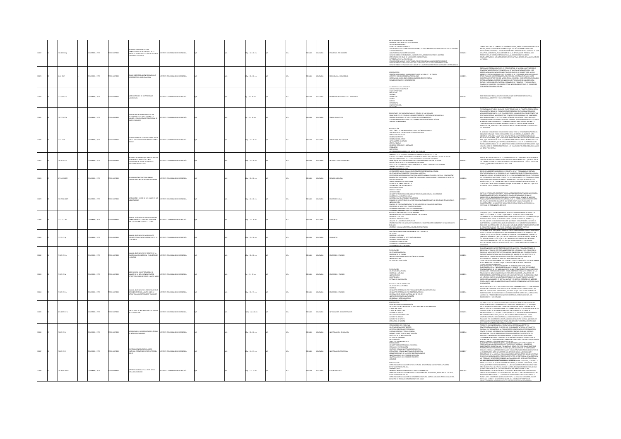|  | 3831C17p              | MEIA:, 1972         |                    | MPARATIVAS DE FECUNDIDAD EN I<br>IÉRICA LATINA: REFUTACIÓN DE AL<br>NICEPTOS ERRONEOS                                                                                       | IANO DE PEDAGOGÍ                      |  | $x: 22 \times 28$ cm   |  | xka          |                | <b>CUESTAS - FECUR</b>             | REVE DESCRIPCIÓN DEL PROGRAMA<br>IVELES Y TENDENCIAS DE LA FECUNDIDAD<br>CTITUDES Y OPINIONES<br>L'II IODAN TOMMUNA<br>LOXO DE CONTRA ACEPTIVOS<br>LOXO DE RESULTADOS PRELIMINARES DE ENCLISSTAS COMPARATIVAS DE FECUNDIDAD EN SIETE PAÍSES<br>LOXONARESCANCE<br>QUAISO NIEDIO DE EMBARADOS, NACIDOS VINOS, NACIDOS MUERTOS Y ABORTOS<br>QUAIS<br>STRUCTURA POR EDAD DE LAS MULERES ENTREVISTADAS<br>.<br>IFERENCIALES DE LA FECUNDIDAD<br>FOMEDIO DE NACIDOS VINOS POR GRUPOS DE EDAD DE LAS MUJERES ENTREVISTADAS<br>JÚMERO MEDIO DE NACIDOS VINOS POR ESTADO CIVIL DE LAS MUJERES ENTREVISTADA |            | TOS SECTORES DE OPINIÓN DE LA AMÉRICA LATINA, Y AÚN ALGUNOS DE FUERA DE LA<br>MINIMAL MONTENO DE PERSONAL EN PRODUCTIVA DE MANIMAL DE MANIMAL DE CARACTER DE LA PARTICIPAT DE MANIMAL DE LA PARTICIPAT DE LA PARTICIPAT DE LA PARTICIPAT DE LA PARTICIPAT DE LA PARTICIPAT DE LA PARTICIPAT DE LA PARTICIPAT<br>AMILIA.                                                                                                                                                                                                                                                                                                         |
|--|-----------------------|---------------------|--------------------|-----------------------------------------------------------------------------------------------------------------------------------------------------------------------------|---------------------------------------|--|------------------------|--|--------------|----------------|------------------------------------|---------------------------------------------------------------------------------------------------------------------------------------------------------------------------------------------------------------------------------------------------------------------------------------------------------------------------------------------------------------------------------------------------------------------------------------------------------------------------------------------------------------------------------------------------------------------------------------------------|------------|---------------------------------------------------------------------------------------------------------------------------------------------------------------------------------------------------------------------------------------------------------------------------------------------------------------------------------------------------------------------------------------------------------------------------------------------------------------------------------------------------------------------------------------------------------------------------------------------------------------------------------|
|  | 04.6 K171             | LOMBIA: , 1972      | O23RMI OT          | EMAS SOBRE POBLACIÓN Y DESARROLLO<br>CONÓMICO EN AMÉRICA LATINA                                                                                                             | TITUTO COLOMBIANO DE PEDAGOGÍA        |  | $p. : 22 \times 28$ cm |  | <b>PAÑOL</b> | <b>AIGNOJO</b> | MOGRAFÍA - FECUNDIDAD              | NTRODUCCIÓN<br>PRESIÓN DEMOGRÁFICA SOBRE LOS RECURSOS NATURALES Y DE CAPITAL<br>THE SIGN MINIMUM AND THE MINIMUM INTERNATIONAL PRODUCTS ECONOMICO S DE LA FECUNDIDAD<br>-MORTALIDAD, MORILIDAD Y DESARROLLO ECONOMICO Y SOCIAL<br>-TASA DE CRECIMIENTO DEMOGRÁFICO                                                                                                                                                                                                                                                                                                                                |            | RY MINIMUS I MINIMUS A PARTIMONO NO PRIMIMUS CON ANNO 1999 ANNO 1999 ANNO 1999 ANNO 1999 ANNO 1999 ANNO 1999 A<br>ROGRAFÍA ECONÓMICA PERTINENTE A LA SITUACIÓN LATINOAMERICANA, Y OG<br>1998 AGGINALA MENDIANO EN EL DISSABOLILO DE<br>INICIA NAVISAS SOMETICIS A ESTA CONFERENCIA, ESTA AÍN ENTRADOS SOBE<br>INICIS NAVADS SOMETICIS A ESTA CONFERENCIA, ESTARÁN EDITORIOS SOBE<br>INICIS NAVADS SOMETICIS EL MIGNIO TENA, CONO DEN A Ú ESTOS DE LOS ANAIGNES<br>UPERO Y MIGN                                                                                                                                                  |
|  | 271.335 IC17a         | LCMBIA: , 1972      | O22RRMI OT:        | INISTRACIÓN DE UN PROGRAMA<br><b>MS2JA</b>                                                                                                                                  | FITUTO COLOMBIANO DE PEDAGOGÍA        |  | $: 22 \times 28$ cm    |  | <b>PAÑOL</b> | <b>CLOMBIA</b> | ATERIALES AUDIOVISUALES - PROGRAMA | -LOS CRISTINOS PRINCIPALES<br>- FINES ESPECÍFICOS<br>- REQUISITOS<br>TRIQUÁILES<br>CRITERIO<br>DESIACIÓN<br>SONIDO<br>TOTOGRAFÍA<br>MEMATOGRAFÍA                                                                                                                                                                                                                                                                                                                                                                                                                                                  | 0012924    | IS TEXTO CONTIENE LA DESCRIPCIÓN DE LO QUE SE ENTIENDE POR MATERIAL<br>DIOVISUAL, OBJETIVOS Y FINES ESPECÍFICOS.                                                                                                                                                                                                                                                                                                                                                                                                                                                                                                                |
|  | 2022210126            | LOMBIA: , 1972      | O22RRMI OT:        | <b>CHOASTIC LA ENSEÑANZA DE LOS</b><br>ILNUMENCIAS DE LA MORIMANZA DE LOS<br>ESTUDIOS SOCIALES EN COLOMBIA Y EL<br>MUNDO, II DIPOSICIÓN INTERNACIONAL I<br>TEXTOS ESCOLARES | TUTO COLOMBIANO DE PEDAGOGÍA          |  | $: 22 \times 28$ cm    |  | <b>PAÑOL</b> | <b>CLOMBIA</b> | <b>COS EDUCATIVOS</b>              | .<br>KULTADES QUE HA ENCONTRADO EL ESTUDIO DE LAS SOCIALES<br>RELACIONES DE LOS ESTUDIOS SOCIALES POR ÉPOCAS HISTÓRICAS DE DESARROLLO<br>TENDENCIA HISTÓRICA DE LOS ESTUDIOS SOCIALES EN AMÉRICA<br>LOS PROGRAMAS DE SOCIALES EN COLOMBIA DURANTE LA ÚLTIMA DÉCADA<br>TENDENCIAS MODERNAS                                                                                                                                                                                                                                                                                                         |            | MONARCHINE D'AL MONARCH ANTASA (MATA AUT ART CADU UNITER PORT PREDIRITORIAL)<br>ESERTEN LOS ESTUDIOS SOCIALES, ENCONTRANOS QUE SU PRINCIPAL ORIGIN DERIVA.<br>LA MÚLTIPLE GANA DE PROBLEMAS QUE SE CRUZAN Y ENTRELAZIAI, FORMANDO<br>RO<br>CRIVAS Y RÁPIDAS. MIENTRAS OTRAS CIENCIAS ESTÁN FORMADAS POR UN NÚMERO<br>IN DEFINIDO Y EXACTO DE CLIESTIDNES VIÊNDOSE CASI SEMPRE CON CLABIDAD EL<br>MANO QUE CREBEN SEGUIN LOS ESTUDIOS SOCALES, REVISADOS DUANA TE LOS ÚLTIMOS<br>AÑOS NOS PARSENTAN FASES Y OPINIDINS TAN DIVIRIGA QUE NOS ABRUMA LA<br>NTEND                                                                    |
|  | <b>72.4 IC171</b>     | CMBIA: , 1972       | <b>IMPRESO</b>     | las funciones del lenguaie en Relación<br>Con la socialización y el razonamiento<br>Lógico                                                                                  | <b>TITUTO COLOMBIANO DE PEDAGOGÍA</b> |  | $p_1$ : 22 x 28 cm     |  | <b>PAÑOL</b> | .<br>Wilia     |                                    | PRESENTACIÓN<br>UNA TÉCNICA DE INFORMACIÓN Y CLASIFICACIÓN DE LOS DATOS<br>LAS CATEGORÍAS O FORMAS DEL LENGUAJE INFANTIL<br>PAR DANIMON O ECOLALIA<br>REPETICIÓN O ECOLALIA<br>MONÓLOGO COLECTIVO<br>NFORMACIÓN ADAPTADA<br>DRÍTICA Y BURLAS<br>CRITICAL TRONICAS<br>ÓRDENES, PETICIONES Y AMENAZAS<br>RESPUESTAS<br>A SOCIALIZACIÓN MEDIDA POR MEDIO DEL LENGUAIE                                                                                                                                                                                                                                |            | .<br>NGUAIS CONSIDERADO COMO HECHO SOCIAL TIENE LA FUNCIÓN DE CAPACITAR AL<br>.<br>Nordo para que pueda comunicarse con los demás, ¿cuándo un niño<br>Nor de sete años habla, tiene siempre como objetivo comunicarse con<br>VON DE ARTIE POUR D'AUGURE DE LOGISTIQUE DE LOGISTANTEMENTE AL NIÑO ALÒN<br>LUENT: O MÁS BEN, ¿ESE CREETIVO NO PREOCUPA CONSTANTEMENTE AL NIÑO ALÒN<br>L'ÉQUÉ MAPORTANCIA TIENE EL LOGIARI AUMENTAR EN EL NIÑO UN LENGUAIE CADA<br>MÁS<br>.<br>CNAMENTO LÓGICO DE LOS NIÑOS? ESOS SERÁN LOS TEMAS QUE TRATAREMOS AQUÍ<br>I UNA SERIE DE ESCRITOS POSTERIORES, LOS CUALES CONTINUARÍN DESARROLLANDO |
|  | 278.107 IC17          | CMEIA: , 1972       | O IMPRESO          | INFORME DE LABORES QUE RINDE EL JEFE DE<br>LA DIVISIÓN DE INVESTIGACIONES<br>EDUCATIVAS DEL ICOLPE A LA SEÑORA<br>CTORA DEL INSTITUTO                                       | TUTO COLOMBIANO DE PEDAGOGÍA          |  | $x: 22 \times 28$ cm   |  | <b>PAÑOL</b> |                | FORMES - INVESTIGACI               | HAMMANING I A DIVISIÓN DE INVESTIGACIONES EDUCATIVAS DEL ICOLPE<br>LESDINAL DE LA DIVISIÓN DE INVESTIGACIONES EDUCATIVAS DEL ICOLPE<br>LELDOS Y SALARIOS PAGADOS EN LA DIVISIÓN DE INVESTIGACIONES EDUCATIVAS DE ICOLPE<br>ASINDAD SOBRE COSTOS DE LA EDUCACIÓN MEDIA OFICIAL EN COLONIBIA<br>ESTUDIO SOBRE COSTOS DE LA EDUCACIÓN MEDIA OFICIAL EN COLONIBIA<br>EXTENCIÓN DE LA ESCUELA PRIMARIA EN COLONIBIA<br>EXTENCIÓN DE LA ESCUELA PRIMARIA EN COLONIBIA<br>OSTOS DEL ESTUDIO TITULADO EXTENSIÓN DE LA ESCUELA PRIMARIA EN COLOMBIA<br>ABORES ADICIONALES EN 1972                          | 11282      | n este informe se incluyen : (1) descripción de las tareas adelantadas por la<br>Wisión de investigaciones educativas de icolpe durante 1972 ; (2) relación de<br>As labores desarrolladas por la misma oficina durante el cuarto tr<br>1972; (3) PROGRAMA PROPUESTO PARA 1973.                                                                                                                                                                                                                                                                                                                                                 |
|  | 307.1412 IC17f        | OLOMBIA: , 1972     | O22RRMI OTX        | DRMADON VOCACIONAL EN LAS<br>NCENTRACIONES DE DESARROLLO RURA                                                                                                               | ARODAGED DE CAMBAROJO DE INTERNA      |  | $p. : 22 \times 28$ cm |  | <b>PAÑOL</b> | <b>CLOWAIA</b> | <b>ARROLLO RURAL</b>               | LA EDUCACIÓN BÁSICA EN LAS CONCENTRACIONES DE DESARROLLO RURAL<br>ibietivos de la formación vocacional agrícola.<br>Nfoque de la formación vocacional agrícola en las etapas elemental: exploración y<br>RIDITACIÓN VOCACIONAL, FORMACIÓN VOCACIONAL PARA EL HOGAR Y EDUCACIÓN DE ADULTOS<br>STUDIO DEL MEDIO<br>TMAS GENERALES DEL PROGRAMA<br>JEMPLOS DE TEMAS ESPECÍFICOS<br>OMINISTRACIÓN DEL PROGRAMA                                                                                                                                                                                        | 12828      | GGÍN APARECE DETERMINADO EN EL PROYECTO DE LEY "POR LA CUAL SE DICTA EL<br>TAUTO GENERAL DE LA EDUCACIÓN", LAS CONCINTRACIONES DE DESARDILLO RUBAL<br>DI AQUIELIAS QUE, ADIDAS DE IMPARTIR LA EDUCACIÓN BÁSICA REGILIAR, "INTEGRAN<br>D<br>.<br>ZÓN DE SER DE LAS CONCENTRACIONES DE DESARROLLO RADICA ESENCIALMENTE EN<br>INTEGRACIÓN DE TODOS LOS SERVICIOS QUE ACTUALMENTE SE PRESTAN O QUE EN EL<br>TURO SE OFREZCAN EN EL SECTOR RURAL.                                                                                                                                                                                    |
|  | TCL3 20245 1277       | LOMBIA: . 1972      | OZRRNI OTI         | COMENTO Y EL USO DE LOS LIBROS EN LAS<br><b>EAS RURALES</b>                                                                                                                 | ABORAGE 30 OMAINMO DE PEDAGOGÍA       |  | $n: 22 \times 28$ cm   |  | <b>PAÑOL</b> | <b>XOMBIA</b>  | <b>UCACIÓN RURA</b>                | MARCO TEÓRICO<br><b>NTECEDENTES</b><br>PHYMANATHIS<br>COMCEPTO Y SIGNIFICADO DE LA BIBLIOTECA EN EL MEDIO RURAL COLOMBIANO<br>11 RODE DE LA BIBLIOTECA RURAL<br>13 RODELENA Y SUS FOGBLES SOLUCIONES<br>13 RODELENA Y SUS FOGBLES SOLUCIONES<br>13 RODELEN EN L'ALTÀRI DE LA HAR REY<br>TRODUCION<br>NGON DE EDUCACIÓN DE ADULTOS DEL MINISTRO DE EDUCACIÓN NACIONAL<br>NGON DE EDUCACIÓN A TRAVÉS DE LA RADIO<br>NGONFADONIS RELATIVAS A LA FRIGURA DANTE<br>NGONFADONIS RELATIVAS A LA FOTOBRA DANTE                                                                                            | 112829     | ntes de introducir los conceptos relacionados con el tema de la pomencia,<br>Onsideramos mecesario delimitar un cunoro general que ponga de<br>Animesto teórico social hombre en su mecido rural. Servirá de Marco o<br>Migamisito teór<br>MINIMUM I I I INNOVATIVO CIJE DE NAJ CINA NA PRODUKTOJ I I I I INNOVATIVO DE DE NAJ CIJE I I IZONAJ NA MINIMUM<br>LA COMPARIO SERVICIO EDUCATIVO QUE DEBEN CUMPAJR LOS PROGRAMAS DE<br>CESIDAD DE ORGANIZAR EL SERVICIO.<br>CESIDAD DE                                                                                                                                               |
|  | \$11.32 (C17m)        | DLOMBIA: 1972       | OZRRNI OTI         | NUAL GUÍA NÚMERO VIII UTILIZACIÓN Y<br>MPRENSIÓN DEL CONJUNTO SINGULAR<br>R LOS EDUCANDOS DE 4 A 12 AÑOS                                                                    | TITUTO COLOMBIANO DE PEDAGOGÍA        |  | $n: 22 \times 28$ cm   |  | <b>PAÑOL</b> | <b>XOMBIA</b>  | NUNTOS                             | RESENTACIÓN Y OBJETIVOS DE LAS PRUEBAS<br>NÁLISIS DE LAS POSIBLES RESPUESTAS<br>RUEBA NÚMERO DOS: LA CLASPICACIÓN DE UN ELEMENTO COMO INTEGRANTE DE UN CONJUNTO<br>2ULAR<br>ITERIOS PARA LA INTERPRETACIÓN DE LOS RESULTADOS                                                                                                                                                                                                                                                                                                                                                                      | <b>DOM</b> | UNA, EL SOL, ETC. EL CONJUNTO POSEE UN SOLO ELEMENTO DEBIDO A QUE ESTE ES<br>ICO EN SU ESPECIE, ES EL ÚNICO QUE POSEE EL ATRIBUTO CONSIDERADO. NOS<br>LISBEMOS DE DOS PRUEIRAS PARA INVESTIGAR LA UTILIZACIÓN Y LA COMPRENSIÓ<br>NEN LOS EDUCANDOS EN RELACIÓN CON EL CONJUNTO SINGULAR, A SABER : A]<br>LIANDO SI EL EDUCANDO DESCUBRE QUE EN UN CONJUNTO DE ELEME<br>VIRGIANNO EN EL DUCANDO DESCURSO QUE DE LA UNICONDUCTIVA DE EL DEMANTO DE LA CARACTERÍSTICA QUE LO MAYOR DE LA<br>LE TERRI UNA CARACTERÍSTICA QUE LO MACE ÚNICIO DEL RICINARITO QUE CARE SER<br>CONDO EL A MATRICANNO DE RICONTANDO                      |
|  | 1.32 (017g)           | CMELA: , 1972       | <b>IMPRESO</b>     | MAUM, GUÍA NÚMERO V NOCIÓN DE<br>DNJUTO COMPLEMENTARIO EN SUJETO DE<br>A 10 AÑOS                                                                                            | TITUTO COLOMBIANO DE PEDAGOGÍA        |  | $p. : 22 \times 28$ cm |  | x6oL         |                | <b>JUNTOS</b>                      | Missimi Mulum<br>Noción de complementarioad entre los conjunitos<br>Dejetivos<br>OBILITUUS<br>MATERIAL A UTILIZAR<br>TÉCNICA A EMPLEAR: LA DICOTOMÍA OBLIGADA<br>CONDUCTAS DE EJECUCIÓN<br>CONDUCTAS DE EJECUCIÓN<br><b>INDUCTAS DE VERBAUZACIÓN</b>                                                                                                                                                                                                                                                                                                                                              | 1282       | ER GUÍAS NÚMERO I, II, Y IV QUE TRATAN SOBRE ASPECTOS DE INCLUSIÓN). A PARTIR<br>EL NÚMERO DE ESTA GUÍA (V) NUESTRO INITERÉS ESTARÁ DIRIGIDO A CONOCER EL<br>RADO DE COMPRENSIÓN Y UTILIZACIÓN QUE HACEN LOS NIÑOS DE 3 AÑOS EN<br>ELANTE SOBRE ASPECTOS RELACIONADOS CON LA COMPLEMENTARIOAD ENTRE LOS<br><b>JOTWAY</b>                                                                                                                                                                                                                                                                                                        |
|  | 221 27 (C12m)         | CRABIA: 1972        | m isaaston         | $\begin{array}{lll} \ldots \text{ over multRO II MAMEIO DE LA}\\ \text{CLAMTEICACION MTENSVA EN SULTOS DE}\\ \text{A $9$ A\bar{8}GS} \end{array}$                           | TITUTO COLOMBIANO DE REDACOCÍA        |  | $n: 22 \times 28$ cm   |  | <b>DAR</b>   | <b>VOMBIA</b>  | NICACIÓN - DEI ICOAT               | PRESENTACIÓN<br>-OBIETIVO DE LA PRUEBA<br>-MATERIAL DE LA PRUEBA<br>STRUCCO<br>S PARA LA APLICACIÓN DE LA PRUERA<br>ITERROGATORIO<br>STEMA DE CALIFICACIÓN                                                                                                                                                                                                                                                                                                                                                                                                                                        | i sec      | HE DOLLARININ FUNDIS FRALE DE UNS ALSIE DE MUSILIQUE DI HAN EDIGINI<br>LIMERANDO CON EL PROPÓSITO DE ORIENTAR AL LECTOR. PARA COMPRENDER EL<br>WARRINGS CON IL TRODUCTO DE DISPOSITA AL LECTAR PARA COMPRODUIRE IL SUBSIDIO CON IL TROPICO DE LA PRODUCCIÓN DE CONSUMERATION DE CONSUMERATION DE CONSUMERATION DE CONSUMERATION DE CONSUMERATION DE CONSUMERATION DE CONSUME                                                                                                                                                                                                                                                    |
|  | 121.27 IC17g          | CMBIA:, 1972        | O22RRMI OT         | valio de la inclusión en sentido<br>Fricto en Niños de Cinco a Nueve añ                                                                                                     | TITUTO COLOMBIANO DE PEDAGOGÍA        |  | $: 22 \times 28$ cm    |  | PAÑOL        |                | UCACIÓN - PRUEBAS                  | ESENTACIÓN<br>THE MINIMUM<br>GRIETIVOS DE LA PRUEBA<br>MATERIAL A UTILIZAR<br>GUESTIONARIO<br>GISTEMA DE CALIFICACIÓN                                                                                                                                                                                                                                                                                                                                                                                                                                                                             | 312833     | WWW.CONVINUES CONFINING INTO A CONTROL EN DE MAIN ANNO 1970 DE DATA DE MAIN DE LA MARCIO DE LAS<br>ACCIDIÓN ENTAL LOS CONJUNTOS, CON EL ORIETO DE DAMINA EL MANICIO DE LAS<br>ACCIDIÓN ENTAL LOS CONJUNTOS EN LA SERIE, LOS SIGUIENT<br>ICO A NUEVE AÑOS. MANEJO DE LA CUANTIFICACIÓN INTENSIVA EN SUJETOS DE CINCO                                                                                                                                                                                                                                                                                                             |
|  | 371.27 (C17m)         | LOMBIA: . 1972      | OZBRANI OT         | AL GUÍA NÚMERO I: SIGNIFICADO QI<br>LOS NIÑOS DE CINCO A NUEVE AÑOS LE<br><b>BELYEN AL CUANTIFICADOR "ALGUNOS"</b>                                                          | ADDAAGER 20 OMAIRMOJO OF UTIT         |  | $n: 22 \times 33$ cm   |  | <b>PAÑOL</b> | LOMBIA         | DUCACIÓN - PRUEBAS                 | DRIETIVOS DE LAS PRUEBAS<br>ANTERIAL<br>DNJUNTOS INTEGRADOS POR FORMAS GEOMÉTRI<br>DNJUNTOS INTEGRADOS POR OBJETOS EMPÍRICOS<br>METRICAS NO EMPROVA-<br>LONGERVACIONES SCRIBE MATERIAL QUE SE UTILICE<br>DISERVACIONES PARA LA APUCACIÓN<br>CONSIGNAS E INTERROGATORIO<br>SETEMA DE CAUENCICIÓN<br><b>TROOFFOON</b>                                                                                                                                                                                                                                                                               | 1283       | ntre los aportes de la prediodía evolutiva exprenarita: está el contribuir a<br>Claraccia los nuevas y los precisos del desargollo del conocimiento de<br>méster dos nuevas y los precisos de demarca que cada autor d grupo de<br>mést                                                                                                                                                                                                                                                                                                                                                                                         |
|  | <b>203.483 3 IC17</b> | CMBIA: , 1972       |                    | SUB-SISTEMA DE INFO                                                                                                                                                         | TITUTO COLOMBIANO DE PEDAGOGÍ         |  | .<br>Ap.: 22 x 28 cm   |  | PAÑOL        | <b>CLOMBIA</b> | CRAMCIÓN - DOCUMENTACIÓN           | PROBLEMA DE LA INFORMACIÓN<br>BIETIVOS Y FUNCIONES DE UN SISTEMA NACIONAL DE INFORMACIÓN<br>A NIVEL NACIONAL<br>A NIVEL INTERNACIONAL<br>CONCEPTOS BÁSICOS<br><b>ECANISMOS DE OPERACIÓN</b><br>LEMENTOS BÁSICOS<br>LEMENTOS DE APOYO<br>STRATEGIA DE ACOÓN                                                                                                                                                                                                                                                                                                                                        |            | .<br>SARROLLO DE LOS SERVICIOS DE INFORMACIÓN Y DOCUMENTACIÓN CIENTÍFICA Y<br>DIICA EN LOS PAÍSES SIGNATARIOS DEL CONVENIO "ANDRÉS BELLO", ES NECESARIO<br>ÉCHICA DE LOS PÁRIS SORANDOS DE CONVINTO PARCISTADO PER MECHICADOR EN EL CONSUMERADOR DE LOS ENTREDECANTES DE LOS ENFEREDES DE LOS ENTREPRENDENTES DE LOS EN ENTRE EN EL CONSUMERADOR DE LOS ENTRE EN EL CONSUMERADOR DE LOS                                                                                                                                                                                                                                         |
|  | <b>MATICIA</b>        | <b>CREAK . 1972</b> | OZRRANI OTXI       | DESARROLLO DE LAS ESTRUCTURAS LÓGICAS<br>EN NIÑOS COLOMBIANOS                                                                                                               |                                       |  | $20.22 \times 28$ cm   |  | <b>PAROL</b> | <b>OLOMBIA</b> | vernicando - en inando             | INTRODUCCIÓN<br>FORMULACIÓN DEL PROBLEMA<br>OBETIVOS DE LA INVESTIGACIÓN<br>AUTECEDENTES DE LA INVESTIGACIÓN<br>FUNDAMENTACIÓN TEÓRICA GENERAL<br>ALCANCE Y LÍMITES DE LA INVESTIGACI<br>OTESIS DE LA INVESTIGACIÓN<br>STEMA DE VARIABLES<br>AETODOLOGÍA                                                                                                                                                                                                                                                                                                                                          | 112836     | BEN ANNE MARINE EN LA CONSUMERATION DE LA CONSUMENTO Y DE<br>CORQUETA ALIANNO DESARROLLE SU CAPACIDAD DE RAZONAMENTO Y DE<br>CORQUETA ALIANNO DESARROLLE SU CAPACIDAD DE RAZONAMENTO Y DE<br>AZONNA EN FORMA LÓGICA, LA PREOCUPACIÓN ME                                                                                                                                                                                                                                                                                                                                                                                         |
|  | 20.07 IC17            | LOMBIA: , 1972      | <b>O2SRMI OTX3</b> | INVESTIGACIÓN EDUCATIVA: ÁREAS,<br>POLÍTICAS, ESTRATEGIAS Y PROYECTOS DEL                                                                                                   | STITUTO COLOMBIANO DE PEDAGOGÍA       |  | p. : 16 x 21 cm        |  | PAÑOL        | <b>CLOMBIA</b> | VESTIGACIÓN EDUCATIVA              | APPARTING MANAGEMENT AND MANAGEMENT AND CONTINUES CONTINUES CONTINUES CONTINUES CONTINUES CONTINUES CONTINUES CONTINUES CONTINUES CONTINUES CONTINUES CONTINUES CONTINUES CONTINUES CONTINUES CONTINUES CONTINUES CONTINUES CO<br><b>CNDICE</b>                                                                                                                                                                                                                                                                                                                                                   | 01283      | SLAGONOM ALA CARACHIDE DE MODIAMARION LÓSCIO EL LOS CUENTIFICADOS COMENTE DE CARACHIDE DE MODIAMA CARACHIDE DE MODIAMA CARACHIDE DE MODIAMA CARACHIDE DE MODIAMA CARACHIDE DE MODIAMA CARACHIDE DE MODIAMA CARACHIDE DE MODIA<br>.<br>NAR EL NIVEL DE VE HEÊMLER ELANG METREL MULULUS NALIGINAL I LINGUIDE .<br>RAR EL NIVEL DE VIDA DEL HONBRE DEL CAMPO, SE PUEDEN CONSIDERAR, ENTRE                                                                                                                                                                                                                                          |
|  | 270.19346 IC17e       | DLOMBIA: . 1972     | OZERNI OTXIT       | EXPERIENCIAS EDUCATIVAS EN EL MEDIO<br>RURAL COLOMBIANO                                                                                                                     | ALCOARDED DE PERSONAL DE TANGE        |  | $n: 17 \times 23$ cm   |  | <b>PAÑOL</b> | <b>AIRMOJO</b> | DUCACIÓN RURAL                     | RODUCCIÓN<br>LANNAMALINANA<br>LANNAMALINANA (K. LANDAMA ENDIS PARA SU DESARROLLO)<br>LENFRINCANA KRALINANA EN LA NÓCLEO ESCOLAR RUBAL DE SAN JOSE, MUNICIPIO DE DOLDRES,<br>LENRENNAMENTO DEL TOURNA<br>KUNICIPIO DE TRUILLO, DEPARTAMENTO DEL VALLE<br>MU                                                                                                                                                                                                                                                                                                                                        | 312838     | BOS, DOS PROYECTOS FUNDAMENTALES. UNO BUSCA DAR OPORTUNIDADES A TODO<br>ÑO O JOVEN PARA QUE FUEDA CURSAR HASTA EL NOVENO GRADO DE ESCOLARIDAD<br>JARTO GRADO DE LA ACTUAL ENSEÑANZA MEDUAL PARA LO CUAL SE HA<br>CREMENTADO LA CREACIÓN DE ESCUELAS Y SE CONTINUARÁ LA EXTENSIÓN DE LOS<br>IGRIMMINIADO LA LABACION DE NECOLAS TEN CONTINUENSA EL KONSTANTO DE LOS CONSTANTOS DE LOS CONSTANTOS DE LOS CO<br>BADOS DE ESCOLARIDAD INASTA LOGRAR EN EL FUTURO LA META PROPUESTA. EL OTRO<br>BOYECTO CORRESPONDE A LA CREACIÓN DE<br>TO DE LAS CONDICIONES DE VIDA DE LA COMUNIDAD CAMBESNA                                       |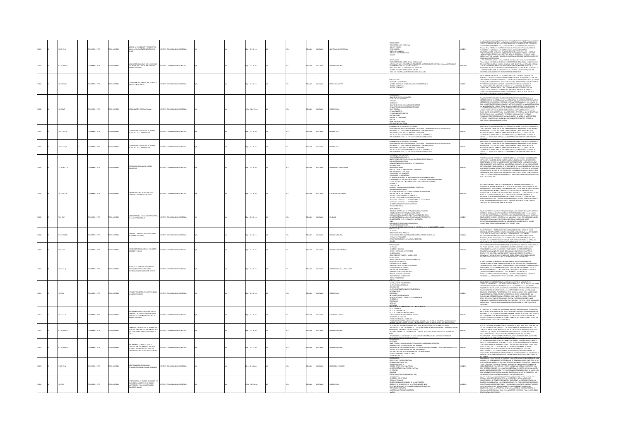|      | 0.07 (C17a           | MEIA:, 1972    |                 | .<br>Crtud de profesores y estudiantes<br>Acia la educación técnica de Nivel                                                       |                                  |  | ip.: 22 x 28 cm          |  | AÑOL         |                |                           | .<br>Roducción<br>Drmulación del Problema<br>-MARCO TEÓRICO<br>-METODOLOGÍA<br>-DISEÑO DEL ANÁLISIS<br>SPECTOS ADMINISTRATIVOS<br>NEXOS                                                                                                                                                                                                                                                                                                                               | 1283  | NATHOLOGICAL REALIZÓ EN TA CATALINA COSTA ROA COMPANYA EN ARSO DE MARZO<br>26 1972 EL "PRIMER LABORATORO INTERNATIONALO DE INVESTIGACIÓN ESOCATIVA",<br>CUVO TEMA FULDAMENTA PUE A EN MANUELONA DE ANTITIONS ERÍAN AT TECHNOLOGIA<br>AN<br>MOA EL CAMBIO EDUCATIVO. 2. ACTITUD HAOA LA EDUCACIÓN TÉCNICA DE NIVEL<br>AEDIO. 3.ACTITUD HAOA EL PAPEL DE LA MUJER EN LA SOCIEDAD. 4.ACTITUD HACIA LOS                                                                                                                                                                                              |
|------|----------------------|----------------|-----------------|------------------------------------------------------------------------------------------------------------------------------------|----------------------------------|--|--------------------------|--|--------------|----------------|---------------------------|-----------------------------------------------------------------------------------------------------------------------------------------------------------------------------------------------------------------------------------------------------------------------------------------------------------------------------------------------------------------------------------------------------------------------------------------------------------------------|-------|--------------------------------------------------------------------------------------------------------------------------------------------------------------------------------------------------------------------------------------------------------------------------------------------------------------------------------------------------------------------------------------------------------------------------------------------------------------------------------------------------------------------------------------------------------------------------------------------------|
|      | 7.1412 IC17a         | OMBIA: , 1972  | <b>O22RRMIC</b> | VAS CONCLUSIONES DEL DOCUMENT<br>SUPE POR QUE CONCENTRACIONES DE                                                                   | ALTO COLOMBIANO DE PEDAGOGÍA     |  | $1 p. : 22 \times 28$ cm |  | <b>PAÑOL</b> | <b>OLOMBIA</b> | <b>ARCLLO RURAL</b>       | INTRODUCCIÓN<br>-Problemática del medio Rubal Colombiano<br>-Activenands que observeñan entendes del sector<br>-Centervanoires de desarreñan entendes del sector<br>-Estrelionación<br>-Bapel del departamento Nacional de Flaneación<br>-Papel<br>MOES DEL SECTOR PÚBLICO Y PRIV<br>O EN LAS ÁREAS RURALES                                                                                                                                                           |       | YNKHAMPYBER DE PRYVEAR<br>A PARTICIPACIÓN ACTIVA Y CONSCIENTE DE LA POBLACIÓN BURAL ES INDISPENSABLE<br>VARA LOGIRAR EL DESARROLLO SOCIAL Y ECONÓMICO DEL ÁREA RURAL. LA DIPANSIÓN Y<br>MENTO INDUSTRIAL NO SERÁ REALIDAD SI NO SE INTEGRA AL MER<br>$\alpha$ komanto registral rossea regissor no se interesta regissor interesta regissor interesta regissor interesta regissor interesta regissor interesta regissor interesta regissor in the construction of the construction of t                                                                                                          |
|      | 0.77710174           | CRABIA: 1972   | O22RRMI OT      | GINAS ANOTACIONES SOBRE ESCALAS DE<br>GUACIÓN DE TEXTOS                                                                            | ASTITUTO COLOMBIANO DE PEDAGOGÍA |  | 5 p. : 22 x 28 cm        |  | <b>PAÑOL</b> | <b>AIRMOJO</b> | <b>DOTOS EDUCATIVOS</b>   | ntroqucción<br>Medición y Evaluación<br>-HORMAS GENERALS SOBRE LA ELABORACIÓN DE PRUEBAS<br>-PRUEBAS Y ACTITUDES<br>-PRUEBAS Y ACTITUDES                                                                                                                                                                                                                                                                                                                              |       | I ANOMINANY LA MINISTRA DE CONSTRUCCIÓN Y ANÁLISIS DE ESCALAS DE EVALUACIÓN. LOS<br>INCIPALES NORMAS DE CONSTRUCCIÓN Y ANÁLISIS DE ESCALAS DE EVALUACIÓN. LOS<br>DEPE, CON EL MINISTERIO DE EDUCACIÓN NACIONAL DE SUMINISTRARIE UNA<br>LOVI, COMMISSIONER DE MARCAREN MARCAREN NA SAMMISSIONE DE MARCAREN<br>DISTA SECONDENDOS, EL MARCAREN ANTICO DE LA FESCANZA QUE DESERVA LONDI DE LA MARCAREN<br>DISTANTA I PRODUCTORA A LOS AUTORES UNA ORIENTACIÓN SOBRE LOS<br>ENCICID                                                                                                                   |
|      | 03747                | CMELA: , 1972  |                 | ALGACIÓN MATEMÁTICA AN-7                                                                                                           | TO COLOMBIANO DE REDACOGÍA       |  | $A = 22 \times 33$ cm    |  | <b>Mick</b>  |                |                           | <b>RELACIONES ENTRE CONJUNTOS</b><br>-SEMCIONS SWITK CONJUNTOS<br>-GRAFO DE UNA REMOIÓN<br>-FUNCIÓN<br>-FUNCIÓN<br>-SEMCIONS SWITK CONJUNTOS DE NÚMEROS<br>-GRAJINOTONCIA<br>-GRAFOTENCIA<br>-SEUMOÍÓN ADSTIVA<br>-SITUADON NULTIPUCATIVA<br>-LAS FRACCIONES<br>-DIVISIÓN DE FRACCIONES<br>-ADIGIÓN<br>akión<br>Slación entre fyin<br>Os Números con coma                                                                                                             |       | en Warns oportuneares Hemos Instituo en la Necesiemo de Cambiar La<br>Netodología de la Enseñanza de la Matemática, con este fin, proponenos los<br>Método que d'Indanimanos "Método Matemático colombia" y que servia a d<br>Base a In<br>MER AWRETIGGOEK FRAN MALMO AW WATODO POMBOJ LO MALADICANO DIJENICA (1994)<br>A MECEDINISTO, DEL PALE NA KOLONY SE MAN DEPRODUS CHIETING SENERALISTO<br>CHIERARIA (1994)<br>BIZA ANGERIA A LA MANICA CHIERARIA (1944)<br>BIZA ANGELIA (1944                                                                                                            |
|      | 0.17a E <sub>1</sub> | CMELA: , 1972  |                 | NOS ASPECTOS DE UNA MODERNA<br>SOGÍA DE LA MATEMÁTICA                                                                              |                                  |  | p.: 22 x 28 cm           |  | <b>MGC</b>   |                | nuanca                    | PROBLEMAS DE LA EDUCACIÓN MODERNA.<br>EL LUGAR DE LAS MATERAÍTICAS ENTRE LAS CENCIAS Y SU PAPEL EN LA SOCIEDAD MODERNA.<br>ENSEÑARCA DE LA MATEMAÑICA TRADICIONAL Y SUS OSPICIONCIAS.<br>NUN NUEVA PEDAGOGÍA EN LA ENSEÑARCA DE LA MATE                                                                                                                                                                                                                               |       | A NIA NA HOT VA SALIMPO MUNINMA VAPARAN I YASI NISUNDALMAN A CAMA VA TASHA A MASA NI A MASA NI A MASA NI A MAS<br>DNGOMBOTOG Y HABILDADES NICESARAS PARA UNA PERSONA PODER BITRANDE EL<br>DNGOMBOTOG Y HABILDADES NICESARAS PARA UNA<br>ENCIA Y LA TECNOLOGÍA DEMANDAN UNA GRAN FLEXIBILIDAD POR PARTE DE TODO                                                                                                                                                                                                                                                                                   |
|      | 0.017882             | CMBIA: . 1972  | <b>IMPRESO</b>  | NOS ASPECTOS DE UNA MODERNA<br>GOGÍA DE LA MATEMÁTICA                                                                              | TO COLOMBIANO DE PEDAGOGÍA       |  | in.: 22 x 28 cm          |  | <b>Mick</b>  | <b>OLOMBIA</b> | TEMÁTICAS                 | PROBLEMAS DE LA EDUCACIÓN MODERNA.<br>-EL LUGAR DE LAS MATEMÁTICAS ENTRE LAS CIENCIAS Y SU PAPEL EN LA SOCIEDAD MODERNA.<br>-ENSEÑAJCA DE LA MATEMÁTICA EN TARDICONAS Y SUS DEFICIENCIAS.<br>-NUEVOS OBJETINOS PARA LA MATEMÁTICA ESCOL<br>UNA NUEVA PEDAGOGÍA EN LA ENGEÑANZA DE LA MATEMÁTICA<br>ISTUDIOS NECESARIOS EN LA PEDAGOGÍA DE LAS MATEMÁTICAS<br>EPARACIÓN DEL PROVECTO                                                                                   |       | .<br>XVIIXIN international continuum and the first the second data was called vili<br>AAS por la ciencia, la industria y la teorología. Sobre esta base, el cúmulo de<br>DNOCIMIENTOS Y HABILIDADES NECESARAS PARA UNA PERSONA PODER ENTENDER EL<br>UNOO EN EL CUAL VIVE Y SENTIRSE CÓMODA EN LA SOCIEDAD MODERNA ESTÁ<br>UNENTANDO REGULARMENTE. MÁS AÚN LA PROFUNDIDAD Y LA RAPIDEZ DE LOS<br>.<br>JAMBIOS EN LA ESTRUCTURA DE NUESTRA ECONOMÍA, EL MUNDO DEL TRABAJO, LA<br>JENCIA Y LA TECNOLOGÍA DEMANDAN UNA GRAN FLEXIBILIDAD POR PARTE DE TODO                                           |
|      | 1.307810170          | CMBIA: , 1972  |                 | NCURSO NACIONAL DE AYUDAS<br>CATIVAS                                                                                               | INNO DE PEDAGOGÍA                |  | .<br>2 p.: 22 x 28 cm    |  | wkou         | <b>CLOMBIA</b> | TERIALES DE E             | <b>REPANDO EN REVENTOS<br/>ARCHEOLOGICO EN ESPECIAL (N. 1974)<br/>2000 - CONSTANTINO EN CONSTANTE EN EN ENTRENCES<br/>2000 - CONSTANT (N. 1975)<br/>2000 - CONSTANTINO EN ENTRENCES<br/>2000 - CONSTANT (N. 1976)<br/>2000 - CONSTANTINO EN ENTRENCE (N</b><br>.<br>DRMULARIOS DE INSCRIPCIÓN RECIBIDOS USTA DEFINITIVA DE CONCUI                                                                                                                                     |       | CONTINUACIÓN SE PRESENTA EL INFORME SOBRE LAS ACTIVIDADES REALIZADAS CON<br>OTIVO DEI PRANTE CONCUSEO MACIONAL DE ANIDAS EDUCATIVAS, CELEBRADO EN<br>ISCITA DETER LOS CÍÁS DE A 18 DE MARZIO DE PRESENTE AÑO, LA IDEA DE REALIZAR<br>ET<br>N DISPERSOR NA NORMAD DE LOS BUDOS MONTELES COLONIBIPADAS PROGRAMAS DE<br>ISO DE LAS AVIDAS EDUCATIVAS, MEDIANTE ESTÍMULOS ADECUADOS. LA NECESIDAD DE<br>DIXOCER QUÉ PERSONAS Y ENTIDADES ESTÁN TRABAJANDO EN PROGRAMAS DE AVIDAS<br>DI                                                                                                               |
|      | 0.11310170           | LOMBIA: , 1972 | O22RRM (CT)     | ncentraciones de desarrollo<br>réculo del área vocacional                                                                          | TUTO COLOMBIANO DE PEDAGOGÍA     |  | 18 p. : 22 x 28 cm       |  | <b>PAÑOL</b> | CLOMBA         | <b>DUCACIÓN VOCACIONA</b> | LEUCANIEN VOLALIONAL EN LAS LUNLEN IRALIO<br>DNCEPTO<br>BITERIOS PARA LA ORGANIZACIÓN DEL CURRÍCULO<br>CHIDRIUI MONTROLINE<br>PROGRAMACIÓN GENERAL<br>OSCERVOS GENERALS DE LA EXICACIÓN VOCACIONAL RURAL<br>AGEOPECIARIAS I PROVECTOS ORIGINALS<br>AGEOPECIARIAS I PROVECTOS ORIGINALOS<br>RUGOPECIARIAS II PROVECTOS ORIGINALOS<br>RUGOTENAL AFILIADA<br>DMERCIAL APUCADA A LA AGROPECUARIA<br>DNSERVACIÓN DE RECURSOS NATURALES<br><u>ROMOGON S</u> OCIAL           |       | A LO AMBOR DELA HISTORIA EL LA HUGAMINO SE ORDENAS QUE EL TRANSPORTE (EL CERCETA DE LA CERCETA DE LA CERCETA DE LA CERCETA DE LA CERCETA DE LA CERCETA DE LA CERCETA DE LA CERCETA DE LA CERCETA DE LA CERCETA DE LA CERCETA                                                                                                                                                                                                                                                                                                                                                                     |
|      | 2.6 IC17c            | OMBIA: , 1972  |                 | egorías del lenguaje infantil etapas<br>La conversación (II)                                                                       | TUTO COLOMBIANO DE PEDAGOGÍA     |  | 6 p. : 22 x 28 cm        |  | AÑOL         | <b>CLOMBIA</b> | GJAS                      | MOMENTO REVISION CONTRACTOR<br>- FOOLDANTICA<br>- MODEL DOS SINGULAS LAS TRAPAS DE LA CONVERSACIÓN<br>- MONCACOS SINGUE Y MONÓCOGO CULTETIVO<br>- MONCACOS CON LA ACCIÓN O IL PRESAMIDITO CONCRETO<br>- COLADORACIÓN EN IL PENSAMIDITO ABSTRA<br>RINAS<br>ARGUMENTOS PRIMITINOS O ELEMENTALES<br>GUMENTACIÓN GENUNA                                                                                                                                                   |       | .<br>N DOCUMENTO ANTERIOR ("ESQUEMA GENERAL DE LAS CATEGORÍAS DEL LENGI.<br>NTEL () SE HIZO LA DESCRIPCIÓN DE LAS DIFERENTES CATEGORÍAS EN LAS CUALES<br>NHAPATIL (IS HIDDO A DISCRIPCIÓN DE LAS GREGIENTS CATEGORÍAS EN LAS CUALES<br>CONTINUACIÓN VISIGNOS LAS INTERVENCIAIS VIGINALS REALIZADAS POR UN NIÑO.<br>CON LA CONVISIGNON: LAS TITULISES NOS LA CUALES PARAN LOS INÍSTANOS POR RE                                                                                                                                                                                                    |
| 2548 | 7.1412 IC17c         | OMBIA: , 1972  | OZBRANI OT      | RÉCULO PARA LAS CONCENTRACIONES<br>DESARROLLO RURAL                                                                                | TUTO COLOMBANO DE PEDAGOGÍA      |  | $p_1: 22 \times 28$ cm   |  | <b>MOL</b>   | <b>OLOMBIA</b> | ARROLLO RURAL             | CONCLUDONIC CONTANTE ACT<br>OBJETIVOS<br>ESTRUCTURA DEL CURRÍCULO<br>e Minicionada General Para la Administración del Currículo<br>Sistema de Evaluación<br>Especificaciones de Planta Física y Botación<br><b>NEXOS</b>                                                                                                                                                                                                                                              | 12948 | IL LUXIMANU PROVINCI DE L'ENTRATORIA DE UN DISTRUIUTO AD DE LA DIVIDIDATIVA (EL 1993)<br>1910 GENERAL DE CARLOS DE LA DISTRUIUTO DE LA POLICIA CALENDA DE NUEVA COS 7 Y EN CARLOS DE LA CARLOS TENERA<br>1910 GENERA DE LA CARLOS DE<br>ACIONAL Y/O CONTINUAR ESTUDIOS EN OTROS NIVELES DE EDUCACIÓN                                                                                                                                                                                                                                                                                             |
|      | 89 K17c              | CMELA: , 1972  |                 | SO SOBRE EDUCACIÓN EN POBLACIÓN,                                                                                                   |                                  |  | $: 22 \times 28$ on      |  | κkα          |                |                           | INTRODUCCIÓN<br>- OBIETIVOS<br>- CONTENIDO GENERAL<br>- OBGANIZACIÓN<br>- OBGANIZACIÓN<br>- OBGANIZACIÓN<br>STRUCTURA DE LA UNIDAD DE INFORMACIÓN                                                                                                                                                                                                                                                                                                                     |       | PORTROLO ANGONAMIN' PARENDRA ANG MANAHAN ANG A CINAMINA ANG ARAW.<br>Aik parto de par iligrado ator na población mundal en los últimos años, a<br>Aik parto que ha liggado a condendra autoreades de debritates países.<br>Kenden Conci<br>MÔMED Y SOCIAL DE LOS PUEBLOS Y NO TANTO, COMO FUERA DEBIDO, EN LOS                                                                                                                                                                                                                                                                                   |
|      | 13.11 IC17p          | CMBIA: , 1972  |                 | HECTO DE ESTRUCTURACIÓN DE LA<br>DAD DE INFORMACIÓN SOBRE<br>ESTIGACIÓN EDUCATIVA DEL CENDIP                                       |                                  |  | p.: 22 x 28 cm           |  | <b>MGC</b>   |                | NIFICACIÓN DE LA EDU      | PROPÓSITO DEL SERVICIO<br>FUNCIONES DE LA UNIDAD<br>CLASIFICACIÓN DE LAS INVESSTIGACIONES<br>COMPONENTES DEL SERVICIO<br>DESCRIPCIÓN DEL PROGRAMA<br>ETAPA PRELIMINAR O DE PROYECTO<br>E MOVI PRESININGO DE PROTES<br>FRIMERA ETAPA DE EJECUCIÓN<br>ETAPAS POSTERIORES                                                                                                                                                                                                |       | SE HACE PAUPARE LA NECESSINO DE MANTINER EN EL COLPI INFORMACIÓN<br>DISCANZIANO - Y A LA NANO PAUPA DE MANTINER EN EL COLPI INFORMACIÓN<br>DISCANZIANO - A MANACO PAUSA DE MANTINER EN COLONIDER EN FRONTA DE MANICA<br>DISCANZIANO EN                                                                                                                                                                                                                                                                                                                                                           |
|      | 10170                | OMBIA: . 1972  |                 | .<br>DSIBLES FINALIDADES DE UNA<br>E LAS MATEMÁTICAS                                                                               | mith chinesiano ne ethacocia     |  | $9a: 22 \times 28$ cm    |  | <b>Mick</b>  |                |                           | ATRODUCION<br>OBSERVACIONS PRELIMINARES<br>OBJETIVOS DE LA DISCIPLINA<br>LOS MODELOS<br>uulmum<br>Vedraalicines generales<br>Aedos, Métodos y Espíritu de la Engeña<br>Rogramas<br>Rogramas<br>ropos                                                                                                                                                                                                                                                                  |       | ON A PACKERY OF CONTROL AS UNKNOWN THE VALUE AND A STANDARD CORRESPONDING TO THE VALUE OF CONTROL CONTROL AND CONTROL CONTROL CONTROL CONTROL CONTROL CONTROL CONTROL CONTROL CONTROL CONTROL CONTROL CONTROL CONTROL CONTROL<br>IODIFICADAS Y COMPLETADAS A LA LUZ DE LOS CONOCIMIENTOS ESPECÍFICOS DE LA<br>SCIPLINA                                                                                                                                                                                                                                                                           |
|      | 17110171             | MEIA: , 1972   |                 | RÉCULO DE FORMACIÓN VOCACIONAL<br>RÉCULA EN LAS CONCENTRACIONES DE<br><b>AROLLO RURAL</b>                                          |                                  |  | $: 22 \times 28$ cm      |  | κŵα          |                |                           | RELINDITE LA FUNDICION TOURISME<br>DICIO DE DRIURACIÓN<br>DICIO DE DRIURACIÓN<br>DICIO DE DRIURACIÓN<br>FOUCACIÓN DE ADULTOS<br>KNOYULE RABA LA EYRRALIVÍN VYCACIÓN<br>KNOYULE RABA LA EYRRALIVÍN VYCACIÓN<br>ENCYVILE RABA LA EYRRALIVÍN VYCACIÓN                                                                                                                                                                                                                    | 12852 | L CURRÍCULO DE FORMACIÓN VOCACIONAL AGRÍCOLA DEBE RESPONDER COMO SE DUO<br>RITELA LAS CARACTERÍSTICAS EN UNEDO, ALAS KOSESANCES Y ASPRACIONES DE LOS<br>RIEMBROS DE LAS COMUNINDOES, COMO TAMBIÉN DEBE ESTAR ACORSE CON LAS IMTAS<br>RI                                                                                                                                                                                                                                                                                                                                                          |
|      | 7.1412 IC17c1        | CMELA: , 1972  |                 | <b>SEEMING DE LAS CHÍAS DE TRABANO DA</b><br>estructuración del documento por<br>E concentración de desarrollo                     | ADDIAGARE DE PERSONA EN LO       |  | Pp.: 22 x 28 cm          |  | <b>Mick</b>  |                | ROLLO RURA                | NFOQUE PARA LA FORMACIÓN VICAGIONAL AGRÍCOLA EN LOS OCLOS ELEMENTAL, EXPLORADÓN Y<br>BERTÁGOLINY ACYONAL: CORRACYÓN VYCACIONAL : BAB EL VICALE Y ENCY ACYÓN DE ARIX 1705<br>BERTÁGOLINY ACYONAL: CORRACYÓN VYCACIONAL: BAB EL VICALE<br>EDIO RURAL, RECURSOS APROVECIARIES<br>SQUEMA GENERAL DEL CONTENIDO DEL TRABAJO - POR QUE CONCENTRACIONES DE DESARROLLO<br>omme.<br>CHÂL DE ROSIBI ES CONTENIDOS DE CADA HINO DE LOS CARÊDIHOS DEL DOCHMENTO ROB OHE.          |       | $\begin{minipage}[t]{0.9\textwidth} {\small \textbf{MUCA}} & \textbf{MUCA} & \textbf{MUCA} & \textbf{MUCA} & \textbf{MUCA} & \textbf{MUCA} \\ \textbf{MUCA} & \textbf{MUCA} & \textbf{MUCA} & \textbf{MUCA} & \textbf{MUCA} & \textbf{MUCA} \\ \textbf{MUCA} & \textbf{MUCA} & \textbf{MUCA} & \textbf{MUCA} & \textbf{MUCA} & \textbf{MUCA} \\ \textbf{MUCA} & \textbf{MUCA} & \textbf{MUCA} & \textbf{MUCA} & \textbf{$                                                                                                                                                                        |
|      | 7.1412 (017c2)       | OMBIA: 1972    | <b>IMPRESON</b> | EAMENTOS GENERALES PARA LA<br>VACITACIÓN DEL PERSONAL DOCENTE<br>NICO Y ADMINISTRATIVO PARA LAS<br>CENTRACIONES DE DESARROLLO RURA | TO COLOMBIANO DE PEDAGOGÍA       |  | $6a:22 \times 33$ cm     |  | <b>Wick</b>  | <b>OLOMBIA</b> | ADOCH LC DI BA            | CONCENTRACIONES DE DESAR<br>INTRODUCCIÓN<br>-OBIETIVOS<br>-deletivos<br>-nuke, técnico-profesional del personal motivo de la capacitación<br>-recliros contenidos para la capacitación del personal docente técnico y administrativo<br>-reglinos contenidos para la capacitación del personal do<br>PARTININATIVAS PARA LA CAPACITACIÓN DEL PERSONAL<br>ALTERNATIVAS PARA LA CAPACITACIÓN DEL PERSONAL<br>CONCLUSIONES Y RECONFINDACIONES<br><b>GRAS DE CONSULTA</b> |       | PARA LA CAPACITACION DEI PERSONAL DO CINEIX, TÉCNICO Y ADMINISTRATIVO PARA LAS<br>CONCENTRACIONES DE OSEARROLLO RUBAL". HA SECO NUESTRO PROPÓGITO QUE ELLA<br>RESPONSA LA CAPACITA (LA CAPACITACIÓN DE CAPACITA DE CAPACITA<br>RESPONSA                                                                                                                                                                                                                                                                                                                                                          |
|      | 127 (174)            | LOMBIA: . 1972 | isabarco.       | .<br>JA PARA LA CONSTRUCCIÓN Y<br>TANDARIZACIÓN DE PRUEBAS OBJETIVAS                                                               | ALTO COLOMBIANO DE PEDAGOGÍA     |  | $0.0.22 \times 11$ cm    |  | <b>Wick</b>  | <b>OLOMBIA</b> | <b>DUCACIÓN - PRUEBA</b>  | NTRODUCCIÓN<br>PAPEL DE LAS PRUEBAS OBJETIVAS<br>-CONFINIELIDAD DE LIN TEST<br>-VALIDEZ DE LOS TESTS<br>-PRESIÓN: A TRAVÉS DE LINA PRUEBA<br>FRANSIS A INNESSA UNA FRUEBA OBJETIVA<br>CONSTRUCCIÓN DE UNA FRUEBA OBJETIVA<br>APÉNDICE<br>TAPAS EN LA CONSTRUCIÓN DE UN TEST                                                                                                                                                                                           |       | UN'ORDE L'ANNO, COMO I MORINA PAPA UGANO L'AN INCIDIDAMENTA DE LO CE MESTINA EN COMO I MONDRE L'ANNO 1992 (EN M<br>L'ONQUADORI I ES UN PROCESO SETTEMATIO PARA DETERMINAR EN QUÈ MESTIN E SI HAN<br>LOGICILO DE COMETARS PROPUESTOS<br>MBDILION ES REJELE PROLSSO QUE PARMITE PSIGNINO UN SOTEMA NUMERILLO A UNA.<br>SERBI DE DESERVADONES, POR LO ANTERIOR NOS DANGS CUENTA QUE LA EVALUACIÓN.<br>VA MÁS ALLÁ QUE LA MEDICIÓN; PUES SUPONE LA EXISTENCIA DE JUICIOS DE VAL<br>PACIDADES O LOS PROGRESOS LOGRADOS POR LOS INDIVIDUOS.<br>PACIDADES O LOS REGISTEROS LOGRADOS POR LOS INDIVIDUOS. |
|      | akus                 | CRABIA: 1972   |                 | NE SOBRE EL TRA<br>.<br>GRUPO DE ASESORES EN EL ÁREA DE<br>IATEMÁTICAS PARA EL CURRÍCULO DE<br><b>CACIÓN BÁSICA</b>                | ARONADIA 30 OMAINMO DE DELA      |  | (Ap.: 22 x 28 cm)        |  | <b>AROL</b>  | CLOMBIA        | TEMÁTICAS                 | NUMANANCUM<br>-CONTRINDO DEL INFORME<br>-TRIDENCIAS EN LA ENSEÑANZA DE LA MATEMÁTICA<br>-TRIDENCIAS EN LA ENSEÑANZA DE LA MATEMÁTICA<br>-SHETIUNDS GENERARES DE LA ENSEÑANZA DE LA MATEMÁTICA<br>-SHETICTURA PRECOMENCACIONES<br>-SHETICTURA PRE                                                                                                                                                                                                                      |       | EO MOVIMUS PRODUKSON KONSTANTO DE MECISION DE LI INVARIA CARO UNA CARONA (MA 1992)<br>SÉCARA, HAMI-PIESTO DE MANIFIETO LA INCEDIDAD DE LI INVARIA CARO UNIA<br>MODORMACIÓN EN CONTIDUOS PAI ÁRIA TALES COMO LA FIDELA, LA QUÍMICA, L                                                                                                                                                                                                                                                                                                                                                             |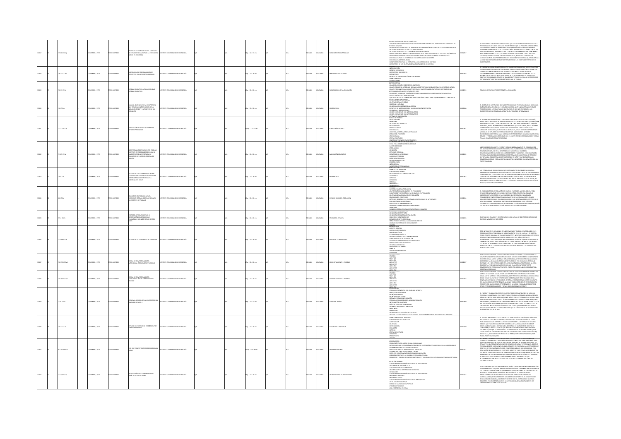|  | 5.0011017p   | <b>CMEIA:</b> , 1972 | O22RRM OT       | CTO DE ESTRUCTURA DEL CURRÍCULO<br>DE ESTUDIOS SOCIALES PARA LA EDUCACIÓN<br>BÁSICA EN COLOMBIA                                                     | ARODAGED DE CAMBARDED DE UTITS      |  | $1 p. : 22 \times 33$ cm |  | <b>MACL</b>  | CMBA          |                             | stificación de un nuevo currículo<br>Gunos aspectos pedagógicos tendos en cuenta para la elaboración del currículo de<br>UDIOS SOCIALES<br>UURUS SULIMUSS<br>PSICOLOGÍA EVOLUTIVA Y SU APORTE EN LA ELABORACIÓN DEL CURRÍCULO DE ESTUDIOS SOCIALES<br>IETIVOS GENERALES DE LOS ESTUDIOS SOCIALES<br>DISITIVOS GRISFAMES DE LOS ESTUDIDOS DOCAUS.<br>ESTIMUCION GRISFAMES DE LA ENGERIANZA DE LA GEOGRAPÍA<br>ESTUDIDOS CONFINIDOS DE TENDERA DE LA GEOGRAPÍA ANALISTO GRADOS 1 A 9 DE EDUCATO[N BÁSICA<br>ESTUDIDONADA VIANA EL COMPOSICION | 12857      | NALIZAMOS LAS GRANDES DIFICULTADES QUE EN TODO ORDEN HAN PRESENTADO Y<br>SENTAN LOS ESTUDIOS SOCIALES, ENCONTRAMOS QUE SU PRINCIPAL ORIGEN DERVIA<br>LA MÚLTIPLE GAMA DE PROBLEMAS QUE SE CRUZAN Y ENTRELAZAN, FORMANDO<br>IDADEROS LABERINTOS A LOS CUALES ES DIFÍCIL HALLARLES SOLUCIONES CONCRETAS,<br>RINGINGOS LIMIRINTOS A LOS CLUASES ESPACIAI NALIANES SOLUCIDAIS CONCISTAS,<br>EN CINA Y ANÁRION, MENTRAS CITAIS CENDENAS EN AN ANGUESTO CUNA CANDIDA DE CONSTANTA EN EN ANTINO CULTURE EN ES<br>EN ESTANDO Y EXACTO DE CASESTADOS VI        |
|--|--------------|----------------------|-----------------|-----------------------------------------------------------------------------------------------------------------------------------------------------|-------------------------------------|--|--------------------------|--|--------------|---------------|-----------------------------|---------------------------------------------------------------------------------------------------------------------------------------------------------------------------------------------------------------------------------------------------------------------------------------------------------------------------------------------------------------------------------------------------------------------------------------------------------------------------------------------------------------------------------------------|------------|-------------------------------------------------------------------------------------------------------------------------------------------------------------------------------------------------------------------------------------------------------------------------------------------------------------------------------------------------------------------------------------------------------------------------------------------------------------------------------------------------------------------------------------------------------|
|  | 11 K17m      | MEIA: , 1972         |                 | .<br>DOS PARA PROGRAMACIÓN DE<br>DCTOS CON RECURSOS LIMITADOS                                                                                       | NTO COLOMBIANO DE PEDAGOGÍ          |  | $p. : 22 \times 28$ cm   |  |              |               | SUPUESTO EDUCATIV           | avisos<br>NTRODUCOÓN<br>MODELO HEURISTICO<br>UGINALI FILMININUS<br>CERARICAN DEL MODELO<br>CERLO DE PROGRAMACIÓN ENTERA BINARIA<br>nnteamento<br><del>NEVERNIS</del>                                                                                                                                                                                                                                                                                                                                                                        |            | ESENTAN Y ANALIZAN DOS MODELOS, UNO DE PROGRAMACIÓN HEURÍTICA Y OTRO                                                                                                                                                                                                                                                                                                                                                                                                                                                                                  |
|  | 111 (17)     | MEIA: , 1972         | O IMPRESO       | SISTEMA EDUCATIVO ACTUAL VS NUEVO<br>SISTEMA EDUCATIVO                                                                                              | TITUTO COLOMBIANO DE PEDAGOGÍA      |  | $p. : 22 \times 28$ cm   |  | AÑOL         | <b>WELA</b>   | VERCACIÓN DE LA EDUCACIÓN   | SOMEON COMPANY ON THE SET OF THE SET OF THE SET OF THE SET OF THE SET OF THE SET OF THE SET OF THE SET OF THE S<br>LINUA KITUAN - AND LOCATED THE SET OF THE SET OF THE SET OF THE SET OF THE SET OF THE SET OF THE SET OF THE SE<br><b>CANDIDAL 15-TECHNICAL</b>                                                                                                                                                                                                                                                                           | <b>SSS</b> | ACIÓN DE ENTREVISTAS REFERENTES A EDUCACIÓN.                                                                                                                                                                                                                                                                                                                                                                                                                                                                                                          |
|  | 0.017m       | LOMBIA: . 1972       | OZRRNI OT       | .<br>MANUAL GUÍA NÚMERO VI COMPRESIO<br>QUE TIENEN LOS NIÑOS ACERCA DE LA<br>SACIÓN DE 1,2 Y 3 ATRIBUTOS DE UN<br>NAUNTO                            | ALCOAMENTO DE PEDAGOGÍA             |  | $n: 22 \times 28$ cm     |  | <b>Wick</b>  | <b>AIGNOX</b> | TEMÁTICAS                   | MISION NICOLE LE COSTRUIRO<br>MATERIAL A UNILISAR<br>DISERVAS AS UNISPANS DEL MATERIAL<br>DISEANIZACIÓN INTERNA DEL MATERIAL<br>LEMANCA CE MATERIALES CON<br>DISERVAS E INSTRUCCIONES<br>DISERVACIONENTE DEL INTERRIGATORIO<br>DISERVACIONENTE DEL<br><b>CEDAR DE CAMBIO</b>                                                                                                                                                                                                                                                                | 12960      | .<br>NIETIVO DE LAS PRUEBAS QUE A CONTINUACIÓN SE PRESENTAN BUSCAN AVERIGU<br>É ENTIEMDEN LOS NIÑOS DE 3 A 9 AÑOS CUANDO, ANTE UN MATERIAL INTEGRADO<br>r consuntos, les soucitanos que tachen, o que nos entreguen, los<br>Mentos que no tienen un atributo (o atributos) determinado.                                                                                                                                                                                                                                                               |
|  | 112210176    | CMBIA: , 1972        | O22RRMI OT:     | UACIÓN DE ESCUELAS NORMALES<br><b>GAIL PRELIMINAR</b>                                                                                               | TITUTO COLOMBIANO DE PEDAGOGÍA      |  | (Ap.: 22 x 33 cm         |  | PAÑOL        | <b>AIGNO</b>  |                             | MARCO DE TRABAD<br>- ANTICEDENTES<br>- DEETIVOS, DEL PROVECTO<br>- DEETIVOS, DEL PROVECTO<br>- MARCO TEÓRICO<br>- MAVIERO, MUESTRA, ETAPA DE TRABAJO<br>- LINIVERO, MUESTRA, ETAPA DE TRABAJO<br>- L'INIVERO, MUESTRA, ETAPA DE TRABAJO<br>- CEOMO CRI<br>ONDERAMA<br>APAS CUMPLIDAS<br>OBSERVACION DE LOS ESCOLARE                                                                                                                                                                                                                         |            | ADO Y POTENCIAL DE DESARROLLO CON EL OBIETO DE NO RECARGARLAS CON TAREAS:<br>LIAS CUÁLES NO ESTÁN PREPARADAS.                                                                                                                                                                                                                                                                                                                                                                                                                                         |
|  | 71.271017g   | CMBIA: , 1972        | TO IMPRESO      | SUÍA PARA LA OBSERVACIÓN DEL ESCOLAR<br>NSTITUTO DE ESPECIALIZACIÓN PARA EL<br>WAGISTERIO DE LA SECRETARÍA DE<br>IDUCACIÓN DEL DISTRITO ESPECIAL DE | <b>DITO COLOMBIANO DE REDACOCÍA</b> |  | p.: 22 x 28 cm           |  | <b>PAÑOL</b> | <b>AIRMOJ</b> | <b>ALUACIÓN EDUCATI</b>     | ICHA PARA CRSERVACIÓN DEL ESCOLAR<br>1ATOS GENERALES<br>1SCOLARIDAD<br>INCURRIDAD<br>SPUERRO PERSONAL<br>SPUERRO DE APRENINA<br>ABILIDAD PERSONAL<br>ABILIDAD PERSONAL<br>VITUDES ARÍSTICAS<br>TIDENCIA<br>TERNICA PERSONAL<br>TIDENCIA<br>MSGOS DE LA PERSONALIDA                                                                                                                                                                                                                                                                          |            | NA DIRECCIÓN EDUCATIVA EFICIENTE IMPILEA NECESARIAMENTE EL CONDOMIENTO<br>EL ALUMNO EN TODOS LOS ASPECTOS DE SU VIDA RIUDA NÚMERO DE FRUSTRACIONES<br>EDGEN SU ORIGIN, NO EN LA IGNORABICA DE LAS CEINCAS SINO EN EL<br>ESCONDOMIENTO D<br>NGAPAL PARA QUAL EN LOS PROGRAMAS DE FORMACION MANUSTERIALS E OTORIGOL<br>CORTANGIA CREGENTE A LOS ESTUDIOS SOBRE EL NIÑO Y MUY EN PARTICULAR<br>KSIDERADO COMO ESCOLAR. DE TAL INQUIETUD HA SUBGIDO UN NUEVA CIENCIA, LA<br>COPEDAGOGÍ                                                                    |
|  | iC17e        | MEIA: , 1972         | <b>IMPRESC</b>  | TUDIO PILOTO EXPERIMENTAL SOBRE<br>GUNOS ASPECTOS PSICOLÓGICOS PARA<br>S PROGRAMAS DE MATEMÁTICA<br>JOERNA DEL ICOLPE                               | TUTO COLOMBIANO DE PEDAGOGÍA        |  | $5p: 22 \times 28$ cm    |  | ŵα           | wax           |                             | NIMERALAMIN<br>PLANTED DEL PROGLEMA<br>ELINDAMENTO TEÓRICO<br>unumento i Editad<br>Etodología de la Investigación<br>NCURSOS<br>IÓTESIS<br>RACIÓN<br>SCRIAL                                                                                                                                                                                                                                                                                                                                                                                 |            | s técnicas que se empleabán y los instrumentos que en estas primeras.<br>Periencias se elaboren, servibán para la evaluación tanto de los progra<br>PERIURIJAS SE LEGIOROJO, SEKVIDOR PARA LA LIGRADALIJOS IRRITU ULI LOS PROGRAMOS<br>1 MATEIMÁTICA, COMO PARA LOS OTROS PROGRAMAS Y METODOLOGÍAS DE ENSEÑAN<br>1E SE ESTÁN REALIZANDO EN LAS DEMÁS ÁREAS CURRICULARES, LA EXPERIENCIA<br>BILNAÁ A PARTIR DE FEBRERO DE 1972 A VARIOS ESTABLECIMIENTOS EDUCATIVOS DE<br>GOTÁ, TUNJA Y BUCARAMANGA.                                                   |
|  | 25220        | CMEIA: , 1972        | O22RRMI OT      | educación en Población en El<br>Durrículo escolar: Ciencias sociales<br>Documento de Trabajo                                                        | TITUTO COLOMBIANO DE PEDAGOGÍA      |  | p.: 22 x 28 cm           |  | <b>MACL</b>  | CMBA          | ENCIAS SOCIALES - POBLACIÓN | BEFACIO<br>LE POR QUÉ DE LA FOELACIÓN<br>EL POR QUÉ DE LA EDUCACIÓN EN POBLACIÓN?<br>GENERICADO Y DEFINICIÓN EN POBLACIÓN EN POBLACIÓN<br>ENERCIÓN DEL CONTENIDO<br>ELECCIÓN DEL CONTENIDO<br>ELECCIÓN DEL CONTENIDO<br>SALUCIÓN DEL CONTENIDO<br>MÉTODO GENERALES DE PASSÍANZA Y SUGESENCIAS DE ACTIVIDADES<br>CIVILIACIÓN DE LA ENSEÑAIZA<br>STRUCIGOS DE MULDADETACIÓN<br>VÉDECISES DORE TRANS NO CURRICULARES<br>VÉNECISES DORE TRANS NO CURRICULARES<br>VÉNECISES D<br>AN DE CURRÍCULO PARA LA EDUCACIÓN EN FOBLA                      |            | COMENTO DE LA POBLACIÓN EN MUCHAS PARTES DEL MUNDO, CON SU TAZA<br>AMENTE ALABMENTE, HA LLEGADO A SER UN PROBLEMA ORIXONI EN VARIAS<br>NERAS. ESTA EXPLOSIÓN DE LA POBLACIÓN QUE DE ACUERDO A ALGUNOS<br>ISADORES SE ENCUENTRA APENAS A LA VUELTA DE LA ESQUINA, ESTÁ LLENA DE<br>JOHAS CONSECUENCIAS CON RAMIFICACIONES QUE ARECTAN VARIOS ASPECTOS DE LA<br>SARROLLO COMO LOS NUEDERISOS, EL PROBLEMENTO COMAL: PARA PAÍSES EN<br>SARROLLO COMO LOS NUESTROS, EL PROBLEMA ES AÍN MÁS ARGIDO PUESTO QUE NÁS<br>L'45% DE                              |
|  | .<br>4 IC17p | CMBIA: , 1972        | O IMPRESO       | TOCOLO PARA REGISTRAR I A<br>OBSERVACIÓN DEL DESARROLLO<br>PSICOLÓGICO DEL NIÑO MENOR DE DOS                                                        |                                     |  | $p. : 22 \times 28$ cm   |  | <b>PAÑOL</b> | OMBIA         | <b>COLOGÍA INFANTIL</b>     | <b>USAN DUCE LONGICI INTERNATIONAL EN PORTAL DE CONSUMITAT DE CONSUMITAT DE CONSUMITAT DE CONSUMITAT DE CONSUMITAT DE CONSUMITAT DE CONSUMITAT DE CONSUMITAT DE CONSUMITAT DE CONSUMITAT DE CONSUMITAT DE CONSUMITAT DE CONSUMIT</b>                                                                                                                                                                                                                                                                                                        | 12865      | ILLA CON CUADROS Y CUESTIONARIOS PARA LLEVAR EL REGISTRO DE DESARROLLO<br>IÑOS MENORES DE DOS AÑOS                                                                                                                                                                                                                                                                                                                                                                                                                                                    |
|  | 40910176     | SMAN: . 1972         | <b>O2205MID</b> | O DE LA COMUNIDAD DE SARAVENA                                                                                                                       | TITUTO COLOMBIANO DE REDACOCÍA      |  | $a: 22 \times 28$ cm     |  | x6o.         | was           | TUNOS - COMUN               | -CALIFORNIA DE COMUNICACIÓN<br>ARTIFICADO ESTADA DE COMUNICACIÓN<br>ARTIFICADO ESTADA<br>HISTÓRICO ESTABA<br>HISTÓRICO ESTADA<br>ARTIFICADO ESTADA<br>CHALIFORNICA PODENCIA<br>COMUNICADO ESTADA DE TURISICO<br>COMUNICADO ESTADA DE TURISICO<br>COMUNICA<br>MILIA<br>NGNOA Y SALUBRIDAD<br>ONOMÍA                                                                                                                                                                                                                                          |            | RTIT INFORME DI EL REGIA TACIO DE UNA SEMANA DE TRABADO DE DATOLICADO EN EL CIUTO DE CONSTITUIDO EN EL CIUTO DE CONSTITUIDO EL CIUTO DE CONSTITUIDO EN EL CIUTO DE CONSTITUIDO EN EL CIUTO DE CONSTITUIDO EN EL CIUTO DE CONS                                                                                                                                                                                                                                                                                                                         |
|  | 1152101701   | CRABLA: . 1972       | O22RRMI OT      | ALA DE COMPORTAMENTO -<br>ITUDINAL: TÉCNICA DE NIVEL MEDIO                                                                                          | TITUTO COLOMBIANO DE PEDAGOGÍA      |  | $n: 22 \times 28$ cm     |  | wkou         | <b>WELA</b>   | <b>GOOTAMENTO, 001ICBA1</b> | 251700<br>RS 8-TEC<br>RS 81-TEC<br>RS M-TEC<br>RS V-TEC<br>RS V-TEC<br>fibitib                                                                                                                                                                                                                                                                                                                                                                                                                                                              |            | .<br>NIETO CONTIDNE AFRAMACIONES RELATIVAS A LA FORMA EN QUE LA GENTE SE<br>IFT FOLLETO CONTINUE AFRAMACIONISTS BELLATIVIS AS A AN FORMA AN QUI LA GENTE SE<br>ANGOENA DE CIERTAS SITUACIONES DE CLÁLES SON SUS SENTINININTES CON RESPECTO<br>SIENTAS COSAS: LUITEN MENSIO, LUITENA FRANCA A MINIMO DE TRIBINI L                                                                                                                                                                                                                                      |
|  | 153101762    | MEIA:, 1972          | O22RRMI OT      | ESCALA DE COMPORTAMENTO -<br>ACTITUDINAL: BAGHILLERATO DE TIPO<br>TÉCNICO                                                                           | TITUTO COLOMBIANO DE PEDAGOGÍA      |  | p.: 22 x 28 cm           |  | AÑOL         | WAN           | PORTAMENTO - PRUEBAS        | PRUEBAS<br>MES I-TEC<br>MES II-TEC<br>MES IV-TEC<br>RE-V-TEC<br>RE-V-TEC<br>RE-V-TEC                                                                                                                                                                                                                                                                                                                                                                                                                                                        |            | $\begin{minipage}[t]{0.9\textwidth}\begin{tabular}{l cccccc cccccc } \hline \textbf{M} & \textbf{M} & \textbf{M} & \textbf{M} & \textbf{M} & \textbf{M} & \textbf{M} & \textbf{M} & \textbf{M} & \textbf{M} & \textbf{M} & \textbf{M} & \textbf{M} & \textbf{M} & \textbf{M} & \textbf{M} & \textbf{M} & \textbf{M} & \textbf{M} & \textbf{M} & \textbf{M} & \textbf{M} & \textbf{M} & \textbf{M} & \textbf{M} & \textbf{M} & \textbf{M$                                                                                                              |
|  | 26 10174     | LOMBIA: . 1972       | OZRRAMI OTX     | UEMA GENERAL DE LAS CATEGORÍAS DEL<br>GUAJE INFANTIL I                                                                                              | ARODAGER 30 OMAILMAD DE PEDAGOGÍA   |  | $n: 22 \times 32$ cm     |  | <b>Wick</b>  | <b>AIGNOX</b> | NGUAIS - NIÑOS              | HE ANNOUN<br>ESENTACIÓN<br>"MAAS ECOCÉNTRICAS DEL LENGUAJE INFANTIL<br>MIGRIMONION<br>COMAS ECOCÍNTEICAS DEL LENGUA<br>AONÁCOGO SECULAIA<br>AONÁCOGO SECULAIA<br>AONÁCOGO COLECTIVO<br>COMAS AOCONACINO SECULAIANO<br>NOMAS AOCONACINO SECULAIANO<br>NOMAS AOCONACO NEGATIVAS<br>SECULAIANO VIVAS O NEGATIVAS<br>SECULAIANO VIVA<br><b>AIC INCANTIL</b><br>REIGNAS, PHILIONNIST AMERIKAAS<br>ESPUESTAS<br>ESPUESTAS<br><u>NÁLISIS CUMM</u> ITTATIVO Y CUM/ITATIVO<br>NÁLISIS CUMMITTATIVO Y CUM/ITATIVO                                     |            | RESENTE TRABAJO CONSTITUYE UN INTENTO DE SISTEMATIZACIÓN DE LAS IDEAS<br>NOPALES ELABORADAS POR PIAGET EN SUS ESTUDIOS ACERCA DEL LENGUAJE DE LOS<br>IOS DE ONCO A OCHO AÑOS. LA FUENTE BÁSICA PARA ESTE TRABAJO HA SIDO EL LIBRO<br>RITO POR JEAN PIAGET CON EL TÍTULO PENSAMIENTO Y LENGUAJE EN EL NIÑO, 19<br>CRITOPOR ANA MAGAT CON EL TITULO DRISANARINTO V LINGUALE DI EL NINO, 1922.<br>LENDARGO, TAMBIÉN SE HAN TENEDO DR CURITA LAS CRÍTICAS FORMULADAS A ESTOS<br>LENDARGO, VAMBIÉN SE HAN TENEDO DR CURITA LAS CRÍTICAS FORMULADAS A ESTOS |
|  | 8.17 (C17e   | MEIA: , 1972         | O22RRMI OT      | UDIO DEL SISTEMA DE ENSEÑANZA POR                                                                                                                   | TITUTO COLOMBIANO DE PEDAGOGÍA      |  | $p.$ : 22 x 28 cm        |  | wko.         | <b>AIGMOJ</b> | DUCACIÓN A DISTANCIA        | HINANANINA<br>FLANTEAMIENTO DEL PROBLEMA<br>FORMULACIÓN DEL PROBLEMA<br>JUSTIFICACIÓN<br>OBJETIVOS<br>DEIETIVOS<br>METODOLOGÍA<br>VOELACIÓN<br>MÉTODO<br>SURACIÓN<br>SURACIÓN<br>METODOLOGÍA<br>METODOLOGÍA                                                                                                                                                                                                                                                                                                                                 |            | AWANCE VERTIGINGEG DE LA CENICIA Y LA TECNICAGÍA EN LOS ÚLTIMOS AÑOS Y LA<br>CESEDAD DE COMUNICACIÓNS CESEDARMENTOS Y TÉCNICAS CENTÍFICAS (MINA)<br>RELACÍÓN CARA VEZ MAYOR, INA HEGITO MÁS URGENTE LA INSECISIÓN DE UTURIAR<br>RELACÍÓ<br>ANNOULLE, THIS AND IN MOVING AN INFORMATION IN THE VARIANT MODIFIES,<br>GAR DONDE SE ENCLIDITEE. ESTE TIPO DE EDUCACIÓN TIENE VARIAS MODALIDADES,<br>ITRE ELLAS, ENSEÑANZA POR MEDIO DE LA PRENSA, POR CORRESPONDENCIA, POR<br>IDIO, PO                                                                    |
|  | 7.1412 10170 | CMBIA: , 1972        | O22RRMI OT:     | POR QUE CONCENTRACIONES DE DESARROLL                                                                                                                | STITUTO COLOMBIANO DE PEDAGOGÍA     |  | $2p:22 \times 28$ cm     |  | <b>PAÑOL</b> | <b>KOMBIA</b> | <b>AROLLO RURA</b>          | RODUCCIÓN<br>ktroducion<br>Vedblemática del Medio Rubal Colombiano<br>Civilidades que desempeñan entidades del Sector Público y Pri<br>Civilitegia Para la Apulación del Proyecto<br>Strategia Para la Apulación del Proyecto<br>(ADO EN LAS ÁDEAS DI IDAI ES<br>ionskio Nacional de Desarrollo Rubal<br>1490: Del Departamento Nacional de Flaneación<br>1652: Déa Constante al Consejo de Desarrold Rubal<br>1636: Déa Constante al Consejo de Desarrold Rubal<br>1636: Deux y Presidr Reuniones Nacional<br><b>JACION GENERAL</b>        |            | yawaha jinawad hilayu fun un kumu kumuu ingu la unilluun un un.<br>Cina de Planeación y Asesorías del Icolpe constituite un intento más para                                                                                                                                                                                                                                                                                                                                                                                                          |
|  | 133510174    | LOMBIA: , 1972       | O22RRMI OT:     | TUACIÓN DE LOS INSTRUMENTOS<br>:TICOS EN COLOMBIA                                                                                                   | TITUTO COLOMBIANO DE PEDAGOGÍ       |  | p.: 22 x 28 cm           |  | <b>PAÑOL</b> |               | STRUMENTOS - AU             | S INSTRUMENTOS DIDÁCTICOS EN EL SISTEMA NORMAL<br>.<br>15 COMPLEIOS INSTRUMENTALES<br>ICIDENCIA EN LA RENTABILIDAD EDUCATIVA<br>INCIDINAL IN LA RENTABILIBAD EDUCATIVA<br>LONCLUSON<br>LONCLUSON<br>ENGÉRADEA MERIANTA DIGÁCTICOS EN EL SISTEMA NORMAL<br>ENGÉRADEA MERIANEA<br>LA TELEVIGÍN EDUCATADA<br>LON ENGÉRADEA DIGITALIÓN POPULAR<br>LONDO DE CAPACTADÓN POPULAR<br>UNA ENEGR<br>NA EXPERIENCIA POSITIVA                                                                                                                           |            | DOOS MARINDS QUE LOS INSTRUINTUOS DISÁCTICOS PREMIENTES UNA LOCANIZACIÓN DE ESPACIONAL EN COMPARACIÓN DE ESPACIONAL EN COMPARACIÓN DE ESPACIONAL EN CONSUMITORAL EN CONSUMITORAL EN CONSUMITORAL EN CONSUMITORAL EN CONSUMITO                                                                                                                                                                                                                                                                                                                         |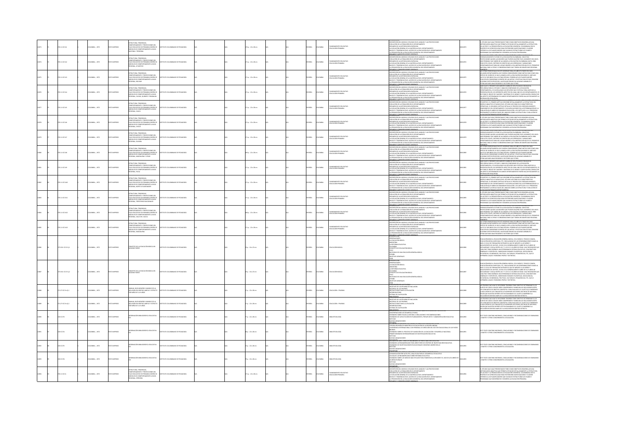|  | 11101742           | MEIA: , 1972          |                | LICTURA, TENDENCIAS,<br>APORTAMIENTO Y PROYECCIONES DEL<br>10 EDUCATIVO DE PRIMARIA DISEÑO DE<br>DELOS DE COMPORTAMIENTO A NIVEL<br>JONAL Y REGIONAL                                         |                                  |  | $p_{1}: 22 \times 28$ cm |  |              |                | whamminto Educativo<br>Ducación Primaria   | SCRIPCIÓN DEL MODELO UTILIZADO EN EL ANÁLISIS Y LAS PROVECCIONES.<br>DLUCIÓN DE LA POBLACIÓN EN EL DEPARTAMENTO<br>ISUMEN DE LA METODOLOGÍA EMPLEADA<br>I EVOLUCIÓN GENERAL DE LA MATRÍCULA EN EL DEPARTAMENTO<br>MELES Y TENDENCIAS EN EL ACCESO DE LA EDUCACIÓN EN EL DEPARTAMENTO<br>PROMOCIÓN EN LA EDUCACIÓN ELEMENTAL DEL DEPARTAMENTO                                                                                                                                                       |         | ri. Estudio que aquí presintamos tene como obietivos desarroliar una<br>Metodología analítica que primen setudar detaliadament la estrictura.<br>Del acceso y la promoción en la educación elemental colombinan. Con el<br>Propósito de<br><b>SAMAS QUE MODERNICEN Y MEJOREN LA EDUCACIÓN PRIMARIA.</b>                                                                                                                                                                                                                                                                                |
|--|--------------------|-----------------------|----------------|----------------------------------------------------------------------------------------------------------------------------------------------------------------------------------------------|----------------------------------|--|--------------------------|--|--------------|----------------|--------------------------------------------|----------------------------------------------------------------------------------------------------------------------------------------------------------------------------------------------------------------------------------------------------------------------------------------------------------------------------------------------------------------------------------------------------------------------------------------------------------------------------------------------------|---------|----------------------------------------------------------------------------------------------------------------------------------------------------------------------------------------------------------------------------------------------------------------------------------------------------------------------------------------------------------------------------------------------------------------------------------------------------------------------------------------------------------------------------------------------------------------------------------------|
|  | 20.11 (2242)       | MEIA: , 1972          |                | <b>BUCTURA TENDENCIAS</b><br>NO MARINA PROVECCIONES DEL<br>DERUGATIVO DE PRIMARIA DESEÑO DE<br>ELOS DE COMPORTAMIENTO A NIVEL<br>DIAL, ATLÁNTICO                                             |                                  |  | $1 p. : 22 \times 28$ cm |  | <b>PAÑOL</b> | wax            | NICACIÓN DEBAARE                           | <b>DARKY COME</b><br>SCRIPCIÓN DEL MODELO UTILIZADO EN EL ANÁLISIS Y LAS PROYECCIONES<br>QUICIÓN DE LA POBLACIÓN EN EL DEPARTAMENTO<br>VONDONT DE LA ANTITODILOGÍA EN EL SEPARTAMENTO<br>ESUMEN DE LA ANETODOLOGÍA ENPERADA<br>VALES Y TENDENCIAS EN EL A MATRÍCULA EN EL EGUADIMENTO<br>VALES Y TENDENCIAS EN EL A COLOGÍA ELEMENTAL DEL DEPARTAMENTO<br>A PROMOCIÓN EN LA EDUCA<br>INSTRUCCION DEPARTMENT CONFIDENTS                                                                             | 012874  | istuuri tilne lunni like tinu uhreler prijneluunis luidrulis.<br>Volvimiento futuro de la educación colombiana. Son estas<br>ESENVOLVANENTO FUTURO DE LA EDUCACIÓN COLOMBIANA. SON ESTAS<br>ASYRCOLOMES QUIZÁS LAS MIEDISES QUE PUEDEN HACERSE EN EL MOMENTO DEL NIVEL<br>AS PREDIMENT QUE VAIGN DE A LOARCHI LA EDUCACIÓN COLOMBIANA HACER 1990.<br>DOO ESTO CON EL                                                                                                                                                                                                                   |
|  | 111101742          | MEIA: , 1972          | <b>IMPRESO</b> | <b>RUCTURA TENDENCIAS</b><br>ULTURA, TERMININAS,<br>PORTAMENTO Y PROYECCIONES DEL<br>ELOS DE COMPORTAMENTO A NIVEL<br>NAL, BOLIVAR                                                           | TUTO COLOMBIANO DE PEDAGOGÍA     |  | $1 p. : 22 \times 28$ cm |  | PAÑOL        | <b>AIGNO</b>   | ANEAMENTO EDUCATIVO<br>XUCACIÓN PRIMARIA   | .<br>ICRIPCIÓN DEL MODELO UTILIZADO EN EL ANÁLISIS Y LAS PROVECCIONES.<br>JUJCIÓN DE LA POBLACIÓN EN EL DEPARTAMENTO<br>NOUGIN EX LA PORACCIÓ EN EL GEPATAMONTO<br>ESCARTO EL A PARTICIOLOGÍA EXPERIDA<br>E VOLUCIÓN CENSIÓN, EL AR MORÍCILA EN EL GEPATAMENTO<br>PALLS Y TENENCIAS EN EL ACCESO DE LA EDIGICIÓN EN EL GEPATAMENTO<br>PARIMOCÓN EN EL AR MORICIÓN<br><b>WARNTO</b>                                                                                                                 | 112875  | PHONE IN A MATERIAL CONSTRUCTION OF THE MAIL OF A MAIN CONSTRUCTION ON CADA AND COMPANY OR CADA THE MAIN COMPANY OF THE MAIN COMPANY OF THE MAIN COMPANY OF THE MAIN COMPANY OF THE MAIN COMPANY OF THE MAIN COMPANY OR MAIN C<br><b>FOLLOWS EDUCATION IN 40 PORTUGALS CONSIDERATE ON MUSIC CON DIMENSION INFORMATION IN THE STATE OF A MANUFACTURE IN THE STATE OF A MANUFACTURE OF A MANUFACTURE OF A MANUFACTURE OF A MANUFACTURE OF A MANUFACTURE OF A MANUFA</b>                                                                                                                  |
|  | 20.11 IC17e4       | CMBIA: , 1972         | O IMPRESO      | RUCTURA, TEMBENCIAS,<br>MPORTAMIENTO Y PROVECCIONES DEL<br>10 EDUCATIVO DE PRIMARIA DISEÑO DE<br>DELOS DE COMPORTAMIENTO A MIVEL<br>RONAL, CALDAS, QUINDÍO Y RISARALDA                       | UTO COLOMBIANO DE PEDAGOGÍA      |  | 1 p. : 22 x 28 cm        |  | PAÑOL        | LOMBIA         | LANEAMENTO EDUCATIVO<br>DUCACIÓN PRIMARIA  | UNUON DE LAMFITODOLOGÍA EN EL GRAPANTARIO<br>EVANUOÙN GENERAL DE LA MATRÍCULA EN EL DEPARTAMENTO<br>EVANUOÙN GENERAL DE LA MATRÍCULA EN EL DEPARTAMENTO<br>JESDMOCIÓN EN LA EDUCACIÓN ELEMENTAL DEL DEPARTAMENTO<br>PROMOCIÓN EN LA EDUCAC                                                                                                                                                                                                                                                         | 0012876 | n velembre edificionemental esta centaleste en sos captillees mas un a<br>Notenen en esperata                                                                                                                                                                                                                                                                                                                                                                                                                                                                                          |
|  | 270.11 (C17eS)     | <b>CRABLA: . 1972</b> | n waaron       | LICTURA TENDENCIAS.<br>.<br>KECTIONES DEI<br>O EDUCATIVO DE PRIMARIA DISEÑO DE<br>IELOS DE COMPORTAMIENTO A NIVEL<br><b>DNAL, CALICA</b>                                                     | ALCOLAGED DE PERSONS DE TUTT     |  | $10.22 \times 28$ cm     |  | <b>PAÑOL</b> | LOMBIA         | AIRAMRE KÖCASUSI                           | ROUNCOUR<br>SCRIPCIÓN DEL MODELO UTILIZADO EN EL ANÁLISE Y LAS PROVECCIONES<br>DEUCIÓN DE LA POBLACIÓN EN EL DEPARTAMENTO<br>SUMEN DE LA METODOLOGÍA EMPLEADA<br>UNIMIN DI L'ANNI INDIANAMIN'IN PARISON DE L'OCHARTAMENTO<br>VELLES Y TENDENCIAS EN EL ACCESO DE LA EDUCACIÓN EN EL DEPARTAMENTO<br>VELES Y TENDENCIAS EN EL ACCESO DE LA EDUCACIÓN EN EL DEPARTAMENTO<br>I FROMOCIÓN EN LA EDUCACIÓN EL                                                                                           | 112877  | ISTADÍSTICO. EL PRIMER CAPÍTULO DESCRIBE DETALLADAMENTE LA ESTRUCTURA DEL<br>MODELO ANALÍTICO UTILIZADO EN EL ESTUDIO ASÍ COMO SUS CARACTERÍSTICAS<br>DPERATIVAS. EL SEGUNDO CAPÍTULO DETALLA EL PROCESO DEL DESENVOLVIMIENTO<br><i>PERMITRAL IN ANNUAL COPTUNATION SATHALLAND SAN AND STANDARD ON DE LA CORATANT CORPORATION COMMUNITY V SATHALLAND SAN AND CORPORATION CORPORATION COMMUNITY V SATHALLAND SAN AND STANDARD CORPORATION CORPORATION CORPORATION </i>                                                                                                                  |
|  | 111101746          | CMBIA: . 1972         | O IMPRESO      | LICTURA, TENDENCIAS<br>CALCS OF<br>DESUCATIVO DE PRIMARIA DISEÑO DI<br>ELOS DE COMPORTAMENTO A NIVEL<br>ONAL, CHOCÓ                                                                          | ALCOLOMBANO DE PEDAGOGÍA         |  | $10.22 \times 28$ cm     |  | <b>Wick</b>  | <b>OMBIA</b>   | DUCACIÓN PRIMARIA                          | <u>VARIA Y CONSIDERATIONES GENERALES</u><br>SOSIPOÓN DEL MODELO UTILIZADO EN EL ANÁLISIS Y LAS PROYECCIONES<br>DUJCIÓN DE LA POBLACIÓN EN EL DEPARTAMENTO<br>SUMEN DE LA METODOLOGÍA EMPLEADA<br>EVOLUCIÓN GENERAL DE LA MATRÍCULA EN EL DEPARTAMENTO<br>MELES Y TENDENCIAS EN EL ACCESO DE LA EDUCACIÓN EN EL DEPARTAMENTO<br>I PROMOCIÓN EN LA EDUCACIÓN ELEMENTAL DEL DEPARTAMENTO<br>ESIBIEN Y CONDITIONATIONES CENERALES<br>SLIMEN Y CONSON                                                   | 112878  | .<br>1 Estudio que aquí presentanos tiene como divetivos desarrollar una.<br>Aetodología analítica que permita estudiar detalladamente la estructura<br>.<br>El acceso y la promoción en la educación elemental colombiana con el<br>Ropósito de Ofrecer guías para posteriores investigaciones y sugerir<br>CRITERIOS A LOS PLANERCADORES QUE HAYAN DE ESTRUCTURAR LOS PLANES Y<br>PROGRAMAS QUE MODERNICEN Y MEJOREN LA EDUCACIÓN PRIMARIA.<br>ESTODO TENECONO ORE INO ORIGER PROTECCIÓNS CODADONS DE                                                                                |
|  | 2351147247         | <b>CREAK - 1972</b>   | TO IMPRESO     | .<br>JCTURA, TENDENCIAS,<br>PORTAMIENTO Y PROVECCIONES DEL<br>RPURIMMINIO T PROTECCIONES DEL<br>10 EDUCATIVO DE PRIMARA DISEÑO D<br>DELOS DE COMPORTAMIENTO A NIVEL<br>20NAL, GUAIRA         | THE COLOMBIANO DE REDACOCÍA      |  | 16.22424                 |  | <b>PAÑOL</b> | <b>OMBA</b>    | THE GOOD REPORT                            | MARANGAM<br>IOLICIÓN DEL MODELO UTILIZADO EN EL ANÁLISIS Y LAS PROVECODNES<br>IOLICIÓN DE LA FORLACIÓN EN EL DEPARTAMENTO<br>ESUNDIO DE LA METODOLOGÍA EMPERAN<br>E VOLUCIÓN GENERAL DE LA MATRÍCULA EN EL DEPARTAMENTO<br>ALLES Y TENDENCIAS EN EL ACCESO DE LA EDUCACIÓN EN EL DEPARTAMENTO<br>PROMOCIÓN EN LA EDUCACIÓN ELEMENTAL DEL DEPARTAMENTO<br>SLIMATIC CONTROL                                                                                                                          | ---     | US MUSICAL SUBMIT DE L'UNION DE LA EDUCACIÓN COLOMBIANA. SON ESTAS<br>RONTCOONES QUIZÁS LAS MUSICAS QUE PULCACIÓN COLOMBIANA. SON ESTAS<br>RONTCOONES QUIZÁS LAS MUSICAS QUE PULCACIÓN COLOMBIANA. SON ESTAS<br>1ÁS PROBABLE QUE HARBÁ<br>DEPARTAMENTALES PARA NO LLEGAR SEMPRE A ESA ABSTRACCIÓN QUE ES EL PROMEO<br>NACIONAL SINO A CIFRAS Y CONSIDERACIONES QUE TIENEN UN SIGNIFICADO REGIONAL                                                                                                                                                                                      |
|  | 111 (1748)         | MEIA: , 1972          | <b>IMPROF</b>  | <b>UCTURA, TENDENCIAS,</b><br>DO ENTRANENTO Y PROVECCIONES DEL<br>D EDUCATIVO DE PRIMARIA DISEÑO DE<br>IELOS DE COMPORTAMIENTO A NIVEL<br>ONAL, MAGDALENA Y CESAR<br>ONAL, MAGDALENA Y CESAR | OMBIANO DE DEDACOGÍA             |  | p.:22 x 28 cm            |  | x6o.         | <b>MBA</b>     | LANSAMENTO EDUCA<br>DUCACIÓN PRIMARIA      | NOMINO DEL MODELO UTILIZADO EN EL ANÁLISIS Y LAS PROVECCIONES<br>ILUCIÓN DE LA POBLACIÓN EN EL DEPARTAMENTO<br>ISUMEN DE LA METODOLOGÍA EMPLEADA<br>I EVOLUCIÓN GENERAL DE LA MATRÍCULA EN EL DEPARTAMENTO<br>MELES Y TENDENCIAS EN EL ACCESO DE LA EDUCACIÓN EN EL DEPARTAMENTO<br>PROMOCIÓN EN LA EDUCACIÓN ELEMENTAL DEL DEPARTAMENTO                                                                                                                                                           |         | "MICRETITI"<br>AS CIFRAS PRESENTADAS EN ESTE INFORME PARA LOS AÑOS FUTUROS EN CADA<br>A COMO PRESENTADO EN ESTE MUNDE PARA LOS ACEITATIVAS EN CANADA EN EN ENTREPRENANTA EN EN ENTRE EN EN ENTRE EN EN ENTRE EN EN ENTRE EN ENTRE EN EN ENTRE EN ENTRE EN ENTRE EN EN ENTRE EN ENTRE EN EN ENTRE EN EN ENTRE EN ENT                                                                                                                                                                                                                                                                    |
|  | 111101749          | MEIA:, 1972           | <b>IMPRESE</b> | RUCTURA, TENDENCIAS,<br>APORTAMENTO Y PROYECCIONES DEL<br>10 EDUCATIVO DE PRIMARIA DISEÑO DE<br>DELOS DE COMPORTAMENTO A NIVEL<br>10NAL, HUEA                                                | TUTO COLOMBIANO DE PEDIAGOGÍA    |  | $1 p. : 22 \times 28$ cm |  | <b>PAÑOL</b> | .<br>Nav       | SANSANISMID SDUI<br>IDUCACIÓN PRIMARI      | SUMEN X CONSIDERATIONES CENERALES.<br>SCRIPCIÓN DEL MODELO UTILIZADO EN EL ANÁLISIS Y LAS PROVECCIONES.<br>(DUICIÓN DE LA FOBLACIÓN EN EL DEPARTAMENTO)<br>SUMAN DE LA MATTODOLOGÍA EMPLICANA, EN EL DEPARTAMENTO<br>VATEUCIÓN GENERAL DE LA MATRÍCULA EN EL DEPARTAMENTO<br>VATSAY TENDENCIAS EN EL ACCEDO DE LA EDICACIÓN EN EL DEPARTAMENTO<br>FRO<br>TRANSVERSIONS/CONTRACTOR                                                                                                                  |         | AGODA REQUEREDA                                                                                                                                                                                                                                                                                                                                                                                                                                                                                                                                                                        |
|  | 1111017410         | MEIA: , 1972          | <b>IMPRESE</b> | EUCTURA, TENDENCIAS,<br>PORTAMENTO Y PROVECCIONES DEL<br>3 EDUCATIVO DE PRIMARIA DISEÑO DE<br>ELOS DE COMPORTAMENTO A NIVEL<br>ONAL NORTE DE SANTANDER                                       |                                  |  | $p: 22 \times 28$ cm     |  | <b>PAÑOL</b> | Milita.        | LANEAMENTO EDUCATIVO<br>DUCACIÓN PRIMARIA  | <b>ESCRIPCIÓN DEL MODELO UTILIZADO EN EL ANÁLISIS Y LAS PROYECCIONES</b><br><b>JULIO ÓN DE LA POELACIÓN EN EL DEPARTAMENTO</b><br>.<br>ISUMEN DE LA METODOLOGÍA EMPLEADA<br>I EVOLUCIÓN GENERAL DE LA MATRÍCULA EN EL DEPARTAMENTO<br>MELES Y TENDENCIAS EN EL ACCESO DE LA EDUCACIÓN EN EL DEPARTAMENTO<br>PROMOCIÓN EN LA EDUCACIÓN ELEMENTAL DEL DEPARTAMENTO<br>SIMBILY CONTITIONATIONES CENTRALES                                                                                             |         | STADISTICO, EL PRIMER CAPÍTULO DESCRIBE DETALLADAMENTE LA ESTRUCTURA DEL<br>ESTADÍSTICO, EL PRIMER CAPÍTULO DESCRIBE DETALLADAMENTE LA ESTRUCTURA DEL<br>OELO ANALÍTICO UTILIZADO EN EL ESTUDIO ASÍ COMO SUS CARACTERÍSTICAS<br>.<br>Operativas. El segundo capítulo detalla el proceso del desenvolvimiento<br>Demográfico del departamento y sus implicaciones en la determinación de la<br>Población que habrá de demandar educación. Los capítulos III a y presenta<br>DPAMENTE LOS RESULTADOS DEL ANÁUSIS SOBRE LA ESTRUCTURA Y ENGLUCIÓN DE<br>FENTALIÓN DRIMAENA FIERAFFANINTAN |
|  | 20.11 IC17e11      | MEIA: , 1972          | <b>IMPRESE</b> | <b>DATURE TEMPERATURE</b><br>K. HURA, TIRNINGURA,<br>ORTAMENTO Y PROYECCIONES DEL<br>EDUCATIVO DE PRIMARIA DESEÑO DE<br>LOS DE COMPORTAMENTO A NIVEL<br>NAL, TERRITORIOS NACIONALES          | MEMMO DE PEDAGOGÍA               |  | $1 p. : 22 \times 28$ cm |  | <b>PAÑOL</b> | <b>CIVELA</b>  | LANEAMIENTO EDUCATIVO<br>DUCACIÓN PRIMARIA | NOMINO DE MODELO UTILIZADO EN EL ANÁLISIS Y LAS PROVECCIONES<br>DLUCIÓN DE LA POBLACIÓN EN EL DEPARTAMENTO<br>UNIUM DE LAMETODOLOGÍA ENPERADA<br>EVOLUCIÓN GENERAL DE LA MATRÍCULA EN EL DEPARTAMENTO<br>EUDELCÓN GENERAL DE LA MATRÍCULA EN EL DEPARTAMENTO<br>FROMOCIÓN EN LA EDUCACIÓN ELEMENTAL DEL DEPARTAMENTO<br>PROMOCIÓN EN LA EDUCACIÓN ELEMEN<br><b>IBBILICOMPRESIONES CENTRALES</b>                                                                                                    |         | IL ESTUDIO QUE AQUÍ PRESENTAMOS TIENE COMO OBJETIVOS DESARROLLAR UNA<br>KLADUDU GUN AKUI POASIN PARASTA ESTUDOR DETAINA DUANOSULAN UNA SIERUTURA<br>1951 ACCEDO Y A PROMOCÓN EN LA EDICACIÓN ELEMENTAL COLONIBANA CON EL<br>1951 ACCEDO Y A PROMOCÓN EN LA EDICACIÓN ELEMENTAL COLONIBANA CON<br>1960 PÓSITO EL                                                                                                                                                                                                                                                                        |
|  | 111 (1741)         | CMEIA: , 1972         | <b>DZRRMIC</b> | <b>DATURE TEMPERATURE</b><br>MENTO Y PROYECCIONES DE<br>IO EDUCATIVO DE PRIMARA DISEÑO DE<br>DELOS DE COMPORTAMIENTO A NIVEL<br>IONAL, VALLE DEL CAUCA                                       | ALTO COLOMBIANO DE PEDAGOGÍA     |  | 68 p. : 22 x 28 cm       |  | PAÑOL        | <b>AIGNO</b>   | <b>DUCACIÓN PRIMARIA</b>                   | UNINUON DEL MODELO UTILIZADO EN EL ANÁLISIS Y LAS PROVECCIONES<br>LUCIÓN DE LA POBLACIÓN EN EL DEPARTAMENTO<br>AGAINMENT A NO LOCATION AT 20 KINGS<br>HAMMA NA HAMMA LOGANIA MARINDA EN EL DEPARTAMENTO<br>VELES Y TENDENCIAS EN EL ACCESO DE LA EDUCACIÓN EN EL DEPARTAMENTO<br>VELES Y TENDENCIAS EN EL ACCESO DE LA EDUCACIÓN EN EL DEPARTAMENTO                                                                                                                                                |         | ite estuado tiene conto uma fivo ufficar proteculares computars um:<br>Esenvolvimiento futuro de la educación colombiana, son estas<br>Enfectores queás las medies que pueden hacerse en el morento del nivel<br>145 probable que habbá<br>.<br>O ESTO CON EL CRITERIO DE IDENTIFICAR LAS DIFERENCIAS Y VARIACIONES<br>ARTAMENTALES PARA NO LLEGAR SIEMPRE A ESA ABSTRACION QUE ES EL PROME<br>IONAL SINO A CIFRAS Y CONSIDERACIONES QUE TIENEN UN SIGNIFICADO REGIONA                                                                                                                 |
|  | 20.11 (C17e13      | <b>CMELA:</b> , 1972  | OZBRMI O       | CTURA, TENDENCIAS,<br><b>CNES DEI</b><br>EDUCATIVO DE PRIMARIA DISEÑO DE<br>ELOS DE COMPORTAMIENTO A NIVEL<br>2NAL, MAGOALENA                                                                | TUTO COLOMBIANO DE PEDAGOGÍA     |  | $1p.22x28$ cm            |  | PAÑOL        | <b>OMBIA</b>   | LANEAMIENTO EDUCATIVO<br>DUCACIÓN PRIMARIA | <b>FRANCIA DE LA FORDACIÓN ES CENTRAL DE DEFINITIVO DE LA FRANCIA DE LA FRANCIA DE LA FRANCIA DE LA FRANCIA DE LA<br/>SECURICA DE LA FORDACIÓN EN EL DEPARTAMENTO</b><br>JOULOCN DE LA FORLACIÓN EN EL DEPARTAMENTO<br>SUMEN DE LA METODOLOGÍA EMPLEADA<br>EVOLUCIÓN GENERAL DE LA MATRÍCULA EN EL DEPARTAMENTO<br>ALES Y TENDENCIAS EN EL ACCESO DE LA EDUCACIÓN EN EL DEPARTAMENTO<br>PROMOCIÓN EN LA EDUCACIÓN ELEMENTAL DEL DEPARTAMENTO<br>FIRAPIA Y COMPROVIDENTE CEMPRATE<br><b>COUCOON</b> | 12885   | JAS LIDRAS PRESIDENTAIS EN EST WEGNATI CON ESTADO MENO UNHA PARA DE CONSUMATIVA EN EL ENTRE EN CONSUMATIVA EN EL ENTRE EN EL ENTRE EN EL ENTRE EN EL ENTRE EN EL ENTRE EN EL ENTRE EN EL ENTRE EN EL ENTRE EN EL ENTRE EN EL                                                                                                                                                                                                                                                                                                                                                           |
|  | 372.011 (C17c G.1) | DLOMBIA: . 1972       | OZSRRMI OTXIT  | CEPTO DE LA EDUCACIÓN BÁSICA EN                                                                                                                                                              | NSTITUTO COLOMBIANO DE REDACOCÍA |  | $10 - 16 + 32$ cm        |  | <b>DARGE</b> | <b>ABMOJO</b>  | mirante alon                               | INERALIDADES<br>I EDUCACIÓN BÁSICA<br>N BAGCAGAN BRAKA<br>RGENTINA<br>N REFORMA EDUCATIVA<br><b>INCEPTO DE EDUCACIÓN BÁSICA</b><br>ILE<br>CESIDAD DE UNA EDUCACIÓN GENERAL BÁSICA<br>NASA<br>IETIVOS GENERALES                                                                                                                                                                                                                                                                                     |         | KACIÓN BÁSICA, EDUCACIÓN GENERAL BÁSICA, CICLO BÁSICO, TRONCO COMÚN.                                                                                                                                                                                                                                                                                                                                                                                                                                                                                                                   |
|  | $2.0111C17c$ Ej.2  | MEA:, 1972            |                | ONCEPTO DE LA EDUCACIÓN BÁSICA EN                                                                                                                                                            | TUTO COLOMBIANO DE PEDAGOGÍA     |  | p.: 16 x 23 cm           |  | xkou         |                |                                            | RODUCCIÓN<br>NERALIDADES<br>I EDUCACIÓN BÁSICA<br><b>RGENTINA</b><br>I REFORMA EDUCATIVA<br>LOMBIA<br>NCEPTO DE EDUCACIÓN BÁSICA<br>--<br>CESIDAD DE UNA EDUCACIÓN GENERAL BÁSICA<br>raña.<br>Ietivos generales                                                                                                                                                                                                                                                                                    |         | DUCACIÓN BÁSICA, EDUCACIÓN GENERAL BÁSICA, CICLO BÁSICO, TRONCO COMÚN,<br>DUCACIÓN MEDIA MIRICANA, ETC, SON MAZINARS EX LAS DISPONHIMACIONES DADAS AL<br>NIEL O CICLO DE FORMACIÓN SITEMÁTICA QUE SE IMPARTE A LOS HIÑOS Y<br>DOLOSZENT<br>GENERALES Y ESPECÍFICOS, CIMENTADOS EN BASES FILOSÓFICAS, SOCIOLÓGICAS,<br>SECUÓGICAS, ECONÓMICAS, POLÍTICAS, CULTURALES, PEDAGÓGICAS, ETC, QUE LE<br>MATH THE PACKER A MODEL AND A HOLD A HOME                                                                                                                                             |
|  | $127$ iC17m Ej.1   | CMEIA: , 1972         | O IMPRESO      | MUAL GUÍA NÚMERO II MANEJO DE LA<br>1. USIÓN EN SENTIDO AMPUO Y ESTRICTO<br>R NIÑO DE S A 9 AÑOS                                                                                             | TITUTO COLOMBIANO DE PEDAGOGÍA   |  | $p. : 22 \times 28$ cm   |  | PAÑOL        | <b>OMBIA</b>   | DUCACIÓN - PRUEBAS                         | (B))<br>Karlinulur de las pruebas<br>Bietivos de las pruebas de inclusión<br>Aterial de las pruebas<br>Strucciones para la aplicación<br>IERROGATORIO<br>TEMA DE CAUFICACIÓN                                                                                                                                                                                                                                                                                                                       | 112080  | IS PRUEBAS QUE AQUÍ SE DESCRIBEN TENDRÁN COMO OBIETINO DETERMINAR SI LOS<br>JIETOS DE CINCO A NUEVE AÑOS COMPRENDEN Y MANEJAN LAS INCLUSIONES ENTRE<br>JS CONIUNTOS DE OBJETOS CONORETOS. PARA EVALUAR SI EL SUIETO (S) COMPRENDE<br>LA INCLUSIÓN DE LOS CONJUNTOS UTILIZABENOS DOS SERIES DESTINTAS DE MATERIAL<br>EGGÍN QUE NUESTRO INTERÉS ESTÉ EN EXAMINAR SI EL SUIETO COMPRENDE LA<br>NCLUSIÓN EN SENTIDO AMPLIO O LA INCLUSIÓN EN SENTIDO ESTRICTO.                                                                                                                             |
|  | 127 (17m 0.2)      | MAN. . 1972           | <b>IMPRESO</b> | .<br>UAL GUÍA NÚMERO II MANEJO DE LA<br>JOÓN EN SENTIDO AMPLIO Y ESTRICTO<br>20RA 9 A 2 30 ORIH RD                                                                                           | ARONADIA 30 OMAINMO DE DELA      |  | $n: 22 \times 28$ cm     |  | wice         | .<br>Milia     | <b>DUCACIÓN - PRUEBAS</b>                  | ENTACIÓN DE LAS PRUESI<br>MATINOS DE LAS PRUEBAS DE INCLUSIÓN<br>BIETIVOS DE LAS PRUEBAS<br>ISTRUCCIONES PARA LA APLICACIÓN<br>ITERROGATORIO<br>TEMA DE CALIFICACIÓN<br><b>LEDERARÍA</b> DAL COMPRETO<br>LERATRACIONES DE DESARI                                                                                                                                                                                                                                                                   | 2889    | AS PRUEBAS QUE AQUÍ SE DESCRIBEN TENDAÁN COMO OBIETIVO DETERMINAR SI LOS<br>SULTEDS EN CINCO A NUEVA ÁÑOS COMPRIMENTA Y MAMELIAN LAS INCLUSIONES DIVER<br>LOS CONUNITOS DE CINEITOS CONCRITOS. PARA RANJAR SI EL SUITO (S) COMPRENDE<br>USIÓN EN SENTIDO AMPLIO O LA INCLUSIÓN EN SENTIDO ESTRICTO.                                                                                                                                                                                                                                                                                    |
|  | 000 101713         | MEIA: , 1972          | O IMPRESO      | MACIÓN BIBLIOGRÁFICA EDUCATIVA                                                                                                                                                               | TUTO COLOMBIANO DE PEDAGOGÍA     |  | p.: 22 x 28 cm           |  | <b>PAÑOL</b> | <b>OMBIA</b>   | <b>ALIOTECOLOGIA</b>                       | <b>OLLO RURA</b><br>VARIMONIANIA AN ANGONALIA MAROA.<br>MINARIO SOBRE ESCUELA UNITARIA: CONCLUSIÓNES Y RECOMENDACIÓNES<br>IMINARIO DE CAPACITACIÓN EN PLANEAMIENTO, PRESUPUESTO Y ADMINISTRACIÓN EDUCATIVA.<br>EVAS ADQUISICIONES                                                                                                                                                                                                                                                                  | 012890  | TE TEXTO CONTIENE INFORMES, CONCLUSIONES Y RECOMENDACIONES DE SEMINARIO<br>MITÉS Y OTROS CONCERNENTES A EDUCACIÓN                                                                                                                                                                                                                                                                                                                                                                                                                                                                      |
|  | 20 10176           | MEIA:, 1972           | O IMPRESO      | MACIÓN BIBLIOGRÁFICA EDUCATIVA                                                                                                                                                               | TUTO COLOMBIANO DE PEDAGOGÍA     |  | $p. : 22 \times 28$ cm   |  | <b>DARGE</b> | <b>AIGNO</b>   | BLIOTECOLOGIA                              | INVARANNOMINIMUM<br>ČOMOŽNOMUJEMENTA KUS KANVADS DE INVESTIGACIJN EN EDUCAUJEN<br>INCERA REUNIÓN DE MINISTROS DE EDUCACIÓN DE LA BEGIÓN ANDINA<br>INFERENCIA INTERNACIONAL CON PERSONAL DE DIRECCIÓN DEL SECTOR EDUCACIONAL DE LOS PAÏS<br>anos<br>idinos<br>Januaro sobre el proceso de planeación de la educación y desarrollo nacional<br>Simer Seannaro Interamericano de investigación educativa<br>Jevas adquisiciones<br>Jevas adquisiciones                                                |         | STE TEXTO CONTIENE INFORMES, CONCLUSIONES Y RECE<br>MITÉS Y OTROS CONCERNENTES A EDUCACIÓN                                                                                                                                                                                                                                                                                                                                                                                                                                                                                             |
|  | 20 IC17/S          | CMBIA: . 1972         | OZBRANI OT     | MACIÓN BIBLIOGRÁFICA EDUCATIVA                                                                                                                                                               | ARODAGER 20 CAMBARO DE PERSOGÍA  |  | $n: 22 \times 28$ cm     |  | <b>PAÑOL</b> | LOMBIA         | <b>BLIOTECOLOGIA</b>                       | .<br>DOMNO DE DIRECTORES DE ORGANISMOS DE INVESTIGACIÓN EDUCATIVA.<br>ANARIO DE INVESTIGACIÓNES EDUCACIÓNALES CONVENID ANDRES BELLO<br>ANARIO DE INVESTIGACIÓNES EDUCACIÓNALES CONVENID ANDRES BELLO<br>VILNARIO DE INVESTIGAS<br>ITICIAS<br>IEVAS ADQUISICIONES<br>isialisissa rekurrulis taillinnals ja relikimalkin pilimaleja.<br>Dinumicación por satelites, una ayuda para el desarrollo educativo                                                                                           | 12892   | IE TEXTO CONTIENE INFORMES, CONCLUSIONES Y REI<br>MITÉS Y OTROS CONCERNENTES A EDUCACIÓN                                                                                                                                                                                                                                                                                                                                                                                                                                                                                               |
|  | 10176              | MEIA: , 1972          | LMPRESO        | AMACIÓN BIBLIOGRÁFICA EDUCATIVA                                                                                                                                                              | ARONADIA 30 OMAINMO DE DELA      |  | $p. : 22 \times 28$ cm   |  |              |                |                                            | JANUALINALINA TAN KATALINA, UNIKA NUOVA PARANA BALIONO KANALINA KUNNEN INDIA ELI KERRISTERI<br>MANAARO SOBRE LOS MEDICO SOBRE REFORMA EDUCATIVA<br>JAMANO SOBRE LOS MEDICO MAS ERCACES PARA FORMENTAR LA DIFUSIÓN Y EL LISO DE LOS L<br>Chevrolet                                                                                                                                                                                                                                                  | 200     | .<br>TE TEXTO CONTIENE INFORMES, CONCLUSIONES Y RECOMENDACIONES DE SEMINARIO<br>COMITÉS Y OTROS CONCERNIENTES A EDUCACIÓN.                                                                                                                                                                                                                                                                                                                                                                                                                                                             |
|  | 270.11 (C17e       | CMBIA: , 1972         | O23RRMI OTX    | TRUCTURA TENDENCIAS.<br><b>NES DEI</b><br>ORTAMENTO Y PROY<br>IO EDUCATIVO DE PRIMARIA DISEÑO DE<br>DELOS DE COMPORTAMIENTO A NIVEL<br>IONAL, CÓRDOBA                                        | TUTO COLOMBIANO DE PEDAGOGÍA     |  | 1 p. : 22 x 28 cm        |  | <b>PAÑOL</b> | <b>CLOWBIA</b> | LANEAMENTO EDUCAT<br>IDUCACIÓN PRIMARIA    | MANACIÓN<br>SCRIPCIÓN DEL MODELO UTILIZADO EN EL ANÁLISIS Y LAS PROVECCIONES<br>DLUCIÓN DE LA POBLACIÓN EN EL DEPARTAMENTO<br>VOLUCION DE LA METERCIATA NA SLOPPALAVIA NICI<br>ASSUMEN DE LA METERCIA DE LA MATRÍCULA EN EL DEPARTAMENTO<br>A EVOLUCIÓN GENERAL DE LA MATRÍCULA EN EL DEPARTAMENTO<br>A PROMOCIÓN EN LA EDUCACIÓN ELEMENTAL DEL DEPARTAMENTO<br>A PROMOC<br><b>BATH Y COMPRESSIONATE CENTRALES</b>                                                                                 |         | IL ESTUDIO QUE AQUÍ PRESENTAMOS TENE COMO DEITIVOS DESARROLIAU LIMA<br>VEL ACCEDO Y A PROMUNO DE VIA EN DUCACOR INDUSTRIA COLONIAURA CON TURA<br>PROPÓRTO Y A PROMUNO DE VIA EN PROTENDRES INVESTIGADONES Y SUGEIRE<br>PROPÓRTO EL GIRE                                                                                                                                                                                                                                                                                                                                                |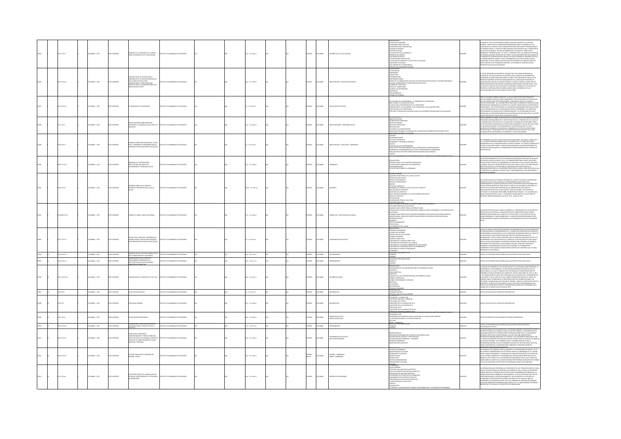|       |                     |                      |                   |                                                                                                                                                                                                                            |                                       |  |                        |  |                 |               |                                                | CONTACION                                                                                                                                                                                                                                                                                                                                                                                                                                                                                                                                        |          |                                                                                                                                                                                                                                                                                                                                                                                                                                                                                                                                                             |
|-------|---------------------|----------------------|-------------------|----------------------------------------------------------------------------------------------------------------------------------------------------------------------------------------------------------------------------|---------------------------------------|--|------------------------|--|-----------------|---------------|------------------------------------------------|--------------------------------------------------------------------------------------------------------------------------------------------------------------------------------------------------------------------------------------------------------------------------------------------------------------------------------------------------------------------------------------------------------------------------------------------------------------------------------------------------------------------------------------------------|----------|-------------------------------------------------------------------------------------------------------------------------------------------------------------------------------------------------------------------------------------------------------------------------------------------------------------------------------------------------------------------------------------------------------------------------------------------------------------------------------------------------------------------------------------------------------------|
|       | 0.11 (C17)          | MEIA: , 1973         | O22RRMI OT        | INFORME DE LA COMISIÓN DE LA UNESCO<br>PARA EL DESARROLLO DE LA EDUCACIÓN                                                                                                                                                  | TITUTO COLOMBIANO DE PEDAGOGÍA        |  | $p: 22 \times 28$ cm   |  | <b>PAÑOL</b>    | WALA          |                                                | <b>ESENTACON<br/>CIERTOS GEL INCORNE<br/>DNSIDERACIONES POLÍTICAS<br/>DNSIDERACIONES POLÍTICAS<br/>CRISDERACIONES PEGAGÓGICA<br/>GENECIA GEL POLÍTICAS<br/>REDUCACIÓN EN EL BANQUILLO<br/>SE NECESIDADES EDUCATIONS<br/>SE NECESIDADES EDUCATIONS<br/>SE NECESIDADES</b><br>.<br>LEDUCACIÓN: PRODUCTO Y FACTOR DE LA SOCIEDAD<br>SUCACIÓN Y SOCIEDAD<br>SE CAMINOS DE LA DEMOCRACIA<br><b>OCESO DE LA DEMOCRATIZA</b>                                                                                                                            |          | enetrair. El sello unesco era para muchos garratía de análisis serio, de<br>Sor científico, de ponderada maguaez. La polyabeda levantada por el<br>Forme está lejos de dotinguirse.                                                                                                                                                                                                                                                                                                                                                                         |
|       | 0.72 IC17p          | CMBIA: , 1973        | O22RRMI OT:       | AN NACIONAL OC ACCIÓN RADA DI<br>PLAN NACIONAL DE ACCION PARA EL<br>DESARROLLO DE LA INVESTIGACIÓN EN LAS<br>FACULTADES DE EDUCACIÓN,<br>PROVECTO PARA LA CONSIDERACIÓN DE LA<br>PROCIÓN DEL ICOLPE<br>DRECCIÓN DEL ICOLPE | TUTO COLOMBIANO DE PEDAGOGÍA          |  | 9 p. : 22 x 28 cm      |  | PAÑOL           | <b>AIGMOJ</b> | INESTIGACIÓN - EDUCACIÓN SUPERIOR              | STEIGACIÓN<br>CRIDADES<br>RATEGIAS<br>ICRAMACIÓN<br>issponsabilisades<br>Podecto de Laboratorio aplicado de investigación educativa y talleres regionales<br>Lean del Laboratorio de investigación educativa<br>Leas del Laboratorio<br>Ases del Laboratorio<br>Ases del Laboratorio<br>HAN DEL TALLER REGIONAL<br>HAN DEL TALLER REGIONAL<br>HOCEDIMIENTOS<br>MARIO DE TRABAJO                                                                                                                                                                  |          | L ICOURI CHIGANIZO DA IDIFERENTES CILORADES DEL PARÍ; VARIAS RELINIUNIS DE<br>CEANNO DE LAS FACILITADES DE DEUCACIÓN, CON EL DRIETTO DE RIDIMINATO IN<br>ESPANCIÓN DE INVESTIGACIÓNES PARA ESTE AÑO, CETE NAPORTANTI CONTACTO HA<br>ESP<br>SENTA A CONTINUACIÓN CON MIRAS A IMPULSAR EL DESARROLLO DE LAS<br>ESTIGACIONES EN LAS FACULTADES DE EDUCACIÓN.                                                                                                                                                                                                   |
|       | 1.27 IC17p          | MEIA: , 1973         | O IMPRESO         | MOBLEMA DE LA DEFINICIÓN                                                                                                                                                                                                   | TITUTO COLOMBANO DE PEDAGOGÍA         |  | $: 22 \times 28$ cm    |  | AÑOL            | <b>OMBIA</b>  | <b>ALUACIÓN EDUCATIV</b>                       | ETIOLOGÍA DE LA ENFERMEDAD - EL PROBLEMA DE LA DEFINICIÓN<br>ebel definito la evaluación cono)<br>Colárs Son las essartaulas de tal definitión?<br>Doward Pures, un estudannel tres, definitión?<br>Doward Pures, presentauas que resultan de las diferentes definitiones de evaluación<br>Ventauas y d                                                                                                                                                                                                                                          |          | NNO CUALQUIER TÉRMINO ANALÍTICO, LA EVALUACIÓN PUEDE SER DEFINIDA DE<br>JOHAS MANERAS ESENCIALMENTE ARRITRARIAS. TRES DEFINICIONES EN PARTICULAR<br>JE HAN TENIDO UNA ACEPTACIÓN GENERAL, PRESENTAN CIERTAS UTILIDADES Y<br>$\vec{a}$ in the third contact procedure and any approximation contact under the contact of the contact of the contact of the contact of the contact of the contact of the contact of the contact of the contact of the contact                                                                                                 |
|       | 1710171             | MEIA: , 1973         | O IMPRESO         | INVESTIGACIONES SOBRE BIENESTAR<br>ESTUDIANTIL Y SEGURIDAD SOCIAL PARA LO<br>DOCENTES                                                                                                                                      | -<br>TELTO COLOMBIANO DE PEDAGOGÍ     |  | $p. : 22 \times 28$ cm |  | <b>MGC</b>      | wax           | STIGACIONES - SEGUREND SOCIA                   | éreas de estudio<br>Definición del problema<br>)<br>Destrvo general<br>Destrvos específicos<br>Metodología                                                                                                                                                                                                                                                                                                                                                                                                                                       |          | is Union Negraphing In Sacrifice Mark Richards (In the Newton Consults In Newton)<br>Angle Mark Richards (In Paris In Person Newton) (In the Newton International Sacrifice In Internation In The I<br>LAS INVERTION IN INSURANCE IN<br>ANZAR METAS DE DESARROLLO ECONÓMICO Y SOCIAL EN GENERAL.                                                                                                                                                                                                                                                            |
|       | 30.07 (CL7)         | CRABLA: . 1973       | <b>TO IMPRESO</b> | INFORME SOBRE PARTICIPACIÓN DEL ICOLPE<br>EN EL II SEMINARIO LATINOAMERICANO DE<br>TROS DE INVESTIGACIÓN EN EDUCACI                                                                                                        | TITUTO COLOMBIANO DE REDACOCÍA        |  | $-22 + 26$ cm.         |  | <b>PAÑOL</b>    | <b>AIRMOX</b> | MESTICACIÓN - EDISCACIÓN - SEMMARIOS           | <b>AITOGOGÓIA</b><br>FINANCIA CON ATTURICAÇÃO<br>FINANCIA CON MARIA LUIGOGOGÁ DE LOS SERVICOS DE BENETAR ESTUDANTEL DE EL<br>FINANCIA CONSERVAÇÃO -<br>CONSERVAÇÃO FERIOLOGÍA<br>LENGURA PERSONAL<br>LUIGOR CON LAS UNIVERSIDADES<br>LUIGOR CON LAS UNIV<br>TROS ASPECTOS RELACIONADOS CON LA FORMACIÓN DE INVESTIGA<br>TEMAS DE ALMACENAMENTO DE DATOS E INTERCAMBIO DE PROGRAMAS<br>BLICACIÓN DE UN TEXTO SOBRE INVESTIGACIONES EDUCACIONALES                                                                                                  |          | Fe Servannio Se Llevó a Cabo en Aguas de Sad Pedro - Sad Palilo - Brasil del 7<br>11 de mayo Pródino Pasado, Dado los alispados de la fundación fobo y<br>Gandada Por la fundación cablos cialgas de Brasil Los Puntos contrales de<br><br>STIGACIÓN.                                                                                                                                                                                                                                                                                                       |
|       | 8.17710174          | MEIA: , 1973         | <b>CORRENT</b>    | MAIO DE COMUNICACIÓN<br>.<br>TITUCIONAL DEL INSTITUTO<br>OMBIANO DE PEDAGOGÍA ICOLPE                                                                                                                                       | <b>IT ITO COLOMBIANO DE REDACOCÍA</b> |  | $p: 22 \times 28$ cm   |  | ukor            | was           | usains                                         | .<br>Entificación y cauficación de Problemas<br>IENTIFICACION Y CALIFICACION DE PROBLEMAS<br>LASIFICACIÓN Y ANÁLISIS DE LOS PROBLEMAS<br>ECOMENDACIONIS<br>STA DE PARTICIPANTES AL SEMINARIO<br><b>SUMEN GENERAL</b>                                                                                                                                                                                                                                                                                                                             |          | en terminonio de la protectiva con la constantina de la constancia de la constancia de la constantina de la constantina de la constantina de la constantina de la constantina de la constantina de la constantina de la consta                                                                                                                                                                                                                                                                                                                              |
|       | 1071017             | CRABLA: . 1973       | O2300MI OT        | ME SOBRE LAS ACCIONES DE<br>DRID CONCEDIDAS POR LA DEA AL                                                                                                                                                                  | THE COLOMBIANO DE REDUCIDEÍA          |  | A a.: 22 x 28 cm       |  |                 | var           |                                                | CONTS DE REFUERZO DE LA OEA AL ICOLPE<br>HECTOS EIECUTADOS<br>HECTOS EN MARCHA<br>NOMINICO PROPUESTOS<br>NEXOS<br>RINGO DEL PROYECTO<br>RINGUARA DE FONDO AL QUE SE APUCA EL PROYECTO<br>ATURALEZA DEL PROYECTO<br>ATURALEZA DEL PROYECTO<br>DESETIVOS DEL PROVECTO<br>INSTITUCIÓN RESPONSABLE DE LA EJECUCIÓN DEL PROVECTO<br>FASES DEL PROVECTO<br>ISTIFICACIÓN<br>JOPERACIÓN TÉCNICA SOLICITADA                                                                                                                                               |          | A MODALIDAD DE ACCIONES DE REFUERZO EL ICOLPE HA RECIBIDO COOPERACIÓN<br>UN MUNIMING UN PROGUNAL DE PARTIMO DE LA DISTRIBUIXA CON PROVINCIA<br>BBESFONDIENTE A INVESTIGACIÓN EDUCATIVA, DOCUMENTACIÓN E INFORMACIÓN Y<br>BBESFONDIENTE A INVESTIGACIÓN EDUCATIVA, DOCUMENTACIÓN E INFORMACIÓN Y<br>DOUCCIÓN DE M<br>ativulo va tambu prantijprajuni va kula i mrčka prosta aplijendos de<br>Kestgación egucativa de san iggé de costa rea sobre "Kvaluación de<br>Ketholes"; el de buenos ares sobre "Rendratento escolar", y el de venezuela<br>Ke "Intern |
|       | .<br>25.008 6 IC17c | CMBIA: , 1973        | O2RRM OT          | RRÍCULO PARA EL ÁREA VOCACIONAL                                                                                                                                                                                            | <b>TITUTO COLOMBIANO DE PEDAGOGÍA</b> |  | $16:22 \times 28$ cm   |  | <b>MGC</b>      | <b>COMBIA</b> | <b>URRÍCULOS - EDUCACIÓN VOCACIONA</b>         | ONTRIBUCIÓN LOCAL<br>SIMER SEMINARIO INTERNO DE TRABAJO SOBRE EDUCACIÓN BÁSICA<br>IS CARACTERÍSTICAS DE ACUERDO A<br>GUINAS LIMITACIONES PARA LA DIVERSIFICACIÓN<br>SRAA COMO LA EDUCACIÓN VOCACIONAL AGRÍCOLA PUEDE CONTRIBUIR A LA DIVERSIFICACIÓN<br>JONICO COMERCIA ELECCIONAL VIOLENCIARIS PRINCIPAL PUBLIC CON INIMIERIO PUBLICANO CONSIDERATIONAL<br>ECONOMIA<br>GEOPECULARA: CONTRO DE INTERÉS PARA ENTENDER LA DIVERSIFICACIÓN VOCACIONAL AGRÍCIDA<br>ROMODIÓN SOCIAL<br>ROMODIÓN SOCIAL<br>ONCEPTO<br>GIETIVOS GENERALES<br>STRUCTURAS |          | NYESTIGACIÓN ES BÁSICA PARA EL DESARROLLO Y CRECIMIENTO EN LOS DIFERENTE<br>interiormant au moral prover areas de l'archiver de l'archiver de l'archiver<br>Disesso Profesional : la investigación es de gran importancia para el<br>Disesso Profesional : en ecavió de la educación lo cual impulsación els<br>ena<br>$\lambda z$                                                                                                                                                                                                                          |
|       | 3.11 IC17e          | MEIA: , 1973         | O IMPRESO         | .<br>Tructura, convenio y programa de<br>I información en ciencias educativa                                                                                                                                               | <b>THE COLOMBIANO DE REDACOCÍA</b>    |  | $: 22 \times 28$ cm    |  |                 | wax           |                                                | MEDERAMENTO DEL HOGAR<br>NTECEDAMENTO DEL HOGAR<br>CORMAS DE OPERACIÓN<br>NCANCE SUR SESTEMA<br>STRUCTURA DEL SUR-SISTEMA<br><i><b>ISANGLIAN DEL SOPIETION<br/>CONSEIO CONSULTIVO<br/>LINCIONES DEL CONSEIO CONSULTIVO</b></i><br>PONCIONES DEL PRESIDENTE DEL CONSEIO<br>FUNCIONES DE LOS DEMAS MIEMBROS DEL SUB-SIS<br>FUNCIONES DEL SECRETARIO ELECUTIVO PERMANEN<br>FUNCIONES DE CENTRO CODRONADOR<br>Municare<br>Javenices<br>CC10N DE PSICOLOGÍA ICOLPE                                                                                    |          | .<br>A IDEA DE CREAR EL SUB-SISTEMA NACIONAL DE INFORMACIÓN EDUCATIVA DENTRO DEL<br>ISTEMA NACIONAL DE INFORMACIÓN (S.N.I.), SURGIÓ DE LA NECESIDAD DE ESTABLECER<br>JN MECANISMO QUE ASEGURE EL FUJIO CONSTANTE DE INFORMACIÓN EN EL C<br>M MECANINARO QUI ASEGISTE EL RUIO CONSTANTE DE INSEDEMACIÓN EN EL CAMPO DE ASEGISTE EL SUBJECTIVO DE SUBSECTIV<br>A EDICACIÓN: EL SUA SISTEMA SERÁ UNA PARTE DE SISTEMA NACIONAL DE ASEGISTA (1941)<br>ADHAMADINYO DEL SUA SISTEMA E<br>MOAS AL SUB-SISTEMA.                                                     |
| 12904 | \$3.43 (£17m)       | EDLOMBIA: 1973       | OZBRNI OTX        | MATRICES DE DOS Y DE TRES CRITERIOS CON<br>SIETE POSIBILIDADES DE ESCOGENCIA                                                                                                                                               | ABOGAGER 30 OMAIRMOJO DE UTITZ        |  | $4n: 22 \times 32$ cm  |  | SPAÑOL          | COLOMBIA      | <b>OTHAMMENTO</b>                              | iemplos<br>Buebas                                                                                                                                                                                                                                                                                                                                                                                                                                                                                                                                | 012904   | ATILLA CON PRUEBA PARA DESARROLLAR, SECCIÓN DE PSICOLOGÍA ICOUPE.                                                                                                                                                                                                                                                                                                                                                                                                                                                                                           |
|       | 141 K17p            | MEIA: , 1973         | O2RRM 0           | NEBA SOBRE ESTRUCTURAS DE<br>NAMENTO BASADAS EN LA<br>TIPLICACION DE LAS RELACIONES                                                                                                                                        | ALCOLOMIANO DE PEDAGOGÍA              |  | 0 p. : 33 x 22 cm      |  | <b>MACL</b>     | <b>AIGNOL</b> | OTHEMAND                                       | DRJON DE PSICOLOGÍA ICOLPE<br><b>JEMPLOS</b>                                                                                                                                                                                                                                                                                                                                                                                                                                                                                                     | 12905    | TILLA CON PRUEBA PARA DESARROLLAR, SECCIÓN DE PSICOLOGÍA ICOLPE.                                                                                                                                                                                                                                                                                                                                                                                                                                                                                            |
|       | 141210176           | MEIA: , 1973         | O IMPRESO         | A 4.3 24.1 30 OUDIRRELL 23 WOONE                                                                                                                                                                                           | ARRESTED FOR DEALERSHIPS              |  | 8p.: 22 x 28 cm        |  | <b>AÑOL</b>     | wax           | <b>CONTRACTOR</b>                              | <b><i>PHONE CONSIDERATION CONTINUES DE DESABOLIO RUNAL CONCEPTO<br/>- CONCERNENT CONCEPTOR CONCEPTOR CONTINUES DE DESABOLIO RUNAL<br/>- CONCERNENT CONCEPTOR<br/>- CONCERNENT CONCEPTOR<br/>- CONSIDERATION CONCEPTOR CONTINUES DE DESABOLIO RUNAL</i></b><br>LANES Y PROGRAMAS DE ESTUDIOS<br>estrivos<br>Crivioades<br><b>CURSOS HUMANO!</b><br>IMER METODO                                                                                                                                                                                    |          | .<br>Pensión de desarrollo del sector educativo, determina como prioridad.<br>Tensión de la escolaridad y la prestación integrada de servicios en las<br>IEAS RURALES, LA CUAL SE TRADUCE EN EL PROGRAMA DE CONCENTRACIONES DE<br>LEA BURAUCH, A CHAIR STRAIGHEAR IS PROGRAM DE COMOCRONAISONNEACH<br>CARRICAL DIALEAN ANN AN DIALEAN CHAIR CHAIR CHAIR CHAIR CHAIR CHAIR CHAIR CHAIR CHAIR CHAIR CHAIR CHAIR CHAIR<br>CARRICAL DIALEAN DIALEAN CHAIR CHAIR CHAIR CHA                                                                                       |
| 12907 | 00 K17m             | DLOMBA: . 1973       | O22RRMI OTX3      | LA MULTIPLICACIÓN EN 2                                                                                                                                                                                                     | ARODAGED DE CAMBARDED DE UTITZ        |  | $n: 22 + 33$ cm        |  | SPAÑOL          | COLOMBIA      | MATEMATICAS                                    |                                                                                                                                                                                                                                                                                                                                                                                                                                                                                                                                                  | 1002100  | ATILLA DIPLICATIVA DE EJERCICIOS MATEMÁTICOS.                                                                                                                                                                                                                                                                                                                                                                                                                                                                                                               |
|       | 3 IC17t             | MEIA: , 1972         | D2RRMI OT         | OLOGÍA GENERAL                                                                                                                                                                                                             | TITUTO COLOMBIANO DE PEDAGOGÍA        |  | $p. : 22 \times 28$ cm |  | PAÑOL           | <b>AIGNO</b>  | EMÁTICAS                                       | IMER METODO<br>GUNDO MÉTODO<br>FSUNGN - ANLIO DE LOS ENTEROS<br>PARACIÓN - COMPACIDAD<br>PARACIÓN - NEU CEDA - CONEXIÓN<br>IN LETTREFO F LOS COMPACIDE D<br>IN LETTREFO F LOS COMPACIDE D<br>DPOLOGIA DE R Y DE R2<br>ARACTERES DE LOS CONFACTOS DE R<br>ARACTERES DE LOS CONFADS DE R<br>3POLOGÍA DE R2<br>ARCTERES DE LOS COMPACTOS DE R2<br>TUDO DE HAMAS CONTACEAS                                                                                                                                                                           | 12908    | TILLA EXPLICATIVA DE EJERCICIOS MATEMÁTICOS.                                                                                                                                                                                                                                                                                                                                                                                                                                                                                                                |
|       | 3.1 IC17a           | MEIA: , 1973         | LMPRESO           | ALIDADES PEDAGÓGICAS<br>EBA SOBRE CREACION DE MATRICES !                                                                                                                                                                   |                                       |  | $p. : 22 \times 28$ cm |  | Ňα              | <b>MILA</b>   | IEDIOS EDUCATIVOS<br>IEDIOS NOTICIOSOS         | .<br>JNIVERSIDAD EXTRAMUROS, NUEVA AVENTURA EN LA EDUCACIÓN SUPERIOR<br>A AUTOMATIZACIÓN DE LA ESCUELA SOVIÉTICA<br><b>TAN GENGHALDER COLPE</b>                                                                                                                                                                                                                                                                                                                                                                                                  | .<br>Sos | O CON ARTÍCULOS RELACIONADOS EN TEMAS PEDAGÓGICOS.                                                                                                                                                                                                                                                                                                                                                                                                                                                                                                          |
| 12910 | 3.43 IC17p          | LOMBIA: , 1973       | O22RRM OT         | 2AU AT 20TUR/RTA 30 ADDAIDADES                                                                                                                                                                                             | ARODAGED DE CAMBARDED DE UTITS        |  | 1p.:33 x 22 cm         |  | <b>JOANS</b>    | AIRMOJO       | OTHEMANDS                                      | <b>ZOJNAZI</b><br><b>UEBAS</b>                                                                                                                                                                                                                                                                                                                                                                                                                                                                                                                   | 112910   |                                                                                                                                                                                                                                                                                                                                                                                                                                                                                                                                                             |
|       | 111 122             | MEM: 1973            | <b>IMPRECO</b>    | RUCTURA, TENDENCIAS,<br>MPORTAMIENTO Y PROYECCIONES DEL<br>HO EDUCATIVO DE PRIMARIA. DISEÑOS E<br>ODILOS DE COMPORTAMIENTO A NIVEL<br>CIONAL Y REGIONAL                                                                    | <b>THE COLOMBIANO DE REDACOCÍA</b>    |  | $a: 22 \times 28$ cm   |  | ŵа              |               | .<br>Flaneamento educati<br>Educación primaria | ASIÑA ANALÍTICA<br>-<br>ERVICIO DE RESUMENES DEL CENTRO DE DOCUMENTACIÓN<br>ESCRIPCIÓN DEL MODELO Y METODOLOGÍA<br>ONSIDERACIONES GENERALES - RESUMEN<br>ODELOS REGIONALES<br>VESTIGACIÓN EDUCATIVA                                                                                                                                                                                                                                                                                                                                              |          | ARTILLA CON PRUEBA PARA DISSARGILAR, SECOÓN DE WASTIER CONVES<br>DOCOLOGICA DE COUPE :<br>INTANTE ESTERCA, QUE ARABEA TODOS LOS GERRENANDIROS; UN RESIÑA MUSSITA<br>IN MONTOTORIA, QUE ARABEA TODOS LOS GERRENANDIROS; LA RESIÑA MUSSIT<br>IPRIUDIO DISGRALLE EN LA PRIMERA PARTE LA RESEÑA MUSETRA TODA LA<br>ESTUDIO DISGRALLEN LA PRIMERA PARTE LA RESEÑA MUSETRA TODA LA<br>DILO MATEMÁTICO, CONSIDERACIONES GENERALES Y RESUMEN, MODELOS                                                                                                               |
|       | 2.65 IC17e          | CMBIA: , 1973        | O22RRMI OT:       | OVITARIA<br>MADI-MADIO                                                                                                                                                                                                     |                                       |  | $p_1$ : 22 x 28 cm     |  | SPAÑOL<br>NGLES | <b>OMBIA</b>  | español - Enseñanzi<br>Nglés - Enseñanza       | I KUUULLUIN<br>ONCEPTOS GENERALES<br>OSICIÓN INICIAL DE SILABA<br>ROIN DENTO-ALVECLAR<br>ROIN PALATAL<br>ROIN VILAR<br>RUPOS CONSONÁNTICOS<br>RUPOS CONSONÁNTICOS<br>OS LUT<br><b>DENTE</b>                                                                                                                                                                                                                                                                                                                                                      |          | e manual está dirigido particularmente a los profesores de inglés y a los<br>Udanites universitarios que se especializan en la enseñanza de tal idioma<br>(MO LENGUA EXTRANERA, SU CONTENEO ES UNA RECOPILACIÓN DE LOS PUNTOS DE<br>STADE VARIOS LINGÜESTAS Y PROFESORES QUE UNA DEDICADO GRAN PARTE DE SU<br>ARAIO A ESTE CANDÓ Y DE LAS EXPERIENCIAS ADQUIRENS POR EL ILCA A TRAVÉS DE<br>ARSO                                                                                                                                                            |
|       | 21.3 K17m           | <b>CCREA: . 1973</b> | OZERNI OTXI       | EL MÉTODO DIDÁCTICO: CONJUGACIÓN DE<br>TÉCNICAS, PROCEDIMIENTOS Y ACTIVIDADES<br>PRENDEZAJE                                                                                                                                | ARODAGER 30 OMAILMAD DE PEDAGOGÍA     |  | $0a:22 \times 28$ cm   |  | <b>PAÑOL</b>    | <b>AIGNOX</b> | <b>ACTODOS DE ENSEÑANZA</b>                    | .<br>IMO ENSEÑAR<br>IITERIOS PARA ANALIZAR UN MÉTODO<br>-<br>HADA UN CONCEPTO DE MÉTODO DIDÁCTICO<br>LATURALEZA DEL MÉTODO DIDÁCTICO<br>CATEGORÍAS DE LOS OBLETOS DE APRENDIZAJE<br>UNDAMENTOS DEL MÉTODO DIDÁCTICO<br>JARACTERÍSTICAS DEL MÉTODO DIDÁCTICO<br>JARACTERÍSTICAS DEL MÉTODOS<br>INGÓGICOS<br>MÉTODO: CON<br><b>GACIÓN DE TÉCNICAS, PROCE</b>                                                                                                                                                                                       |          | ORRELACIÓN HACE REFERENCIA AL TRATAMIENTO DE LOS TEMAS POR PARTE DE CADA<br>A CORRILACIÓN MAYE SETEMBENTAN HIRAUMATICO ELOS TEMPAS EN PARTICO CAPADA EN ANGELES CARLO CONSTANTE EN CAPADA EN ANGELES CARLO CONSTANTE EN ANGELES CONSTANTEN EN ANGELES CONSTANTEN EN ANGELES CONSTANTEN EN ANGELES CONSTAN                                                                                                                                                                                                                                                   |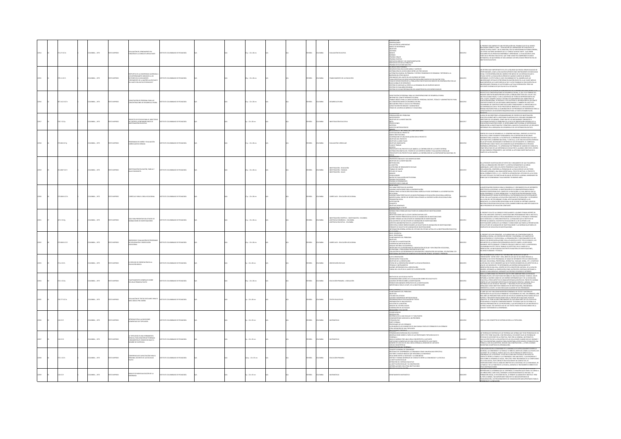|  | <b>21.27 IF17</b> | CREW: . 1973    | O2006MI OTV | EVALUACIÓN DEL RENDIMIENTO EN<br>FUNCIÓN DE LA CONDUCTA RESULTANTE                                                                                                            | TITUTO COLOMBIANO DE REDACOCÍA      |  | $50.224$ m              |  | <b>AROL</b>  | OMBIA          | <b>MANUFACTURERS</b>                                                                                                | introducción<br>-generalidades<br>-evaluación del aprendizaje<br>- CHAUMOND RELATION<br>- MARCO DE REFRENCIA<br>- MARCO DE REFRENCIA<br>- CHITERIOS<br>- CHITERIOS<br>- MORMAS<br>- MORMAS DENIST<br>- MORMAS DENISTRIC VIDEO COMPENHENTACIÓN<br>- MORMAN - MORTO - CHITERIAN PRODUCTION<br>- MORMAN - MORTO - VIDEO - VID<br>SPUESTAS DE DOS ALTERNATIVAS<br>UEBAS DE ELECCIÓN MÚLTIPLE<br>O IBSOS DADA DONALDIA                                                                                                                                              |       | el presente documento es una recopilación del trabajo que se ha venido<br>racionado sobre el tera : "Dokumodín del aprindicave de función de la<br>conducta resultante". No se analizan, sólo se menciona de forma conde<br>los condos<br>etapa en el proceso educativo, que tiene como fin comprobar de modo<br>setemático, en que medida se han logibado los resultados previstos en los<br>complime foucativos                                                                                                                                                                                                                          |
|--|-------------------|-----------------|-------------|-------------------------------------------------------------------------------------------------------------------------------------------------------------------------------|-------------------------------------|--|-------------------------|--|--------------|----------------|---------------------------------------------------------------------------------------------------------------------|----------------------------------------------------------------------------------------------------------------------------------------------------------------------------------------------------------------------------------------------------------------------------------------------------------------------------------------------------------------------------------------------------------------------------------------------------------------------------------------------------------------------------------------------------------------|-------|--------------------------------------------------------------------------------------------------------------------------------------------------------------------------------------------------------------------------------------------------------------------------------------------------------------------------------------------------------------------------------------------------------------------------------------------------------------------------------------------------------------------------------------------------------------------------------------------------------------------------------------------|
|  | 29.11 (C17)       | OLOMBIA: , 1973 | OZBRANI OTX | RESPUESTA DE LA UNIVERSIDAD JAVERIANA )<br>RECORRES EN EL DOCUMENTO<br>RECTORSS EN EL DOCUMENTO<br>"CRECIMIENTO DE LA MATRÍCULA ESCOLAR Y<br>DEL GASTO EDUCATIVO POR NIVELES" | TUTO COLOMBIANO DE PEDAGOGÍA        |  | $80.122 \times 28$ cm   |  | <b>PAÑOL</b> | <b>AIGNOJO</b> | NANCHANENTO DE LA EDUCACIÓN                                                                                         | IN ISSOS PARA FRINCACIÓN METIA Y SUBERIOR.<br>ITURSOS PARA EDUCACIÓN METIA Y SUBERIOR<br>BECLIARCE PARA EXIDACIÓN METAR Y SUPRISOR<br>BATRIBULONA DE LOS MECLIARCES ANTRE LOS TRES HIVELES<br>BATRIBULONA DE LOS MINESES: MAN E CON ENSENHADOS DE DEMANDAN TRETORNOS A LA<br>BECLIMBURYO DE LOASTO EN LOS DIVIRIOS SECTORES<br>TARA<br>KAS GLOBALES DE DESEMPLEO<br>RITERIO DE ADECUAR LA OFERTA A LA DEMANDA EN LOS DIVERSOS NIVELES<br>RITERIO DE EQUILIBRIO REGIONAL<br>TERIO DE ELEVAR PREPARACIÓN DEL MAGISTERIO EN LOS DIVERSOS NIVELES                  |       | .<br>I CRITERIO MUY IMPORTANTE ES EL DE LA EQUIDAD QUE BUSCA CREAR IGUALDAD DE<br>ORTUNIDADES, USAR LA EDUCACIÓN SUPERIOR COMO INSTRUMENTO DE MOVILIDAD<br>APANO MARAMA (MARA DE MARAMA 2010 PARA MARIO DE LIN SESTARA EN QUE EL<br>ESTADO COSTEE LA EDUCADÓN SEL INGRESO POLIMINES CARECEN DE NASIONAL EN ALIENTE.<br>ESTADO COSTEE LA ESTE QUEALEL CARECEN DE QUENINES CARECAN DE NASION<br>DINV<br>vimim mimima lumumas la pallinami kuolūgidas gartistas alkas laigojas.<br>Balas mientras las clases medais altas y altas palemana su edicigidėm iri las<br>Juniversidades privadas, se justificarša la actualo distribución. Perd Ha |
|  | 7.1412 10170      | LOMBIA: , 1973  | O22RRMI OTX | .<br>CAPACITACIÓN DE PERSONAL PARA LAS<br>CONCENTRACIONES DE DESARROLLO RURAL                                                                                                 | ITUTO COLOMBIANO DE PEDAGOGÍA       |  | sp.: 22 x 28 cm         |  | x6oL         | <b>MBA</b>     |                                                                                                                     | .<br>CITACIÓN DE PERSONAL FARA LAS CONCENTRACIONES DE DESARROLLO RURA<br>NFORME DEL COMITÉ INTERNSTITUIONAL<br>FRANJO BÁSICO PARA LA CARACTACIÓN DEL PERSONAL DOCENTE, TÉCNICO Y A<br>AS CONCENTRACIONES DE DESARROLLO RURAL<br>NOVICITACIÓN POR GRADOS Y ASIGNATURAS<br>VAPACTACIÓN POR GRADOS Y ASIGNATURAS<br>MALE DE LAS ÁBEAS ACADÉMICA Y VOCACIONA                                                                                                                                                                                                       |       | WHEN THE CONTINUES OF DECART CONTROL (1998), IT (24) 13 OF FREED OF THE CONTROL OF CONCRETE AND STATE OF CONCRETE AND A STATE OF THE CONTROL OF THE CONTROL OF THE CONTROL OF THE CONTROL OF THE CONTROL OF THE CONTROL OF TH<br>APACITACIÓN DE LOS DOCENTES REQUERIDO PARA LA PUESTA EN MARCHA DEL                                                                                                                                                                                                                                                                                                                                        |
|  | 0.7 (0.76)        | COMBIA: . 1973  | O22RRMI OT  | ECTO DE ESTUDIO PARA EL DIRECTORI<br>DE CENTROS LATINOAMERICANOS DE                                                                                                           | TUTO COLOMBIANO DE PEDAGOGÍA        |  | $1:22 \times 28$ cm     |  | <b>PAÑOL</b> | LOMBIA         | WESTIGACIÓN EDUCATIV                                                                                                | -FORMULACIÓN DEL PROBLEMA<br>-ANTECEDENTES<br>-OBJETIVOS DE LA INVESTIGACIÓN<br>META<br>RONECCIONES<br>#ÓTESIS<br><#ECTOS METODOLÓGICOS<br>NEVOS.<br>ITECEDENTES E INFORMACIÓN COMPLEMENTA                                                                                                                                                                                                                                                                                                                                                                     |       | .<br>LA IDEA DE UN DIRECTORIO LATINOAMERICANO DE CENTROS DE INVESTIGACIÓN<br>EDUCATIVA SURGIÓ ANTE LA NECESIDAD PLANTEADA EN EL SEGUNDO SEMINARIO DE<br>DIRECTORES DE LOS MISMOS, COMO UNO DE LOS MECANISMOS TENDIENTES A<br>AMMALIMANA DA MARTIE EL PROBIEDAN DE LA FALTA DE OBIDATACIÓN INTEGRAL DE LA<br>EDUCACIÓN EN NUESTROS PAÑSES, EL INTERCANDO INSTITUCIONAL DE LAPREIRALISE<br>EN NOLOCATA LA INVESTROS PAÑSES, EL INTERCANDO INSTITUCIONAL DE LOS BECL                                                                                                                                                                          |
|  | 5.0061C17p        | LOMBIA: , 1973  | O2RRMI OTX  | DGRAMAS DE DISEÑO Y EVALUACIÓN<br>RRICULAR EN CIENCIAS                                                                                                                        | TUTO COLOMBIANO DE PEDAGOGÍA        |  | 1 p. : 22 x 28 cm       |  | PAÑOL        | LOMBIA         | VALUACIÓN CURRICULAR                                                                                                | NILLELENIUS E INCONNECIO COMPLEMENTARIA<br>USTRICACIÓN DEL PROYECTO<br>LIARCO INSTITUCIONAL<br>CODPERACIÓN FUTURA EN RELACIÓN CON EL PROYECTO<br>JEIETIVOS DEL PROYECTO<br>DEAN ODGA LARCED BLAZO<br><b>JEIETIVOS INMEDIATOS</b><br>ILAN DE TRABAIO<br>APORTES<br>PRESUPUESTO DEL PROYECTO QUE ABARCA LA CONTRIBUCIÓN DE LA FUENTE EXTERNA<br>OISTRIBUCIÓN GRÁFICA DEL TIDVAD DE LOS EXPERTOS DISEÑO Y EVALUACIÓN CURRICULAR<br>PRESUPUESTO DEL PROYECTO QUE ABARCA LA CONTRIBUCIÓN DE LA CONTRAPARTIDA NACIONAL EN<br><b>ESPECE</b>                           |       | SPEED ON A FAM OF DIMENSION ELEMENTARY AND MONEMATION CHECK CONDUCTIVE CONTROL IN A STATE OF THE STATE OF THE CONDUCTIVE CONTROL IN A STATE OF THE CONDUCTIVE CONTROL IN A STATE OF THE CONDUCTIVE CONTROL IN A STATE OF THE<br>PO DE LA EDUCACIÓN.                                                                                                                                                                                                                                                                                                                                                                                        |
|  | 1.0007 K17        | OLOMBIA: , 1973 | O22RRMI OTX | INVESTIGACIÓN EDUCACIÓN, FAMILIA Y<br>SALUD EN BOGOTÁ                                                                                                                         | ITUTO COLOMBIANO DE PEDAGOGÍA       |  | 6 p. : 22 x 28 cm       |  | SPAÑOL       | LOMBIA         | NVESTIGACIÓN - EDUCACIÓ<br>NVESTIGACIÓN - FAMILIAS<br>NVESTIGACIÓN - SALUD                                          | PROPÓSITOS INICIALES Y SUS MODIFICACIONES<br>OBJETIVOS DE LA INVESTIGACIÓN<br>-METODOLOGÍA<br>-LA MUESTRA<br>-LAS PRUEBAS DE RENDIMIENTO ESCOLAR<br>-TRABAJO DE CAMPO<br>-ESTUDIO DE SALUD<br>-ANÁLISE<br><b>DNCLUSONES</b><br>MATRIZ DE EVALUACIÓN INSTITUCIONAL                                                                                                                                                                                                                                                                                              |       | en la presente investigación se partió del fundamento de que en américa.<br>Activa la urbancación crecente y la añona edificación ex las áreas<br>Marganues, unito con les lentes progresos cualitativos de las<br>Escolarización, conf<br>E CLASE POPULAR Y EN PARTICULAR EN AQUEL SECTOR DE LA MISMA, MARGINADO EL<br>HAS QUE SE DENOMINAN "VILLAS MISERIA" EN EUENOS AIRES                                                                                                                                                                                                                                                              |
|  | .00861C17c        | CMBIA: , 1973   | O IMPRESO   | MCULO PARA EL ÁREA VOCACIONAL                                                                                                                                                 | NTO COLOMBIANO DE PEDAGOGÍA         |  | p.: 22 x 28 cm          |  | x6oL         |                | RRÍQUOS - EDUCACIÓN VOCACI                                                                                          | -BRINGER LANGUARD WITH INFORMATION<br>- PRUSING OF SUGMANISMS<br>- PRUSING OF SUGMANISMS<br>- REVIEWED COOP FANLING<br>- AGENCIAL GIORN CONSULTING AND RESIDENCIÓN<br>- AGENNAL CONSULTATION FOR VIOLATION AGRÍCOUL PUEDE CONTRIBUIR A LA DIV<br>eccatio<br>QUIAZ AJ 10 MÓIDOMO                                                                                                                                                                                                                                                                                |       | la investigación es básica para el desabbollo y crecimento en los obtrentes<br>Aspectos de la sociedad. La investigación es de gran importancia para el<br>Progreso protesonal en el campo de la edilcación, lo clual infollo, puel<br>MUNINA MYKAROWOWA, M WARTA PORAWAZIONA I NA PAROSIANZA DIA MASAMANIA KASANA EDICZATNYO SEAAJMENTE<br>ERTREMADAMANINET LININAS EN BEFERINCIA A UNI PROGRAMA EDICZATNY DI SALMINENT<br>ERTREMADAMANINT LININAS PA INDIALOGORISTANTE DE                                                                                                                                                                |
|  | 07.2 IC17e        | CREAK . 1973    | OZERNI OTXI | A PARA PRESENTAR SOLICITUDES DE<br>JAHOONES DE INVESTIGACIONES                                                                                                                | TITUTO COLOMBIANO DE PEDAGOGÍA      |  | $10.122 \times 28$ cm   |  | <b>PAÑOL</b> | <b>AIRMOJO</b> | NESTIGACIÓN CIENTÍFICA - INVESTIGACIÓN - COLOMBIA<br>SISTENCIA ECONÓMICA - COLOMBIA<br>STENCIA EDUCATIVA - COLOMBIA | NORMAS PARA FORMULAR SOUCITUDES DE ASIGNACIÓN DE INVESTIGACIONES<br>-IORIDISM PPON PURSUES MARIA LUGAL DA PARAMARA DE TENERIRANA EN POLITICA<br>-POLÍTICAS<br>-POLÍTICAS CONTRA QUE LE ICOLOFE CONTRAR DA PARA LOCA DE BVESTIGACIÓNES<br>-QUENSE PORANA LAS SOLUCITUDOS DE ASIGNACIÓN DE INVESTIGACIÓN<br>-CUA<br>"A MANIMANY NA ANA MANURU NA MARIMINA NY INDRINDRAMMA<br>- ASPECTOS ARMINISTRATIVOS DE LA INVESTIGACIÓN<br>- TORECCOS ARMINISTRATIVOS DE LA INVESTIGACIÓN<br>- FIRGIMATO DE SOLICITUO DE ASGUNACIÓN DE INVESTIGACIONES<br>- INFORMATIÓN GE   |       | PRESENTE FOLLETO VA DIRIGIDO ESPECIALMENTE A QUIENES TENGAN INTERÊS EN<br>II, PRESIDIE (FOLLEDU VA EDRIGIO ESPECIAMENTA CUENDAS TRIGAN INTERSECHE<br>EI ESCEDIE (FOLLEDU VA EDRIGIO ESPECIAMENTA CUENTE EN EN ENTERCHE ESCEDIE EN EL ESTERITORO,<br>CUEN ATALIZACIÓN A LA TAREA INVESTIGACIÓNES SPOSSAMANOAS P                                                                                                                                                                                                                                                                                                                             |
|  | X 008 6 KL17      | LOMBIA: , 1973  | O22RRMI OTX | VTARIO Y EVALUACIÓN DE PROGRA<br>DE EKPLORACIÓN Y ORIENTACIÓN                                                                                                                 | TUTO COLOMBIANO DE PEDAGOGÍA        |  | 4 p.: 22 x 28 cm        |  | <b>PAÑOL</b> | <b>LOMBIA</b>  | URRÍCULOS - EDUCACIÓN VOCACIONAL                                                                                    | NIVEL ELEMENTAL<br>-NIVEL ELEMENTAL<br>-FLANTEAMIENTO DEL PROBLEMA<br>-OBIETIVOS<br>TIUDAD DE LA INVESTIGACIÓN<br>i international and the contract of the contract of the contract of the contract of the contract of the contra<br>Primerand of the processing internation exclusive distribution vocacional,<br>Climation of the frogunal distributi                                                                                                                                                                                                         |       | IL PRESIDITE ETIVISIO PERMITINÀ : A) PLANEAR PARA LAS CONCIDITACIONES CON<br>CONSIDERATIVA DE CONSIDERATA EL CONCIDENTATO DE CONSIDERATA DE CONSIDERATA EL CONSIDERATA EL CONSIDERATA EL CO<br>ESPACIOLO DE ORIENTACIÓN ACORDE CON L<br>CURSOS HUMANOS Y TÉCNICOS.                                                                                                                                                                                                                                                                                                                                                                         |
|  | 14 10 17 1        | LOMBIA: , 1973  | O22RRM (CT) | AJ M3 MÖDATMED 20 OCHNES,<br>UCACIÓN BÁSICA                                                                                                                                   | TUTO COLOMBIANO DE PEDAGOGÍA        |  | $5.122 \times 28$ cm    |  | <b>AÑOL</b>  | OMBIA          | <b>RENTACIÓN ESCOLAR</b>                                                                                            | ALE ES ORENTACIÓN<br>DRENTACIÓN Y EDUCACIÓN<br>ORENTACION Y EDUCACION<br>OBJETIVOS DE LA ORIENTACIÓN<br>"HAPAS DE LA DRENTAGIÓN DURANTE LA EDUCAGÓN BÁSICA<br>"TÉCRECAS E INSTRUMENTOS"<br>"QUERIS INTERVIDURATOS"<br>QUERIS DEL ICOLPE EN EL CAMPO DE LA ORIENTAGIÓN<br>"TAREAS DEL ICOLPE EN EL CAMPO DE LA ORIENTAGIÓN                                                                                                                                                                                                                                      |       | risten Numerosos conceptos y depiniciones acerca de lo que es<br>Drentación", entre 1930 y 1950, años en los que se dio gran Énfasis al<br>Esarrollo de Estos programas, se habló de diferintes tros de orientación :<br>Ecolar, Vocaci<br>UN LORO, NAPHAPAR, TRAPINISMO, NAPHAPAR, NAPHAPA, NAPHAPAR, NAPHAPAR, NAPHAPAR, NAPHAPAR, NAPHAPAR, NAPHAPAR,<br>NA DÉCADA DEL 50 SE CONSIDIRÓ QUE NO SE PUEDEN SEGMENTAR LOS ASPECTOS DE LA<br>DOKUNTACIÓN EN UNA SOLA. DONTRO DE E<br>UDAR A CADA INDIVIDUO, MEDIANTE SUS PROPIOS ESFUERZOS E INTERESES.<br>IDA LA COMPLEIIDAD DEL PROYECTO QUE SE DEBE ABORDAR PARA LAS ESCUELAS             |
|  | 2.1 IC17p         | MEIA: , 1973    | inaggron.   | .<br>Nanteamentos generales sobre<br>Iscuelas primaria piloto                                                                                                                 | LOMBANO DE PEDAGOGÍA                |  | $p. : 22 \times 28$ cm  |  | Áα           |                | <b>INTERNATIONAL LEGISLATION</b>                                                                                    | SBIETINOS DE LAS ESCUELAS PILOTO<br>CONSIDERACIONES ACERCA DE LA LEGISLACIÓN SOBRE ESCUELAS PILOTO<br>ALGUNIOS CRITEROS SOBRE LA INVESTIGACIÓN<br>RAPORTANCIA PARA EL ICOLPE, DE LA INVESTIGACIÓN<br>RAPORTANCIA PARA EL ICOLPE, DE LA INV                                                                                                                                                                                                                                                                                                                     |       | PIPARUS AND MARINARY DE CHARLES COM A MARINARY PRODUCTION CONTROL AND A BRITAIN COMPARUNATION OF THE RECORD COMPARUNG IN THE RECORD COMPARUNG IN THE RECORD COMPARUNG IN THE RECORD COMPARUNG IN THE RECORD COMPARUNG IN THE R<br>SEÑALADAS COMO OBJETIVOS INMEDIATOS DE INVESTIGACIÓN), ORGANISMOS<br>FERENTES AL ICOLPE, YA HAN VINCULADO ALGUNOS DE SUS PROGRAMAS.                                                                                                                                                                                                                                                                      |
|  | 0.77710176        | CMBIA: , 1973   | O22RRM OT   | EVALUACIÓN DE TEXTOS ESCOLARES<br>NIVEL BÁSICO PRE-DISEÑO                                                                                                                     | TUTO COLOMBIANO DE PEDAGOGÍA        |  | $1:22 \times 28$ cm     |  | AÑOL         | <b>MGA</b>     |                                                                                                                     | -FLANTEAANEMTO DEL PROBLEMA<br>- GENETING<br>- GENETING DEL ESTUDIO<br>- AFRICANAS SUCESSENCIAS ANTODOLÓGICAS<br>- FROGRAMACIÓN DE TURILIDOLÓGICA<br>- FROGRAMACIÓN DE TURILIDOLÓGICA<br>- ARÁLIDE DE LOS RESULTADOS<br>- ARÁLIDE DE LOS RESULTADOS<br>LABORACIÓN DE LAS ESCALAS                                                                                                                                                                                                                                                                               |       | IS AND CULTURE OF THE ANNEXEE CONDUCT AND TOTAL FAMILIES. THE SERVICE CONDUCTS IN A CONDUCT AND THE SERVICE OF THE CONDUCTS IN A CONDUCT AND CONDUCTS IN A CONDUCT OF THE CONDUCTS IN A CONDUCT OF THE CONDUCTS IN A CONDUCT<br>AUDAO Y EXTENSIÓN DE LA ENSEÑANZA.                                                                                                                                                                                                                                                                                                                                                                         |
|  | 0.017             | LOMBIA: , 1973  | O22RRMI OTX | INTRODUCCIÓN A LAS NOCIONES<br>ELEMENTALES DE TOPOLOGÍA                                                                                                                       | ITUTO COLOMBIANO DE PEDAGOGÍA       |  | $1:22 \times 22$ cm     |  | AÑOL.        | <b>LOMBIA</b>  | ATEMÁTICAS                                                                                                          | <mark>ARSIGADON Y FINITIATIVO</mark><br>CONSECUENCIAS<br>GESERVACIÓN<br>RECÍPROCA EN EL CASO EN QUE E Y F SON FINITOS<br>(CMOMORFISMO ASOCIADO A UN PREORDEN<br>TPOLOGÍA EN E<br>MATE CERRADA<br>PROPIEDADES DE LOS CERRI<br>A REUNIÓN DE LOS ELEMEI<br>PAPRIMIDAS DE LOS ELEMENTOS DE UNA FAMILIA FINITA DE CERRADOS ES UN CERRADO<br>178A DEFINICIÓN DE UNA TOPOLOGÍA                                                                                                                                                                                        | 12926 | ARTILLA CON CONCEPTOS DE INTRODUCCIÓN A LA TOPOLOGÍA.                                                                                                                                                                                                                                                                                                                                                                                                                                                                                                                                                                                      |
|  | 0.017             | CRABLA: . 1973  | OZBRRNI OTX | QLOGÍA ES UNA HERR<br>.<br>ICIAL PARA DEMOSTRAR TEOREMAS<br>DAMENTALES CONOCIDOS BAJO EL<br>MERE DE EXISTENCIA                                                                | <b>DITO COLOMBIANO DE REDACOCÍA</b> |  | $1:22 \times 32$ cm     |  | <b>AROL</b>  | <b>MBA</b>     | ettaalinran                                                                                                         | IN MINIMA<br>TERMINOLOGÍA EMPLEADA EN LO SUCESIVO<br>OBSERVACIONES SOBRE EL PAPEL DE LAS PROPIEDADES TOPOLÓGICAS DE D<br>TEOREMA 2<br>ikinkina z<br>Ĥwenlo Barrido por UNA Clirna con Respecto a UN Punto<br>Particiones elementales de UNA Curna con Respecto a UN Punto<br>Kümero de Vueltas de UNA Curna Cerrada al Rededor de UN Punto                                                                                                                                                                                                                     |       | (H) TEORINA DE DOSTRUCA ES UN TEORINA QUE ARBANA QUE TODO PRODUCAN EN UN TEORINO DE SECUENCIA EN UN CONSTAURANTE DE UN TEORINO DE SECUENTE EN LA PARCEIXA PARTICIPAL DE SECUENCIA EN UN CONSTAURANTE DE UN CONSTAURANTE DE UN                                                                                                                                                                                                                                                                                                                                                                                                              |
|  | 2.1 IC17c         | LOMBIA: , 1973  | OZERRAI OTX | CONFERENCIA DE CAPACITACIÓN PARA EL<br>PERSONAL DOCENTE DE LAS ESCUELAS<br>RILOTO                                                                                             | TUTO COLOMBIANO DE PEDAGOGÍA        |  | .<br>(A p. : 22 x 33 cm |  | xka          | <b>MBA</b>     | DUCACIÓN PRIMARI                                                                                                    | curvas homotópicas<br><u>Goroszanya (m. 1908)</u><br>Concepto General de Comunidad<br>Necesidad de Comprender la Comunidad Como una realidad específica<br>Necesidad de Comprender la Comunidad Como una realidad específica<br>WASHIPMO AN LONDY MARINA NO COMMUNISMO ARTISTAN<br>KACIONES O INVELIS AÑACOS QUE INTEGRAN LA COMUNISMO<br>KENTION FORMAS GENERALES DE CONTAUNIDMO<br>A NISTITUCIÓN ESCOLAR<br>CANTO Y FORMAS GENERALES DE CONTAUTO ENTRE LA COMUNIDAD Y LA<br>A INSTITUCIÓN ESCOLAR Y SU COMPOSICIÓN<br>VTERRELACIONES CON OTRAS INSTITUCIONES |       | A RELACIÓN ESCUELA-COMUNIDAD ES LA DINÁVIGA DE ENTRELAZAMIENTO ENTRE LA<br>DCIEDAD, LA COMUNIDAD Y LA FAMILIA. EL NIÑO ES, ANTES DE LLEGAR A LA ESCUELA UN<br>ALIMINOT DE LA FAMILIA, FAMILIA QUE A SU VEZ ES PRODUCTO DIRECTO DE LA<br>.<br>CONTACTO ENTRE LA FAMILIA Y LA COMUNIDAD, POR UNA PARTE, Y LAS EXIGENCIAS E<br>DEAS SOBRE EL DESARROLLO SOCIAL, POR OTRA. PERO TRATÁNDOSE DE LA COMPLEIDA<br>IE LA VIDA SOCIAL, ESTE CONTACTO NO ESTÁ EXENTO DE CONFLICTOS, DE<br>.<br>ITRABICOONES, SÓLO EL ANÁLISE OBJETIVO DE LA SOCIEDAD, DE LA COMUNIDAD, DE<br>AMILIA Y DE LA FUNCIÓN DE LA ESCUELA, ASEGURA EL TRATAMIENTO CORRECTO DE |
|  | K17               | CRABLE: 1973    | OZBRAN OT   | ensayo de individualización de la<br>Enseñanza                                                                                                                                | TUTO COLOMBIANO DE PEDAGOGÍA        |  | $: 22 \times 32$ cm     |  |              | <b>MBA</b>     | <b>MTEMÁTICAS</b>                                                                                                   | ARTAMENTO MATEMÁTICO                                                                                                                                                                                                                                                                                                                                                                                                                                                                                                                                           |       | RY MOREM MONDERNIS, PROGRESS CONTINUARINTE POR OTRA FARTI ESTAS SE<br>RESERVADO NA LA AMERICA CAN CONTINUARINTE POR OTRA FAI ESTAS SE<br>RESERVADO NA LA AMERICA QUE AL CONTINUO EL MANICIO QUE TENE A EL CANGO A<br>LOS MÍNOS DERES, C<br><b>MOGALE VIA INICIACIÓN</b>                                                                                                                                                                                                                                                                                                                                                                    |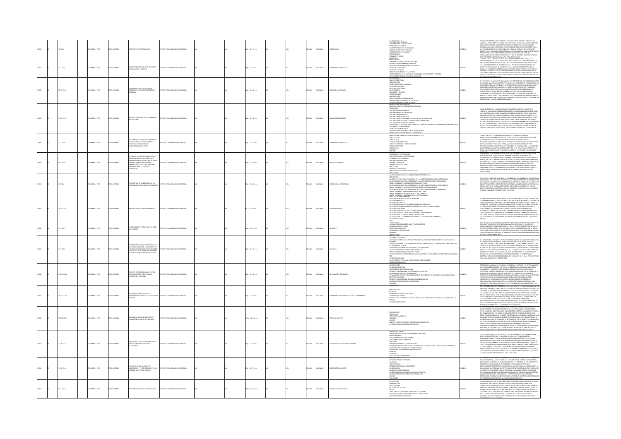|  | 0.0176       | CMBIA: , 1973  |                  | CAME ARCRY MITZIA DUD RD                                                                                                                                                                                                                   | MEMMO DE PEDAGOGÍA                  |  | .<br>0 p. : 22 x 33 cm  |  | wice         | <b>MAN</b>     |                                     | <b>CAUSINERALS TECNICOS<br/>CS PROBLEMAS DE APUCACIONES<br/>CS PROBLEMAS DE APUCACIONES<br/>HOBLEMAS DE CONTROL<br/>LICONPORRAMENTO DE BROBLEMA<br/>AS CONDICIONES DE TRABAJO</b><br>AS CONDICIONES<br>CONDICIONES<br>CONDICIONES<br>POSICIONES<br>BALAR EN GRUPO                                                                                                                                                                                                                                                                                                                                                                                            |            | UCHOS CONSIDIRAN LA MATEMÁTICA COMO UN MEDIO SEGURO Y DIRECTO PARA<br>SGRAN LA FORMACIÓN Y DELATACIÓN DEL INDONENCIA MARTE LÓGICA, FACILITADES DE<br>MÁLISE Y DE SÍNITES, RADONAMENTO DIEDUCTIVO DEREN SER LAS CUALIDADES<br>ESARROLLAD                                                                                                                                                                                                                                                                                                                                                                                                                                                                                                                                                       |
|--|--------------|----------------|------------------|--------------------------------------------------------------------------------------------------------------------------------------------------------------------------------------------------------------------------------------------|-------------------------------------|--|-------------------------|--|--------------|----------------|-------------------------------------|--------------------------------------------------------------------------------------------------------------------------------------------------------------------------------------------------------------------------------------------------------------------------------------------------------------------------------------------------------------------------------------------------------------------------------------------------------------------------------------------------------------------------------------------------------------------------------------------------------------------------------------------------------------|------------|-----------------------------------------------------------------------------------------------------------------------------------------------------------------------------------------------------------------------------------------------------------------------------------------------------------------------------------------------------------------------------------------------------------------------------------------------------------------------------------------------------------------------------------------------------------------------------------------------------------------------------------------------------------------------------------------------------------------------------------------------------------------------------------------------|
|  | $71.2$ K171  | LOMBIA: , 1973 | O2300MI OT       | <b>JEME DE LA OFICINA DE PLANEACIÓN,<br/>JEDINACIÓN Y ASESORÍA</b>                                                                                                                                                                         | THE COLOMBIANO DE REDACOCÍA         |  | $180 - 2243$ cm         |  | <b>PAÑOL</b> | LOMBIA         | <b>ARAFFRACIÓN FECOLA</b>           | <b>DATEOL</b><br>KTRODUCCIÓN<br>ERKODUCCIÓN INTERNA DE LA OFICINA<br>DRGANIZACIÓN INTERNA DE LA OFICINA<br>INFORMACIÓN INTERNA DE LA OFICINA<br>SOLICITUD DE FERSONIA<br>SOLICITUD DE FERSONIA<br>VARTA ORGÁNICA DE LA OFICINA DE FLAN<br>PARTA ORGÁNICA DE LA OFICI<br>ACIÓN, COORDINACIÓN Y ASESORÍA                                                                                                                                                                                                                                                                                                                                                       | <b>DOM</b> | EXERÇÕES CONTRA CONSTRUCIÓN DE CONTRADOREA DE CONSTRUERE DE CONTRADOREA DE CONTRA CONTRADOREA DE CONTRA CONTRA<br>CON LO TAND, NO CARDONES INTERNATOR ANALIZA NO EN LOS ADEIXTOS CONTRADOREA DE CONTRA CONTRADO EN EL CONTRADO D                                                                                                                                                                                                                                                                                                                                                                                                                                                                                                                                                              |
|  | 228.17 (C17) | LOMBIA: , 1973 | O22RRMI OTX3     | TUACIÓN ACTUAL DEL SISTEMA DE<br>KERANIZA POR CORRESPONDENCIA EN<br>DEOMIEA                                                                                                                                                                | LITO COLOMBIANO DE PEDAGOGÍA        |  | 88 p. : 22 x 28 cm      |  | <b>PAÑOL</b> | <b>AIGNOJC</b> | DUCACIÓN A DISTANCIA                | HARCO CONCEPTUAL<br>ITRODUCCIÓN<br>WINDOUGOON<br>AFTRODUCION<br>- OBETTIVIS GONERALS<br>- OBETTIVIS GONERALS<br>- OBETTIVIS GONERALS<br>- MITODOLOGÍA<br>- MITODOLOGÍA<br>- MITODOLOGÍA<br>- PROCEDIMINTO<br>- PROCEDIMINTO<br>- PROCEDIMINTO<br>- PROCEDIMINTO K LA INFORMACÓN<br>- PROCEDIMINTO Y A<br>ONCLUSONES Y RECOMENDACIONES                                                                                                                                                                                                                                                                                                                        |            | ORÓSTO Y EL ALCANCE ELIMOAMENTAL DEL BRESENTE ESTUDIO BUEDEN RESUMBS<br>PRIMUNIU I VIL ALEMALI NURIMORININ CULTURARI I LISULOU PULIURE RISMO ACCURA<br>E SE ERICURITARI LA RESERVAZA APOR CORRESPONDENCIA EX COLONIBUL ESTÀ ANUF<br>E SE ERICURITARI LA RESERVAZA POR CORRESPONDENCIA EN COLONIBUL ESTÀ ANUF<br>9050 II ST. II PRANIS PACO HACH A COMPRENDOR KITIDAKTA OT 10 QUI EST<br>COCIDA STA ETA MODALIDAD DE DOSEÑARA ODNTRO DE SISTEMA EDUCATIVO<br>COCIDABIANO LA PRIMERA PARTI DE EST INDOBRE ESTÁ DEDICATIVO A REPORTEDOS<br>PRESIDIAN VANLI                                                                                                                                                                                                                                       |
|  | 221.27 (017) | CREW: . 1973   | O2995M OTV       | .<br>Tros de evaluación en la evaluación<br>NSTITUCIONAL                                                                                                                                                                                   | TITUTO COLOMBIANO DE REDACOCÍA      |  | 12p : 22 x 28 cm        |  | <b>PAÑOL</b> | <b>AIGNOJO</b> | <b>BUILDING</b>                     | .<br>ÓN CURRICULAR<br><b>NYIDOCCO ALA ANALOGO CURRELIAN<br/>CHOCK COMMUNICATION CONTROL CURRELIAN<br/>CHOCK COMMUNICATION CONTROL CURRELIAN<br/>CHOCK COMMUNICATION CONTROL CURRELIAN<br/>CHOCK COMMUNICATION CONTROL CURRELIAN<br/>CHOCK COMMUNICATION COMMUNICATION CON</b>                                                                                                                                                                                                                                                                                                                                                                                |            | $\begin{split} &\text{Weyl}(\mathcal{H}, \mathcal{O}, \mathcal{O}, \mathcal{O}, \mathcal{O}, \mathcal{O}, \mathcal{O}, \mathcal{O}, \mathcal{O}, \mathcal{O}, \mathcal{O}, \mathcal{O}, \mathcal{O}, \mathcal{O}, \mathcal{O}, \mathcal{O}, \mathcal{O}, \mathcal{O}, \mathcal{O}, \mathcal{O}, \mathcal{O}, \mathcal{O}, \mathcal{O}, \mathcal{O}, \mathcal{O}, \mathcal{O}, \mathcal{O}, \mathcal{O}, \mathcal{O}, \mathcal{O}, \mathcal{O}, \mathcal{O}, \mathcal{O}, \mathcal{O}, \mathcal$                                                                                                                                                                                                                                                                                               |
|  | ,,,,,,,      | CMBA:, 1971    | <b>O22RRMI</b> C | .<br>MEN DE LA DIPOSICIÓN PRESENTADA<br>ANTE EL CONSEJO TÉCNICO SOBRE EL<br>ESTUDIO DE REORGANIZACIÓN<br>ADMINISTRATIVA DEL ICOLPE                                                                                                         | TO COLOMBIANO DE PEDAGOGÍA          |  | 6 p. : 22 x 33 cm       |  | <b>PAÑOL</b> | <b>CIVELA</b>  |                                     | <mark>iteración de componentes y subsistemas</mark><br>Hisbutación y análisis de la situación actual<br>Specto legal<br>Specto real<br>NOPLE LU HUME<br>CONCLUSONES GENERALES<br>ISPECTOS INTERNOS O INSTIT<br>ISCOMENDACIONES<br>VETERNATIVAS<br>VETERNATIVAS<br>VETERNATIVAS                                                                                                                                                                                                                                                                                                                                                                               |            | . PRAINTIL IRAMAN CUNSIIIUTE UN RESUNEN UL LA LIFUACIUN FIELIRI ANTI EL:<br>DNSEID TÉCNICO, EL GÍA MIÉRCOLES 18 DE JULIO, SOBBE EL ESTUDIO DE<br>DORDINICIOÙ ADMINISTRATIVA DEI ICOLPE QUE ACTUALMENTE SE ADILANTA EN<br>DORDINICIÓN CO<br>REGISANDADON ADMINISTRATIVA DEL CODIF QUE ACTUALMENTE SE ADIDANTA EN CODENIDADES EN EL CODENIDADO DE DEL CODENIDAD EN EN CODENIDAD EN EN CODENIDAD EN EN CODENIDAD EN EN CODENIDAD EN EN CODENIDAD EN EN CODENIDAD EN EN CONTR                                                                                                                                                                                                                                                                                                                     |
|  | 3.4 K17e     | LOMBIA: . 1973 |                  | ESTUDIO DE LAS REPERCUSIONES FÍSICAS Y<br>PSICOLÓGICAS QUE LAS CONDICIONES<br>AMBIENTALES ECOLÓGICAS EIRECEN SOBRE<br>LOS NIÑOS EN EDAD PRE-ESCOLAR<br>ECOLOMBIANA<br>ADRICULOUSIANA<br>COLOMBIANA                                         | O COLOMBIANO DE PEDAGOGÍA           |  | $10.122 \times 28$ cm   |  | <b>PAÑOL</b> | <b>AIGNOX</b>  | SCOLOGÍA INFANTIL                   | <b>REGISTANT</b><br>SEGURANA DE ESTIMULACIÓN<br>CSTRUCTURA BÁSICA DEL PROGRAMA<br>CONTENIDO DEL PROGRAMA<br>VALIJACIÓN PSICOLÓGICA<br>PRUBIAS COORTINAS<br>PRUBIAS COORTINAS<br>POCOLOGIS ESTACÍSTICOS<br>POCOLOGIS ESTACÍSTICOS<br>POCOLOGIS ESTACÍSTICOS<br>POC<br>SENTACIÓN DE DATOS CO                                                                                                                                                                                                                                                                                                                                                                   |            | .<br>Harveyte es el seguindo en una serie que presenta los resultados de un<br>jaran longutudan, lon 335 niños provinentes de niñeis solo.<br>Gómelos altos y bajos, para descubrir cómo la historia de su desabrollo.<br>Jetona, en los p<br>"GITAINDO AÑO DEL ESTUDIO Y LOS NIÑOS NO HAN LLEGADO AÚN A LA EDAD PRE.<br>ESCOLAR, LAS MEDICIONES PSICOLÓGICAS ESTÁN SENDO USADAS PARA CALCULAR EL<br>SRADO EN EL CUAL LA "EDUCABILIDAD" DE LOS NIÑOS ESTÁ AUMENTANDO, DEBIDO A<br>NA MEIOR NUTRICIÓN Y A LA APLICACIÓN DE ACTIVIDADES PSICOLÓGICAMENTE                                                                                                                                                                                                                                        |
|  | 0 K17e       | LOMBIA: , 1973 | O IMPRESO        | APA ACTUAL DE ELABORACIÓN DE LOS<br>AS DE MATEMÁTICA POR GRADO                                                                                                                                                                             | TUTO COLOMBIANO DE PEDAGOGÍA        |  | 17 p. : 22 x 28 cm      |  | <b>JOANS</b> | <b>AIGNOZ</b>  | AATEMÁTICAS - PROGRAMAS             | TRINIAECIEM<br>BIETIVOS GENERALES DE LA ENSEÑANZA DE LA MATEMÁTICA<br>NEITHIGE GENERALIST OF LA DISERVANCE AT LA MATEMATICAN, SURA LA EXISTACIÓN BÁGICA<br>CIRCULAR STRAUTAR CONSERVANT ES LA MATEMATICA PARA LA EXISTACIÓN BÁGICA<br>EMAN, GAUTIMANA V CHATTANIC DESPERACIÓN TINAS, CARINA CONSERVANT EN                                                                                                                                                                                                                                                                                                                                                    |            | naa poose teme una dea sobre la etapa de que actumandete se encuenta la<br>Ladidicación del culturiul de matemàtica, paralles primeirs munic grados en l'alimentat.<br>Discacción en culcumba, em epissente documento de trabado se                                                                                                                                                                                                                                                                                                                                                                                                                                                                                                                                                           |
|  | 0.11 (2170)  | CRABLA: . 1973 | OZBRANI OT       | <b>ETIVOS PARA LA EDUCACIÓN BÁSICA</b>                                                                                                                                                                                                     | ARONADIA 30 OMAINMO DE DELA         |  | $0.122 + 33$ cm         |  | <b>MACK</b>  | LOMBIA         | <b>UCACIÓN BÁS</b>                  | <b>WESTERN SOUGHNERS</b><br>UMAR I U UN BRUGUAR ÉRBEA<br>DESTRUCS GENERALIS DE LOS BLOQUES I Y II<br>LOQUE I GRADOS 1,2,3<br>LOQUE II GRADOS 4 Y S<br>MANUM II MONARHI I II<br>DEIETIVOS GENERALES DE LA ENSEÑANZA DE LA MATEMÁTICA<br>DEIETIVOS ESPECÍFICOS<br>DEIETIVOS ESPECÍFICOS<br>juli IIVAD ASHALIHALD<br>DBIETIVOS GENERALES DE LOS ESTUDIOS SOCIALES<br>DBIETIVOS GENERALES DE LOS ESPAÑOL Y UITERATURA<br>DBIETIVOS PARA LA ENSEÑANZA DE ESPAÑOL Y LITERATURA GRADO PRIMERO<br>DBIETIVOS PARA LA ENSEÑANZA DE ESPAÑOL Y<br><b>BLARY ESCUCHAR</b>                                                                                                  |            | FINALIDAD DE LA EDUCACIÓN BÁSICA DE NUEVE AÑOS, PREVISTA PARA LA POBLACIÓN<br>LOMBIANA ENTRE LOS 7 Y LOS 16 AÑOS DE EDAD, ES PROPORCIONARIE LA FORMACIÓN<br>NERAL BÁSICA QUE ASEGURE SU DESARROLLO BIOLÓGICO, PSICOLÓGICO Y SOCIAL Y<br>NIAMI, MANUA IZIN ANIGURI 30 DILAMARDEED MODERNEU, PALUDERNEU T SOCIAL TU<br>RAMACIÓN VOCACIONAL RECESARIA PARA INICIARIE EN LINA PROFESIÓN U OFICIO QUI<br>PERMITA INTEGRAREE AL MERCADO OCUPACIONAL Y/O CONTINUAR ESTUDIOS EN<br>ROS<br><i>HI MINIMA UN INDUCTURE EN L'ANNIMATOR DE LA BI DE SERVATOR AREAS DEL SIGNATORIA DE LA BI DE LA BI DE LA BI DE<br/>SROLLÓ CON BASE EN : LAS ESTRUCTURAS BÁSICAS DE LAS DIFERENTES ÁREAS DEL<br/>LIVRICILIO PARA EL CICLO BÁSICO EN TOD</i>                                                                |
|  | 1.7 K17      | CMBIA: , 1973  | O IMPRESO        | INFORME SOBRE EL ICOLPE ABRIL DE 1972 -<br>MAYO DE 1973                                                                                                                                                                                    | ALTO COLOMBIANO DE PEDAGOGÍA        |  | 0 p.: 22 x 33 cm        |  | Řα           | <b>MIGLA</b>   | <b>SIMES</b>                        | eer<br>Minimumum<br>Undamentos Legales del Icolpe: sus Funciones<br>Drganograma del Icolpe<br>JRIANGSAMMADEL ICOLPE<br>ISTRUCTURA DEL ICOLPE<br>IROGRAMAS Y REALIZACIONES<br>IECURSOS                                                                                                                                                                                                                                                                                                                                                                                                                                                                        | 12938      | 111 MINUMO PORTA IN UN TRANSMONDO A ACTIVIDADE PRODUCEDO POR ANTINOLOGIO<br>VYVENCIONO EN APERTOS CUANTISCANDE, PARA DI PRIÑODO QUE INTERSAS AL MORI, ES<br>1903: CON IL QUE CORRE DISDO EL MES DE ARRIL DE 1873 HASTA EL ACTUAL MES<br>t TOTS DOGUIANS ARCY                                                                                                                                                                                                                                                                                                                                                                                                                                                                                                                                  |
|  | 271.71327    | LOMBIA: , 1973 | O IMPRESO        | MEY RECOMENDAD ONES ACERCA D<br>ROURRE TRALURENDRUURES ALERCA DE<br>JA PARTICIPACIÓN EDEL EL LAGORATORIO DE<br>INVESTIGACIÓN EDUCATIVA, REALIZADO EN<br>DRAICAS DEL 26 DE MARZO AL 13 DE ABRIL<br>DE 1973, BAJO LOS AUSPICIOS DE LA O.E.A. | CAMBANO DE PEDAGOGÍA                |  | 30 p. : 22 x 33 cm      |  | <b>PAÑOL</b> | LOMBIA         | FORMES                              | MILIONAIRE<br>ATMODIACOUNT<br>CONTONIDO Y APORTES<br>UN ESBOZIO GENERAL DE LA TEORÍA Y TÉCNICA DEL ANÁLISIS DE INTERACCIÓN EN EL ALILA DE NED A.<br>IN ENERGIA<br>ANDERS<br>ANDERS<br>NI ESBOZIO GENERAL DE LA TEORÍA Y TÉCNICA DEL ANÁLISE DE DATOS DE ACUERDO CON LAS FACETAS<br>LI PROFESOR GUITTANAN<br>EL PROFESOR GUITIMAN<br>L'ONNESIATOR GUITIMAN (AUTROPORTE GENERALES<br>UNIVELISIONES Y RECONFINISACIONES GENERALES<br>UNICICIAIENTO DE LOS PROGRAMAS INACONALES SOBRE FORMACIÓN DE PROFESORES QUE EMPLEM EL<br>CONCIOMENTO DE LOS PROGRAMA<br>.<br>ECENSAIA NEI EIAC<br>INTERACCIÓN EN EL AULA COMO VARIABLE INDEPENDIENTE<br>ECOMENDACIÓN FINAL |            | ABORATORIO APLICADO DE INVESTIGACIÓN EDUCATIVA, REALIZADO EN CARACAS, DEL<br>, LAGOARIZADO APAISADO DE MAYESTADO DE DA ATALIANA A EN 1200 EN ENCADO DE MAYESTADO DE MAYESTADO DE MAYESTADO DE MAYESTADO DE MAYESTADO DE MAYESTADO DE MAYESTADO DE MAYESTADO DE MAYESTADO DE MAYESTADO DE MAYESTADO DE MAYE<br>WYN HWY I WYRKU UN WNIOS, UNL UK. LUUIG GUTTMAN PHID. EL LABORATORIO SE<br>ALIEÓ CON LA PARTIEDACIÓN EN LOS PROFESORES NED A. FLANDERS Y LOUIS<br>ITTMAN, MÁS LOS DELIGADOS DE LOS PAÍSES MIEMBROS DE LA DEA Y TRES ASISTENTES<br>RA LA                                                                                                                                                                                                                                         |
|  | 1.8191C17p   | CMBIA: , 1973  | OZERNI OTH       | PROVECTO DE ESTRUCTURA DEL CENTRO<br>COORDINADOR DEL SUBSISTEMA DE<br>INFORMACIÓN EDUCATIVA                                                                                                                                                | AROGANIZADO DE PEDAGOGÍA            |  | 36 p. : 22 x 28 cm      |  | PAÑOL        | LOMBIA.        | MACIÓN - EDUCACIÓN                  | NTECEDENTES<br>NTECEDENTES<br>RGANIZACIÓN ACTUAL<br>ecessiono de reestructuración<br>1. subsestiva Nacional de Ingormación educativa<br>III ligitera Nacional de Ingormación educativa<br>IEN Exeto Educativo<br>Datexto Educativo<br>Datexto Educativo<br>CHITICITO EDUCATIVO<br>1. SUB-SISTEMA NACIONAL DE INFORMACIÓN EDUCATIVA<br>1. CENTRO CODROINADOR DEL SUB-SISTEMA<br>1. CENDIP                                                                                                                                                                                                                                                                     |            | ENTREMENT CONTRACT AND RELEASE CRIMINAL REPORT OF INTERNATIONAL CONTRACT CONTRACT CONTRACT CONTRACT CONTRACT CONTRACT CONTRACT CONTRACT CONTRACT CONTRACT CONTRACT CONTRACT CONTRACT CONTRACT CONTRACT CONTRACT CONTRACT CONT                                                                                                                                                                                                                                                                                                                                                                                                                                                                                                                                                                 |
|  | 9.11 K17m    | CMBIA: , 1973  | O22RRM (CT)      | .<br>RIOS DE FLUIDS, COSTOS Y<br>XMIENTO MARGINAL DE LA EDUCACIÓN<br>INDIMEN<br>BMARSA                                                                                                                                                     | INNO DE PEDAGOGÍA                   |  | is p. : 22 x 28 cm      |  | <b>Wick</b>  | LOMBIA         | CIÓN ECONÓMICA - EDUCACIÓN PRIMARIA | <b>NODUCCIÓN</b><br>MODICOS<br>1. MODICO DE FULIDOS EDUCATIVOS<br>RIMADIA A<br>MODICO PARA DETERMINAR LAS VARIACIONES EN EL RENDIMIENTO MARGINAL DEL QUINTO AÑO DE<br>RITA DE PARTICIPANTES<br>SETA DE PARTICIPANTES                                                                                                                                                                                                                                                                                                                                                                                                                                         |            |                                                                                                                                                                                                                                                                                                                                                                                                                                                                                                                                                                                                                                                                                                                                                                                               |
|  | 0.7771017    | CMBIA: , 1973  | O22RRM OT        | <b>ESUMEN DE LOS RESULTADOS DE LA</b><br>VALUACIÓN DE TEXTOS DE PRIMARIA                                                                                                                                                                   | <b>DITO COLOMBIANO DE REDACOCÍA</b> |  | .<br>(Ap.: 22 x 33 cm   |  | xkou         | <b>OMBIA</b>   |                                     | courring<br>NITRODUCOON<br>-ERGECTURA ACADÉMICA<br>-RECUESCI<br>-NATURS<br>-MARCO TEÓRICO, OBIETINOS Y MITODOLOGÍA DEL ESTUDIO<br>-MARCO TEÓRICO, OBIETINOS Y MITODOLOGÍA DEL ESTUDIO<br>-USTA DE ESCUELIAS NORMALES NACIONALES<br><b>Sonne y pazów</b>                                                                                                                                                                                                                                                                                                                                                                                                      |            | II. CONTINUO MARCO EN ATENCACIÓN EL COMPARENTE DE CONTINUATIVA EN EN EL CONTINUO MARCO EN EL CONTINUO MARCO EN EL CONTINUO MARCO EN EL CONTINUO MARCO EN EL CONTINUO MARCO EN EL CONTINUO MARCO EN EL CONTINUO MARCO EN EN EL<br>GRE ALGUNA INSTITUCIÓN EN PARTICULAR, PUEDE HACERSE CONSULTANDO LA                                                                                                                                                                                                                                                                                                                                                                                                                                                                                           |
|  | 1.26 IC17u   | MEA:, 1972     |                  | UNIDAD DE LECTURA NÚMERO 9 GUÍA DE<br>EVALUACIÓN PARA LAS ESCUELAS<br>SECUNDARIAS                                                                                                                                                          | OMEHNO DE PEDAGOGÍ                  |  | 7 p. : 22 x 28 cm       |  | ŵa           |                | INLUADÓN - EDUCACIÓN SECU           | <b>ISTICAS DE UNA ESCUELA MEDIA CALIFICADA</b><br>VAAC INKOHILAN NA UM-1.111111111<br>KOCEDIMIENTOS<br>LIESTINARIO PARA EL ESTUDIANTE<br>LIESTINARIO PARA EL PROFESOR<br>-CLISTINARIO PARA EL PROFESOR<br>-ROSQUEID<br>-REPARACIÓN PARA EL COMITÉ DE VISITA<br>-MATERIALIOS APROVICIOALES EN LA CESCRIPIOÓN<br>-GIM POSBILE HORARIO PARA EL COMITÉ VISITADOR<br>-GIMUNIDAD<br>-FILOSOFÍA<br>-COMUNIDAD<br>OÓN DEL AUTOESTUDIO Y PARA EL EQUIPO VISITADOR                                                                                                                                                                                                     |            | GUÍA PARA LA DIVALUACIÓN DE LA ESCUELA SECUNDARIA HA SIDO DISEÑADA PARA<br>IRVIR A DOS PROPÓSITOS : 1. ANIMAR A LA FACULTAD A COMPROMITTIRSE<br>MPLIAMENTE EN UN ESTUDIO A FONDO DEL PROGRAMA EXISTENTE EN LA ESCUELA<br>ICUNDARIA, Y A PLANTEAR NUEVAS RECOMENDACIONES EN BASE A LOS RESULTADOS<br>ECUMMINA, YA PAMITARA NUEVAS RECORDINDO COMES IN BASE A LOS ESEGUINDOS.<br>RATINDOS, QUE SUPERIN LAS DEFICIENTES VILIVATA MATIDOSE LOGROS. 2. INFOCAR<br>RATINDO FUNDACIÓN DE LA SECULAR EN COLTA ÁREAL UNHAMAN CORACTERÍSTICAS DE S                                                                                                                                                                                                                                                      |
|  | 71.12 IC17p  | LOMBIA: , 1973 | O23RRMI OTX      | 20 JANDONA AGAINST ARM<br>CAPACITACIÓN Y PERFECCIONAMENTO DEL<br>PERSONAL DOCENTE EN SERVICIO                                                                                                                                              | TUTO COLOMBIANO DE PEDAGOGÍA        |  | $7p. : 22 \times 33$ cm |  | <b>JOANS</b> | <b>CLOMBIA</b> | <b>JAPACITACIÓN DOCENTE</b>         | DRMACHON DEL ESTUDIAN<br>TRODUCCIÓN<br>NTECEDENTES DEL PROYECTO<br>VEHALLMAN ILLAND PROFESSIO<br>TASE OPERATIVA<br>ORNADA NACIONAL DE CAPACITACIÓN<br>UNISTANTISTA DE L'ARMITIALISTA<br>DISARROLLO DEL PROGRAMA<br>CONCLUSIONES Y RECONENDACIONES DE LOS GRUPOS<br><b>INCLUSIONES Y RECOMENDACIONES GENERALES</b><br>WALLACIÓN                                                                                                                                                                                                                                                                                                                               |            | GOBERNO DE COLOMBIA HA DEFINIDO COMO SU POLÍTICA EDUCATIVA LA EXTENSIÓN<br>LA ESCOLARIDAD, LA AMPLIACIÓN DE LA COBERTURA DEL SISTEMA, LA MEJORA DEL<br>A KANAMANING, IA ANKAMANING KA NANGARAN NAN AKA HARUPAT (KA KARAMANING Y<br>DIMIENTO EN TODOS LOS NINELES DEL SECTOR Y LA REFORMA DE LOS CONTENIDOS Y<br>TACULIZADA POR DIFERENTES CAUSAS ENTRE LAS QUE FIGURAN PRINCIPALMENTE LA<br>TA<br>AMALINANO DEL PERSONAL DOCENTE Y ADMINISTRATIVO ACTUALMENTE DI SERVICIO<br>IA CALIDAD DEL PERSONAL DOCENTE Y ADMINISTRATIVO ACTUALMENTE DI SERVICIO<br>CESIDADES DE LA REESTRIJCTURACIÓN EDUCATIVA. SON ESTAS LAS RATONES POR LAS<br>CE<br>ALES EL PROYECTO DE CAPACITACIÓN Y PERFECCIONAMIENTO DEL PERSONAL<br>ICENTE (COL-72/032 A/01/13) TIENE PRIMERA PRIORIDAD DENTRO DE LOS PROGRAMAS |
|  | 20.7 (C17d)  | LOMBIA: , 1973 | <b>O22RRMIC</b>  | MODAGIONS AN 2010/07/23 30 089073                                                                                                                                                                                                          | TUTO COLOMBIANO DE PEDAGOGÍA        |  | 385 p. : 22 x 33 cm     |  |              | CMBA           | <b>NESTIGACIÓN EDUCATIV</b>         | RESENTACIÓN<br>INTRODUCCIÓN<br>ANTECEDENTES<br>DRIETIVOS DEL ESTUDIO<br>METAS<br>METAS<br>DIRECTORIO ESTUDIO SOBRE EDUCACIÓN EN COLOMBIA<br>ELECCIÓN DE DATOS Y PRESENTACIÓN EN EL DIRECTORIO<br>ICTUALIZACIÓN DEL DIRECTORIO                                                                                                                                                                                                                                                                                                                                                                                                                                |            | The agency is a search and policy and the contract of the contract of the contract of                                                                                                                                                                                                                                                                                                                                                                                                                                                                                                                                                                                                                                                                                                         |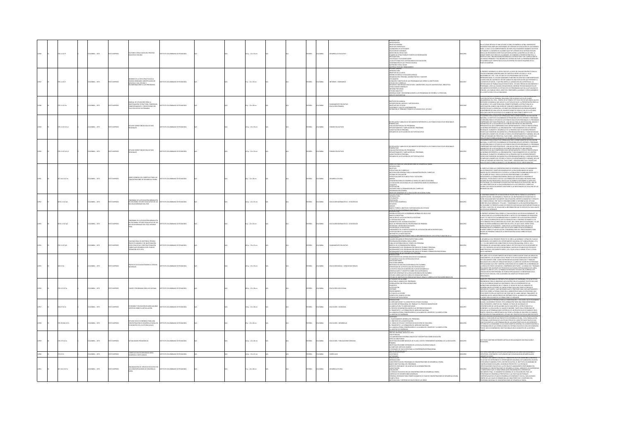|  | 1111017          | MELA: , 1973         | O22RRMI OT   | TORES Y RESULTADOS DEL PROCESO                                                                                                                                  | TITUTO COLOMBANO DE PEDAGOGÍA          |  | $1p.22 \times 33$ cm  |  | <b>PAÑOL</b>  | OMBIA          |                                             | MITROBICODN<br>- ANTICEDENTS<br>- ONETWOS ESPERÍAL<br>- ONETWOS ESPECÍACOS<br>- SELECCIÓN DE VARIANES<br>- MEDICIÓN DEL REGIURADO<br>- MEDICIÓN DEL REGIURADO<br>- METODOLOGÍA<br>- METODOLOGÍA<br>- METODOLOGÍA<br>ETODOLOGIA<br>IS ESCALAS Y SUS SIGNIFICADOS<br>AS A SEUCTIVIDAD EN EL SISTEMA BÁSICO DE EDUCACIÓN<br>COMPARACIÓN DE LOS TIPOS DE ESCUELA<br>KUTRICIÓN Y RESULTADOS<br>vaterial escolar y renoma<br>"Orme general                                                                                                                                                                                                         |        | IN LA ÚLTIMA DÍCADA SE HAN LEIVADO A CARO, EN AMÉRICA LATINA, RUMISIOS<br>ENFANCAS PARA ANDIANO DESCORREN LOS SECENDOS EN LOS DONTEROS EN LOS DOS<br>ENFANCAS UN ANDIANO DE MARMOS EN ALIMADES EN EN ATENIDE EN SU SUSTANA ESCOLAR<br><br>DE ALUMNOS QUE COMPLETAN SUS CICLOS DENTRO DEL NUEVO ESQUEMA ESTÁ A<br>PUNTO DE EGRESAR.                                                                                                                                                                                                                                                                                                                                                                                                                                                            |
|--|------------------|----------------------|--------------|-----------------------------------------------------------------------------------------------------------------------------------------------------------------|----------------------------------------|--|-----------------------|--|---------------|----------------|---------------------------------------------|----------------------------------------------------------------------------------------------------------------------------------------------------------------------------------------------------------------------------------------------------------------------------------------------------------------------------------------------------------------------------------------------------------------------------------------------------------------------------------------------------------------------------------------------------------------------------------------------------------------------------------------------|--------|-----------------------------------------------------------------------------------------------------------------------------------------------------------------------------------------------------------------------------------------------------------------------------------------------------------------------------------------------------------------------------------------------------------------------------------------------------------------------------------------------------------------------------------------------------------------------------------------------------------------------------------------------------------------------------------------------------------------------------------------------------------------------------------------------|
|  | 111 1017         | STR  SABAC           |              | ME DE LA VISITA PRACTICADA AL<br>IGIO SEMINARIO AGROPECLIARU LA<br>ATOCA Y DEL ESTUDIO Y<br>CAMENDACIONES A LOS PROGRAMAS                                       | THEO COLOMBIANO DE REDUCOCÍA           |  | $2p:22 \times 33$ cm  |  | <b>PAÑOL</b>  | LOMBIA         | FORMES - SEN                                | VTRODUCCIÓN<br>NNETIVOS DE LA VISITA<br>ESEÑA HISTÓRICA Y SITUACIÓN JURÍDICA<br>GANZACIÓN, PERSONAL ADMINISTRATIVO Y DOCENTE<br>TUDIANTES<br>JRACIÓN Y OBJETIVOS DE LOS PROGRAMAS QUE OFRECE LA INSTITUCIÓN<br>TUDIO DEL CURRÍCULO<br>HOUDLOUL CARROLOUD<br>Diculisons Carrolous Coulaitivos, Laboratorio, Sala de Audiovisuales, Biblioteca<br>Diculisons Vantribales<br>Tudian Por Áreas<br>Isorvaciones y Recomparaciones a los programas de Español y Literatura.<br>Isorvacion<br>A DE MATEMÁTICAS                                                                                                                                      |        | .<br>1 Presente informe es el resultado de la visita de evaluación practicada al<br>1918GIO SEMINARIO AGROPECUARIO DE ZAPATOCA ENTRE LOS DÍAS 4 Y 10 DE                                                                                                                                                                                                                                                                                                                                                                                                                                                                                                                                                                                                                                       |
|  | 0.11 (C17m)      | <b>CMELA:</b> , 1973 | O22RRM OT    | IAL DE UTILIZACIÓN PARA LI<br>INVESTIGACIÓN: ESTRUCTURA, TENDENCIAS<br>COMPORTAMIENTO Y PROYECCIONES DEL<br>FLUIO EDUCATIVO DE PRIMARIA                         | TITUTO COLOMBIANO DE PEDAGOGÍA         |  | p.: 22 x 28 cm        |  | PAÑOL         | <b>CLOMBIA</b> | PLANEAMIENTO EDUCATIVO<br>EDUCACIÓN PRMARIA | <b>GITTIN'S DEL MANIJAL</b><br>ESCRIPCIÓN DEL MODELO Y METODOLOGÍA<br>.<br>Centivos del estudio<br>Contenido y uso de la información<br>Definición de Términos Técnicos utilizados en el estudio .                                                                                                                                                                                                                                                                                                                                                                                                                                           |        | THIS INSTANCE IN CONSULTANT CONSULTING A REAL CONSULTANT CONSULTANT CONSULTANT CONSULTANT CONSULTANT CONSULTANT CONSULTANT CONSULTANT CONSULTANT CONSULTANT CONSULTANT CONSULTANT CONSULTANT CONSULTANT CONSULTANT CONSULTANT<br>.<br>Traves anno en la solucitud formulada por el señor ministro de educación                                                                                                                                                                                                                                                                                                                                                                                                                                                                                |
|  | $3.11$ K17e Ej.1 | CMELA: , 1973        | O22RRMI OT   | UDIO SOBRE FONDOS EDUCATIVOS<br>IONALES                                                                                                                         | TITUTO COLOMBIANO DE PEDAGOGÍA         |  | 23 p. : 22 x 33 cm    |  | PAÑOL         | <b>CLOMBIA</b> |                                             | COPILACIÓN Y ANÁLISIS DE DOCUMENTOS REFERENTES A LOS FONDOS EDUCATIVOS REGIONALES<br><b>SEMERA FASE</b><br>rmera fase<br>Valuación parcial del programa<br>Splanteamerito y Ampuación del programa<br>Apacitación de personal<br>Ssumen de la Situación del Sector Educativo                                                                                                                                                                                                                                                                                                                                                                 |        | .<br>COMAL, EL INSTITUTO COLOMBIANO DE PEDAGOGÍA (ICOLPE) DEFINIÓ EL PROGRAMA<br>ASESORÍA PARA EL ESTUDIO DE LOS FONDOS EDUCATIVOS REGIONALES. EL PROGRAMA<br>MPRENDIÓ DOS FASES PRINCIPALES : UNA INICIAL PARA LA INVESTIGACIÓN, ANÁLI<br>COMPRANDO DE LA SITUACIÓN DE LOS FORDOS POR MUEDID DE LUMA MUESTRA<br>SIMERISSICATATA A QUE COMPRESIÓN COLO DE PARTAMENTOS. CITAN EN USES PARTAMENTAS EN EN ARTESTA (PORTECCIÓN DE<br>MES NORMAS, DE FERENTES A LA ORGANIZACIÓN Y FU<br>AMPUAR EL ÁMBITO DEL ESTUDIO A TODOS LOS DEPARTAMENTOS Y ADEMÁS, INCLUIR<br>RAS ACTIVIDADES NO PREVISTAS, TALES COMO : ASESORÍA DIRECTA AL COMITÉ QUE,<br>NIA ESTUDIOS CORRELACIONADOS, FUE ORGANIZADO POR EL SEÑOR MINISTRO.<br>E ACUERDO CON LA SOLICITUD FORMULADA POR EL SEÑOR MINISTRO DE EDUCACIÓN : |
|  | 79.11 IC17e Ej.2 | LOMBIA: , 1973       | O22RRM OT    | LIQUO SOBRE FONDOS EDUCATIVOS<br>COLALES                                                                                                                        | TITUTO COLOMBANO DE PEDAGOGÍA          |  | 23 p. : 22 x 33 cm    |  | <b>SPAÑOL</b> | <b>CLOMBIA</b> |                                             | .<br>DIPILACIÓN Y ANÁLISIS DE DOCUMENTOS REFERENTES A LOS FONDOS EDUCATIVOS REGIONALES.<br>MERA FASE<br>EVALUACIÓN PARCIAL DEL PROGRAMA<br>splanteamento y ampliación del programa<br>Apacitación de Personal<br>Esumen de la Situación del Sector Educativo<br>----------                                                                                                                                                                                                                                                                                                                                                                   |        | N ACIONAL CONTACTOR DE MONDEAU DE PERSON DE DES PRESIDENTS DE LONDONIA EN ANGERO DE MONDEAU DE PERSONAL AND CONTACTO DE MONDEAU DE PERSONAL AN ANGELIA DE PERSONAL AN ANGELIA DE MONDEAU DE PERSONAL AN ANGELIA DE PERSONAL AN<br>JAS NORMAS REFERENTES A LA OBGANIZACIÓN Y FUNCIONAMIENTO DE LOS CENTROS<br>REGIONALES, DURANTE D. DESARROLLO DE LA PRINCIA FASE SI HIGIDION PRESINTE<br>REGIONALES, DURANTE D.ILIS CARRID DE LA PROGRAMACIÓN INICIA: Y HURO NECESION<br>PARA ESTUDIOS CORRELACIONADOS, FUE ORGANIZADO POR EL SEÑOR MINISTRO.                                                                                                                                                                                                                                                |
|  | 37.1412 IC17m    | <b>CMELA:</b> , 1973 | O22RRM (CT)  | RCO GENERAL DEL CURRÍCULO PARA LAS<br>«CENTRACIONES DE DESARROLLO RURAL                                                                                         | STITUTO COLOMBIANO DE PEDAGOGÍA        |  | p.: 22 x 28 cm        |  | SPAÑOL        | <b>CLOMBIA</b> |                                             | NTRODUCCIÓN<br>N'HADUCULIN<br>JERETIVOS<br>NEITIVOS<br>ISTENA DE DVALUADON PARA LA ADMINISTRACIÓN DEL CURRÍCULO<br>ISTENA DE DVALUADON<br>SPECIFICACIONES DE PLANTA FÍSICA Y DOTACIÓN<br>ISPICIALISMO IN FINIMATION FORMATI<br>CONCENTRADONES DE DESARRELLO RURAL DEL ÁBEA VOCADO<br>A EDUCADÓN VOCADONAL EN LAS CONCENTRADONES DE DE<br>CONCEPTO<br>STEIGACIÓN<br>ITERIOS PARA LA ORGANIZACIÓN DEL CURRÍCULO<br>METIVOS GENERALES DE LA EDUCACIÓN VOCACIONAL RUR                                                                                                                                                                            |        | IN COMBROAD PARK AND CONTRIBUING ONE OF DEPARTMENT BURN OF DIRECTIONS INTO THE CONTROL INTERFERENCE IN A CONTROL OF THE CONTROL OF THE CONTROL OF THE CONTROL OF THE CONTROL OF THE CONTROL OF THE CONTROL OF THE CONTROL OF<br>S CARACTERÍSTICAS DE LA EDUCACIÓN BÁSICA ES LA DE OFRECER EL CURRÍCULO<br>LEXIBLE QUE PUEDA FÁCILMENTE ADAPTARSE A LAS NECESIDADES DE CADA UNO DE LAS<br>IEGIONES DEL PAÍS.                                                                                                                                                                                                                                                                                                                                                                                   |
|  | $35 + 112 + 36$  | CRASH . 1973         | O2300MI OT   | <b>PAMA DE LA EDUCACIÓN NORN</b><br>COLOMBIA: ESTUDIO EVALUA<br>LIELAS NORMALES DEL PAÍS                                                                        | <b>CONTRACTOR CAMBANO DE REDACIOSA</b> |  | $A = 22 \times 33$ cm |  | <b>PAÑOL</b>  | CARGA          | NICACIÓN NOBMALÍSTICA - ESTADÍSTICAS        | evTRODUCCIÓN<br>ESTUDIANTES<br>REOCESORES<br>TRICTIGA ACADEMICA<br>uasos<br>NEXOS<br>MACO TEÓRIO<br>ia del estudio                                                                                                                                                                                                                                                                                                                                                                                                                                                                                                                           | 12952  | L CONTENIDO MISMO DE LA EDUCACIÓN SE ESCAPA POR SU ESENCIA A LA ESTRICTA<br>AN ANNOUNCE (SIN DAMAGO A TRAVÉS DE LOS INSTRUMENTOS ESTADÍSTICOS ES<br>PUEDE VISUALIZAR IMÁS FACILMENTE UNA SITUACIÓN, INFERIR SU MAGNITUD Y DEDUCIR<br>PUEDE VISUALIZAR IMÁS FACILMENTE UNA SITUACIÓN, INFERIR SU MAGNITUD Y DEDUC<br>COLOMBIA" SE PRESENTA A BASE DE GRÁFICOS QUE BUSCAN HACER MENOS PESADA LA<br>TURA Y MÁS FÁCIL DE VISUALIZAR LA INFORMACIÓN QUE SE OBTUVO EN CADA UNA DE                                                                                                                                                                                                                                                                                                                   |
|  | 70.111017p2      | COMBIA: . 1973       | O22RRMI OT   | COLOMBIA: ESTUDIO EVALUATIVO DE<br>LIELAS NORMALES DEL PAÍS, INFORME                                                                                            | ALCOLAGED DE PERSONAL                  |  | $n: 22 \times 33$ cm  |  | <b>PAÑOL</b>  | <b>LOMBIA</b>  | DUCACIÓN NORMALÍSTICA - ESTADÍSTICAS        | ISTA DE ESCUELLE NOBRALIES NACIONALES<br>FERODUCCIÓN<br>ISSEÑA HISTÓRICA DE LA ENSEÑANZA NOBRALISTA EN EL PAÍS<br>MARCO CONCEPTUAL<br>-MANULOUNDUNG LA DEUCACIÓN EN LA SOCIEDAD<br>- EL SETEMA EDUCATIVO<br>- EL SETEMA EDUCATIVO<br>- NIVEL DE PREPARACIÓN DEL PROFESORADO DE PRIMARIA<br>- NIVEL DE PREPARACIÓN DEL PROFESORADO DE PRIMARIA<br>TENCIÓN Y DESERCIÓN ESTUDIANTE.<br>TENCIÓN DE LA EDUCACIÓN<br>RGIMENTO DE LA NUEVA FILOSOFÍA DE LA EDUCACIÓN MEDIA DIVERSIFICADI<br>STIFICACIÓN DE LA EVALUACIÓN<br>FORME DE LA INVESTIGACIÓN<br>KROERACIONES NECESARIAS PARA LA IMPLEMENTACIÓN DE LA RE-ESTRUCTURACIÓN DE LA -<br>ANTACION |        | PRESENTE INFORME FINAL SORRE LA "EVALUACIÓN DE LAS ESCUELAS NORMALES", ES<br>RESULTADO DE LA COOPERACIÓN ENTRE EL INSTITUTO COLOMBIANO DE PEDAGOGÍA<br>IN YOUR VIRTUALIST DE COMPOSITIONS EN INTERFERIEUR DE LA EDUCACIÓN SUPERIOR CALIFICATION DE LA EDUCACIÓN SUPERIOR<br>L'ESTA DICIONALIZACIÓN SE INSTITUCIONALIZA EL ECONOMICO DE LA EDUCACIÓN SUPERIOR<br>1.573 FIRMADO POR LA ORIGI<br>MANIARININ DA JARMATIKA – MANIARA DEL ESTUDIO SOBRE ESCUELAS NORMALES.<br>NARVACIÓN DE LA PRIMERA ETAPA DEL ESTUDIO SOBRE ESCUELAS NORMALES.<br>LIKRO SOBRE EL PLAN DE ACCIÓN, CONSIDERACIÓN CAUSAL SOBRE ESCUELAS.<br>CIAR LAS PRIMERA<br>MASS".                                                                                                                                               |
|  | 0.11 (2170)      | CRASH . 4870         | OZBRANI OT   | IN NACIONAL DE ASISTENCIA TÉCNICA<br>VA MALAMA DE SOS INVESTIGACIÓN<br>DISCIO NÚMERO S DE INVESTIGACIÓN<br>RRICULAR DESARROLLO DEL PLAN DE<br>RRICIÓN 1973-1976 | ADDAAGER 20 OMAIRMOJO OF UTIT          |  | $2a:33 \times 22$ cm  |  | <b>PAÑOL</b>  | LOMBIA         | TO EDUCATIVE                                | COMBO DESIGNS OF PROFILED PARK AREN'S CAR DE LA RESTRUCTURACE COMBO DESIGNS O PROFILED PARK AREN'S CAR DESIGNED COMBO DESIGNED PARK AREN'S THE STATE COMBO DESIGNED PRODUCT COMBUS COMBO DESIGNED PRODUCT COMBO DESIGNED DESI                                                                                                                                                                                                                                                                                                                                                                                                                | 112054 | EL DESARROLLO DEL PRESENTE PROYECTO SE CIÑE A JAS NORBANS Y GIFRAS DEL FANO DE 1993 (1993)<br>ANY ERONOLLO DEL PRESENTE PROYECTO SE CIÑE A JAS NORBANS Y GIFRA CANTON BIR U RIV,<br>5. E Y EL DOCUMENTO DEL RINISTERIO DE EDUCACIÓN                                                                                                                                                                                                                                                                                                                                                                                                                                                                                                                                                           |
|  | 00 K17p          | <b>COMBIA: 1973</b>  | OZBRANI OTXI | PROVECTO DE EDUCACIÓN BÁSICA CIENCIAS<br>NATURALES                                                                                                              | ALCOHOLYSION TO CHARACTER PER TITLE    |  | 45 p. : 22 x 33 cm    |  | <b>COANS</b>  | <b>AIRMOJO</b> | <b>DUCACIÓN BÁSICA - CIENCIAS NATURALES</b> | <b>MITODACCOS</b><br>ANTECEDITES DEL SISTEMA EDUCATIVO COLOMBINAD<br>CIOCACIÓN ISLAMA (COLOMBINA EDUCATIVO COLOMBINA)<br>CIOCACIÓN ISLAMA<br>ACCORDAD EN UNICOLOGÍA EDUCATIVO<br>ACCORDAD EN UN ENCOLORO ISLAMA (COLOMBINA)<br>AFINANCIAS EL A POLÍTI                                                                                                                                                                                                                                                                                                                                                                                        |        | EN EL AÑO 1.971 EL ICOLPE EMPEZÓ UN ESTUDIO CURRICULAR EN TODAS LAS ÁREAS DEL<br>CIMENTO, DE ACUERDO CON EL PROYECTO DE EDUCACIÓN BÁSICA EN COLOMBIA<br>.<br>ISTE DOCUMENTO TENE COMO FIN PRESENTAR ALGUNAS CONSULTAS Y TRABAJOS<br>REALIZADOS EN EL ÁREA DE CIENCIAS INATURALES, A CARGO DE UN GRUPO DE PERSONAS.<br>ESPECIALIZADAS QUE VEN Y SIENTEN LA NECESIDAD DE UN CAMBIO EN LA ENSEÑANZ<br>HAMISCHERM (1941 WAS THE MINIMUM CONTRIBUTED AND A CONSUMER STATEMENT OF THE ANGELE OF THE MINIMUM CONTRIBUTED IN A CONSULTED AND A CONSULTED AND A CONSULTED AND CONSULTED AND CONSULTED AND CONSULTED AND CONSULTED AND CONS<br>NCICHLADO.                                                                                                                                               |
|  | 113 IC17p        | MEIA: , 1973         | O22RRM OT    | NES Y PROGRAMAS ÁREA VOCACIONAL                                                                                                                                 | AND AN AMERICAN DE PERMISSION          |  | 6 p. : 22 x 28 cm     |  | <b>PAÑOL</b>  | <b>LOMBIA</b>  | <b>UCACIÓN VOCACION</b>                     | -ESTUDIO DE COMETTIVOS EN CERCICIA NA INFLUITO PARA EL CURRÍCULO DE EDUCACIÓN BÁSICA EN<br>ACTURIOLO DE COMETTIVOS EN CERCICAS NATURALES PARA EL CURRÍCULO DE EDUCACIÓN BÁSICA EN<br>CORÍA PARA EL MANIKO DEL PROGRAMA<br>CONFERENCIÓN<br>LUMALACION CU<br>LONCEPTO<br>USTIFICACIÓN<br>SEOCEDIMIENTO<br>MOLLEMMINTO<br>LIFANNO DEL PLAN DE LECCIÓN<br>TÉCNICAS METODOLÓGICAS                                                                                                                                                                                                                                                                 | 12956  | ARCHIGHING<br>ARCHIGHNER (1980)<br>ARCHIGHNER (1980)<br>COMPARENT COMPARENT COMPARENT COMPARENT COMPARENT COMPARENT COMPARENT<br>STATISTICS CONTINUES ON CONTINUES ON A SUBSERVING COMPARENT COMPARENT<br>STATISTICS CONTINUES ON CONTIN                                                                                                                                                                                                                                                                                                                                                                                                                                                                                                                                                      |
|  | 020710174        | DLOMBIA: . 1973      | OZERNI OT    | CIMÍA Y EDUCACIÓN EN 1850 ALGUNA<br><b>VOIDALIOTEK LE 20002 20210</b>                                                                                           | ABOGAGER 30 OMAIRMOJO DE UTITZ         |  | $18a:22x28$ cm        |  | <b>COANS</b>  | <b>AIRMOJO</b> | DUCACIÓN - ECONOMÍA                         | itroducción<br>1. mercantiusmo y el carácter del estado colonial<br>A división internacional del trabajo y el proceso emancipador<br>A agrecultura y el mercantiusmo<br>M MIRALES DE BARDA DE DE LOS DE BERGRANS RADICALES<br>1. PRANSPORTE Y LA FORMACIÓN DEL MERCADO NACIONAL<br>A LLAMADA ATONIA CONSERVADORA O LA ALIANZA DEL COMERCIO Y LA AGRICULTURA                                                                                                                                                                                                                                                                                  | 012957 | 13 MARIA 1930 LI A MAS DI L'A FORMAN L'UNID LIZ MARQUINA.<br>IL TRABANO QUE SE PRESENTA PARA LA CONSIDERACIÓN Y DISCUSIÓN, NO ES EN MANI<br>ALGUNA, UN INFORME TÉCNICO. ESTA AFRIMACIÓN TIENE UNA GRANI IMPORTANCIA<br>PARE ENTENDIEN E<br>HIMPAR IMANI NI CEUCACÓN. SU VALOR SE NISCRIIS, TANTO EN LA POSIBILIDAD DE<br>ECONOMÍA Y LA EDUCACÓN. SU VALOR SE NISCRIIS, TANTO EN LA POSIBILIDAD DE<br>ENVELAR LAS DETERMINACIONES HISTÓRICAS DE LIN PROCESO QUE ES DINÁMICO EN E<br>TODOLÓGICOS PARA ABORDAR EL ESTUDIO DEL PROCESO EN FECHAS MÁS RECIENTE<br>NELN'HAVERINES DE DESANNULLO NUANE PUANTEA COMO ULTIMO FIN, DA PUESTA EL                                                                                                                                                         |
|  | 199346 K176      | COMBIA: . 1973       | OZBRANI OT   | DIO SOCIO-ECONÓMICO PARA UNA<br>N CENTRACIÓN DE DESARROLLO RURAL EN<br>MUNICIPIO DE LA VICTORIA (VALLE)                                                         | ABOGAGIR 30 OMAINMO DE PEDAGOGÍA       |  | $n: 22 \times 28$ cm  |  | <b>PAÑOL</b>  | <b>AIRMOJO</b> | DUCACIÓN - DESARROLLO                       | ontenido<br>. Planteamento general del Problema<br>OBJETIVOS DE LA INVESTIGACIÓN<br>I. OMB I INDUS DIL KA MINISTRANIONING DE SELECCIÓN DE CADA ÁREA<br>II. ÁREAS DE ESTUDIO Y CRITERIOS DE SELECCIÓN DE CADA ÁREA<br>I. TRANSPORTE Y LA FORMACIÓN DEL MERCADO NACIONAL<br>A LIBERTAD DE ENSEÑANZA<br>A LIBERTAD DE ENSEÑANZA                                                                                                                                                                                                                                                                                                                 | 012958 | MARCHA Y EIECUCIÓN DE UN PROYECTO DE DESARROLLO RURAL, CUNA FORMULACIÓN,<br>DETERMINA LA NECESIDAD DE UN ESTUDIO PREVIO DE CARÁCTER INVESTIGATIVO QUE<br>TIENE POR ORIETIVO LA DETERMINACIÓN DE LAS CARACTERÍSTICAS DE LOS DIFERENTE<br>NIE POKUMENTOU NO NEI BRITANIO DE LA BIOLOGIA DE LA BANCERISACIÓN LA<br>ETERMINACIÓN DE LAS CORRELACIONES DEL SISTEMA EDUCATIVO CON LOS ELEMENTOS<br>SICOS, SOCIO-ECONÓMICOS E INSTITUCIONALES EN EL MUNICIPIO DE LA VICTORIA<br>SICOS,                                                                                                                                                                                                                                                                                                               |
|  | 175 IC17a        | MEIA: , 1973         | O IMPRESO    | IN IDADES PEDAGÓGICAS                                                                                                                                           | DMINNO DE PEDAGOG                      |  | Ap.: 22 x 28 cm       |  | x6oL          |                | UCADÓN - PUBLICACIONES SERIADA              | HANDRO AN UCHARRA DE ARTIS<br>-AÑO DEL MATERIAL DENCTICO 1974<br>-ICOLPE REALIZA<br>"home member<br>- La elmandadín de reseñas analíticas y descriptivas sobre erucadón<br>- La elmanda core socorlos de fujios, costos y rendimiento marginal de la educadón<br>- Rivastigación sobre extensión de la escuela en Áreas rur<br>SABETIZAR: META DEL MUNDO<br>SEMINARIO DE EDUCACIÓN PARA LA COMPRENSIÓN INTERNACIONAL                                                                                                                                                                                                                         |        | este texto contiene offerintes artículos relacionados con educación y<br>Pedagogía                                                                                                                                                                                                                                                                                                                                                                                                                                                                                                                                                                                                                                                                                                            |
|  | 75 IC17c         | DLOMBIA: . 1973      | OZRRNI OT    | JRRÍCULO EDUCACIÓN BÁSICO ÁREA<br>CADÉMICA: SEXTO GRADO                                                                                                         | ABOGAGIR 30 OMAINMO DE PEDAGOGÍA       |  | (Ap.: 33 x 22 cm)     |  | <b>SPAÑOL</b> | <b>AIRMOJO</b> | <b>LRAÍCULOS</b>                            | <b>ESTIMOS ESPECIFICOS</b><br><b>ZOCIATION</b>                                                                                                                                                                                                                                                                                                                                                                                                                                                                                                                                                                                               | 012960 | EXTO CONTENE LA DESCRIPCION POR AREAS DE LOS OBJETIVOS GENERALES<br>ESPECÍFICOS, CONTENIDOS Y ACTIVIDADES QUE SE BUSCAN SEAN DESARROLLADOS                                                                                                                                                                                                                                                                                                                                                                                                                                                                                                                                                                                                                                                    |
|  | 3412 (0170)      | CRASH . 4870         | O22RRMI OT   | .<br>GANIZACIÓN DEL SERVICIO EDUCATIVO I<br>I CONCENTRACIONES DE DESARROLLO                                                                                     | STITUTO COLOMBIANO DE PEDAGOGÍA        |  | $a: 22 \times 28$ cm  |  | PAÑOL         | OMBA           | <b>CONTINUES</b>                            | TVYDADES<br>ARACTERÍSTICAS DEL PROGRAMA DE CONCENTRACIONES DE DESARROLLO RURAL<br>MARCO INSTITUCIONAL DEL PROGRAMA<br>KEPECTOS CONTABLES Y DE AUDITAIE EN LA ADMINISTRACIÓN<br>CAPACITACIÓN<br><b>MALLACIÓN</b><br>vinumum)<br>L'askuloj deucativo en las concentraciones de desarrollo rural<br>Ekseual de descripciones generales<br>L'anta Física<br>L'anta Física<br>COOLOGÍA Y CRITERIOS DE SELECCIÓN DE LAS ÁREAS                                                                                                                                                                                                                      | 1296   | ESPECIFICO, CONTENEIDOS Y ACTIVIDAREA LURA SA MUSA-PA ARPA UMARIPADA COMUNITAS.<br>EN PARCIANTE DOCUMENTO, ESCOLAS ITALIANAS PORTO DE CONSIDERATO COMUNITAS.<br>EN LAS QUE AN INITERPRENDO EL CORANDAMENTO INACIONAL DE PARKEACON, D<br>PARMONTAIN CARACTER SEARCH AN WARD MANUFACTURE OF COMMITTARIS COLLEGE SEARCH INFORMATION IN COMMITTARIS UN<br>OCOMMITTARIS COLLEGE SEARCH DISPOSITION IN CLASS AND THE DISPOSITION IN THAT CONTACT STANDARY OF THE STANDARY<br>CONTI<br>JARUS OLIGRANZEG TO CONCENTRACIONES DE DESARROLLO RURAL                                                                                                                                                                                                                                                       |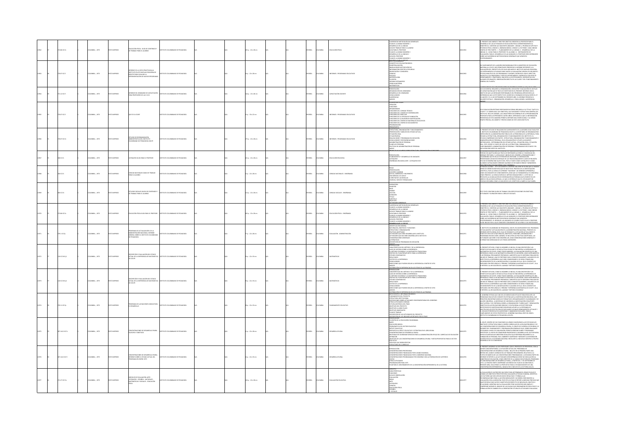|  | 86 K17e         | MEIA: , 1973         |                  | .<br>Ducación física : guía de contenido y<br>E trabajo para el alumno                                                             | TTUTO COLOMBIANO DE PEDAGOGÍ           |  | 5 p. : 22 x 28 cm      |  | <b>PAÑOL</b> | <b>MBA</b>     | <b>CAOÓN FÍSI</b>                  | NTRODUCCUS<br>SUCERRICUS METODOLÓGICAS GENER<br>PLAN DE LA UNIDAD NÚMERO 1<br>GESARROLLO DE LA UNIDAD<br>GUÍA PARA EL PROFESOR<br>GUÍA PARA EL PROFESOR<br>PLAN DE LA UNIDAD NÚMERO 2<br>GUÍA DE DROEFSOR<br>GUÍA DE DROEFSOR<br>IUÍA DEL PROFESOR<br>LAN DE LA UNIDAD NÚMERO 3                                                                                                                                                                                                                                       |         | .<br>FRESENTE DOCUMENTO TIDNE POR OBJETIVO ORIENTAR AL PROFESOR PARA EL<br>ESARROLLO DE LAS ACTIVIDADES DE EDUCACIÓN FÍSICA CORRESPONDIENTES AL<br>DERABOLICO IS AL ACTIVIDADE DE DUCACINA FESIA CONSERVADIDATES AL<br>Españacina de Longuar de Seguentes Unidades, l'hadades, pareas de Antiud Y<br>Escarcia españa Longuar J, paranandato de la Unidad. La cegarcilio de la<br>Antiucaci<br>SOBRE LAS SUGERENCIAS METODOLÓGICAS GENERALES QUE APARECEN<br>POSTERIORMENTE.                                                                                                                                                                                                                                                                                                                  |
|--|-----------------|----------------------|------------------|------------------------------------------------------------------------------------------------------------------------------------|----------------------------------------|--|------------------------|--|--------------|----------------|------------------------------------|-----------------------------------------------------------------------------------------------------------------------------------------------------------------------------------------------------------------------------------------------------------------------------------------------------------------------------------------------------------------------------------------------------------------------------------------------------------------------------------------------------------------------|---------|----------------------------------------------------------------------------------------------------------------------------------------------------------------------------------------------------------------------------------------------------------------------------------------------------------------------------------------------------------------------------------------------------------------------------------------------------------------------------------------------------------------------------------------------------------------------------------------------------------------------------------------------------------------------------------------------------------------------------------------------------------------------------------------------|
|  | 1071017         | MEIA: , 1973         |                  | FORME DE LA VISITA PRACTICADA AL<br>STITUTO PILOTO NICOLAS ESGUERRA DE<br>XGOTÁ PARA EVALUAR LA<br>PERIMENTACIÓN DE NUEVOS PROGRAM | <b>THE COLOMBIANO DE REDACOCÍA</b>     |  | p.: 22 x 28 cm         |  | .<br>Mio     |                | DRAWES - PROG                      | KYLENDE GENERALES<br>DNCEPTO DE EDUCACIÓN BÁSICA<br>EMESTRALIZACIÓN<br>NNOVACIONES METODOLÓGICAS<br>NNOVACIONES METODOLÓGICAS<br>NFORMACIÓN ESPECÍFICA POR ÁREAS<br>-REOSMANCÓN ESPECÍFICA PO<br>- CIRICIAS<br>- CIRICIAS<br>- CIRICIAS<br>- MITROPOLOGÍA<br>- FILOSOFÍA<br>- FILOSOFÍA<br>- LENGUA MATERERIS<br>- LENGUA MATERERIS<br>- ARATEMÁTICAS                                                                                                                                                                 |         | SI COMPANHENTO DE LA MODÓN ENCOMPROSA POR EL MINISTRO DE EUCACÓN (NATIONALES) EL EN MODO DE ENFERITO DE ENFERITO EL ENFERITO DE ENFERITO DE ENFERITO DE ENFERITO DE ENFERITO DE ENFERITO DE ENFERITO DE ENFERITO DE ENFERITO                                                                                                                                                                                                                                                                                                                                                                                                                                                                                                                                                                 |
|  | 1121017         | CMELA: , 1973        | O22RRM 0         | ORME DEL SEMINARIO DE CAPACITACIÓN<br>RA PROFESORES DE LAS C.D.R.                                                                  | TITUTO COLOMBIANO DE PEDAGOGÍA         |  | Ap.: 22 x 28 cm        |  | SPAÑOL       | OMBIA          | <b>MCITACIÓN DOCENTE</b>           | resentación<br>Jrganización del Seminario<br>Jesarrollo del Seminario<br>DNCLUSONES<br>LIGERENCIAS<br>NEXOS                                                                                                                                                                                                                                                                                                                                                                                                           | 12964   | <b>WARRE (C. LE R.) DE LA 20</b><br>AN ACCIDIBITAL REQUIRAD IN ORIGINAZION (MINIMALI MAPPA ILLUMIN DE LIN PLAN)<br>SUA OCCIDIBITAL REQUIRAD LA ORGANIZACIÓN, SIECUCIÓN Y EVALUACIÓN DE UN PLAN<br>DE CAPACITACIÓN QUE SE TRATA DE SINTETIZAR EN EL PROSIDANA APROVECHEN<br>INTO DI GUE DE MATINTARI PER DE LOGRÒ EN EL SEMBARDO DE BUGA ENTRE EL 27<br>FEREDICIAS QUE A ESTE RESPECTO SE LOGRÒ EN EL SEMBARDO DE BUGA ENTRE EL 27<br>SUIENTE DETALLE : ORGANIZACIÓN, DESARROLLO, CONCLUSIONES, SUGERENCIAS,                                                                                                                                                                                                                                                                                  |
|  | 1071017         | MEA:, 1973           |                  | SOL EZ ET ICOTNE                                                                                                                   |                                        |  | $p. : 33 \times 22$ cm |  | <b>PAÑOL</b> |                |                                    | DSOFÍA DEL ICOLPE<br><i>UNITALI</i> A<br>SACIÓN<br>IGANGRAMA<br>DREANIERAMA<br>UNICIONES DEL CONSEIO TÉCNICO<br>UNICIONES DEL COMITÉ DE COORDINACIÓN<br>UNICIONES DE LA OFICINA DE PLANEACIÓN<br>UNCIONES DE LA DIVISIÓN DE INVESTIGACIÓN<br>UNCIONES DEL CENTRO DE MATERIALES EDUCI<br>UNCIONES DEL CENTRO DE DOCUMENTOS<br><b>MMAGON</b><br><b>RESURVESTO</b>                                                                                                                                                       |         | ESTA PUBLICACIÓN PRETENDE RESPONDER EN FORMA RESLIMIDA A SU TÍTULO "QUÉ ES EL<br>NATION PARALLAMA PRA INTERNATIONAL AND THE MANUFACTORY EXTREMENTION GENERAL DEL<br>INDEPETT, EL SIGNIFICADO, SUS DEISTRIOS, SUS FUNCIONES Y ESTRUCTURA GENERAL DEL<br>INDEPUESTA PARA LOS PRÓXIMOS CUATRO AÑOS, ASPIRANOS A QUE LA I<br>resentada de esta manera permita critener una visión global y al mismo<br>empo precisa, del ámbito y provecciones de este joven instituto.                                                                                                                                                                                                                                                                                                                          |
|  | 0.07 (C17e)     | <b>COMBIA: 1973</b>  | OZRRNI OT        | STUDIO DE REORGANIZACIÓN<br>IDMINISTRATIVA DEL INSTITUTO<br>LOMBIANO DE PEDAGOGÍA ICOLPE                                           | ALCOARDR 30 CAMBARD DE DEUTIT          |  | $5a:22*28$ cm          |  | <b>PAÑOL</b> | <b>AIRMOJO</b> | FORMES - PROGRAMAS EDUCATIVO       | <b>FRANCISCO (1)</b><br>45TRUCTURA, ORGANIZACIÓN Y FUNCON-MAIENTO<br>45TRUCTURA, ORGANIZACIÓN Y FUNCO ACTUAL<br>45TRUCTÓN REAL<br>45TRUCTURA EN FROGRAMAS EN ESECUCIÓN<br>CONLUSCORES Y RECORDINAL<br>46MINISTRUCTÓN DE PERSONAL<br>46MINISTRUCTÓN DE PE<br>$rac{1}{2}$                                                                                                                                                                                                                                               | 12966   | .<br>El presente estudio se realizará en cumpumiento de la asesoría solicitada por<br>El instituto colombiano de pedagogía icolpe a la secretaría de organización e<br>.<br>NEPECCIÓN DE LA ADMINISTRACIÓN PÚBLICA DE LA PRESIDENCIA DE LA REPÚBLICA, PARA<br>ELVISAR LA ESTRUCTURA, ORGANIZACIÓN Y FUNCIONAMENTO DEL INSTITUTO. EL<br>ISTUDIO COMPRENDE DOS PARTES : ESTRUCTURA, ORGANIZACIÓN Y FUNCIONAMENTO<br>i vodolomna koja kartasta (1818), konkovanja in punolomna konstancija<br>Komistancija de precimal, de su bealtacija se utilizij la suguente<br>Komistancija : Retrainančin de sesara actual, studacija legal se iliječin<br>MacDalomsit                                                                                                                                    |
|  | 1617c           | CMELA: , 1973        | OZBRNI O         | EQUESIS GUÍA PARA EL PROFESOR                                                                                                      | TITUTO COLOMBIANO DE PEDAGOGÍA         |  | 1 p. : 22 × 28 cm      |  | PAÑOL        | OMBIA          | UCACIÓN RELIGIOSA                  | SENTACIÓN<br>NTO Y DESARROLLO DE UNIDADES<br>LANGAMBATO Y DESAMOLELO DE ONIDADES<br>ATEQUESES<br>NSEÑANZA RELIGIOSA AYER - CATEQUESIS HOY                                                                                                                                                                                                                                                                                                                                                                             | 1290    | $\begin{split} &\textbf{P}(\textbf{0},\textbf{0},\textbf{0},\textbf{0})\\ &\textbf{P}(\textbf{0},\textbf{0},\textbf{0})\\ &\textbf{P}(\textbf{0},\textbf{0},\textbf{0})\\ &\textbf{P}(\textbf{0},\textbf{0},\textbf{0})\\ &\textbf{P}(\textbf{0},\textbf{0},\textbf{0})\\ &\textbf{P}(\textbf{0},\textbf{0},\textbf{0})\\ &\textbf{P}(\textbf{0},\textbf{0},\textbf{0})\\ &\textbf{P}(\textbf{0},\textbf{0},\textbf{0})\\ &$                                                                                                                                                                                                                                                                                                                                                                 |
|  | 1617            | MEIA: , 1973         |                  | CIENCIAS NATURALES GUÍAS DE TRABAJO<br>PARA EL ALUMINO                                                                             | AND AN AMERICAN DE PERMISSION          |  | $: 22 \times 28$ cm    |  | PAÑOL        |                |                                    | TEMAS<br>-PRESENTACIÓN<br>.<br>LOS SERES CAMBIAN<br>GOTAS, CORRIENTES Y RECIPIENTES<br>UNA MIRADA A EL SUELO<br>IL BROTAR DE LAS SEMILLAS<br>DIARCAS, HUEVOS Y RENACUI                                                                                                                                                                                                                                                                                                                                                | 1296    | AIRMIN III AMIN'IN ANN FIRM AN AIR AIR AN THORAID AN INTERNATIONAL CONDERED.<br>CONTÍNCA, PUSS LA CIENCIA SE ARRENDE "HACIENDO", NO DEBEMOS APRENDEREA<br>COMO PROCESO. LA CIENCIA EMPLEA EL MÉTODO INDAGATORIO Y, A ÉSTE NO LE<br>COMO<br>PREOCUPA LA ACUMULACIÓN DE INFORMACIÓN AUTORIZADA QUE APARECE EN LOS<br>LIBROS O EN LAS ENCICLOPEDIAS, LO QUE LE INTERESA ES QUE EL ESTUDIANTE DE<br>ENCIAS DESCUBRA COMO LO HAN HECHO LOS CIENTÍFICOS A SABER LO QUE SABEN                                                                                                                                                                                                                                                                                                                       |
|  | <b>00 KS27e</b> | <b>CMBIA: . 1973</b> | OZBRNI OT        | ESTUDIOS SOCIALES GUÍAS DE CONTE<br>DE TRABAJO PARA EL ALUMNO                                                                      | <b>STITUTO COLOMBIANO DE REDACOCÍA</b> |  | $40.22828$ cm          |  | <b>PAÑOL</b> | <b>CLOWBIA</b> | <b>ENCIAS SOCIALES - ENSEÑANZA</b> | -ASIGNATUR<br>-SEMESTRE<br>-NIVEL<br>-LECCION<br>-LECCION<br>-DURACIÓN<br>FRANCINA<br>FRIEDRICO<br>DESETIVOS                                                                                                                                                                                                                                                                                                                                                                                                          | 0012969 | .<br>ESTE TEXTO CONTIENE GUÍAS DE TRABAJO CON ESPECIFICACIONES EN OBJETIVOS,<br>ACTIVIDADES Y DURACIÓN PARA EL ÁREA DE SOCIALES.                                                                                                                                                                                                                                                                                                                                                                                                                                                                                                                                                                                                                                                             |
|  | 2.86 IC17e      | MEIA: , 1973         | OZBRMI O         | ACIÓN FÍSICA GUÍA PARA EL PROFESOR                                                                                                 | STITUTO COLOMBIANO DE PEDAGOGÍA        |  | 5 p. : 22 x 28 cm      |  | <b>PAÑOL</b> | MBIA           | JUCACIÓN FÍSICA - ENSEÑANZA        | ANNOUNCE ANTIQUOLÓGICAS GENERALES<br>FRANCIS LA UNIDAD NÚMERO 1<br>CRESARCILO DE LA UNIDAD NÚMERO 1<br>CESARCILO DE LA UNIDAD NÚMERO<br>GEÍA DE TRABAJO PARA EL ALUMINO<br>CESARCILO DE LA UNIDAD 2<br>CESARCILO DE LA UNIDAD 2<br>CESARCILO DE LA<br>HÁR DEL PROFESOR<br>LAN DE LA UNIDAD NÚMERO 3                                                                                                                                                                                                                   | 12970   | FRESENTE DOCUMENTO TIENE POR OBJETIVO ORIENTAR AL PROFESOR PARA EL<br>.<br>DESARROLLO DE LAS ACTIVIDADES DE EDUCACIÓN FÍSICA CORRESPONDIENTES AL<br>EMESTRE OI, CONTIENE LAS SIGUENTES LINIDADES : LINIDAD 1, PRUERAS DE APTITUD<br>FROENCIA FÍSICA, LINIDAD 2, GIMNASIA BÁSICA, LINIDAD 3, ATLETISMO, CADA U<br>ATHAINMAN FURNIS VARINTAL JA MINIMANIEKITO DE LA ALINDALO. IL - DESARROLLO DE LA<br>DINDAD, III - GLIÄKS PARTER : I - PANKRANIEKTO DE LA ANKDAD. IL - DESARROLLO DE LA<br>DINDAD, III - GLIÄKS PARA EL DESARROLLO DE LA ALINDAD. IV<br>PE INICIALEM IN DESEN DE LAS UNENDES ES FLEXIBLE PUPPINON (UE EL PROFESOR)<br>ESPICIAIRENTE, EL ORDEN DE LAS UNENDES ES FLEXIBLE PUESTO QUE EL PROFESOR<br>DE INICIAR POR LA QUE CONSIDERE CONVENIENTE DE ACUERDO A LAS NECESIDADES. |
|  | 11 IC17p        | MEIA: , 1973         | COSSESSION       | PROGRAMA DE ACTUALIZACIÓN DE LA<br>ROMINISTRACIÓN NACIONAL: INFORME<br>GENERAL SOBRE EL INSTITUTO COLOMBIA<br>DE FEDAGOGÍA         | <b>THE COLOMBIANO DE REDACOCÍA</b>     |  | $p. : 22 \times 28$ cm |  | <b>MAGL</b>  | <b>MBA</b>     | <b>MINOR - ADMINISTRACIÓN</b>      | <del>italors.com</del><br>Oktorious Censial<br>Antualiza, Obenivas y Funciones<br>Chulicas ao Calinvas y Funciones<br>Chulicas ao Cadas<br>Chulicas que no Debe ossaugia el Instituto<br>Chulicas que no Debe ossaugia el Instituto<br>Chulicas que no Debe<br>.<br>DNSIDERACIONES GENERALES<br>ISCRIPCIÓN DE PROGRAMAS EN EJECUCIÓN                                                                                                                                                                                  |         | INSTITUTO COLOMBIANO DE PEDAGOGÍA, ICOLPE, EN CUMPLIMIENTO DEL PROGRA<br>IA RETIRTO COLOMISMO DE RESAGGIO, JECNIF, IN CUARIMENTAL DES PROGRAMA<br>LE EVALUACIÓN Y ACTIVILIDADES EN A ADMINISTRACIÓN INCIDIMA, PRESIDEN AD<br>PRINCIPAL VAS EN EN ANTIMALEIRA, ORIENTANS, EN INCLUSIVADO EN EN ANTIOXA<br>PRINCI                                                                                                                                                                                                                                                                                                                                                                                                                                                                              |
|  | 0.01768.1       | CRASH . 1973         | OZZRRMI OT       | oescripción y evaluación del estado<br>Actual de la experencia de matemática<br>de icolpe                                          | STITUTO COLOMBIANO DE PEDAGOGÍA        |  | p.: 22 x 33 cm         |  | <b>PAÑOL</b> | LOMBIA         | <b>TMÁTICA</b>                     | ARTOQUECIÓN<br>Expacterísticas del método y de la experiencia<br>NINDURCION<br>CARACTERÍSTICAS DEL MÉTODO Y DE LA EXPERIENCIA<br>ALGO DE NESTOJA SOBEL AL DIPERIENCIA<br>EL MÉTODO COLOMBIA Y LA MATEMÁTICA TRADICONAL<br>SÍNTESIS DEL PLAN PRESUPUESTO PARA LA EXPERIENCIA<br>SÉSULTADOS<br>ASSULTADOS<br>ROULI AUUS<br>DISTOS DE LA EXPERENCIA<br>DNCLUSIONES<br>IRECCIONES QUE PUEDEN SEGUIR LA EXPERIENCIA A PARTIR DE 1974<br>$rac{1}{20000}$                                                                    | 12972   | IL PRESENTE ESTUDIO, COMO SU NOMBRE LO INDICA, ES UNA DESCRIPCIÓN Y UN<br>NITENTO DE EVALUAR EL ESTADO ACTUAL EN QUE SE ENCUENTRA LA EDIFIENCIA DE<br>NATINÁTICA EN ECLES CONO TIDO SUS SABRADS, LA FUNLUACIÓN CENTÍFICA DE UNA<br>UN F<br>NY MINOR DE LO ESPERANCIA QUE DEBE CONSIDERARSE SI SE DESEA TORAR ILMA<br>ASPECTOS DE LA ENFORMACIA QUE DEBE CONSIDERARSE SI SE DESEA TORAR ILMA<br>ASPECTOS DE LA ENFORMACIA QUE DEBE CONSIDERARSE SI SE DESEA TORAR ILMA<br>AMPLEARÁ                                                                                                                                                                                                                                                                                                            |
|  | 0.017662        | LOMBIA: , 1973       | O22RRM OT        | <b>IFCIÓN Y EVALUACIÓN DEL ESTADO</b><br>ACTUAL DE LA EXPERENCIA DE MATEMÁTICA                                                     | TITUTO COLOMBANO DE PEDAGOGÍA          |  | p.: 22 x 33 cm         |  | <b>PAÑOL</b> | <b>LOMBIA</b>  | EMÁTICAS                           | ARATERÍCTICAS DEL MÉTODO Y DE LA EVERENCIA<br>STOCK COMPROVING<br>COSTOS DE LA DIPERIENCIA<br>CONCLUSIONES<br>RECCIONES QUE PUEDEN SEGUIR LA EXPERIENCIA A PARTIR DE 1974<br><b>SOK2P</b><br>NIFICIO<br>STRIBUCIÓN DE EXPERIENCIAS EN LOS ITEMS DE LAS PRUEBAS<br>ITECEDENTES E INFORMACIÓN BÁSICA                                                                                                                                                                                                                    | 2072    | IL PRESENTE ESTUDIO, COMO SU NOMBRE LO INDICA, ES UNA DESCRIPCIÓN Y UN<br>NITRITO DE VANUAR EL ESTADO ACTUAL EN QUE SE ENCUENTRA LA EXPERIENCA DE<br>MATEMÁTICA DE ICOLPE. COMO TODOS SABEMOS, LA EVALUACIÓN CIENTÍFICA DE UNA<br>EXPER<br><b>USING THE CONSUMER PROPERTY PROTECTIVE CONSUMER A SECTION AND ASSOCIATE AND MESS OF THE ABOVE AND MESS THE SECTION AND ASSOCIATE AND ASSOCIATE AND ASSOCIATE AND ASSOCIATE AND ASSOCIATE AND SECTION ASSOCIATES OF LOS SECTI</b>                                                                                                                                                                                                                                                                                                               |
|  | 111 (17p        | MEIA: , 1973         | O IMPRESO        | OGRAMA DE LAS NACIONES UNIDAS PARA<br>DESARROLLO                                                                                   | TITUTO COLOMBIANO DE PEDAGOG           |  | $x : 22 \times 33$ cm  |  | PAÑOL        | <b>LOMBIA</b>  |                                    | PUNDAMENTOS DEL PROYECTO<br>ESTRUCTURA INSTITUCIONAL<br>OSPOSICIONES SOBRE ACTIVIDAD<br>OTRAS ACTIVIDADES CONEXAS<br>GTRAS ACTIVIDADES CONDOXS<br>FUTURA ASSTENCIA DEL PRUD<br>OBIETIVOS CEL PROVECTO<br>OBIETIVOS A IARGO PLAZO<br>OBIETIVOS INMEDIATOS<br>FUSICIPO DE IAS ACTIVIDADES DEL PROVECTO<br>OISCRIPOÓN DE LAS ACTIVIDADES DEL PROVECTO<br>SCRIPCIÓN DE LOS INSUMOS APORTADOS POR EL PMUD<br>SERVEZIONI                                                                                                    |         | EL GOBIERNO ESTIVA QUE UNO DE LOS MEDIOS MÁS EFICACES PARA RESOLVER LOS<br>.<br>ROBLEMAS EDUCATIVOS CONSISTE EN ESTIMULAR LA INVESTIGACIÓN RIGUROSA, QUE<br>FRANTIRÁ ENCONTRAR MODELLOS FORMATIVOS VERDADERAMENTE COLOMBIANOS Y DI<br>ALIDEZ UNINERSAL: LA NECESIDAD DE VIGORIZAR LA INVESTIGACIÓN CON APORTE<br>epilional vontra de l'internacional de Vinchim (Caracteristant Valencia)<br>Multilaterna y de Centraria Sobre la Organización "Curricular" y renduación<br>Didáctica en las Educaciones regilectas) apunta a la Esperanza de<br>Necesit<br>MA ANNIMONAL DE VINGINIALES PARA DE LOS DE LOS DE LOS DE LOS DE LOS DE LOS DE LOS DE LOS DE LOS DE LOS DE LOS DE LOS DE LOS DE LOS DE LOS DE LOS DE LOS DE LOS DE LOS DE LOS DE LOS DE LOS DE LOS DE LOS DE LOS DE LOS DE LOS    |
|  | 141210170       | MEIA:, 1973          | OZRPRED D        | CENTRACIONES DE DESARROLLO RURAL<br>SOFÍA Y OBJETIVOS                                                                              | <b>STITUTO COLOMBANO DE PEDAGOGÍA</b>  |  | $1:22 \times 28$ cm    |  | <b>AÑOL</b>  | <b>AIGM</b>    |                                    | TECHNICAL DE LA EDUCACIÓN COLOMBIANA<br>imais<br>Iducación básica<br>Problemática del sector educativo<br>Iéricit educativo<br>ASPUESTA AL DÉFICIT EDUCATIVO Y ESTRATEGIA EN EL ÁREA RURAL<br>ncentraciones de desarrollo rural<br>Cesidad de coordinar servicios para la administración ericaz del currículo de educació<br><b>INCON</b><br>ilihnikuum<br>Bibetinos De Las Concentraciones de Desarrollo Rural y Metas Propubstas Para el sector<br>Eucatino<br>Ervicios que Deben Prestar<br>TRUCTURA DEL CURRÍCULO | 12975   | COUPE, DENTRO DE SUS FUNCIONES HA VENIDO CUMPUENDO LA DE ESTUDIAR LOS<br>EL ICOURE, DENTRO DE SUS FUNCIUMES HA VENIUD LUMPELENDU EN LA KATULANNA LAS<br>CRETTINOS Y ESTRUCTURA PARA EL DISSEÑO CURRICIUAR DE LA EDUCACIÓN BÁSICA Y DE<br>LAS CONCENTRADONIS DE DISARROLLO RURAL. EL GRUPO DE CURRICULO POR ÁR<br>INCARZO DEI PARMAMININ'I PROGRAMMACIN' GENERALES CULTURE REALIZIONE RESIDENTANTS<br>ESTUDIANOS A NUVEL DE CADA REGIÓN, PERMITA ESIZIDAR PARIES Y PROGRAMAS<br>ESPECIFICOS, EL HICIDO DE CONSIGERA PROBITARIS DE DESPARDA ESIZIDA RUR                                                                                                                                                                                                                                        |
|  | 14121017        | STR  SABAC           | <b>OZRESNI</b> O | NCENTRACIONES DE DESARROLLO RURAL:<br>ORME SOBRE EL ESTADO ACTUAL DEL<br>OGRAMA EN ENERO 1973                                      | <b>CONTRACTOR CAMBANO DE REDACIOSA</b> |  | $n: 22 \times 33$ cm   |  | <b>PAÑOL</b> | <b>LOMBIA</b>  |                                    | TRODUCOÓN<br>THEMEROONIS PRORTARIAS<br>DNCANTACIONIS PRIORITARIAS<br>DNCENTRACIONES FRANCIADAS POR EL BANCO MUNDIAL<br>DNCENTRACIONES FRANCIADAS POR EL GOBIERNO NACIONAL<br>DNCIAS<br>19736<br>19736<br>VINIAN<br>OTRAS ACTIVIDADES<br>PROGRAMACIÓN PARA 1973<br>PLAN PARA EL MEIORAMENTI<br>THE LA CONCENTRACIÓN EVEREMENTAL DE LA VICTORIA                                                                                                                                                                         |         | IL PRESIDIT INFORME IN SECO PREPARADO CON IL PROPÓSTIO DE PRESIDITAR, CON LA<br>MANOR CONDICIÓN POGRE, LA STIMUCIÓN ACTUAL COL INGENAMA PARTE UNA<br>CONCRETANCIA DE DESARROLO RURA, INCLUIT EN SU PRIMERA PARTE UNA<br>PARTEN DE ANANC<br>.<br>DE CONCENTRACIONES DE DESARROLLO RURAL, A PARTIR DEL 1º DE SEPTIEMBRE DE<br>1.972. LA TERCERA PARTE COMPRENDE UN ESBOSO DEL PLAN DE ACCIÓN PARA EL<br>PRESENTE AÑO. INCLUYENDO LA PROPUESTA PARA EL ESTABLECIMIENTO DE UNA<br>CONCENTRACIÓN EXPERIMENTAL, BASADA EN EL NÚCLEO DE LA VICTORIA (VALLE)                                                                                                                                                                                                                                         |
|  | 127 K17m        | CMBIA: , 1973        | OZBRANI OT       | .<br>Atequeses - Español - Naturales<br>Atequeses - Español - Naturales<br>TEMÁTICAS Y SOCIALES - EDUCACIÓN                        | TTUTO COLOMBIANO DE PEDAGOGÍA          |  | 10 p. : 22 x 28 cm     |  | PAÑOL        | <b>AIGNOJO</b> | WALLIACIÓN EDUCATIO                | JONCEPTO<br>FARACTERÍSTICAS<br><b>INCICINES</b><br>-FUNCIONES<br>-GUÍA DE OBSERVACIÓN<br>-ÁREAS<br>-ÁREAS<br>-EXUCACIÓN FÍSICA<br>-EXUCACIÓN FÍSICA<br>-EXUCACIÓN FÍSICA<br>-EXUCACIÓN FÍSICA<br>-EXUCACIÓN FÍSICA<br>SOCIALIZE:                                                                                                                                                                                                                                                                                      |         | EVALUACIÓN ES UN PROCESO QUE SIRVE PARA DETERMINAR EL GRADO EN QUE SE                                                                                                                                                                                                                                                                                                                                                                                                                                                                                                                                                                                                                                                                                                                        |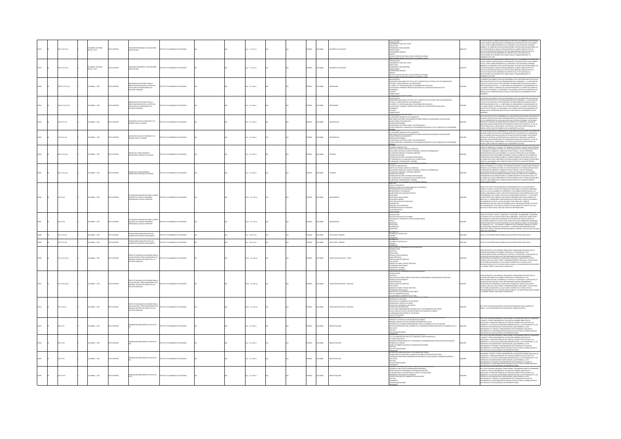|  | 11101719.1        | LOMBIA: EDITORIAL<br>TNA, 1971     | CHARGERY         | NOONES PROGRAMAS - REALIZACIONES<br><b>DIECOONES</b>                                                                                       | TITUTO COLOMBANO DE PEDAGOGÍA          |  | $p. : 17 \times 22$ cm |  | PAÑOL        | LOMBIA         | AROCHIO EDUCATIVI                  | <b>ESENTACIÓN</b><br>NASANI MULIN<br>UNDAMENTO LEGAL DEL ICOLPE<br>STRUCTURA<br>ROGRAMAS Y REALIZACIONES<br>ROURCCIONES<br>RONDCCIONES<br>RONDCRAMA GENERAL<br>NEVAS ESTRATEGIAS PARA LA EDL                                                                                                                                                                                                                                                                                                                                 | 12076  | .<br>XLETO N'3 DE LA SERIE DIVULGACIÓN DEL INSTITUTO COLOMBIANO DE PEDAGOGÍ<br>AT ALEMATIC ON SOCION DE LA BILIMIDA DE SECONDO DE VIAMANAS (CALE A ANALIS CALE CALE A CALE ANO CALE A BILIMIDA DE LA BILIMIDA DE LA ESTADO DE LA PORTA DE LA ESTADO DE LA ESTADO DE LA ESTADO DE LA ESTADO DE LA ESTADO DE L                                                                                                                                                                                                                                                                                                            |
|--|-------------------|------------------------------------|------------------|--------------------------------------------------------------------------------------------------------------------------------------------|----------------------------------------|--|------------------------|--|--------------|----------------|------------------------------------|------------------------------------------------------------------------------------------------------------------------------------------------------------------------------------------------------------------------------------------------------------------------------------------------------------------------------------------------------------------------------------------------------------------------------------------------------------------------------------------------------------------------------|--------|-------------------------------------------------------------------------------------------------------------------------------------------------------------------------------------------------------------------------------------------------------------------------------------------------------------------------------------------------------------------------------------------------------------------------------------------------------------------------------------------------------------------------------------------------------------------------------------------------------------------------|
|  | 0.11 (177 0.2)    | OLOMBIA: EDITORIAL<br>ETINA , 1973 | OZRRMI O         | NOONES PROGRAMAS - REALIZACIONES<br>DIECCIONES                                                                                             | STITUTO COLOMBIANO DE PEDAGOGÍA        |  | $n: 17 \times 23$ cm   |  | SPAÑOL       | <b>AIGNOJO</b> | SARROLLO EDUCATIVO                 | <b>ITUCONES</b> DE IMA<br>PRESENTACIÓN<br>PASANI MUUN<br>UNDAMENTO LEGAL DEL ICOLPE<br>ISTRUCTURA<br>PEOGRAMAS Y REALIZACIONES<br>ROGRAMAS Y REALIZACIONES<br>RONCCONAS<br>RONOGRAMA GENERAL<br>NEVAS ESTRATEGIAS PARA LA EDUCACIÓN EN COLOMBIA<br>NEVAS ESTRATEGIAS PARA LA EDUCACIÓN EN COLOMBIA                                                                                                                                                                                                                           | 012979 | NUMMERED DIL PALE.<br>EL FOLLETO N'3 DE LA SERIE DIVULGACIÓN DEL INSTITUTO COLOMBIANO DE PEDAGOGÍA<br>AS THANGE CON DEAST AND A MAIN CONSUMER THE SECTOR EDUCATIVE OF THE MARZO CONTRACT AND CONSUMER A SECTOR EDUCATIVE OR BE MARZO AND SECTOR IN A MARCO CONTRACT CONTRACT AND SECTOR IN A MARZO CONTRACT AND CONTRACT AND CONTRAC<br>RESTITUTOS DESCENTRAUZADOS DEL SECTOR COMO ÓBGANOS OPERATIVOS DE LA<br>POLÍTICA EDUCATIVA DEL GOBIERNO DEL FRENTE SOCIAL Y SE PLANTEAN LAS<br>PROVECCIONES DE LAS RESPECTIVAS TAREAS PARA LA TRANSFORMACIÓN Y EL<br>PROTELLAURUS SIE S.<br>DESARROLLO DEL PAÍS.                 |
|  | 3112 IC17i Ej.1   | MEIA: , 1973                       |                  | NVENTARIOS DE RECURSOS PARA LA<br>NVESTIGACIÓN EDUCATIVA: APORTE DEL<br>COUPE PARA EL MEJORAMENTO DE<br>ECURSOS HUMANOS                    | TUTO COLOMBIANO DE PEDAGOGÍA           |  | $x: 22 \times 28$ cm   |  | PAÑOL        |                |                                    | VIRNALISMO<br>INSERVENTIN<br>MITELECCENTES<br>INVENTARIOS REALIZADOS DE 1970 A 1973 Y PRESPECTINAS DE OTROS TIPOS DE INFORMACIÓN<br>ITILIDAD Y LIMITACIONES DE LOS INVONTABIOS<br>1. CENDIP Y EL SISTENA NACIONAL DE INFORMACIÓN EDUCATIVA<br>OS RECURSOS HUMANOS: PRINCIPAL NECESIDAD DE LA INVESTIGACIÓN EDUCATIVA<br>MINARIOS<br>LLERES                                                                                                                                                                                   |        | EL PRESENTE DOCUMENTO TRATA DE RESPONDER A DOS CUESTIONES IMPLÍCITAS EN LOS<br>DRUETIVOS PROPUESTOS POR LOS ORGANIZADORES DEL SEMINARIO : 1. LA RELACIÓN DE<br>INIMA UNO A MORPANO DE FOR LOS OS GONOMANOS DES COLEMANADO: EL A RELACIÓN EN CARCINAL CON ESTA MUELLA DE LOS CONSUMIDADES EN INICIONALES EN CARCINALES EN EN ENTRETANDO EN EL ARCHITECTO CON EN EN EN ENTRETANTA EN ENTRE EN E                                                                                                                                                                                                                           |
|  | 3112 IC17 Ej.2    | MEIA: , 1973                       | O IMPRESO        | TARIOS DE RECURSOS PARA LA<br>MASTIGACIÓN EDUCATIVA: APORTE DEL<br>TOLPE PARA EL MEIORAMENTO DE<br>ECURSOS HUMANOS                         | TUTO COLOMBIANO DE PEDAGOGÍ            |  | $: 22 \times 28$ cm    |  | <b>PAÑOL</b> | <b>MEM</b>     |                                    | <del>NTCHARCHIN<br/>Antecedentes</del><br>Inventables Realizados de 1970 a 1973 y prespectivas de otros tipos de información<br>VINTING V LIMITADONIS DE LOS INVENTABOS<br>TILIDAD Y LIMITADONES DE LOS INVENTABOS<br>L'CENDIP Y EL SISTEMA NACIONAL DE INFORMACIÓN EDUCATIVA<br>OS RECURSOS HUMANOS: PRINCIPAL NECESIDAD DE LA INVESTIGACIÓN EDUCATIVA                                                                                                                                                                      |        | .<br>IL PRESENTE DOCUMENTO TRATA DE RESPONDER A DOS CUESTIONES IMPLÍCITAS EN LOS<br>OBJETIVOS PROPUESTOS POR LOS ORGANIZADORES DEL SEMINARIO : 1. LA RELACIÓN DE<br><b>JAROUSO POWOLO DIA IL PASSE NACIONALE DIA CONSIDERAZIONE AL CONSIDERANTE DE RECURSISSARA LA ANCIENE DE RECURSISSARA LA ANCIENE DE RECURSISSARA LA ANCIENE DE RECURSISSARA LA ANCIENE DE RECURSISSARA LA ANCIENE DE DE CONSID</b>                                                                                                                                                                                                                 |
|  | $0.017m$ 611      | COMBIA: . 1973                     | OZRRNI OT        | MÁTICA GUÍA DE CONTENDO Y DE<br>OWNERS JEARN CLASS                                                                                         | ABOGAGER 30 OMAIRMOJO DE UTITZ         |  | $n: 22 \times 28$ cm   |  | <b>PAÑOL</b> | LOMBIA         | TEMÁTICAS                          | UNIUS DE MARIAS<br>ISTRACIONOS BINARIAS<br>IDMOCIONAIS LAS ESTRUCTURAS Y SUS PROPIEDADES<br>IDMO OPERAR EN EL CONJUNTO DE LOS NÚMEROS NATURALES Y EN EL CONJUNTO DE LOS NÚMEROS                                                                                                                                                                                                                                                                                                                                              | 12982  | NO IS UN SECRITO QUE LA ENSIÑANZA DE LA MATEMÁTICA EVOLUCIONA ACUSADA POR EN UNICO CONTO EN UN CORAMO DE CONTINUOS DE LA SAGNATURA.<br>SIN UNICO CONTENENTA EN LA DISCANZICIÓ DE EN COLUMBO DE LA SAGNATURA.<br>SIN QUE LA MATEMA L                                                                                                                                                                                                                                                                                                                                                                                     |
|  | $1017m$ 612       | CRASH . 4870                       | OZBRNI O         | TEMÁTICA GUÍA DE CONTENDO Y DE<br>NIAJO PARA EL ALUMNO                                                                                     | TITUTO COLOMBIANO DE PEDAGOGÍA         |  | $1:22 \times 28$ cm    |  | <b>HÁOL</b>  | <b>AIGNS</b>   | EMÁTICAS                           | eternal<br>I rasonante mundo de los conjuntos<br>Avpuemos nuestros conocimientos sobre conjuntos analizando sus relaciones<br>AMPLIANOS MUSICIMOS CONTUCIMINTOS SONIS CONTONTOS ANAGOSINOS SOS REDICIONIS<br>D'ENHO OPERAR CON CONJUNTOS<br>D'ENHO OPERAR CON<br>CONCICAMOS LAS ESTRUCTURAS Y SUS PROPIEDADES<br>CONCICAMOS LAS ESTRUCTURAS Y SUS NÚMEROS NATURALES Y EN                                                                                                                                                     | tom    |                                                                                                                                                                                                                                                                                                                                                                                                                                                                                                                                                                                                                         |
|  | 5 10174 811       | MEIA: , 1973                       |                  | JNDAD DE LECTURA NÚMERO 1<br>DEFINICIONES TEÓRICAS DE SISTEMAS                                                                             | TUTO COLOMBIANO DE PEDAGOGÍA           |  | $: 22 \times 28$ cm    |  | x6oL         |                |                                    | DIANNOS<br>ISTERMAS COMPARATIVOS<br>PARTES DEL SISTEMA: SIMPLES A COMPIEIO<br>ISLACIONES SISTÉMICAS: PARTES DE ENERGÍA A PARTES DE INFORMACIÓN<br>.<br>DE SISTEMAS CERRADOS A SISTEMAS ABIERTOS<br>ISTROALIMENTACIÓN Y SISTEMAS INTENCIONALES<br>SENSKERINGEN TIERRING IN LATIONALIS<br>LANGALION, OE LA OUSKALDAD EN LATEORÍA SOCIAL<br>MANEACIÓN, COORDINACIÓN Y ASESORÍA<br>MANEACIÓTECAE CONFINIT DE LOS DETENHAL ANEXTO                                                                                                 |        | UN KALK UND GENERALLE DE SIGNERANCE EN DE BORDEN BREGINDEN FLORIEN DE LORE DE SIGNER.<br>CONCEPTO GENERAL DE "SIGNERAS" EN TÉRMINOS FORMALES, NUESTRO MANDR ÉRIGE<br>ESTARÁ EN LAS DIFERENCIAS ENTRE LOS TIPOS PRINCIPALES DE SISTEM<br>TODOLÓGICOS QUE ELLOS ORIGINAN. LA CLASE DE SISTEMA EN EL QUE ESTANOS<br>ERESADOS PUEDE DESCRIBIRSE EN GENERAL COMO UN COMPLEIO DE ELEMENTOS O<br>MPONENTES RELACIONADOS DIRECTA O INDIRECTAMENTE EN UNA RED CAUSAL, EN<br>4. FORMA QUE CADA COMPONENTE ESTÁ RELACIONADO POR LO MENOS CON ALGUNOS<br>TROS DE UNA MANERA MÁS O MENOS ESTABLE DENTRO DE CUALQUIER PERÍODO         |
|  | 3.5 IC17u Ej.2    | MEIA: , 1973                       | <b>OZSRRMI O</b> | INDAD DE LECTURA NÚMERO 1<br>IEFINICIONES TEÓRICAS DE SISTEI                                                                               | TITUTO COLOMBIANO DE PEDAGOGÍA         |  | $p. : 22 \times 28$ cm |  | <b>PAÑOL</b> |                |                                    | ITTITUMAS<br>SISTEIRAIS COMPARATIVOS<br>PARTES DEL SISTEMA: SIMPLES A COMPLEIO<br>RELACIONES SISTÉMICAS: PARTES DE ENERGÍA A PARTES DE INFORMACIÓN<br>-SELACIONES SETÉMICAS: PARTIS DE DIKIRGÍA A PARTIS<br>- OS SETEMAS CERRADOS A SETEMAS ARIERTOS<br>- TESCÓN DEL SETEMA<br>- ATRONAMINENTACIÓN Y SETEMAS INTENCIONALES<br>- EL PADILICIMA DE LA CAUSAULDA DEL ATTENCIONALES<br>- FLANGACIÓN, CO                                                                                                                          | 298    | <b>N 1978 LOF FRANCIS PRO DESIGNATION EN TROCHA MIGRANA DA DIVERSIO AUGUSTA.</b><br>CONCEPTO GENERAL DE "SISTEMAS" EN TÉRMINOS FORMANES, NUESTRO MANCIA ÉRFACIS.<br>STARÁ EN LAS DIFERENCIAS ENTRE LOS TIPOS PRINCIPALES DE SISTEMAS ESPE<br><b>THROMOGENS UNIVOKE AT PRODUCED AS INFORMATION CONTINUES.</b><br>ITERRORISM CONTINUES IN GROUND AN AN INTERFERING CONTINUES.<br>ITERRORISM PORT OF SCHOLISES IN GENERAL COND UN CONDUCTOR IS ELECTRONICS<br>IN CRIMINALS RELACTIVISTICS IN                                                                                                                               |
|  | 1017a1            | CMBIA: , 1973                      | O22RRMI OT       | ATICAS PARA EL GR<br>IMERO CICLO BÁSICO PROGRAMA<br>PERIMENTAL GUÍA DEL PROFESOR                                                           | TITUTO COLOMBIANO DE PEDAGOGÍ          |  | 15 p. : 22 x 33 cm     |  | PAÑOL        | <b>LOMBIA</b>  |                                    | ME INVAS<br>ÓGICA Y CONJUNTOS<br>JENTIFICACIÓN DE LAS PROPIEDADES DE UN ELEMENTO<br>DETERMINACIÓN DE UN CONJUNTO<br>NTERMINACIÓN DE UN CONJUNTO<br>JNIÓN ENTRE DOS CONJUNTOS FINITOS<br>SELACIONES<br>relaciones<br>Relación de Equivalencia<br>Relación de Orden<br>Rivalención<br>Numeración<br>Cardinal de un conjunto<br>EPRESENTACIÓN DE UN CARDINA<br>TUACIÓN ADITIVA<br>ECUACIONES                                                                                                                                    |        | 23 RABOIGNE ESTÁ ELABORANDO UN PROGRAMA CON EL RIN DE MEJORAR EL<br>SERCI 1790 CODE ESTA EMBRANDO UN PROGRAMA CON EL PAIS DANS EL SUS CARRES EN EN CARRES EN EN CARRES EN EN CARRE<br>CUBRECILO PAPA EL EU CHAR CALO BÁCICO DE NATURAL ANOS ESTA NATURA PARA MANIMALIA (MENOCA A UN VICI CAMBIDO DE M<br>COLOMBIANOS DE ICOLPE, LA GUIA SIGUENTE TIENE COMO FIN : PERMITIR<br>ISPERMENTAR UNA VÍA FOEBLE DE DESARDILIAR EL PROGRAMA DEFINIDO EN ICOLPE<br>POR CONSIGUENTE, ESTA GUÍA NO CONSTITUIE UNA CAMISA DE FUERZA DE LA CUIA.<br>JNO NO SE                                                                        |
|  | 1017a2            | CMBIA: , 1973                      | O22RRM OT        | VIDADES MATEMÁTICAS PARA EL GRAD<br>UNDO CICLO BÁSICO PROGRAMA<br>ERMENTAL GUÍA DEL PROFESOR                                               | TITUTO COLOMBIANO DE PEDAGOGÍA         |  | 14 p. : 22 x 33 cm     |  | <b>PAÑOL</b> | <b>CLOWAIA</b> | EMÁTICAS                           | RODOUCCIÓN<br>TRUMM<br>METRÍA                                                                                                                                                                                                                                                                                                                                                                                                                                                                                                |        | MAY MURHAM MAY FANDAMENT FOR A SEARCH MAY THAT HAVEN AT GUIDE ANY THE SEARCH OF THE SEARCH STATE IN A SEARCH S<br>ENHO DIN 5 PARTIES 1 LOGGER – CONNUNTION – BELACIONES – NUMERACIÓN – GEOMETRÍA<br>ENDIGNIROS, CONGIN DIS ESFORZAND<br>INVIDS ASPECTOS DE ESAS SITUACIONES, VA SEA HABLAR DE LÓGICA, DE RELACIONES,<br>CONJUNTOS, ITC., Y ES EVIDENTE TANIMEN QUE NO PODRENOS HABLAR DE LÓGICA<br>CONSIDERAR CONJUNTOS O RELACIONES. AL CONTRARIO RECONSIGNANOS QUE<br>OOS ESO                                                                                                                                         |
|  | 127101791         | STR  SABAC                         | <b>O2205MID</b>  | .<br>Ken soere seriación aditiva de<br>Mentos percibidos visualmente i                                                                     | TUTO COLOMBIANO DE PEDAGOGÍA           |  | p.: 33 x 22 cm         |  | <b>AROL</b>  | artis          | UCACIÓN - PRUEBAS                  | MATEMATICA<br>OESARROLLO INTELECTUAL<br>PRUEBAS<br>NAVNOS                                                                                                                                                                                                                                                                                                                                                                                                                                                                    | 2000   | ARTILLA CON PRUEBA PARA DESARROLLAR. SECCIÓN DE PSICOLOGÍA ICOUPE.                                                                                                                                                                                                                                                                                                                                                                                                                                                                                                                                                      |
|  | 127101702         | MEIA: , 1973                       | O22RRM (         | IUEBA SOBRE SERIACIÓN ADITIVA DE<br>EMENTOS PERCIBIDOS VISUALMENTE I                                                                       | ANDONOS DE DIAMBARDO DE UNIT           |  | p.: 33 x 22 cm         |  | AÑOL.        | OMBIA          | DUCACIÓN - PRUEBAS                 | SARROLLO INTELECTUAL<br>UEBAS                                                                                                                                                                                                                                                                                                                                                                                                                                                                                                | 12989  | ARTILLA CON PRUEBA PARA DESARROLLAR, SECCIÓN DE PSICOLOGÍA ICOLPE.                                                                                                                                                                                                                                                                                                                                                                                                                                                                                                                                                      |
|  | 11210179101       | MEM: 1973                          |                  | PROVECTO NACIONAL DE ASESORÍAS PARA LA<br>ACTUALIZACIÓN Y PERFECCIONAMENTO DEL<br>PERSONAL DOCENTE EN SERVICIO DE LAS<br>ESCUELAS NORMALES | mino colorativo de renacocia           |  | .<br>Ap.: 22 x 28 cm   |  | <b>PAÑOL</b> | OMBIA          | <b>PACIFACIÓN DOCENTE - CÍSICA</b> | NAJNTOS<br>RUCTURA DEL PROGR<br>VTRODUCCIÓN<br>HINTIVOS<br>STRUCTURA<br>-<br>HODULOS EDUCACIONALES<br>CARACTERÍSTICAS<br>CARALLACIÓN DE OBJETIVOS<br>MINIMUM DE DER 11902<br>MELIACIÓN<br>VÁLISIS DE TAREA Y RED DE OBJETIVOS<br>HISIDERACIONES FI<br>ISIÓN DEL ALUMA<br>.<br>IRSIÓN DEL PROFESOR<br>FRUCTURA DEL PROGRAMA DE BIOLOGÍA MÓDULOS                                                                                                                                                                               |        | NO RESPUESTA A LOS GRANDES, RENOVADOS E INAPLAZABLES DESAFÍOS QUE LA<br>SIÓN VERTIGNOSA DE CAMBIOS CIENTÍFICOS Y TECNOLÓGICOS Y SU<br>SOLININUM WIMI MONDA DA CAMBUNO DEMI INCIDI PRODUCATO PASA<br>IMPOLCADONES DOCALES, ECONÓMICAS Y POLÍTICAS LE PLANTERIA A LA EDUCACIÓN, LA<br>IMPOLCADÓN EDUCACIÓNA: I VA DO INCORPORANO NUEVAS HERRAMIENTAS<br>IMETRICO, CADA VEZ MÁS<br>MI INDICIDADAS I INNIBINIS A CAMBIA MOS I PERMINIS MA MICCASA I IDICATIVO (<br>18 KENCEO, CADA VIZ, MÁS FLODBE Y PRIMANISMEMENTE ADECLIABLE. IA EDUCADÓN<br>18 HOY DEBE ADELMATARISE A LO QUE PUEDE OCUBRIR EN EL FUTURO; PUES SI<br>DU |
|  | $1.12$ (C17p E).2 | CRABLA: . 1973                     | n isaacco        | DIECTO NACIONAL DE ASESORÍAS PAR:<br>TUALIZACIÓN Y PERFECCIONAMIENTO I<br>ISONAL DOCENTE EN SERVICIO DE LAS<br>TUELAS NORMALES             | THEO COLOMBIANO DE REDACOCÍA           |  | $A = 22 \times 28$ cm  |  | <b>HÁOL</b>  |                | NOTACIÓN DOCENTE - BIOLOGÍA        | ITRODUCCIÓN<br>BIETIVOS<br>UEVAS ESTRUCTURAS CONCEPTUALES PARA LOS PROGRAMAS TRADICIONALES EN BIDLOGÍA<br>ODULOS EDUCACIONALES<br>VAACTERÍSTICAS<br>DRMULACIÓN DE OBJETIVOS<br>VALUACIÓN<br>NÁLISIS DE TAREA Y RED DE OBJETIVOS<br>ONSIDERACIONES FINALES<br>CLOGÍA DEL AUSTAMIENTO<br>IST DE DIAGNÓSTICO INICIAI<br>STAMENTO A AMBIENTES DE ALTURA                                                                                                                                                                          |        | COMO RESPUESTA A LOS GRANDES, RENOVADOS E INAPLAZABLES DESAFÍOS QUE LA<br>EUCESON VISITIONISMO NO CAMBIOS CINTÍFICOS Y ITOXICOGICOS Y SUS<br>BIPUCACONES SOCIALES, ECONÓMICAS Y POLÍTICAS LE PAÁNTEM A LA EDUCACIÓN, LA<br>BIPUCACONES<br>.<br>ACERLO, CADA VEZ, MÁS FLEXIBLE Y PERMANENTEMENTE ADECLIABLE. LA EDUCACIÓN<br>E HOY DEBE ADELANTARSE A LO QUE PUEDE OCURRIR EN EL FUTURO; PUES SI                                                                                                                                                                                                                         |
|  | 12 IC17p          | MEIA: , 1973                       |                  | ROYECTO NACIONAL DE ASESORÍAS PARA LA<br>TUALIZACIÓN Y PERFECCIONAMENTO DEL<br>RSONAL DOCENTE EN SERVICIO DE LAS<br>CUELAS NORMALES        |                                        |  | Ap.: 22 x 28 cm        |  | x6oL         |                | MCTMOON DOCENTE - BIOLOGÍ          | <b>WITH A ART IN SELINIÓN</b><br>VEORME DE LA RELINIÓN<br>YAYESA EN EL DESARROLLO DE LIN GRUPO<br>ROCESO EN EL DESARROLLO DE UN<br>PARICIÓN DEL ESPÍRITU DE GRUPO<br>PARELIUN DEL ESPRETU DE GRUPO<br>TARAS EN EL DESARROLLO DEL GRUPO<br>DIMO DAR Y RECIBIR AYUDA<br>1. ROL COMO RESPONSABILIDAD FORMAL EN EL FUNCIONAMIENTO DEL GRUPO<br>ICHAR DE DECISIONES<br>14 AOS COMO ACTITUD DE LIN PARTICIPANTE EN EL CURSO DE LA SESIÓN<br>14 AOS COMO ACTITUD DE LIN PARTICIPANTE EN EL CURSO DE LA SESIÓN<br>10MA DE DECISIONES | 2992   | IE TEXTO CONTIENE DIFERENTES LECTURAS RELACIONADAS CON EL MANEJO DE<br>UPO, Y SUS CARACTERÍSTICAS EN FUNCIÓN DEL TRABAJO DOCENTE.                                                                                                                                                                                                                                                                                                                                                                                                                                                                                       |
|  | 16177             | MEIA: , 1973                       | O2RRMI D         | MACIÓN BIBLIOGRÁFICA EDUCATIVA                                                                                                             | <b>TITUTO COLOMBANO DE PEDAGOGÍA</b>   |  | $p. : 22 \times 28$ cm |  | PAÑOL        | <b>MBM</b>     |                                    | R <del>évelét légiteur du</del> les unique de resider admitiler de l'exercit lers<br>Besint I filmino de la deuxación en colonia».<br>Rénimi d'Anada de Estudio Sobre Programas del Icole<br>Verbis importants del inguant de la combièn internad<br>IPECTOS IMPORTANTES D<br>IUCACIÓN<br>OTICIAS<br>IUEVAS ADQUISICIONES                                                                                                                                                                                                    |        | .<br>L'EDITO CONTIENE INFORMES, CONCLUSIONES Y RECOMENDACIONES DE SEN<br>MITES Y OTROS CONCERNIENTES A EDUCACIÓN. RESEÑAS ANÁLITICAS DE<br>L'AMINIA I VINNAI NANARRONINA AN ANGONAIRE MARINDA DOMINI ANNO 1000 CONSISTE DE FACILITAR À LOS<br>ÉDISCIDITS Y A ANS ALTAS AUTORINAISES ARABIESTANTANAS, A LOS FEDANCIOS Y A LOS<br>ÉDISCIDITS DE DOCUMENTACIÓN E INVESTIGACIÓN, UN                                                                                                                                                                                                                                         |
|  | orm               | CARL 1973                          | O22RRM OT        |                                                                                                                                            | <b>STITUTO COLOMBIANO DE REDACOCÍA</b> |  | $n - 22 + 26$ cm       |  | <b>PAÑOL</b> | OMBIA          | a interningia                      | COMPACT.<br>CONTROL COMPANY MARKET<br>is la alfabetización una futil coartada fueba de propósito?<br>I ciudad educativa<br>minario preparatorio de la conferencia interamericana especializada en educación<br>Egral de la mujer<br>NGRESO NACIONAL DE PEDAGOGÍA EN ESPAÑA<br>TICIAS<br>EVAS ADQUISICIONES                                                                                                                                                                                                                   |        | IN POLÍTICA DE LA EDUCACIÓN EN LOS DIFERENTES PAÍSES.<br>STE TEXTO CONTIENE INFORMES, CONCLUSIONES Y RECOMENDACIONES DE SEMIN<br>EST EURO CONTEMA MODEMAS, COMALISSORIO MESSIÓN ANALISENCE DE ESTAMBADO CONTEMA ESTADO EN EN EL ENCARGO EN EN EL ENCARGO EN EL ENCARGO EN EL ENCARGO EN EL ENCARGO EN EL ENCARGO EN EL ENCARGO EN EL ENCARGO EN EL ENCARGO EN                                                                                                                                                                                                                                                           |
|  | 10170             | CRASH . 4870                       | OZERNI OT        | MOÓN BIBLIOGRÁFICA EDUCATIVA                                                                                                               | ABOGAGER 30 OMAIRMOJO DE UTITZ         |  | $n: 22 \times 28$ cm   |  | <b>PAÑOL</b> | LOMBIA         | <b>BLIOTECOLOGIA</b>               | KATALIKUSE<br>KOTRIKONIS SUUS AFECTAN EI LENGUANSIAOIĜIN FLORIKS<br>CONDICIONIS SUUS AFECTAN EL LENGUAUS DEL NIÑO CON PRIVACIÓN CULTURAL<br>PROGRAMA PARA PERFECCIONAMENTO PROFESIONAL DE EDUCADORES Y ADMINISTRADORES DE<br><b>HOCACIÓN</b><br>NOMINA<br>VOTICIAS<br>VOSÚMENES                                                                                                                                                                                                                                              | 1700   | .<br>EMINARIOS, COMITES Y OTROS CONCERNIENTES A EDUCACIÓN. RESEÑAS ANALÍTICAS DE<br>EDUCACIÓN. LA FINALIDAD PRINCIPAL DEL SERVICIO CONSISTE EN FACILITAR A LOS<br>DIRIGENTES Y A LAS ALTAS AUTORIDADES ADMINISTRATIVAS, A LOS PEDAGOGOS<br>UMMINISTA TA POSTALISMO E INVESTIGACIÓN, UNAS RESEÑAS A LA VIZ<br>CENTROS DE DOCUMENTACIÓN E INVESTIGACIÓN, UNAS RESEÑAS A LA VIZ<br>SUBETANCIALES Y CONCEAS Y RIGUROSAMENTE SELECIONADAS DE AQUELLOS<br>DOCUMENTOS CUYA INFORMACIÓN FU                                                                                                                                      |
|  | 0017100           | CMBIA: , 1973                      | O IMPRESO        | MACIÓN BIBLIOGRÁFICA EDUCATIVA                                                                                                             |                                        |  | $p. : 22 \times 28$ cm |  | <b>PAÑOL</b> |                |                                    | MINIMUM ELISSIMANO ARMI MUREL IN SE DI LUCCHI<br>DISPINA DE UNA POLINCA NIGORIANO NI EDAGGICA<br>AVASTIGACIÓN Y PLANEAMENTO: SISTEMAS EDUCATIVOS<br>LA PROMOCIÓN DE LA AUJER POR EL ACCESO A LA EDUCACIÓN<br>FAIFIÉ MELLETO INTO INILITE P<br>INSEÑANZA SECUNDARIA DEL MAÑANA<br>IOMO SE REALIZAN LOS CAMBIOS EN LA EDUCACIÓN<br>IOTICIAS<br>EMINARIOS<br>IUEVAS ADQUISICIONES<br><b>ATMITS COMPANY</b>                                                                                                                      |        | SHE INTERFERING IN THE PAPER IN LOCATION IN THE COMMISSION CONTROL (CONTROL INTERFERING IN THE STATE OF THE COMMISSION CONTROL INTERFERING IN THE STATE OF THE COMMISSION CONTROL INTO A CONTROL INTO A CONTROL INTO A CONTRO<br>UN POLÍTICA DE LA EDUCACIÓN EN LOS DIFERENTES PAÍSES.                                                                                                                                                                                                                                                                                                                                  |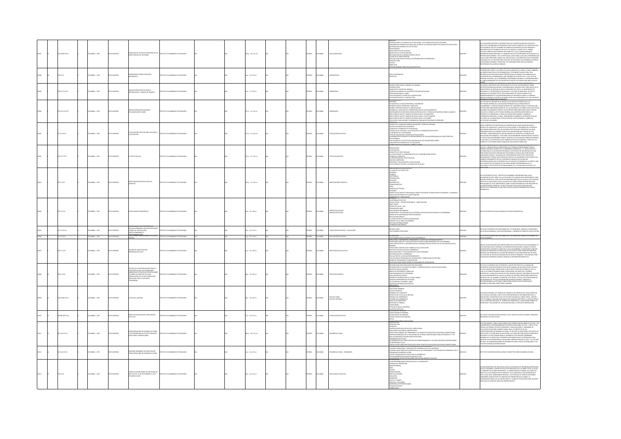|      | 20.19346 IC17e  | LCMBIA: , 1973         | O23RRM (DTX    | TENCIÓN DE LA ESCUELA PRIMARIA EN LA<br><b>LAS RURALES DE COLOMBIA</b>                                                                                                                                                         | TITUTO COLOMBIANO DE PEDAGOGÍA  |  | (Ap.: 33 x 22 cm         |  | <b>HÑOL</b>   | <b>AIGNOZ</b>  | <b>UCACIÓN RUR</b>                    | XUMO<br>FRONCOÓN: EL RETRASO DEL SECTOR RURAL Y SUS CONSECUENCIAS EN COLOMBIA<br>IEAMIENTOS ELEMENTALES PARA UNA TEORÍA DE LAS DESIGUALDADES SECTORIALES EN EDUCACIÓN<br><b>FODOLOGÍA GENERAL DE ESTE ESTUDIO</b><br>NTECEDENTES<br>ARACTERÍSTICAS DEL ESTUDIO<br>EIETIVOS DE LA INVESTIGACIÓN<br>IETODOLOGÍA DE LA RECOLECCIÓN DE DATOS<br>TAPAS DE LA INVESTIGACIÓN<br>IETODOLOGÍA ESPECIAL PARA LA DETERMINACIÓN DE PRIORIDADES<br>TRODUCOÓN<br>NEFICIOS<br>TODO GENERAL PARA EVALUAR PROYECTOS                                           |         | STE VOLUMEN CONTIDIE EL INFORME FRAN. DE LA INVESTIGACIÓN QUE REALDÓ EL<br>KITITUTO COLOMBANO DE PERADGIGIA L'ICLIP CON EL PROPÓRTO DE EDISTRICAR. LE<br>ITIDS RURALES QUE EN COLOMBIA NO TIEMEN ACTUALMENTE ESCUELA PRIMARA Y<br>ICQUI<br>TUDIO COMPATTO QUE PRESIGNE ESTE DELTIVO Y DE ÉN DUESIN DERIMARIS<br>LIMERCAS INVESTIGACIÓNES. EL IMEIDENT INCLUYE DESCRIPCIONES DETALLADAS DE LA<br>ETOCOGÓGÍA ENTRE PARA FUNDAR ALLÍ UNA ESCUELA ESTÁ PRECEDIDO POR UN EXAMEN<br>LIME                                                                                                                                                                                                                             |
|------|-----------------|------------------------|----------------|--------------------------------------------------------------------------------------------------------------------------------------------------------------------------------------------------------------------------------|---------------------------------|--|--------------------------|--|---------------|----------------|---------------------------------------|----------------------------------------------------------------------------------------------------------------------------------------------------------------------------------------------------------------------------------------------------------------------------------------------------------------------------------------------------------------------------------------------------------------------------------------------------------------------------------------------------------------------------------------------|---------|----------------------------------------------------------------------------------------------------------------------------------------------------------------------------------------------------------------------------------------------------------------------------------------------------------------------------------------------------------------------------------------------------------------------------------------------------------------------------------------------------------------------------------------------------------------------------------------------------------------------------------------------------------------------------------------------------------------|
|      | 1617            | MEIA: , 1973           | <b>IMPRESO</b> | MENTARIOS SOBRE EDUCACIÓN<br>ITEMÁTICA                                                                                                                                                                                         | OMBIANO DE PEDAGOGÍA            |  | $a: 22 \times 33$ cm     |  |               |                |                                       | )<br>Géca matemática<br>Gáctica                                                                                                                                                                                                                                                                                                                                                                                                                                                                                                              |         | ONTRIBUCIÓN TANTO A LA DIDÁCTICA DE ESTA RAMA DE LA OENCIA, COMO TAMBIÉN A<br>STRING SIDACTION CETA AUBRAHOLINE TECHNOLOGICAL MARA TODA HARA TECHNOLOGICAL SIDACTION CENTRAL CONTROL CONTROL CONTROL CENTRAL CONTROL CENTRAL CONTROL CONTROL CONTROL CONTROL CONTROL CONTROL CONTROL CONTROL CONTROL CONTROL                                                                                                                                                                                                                                                                                                                                                                                                   |
|      | 20152110171     | LOMBIA: . 1974         | OZRRNI OT      | TRUCCIÓN INDIVIDUALIZADA O<br>ISONALIZADA : MANUAL DE MANEJO                                                                                                                                                                   | TO COLOMBIANO DE PEDAGOGÍA      |  | $n: 17 \times 23$ cm     |  | <b>HÑOL</b>   | <b>OMBIA</b>   | <b>DENTICAL</b>                       | GTRUCCIÓNES PARA EL MANIEIO DEL MANUAL<br>VERODUCOÓN<br>KAOS EN EL ESTUDIO DEL MANUAL<br>ÉCNICAS EN EL ESTUDIO DEL MANUAL<br>OS EN EL ESTUDIO DE LA INSTRUCCIÓN<br>OS ENTUACIÓN PARA EL LOGRO<br>OS ENTUACIÓN DE LA INSTRUCCIÓN<br>OS ENTUACIÓN DE                                                                                                                                                                                                                                                                                           |         | KING OF EDBAGGING OF DOCUMES                                                                                                                                                                                                                                                                                                                                                                                                                                                                                                                                                                                                                                                                                   |
|      | 10.152.3 (C17)2 | CMEIA: , 1974          | O22RRMI OTX    | STRUCCIÓN INDIVIDUALIZADA Y<br>COLARIZACIÓN FLEXIBLE                                                                                                                                                                           | TUTO COLOMBIANO DE PEDAGOGÍA    |  | :7p.:17x23cm             |  | <b>Wick</b>   | <b>KOMBIA</b>  | ENDGAI                                | ESLIMEN<br>TUACIÓN DE LA EDUCACIÓN RURAL COLOMBIANA<br>TRODUCCIÓN AL PROBLEMA Y CIENTIVOS<br>SEÑO Y METODOLOGÍA DE LA INVESTIGACIÓN<br>ISINOREM (MARCON PRODUCTION CONTROL DE LOS TRATAMENTOS<br>KENARCIA (NETALACIÓN, NENDUCTIÓN OS LOS TRATAMENTOS<br>KENARCIA (NETALACIÓN, NECOLICIÓN OS LOS TENTANTENS ESTABÍSTICAS PARA EL ANÁLESE<br>EDUCCIÓN OS DATOS Y ANÁLESE DE BESU<br>CUCIÓN, CON CLUSIONES Y SUGERENCIAS PARA INVESTIGACIONES POSTER<br>NENTES                                                                                  | 1200    | STE ESTUDIO SE ORIGINÓ EN LA INQUIETUD DE BUSCAR ALTERNATIVAS A LA<br>FECTIVIDAD INTERNA DE LA EDUCACIÓN PRIMARIA EN LAS ZONAS RURALES<br>DEONIBIANAS, LA PRODUCTIVIDAD INTERNA FUE CONCEBIDA COMO LA CAPACIDAE<br>STEMA PARA MANITENER<br>STIRMA PARA MANITINIS RENTRO DE SA LA MANDIBA CO LOS MINOS ANGEN QUE MAYERO<br>DOLARDO DE MANERA ERCENTE LAS DESTREZAS PRESTABLECIDAS FOR EL SETEMA<br>DOLARDO DE MANERA ERCENTE LAS DESTREZAS PRESTABLECIDAS FOR EL SETEMA<br>BESENCIA                                                                                                                                                                                                                             |
|      | 21.27 (017e)    | LOMBIA: . 1974         | OZRRNI OTI     | <b>EVALUACIÓN INSTITUCIONAL APLICADA A</b><br>EDUCACIÓN                                                                                                                                                                        | ALCOLAGED DE PERSONAL           |  | $7a:17x23$ cm            |  | <b>PAÑOL</b>  | <b>AIGNOT</b>  | <b>ALUACIÓN EDUCATIO</b>              | <b>OTHERSTAN </b><br>DINCEPTOS Y PRINCIPIOS SOBRE EVALUADÓN Y TEORÍA DE SISTEMAS<br>IUEVOS ESFUERZOS EDUCACIONALES<br>DNCEPTOS Y PRINCIPIOS DE EVALUACIÓN<br>DNCEPTOS DE SISTEMAS Y SU APUCACIÓN A LA ORGANIZACIÓN ESCOLAR<br>L PROBLEMA DE LA DEFINICIÓN<br>POS DE EVALUACIÓN Y MODELOS DE EVALUACIÓN<br>DMPARACIÓN DE MODELOS CONTEMPORÁNEOS DE EVALUACIÓN BASADA EN CARACTERÍSTICAS<br>LECCIONAIDAS<br>VALUACIÓN DE LOS INSTITUTOS NACIONALES DE EDUCACIÓN MEDIA INEM<br>ARACTERÍSTICAS RÁSICAS DE LA EVALUACIÓN                          |         | CON EL PROPÓDERO DE DISTURICIA LAS TENENCIAS OS E MÁS HAM BEARLESO EL<br>COCAMINO DE REFEI, EN 1935 EN AGODOS ARTICLISTAS EN PRESENTAN AL ESTADO<br>COCAMINO DE REFEI, EN 1935 EN AGODOS ARTICLISTAS EN 1949 ANOS AL ESTADO<br>AUGUNO A                                                                                                                                                                                                                                                                                                                                                                                                                                                                        |
|      | 0.77710176      | CMEIA: , 1974          | CTD IMPRESO    | TEXTO ESCOLAR                                                                                                                                                                                                                  | TTUTO COLOMBIANO DE PEDAGOGÍA   |  | 4 p. : 17 x 23 cm        |  | κĥα           |                | TOS EDUCA                             | <b>HODATHEE</b><br>USTRICACIÓN<br>TELANTORIO EN TENTO ESCOLAR<br>TEANTORI PROTECTA LA PROBESANTICA DE LA COMUNICACIÓN ESCRITA<br>LIFORIA DEL CUBRICILIO<br>METODA EN ARMESIÓN<br>METODA E MARISSÓN<br>METODA EN TENTORI Y LOS ESPREDIDS DE AUTOR<br>METODA EN TENTORI                                                                                                                                                                                                                                                                        |         | ANNO LA COMBA ANNO VIRGINI DE NAVIS PROBATA PORTUR, A MAI GOGENIALE 1988<br>1980: LA COMBACIÓN DE SUMMISSIRAR LOS ELEMENTES MOSPRAGARI, LA "MASPICACIÓN" Y<br>1980: LOS ENVOLVIMENTO DE LA ENSEÑANZA APRENCIZAI: LA "MASPICACIÓN" Y<br><br>.<br>CRIACIÓN ESCOLAR DE APRESURADO CRECIMIENTO, IMPUICA UNA PRODUCCIÓN<br>JUALMENTE MASIVA Y ACELERADA DE INSTRUMENTOS DIDÁCTICOS. PERO ESTOS<br>ESTRUMENTOS TIENEN CARACTERÍSTICAS NUEVAS. NO SOLAMENTE PARTICIPAN DE LOI<br>ainainen vai vaikaista saksi kautalliselt mukaista on aukontainen vaikaista.<br>Transistalioinen soulus osalliselt on lookavankoja saksistavas on la korvana.<br>Transistalioinen soulus on riitikinen de lookavankoja saksistavan s |
|      | 37.2 IC17I      | <b>ILOMBIA:</b> , 1974 | O23RRM (DTX    | VESTIGACIÓN CIENTÍFICA PARA LA<br>VENTUD                                                                                                                                                                                       | TUTO COLOMBIANO DE PEDAGOGÍA    |  | 10 p. : 17 x 23 cm       |  | <b>HÑOL</b>   | <b>AIGNOZ</b>  |                                       | NA LLEGAR A SER UN CIENTI<br>L COMO DE LOS PROYECTOS<br>IOTÁNICA<br>OTANICA<br>LECTRÓNICA<br>LECTRÓNICA<br>ATOMOLOGÍA<br>ATOMOLOGÍA<br>SICA<br>SICA<br>SICA<br>COLOGÍA<br>COLOGÍA<br>COLOGÍA<br>MUM MA MITI-III<br>COLOGÍA<br>CHOCTOS DE GRUPO E INDIVIDUALES PARA ESTUDIANTES DE BACHILLERATO ELEMENTAL Y AVANZIADO<br>EAS EXPLORATORIAS EN LA INVESTIGACIÓN<br>OMPETENCIA Y PUBLICACIÓN                                                                                                                                                    | 13003   | OS ESTUDIANTES DE HOY, CIENTÍFICOS DE MAÑANA, CIETENDRÁN UNA AYUDA<br>ANUDSÉMIA DE ESTE LIBRO. EN LA ACTUALIDAD ES LA MEDIC GUÍA EXPERIMENTAL PARA<br>LÓVENES CIENTÍFICOS. TODO JOVEN CON INCLINACIONES POR LA CIENCIA, EN CUALQUIER<br>DICACIONES DE VITAL IMPORTANCIA COMO ETAPAS PROGRESIVAS PARA INICIARSE EN<br>INVESTIGACIÓN CIENTÍFICA: SE INCLUYEN MÁS DE MIL IDEAS PARA REALIZAR<br>OYECTOS Y EXPERIMENTOS QUE SON LAS MÁS VALIDSAS HERRAMIENTAS PARA EL<br>NOCAS                                                                                                                                                                                                                                     |
|      | 0.1 (27)        | CMEIA: , 1974          | CTD IMPRESO    | TUALIDADES PEDAGÓGICAS                                                                                                                                                                                                         | TO COLOMBIANO DE PEDAGOGÍA      |  | 8 p.: 22 x 28 cm         |  | <b>MGC</b>    | OMBIA          | IDIOS EDUCATIVOS<br>IDIOS NOTICIOSOS  | JITUANNE<br>A REFORMA EDUCATIVA<br>JARCTOROS<br>IBERTOROS<br>SONDETO ICOLPE - OEA<br>DIMPILACIÓN INEM<br>DIMPILACIÓN INEM<br>LUMP POCIEDAD INFORMADA<br>LUM SOCIEDAD INFORMADA<br>PROVECTO DE UNIVERSIDAD DESESCOLARIZADA<br>NUTELLO DE UNIVERSIDAD DESESCOLARIZAD<br>A PRODUCCIÓN DE ESCRITOS PEDAGÓGICOS<br>OMENTO DE EL LIBRO COLOMBIANO<br>OMENTO DE EL LIBRO COLOMBIANO<br>IOTICIAS INTERNACIONALES<br>GRESOS NACIONALES                                                                                                                | 12004   |                                                                                                                                                                                                                                                                                                                                                                                                                                                                                                                                                                                                                                                                                                                |
|      | 112 1274        | MEIA: , 1974           | O IMPRESO      | CUELAS NORMALES, ESCUELAS PR<br>URSOS DE CAPACITACIÓN,                                                                                                                                                                         | COLOMBIANO DE PEDAGOGÍA         |  | $p. : 22 \times 33$ cm   |  |               | <b>MBIA</b>    | MCTACIÓN DOCENTE - EVALUACIÓN         | RUCCIONES<br>TICHARIO PROFESORES                                                                                                                                                                                                                                                                                                                                                                                                                                                                                                             | aoos    | XTO QUE CONTENE UN CUESTIONARIO DE 217 PREGUNTAS, DIRIGIDO A PROFESORES<br>I ESCUELAS NORMALES, ESCUELAS PRIMARIAS Y TAMBIÉN DE CURSOS DE CAPACITACIÓN                                                                                                                                                                                                                                                                                                                                                                                                                                                                                                                                                         |
| 3006 | 271.27 IC17c    | COLOMBUA: , 1974       | O22RRM (CTX)   | ECCIONAMENTO Y<br>FESIONALIZACIÓN<br>LTIONARIO PARA ALUMNOS DE ESC                                                                                                                                                             | A ADONARIA DE CAMBARO DE UTITZA |  | $5p:22 \times 32$ cm     |  | <b>SPAÑOL</b> |                | COLOMBIA - EVALUACIÓN EDUCATIVA       | CUESTIONARIO PARA ALUMNOS ESCUELAS NORMALES.<br>STRUCTURA, COMPONENTES, RENDIMENTO Y COSTOS DEL SISTEMA EDUCATIVO                                                                                                                                                                                                                                                                                                                                                                                                                            | 0012006 | O QUE CONTIENE UN CUESTIONARIO DE 143 PREGUNTAS, DIRIGIDO A ALUMNOS DE                                                                                                                                                                                                                                                                                                                                                                                                                                                                                                                                                                                                                                         |
|      | 0.7 (0.24       | CMEIA: , 1974          | O IMPRESO      | ISIÓN DE INVESTIGACIÓN<br>3GRAMACIÓN 1974                                                                                                                                                                                      | TUTO COLOMBIANO DE PEDAGOGÍA    |  | $p. : 22 \times 28$ cm   |  | .<br>Afici    |                |                                       | <b>MASA</b><br>RIMARIA<br>ESTRUCTURA CIENTÍFICA DEL CURRÍCULO EN LA EDUCACIÓN<br>ASPECTOS PSICOSOCIALES DEL APRENDIZAIE<br>EDUCACIÓN FÍSICA Y PSICOMOTRICIDAD A NIVEL PRIMARIO<br>MAMMAN PIRAM I PIRAMON MARINA<br>IETODOLOGÍA DE LA EDUCACIÓN NORMALISTA<br>VALUACIÓN DE PROGRAMAS DE EXPLORACIÓN<br><b>TEAM MA</b><br>$\frac{1}{2}$<br>ADÓN<br>ASTIGACIONES SORRE DISEÑO DE PROGRAMAS DE ORIENTACIÓN                                                                                                                                       |         | NA DE LAS NECESIDADES MÁS IMPORTANTES DEL SECTOR EDUCATIVO COLOMBIANO. ES<br>IS ESTUDIOS DE COSTOS SE REALIZAN EN LOS NIVELES PRIMARIO Y SECUNDARIO, PERO<br>IN ÉNFASIS DIFERENTES COMO SE VERÁ EN LA DESCRIPCIÓN RESPECTIVA.                                                                                                                                                                                                                                                                                                                                                                                                                                                                                  |
|      | 5.4 IC174       | MEIA: , 1974           |                | istudio de las repercusiones físicas y<br>Psicológicas que las condiciones<br>Nabientales ecológicas eierecen sobre<br>Commulación de las soluciones<br>Nabiulación de las soluciones<br>Nabiulación de las sociedad<br>MELANA | TO COLOMBIANO DE PEDAGOGÍA      |  | p.: 22 x 28 cm           |  | ŵa            | <b>MBA</b>     |                                       | MARODOLOGÍA EDUCATIVA PARA PRE-ESCOLARES<br>ISTRIBUCIÓN DE LOS GRUPOS DE NIÑOS Y CONFRANCIÓN DEL EQUIPO EDUCACIONAL<br>BIETIVOS EDUCACIONALES<br>MARCO DE REFERENCIA CURRICULAR<br>FUNCIONAMENTO DEL PROGRAMA<br>EVALUACIÓN PSICOLÓGICA<br>BATERÍA DE PRUEBAS PARA LA CUARTA RONDA<br>BATERIA DE PRUEBAS PARA LA CUARTA<br>MEDIDAS EXPERIMENTALES DE PAGIT<br>APUCACIÓN DEL STANICORD-BINET<br>APUCACIÓN DEL STANICORD-BINET<br>EXELICIÓN PRIMARIA<br>ESCUELA UNITARIA<br>ESCUELA UNITARIA<br>DINÁMICA DEL CURRÍCULO<br>DINÁMICA DEL CURRÍCU |         | este es el informe que se presenta a icelar por parte de la fundación<br>estación de investigaciones de ecología humana, en relación con el estudio<br>de 1990, l'objetidenta presentada a idioa restitución en cituar de 1997, el<br>1<br>LANCH PRANTAMINIALISM UNIVERSITY IN ANGELES CHARGE PRIMA MARITERIAD DEL<br>LINCORD DE CALI QUIERES, A PARTIR DE 1972 HASTA LA FECHA, HAN PARTICIPADO EN<br>1 PROGRAMA DE TRO DE INTERVINCIÓN HISTORICIPLINARIA, TENDIENTE A<br>1949ROLL                                                                                                                                                                                                                             |
|      | 139346 K17e     | CMEIA: , 1974          | CTD IMPRESO    | ESCUELA UNITARIA                                                                                                                                                                                                               | UTO COLOMBIANO DE PEDAGOGÍA     |  | $p. : 22 \times 28$ cm   |  | ŵα            | LOMBIA         | .<br>ISCUELA RURAL<br>ISCUELA LINITAR | OINAMICA DEL CUBRICULO<br>OIDÁCTICA DE LA ESCUELA UNITABIA<br>PROCESO DEL APRENDIZAJE<br>CONTROL DEL APRENDIZAJE<br>NIVELES DE PROMOCIÓN<br>MINTACIONES<br>UNITACIONES<br>UNITACIONES<br>TIPOS DE ESCUELAS UNITABIAS<br>TIPOS DE ESCUELAS UNITABIAS                                                                                                                                                                                                                                                                                          | 300     | BIETIVO GENERAL DEL TRABAJO SE CONCRETA EN COMPILAR LAS CARACTERÍSTICA<br>- MAILIFUNDAMENTAL FORMULAL SURGENTING ANGEST INFORMULTION CONTROL AND A CARRIER MASS OF INFORMACIÓN PARA LA<br>DAPTACON I CENSICON GE SENT TRO DA PATITIVOJNO NA LA MODI RUBAL CONTROL SURGENTA<br>LA LA TETRANAO, 1994 SIDO DAFIJA                                                                                                                                                                                                                                                                                                                                                                                                 |
|      | 1863278 K171    | CMEIA: , 1974          | O IMPRESO      | ITERS LEGISLACIÓN DE CAPACITACIÓN<br>13-1974                                                                                                                                                                                   | TO COLOMBIANO DE PEDAGOGÍA      |  | p. : 33 x 22 cm          |  |               |                | GISLACIÓN EDUCATIVA                   | LEDIFICIO ESCOLAR<br>CALAFON DE PRIMARIA<br>PACITACIÓN DE PRI<br>CALAFÓN DE SECUNDARIA<br>PACITACIÓN DE SECUNDAR                                                                                                                                                                                                                                                                                                                                                                                                                             | 13010   | .<br>IE TEXTO CONTIENE RECOPILACIÓN DE LEVES, DECRETOS, RESOLUCIONES, CONVENIOS<br>FERENTES A CAPACITACIÓN.                                                                                                                                                                                                                                                                                                                                                                                                                                                                                                                                                                                                    |
|      | 307.1412 IC17c  | LOMBIA: . 1974         | CONPRESO       | CENTRACIONES DE DESARROLLO RURAL<br>LD.R PROGRAMAS DE ESTUDIO CONJUNTO<br>IOCACIONAL: AGROPECUARIA                                                                                                                             | ALCOARDR 30 CAMBARD DE DEUTIT   |  | 66 p. : 33 x 22 cm       |  | <b>PAÑOL</b>  | <b>AIGNOJO</b> | <b>ADOCK LC BLIDA</b>                 | .<br>Ukrainu snaa<br>RODUCCÓN<br>THOLOGODA<br>UNICATION CONSULTANT AN EL MEDIO BURNAL<br>DITICTURA GENERAL SEL PROGRAMA E A 6 GRADOS ESE EDUCADON VOCACORAL AGEORECIARIA<br>ENTICYCLIA GENERALS SEL PROGRAMA E A 6 GRADOS ES EDUCADON VOCACORAL AGEORECIARIA<br>ENTICIONALS<br>IMPORTANCIA LOCAL<br>a<br>Sintese de Becursos metodológicos más usados en educación vocacional agropecuaria.<br>Vocacion del concepto de desarrollo de la comunidad                                                                                           | 112011  | ETT DOCUMENTO, TIDIE LA BASE ARRIDO SEI DISCRITO RED DI DISPO 22 DE 1878, Y SE<br>ALESDO ANO LA REDONOMIADO DE CARDO VOCADONA CINE ECLIPSO E DE MONTE DE SUR CONSUMENCIA (EN CARDO COM LA CARDINA ANO LA CARDINA CON CARDO CON C<br>MENDIZANI. ILS URSKO IÇIN EL PARSANTE DOCUMENTO SAVA DE AREKANDUA PANA.<br>FIFICAR LA EDICACIÓN BÁSICA VOCACIONAL-AGRIDRICUARIA EN EL PAÍS, Y LO UTULICA<br>3 SÓLO LAS CONCENTRACIONES DE DISSARROLLO RURAL, SINO EL SISTEMA INEM Y                                                                                                                                                                                                                                        |
|      | 27.1412 10171   | CMEIA: , 1974          | O22RRMI OTX    | .<br>CENTRACIONES DE CAPACITACIÓN<br>CENTRACIONES DE DESARROLLO RURA                                                                                                                                                           | TUTO COLOMBIANO DE PEDAGOGÍA    |  | $p. : 22 \times 33$ cm   |  | ŵа            | <b>AIGMC</b>   | ARROLLO RURAL - SEMINARIOS            | annas definiciones y empoques del desarrollo de la comunidad<br>Gunas definiciones y empoques del desarrollo de la comunidad<br>Gunas características conceptuales de los programas y actividades del desarrollo de la                                                                                                                                                                                                                                                                                                                       | 113012  | STE TEXTO CONTIENE RECOPILACIÓN DE CONCEPTOS SOBRE DESARROLLO RURAL.                                                                                                                                                                                                                                                                                                                                                                                                                                                                                                                                                                                                                                           |
|      | 04 K17          | ILOMBIA: , 1974        |                | IRSO DE SUPERVISORES DE EDUCACIÓN DE<br>XULTOS DEL 16 DE SEPTIEMBRE AL 22 DE<br>CTUBRE DE 1974                                                                                                                                 | TUTO COLOMBIANO DE PEDAGOGÍ     |  | .<br>  0 p. : 22 x 33 cm |  |               | <b>CIVER</b>   | UCACIÓN DE ADULTO                     | AS RESPONSABILIDADES PRINCIPALES DE LA SUPERVISIÓN<br>ÉCNICAS DE SUPERVISIÓN<br>-BRAINSTORMING<br>-BUZZ<br>COMITÉ<br>DISACITA DRIGIDA<br>DISCUSIÓN<br>OISCUSIÓN<br>USLUSIUN<br>EXHEICIÓN<br>VAIE A EL CAMPO<br>PELÍCULA Y TELEVISIÓN<br>ernen i Haavisen<br>Ferencia de Primera Mano<br>Rafia de Grupo                                                                                                                                                                                                                                       |         | io más importante de una escuela son los procesos de enseñanza aprenenzar<br>que alí iocurren el producto de estos procesos es el alimino y éste, a su vez,<br>el convierte en lo más importante. La forbanción del alimino, en todo<br>MALLANN EN MANAGERING PROGRAM CORPANICIUS DE AUTOMACIÓN DEMANDIA<br>CINERARIA COMO APOVOS DEL PROCESO DE FORMACIÓN DEL ALUMNO, LA<br>CITEROGANITE RÁSICA DE LA SUPERVICIÓN ES "LCÓMO SE PUEDE RESPALDAR, AVUDAR<br>STIMULAR AL MAESTRO                                                                                                                                                                                                                                 |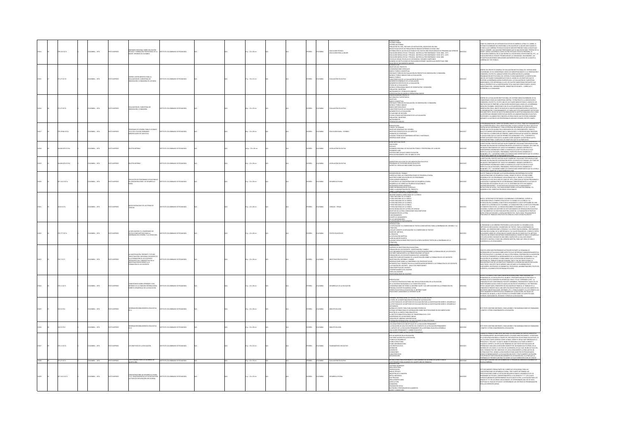|       | 8.15410174     | LOMBIA: , 1974        |                       | .<br>Minario Regional Sobre Educación<br>CNICA y Formación Profesional de la<br>JER INFORME DE COLOMBIA                                                                                     | TO COLOMBIANO DE PEDAGOGÍA                                        |  | 5 p. : 22 x 28 cm       |  | <b>MOL</b>   | <b>OLOMBIA</b> | .<br>Ducación técnica<br>Ducación para la muler | SITUAL VIDEOS MARK POR MUNIT OS INCIDENCIOS, ISOCIO EN 1994<br>SITUAL DE CARACTERISTA EN MUNIT OS INSTRUIROS EN ESPARA EN EL ENTREMADO EN 1994<br>OSTRUGIÓN DE LAS COLOUGN RUMALT OS PAÍS EN ESPACIONA PRODUCAS PRIMADOS EN EL ENTR<br>RELACIÓN DE DOCUMENTOS ANDIOS                                                                                                                                                                                                                                                                                                              |         | MO ES COMÚN EN LOS SISTEMAS EDUCATIVOS DE AMÉRICA LATINA Y EL CARIBE. EL<br>UNIO IS LUNION IN LUS SIS IMPORTATION IN A ROUGHARD A MINISTRATION COMMI, IL<br>ISTEMA COLONIBIANO NO ENSCRIMINA LA EDUCHARDA DE LA MIUSTA AŬN CUIANDO EL<br>ISTEMA COLONIBIANO NO ENSCRIMINA LA EDUCHARDA EN MIUSTA AŬN CUIANDO EL<br><br>.<br>DUCACIÓN COMERCIAL EN LO QUE RESPECTA A SECRETARIAS, RECEPCIONISTAS, ETC.; L<br>DUCACIÓN PARA EL HOGAR Y PROMOCIÓN DE LA COMUNIDAD. SIN EMBARGO, LAS<br>ITADÍSTICAS MUESTRAN VARIACIONES ASCENDENTES EN EL ACCESO DE LA MUIER A<br>CONTROL ON THE 20 SARRAN                                                                                                                                                                                                                                                                                 |
|-------|----------------|-----------------------|-----------------------|---------------------------------------------------------------------------------------------------------------------------------------------------------------------------------------------|-------------------------------------------------------------------|--|-------------------------|--|--------------|----------------|-------------------------------------------------|-----------------------------------------------------------------------------------------------------------------------------------------------------------------------------------------------------------------------------------------------------------------------------------------------------------------------------------------------------------------------------------------------------------------------------------------------------------------------------------------------------------------------------------------------------------------------------------|---------|-------------------------------------------------------------------------------------------------------------------------------------------------------------------------------------------------------------------------------------------------------------------------------------------------------------------------------------------------------------------------------------------------------------------------------------------------------------------------------------------------------------------------------------------------------------------------------------------------------------------------------------------------------------------------------------------------------------------------------------------------------------------------------------------------------------------------------------------------------------------------|
|       | 71.27 (0174)   | LOMBIA: . 1974        |                       | GO E INSTRUMENTOS PARA LA<br>.<br>Liación del suesistema de<br>Veación y consejería de los inem                                                                                             | <b>DERIVATOR DE DEDICAÇÃO</b>                                     |  |                         |  | <b>PAÑOL</b> | <b>OLOMBIA</b> | <b>ALUACIÓN EDUCATI</b>                         | RITRODUCCIÓN<br>- GREIRICA (1970)<br>- GREIRICA (1970)<br>- GREIRICA (1970)<br>- GREIRICA (1970)<br>- GREIRICA (1970)<br>- GREIRICA (1970)<br>- GREIRICA (1970)<br>- GREIRICA (1970)<br>- GREIRICA (1970)<br>- GREIRICA (1970)<br>- GREIRICA (1970)<br>- GREIRICA<br>MOMENTOS ESPECÍFICOS DE LA EVALUACIÓN<br>ETAPAS DE LA EVALUACIÓN<br>MODELO OPERACIONAL BÁSICO DE ORIENTACIÓN Y<br>POBLACIÓN Y MUESTRAS<br>INSTRUMENTOS Y TÉCNICAS DE ANÁLISIS                                                                                                                                |         | .<br>NTRO DEL PROYECTO GENERAL DE EVALUACIÓN INSTITUCIONAL DEL SISTEMA INEM<br>LOMBIANO, SE HA CONSIDERADO COMO UN SUBSISTEMA BÁSICO A LA ORIENTACIÓN                                                                                                                                                                                                                                                                                                                                                                                                                                                                                                                                                                                                                                                                                                                   |
|       | 21.27 IC17e    | LOMBIA: , 1974        | OZRPRED D             | 10 AMGTERIUS JO WOOD<br>INTACIÓN Y CONSEJERÍA                                                                                                                                               | TUTO COLOMBIANO DE PEDAGOGÍA                                      |  | 8 p. : 22 x 33 cm       |  | <b>MAOL</b>  | <b>OLOMBIA</b> | LUACIÓN EDUCAT                                  | THE MINIMUM RESEARCH ANNUAL MARCO<br><b>MARINAL COMPANY RESEARCH COMPANY RESEARCH AND SUBMISSION CONSTANTS<br/>- ORIGINAL COMPANY RESEARCH<br/>- ORIGINAL COMPANY<br/>- ORIGINAL TECHNICS ON EVALUAGIN DE ORIGINAL ON Y CONSERVÀ<br/>- MARCO COMPAN</b><br>"GRACTERÍSTICAS DE LA EVALUACIÓN<br>-MOMENTOS DE LA EVALUACIÓN<br>-SITUACIONES DE LA EVALUACIÓN<br>-ETAPAS O PASOS METODOLÓGICOS DE LA EVALUACIÓN<br>-FORLACÓN Y MUESTERS<br>-RETRIGICONT<br>RUMENTOS<br>GCAS DE ANÁLISIS                                                                                              |         | INTRO DE LA EVALUACIÓN INSTITUCIONAL DEL SISTEMA INEM COLOMBIANO, SE HA<br>AMMIN AM A MARIAMANT MINIMI VAN AMARIA VESTRATÉGICO A LA ORIENTACIÓN Y<br>CONSEIGRÃO COMO UN SUBSETERA CENTRAL Y ESTRATÉGICO A LA ORIENTACIÓN Y<br>CONSEIGRÃO COMO UN SUBSETERA CENTRAL Y ESTRATÉGICO A LA ORIENTACIÓN Y<br>ORIENTADS Q<br>BIETINDS QUE SE PROPORT LA EDUCACIÓN ENVISAGIÓN ATA MINE, DE LA ENSENHAVIZA<br>IEDA EN COLOMBIA, INVESTIGAR CUÁL DE LA SITUACIÓN ATAL DEL SERVICIO DE<br>BIENFACIÓN CON IL OBIETO DE BUSCAR SU MAYOR APAEMANTACIÓN O AUSITES EN<br>LI O<br>FESORES Y ALUMNOS POR CONOCER LOS RESULTADOS QUE SE ESTÁN LOGRANDO<br>IANTE LA ACCIÓN DE LOS PROFESIONALES AÚN MUY ESCASOS, EN ESTE CAMPO.                                                                                                                                                             |
|       | 139346 K17p    | OMBIA: , 1974         | <b>D22R5ML</b>        | MA DE ESPAÑOL PARA EL 8 GRAD<br>EARMHAN<br>CLO DEL COLEGIO SEMINARIO<br>SROPECLIARIO DE ZAPATOCA                                                                                            | TO COLOMBIANO DE PEDAGOGÍA                                        |  | lili p. : 22 x 28 cm    |  | <b>MAOL</b>  | <b>AIGMOUS</b> | UCACIÓN RURAL - ESPAÑOL                         | .<br>MPO: 30 SEMANAS<br><b>INMIPUL AFAINMANS<br/>OBIETIVOS ESPECÍFICOS DE LOS ASPECTOS<br/>OBIETIVOS ESPECÍFICOS DE LOS ASPECTOS<br/>ANGUNAS TÉCONICAS DE RISEÑANZA MÉTODO Y MATERIALES<br/>AGEREVACIONES VARIAS<br/>OBSERVACIONES VARIAS</b>                                                                                                                                                                                                                                                                                                                                     |         | .<br>DGRAMACIÓN DEL CURSO DE ESPAÑOL PARA EL 8º CICLO, TIENE SUS FUNDAMENT<br>.<br>LA EXPRESIÓN DRAL Y EN LA INVESTIGACIÓN, YA QUE LA DIDÁCTICA EN EL ADULTO SE<br>ITRA EN SUS EXPERIENCIAS, Y SON SUS PROPIAS NECESIDADES LAS QUE MOTIVAN EL<br>ERÉS QUE HA DE GUIARLO EN LA BÚSQUEDA DE LOS CONOCIMIENTOS. COMO EL<br>TIRISS QUE VA DE GUARDO DE LA RUSQUEDA DE LOS COMOCAMINHOS, COMO EL CONSTANTO COMO EL SERVICIO DE MENOS SERVICIOS ANTES ANOS EN CARACTERÍSTICA EN EL CONSTANTO DE MENOS SERVICIOS ANTES ANOS EN ENTRE A PORTEGORIA DE MENOS EN                                                                                                                                                                                                                                                                                                                  |
|       | 863278 (C17b1) | MEN. . 1974           |                       | <b>CIVILIATE AND</b>                                                                                                                                                                        | NTO COLOMBIANO DE PEDAGOGÍA                                       |  | $A = 22 \times 28$ cm   |  | wikol        |                | SLACIÓN EDUCATIVA                               | CRO-NOTICIAS ICCLPE<br>UKUWANYA<br>DICALIS<br>DICALIS<br>DICALIS DEGIONAL DE EDUCACIÓN TÉCNICA Y PROFESIONAL DE LA MUJER<br>POSICIONES LEGALES SOBRE EDUCACIÓN<br>CLUCIÓN NÚMERO 2332 DE ABRIL DE 1974                                                                                                                                                                                                                                                                                                                                                                            |         | A MERIDIAN PRODUCTION CONTROL DEVELOPED CONTROL DE CARRETA DE CARRETA DE CARRETA DE CARRETA DE CARRETA DE CARRETA DE CARRETA DE CARRETA DE CARRETA DE CARRETA DE CARRETA DE CARRETA DE CARRETA DE CARRETA DE CARRETA DE CARRE                                                                                                                                                                                                                                                                                                                                                                                                                                                                                                                                                                                                                                           |
| 029   | 4.863078 K17b2 | LOMBIA: . 1974        | O22RRM (CT)           | CARTIN INTERNO                                                                                                                                                                              | ARODAGER 30 OMAILMAD DE PEDAGOGÍA                                 |  | a : 22 x 28 cm          |  | <b>MAOL</b>  | <b>OLOMBIA</b> | GISLACIÓN EDUCATIVA                             | CRATORIO APLICADO DE DOCUMENTACIÓN EDUCATIVA<br>OGRAMA DE TELEVISIÓN RELOG EDUCATIVO<br>CRETOS Y RESOLUCIONES SOBRE EDUCACIÓN                                                                                                                                                                                                                                                                                                                                                                                                                                                     | 012019  | UN MAION LUMOLININGIN UOK LUULIS SAIS MINNIMUS. AUKMOS LUN IONUNUN A<br>MANITHIRMOS INFORMADOS SOBBE LA MARCHA DE LA INSTITUCIÓN DI LO QUE<br>RESPECTA A SUS ACTIVIDADES, PROGRAMAS, PARTICIPACIÓN EN CONGRESOS O<br>REUPRONIS, ETC, Y                                                                                                                                                                                                                                                                                                                                                                                                                                                                                                                                                                                                                                  |
|       | 7.1412 (C17a   | <b>CRABLA: . 1974</b> | <b>IMPRESO</b>        | .<br>ACIÓN DE PROGRAMAS VOCACION.<br>DNCENTRACIONES DE DESARROLLO                                                                                                                           | ALTO COLOMBIANO DE PEDAGOGÍA                                      |  | $2a:22 \times 28$ cm    |  | wkou         | <b>OLOMBIA</b> |                                                 | MINANNOUNDE<br>CUSSICIUD PARA LAS CONCENTRACIONES DE DESARROLLO RURAL<br>CURRÍCULO PARA LAS CONCENTRACIONES DE DESARROLLO RURAL<br>CONCULSIONES GENERALES<br>SITUACIÓN DE LAS CONCENTRACIONES DE DESARROLLO RURAL<br>SITUACIÓN DE LAS CONCENT<br>SITUMUGIN DE DE COMUNITACIONES DE DESMAGULIO<br>DESARROLIO DE CURRÍCULO EN ÁREAS VOCACIONALES<br>RECOMENDACIONES GENERALES<br>SOBRE IA ADMINISTRACIÓN DEL PROYECTO<br>SOBRE LA ADMINISTRACIÓN DEL PROYECTO                                                                                                                       |         | ANI ATTAINMA ANNO 111 AN TAIMICHEAD ANN AN DEANN AN DEANN CHAIRD COMPANY AND A STAIT TRANGAIR SE SEAN AN AIR A<br>COMPANY FRACHO SE SE SEAN E LA SITUACIÓN GENERAL ENCORTRADA EN CUATRO<br>SESARROLLO DE LOS PROGRAMAS VOCACIONALES<br>INVIRIUM I I HAMMONDUM DE LOS COLES DE CONTRADO DE ESTE DOCUMENTO<br>SECRACIÓN INDIARISTE : LA MATODOLOGÍA SEGUIDA EN EL PLANEAMENTO Y<br>COLEGIÓN DE DATOS ; LA MATODOLOGÍA SEGUIDA EN EL PLANEAMENTO Y<br>COLEGIÓN DE DATOS ; LA ACTO                                                                                                                                                                                                                                                                                                                                                                                          |
|       | 04.8 IC17n     | LOMBIA: , 1974        | O22RRMI OT:           | IN A MODALIDAD DE LAS FERIAS DE<br>NOAS                                                                                                                                                     | UTO COLOMBIANO DE PEDAGOGÍA                                       |  | 13 p. : 22 x 28 cm      |  | <b>Mick</b>  | <b>OLOMBIA</b> | ENCIAS - FERIAS                                 | <b>CONTRACT CONTRACTOR CONTRACTOR</b><br>COVIDADES CENTROAS EXTRAESCOURES<br>INFORME GENERAL SCRIE FERIAS DE LA CIENCIA<br>I FERIA NACIONAL DE LA CIENCIA<br>TERM NACIONAL DE LA CIENCIA<br>ELEGRIA NACIONAL DE LA CIENCIA<br>ELEGRIA NACIONAL DE LA CIENCIA<br>N FERIN MACIONAL DE LA CIENCIA<br>V FERIA NACIONAL DE LA CIENCIA<br>VI FERIA NACIONAL DE LA CIENCIA<br>NUEVA NODALIDAD DE LA FERIA DE<br>OBEANIZACIÓN DE LA FERIA<br>OBEANIZACIÓN DE LA FERIA<br>OBEANIZACIÓN DE LA FERIA<br>FUNCIONAMENTO<br>COMITÉ DE JUDGAMIENTO<br>DE LOS MODERADORES<br>EXPOSCIÓN DE PARTICI | 3023    | BAJO EL PATROCINIO DE ENTIDADES COLOMBIANAS Y EXTRANISPAS, SURGIÓ LA<br>EUNDACIÓN PARA EL EOMINTO EDUCATIVO Y EL AVANCE DE LA CIENCIA Y LA<br>TECNOLOGÍA EN COLOMBIA, CONSTITUÍDA LEGALMENTE EL 28 DE SEPTIEMBRE DE 1965<br>EL BANCO DE<br>.<br>I FOMENTO EDUCATIVO, LA FUNDACIÓN GABREL ECHAVARRIA Y EL M.I.T. CLUB DE<br>JECMBIA, FUERON LOS GESTORES DE ESTE MOVIMIENTO DE RENOVACIÓN EDUCATIV<br>JE TAN BENÉFICO HA SIDO PARA NUESTRA JUVENTUD. LA FUNDACIÓN SE PROPUSO<br>(TRE OTRAS ACTIVIDADES, A IMPULSAR PROVECTOS, TALES COMO "REALIZACIÓN DE<br>DNCURSOS DE TRABAJOS OREATIVOS EN CIENCIAS A NIVEL DE BACHILLERATO".                                                                                                                                                                                                                                         |
|       | 37710176       | LOMBIA: . 1974        | <b>IMPRESON</b>       | XTOS COMO MÉTOD<br>EÑANZA DEL ESPAÑOL Y LA LITERATUR                                                                                                                                        | TO COLOMBIANO DE PEDAGOGÍA                                        |  | $5a:22 \times 28$ cm    |  | <b>Mick</b>  | <b>OLOMBIA</b> | <b>KTOS EDUCATIVO</b>                           | .<br>A EXPUCACIÓN Y EL COMENTARIO DE TEXTOS COMO MÉTODO PARA LA ENSEÑANZA DEL ESPAÑOL Y LA<br>-A MARCARA<br>MERANDA<br>- MARCARA<br>- ANGELONG MONSITE A EXPRESSION TE COMBITABLE ENTRER<br>- ANGELONG<br>- ANGELONG MONTHS<br>- ANGERIA ESPACIATION<br>- ANGERIA ESPACIATION<br>- ANGERIA ESPACIATION<br>- ANGERIA ESPACIATION<br>- ANGERIA ESPACIATION<br>-<br>ARUTAR                                                                                                                                                                                                           | any.    | 4 PRESENTAR A 105 SEÑONES PROFECORES LA AFACACIÓN Y EL DESARROLLO DEL<br>MÉTODO DE EDIFLIACIÓN Y COMBITARIO DE TEXTOS", PARA LA ENSEÑANZA DEL<br>SPAÑOL LAS ORIENTACIONES LITERARIAS Y LA LITERATURA EN GENERAL PRETENDENC<br>AR INGINI<br>Y MULININA KOMMA DILI KUMMAMON ALANGINI MANUHAL DONDE SE HAGA EL DESARROL<br>DILILEVA, NO HENDS ENCONTRADO NINGÚN MANUHAL DONDE SE HAGA EL DESARROL<br>ROPUESTO HAGERLO, COMO UNA VERSIÓN NUESTRA, PARA QUE SIRVA DE GUÍA O<br>ROPUESTO<br><b>ERENCIA A LOS EDUCADORES.</b>                                                                                                                                                                                                                                                                                                                                                  |
|       | 1710171        | MEM., 1974            |                       | VESTIGACIÓN: PRESENTE Y FUTURI<br>NESTIGACIÓN Y REFORMA CON RESPECTO<br>A FORMACIÓN DE LOS DOCENTES<br>TROSPECTIVA Y PROSPECTIVA EN LA<br>ESTIGACIÓN REFERENTE A LA<br>MOÓN DE LOS DOCENTES |                                                                   |  | p.: 22 x 28 cm          |  |              |                |                                                 | <b>SENIARON</b><br>SMPOSIO DE INVESTIGACIÓN EDUCACIONAL<br>-SAMONDO DE VANTIGACIÓN CONCARONAL<br>A COMO CONTECTA - ANCIENCIÓN VI CAMBIO COMERCIÓN DE LOS DOCENTES<br>A COMO CONTECTA DE VANTIGACIÓN VI CAMBIO COMERCIÓN DE LOS DOCENTES<br>A COMO CON CONTECTA DE VANTIGACIÓN VI CAMBIO<br>A COMO CO<br>(LA FUNCIÓN DEL DOCENTE - UNA O DOS PROFESIONES?<br>CARACTERÍSTICAS DEL DOCENTE<br>COMPORTAMIENTO DEL DOCENTE<br>APEL DEL DOCENTE<br>ROFESIONALISMO DEL DOCEN                                                                                                             |         | IN ISTA SERE NOS PROPONENOS SATISFACER EN PARTI LA DEMANDA DE<br>FIDRADO DA ATTAULIDADA DORE ARFATO COJE WITERSAM PURANDITAL AL ADOPTOJ<br>CITRE EDUCATIVO YA QUERKE, DE UNA U OTRA FORDAR CONTRIBUITAN A LA ADOPTOJ<br>FIDAIDOS TRIMON<br>PARA TODOS, CON ESTE FIN SE IMPONE CADA VEZ MÁS LA COLABORACIÓN DE<br>EDUCADORES, SOCIÓLOGOS, ECONOMISTAS, PSICÓLOGOS, ADMINISTRADORES, POLÍTICI<br>FILÓSOFOS, A QUIENES ESTÁ DESTINADA ESTA SERIE.                                                                                                                                                                                                                                                                                                                                                                                                                          |
|       | 0.11 (217)     | LOMBIA: , 1974        | O22RRM (CT)           | <b><i>MENTARIOS SOBRE APRENDER A SER</i></b><br>.<br>Draie de la comision internacional<br>Ire el desarrollo de la educacion                                                                | NTO COLOMBIANO DE PEDAGOGÍA                                       |  | 2 p. : 22 x 28 cm       |  | <b>MOL</b>   | ABM0J02        | ARROLLO DE LA EDUCACIÓN                         | PRESENTACIÓN<br>21 PUNTOS ESTRATEGICOS PARA UNA  REVOLUCIÓN GLOBAL EN LA EDUCACIÓN<br>OE LA SOCIEDAD BLOQUEADA A LA CIUDAD EDUCATIVA<br>ACCIONES CANADIDISES AL INFORME FAURE<br>MANARIO INTERNACIONAL DE RROCOECTIVA DE LA EDUCACIÓN                                                                                                                                                                                                                                                                                                                                             |         | 4 1971, LA UNESCO CREÓ UNA COMISIÓN INTERNACIONAL PARA EXAMINAR LOS<br>ROBLEMAS DE LA EDUCACIÓN EN EL MUNDO Y PROPONER NUEVAS ESTRATEGIAS. EL<br>.<br>FORME DE ESTA COMISIÓN HA APARECIDO CON EL TÍTULO "APRENDER A SER". LA<br>MISSÓN ESTUVO COMFORMADA POR SIETE MIEMBROS, PROVENIENTES TANTO DE LO<br>IŜES DESARROLLADOS COMO DE AQUELLOS EN VÍAS DE DESARROLLO; FUE PRESIDIDA<br>PRINT ANNOUNCEMENT CONTROL DE PRODUCTION DE FRANCIA, EL TRABALD DE LA<br>POR M. EDGAR FAURE, EXMINISTRO DE EDUCACIÓN DE FRANCIA. EL TRABALD DE LA<br>COMESÓN SE ORIENTÓ HACIA UNA EXPLOTACIÓN SISTEMÁTICA DE LOS DOCUMENTOS<br>EXISTENT<br>estentis į pivksi tigaliumis, informis, bit., į paralilantiniti, bila si dragili<br>Bito nėmero de drektos en el dominio de la educación, en todas las<br>Giones del Mundo, a fin de pedirles su opinión sobre los aspectos más<br>Vers |
|       | <b>KINI</b>    | MEIA: , 1974          |                       | N BRUGGRÁFICA EDUCATIVA                                                                                                                                                                     | ANO DE PEDAGOGÍA                                                  |  | 6 p. : 22 x 28 cm       |  | <b>MOL</b>   |                |                                                 | L PAPEL DE LA INVESTIGACIÓN EN CIENCIAS DE LA EDUCACIÓN<br>EFECTIVIDAD DE LOS MÉTODOS DE DIVULGACIÓN PARA LA INVESTIGACIÓN SOBRE EL DESARROLLO<br>EFECTIVIDAD DE LOS MÉTODOS DE DIVULGACIÓN PARA LA INVESTIGACIÓN SOBRE EL DESARROLLO<br><b>EDERACIÓN INTERNACIONAL DE ASOCIACIONES DE BIBLIOTECARIOS</b><br>- CONCEPTO DE EDUCACION PERMANINTE                                                                                                                                                                                                                                   | 3025    | .<br>TE TEXTO CONTENE INFORMES, CONCLUSIONES Y RECOMENDACIONES DE SEMINARIO<br>COMITES Y OTROS CONCERNIENTES A EDUCACIÓN.                                                                                                                                                                                                                                                                                                                                                                                                                                                                                                                                                                                                                                                                                                                                               |
|       | C17112         | OMBIA: , 1974         |                       | MACIÓN BIBLIOGRÁFICA EDUCATIVA                                                                                                                                                              | TO COLOMBIANO DE PEDAGOGÍA                                        |  | 5 p. : 22 x 28 cm       |  | AÑOL         |                | LIOTECOLOGÍA                                    | l Concepto de Educación Permanente<br>Las Características conceptuales de la Educación Permanente<br>La Educación de Adultice Dentro del Contexto de la Educación Permanente<br>El Impacto de la Educación Permanente en la Reforma Edu                                                                                                                                                                                                                                                                                                                                           |         | TE TEXTO CONTIENE INFORMES, CONCLUSIONES Y RECOMENDACIONES DE SEMINARIOS<br>IMITES Y OTROS CONCERNENTES A EDUCACIÓN.                                                                                                                                                                                                                                                                                                                                                                                                                                                                                                                                                                                                                                                                                                                                                    |
|       | 0.11 (2170)    | LOMBIA: , 1974        | O23RRM OT             | S ORIETIVOS DE LA EDUCACIÓN                                                                                                                                                                 | TUTO COLOMBANO DE PEDAGOGÍA                                       |  | 12 p. : 33 x 22 cm      |  | <b>PAÑOL</b> | CLOMBIA        |                                                 | OUE HA SUCEDIDO EN LA EDUCACIÓN<br>QUE DEBE SUCEDER EN LA EDUCACIÓN<br>-FLANOS DE DESARROLLO<br>-FLANO ESTRUCTURAL<br>-FLANO ORGANIZACIÓNAL<br>LOS OBJETIVOS EN SI<br><b>INICIÓN<br/>MENTOS</b><br>NEVEIONE<br>ARACTERÍSTICAS<br>IECANIZACIÓN                                                                                                                                                                                                                                                                                                                                     |         | IANDO SE IMAILA DE OBJETIVOS, NOS ASALTA EL RECUERDO DE CIERTOS CONCEPTOS<br>JE GENERALMENTE SIN ENTEMDER HEMOS UTILIZADO INDISTINTAMENTE. SI PARTIMOS<br>I LA INFLUENCIA RECIBIDA A TRAVÉS DE CENTURIAS POR LOS SISTEMAS EDUCATIVOS<br>$\begin{split} &\frac{1}{2}(1,1,0,0,0)\\ &\frac{1}{2}(1,0,0,0)\\ &\frac{1}{2}(1,0,0,0)\\ &\frac{1}{2}(1,0,0,0)\\ &\frac{1}{2}(1,0,0,0)\\ &\frac{1}{2}(1,0,0,0)\\ &\frac{1}{2}(1,0,0,0)\\ &\frac{1}{2}(1,0,0,0)\\ &\frac{1}{2}(1,0,0,0)\\ &\frac{1}{2}(1,0,0,0)\\ &\frac{1}{2}(1,0,0,0)\\ &\frac{1}{2}(1,0,0,0)\\ &\frac{1}{2}(1$                                                                                                                                                                                                                                                                                                |
| 13038 | 71.27 IC17c    | CMBIA: , 1974         | <b>OZERRANI OTX2T</b> |                                                                                                                                                                                             | UISTIONARIO PARA LOS ALUMNOS DE MISTITUTO COLOMBIANO DE PEDAGOGÍA |  | 22 p. : 22 x 33 cm      |  |              | AROL COLOMBIA  | EVALUACIÓN EDUCATIV                             | INSTRUCCIÓN ES PARA RESPONDER EL CUESTIONARIO DEL ALUMNO DE QUINTO GRADO<br>-CUESTIONARIO PARA ALUMNOS DEL QUINTO AÑO DE PRIMARIA<br>INTRODUCCIÓN                                                                                                                                                                                                                                                                                                                                                                                                                                 | 0011028 | UELA NORMAL                                                                                                                                                                                                                                                                                                                                                                                                                                                                                                                                                                                                                                                                                                                                                                                                                                                             |
|       | 141210170      | CMEIA: , 1974         |                       | ONES DE DESABROLLO BLID<br>.<br>D.E. REQUERIMENTOS DE DOTACIÓN P:<br>LETAPA DE EXPLORACIÓN VOCACIONAL                                                                                       | -<br>Chairman de penacocia                                        |  | $1 p : 22 \times 33$ cm |  |              |                |                                                 | NTRODUCCIÓN<br>CRITERIOS GENERALES<br>ÁREA INDUSTRIAL<br>PRESENTACIÓN<br>-PRESENTACIÓN<br>- INDUSTRIA DE LA MADERA<br>- INDUSTRIA DE LA MADERA<br>- ENCETRICIA<br>- AGEA AGEORECIARIA<br>- AGEA AGEORECIARIA<br>- AGEA AGEORECIARIA<br>- INDUSCIÓN SOCIAL<br>- INDUSCIÓN SOCIAL<br>- INDUSCIÓN VORERACIÓN<br>- INDUSCIÓN VORERACIÓN<br>IE Y CONFECCIÓN                                                                                                                                                                                                                            |         | E DOCUMENTO FORMA PARTE DEL CURRÍCULO VOCACIONAL PARA LAS<br>ati Noonimiinto yhden ympiri kaikkausia stokata tamin kas<br>Dincentraciones de desarrollo rural, por cuanto determina las<br>Riccircalones se estudio, corrección requerida para el desarrollo de los<br>Riccircalones de estudio, cor<br>.<br>FAOOS 8" Y 9" EN LAS ÁREAS VOCACIONALES, SE DETERMINARÁ UNA VEZ SE HAYA.<br>IDOPTADO EL PLAN DE ESTUDIOS Y DETERMINADO LOS CRITERIOS DE PROGRAMACIÓN                                                                                                                                                                                                                                                                                                                                                                                                       |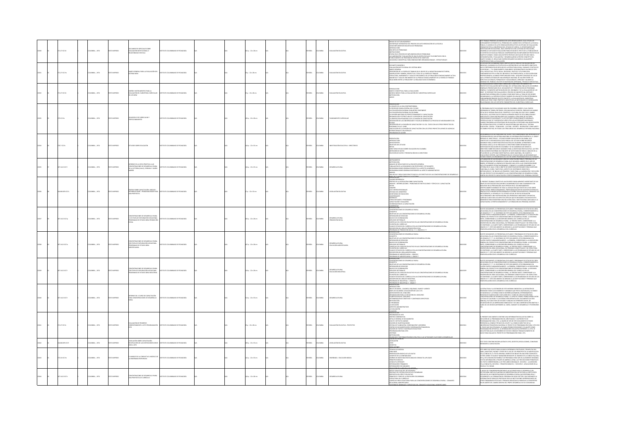|  |                |                |                 |                                                                                                                              |                                       |  |                       |  |              |                |                                               |                                                                                                                                                                                                                                                                                                                                                                                                                                                                                                                                                                                        |       | .<br>TRABAJO PRESENTA UN MODELO DE AUTO-RENDVACIÓN EL CUAL UTILIZA UN                                                                                                                                                                                                                                                                                                                                                                                                                                                                                                                                                                                                                        |
|--|----------------|----------------|-----------------|------------------------------------------------------------------------------------------------------------------------------|---------------------------------------|--|-----------------------|--|--------------|----------------|-----------------------------------------------|----------------------------------------------------------------------------------------------------------------------------------------------------------------------------------------------------------------------------------------------------------------------------------------------------------------------------------------------------------------------------------------------------------------------------------------------------------------------------------------------------------------------------------------------------------------------------------------|-------|----------------------------------------------------------------------------------------------------------------------------------------------------------------------------------------------------------------------------------------------------------------------------------------------------------------------------------------------------------------------------------------------------------------------------------------------------------------------------------------------------------------------------------------------------------------------------------------------------------------------------------------------------------------------------------------------|
|  | 171.27 (017d)  | LOMBIA: , 1974 | O IMPRESO       | MENTOS ESPECIALES SOBRE<br>ALUACIÓN INSTITUCIONAL O<br>LACIONADAS CON ELLA                                                   | UTO COLOMBIANO DE PEDAGOGÍA           |  | 02 p. : 22 x 28 cm    |  | PAÑOL        | <b>OLOMBIA</b> | ALUACIÓN EDUCATIVI                            | UNDAD DE LICTURA NÚMERO A<br>-UN ÉMPOQUE SESTEMÁTICO DE PRODESO DE AUTO-RENDUACIÓN DE LA ESCUELA<br>-RENDOUCODN<br>-REOLOGODN<br>-ENCUSTA DE PROBLEMAS<br>-ENCUSTA DE PROBLEMAS<br>INSTRUCCIÓNES<br>CTAPAS EN EL PROCESO DE IMPLEMENTACIÓN DE PROBLEMAS<br>LA ELABORACIÓN Y EVALUACIÓN DE UNA FILOSOFÍA ESCOLAR Y SUS OBJETIVOS CON EL<br>'ABLECIMENTO DE PROROADES ENTRE ESTOS OBIETIVOS<br>I MODELO CONCEPTUAL PARA INNOVACIONES ORGANIZACIONALES - ESTRUCTURALES                                                                                                                    |       | MINI I MOMMUN PAMININ VAN MONDERNA DEL CAMBIO EN EL SESTEMA DE LA ESCUELA<br>PÚBLICA, EL MODELO DE AUTO RENDUNDADO NESSULTO DE UN ESTEMA DE LA ESCUELA<br>CONDEJCIO POR LA UNIVERSIDAD DEL ESTADO DE FLORIDA, EL DEPARTAMENTO DE<br>CON<br>VÁTRISACIÓN ERICOACIÓNAL, IABO COMPANDER COM A PORTA ADE EXACACIÓN.<br>ESABERLIÓ UN PARA DE DVALUACIÓN PARA ESTUDIAR EL EXECTO DE LA FUNDACIÓN DE<br>1957 PERSON DE ESCUELAS PÚBLICAS COMPANDIDARS EN MUEDADES PARA ESTADO DURCO,<br>19                                                                                                                                                                                                           |
|  | 1.27 IC17m     | CMBIA: , 1974  |                 | naco general para la evaluación del<br>Tema inem                                                                             | <b>IT ITO COLOMBIANO DE REDACOCÍA</b> |  | p.: 22 x 28 cm        |  | <b>MG</b>    |                | LUACIÓN EDUCAT                                | 3 ORIMÚN OTIMUS<br>MALUACIÓN INSTITUCIONAL DEL SISTEMA INEM<br>enalización restitucional de Sestava mais<br>Proportional de la ferra de Trabad de Le Grupo de la industria manufacturera,<br>Constructure, mais de la ferra de l'inducta le la grupo de la industria manufacturere<br>Estructura, rese                                                                                                                                                                                                                                                                                 |       | OMPRENENTO PARA LA EVALUACIÓN.<br>KEDUCACIÓN COLOMINAVA PARA CUMPUR CON SU TARRA DE SOCIALIZACIÓN DEL<br>DIVIDINO, NA RAGADO SU POLÍTICA EN LA ORTENCIÓN DE LOS SIGUENTES ORIETIVOS,<br>UE SE PRETENDEN FIELES REFLEIOS DE LA ESTRUCTUR<br><b>CUE SE PRET</b><br>SON SPACES CHARGES IN A CONSIDERATION CONTINUES AND A SUBSERVERS CHARGES IN THE CONSIDERATION OF MANAGER STATES AND CONSIDERATION OF MANAGER STATES AND A SUBSERVERS IN THE CONSIDERATION CONSIDERATION CONSIDERATION OF MANA                                                                                                                                                                                               |
|  | 12710174       | CMEIA: , 1974  | inaggron.       | <b>On CINSTRIMENTOS PARA LA</b><br>ALLIACIÓN DEL SUBSISTEMA CURRICULAR<br>LOS INEM                                           | mith chinesiano ne ethacocia          |  | 2p.: 22 x 28 cm       |  | <b>AROL</b>  |                | <b>MINOS ENCATED</b>                          | INTRODUCCIÓN<br>-MARCO CONCEPTUAL PARA LA EVALUACIÓN<br>-MECODOLOGÍA<br>-MECODOLOGÍA<br>-MECO<br>-MECO                                                                                                                                                                                                                                                                                                                                                                                                                                                                                 |       | DE NORMANDA NA SIMBARINA NORMANO COM PORTE DE REGIONARIO DE CONSIDERATIVO DE REGIONALES DE LA CONSIDERATIVO DE<br>CARRINALES PARTANTANON EN LA DICIDIMANA DE LA CONSIDERATIVO DE REGIONARIO DE MONDRADO DE LA CONSIDERATIVO DE L<br><br>SUMINISIMAS INFORMANT UTILISIMOS CANNO POR FORT USA INCIDIDADE DETERMINADA.<br>EN CAMINADAS A LA INTRODUCCIÓN DE CAMBOS EN UNA INSTITUCIÓN DETERMINADA.<br>FUNDAMENMENTÁNDOSE EN ESTE CONCEPTO, LA ENALUACIÓN DEL SUBSISTEMA<br>CURRICU<br>ACIONADAS CON LOS DISTINTOS PARÁMETROS DEL SUBSISTEMA CURRICULAR.                                                                                                                                         |
|  | 25 IC17m       | LOMBIA: , 1974 | O23RRMI OTX     | N MODELO DE CURRICULLIM Y<br>ERFECIONAMIENTO                                                                                 | UTO COLOMBIANO DE PEDAGOGÍA           |  | 130 p. : 22 x 28 cm   |  | <b>MACL</b>  | <b>CLOMBIA</b> |                                               | RESENTACIÓN<br>11 ESCARD DE LA VIGN CONTEMPORÁNEA<br>LA PROFESOR FIGURA CENTRAL DEL FUTURO<br>LA PROFESOR FIGURA CENTRAL DEL FUTURO<br>LA SITUACIÓN EDUCACIONAL EN COLOMBIA<br>LA DIVIACIÓN Y ESTRUCTURA DE LA DIVISIÓN DE CAPACITACIÓN<br>DIGEN<br>A ORENTACIÓN PEDAGÓGICA DE LA DIVISIÓN DE CAPACITACIÓN<br>A DRIRIKADON PRANCADOS DE N. ONVIDOR COMATILISON<br>RITERALCON DE LA LINGUAGA DE LO NIVERIO LA PRODUCTIVA PROCESO DE MEIONAMIENTO DEL<br>RITERALCON DE LA LINGUA DE CAPACITACIÓN Y EL COL -73022 CON LOS OTROS PROFIETOS DE<br>RICIANAN                                  |       | PROGRAMA OUE SE HA INICIADO AQUÍ EN COLOMBIA, SOBRE EL CUAL TANTAS<br>NOICIONANTES NACIONALES Y A LOS FACTORES CONDICIONANTES MUNDIALES,<br>.<br>JERON LOS QUE SE TUVIERON EN CUENTA POR LAS AUTORIDADES NACIONALES.<br>JANDO TRAZARON LAS ESTRATEGIAS EN EDUCACIÓN. SE PRETENDE UNA REEDIFIC<br>EL SISTEMA EDUCATIVO. SE PARTE DE UNA DOCTRINA QUE IMPLICA AL "SISTEMA<br>UCACIÓN - CENCIA - TECNOLOGÍA - CULTURA - DEPORTE - RECREACIÓN" COMO ARIETE<br>CAMBIO POSITIVO, EN TODAS LAS OTRAS ÁREAS DEL DESARROLLO INTEGRAL NACIONAL                                                                                                                                                         |
|  | 0.7 (174       | CMEIA: , 1974  |                 | VOIDS SORRE EDUCACIÓN                                                                                                        | THE COLOMBIANO DE REDUCCIÓN           |  | Ap.: 22 x 33 cm       |  | <b>MG</b>    |                | <b><i>IESTIGACIÓN EDITERTIVA</i></b>          | <b>HODATINIZ</b><br>-NTRODUCCIÓN<br>-ANTECEDENTES<br>-OBIETIVOS DEL ESTUDIO<br>-METAS<br>MILIAS<br>DIRECTORIO ESTUDIO SOBRE EDUCACIÓN EN COLOMBIA<br>DEITENCIÓN DE DATOS<br>SELECCIÓN DE DATOS Y PRESENTACIÓN EN EL DIRECTORIO                                                                                                                                                                                                                                                                                                                                                         |       | IN DEAMMOLD OF LAS INTERFERING IN CONFIDENCIAL GUE INTERFERING AND CONSIDER A SUBSERVABLE SERVICE CONFIDENCIAL CONSIDERATION CONTINUES IN A SUBSERVABLE SERVICE CONSIDER A SUBSERVABLE SERVICE CONTINUES IN A subservable of                                                                                                                                                                                                                                                                                                                                                                                                                                                                 |
|  | 7.1412 1017    | LOMBIA: , 1974 | <b>OZSRRMIC</b> | <b>EME DE LA VISITA EGÁCTICA A LAS</b><br><b>CNES DE DESAR</b><br>LLO RURA<br><b>DE LA VICTORIA (VALLE), CONSACA Y UNIÓN</b> | NTO COLOMBIANO DE PEDAGOGÍA           |  | (Ap.: 22 x 33 cm      |  | <b>MACL</b>  | CLOMBIA        | <b>ARROLLO RURAL</b>                          | NSTRUMENTOS<br>-Warmmannen<br>-Metodología<br>-Meloso de Resultados de la encuesta general<br>-Taqulación de las reunidines con Professores y Estudanates<br>AMIUMLIM IUI LOS NUMENTUS LUN MOIS-LUNGS Y ISI UURMIIS<br>ECOMEMBACIONES GENERALES RESPECTO AL ASPECTO ACADÉMICO<br>REOMEMBACIONES GENERALES REFERENTES AL ASPECTO ADMINISTRATIVO<br>NCUESTAS Y RESULTADOS PRACTICADOS A LOS DIRECTIVOS                                                                                                                                                                                   |       | INDOCATIVA IN REGEL QUE DEPOIS ANNO ESTA DE UNIDER PRODUCTIVA DE LOS CONDITIONS EN EN CONSUMERANTS EN EN COMPR<br>A CONSUMER DE CONSUMERANTS EN EN CONSUMERANTS EN EN CONSUMERANTS EN EN CONSUMERANTS EN EN CONSUMERANTS EN EN C<br><br>DENTRO DEL PROVECTO CAPACITACIÓN Y PERFECCIONAMIENTO DEL PERSONAL DOCENTE.                                                                                                                                                                                                                                                                                                                                                                           |
|  | 4.863378 IC17s | OMBIA: , 1974  |                 | SIS SOBRE CAPACITACIÓN, ANÁLISIS<br>ERRELACIONES - PROBLEMAS BASES PAR                                                       | TUTO COLOMBIANO DE PEDAGOGÍA          |  | 7p.: 22 x 33 cm       |  | <b>MACL</b>  | <b>OLOMBIA</b> | <b>ISLACIÓN EDUCATI</b>                       | "HONGUINE I REGIONALIS PRODUCINO I NOU DISCOVERING DE PRODUCERSI DE LA CONSUMISSIONE DE LA<br>1999 - CONTRA CONSULACIÓN SOBRE CARACTEROÙ<br>- GINERIS DE LA LIGIGIA ACÓN SOBRE CARACTEROÙ<br>- ANÁLISE - INTERRIACIONES - PROBLEMAS DE<br>-DICMA<br>-CENAPER<br>-ICCE CENTROS REGIONALES<br>OFICINAS DEL MINISTERIO<br>SECRETARÍAS DE EDUCACIÓN                                                                                                                                                                                                                                        | 12036 | DARD FORE TRAINING CONSTITUTE HIM ESSEKEEPING<br>il Passanti. Informat constitute un laso las provincipantamente informative de Castacado Con<br>Grupo de Destacados educadores colonibianos que han colaborado Con<br>Denotros en su preparación, nos ofrecen en él un ordenamiento<br><br>CAPACITACION, PASSECCONAMINATO, PROTESIDINALIZACIN EX DOCENTIS EN SERVICIO<br>SPACING A ESTA PRESENTACIÓN ORDENADA ES POSIBIE VISUALIZAR EN SU CONJUNTO LI<br>ANTECEDENTES, EL DESARGILO Y EL ESTADO ACTUAL DE DICHA ISGISIACIÓN<br>FAG<br>.<br>CMENTOS PARA ENCONTRAR UNA SOLUCIÓN LEGAL E INSTITUCIONAL ADECUADA A LI<br>VPACITACIÓN, EL PERFECCIONAMENTO Y LA FORMACIÓN DEL PERSONAL DOCENTE. |
|  | 1412 IC17p     | MEIA: , 1974   |                 | ON CENTRACIONES DE DESARROLLO RURA<br>D.R. ETAPA DE EXPLORACIÓN VOCACIONA<br>DOCRAMAS DE ESTUDIO ÁREA DROMOCIÓ               | <b>BIANO DE DEDACOGÍA</b>             |  | 11 p. : 22 x 28 cm    |  | <b>MG</b>    |                | .<br>Maria 110 Anii 110<br>Maria 110 Anii 110 | -<br>INTRODUCCIÓN<br>CONCENTRACIONES DE DESARROLLO RURAL<br>CONCEPTO<br>DRIETIVOS DE LAS CONCENTRACIONES DE DESARROLLO RURAL<br>unitativo del servicione<br>Niveles de Codernación<br>Kentes de Codernación<br>Servicios sectornals<br>Currículo del Servicio educativo en las concentraciones de desarrollo rural<br>LA MOLDA DEL CURRICULO<br>FLASOFÁ DEL CURRICULO<br>FLAN DE ESTUDIOS DEL CURRICULO EN LAS CONCENTRACIONES DE DESARROLLO RURAL<br>DESCRIPCIÓN DEL ÁREA DE PROMOCIÓN SOCIAL<br>ROGRAMA DE PROMOCIÓN SOCIALITY II - GRADOS ET 7                                      |       | .<br>EN ESTE DOCUMENTO, SE PRESENTAN LOS PLANES Y PROGRAMAS DE ESTUDIO DEL ÁREA<br>VOCACIONAL EN LAS CONCENTRACIONES DE DESARROLLO RURAL. CORRESPONDIENTES A<br>PRAMAIRMA IN LONG LONDING AND IS DESCRIPTION AND A CONSIDERATION OF A CONTRACTOR CONTRACTOR CONSIDERATION OF A<br>COS GRADOS G" P.T. EL CONTRAUNO DE ESTE DOCUMENTO, ESTÁ ORGANIZADO EN<br>CUARDO ANTES FUNDOURITALIANTE : LA PRINCI<br>LOMANI MONAMO SA DA MONAMONA MARAL LOS INSURANTAMOS (NA LOMANI MARA)<br>DESCRIPCIÓN DEL ÁREA VICINATIVAL, EN TÉRMINOS CONCEPTIALES Y DE ESTRUCTURA<br>DE CONTENDO, LA CUARITE PARTE, CORRESPONDE A LOS PROGRAMAS DE ESTUDIO DE LOS<br>G                                              |
|  | 7.1412 (C17a   | OMBIA: . 1974  |                 | -<br>TAPA DE EXPLORACIÓN HOCACOOMIA<br><b>RAMAS DE ESTUDIO ÁREA</b><br><b>ALBALID29C</b>                                     | <b>UTO COLOMBIANO DE REDACOCÍA</b>    |  | $076:22 \times 28$ cm |  | <b>PAÑOL</b> | <b>OLOMBIA</b> | ESARROLLO RURAL<br>DUCACIÓN AGROPECU          | DINCENTRACIONES DE DESARROLLO RURAL<br>DINCENTRACIONES DE DESARROLLO RURAL<br>CONFIDITO<br>Orienalcón de servode<br>Miteralcón de Servode<br>Minises de Codédimacón<br>Minises de Codédimacón<br>Curbécilo del Servodo Educativo en las concentraciones de Desabrollo Rubal<br>Curbécilo del Servodo Educativo en las concentr<br>FILOSOFÍA DEL CURRÍCULO<br>PLAN DE ESTUDIOS DEL CURRÍCULO EN LAS CONCENTRACIONES DE DESARROLLO RURAL<br>DESCRIPCIÓN DEL ÁREA AGROPECUARIA<br>3 OGAMA DE AGROPECUARIA I - GRADO E<br>ROGRAMA DE AGROPECUARIA II - GRADO :<br>TRODUCCIÓN               |       | .<br>I ESTE DOCUMENTO, SE PRESENTAN LOS PLANES Y PROGRAMAS DE ESTUDIO DEL ÁREA.<br>XCACIÓNAL EN LAS CONCENTRACIÓNES DE DESARROLLO RURAL. CORRESPONDIENTES A<br>FORMANON EN CARACTERISTAN CONSUMER DE LA TRANSFERANCIA (ESTA CONSUMERCIA EL CARACTERISTAN DE LA CONSUMERCIA EL<br>CARACTERISTAN (EN CARACTERISTAN EL CARACTERISTAN DE LA CONSUMERCIA EL CARACTERISTAN CONSUMERCIA EL CARACTERISTA<br>NOMINAL POR NATIONAL DE MARINALES DE LA INTERNACIONAL CONTENENT ANNO 15 LOCALITA DE LA INSURANCIONAL EN DE LA<br>DE CONTENIDO, LA CLUARTE PARTE, CORRESPONDE A LOS PROGRAMAS DE ESTUDIO DE LO<br>GRADOS 6 Y 7, ESTE DOCUMENTO VA DIR<br>CULTURALLY JOB QUORRARIO DE CURRICULO            |
|  | 7.1412 1017    | OMBIA: , 1974  |                 | ONES DE DESARROLLO RURA<br>r etapa de exploración vocacional<br>Ogramas de estudio área industrial                           | NTO COLOMBIANO DE PEDAGOGÍA           |  | 118 p. : 22 x 28 cm   |  | <b>MACL</b>  | <b>OLOMBIA</b> | ESARROLLO RURAL<br>DUCACIÓN INDUSTI           | DNCENTRACIONES DE DESARROLLO RURAL<br>university<br>Directivos de las concentraciones de desarrollo rural<br>Pretención de servicios<br>WITEARACHO DE SERVICOS<br>CARROLES CODERNACÓN<br>CLIMÉCIAD DE L'ENRICIAL DE VICATIVO EN LAS CONCENTRACIONES DE DESARROLLO RURA<br>CLIMÉCIAD DEL SERVICIO EDUCATIVO EN LAS CONCENTRACIONES DE DESARROLLO RURAL<br>CHARGE ESTILORIO EDIL CUR<br><b>DUO FURAL</b><br>rograma de Industrial I - Grado 6<br>Rograma de Industrial II - Grado 7<br>Esentación                                                                                        |       | N ESTE DOCUMENTO, SE PRESENTAN LOS PLANES Y PROGRAMAS DE ESTUDIO DEL ÁREA<br>N MINI ANNUMINU, IN FRAMMININUS DE DESARROLLO RURAL CORRESPONDIENTES A<br>DS GRADOS 67 Y 77. EL CONTENENDO DE ESTE DOCUMENTO, ESTÁ ORGANIZADO EN<br>JATRO PARTES FUNDAMENTALMENTE : LA PRIMERA, CORRESPONDE A LA DESCRIPCIÓN<br>CANTEO PARTIS SURGIMENTALISMENT : LA PRAISEA QUES ESPAIS DANS AL AS EGUESCO DE CANCIEN EN EN EN ENCORPORTE A LA SECONDO DE CANCIEN EN EN ENCORPORTE A LA SECONDO DE CANCIEN EN ENCORPORTE A LA SECONDO DE CANCIEN EN ENCORPOR                                                                                                                                                   |
|  | 7.1412 (C17)   | COMBIA: . 1974 | O23RRM OT       | .<br>GORME DEL II CURSO DE CAPACITACIÓN<br>ARA CONCENTRACIONES DE DESARROLLO                                                 | THEO COLOMBIANO DE PEDAGOGÍA          |  | 13 p. : 22 x 33 cm    |  | wikol        | OLOMBIA        |                                               | -RITRODUCCIÓN<br>-RIMOD DE MARÍAS, CUADROS, ESQUEMAS, PLANDS Y ANEXOS<br>-RARA DE COLOMBIA: LOCALIZACIÓN DE LAS C.D.R.<br>-RARA DE COLOMBIA: LOCALIZACIÓN DE LAS C.D.R.<br>-DISANYDACIÓN PARA LA ENCUCIÓN DEL CONCURSO<br>-DITERMINACIÓN DE C<br>HETODOLOGÍA<br>LPROGRAMA<br>A EJECUCIÓN<br>GPECTOS ADMINISTRATIVOS<br>WOOALLACH<br>LAUSURA<br>RESENTACIÓN                                                                                                                                                                                                                             |       | .<br>Creixinipa y la dytovoria de este increme respecta a la intención de<br>A ISINGUIRPAT LA NATIONATION SUA INDIANA CUIDENTA POLITICIANA DE GEOGRAFIA TODOS LOS INTERFERITOS Y VARIABLES QUE FOR SU INFURNATION, SU GENOMINATOS<br>EN INDIANA POR EN EN EN EN EN EN ENTRE LA CONSANCIA EN ENTREMANDO IN EL<br>C<br>UA HALHASUL ELANDURAN TUA OU REUNALION DEFINITIVA DEL DOCCUMENTO (S4 DUAS)<br>HÁMILESY, FUE UNA ETAPA DE ESTUDIO Y ANÁLISIS DE DIFRIENTES DATOS, DE<br>36CANTACIÓN DE LAS IMPRESIDNES HAMEDATAS Y DE UNA CONFRONTACIÓN OBJETIVA Y<br>11                                                                                                                                 |
|  | 12710174       | COMBIA: , 1974 |                 | UACIÓN DE PROGRESO<br>DRRESPONDIENTE A 1973 PRO                                                                              |                                       |  | 12 p. : 22 x 28 cm    |  | wkou         |                | <b>INLUACIÓN EDUCATIVA - PROYECTOS</b>        | $\begin{array}{l} \underline{\mathtt{MMDM}}{\small \texttt{MMDM}} \end{array} \begin{array}{l} \underline{\mathtt{MMDM}}{\small \texttt{MMDM}} \end{array} \begin{array}{l} \underline{\mathtt{MMDM}}{\small \texttt{MMDM}} \end{array} \begin{array}{l} \underline{\mathtt{MMDM}}{\small \texttt{MMDM}} \end{array} \begin{array}{l} \text{GROGIMMNGS} \\ \text{GNEMM} \end{array} \begin{array}{l} \text{GROGIMMNGS} \\ \text{GNGM} \end{array} \begin{array}{l} \text{GROGIMM} \end{array} \begin{array}{l} \$<br>ANCIÓN BÁSICA RELATIVA A LAS ACTIVIDADES O ACCIONES A DESARROLLAR |       | EL PRESENTE DOCUMENTO CONTIENE UNA INFORMACIÓN EVALUATIVA SOBRE LA<br>EJECUCIÓN DE LA PROGRAMACIÓN DEL AÑO PASADO, Y UN PROVECTO DE<br>PROGRAMACIÓN PARA 1.974. LA RAIÓN DE SER DE ESTE DOCUMENTO ES PODER<br>PRESENTAR AL CONSEDÓ TÉCN<br>NIVERSIDAD PEDAGÓGICA NACIONAL EL PROYECTO DE PROGRAMACIÓN PARA 1.974<br>: PN EN QUE SEA ESTIDOADA, SE MAGAN POSIBLES REVASIDAIS Y EX AGAPTE COMO<br>OGGRAMACIÓN DEPINTIVA. LA INFORMACIÓN EVALUATIVA REFERENTE A 1.973, SE<br>ICLIOP P                                                                                                                                                                                                           |
|  | A134 85224     | CMEIA: , 1974  | O22RRMI OT      | .<br>ISLACIÓN SOBRE CAPACITACIÓN.<br>IOPILACIÓN DE LAS DISPOSICIONES DESE                                                    | TUTO COLOMBIANO DE PEDAGOGÍA          |  | 09 p. : 22 x 33 cm    |  | AÑOL.        | LOMBIA.        | GISLACIÓN EDUCATIVA                           | NUNCIADO E INFORM<br>EGISLACIÓN<br>EGISLACIÓN<br>.<br>arros                                                                                                                                                                                                                                                                                                                                                                                                                                                                                                                            |       | ESTE TEXTO CONTIENE RECOPILACIÓN DE LEVES, DECRETOS, RESOLUCIONES, CONVENIOS<br>ENTES A CAPACITACIÓN                                                                                                                                                                                                                                                                                                                                                                                                                                                                                                                                                                                         |
|  | 2.24 (C17m)    | OMBIA: , 1974  | <b>O22RMI D</b> | 03 A 2973<br>MANEJO DE LA CONDUCTA EL MODELO DE<br>ENSEÑANZA RESPONSIVA                                                      | TITUTO COLOMBIANO DE PEDAGOGÍA        |  | 42 p. : 22 x 33 cm    |  | <b>MACL</b>  | CLOMBIA        | <b>ISEÑANZA - EDUCACIÓN BÁSICA</b>            | SOLUCIONES<br>INTENSIONS DE MEDIDA<br>-LÍNEA BASE<br>-PRESENTACIÓN GRÁFICA DE LOS DATOS<br>-COMPUTO DE LA CONFIABILIDAD<br>LOMPOUS DE INVESTIGACIÓN EN ANÁLISE CONDUCTAL APUCADO<br>PEINOPOS BÁSICOS<br>CONDUCTA OPERANTE<br>ESTORZADORES SEGMARIOS<br>ESTORZADORES PEIMARIOS<br>PEICROPOS PEINARIOS<br>ARICADÓN DE LA ECCURIA VIEL HIPCAR<br>ARICADÓN DE LA ECCURIA VIEL HIPC<br>65006060606060                                                                                                                                                                                       |       | ISTE LIBRO FUE ESCRITO PARA AVUDAR A ENTRENAR A PSICÓLOGOS, TERAPEUTAS DEL<br>HABLA, MAESTROS, PADRES Y OTROS EN EL USO DE LOS PRINCIPIOS DE LA MODIFICACIÓN<br>DE LA CONDUCTA. EL TEXTO ORIGINAL APARECÍA DE WALÉS EN LINA SERE COM<br>AS HAS LIGHTED FOR A SUPERFORM AND MONEY IN THE SERVED ON A CONSIDERATION (SPACE STATE AND CONSIDER A APACHINE COMMUNITY CONSIDER A SUPERFORMATION OF STATE AND CONSIDER A APACHINE COMMUNITY OF STATE OF STATE OF STATE OF S                                                                                                                                                                                                                        |
|  | 07.1412 10170  | LOMBIA: , 1974 | O22RRMI OT:     | ecentraciones de desarrollo rural<br>A propuesta de currículo                                                                | A ADOGA OR OWNERS OF PERSONS          |  | (Ap.: 22 x 28 cm      |  | <b>MROL</b>  | <b>CLOMBIA</b> | ARROLLO RURAL                                 | HOSHIH EDUCATIVO DEL SECTOR BURAL<br>ENFOQUE DEL SISTEMA EDUCATIVO COLOMBIANO<br>ESSPUESTA DEL DÉFICIT EDUCATIVO<br>PRINCIPIOS Y FINES DE LA EDUCACIÓN COLOMBIANA<br>ESTRUCTURA DEL CURRÍCULO<br>CURRÍCULO ÁREA VOCACIONAL PARA LAS CONCENTRACIONES DE DESARROLLO RURAL - CONJUNTO<br>VOCACIONAL AGREPICOLARIO<br>CONTENHO CONSILUIS V ESBECÍSICOS DEL CONFINITO VOCACIONAL ACROBECIMINO                                                                                                                                                                                               |       | 1. HECHO DE CONSIDERAR PROBITARIAS LAS ACCIONES PARA EL DESARROLLO DEL<br>ECTOR RUBAL IMPUCA PLANETAR UN SUBSISTEMA EDUCATIVO PARA LA INSTITUCIÓN<br>ECCUAR DE LAS CONCINTINACIONES DE DESARROLLO RUBAL QUE RESPONDA REALY<br>FICAZMENT<br>AFINANISMO E SERVICIOS PRESTADOS POR LAS INSTITUCIONES SEPRESENTANTES DE<br>INTEGRACIÓN DE SERVICIOS PRESTADOS POR LAS INSTITUCIONES SEPRESENTANTES DE<br>OTROS ORGANISMOS ESTATALES Y PRIVADOS INDUZCAN AL INDIVIDUO A CONVERTIRSE<br>                                                                                                                                                                                                           |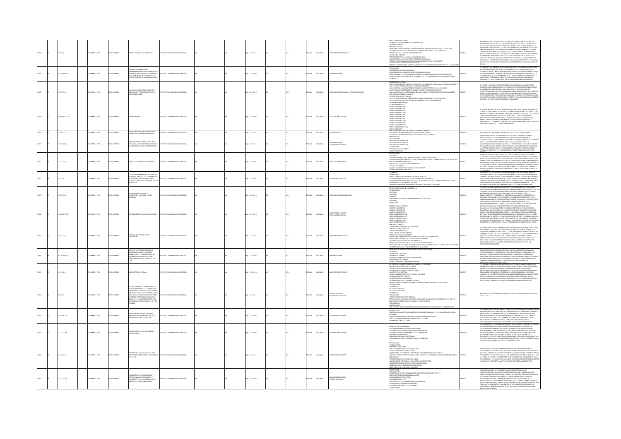|       | s icaze        | A102 . : A16MC        | OZBRANI OT     | ORÍA Y PRÁCTICA DEL CURRICULUM                                                                                                                                                                                                                                                                                                                                                        | STITUTO COLOMBIANO DE PEDAGOGÍA         |  | $p. : 22 \times 28$ cm |  | <b>PAÑOL</b>  | OMBIA          |                                                         | ice general del curso<br>TONCEPTOS Y PROCESOS BÁSICOS DE UN MODELO<br>CINCENTOS AÁSICOS<br>POESICOS AÁSICOS<br>SOCIENDAS FORMANDAS EN ENVIRONCIA LA ENVIRONDADE DE UN MODELO CURRICULAR<br>SUCCIDONE EN LA EGIMANACIÓN C. UNA ORIENTACIÓN CONTÍNIA DE APARIDIDADE<br>SUCCIDONE EN LA EGIMANACIÓN C. UNA ORIENTAC<br>ABILIDADES Y CAPACIDADES INTELECTUALES<br>ERSIÓN CONDENSADA DEL DOMINIO AFECTIVO DE LA TAXIONOMÍA DE LOS OBJETIVOS DE LA EDUCACIÓ                                                                                                                                            |        | .<br>AE PERMITO PONER A DISPOSICIÓN DEL PROFESORADO NACIONAL EL TRABAJO DEL<br>ROFESOR MARIO LEYTON SOTO, COORDINADOR TÉCNICO DE UNESCO DEL PROYECTO<br><i>MADEMARINA DE TRANSITALIS EN PARTICULAR DE SINAS DE DE SINASTRO DE SINASTRO DE SINASTRO DE SINASTRO DE SINASTRO DE SINASTRO DE SINASTRO DE SINASTRO DE SINASTRO DE SINASTRO DE SINASTRO DE SINASTRO DE SINASTRO DE SINASTRO </i><br>.<br>PLANTEAR OBLITINOS OPERACIONALES, LOS CONCEPTOS Y PROCESOS BÁSICOS QUE<br>SEFINEN EL MODELO Y UNA NUEVA CONCEPCIÓN PEDAGÓGICA Y UN RESLIMEN DE LA<br>FAXONOMÍA DE OBJETIVOS EDUCACIONALES, VOLUMEN I, COGNOSCITIVO Y VOLUMEN I<br>ECTIVO DEL DISTINGUIDO PROFESOR DE LA UNIVERSIDAD DE CHICAGO DR. BENJAMÍN |
|-------|----------------|-----------------------|----------------|---------------------------------------------------------------------------------------------------------------------------------------------------------------------------------------------------------------------------------------------------------------------------------------------------------------------------------------------------------------------------------------|-----------------------------------------|--|------------------------|--|---------------|----------------|---------------------------------------------------------|--------------------------------------------------------------------------------------------------------------------------------------------------------------------------------------------------------------------------------------------------------------------------------------------------------------------------------------------------------------------------------------------------------------------------------------------------------------------------------------------------------------------------------------------------------------------------------------------------|--------|-----------------------------------------------------------------------------------------------------------------------------------------------------------------------------------------------------------------------------------------------------------------------------------------------------------------------------------------------------------------------------------------------------------------------------------------------------------------------------------------------------------------------------------------------------------------------------------------------------------------------------------------------------------------------------------------------------------------|
|       | 1412 IC17a     | MEIA: , 1974          | <b>IMPRESO</b> | PAK CONSIDERATIONS<br>AUMA LUMAINAN, IUA METODOLOGÍA DE<br>MPLEMENTARIAS A LA METODOLOGÍA DE<br>LA COMUNIDAD EN LAS ÁREAS DE LAS<br>N CENTRACIONES DE DESARROLLO RURAL                                                                                                                                                                                                                |                                         |  | $x: 22 \times 28$ cm   |  | <b>PAÑOL</b>  |                |                                                         | <b>RESENTACIÓN</b><br>EL PROGRAMA DE ACCIÓN COMUNAL<br>4 PROBRANNA DE POLIGIER CORRIFINALES DE DESARROLLO RUBAL<br>AS RELACIONES DE LOIS CINGANISMOS COMUNALES CON LA PROGRAMACIÓN DEL DESARROLLO<br>AS RELACIONES DEL PROMOTOR DE DESARROLLO DE LA COMUNIDAD CON LA PROGRAMACIÓN DEL<br>880U0<br><b>DODG COOK ALTENA</b>                                                                                                                                                                                                                                                                        | 12046  | BLOOM.<br>SA PARAGONO DEL PRESENTE SCORTO ES PRESENTAR AL PERSONAL DEL MINISTERIO DE ESDACADE NA CARACTERIO DE ESDACADE<br>SEGARDOLO NURAL JUNE CONSERVADORES SOBETA LA UTALICADE DE CARACTERIO DE EN ANTONIO DE CARACTERIO DE SA UN<br>COMUNALES Y DE LOS PROMOTORES CON LA PROGRAMACIÓN DEL DESARROLLO.                                                                                                                                                                                                                                                                                                                                                                                                       |
|       | 451 2012       | CMBIA: , 1974         | O IMPRESO      | A PROPOSICIÓN PARA EL TALLER DE<br>RRICULUM Y PERFECCIONAMIENTO DE<br>NOAS NATURALES                                                                                                                                                                                                                                                                                                  | ITUTO COLOMBIANO DE PEDAGOGÍA           |  | $p. : 22 \times 28$ cm |  | PAÑOL         | OMBIA          | TO CURRICULAR - CIENCIAS NATURALES                      | NITIONACCON AL ITALIA<br>FREICICON ALTIMO EL TRANCO A TRANSFERIO DE CHALISTAS UN CORRECTA UN PRIRECCO<br>QUE AT PRITECIS ALCANDARES DE VIENE DE CARACTERISTA EN PROTECTIVA EN 1993 (1)<br>que el transferio de Principa est cuadre                                                                                                                                                                                                                                                                                                                                                               |        | EL PRESENTE DOCUMENTO TIENE POR OBJETO PROPORCIONAR UNA ORIENTACIÓN<br>TÉCNICA RESPECTO A LOS TALLERES DE CURRÉCULUM Y PERFECCIONAMIENTO, LOS QUE<br>APARECEN COMO UNA INSTANCIA EN LA RÚSQUIDA DE NUEVAS PAUTAS DE<br>NY MARIA COMO CON DISPOSAN DE MARQUEM DE MATEMATICA CON SOBRE ESTE PRESENTA MARIA EL CONSUMIDIO QUE SOBRE ESTE<br>ARBECCIÓN MARIA EN CARCINA DE MARIA CON DISPOSA MARIANEN ARCHITA EN EL CONSUMIDIO DE MARIA LAS<br>ARBECCIÓN MARIA                                                                                                                                                                                                                                                      |
|       | 4.863278 IC17b | CMEIA: , 1974         | OZERNI OT      | CARTIN INTERNO                                                                                                                                                                                                                                                                                                                                                                        | STITUTO COLOMBANO DE PEDAGOGÍA          |  | p.: 22 x 28 cm         |  | SPAÑOL        | <b>CLOMBIA</b> | <b>ISLACIÓN EDUCATIVO</b>                               | NSIDERACIONES FINALES<br>RETO NÚMERO 2152<br>DECRETO MÚMBRO 3153<br>DECRETO NÚMBRO 360<br>DECRETO NÚMBRO 360<br>DECRETO NÚMBRO 350<br>DECRETO NÚMBRO 1796<br>DECRETO NÚMBRO 1796<br>SECULTO NÚMBRO 1601<br>HECRETO NÚMBRO 1503<br>HECRETO NÚMBRO 1503<br>SECULTOÑ NÚMBRO 1503<br>SECULTOÑ NÚMBRO 1503<br>SEC<br>CLUCIÓN 10258<br>CLUCIÓN 10258                                                                                                                                                                                                                                                   | 1204   | IS ADATIV INTERNO DII, ICOUT PROPICA LA INTEGRACIÓN DE TODO EL PISIGNAL DE MONTUCARE CON ESTA DE LA CONSTANTA CONSTANTE QUE LA CONSTANTA DE LA CONSTANTACIÓN PRE LA CONSTANTACIÓN EN CONSTANTE QUE LA CONSTANTACIÓN EN CONSTA                                                                                                                                                                                                                                                                                                                                                                                                                                                                                   |
| 13049 | 12.05.07.24    | <b>NON-404-1974</b>   | OZERNI OTXI    | .<br>JENGIÓN FÍSICA Y PSICOMOTRICIOAD<br>IEBAS PARA PRIMERO DE PRIMARIA                                                                                                                                                                                                                                                                                                               | <b>VETITITO COLOMBIANO DE REDACOGÍA</b> |  | 40.2242                |  | <b>SPAÑOL</b> | COLOMBIA.      | ENVIRONMENTAL                                           | DUCACIÓN FÍSICA Y PSICOMOTRICIDAD COORDINACIÓN VISO                                                                                                                                                                                                                                                                                                                                                                                                                                                                                                                                              | 012049 | <b>CCTE TEVTO CONTIENE DIEEDENTES DO IEBAS EÍSICAS DADA I OS ESTIIDIANTES</b>                                                                                                                                                                                                                                                                                                                                                                                                                                                                                                                                                                                                                                   |
|       | 111110176      | CMELA: , 1974         | O22RRMI OT     | <b>MACON DEL CURRICULO DEL ÁREA</b><br>.<br>Deacional Para las concentraciones<br>: Desarrollo Rural, informe Parenal                                                                                                                                                                                                                                                                 | ALCOLOMIANO DE PEDAGOGÍA                |  | $p. : 22 \times 28$ cm |  | <b>PAÑOL</b>  | <b>CLOWAIA</b> | <b>ARROLLO RURAL</b><br>DUCADÓN VOCADONA                | INTEGERENTES<br>IOCUMENTOS ELABORADO:<br>AETODOLOGÍA DE TRABAJO<br>DOCUMENTOS ELABORADOS<br>JMITACIONES<br>JRONOGRAMAS DE TRABAJO<br>COMENDACIONES                                                                                                                                                                                                                                                                                                                                                                                                                                               | 020520 | informer awarter <sup>2</sup> an examina without executive a crotally of liners<br>.<br>ADOS EN LA EJECUCIÓN DEL PROVECTO DE LAS CONCENTRACIONES DE<br>ROLLO RURAL, CON EL PROPÓSITO DE DAR A CONOCER LOS PRINCIPALES ASPECTO:<br>USANNIALIUM KURA, LOID ILE MUORITUUS ILE UNA LUINDALIUS PORTUMALIS ASPECTO<br>CONSECTIVO ILE UNA LOID ILE UNA LOID ILE ARA VOCADONNA PRAN LAS<br>TRANSI LA ELABORACIÓN ESE CUERREDILIO PRAN LAS CONSECTES DE NECUVIS ILE ALISTA DE<br>T                                                                                                                                                                                                                                       |
|       | 11210170       | LOMBIA: . 1974        | OZRRNI OT      | ANADAD ARUTIMETED DE OTOTKO                                                                                                                                                                                                                                                                                                                                                           | STITUTO COLOMBIANO DE PEDAGOGÍA         |  | $a: 22 \times 28$ cm   |  | <b>PAÑOL</b>  | <b>LOMBIA</b>  | <b>PACITACIÓN DOCENTE</b>                               | rsentación<br>Neitivos<br>UN IIVOS<br>KGANDACIÓN Y ESTRUCTURA DE LA SUBDIBECCIÓN DE CAPACITACIÓN<br>RERACIÓN POR EL MINISTERIO<br>ROBACIÓN POR EL MINISTERIO<br>PROMADON POK LE MINISTERIO<br>ESCIMEN DE IDENTIFICACIÓN DEL PROBLEMA<br>INSIÓN ADMINISTRATIVA CONSEJO TÉCNICO ASESOR<br>INSIÓN ADMINISTRATIVA CONSEJO TÉCNICO ASESOR                                                                                                                                                                                                                                                             |        | <b>SELECTION CONTINUES AND CONSUMER AND CONSUMER ASSAULT AND CONSUMER AN ANNUAL CONSUMERANT CONSUMER AND CONSUMER AN ANNUAL CONSUMER AND CONSUMER AND CONSUMER CONSUMER CONSUMER CONSUMER AND CONSUMER CONSUMER CONSUMERS ASSAUL</b>                                                                                                                                                                                                                                                                                                                                                                                                                                                                            |
|       | k27e           | MEIA: , 1974          |                | .<br>Tricos y iurídicos de la elaboración<br>DE UN INSTRUMENTO INTERNACIONAL<br>RELATIVO AL DESARROLLO DE LA EDUCACIÓ<br>DE ADULTOS                                                                                                                                                                                                                                                   | <b>ITUTO COLOM</b>                      |  | $x: 22 \times 28$ cm   |  | xko.          |                | <b>UCACIÓN DE ADULTOS</b>                               | INSION ADMINISTRATIVA CONSEIO TECNICO ASESOR<br>ONSEIO ASESOR INTERNACIONAL<br>ISÉNIBULO<br>ISENS ANTECEDENTES DE LA EDUCACIÓN DE ADULTOS<br>ISENS ANTECEDENTES DE LA EDUCACIÓN DE ADULTOS<br>TUACIÓN Y TENDENCIAS EN LAS SOCIEDADES CONTEMPORÁNEAS<br>TETRANNACIÓN DE UNA ESTRATIGA DE EDUCACIÓN DE ADULTOS EN UN PROCESO DE EDUCACIÓN<br>RAMANENTE Y DE DESARROLLO CULTURAL<br>COMINIOS EN QUE UNA REGLAMENTACIÓN PARECE OPORTUNA Y REALIZABLE<br>STEMA NACIONAL DE INFORMACIÓN S.N.I                                                                                                          |        | NOTIFICADO NA ENSENCIA DE ANTERIOR DE MARCAR EN ENFERENCIA EL CONSTITUEIX EN EN EN EL CONSTITUEIX EN EN EL CONSTITUEIX EN EL CONSTITUEIX EN EL CONSTITUEIX EN EL CONSTITUEIX EN EL CONSTITUEIX EN EL CONSTITUEIX EN EL CONSTI<br>DADIS). LA EDUCACIÓN PERMANENTE ES PUES EL PRINCIPIO UNIFICADOR.<br>.<br>IL SIN ISISTEMA NACIONAL DE INFORMACIÓNI TUVO SU ORIGEN EN LA REUNIÓN DEL                                                                                                                                                                                                                                                                                                                             |
|       | 0.11 (217)     | LOMBIA: . 1974        | O22RRMI OT     | SUB-SISTEMA NACIONAL DE<br>DRMACIÓN EDUCATIVA S.S.N.E.I.<br>.CMBIA                                                                                                                                                                                                                                                                                                                    | ABOGAGER 30 OMAIRMOJO DE UTITZ          |  | $10:22 \times 28$ cm   |  | <b>PAÑOL</b>  | <b>AIGNOX</b>  | ANEAMENTO DE LA EDUCACIÓN                               | JRGANIZACIÓN<br>JRGANIZACIÓN<br>LINCICNES<br>"HIMANING"<br>ERVINDOS<br>EURODOS<br>EURODONES<br>ESTRUCTURA<br>ESTRUCTURA<br>SIDERACIONES GENERAL                                                                                                                                                                                                                                                                                                                                                                                                                                                  | 1205   | A AM (HAN HAM MANUMENT AN INFORMATION CELEBRADO EN BOGOTÁ, ENTRE EL 17 Y EL 20<br>ERUPO DE EXPERTOS EN DOCUMENTACIÓN CELEBRADO EN BOGOTÁ, ENTRE EL 17 Y EL 20<br>E FEBRERO DE 1970, PROMOVIDA POR COLCEINCIAS Y AUSPICIADA POR OEA E<br>RECOMMINACIÓN EXISTINA EN ESTA REUNIÓN PAR LA PROPUSTA PARA EL<br>COLOMBIA, COSTANDADO EN EN ESTADA NACIONAL ES INFERIMÓN EN<br>COLOMBIA, COSTANDADO PER COLORADES. ACOSÓN LA RECOMMINACIÓN EN EL<br>CORENDO NACIONAL, SE ACORÓ QUE EL                                                                                                                                                                                                                                  |
|       | 1860228 (C17)  | <b>ATRI . SABMOJE</b> | O22RRM (CTX    | FORMA LEGAL DE LA CAPACITACIÓN 1974                                                                                                                                                                                                                                                                                                                                                   | NSTITUTO COLOMBIANO DE PEDAGOGÍA        |  | $16:22 \times 28$ cm   |  | <b>PAROL</b>  | AIRMOJO        | <i><b>PACITACIÓN DOCENTE</b></i><br>GISLACIÓN EDUCATIVA | COSIDERACIONES GENERALES<br>DECRETO NÚMERO 2052<br>DECRETO NÚMERO 202<br>DECRETO NÚMERO 2052<br>RESCULICÍÓN NÚMERO 202<br>RESCULICÍÓN NÚMERO 202<br>RESCULICÍÓN NÚMERO 1529<br>DECRETO NÚMERO 1529<br>DECRETO NÚMERO 1529<br>.<br>Xución número 11:<br>DPIOS GENERALES                                                                                                                                                                                                                                                                                                                           | 012054 | I VOOR DE DE COMMANDER DE SERVEMENTO ESCUVA EN ÁREAS BÁSICAS,<br>IANUACIÓN EDUCADONAL, SOBRE EL RENOMBRITO ESCUVA EN ÁREAS BÁSICAS,<br>IANUACIÓN QUE EDUCANOS DE PAÍSE EN IXEMPARION, NECESTAN EL DOBE DE<br>INNO PARA LOGRAR LOS MISMO<br>ITIMPO PRAK LOGANCIO MISMO: NIVILIS DE APRIMIDADE QUI ACONNUS DE LOS<br>ESTEDAS EDICACIONALES DE PAÉSES DESARROLLADOS. ANALIZADAS VARIAS POSIBLES<br>ENFLICADONES, SE LIEGÓ A LA CONCLUSÓN QUE ÉSTO SE DEBE, EN GRAN MEDIDA, A LA<br>FA<br>HAMARICO DE ESTA SITUACIÓN PARA EL FUTURO DESARROLLO DE NUESTROS PAÍSES.                                                                                                                                                  |
|       | 111 K17p       | MEIA: , 1974          | O22RRM OT      | IFIL DEL SISTEMA EDUCATIVO<br>LOMBIANO                                                                                                                                                                                                                                                                                                                                                | STITUTO COLOMBANO DE PEDAGOGÍ           |  | $x: 22 \times 28$ cm   |  | <b>PAÑOL</b>  | <b>LOMBIA</b>  |                                                         | RINGHIA GAMANIA)<br>DIS PROGRAMAS DE LA EDUCACIÓN MEDIA<br>LOS PROGRAMAS DE LA EDUCACIÓN MEDIA<br>COMALCÓN DE MAESTROS<br>CORMACÓN DE MAESTROS<br>STRUCTURA ACMOÑANTA DE LA EDUCACIÓN COLONIBANA<br>STRUCTURA ACMOÑAICA DE LA EDUCACIÓN COLONIBA<br>31 NOL LIGA MUADAMEN AU AN HANN-PART VAN HIMPINY<br>SQUEENA DEL SETEMA EDUCACTIVO PROPUESTO<br>SDHECTO DE DISTRIBUCIÓN DE LOS CICLOS DE EDUCACIÓN BÁSICA<br>SLAGIÓN ENTRE LOS ESTABLECIMIENTOS EDUCATIVOS Y DISTRIBUCIÓN DE LA POBLACIÓ<br>ALIUN EN IKE LUS ESTABLELIMIENTUS EUULATIVUS T.<br>ÁMIDE ESCOLAR DE COLOMBIA POR NIVEL EDAD. SEXO |        | ISTEMA EDUCATIVO COLOMBIANO TIENE BASES LEGALES EN LOS ARTÍCULOS 41, 120,<br>IS SITEMA ESICUNDO COMMININO IMENIA ARESI LEGISLAS EN LOS ANTICULOS A 1, 120, 25, 25, 27 HE DE LA CONSTITUCIÓN NACIONAL A FRANCÉS ES LLOS SE GARANTERA LA<br>1955, 29 HE DE LA CONSTITUCIÓN NACIONAL A FRANCÉS ES LLOS SE GARANT<br>UCACIÓN A NINEL DE LA NACIÓN, A NINEL DEPARTAMENTAL SE HALLAN LAS<br>FRITARÍAS DE EDUCACIÓN.                                                                                                                                                                                                                                                                                                   |
|       | 1412 (17)      | MEIA: , 1974          |                | ROYECTO DE CONCENTRACIONES DE<br>ESARROLLO RURAL C.D.R. PLAN DE<br>RABAIO PARA LA ELABORACIÓN DE LOS<br>ROGRAMAS DEL ÁREA VOCACIONAL<br>OBRESPONDIENTES AL 7 GRADO DE LAS                                                                                                                                                                                                             | THEO COLOMBIANO DE REDUCOCÍA            |  | $x: 22 \times 28$ cm   |  | xko.          |                |                                                         | oceso de la Elaboración del Currè<br>Estivos<br>PROGRAM CONSUMER SERVER AND THE CONSUMING CONSUMING CONSUMING CONSUMING CONSUMING CONSUMING CONSUMING CONSUMING CONSUMING CONSUMING CONSUMING CONSUMING CONSUMING CONSUMING CONSUMING CONSUMING CONSUMING CONSUMING CONSUMING                                                                                                                                                                                                                                                                                                                    | 2056   |                                                                                                                                                                                                                                                                                                                                                                                                                                                                                                                                                                                                                                                                                                                 |
|       | 1210174        | MEIA: , 1974          | O IMPRESO      | ISTRACIÓN ESCOLAR                                                                                                                                                                                                                                                                                                                                                                     | STITUTO COLOMBANO DE PEDAGOGÍA          |  | $x: 22 \times 28$ cm   |  | PAÑOL         | <b>AIGM</b>    |                                                         | IL CONCEPTO DE SISTEMAS<br>PRINCIPALES COMPONENTES DEL SISTEMA EDUCATIVO<br>A ADMINISTRACIÓN ESCOLAR<br>IOMINISTRACIÓN DEL CURRÍCULO<br>i ADMINISTRACIÓN DE PERSONAL DOC<br>SERVACIONES Y SUGERENCIAS SOBRE                                                                                                                                                                                                                                                                                                                                                                                      | 12057  | JUCATIVO SE CONVISIETEN EN PROCESOS PRIMORDIALES EN CUALQUIER PAÍS.                                                                                                                                                                                                                                                                                                                                                                                                                                                                                                                                                                                                                                             |
|       | K176           | COMBIA: . 1974        | n isaaccr      | <b>DID CONCEPTUAL SOBRE EL ÁREA DE</b><br>IT NOIS NATURALES DE LOS PROGRAMAS<br>DENGAS NATURALES DE LOS PROGRAMAS<br>FUNDONAL PARA ADULTOS (MINEDUCACION<br>FUNDONAL PARA ADULTOS (MINEDUCACION<br>1970 - 1974) - ESTUDIO PRELIMINAR SOBRE<br><b>US CE APRINDIZAJE DEL SENA PARA<br/>VENES DE 14 A 21 AÑOS DE EDAD Y CON<br/>4 REQUERIMENTO MÍNIMO DE 3" A 5" DE</b><br>unit.<br>Mala | TUTO COLOMBIANO DE PEDAGOGÍA            |  | $a: 22 \times 28$ cm   |  | <b>PAÑOL</b>  | <b>KOMBIA</b>  | IENCIAS NATURALES<br>DUCACIÓN DE ADULTOS                | MEERVACIONES<br>OBIETIVOS GENERALES<br>OBIETIVOS ESPECÍFICOS<br>CONTENIDOS<br>PARCELACIÓN<br>*PRASIDADA<br>ESTURDA PRELIMINAR ENTERDELÉGICAS<br>DECOMEMBACIONES METERDELERSOS DE APRENISIANE DEL SENA PARA JÓVENES DE 14 A 21 AÑOS DE<br>PRESIDITACIÓN<br>PRESIDITACIÓN<br>nermidades<br>Glamentación de los programas de aprendizaje del sena a nivel de 3 a 5 de pr                                                                                                                                                                                                                            | 012058 | OON DE OBSERVACIONES Y SUGERENCIAS SOBRE EL ÁREA DE CIENCIAS NATURALE<br>DGOS: 1ALS                                                                                                                                                                                                                                                                                                                                                                                                                                                                                                                                                                                                                             |
|       | 11310176       | CMELA: , 1974         | O2BRMI O       | ACIÓN VOCACIONAL ARTESANAL<br>eparación y administración de la<br>Na como técnica didáctica                                                                                                                                                                                                                                                                                           | TUTO COLOMBIANO DE PEDAGOGÍA            |  | $p. : 22 \times 28$ cm |  | PAÑOL         | OMBIA          | UCADÓN VOCADON                                          | .<br>Resentación<br>Reteses de algunas técnicas metodológicas más empleadas en la educación vocacional                                                                                                                                                                                                                                                                                                                                                                                                                                                                                           |        | BETENDE, CON ESTE DOCUMENTO, CREAR Y/O DESPERTAR PROVICHOSAS INCIA:<br>LOONADAS CON LA ELABORACIÓN Y ADMINISTRACIÓN DE IMPORTANTES RECURI<br>DOCUÓGICOS, PROGRAMADOS, QUE CON LAS AYUDAS EDUCATIVAS FACILITEN Y<br>.<br>LIREN LA EFICACIA DEL PROCESO ENSEÑANZA - APRENISIZAIE, EN LOS TEMAS DE<br>CACIÓN VOCACIONAL: TEINE TAMBIÉN, POR FINALIDAD, COLABORAR CON LAS<br>ATIVAS DEL GOBIERNO NACIONAL, EN RELACIÓN A LA OPERATIVIDAD Y<br>.<br>KVALUACIÓN SE LOS PLANES Y PROGRAMAS DE EDUCACIÓN DIVERSIFICADA.<br>EVALUACIÓN SE UTILIZA EN LA ORIENTACIÓN PARA AYUDAR EN PROCESOS DE                                                                                                                           |
|       | 127101741      | A102 . : A16MC        | <b>CORRENT</b> | LUACIÓN DE OTROS SUB-SISTEMAS<br>TITUCIONALES                                                                                                                                                                                                                                                                                                                                         | <b>COLOR COLORADO DE REDACIÇÃO</b>      |  | $n: 22 \times 28$ cm   |  | <b>HÁOL</b>   |                | <b>UMODA ENGLISH</b>                                    | NDAD DE LECTURA NÚMERO 7<br>JNIGRO DE LICTURA NUMBRO 7<br>LOS USOS DE LA EVALUACIÓN EN OBERITACIÓN<br>LOS USOS DE LA EVALUACIÓN EN OBERITACIÓN<br>AT EVALUACIÓN DE LA CONSEIGRÁN Y DE LA ORIENTACIÓN<br>AVEUROS PROBLEMAS CONCEPTUALES<br>AUGUNOS PODULCIONES PERTINENTES<br>SENTACIÓN                                                                                                                                                                                                                                                                                                           |        | A PARAMOÓN SE UTRUSA PAI AO SIMENACIÓN PARA ANISAN EN PROCESO ESTAN A DE ANOS EN ESPARA EL EN ENTRE EN EN EN E<br>ESCORTES Y PARA FACILITAR AL ALIANDO LA COMPRENENDE ES El MISION. LAS<br>BARTINARAMONT COMO ESCORTIVA, VOCACIONALE                                                                                                                                                                                                                                                                                                                                                                                                                                                                            |
|       | 1121017        | CMBIA: , 1974         | TO IMPRESO     | INFORME DEL CURSO DE CAPACITACIÓN<br>PARA PROFESORES DE ÁREAS VOCACIONALES<br><b>KIACDR</b>                                                                                                                                                                                                                                                                                           | <b>CONTRACTOR COMPANYS DE REDUCIÓN</b>  |  | $p. : 22 \times 28$ cm |  | <b>PAÑOL</b>  | <b>LOMBIA</b>  | <b>BACTACIÓN DOCEN</b>                                  | PRESIDIRACIÓN<br>ENAN DEL CURSO, CONSULACIÓN DEL CURSO<br>CONCILIDO DES LA DISCULACIÓN DEL CURSO<br>CONCILIDONES Y RECONFIENNOIRIES<br>FANCEDIS BÁSICOS FRAN ESTUDAR EL NEDIO Y ADMETA LOS PROGRAMAS DE LAS DIFERENTES ÁREAS<br>ASPECTOS BÁSI<br>oracios anos<br>DOMONALES<br>ROCEDIMIENTO PARA ESTUDIO DEL MEDIO<br>REA DE PROMOCIÓN SOCIAL: EJEMPLO DE PLAN DE PROYECTO<br>REA MEUSTRIAL: EJEMPLO DE PLAN DE LINIDAD<br>REA INDUSTRIAL: EJEMPLO DE PLAN DE LINIDAD<br>REA INDUSTRIAL: EJEMPLO DE PLAN DE LIN<br>O2NUTADO DE LA EVALUACIÓN DEL CURSO                                            |        | INFORME SE REFIERE AL CURSO DE CAPACITACIÓN DOCENTE EN LAS ÁREAS<br>SITE INFORME SE REFERENCE ANNO 1090 CAPACINACINE IOCHITE IN LA MARCA CONSULTADO CON CONSULTADO NO CONSULTADO E<br>MONACON ESTA COMUNIDAD EN LA CADA, CONSULTADO NO CONSULTADO E EN COMUNIDADO EN 1990 CON EN CONSULTADO EN LA CA<br>                                                                                                                                                                                                                                                                                                                                                                                                        |
|       | 27101742       | MEIA: , 1974          |                | UACIÓN DE UN PROGRAMA DE<br>SECCIONAMENTO EDUCATIVO: EL<br>SGRAMA DE PERSECCIONAMIENTO<br>VICIO PPS CIENCIAS NATURALES                                                                                                                                                                                                                                                                |                                         |  | $p. : 22 \times 28$ cm |  | PAÑOL         | <b>LOMBIA</b>  | WALUACIÓN EDUCATIV<br>JENCIAS NATURALES                 | RESENTACIÓN<br>NTRODUCCIÓN<br>MA DE PERFECCIO<br>INTO PARA PROFESORES EN SERVICIO: PPS<br>I. PROGRAMA EO PISIFICODIMMENTO PARA PROFESC<br>DISIÑO MITODOLÓGICO DE LA EVALUACIÓN<br>DIPINONES DE LOS PROFESORES<br>DIPINONES SOBIE EL PPS<br>VANLIMOLÓN DE LOS PROCESOS CIENTÍFICOS BÁSICOS<br>AS ALUMNOS Y LAS CIENCIAS IMPURALES<br>A EVAL<br>$\sim$                                                                                                                                                                                                                                             |        | estas fundamentas presidentes en presidentes de la presidentes<br>Perfección antento da presidentes conducido por el centro de<br>Perfección antento, experimentación e investigaciónes pedagógicas del<br>Ministerio de educación de c                                                                                                                                                                                                                                                                                                                                                                                                                                                                         |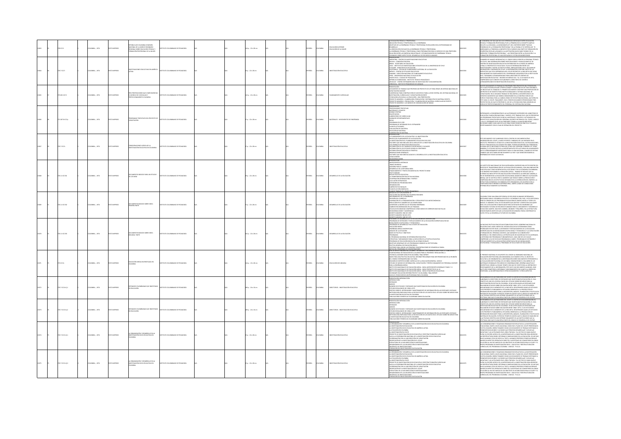|  | 28 IC17          | MEIA: , 1974           |                      | UBULA DE LOCOMBIA COMBION<br>IONAL DE LA UNESCO SEMBARRO<br>IONAL SOBRE EDUCACIÓN TÉCNICA Y<br>MACIÓN PROFESIONAL DE LA MUIER | MEMMO DE PEDAGOGÍA                    |  | Ap.: 22 x 28 cm      |  | <b>PAÑOL</b> |               | .<br>Ducación superior<br>Ducación de la muier | NICACIÓN TÉCNICA Y PROFESIONAL<br>IACIÓN TÉCNICA Y PROFESIONAL EN LA ENSEÑANZA<br>L'OMMINISMON RELUXON EN L'OXIERNONON TELEVISION PROVINCIAISMO.<br>L'ENSÉRVEZA TÉCHICA Y PROFESIONAL COMO PREPARACIÓN PARA EL ESERCICIO DE UNA PROFESIÓN<br>TLACIÓN ENTRE LAS ENFRESAS INDUSTRALES Y ESTABLECIMIENTOS DE ENSEÑANZA TÉ                                                                                                                                                                                                                                                                                                                                                                                                                                                                                                                                                                                     | CONSIDERA HOY DÍA QUE NO HAY DIFERENCIAS ESENCIALES ENTRE EDUCACIÓN<br>INICA Y FORMACIÓN PROFESIONAL PUES LA PRIMERA EN SU CONCEPTO AMPLIO<br>.<br>Clive a la segunda: la monografía n's del cinterfor sobre "Nuevas"<br>Noencias de la formación profesional" en la página 47 se expresa así "Si<br>Jregands la tendencia a impartir por lo menos una parte de formación en<br>OSFERA ESCOLAR LLEGAMOS A LA ACEPTACIÓN MUCHO MÁS FLEXIBLE DE LA<br>ESIÓN "FORMACIÓN PROFESIONAL". LAS FRONTERAS ENTRE LA EDUCACIÓN Y LA<br>MACIÓN PROFESIONAL SE HAN DESPLAZADO O ESTÁN DESAPARECIENDO.                                                                                                                                                                                                                   |
|--|------------------|------------------------|----------------------|-------------------------------------------------------------------------------------------------------------------------------|---------------------------------------|--|----------------------|--|--------------|---------------|------------------------------------------------|------------------------------------------------------------------------------------------------------------------------------------------------------------------------------------------------------------------------------------------------------------------------------------------------------------------------------------------------------------------------------------------------------------------------------------------------------------------------------------------------------------------------------------------------------------------------------------------------------------------------------------------------------------------------------------------------------------------------------------------------------------------------------------------------------------------------------------------------------------------------------------------------------------|------------------------------------------------------------------------------------------------------------------------------------------------------------------------------------------------------------------------------------------------------------------------------------------------------------------------------------------------------------------------------------------------------------------------------------------------------------------------------------------------------------------------------------------------------------------------------------------------------------------------------------------------------------------------------------------------------------------------------------------------------------------------------------------------------------|
|  | 220.7 (CL7)      | LOMBIA: , 1974         | O22RRMI OT           |                                                                                                                               | STITUTO COLOMBIANO DE PEDAGOGÍA       |  | 0p.: 22 x 28 cm      |  | PAÑOL        | <b>OMBIA</b>  | <b>AFFRE ACCAMENTATION</b>                     | MSIL - SECRETARÍA DE EDUCACIÓN<br>inle - instituto de investigaciones estadísticas de la universidad de chile<br>Cliador - ministerio de educación<br>Cliador - ministerio de educación<br>Mórco - contro de estudios educativos<br>Mórco - contro de estudios educativos<br>NAMÁ - DIRECCIÓN NACIONAL DE PLANEAMENTO EDUCATIVO<br>YRKÚM – UNIVERSIDAD NACIONAL DE EDUCACIÓN<br>YURITO RICO - COUSSO DE PEDAGOGÍA<br>KEPÜRLICA DOMINICANA – INSTITUTO TÉCNICO PEDAGÓGICO<br>URUGUAY – CENTRO INTERAMERICANO DE INVESTIGACIÓN Y DOCUMENTACIÓN<br>URUGUAY – CENTRO INTERAMERICA<br>INEZUELA - INSTITUTO PEDAGÓGICO DE CARACAS                                                                                                                                                                                                                                                                                | .<br>MANERA DE AVANCE INFORMATIVO, EL CENDIP DESEA OFRECER AL PERSONAL TÉCNI<br>E ICOLPE, UNA INFORMACIÓN SOBRE INVESTIGACIONES Y PUBLICACIONES DE 28<br>NTROS DE INVESTIGACIÓN EDUCATIVA DISTRIBUIDOS EN 13 PAÍSES DE AMÉRICA<br>LARINIA DIL WAS IMPACTOR FRANCISCO DE NEORMACIÓN ENTRE LOS<br>INTERTADORES Y ENTRE LAS INSTITUCIONS, ENREULOCHO ASÍ EL VOLUMEN DE<br>INFORMACIÓN Y EXPERIMENS ÚTILES LA INFORMACIÓN CONTIENE PARTE DE LAS<br>INFORMACIÓN Y EXPERIMENS Ú<br>LANTANDO EN CUMPLIMIENTO DEL COMPROMISO ADQUIRIDO POR LA INSTITUCIÓ<br>IN EL "SEMINARIO LATINOAMERICANO PARA DIRECTORES DE CENTROS DE<br>INVESTIGACIÓN EDUCATIVA". REUNIDO EN MÉXICO DEL 7 AL 12 DE MAYO DE 1972;<br>COMPROMISO QUE CONSISTE EN ELABORAR EL DIRECTORIO DE CENTROS<br>NOAMERICANOS EN INVESTIGACIÓN EDUCATIVA. |
|  | 25.0011017t      | CMEIA: , 1974          | O22RRMI OT           | S PROPOSICIONES QUE COMPLEMENT<br>AODELO DE CURICULUM Y<br>FECCIONAMIENTO COLOMBIA                                            | TUTO COLOMBIANO DE PEDAGOGÍA          |  | 42 p. : 22 x 28 cm   |  | PAÑOL        | LOMBIA        |                                                | esentación<br>Ocumento de Trabajo que profone un provecto de ley para crear un sistema nacional de<br>Pacitación docente<br>galitación docinte<br>uszernicka doga construcción de un edificio para la sede central del sistema nacional de<br>vestigación, cubriculum y capacifación docente<br>edificio número 1: elaboración, preducción y distribución de materi<br>UTECTO NÚMERO 2: PRODUCCIÓN, Y ELABORACIÓN DE MATERIAL CURRICULAR NO ESCRITO<br>OYECTO NÚMERO 2: PRODUCCIÓN, Y ELABORACIÓN DE MATERIAL CURRICULAR NO ESCRITO<br>ANNETO MÚMERO 3: LOS MEDIOS DE COMUNICACIÓN DE MASAS                                                                                                                                                                                                                                                                                                                | .<br>STE DOCUMENTO DE TRABAJO SE PROPONEN TRES PROVECTOS MUN TENTATIVOS,<br>"I HAI ES PHEDEN ANUDAR A PERFECCIONAR Y COMPLETAR EN UN TODO ORGÁNICO<br>L'ONNESTANDO DE DECRETO PARA INSTITUCIONALIZAR EL SESTEMA NACIONALIZAR DE<br>FRONTINAS YA TOMADAS, EL PRIMER DOCUMENTO CONTIENE UNA PROPOSICIÓN DE<br>FRONTCTO DE DECRETO PARA INSTITUCIONALIZAR EL SISTEMA NACIONAL DE<br>UN PRONICTO DE DECRITO PARA NESTITUCIONALEM RE ESTETIM NACIONALEM DE DESPRETATO DE CONSTITUCIÓN EN LOS DE CONSTITUCIÓN EN LOS DE CONSTITUCIÓN EN LOS DE CONSTITUCIÓN EN LOS DE CONSTITUCIÓN EN LOS DE CONSTITUCIÓN EN LOS DE C                                                                                                                                                                                            |
|  | 271.307 8 (C17o) | <b>DLOMBIA: . 1974</b> | OZBRNI OTX           | GRAMAS TENTAI<br>ACITACIÓN                                                                                                    | mino colorativo de renacocia          |  | $n: 22 \times 28$ cm |  | <b>Wick</b>  | LOMBIA        | MTERIALES - IMPLEMENTOS DE ENSEÑANZA           | RESENTACIÓN<br>PEOPOSICIONES TENTATIVAS<br>MATERIALES Y EQUIPOS<br>MINIMARIA<br>JNIDAD CENTRAL<br>JNIDAD MOVIL<br>JNIDADES DEPARTAMENTALES<br>JNIDADES DEPARTAMENTALES<br>IECAS<br>DGRAMA DV EL PAÍS<br>NORMAN DE INTERNADO EN EL EXTRANIERO<br>AN DE ACTIVIDADES<br>AN DE ACTIVIDADES<br>ECCIÓN DE MATERIA<br>ABORACIÓN DE MATERIAL                                                                                                                                                                                                                                                                                                                                                                                                                                                                                                                                                                       | entregamés a consideración de las autoridades superiores dil ministerio de<br>Educación, planeación nacidinal y unesco, este trabaio en el que se presentan<br>Los programas tentativos de Becas, materiales y equipos y actividades<br>P.N.U.D. ESPERANDS QUE LAS AUTORIDADES TOMEN A LA MAYOR BREVEDAD<br>IONES SOBRE CADA UNO DE ELLOS PARA PODER PONER EN PRÁCTICA Y CUMPUR<br>RTUNAMENTE CON EL PLAN DE OPERACIÓN DEL PROYECTO.                                                                                                                                                                                                                                                                                                                                                                       |
|  | 120124           | OMBIA: . 1974          | TO IMPRESO           | NORDACIONES ACERCA DE LA<br><b>COCACIÓN EDIVERTAL</b>                                                                         | THEO COLOMBIANO DE REDUCOCÍA          |  | $n: 22 \times 28$ cm |  | x6o.         | <b>WELA</b>   |                                                | NTRODUCCOS)<br>RIVICACIÓN DE MARCARDON VIA INVESTIGADÓN<br>HAVICACIÓN DE MARCARDON DE LA EDUCACIÓN<br>LA INVESTIGACIÓN DE EL FAMERADONTO EDUCATIVO DEL PAÍS<br>FACTORES QUE HAVICANO DE EL FAMERADO EDUCATIVO DE LA INVESTIGACIÓN EDUCATIV<br>ISTRIBUCIÓN MITODOLÓGICA-TEMÁTICA<br>BSERVACIONES GENERALES<br>ACTORES QUE HAN OBSTACULIZADO EL DESARROLLO DE LA INVESTIGACIÓN EDUCATIVA<br>ONCLUSIONES<br>COMENDACONES                                                                                                                                                                                                                                                                                                                                                                                                                                                                                      | STE DOCUMENTO FUE ELABORADO POR EL CENTRO DE DOCUMENTACIÓN E<br>s solutions to someone protective dimensions and the international consequence of the international consequence<br>ITIVITUS PRESENTE EL STADO DE LA INVESTIGACIÓN EN DISTANTA, SUS RAUDIONES (1995)<br>ITOS Y FRACASOS EN LOS ÚLTIM<br>que es verdaderamente importante para la vida nacional, cuando se gestan<br>Cambios que afectarán definitivamente al país y que democratizarán la<br>Enseñanza en todos sus niveles.                                                                                                                                                                                                                                                                                                                |
|  | 20.11 (C17d1)    | LOMBIA: , 1974         | O23RNI 0TX           | ICUMENTOS BÁSICOS PARA UN ESTUDIO<br>LOS INEM                                                                                 | ASTITUTO COLOMBIANO DE PEDAGOGÍA      |  | Pp.: 22 x 28 cm      |  | <b>DARGE</b> | <b>OMBIA</b>  | ARROLLO DE LA ED                               | TECEDENTES HISTÓRICOS<br>INCO MUNDIAL<br>ESORÍA PARA EL CAMBIO<br>ISARROLLO DE LA REFORMA INEM<br>NANCIAMENTO Y PUESTA EN MARCHA DEL PROYECTO INEM<br>ICTO ANDINO<br>UEVA POLÍTICA EDUCATIVA<br>NTERNOOMACIÓN EDUCATIVA NACIONAL<br>DOPERACIÓN INTERNACIONAL Y EMPLEO<br>NS CUATRO ESTRATEGAS<br>ITENSIÓN DEL PROGRAMA INEM<br><b>GANZAOÓN</b><br>GPROVECTOS INICIALES<br>NN DE ACCIÓN INMEDIATA                                                                                                                                                                                                                                                                                                                                                                                                                                                                                                           | OS INSTITUTOS NACIONALES DE EDUCACIÓN MEDIA DIVERSIFICADA VISTOS DENTRO DE<br>M MINIMUM MINIMUM DE LA EDICADOR SEGUNDARIA SON UNA INVOLCIÓN<br>UCCEDIA QUE TIENE INCIDENCIAS EN LA SOCIEDAD Y EN LA ECONOMÍA COLOMBIANA.<br>UCCEDIA QUE TIENE INCIDENCIAS EN LA SOCIEDAD Y EN LA ECONOMÍA COLOMBIANA.<br>ES OBSERVA P<br>FIN DE INCREMENTAR LA EDUCACIÓN OCUPACIONAL (MANO DE OBRA DE CALIFICACIÓ<br>.<br>MEDIA), QUE SE JUSTIFICA POR EL AUMENTO QUE INDUCE SOBRE LA PRODUCCIÓN Y<br>COMPENSACIÓN DE LOS EFECTOS NO DESEABLES EN LA DISTRIBUCIÓN DEL INGRESO. L<br>ISTRUCTURA ECONÓMICA COLOMBIANA ESTÁ ORGANIZADA, DE ACUERDO CON LA<br>INFIGURACIÓN ECONÓMICA INTERNACIONAL SOBRE LA BASE DE CONDICIONES<br>RNAS RELATIVAMENTE AUTÓNOMAS.                                                               |
|  | 270.11 (C17d2)   | DLOMBIA:, 1974         | <b>O22RRMI OTX2T</b> | CUMENTOS BÁSICOS SOBRE INEM -<br>MERA PARTE                                                                                   | TITUTO COLOMBIANO DE PEDAGOGÍA        |  | 2 p. : 22 x 28 cm    |  | SPAÑOL       | <b>LOMBIA</b> | SARROLLO DE LA EDUCA                           | an de Trabaio del Grupo Ped<br>Idad de Lectura Número 10<br>KIDAD DE LICETURA NUMERO 10<br>DUCARADENTO DE LA ENSEÑANZA<br>INJORAMIENTO DE LA ENSEÑANZA<br>IMMIACIÓN DE LA FRAGMENTACIÓN Y OTRAS PRÁCTICAS ANTIECONÓMICAS<br>IMMIACIÓN DE LA FRAGMENTACIÓN Y OTRAS PRÁCTICAS ANTIECONÓMICAS<br>DUCCIÓN EN EL NÚMERO DE LAS DESERCIONES<br>MANULUM NT LE MUNIMULA DE SEGUINDA ENSEÑANZA<br>UJAMENTAR LA MATRÍCULA DE SEGUINDA ENSEÑANZA<br>SANBIDS SECUNDARIAS COMPRESIVAS COMO MEDIO DE CORREGIR MUCHAS FALLAS<br>COMENDACIONES Y SUGERENCIAS<br>CRETO NÚMERO 1962 DE 1969                                                                                                                                                                                                                                                                                                                                  | .<br>MAGIA TIENE I INA COAN DEDICIENCIA DE BECI ISSOS MI IMANOS ENTREMADOS<br>COLONIBUS TIDIS UNA GEAN GENERICA DE PREUNSOS HUAMMOS EN TREMADOS,<br>MECENARIOS PARA EL OSEMBOLLO POLÍTICO Y ECONÓMICO DEL PAÍS, Y ESTA OSTICIBA<br>EN CIENCIA EL ANÍANO EN TOTAL AS ESTENDANTES QUE AREITEN VICONOSTA POLONICOS<br>PA<br>IN NECESARIOS ANTES DE QUE LA EDUCACIÓN SECUNDARIA PUEDA CONTRIBUIR SU<br>IOTA TOTAL AL DESARROLLO FUTURO DE COLOMBIA.                                                                                                                                                                                                                                                                                                                                                            |
|  | n u rua          | CMEIA: , 1974          | <b>CORRENT CO</b>    | ENTOS BÁSICOS SOBRE INEM -<br>UNDA PARTE                                                                                      | <b>IT ITO COLOMBIANO DE REDACOCÍA</b> |  | 02 n. : 22 x 28 cm   |  | <b>PAÑOL</b> | <b>WELA</b>   | SAROCHIO DE LA                                 | CRITO NÚMERO DOS ESE SOTI<br>OGRAMA DE DESARGOLLO DE LA IDUCACIÓN MILDIA DINTROFICADA<br>OGRAMA DE DITENCIÓN Y FORTALICIMIENTO DE LA IDUCACIÓN DIVERSIFICADA EN SUS<br>DIGRAMA DE DISENSIOLLO FACULTADES DE IDUCACIÓN<br>OGRAMA DE DISENBI<br>AIGNA HODADUS<br>DULACION MILERA<br>NÁLISIS DE LA SITUACIÓN<br>NÁLISIS DE LA SITUACIÓN<br>ASES DE POLÍTICA Y OBJETIVOS<br>PROGRAMA NACIONAL DE INTEGRACIÓN EDUCATIVA<br>.<br>STRATEGIA Y MECANISMOS PARA LA EJECUCIÓN DE LA POLÍTICA EDUCATIVA<br>ROGRAMA DE EDUCACIÓN BÁSICA EN LAS ZONAS RURALES<br>BIETIVOS GENERALES DE LOS PROGRAMAS DIRIGIDOS AL SECTOR RURAL<br>LÍTICA GENERAL DE EDUCACIÓN BÁSICA<br>TERIOS PARA UBICAR LAS PRIMERAS CONCENTRACIONES DE DESARROLLO RURAL<br>ntas del programa de concentraciones<br>Ducación secundaria en colombia: un análisis y recomendaciones para el planear                                                   | AS NUEVAS POLÍTICAS EDUCATIVAS ESTABLECIDAS POR EL GOBIERNO NACIONAL EN<br>NUMEROLLA EN LOMBOLDINON DE BURBARDATINO DE LOS CUALES<br>COMPRENDE A SU VEZ DOS SUB PROGRAMAS A SABER : PROGRAMA DE EXTENSIÓN Y<br>ORIPRENDE A SU VEZ DOS SUB PROGRAMAS A SABER : PROGRAMA DE EXTENSIÓN Y<br>ORIPRODIMILY TIEN OLÓGICA                                                                                                                                                                                                                                                                                                                                                                                                                                                                                         |
|  | 272 IC17e        | OLOMBIA: , 1974        | O23RRMI OTXI         | UCACIÓN MEDIA DIVERSIFICADA EN                                                                                                | TITUTO COLOMBIANO DE PEDAGOGÍA        |  | N/A p.: 22 x 28 cm   |  | <b>PAÑOL</b> | <b>KOMBIA</b> | DUCACIÓN SECUND                                | AN NACIONAL DE EDUCACIÓN DE LA ALIANZA PARA EL PROGRESO: RESOLUCIÓN A-1<br>AN INNLAINE LUI LUIDIALUN LUI LOI MANIA FINAL REI PALUMAAN.<br>KENNCAL AEVISCRY GROUP EN COLONNIA, PINAL REPORT<br>KES PARA UNA FOLITICA EDUCATIVA, INFORME PRELININAR PARA SER PRESENTADO EN LA REUNIÓN<br>L'CONSEIO INTERAMERICANO CU<br>IL CONSEIO INTERAMERICANO CULTURAL<br>EUNIÓN DE EXPERTOS SOBRE CURRÍCULO DE LA EDUCACIÓN GENERAL. MOSCÚ<br>STUDIO DE MODOS DE INFORMACIÓN, CAPACITACIÓN Y PERFECCIONAMIENTO DE PERSONAL DOCENTE<br>ARA LA ENSEÑANZA MEDIA<br>NSTITUTOS NACIONALES DE EDUCACIÓN MEDIA - INEM; ANTECEDENTES GENERALES TOMO I Y II<br>NSTITUTOS NACIONALES DE EDUCACIÓN MEDIA - INEM; PROYECTOS 01 AL 10<br>.<br>ITITUTOS NACIONALES DE EDUCACIÓN MEDIA - INEM; ESTADÍSTICAS EDUCATIVAS<br>CONDARY EDUCATION REFORM PROYECT IN COLOMBIA: FINAL REPORT<br>ACIA EL PLENO EMPLEO UN PROGRAMA PARA COLOMBIA | 1. PRESENTE MATERIAL ES UN APORTE DEL CENDIP AL SEMINARIO NACIONAL DE<br>VALUACIÓN NETTIVICIONAL (BUCARANANCA 18-23 MARZO 1874), EL CRIETO ES<br>ACUETAR A LOS SEMINARISTAS LA INFORMACIÓN SORRE DOCUMENTOS PRETINISTES<br>A EVALUACIÓN<br>MINIMALIA AMARIMALI FUN INIMALI AL LAMANIMALI AL AL CONTRA PAMILI INDIANA<br>ESCRIPTIVAS, DEBIDO AL ESCASO TIEMPO CON QUE SE CONTÓ PARA LA CRITENCIÓN Y<br>UE PUEDE SOMETERSE A REFORMACÍN, ÉSTE NO ES UN DOCUMENTO AL ORDEN DEL<br>UE<br>TENDO, LA INCORPORACIÓN DE OTROS DOCUMENTOS Y OTROS ASPECTOS.                                                                                                                                                                                                                                                         |
|  | 27122651         | MEIA: , 1974           | O IMPRESO            | ENTIDADES COLOMBIANAS QUE INVESTIGAN                                                                                          | TUTO COLOMBIANO DE PEDAGOGÍA          |  | 89 p. : 24 x 16 cm   |  | <b>MACL</b>  |               | RECTORIOS - INVESTIGACIÓN EDUCA                | VIOLOGIEM MODATMER<br><b>TRODUCCIÓN</b><br>NTIDADES<br>inimisch<br>Norman de Estudios y britorios que investigan en educación en colonibia<br>Norman seluados de 1998, por il transferanto de Indiana de Ini, las intensies visitales<br>Antonio Seluados de Marca (nas la recolección de los                                                                                                                                                                                                                                                                                                                                                                                                                                                                                                                                                                                                              | esarrollo de las funciones del xolpe el centro de documentación ha<br>Orado el directorio de entidades que investigan en educación, el cual<br>MINIPOLITICA COM DI MINIPOLI (UN INTERNATO DE L'ANTIONATION DE L'ANTIONATION DE L'ANTIONATION (UN INTERNATORIA<br>ISSIERACIÓN EDUCATION EN COLONIAL SE INCLUIS SOBRE RECLISCOS PARA LA<br>ILLIARCIN ESTLOICATION EN COLONIAL SE INCL<br>MACIÓN RELEVANTE PARA LA DESCRIPCIÓN, ANÁLISIS, PLANEACIÓN O POLÍTICAS E<br>TERIA DE EDUCACIÓN. ES PRECISO TENER EN CUENTA QUE EL GRADO DE MADUREZ DE<br>NCTIVIDAD CIENTÍFICA NO DEPENDE SOLAMENTE DE LAS INSTITUCIONES QUE LA                                                                                                                                                                                      |
|  | 17 (17 6) 2      | OMBIA: , 1974          | <b>CORRENT</b>       | TIDADES COLOMBIANAS QUE INVESTIGAN<br>EDUCACIÓN                                                                               | TITUTO COLOMBIANO DE REDAÇÕÇÃ         |  | 19 p. : 24 x 16 cm   |  | x6o.         | <b>WELA</b>   | BEFFORDS - INVESTIGATION ET                    | <b>CONTACIÓN INTERNACIÓN</b><br>RODUCOÓN<br>moves<br>mexos<br>kúmero de estudios y entidades que investigan en educación en colonibia<br>studios realizados de 1868 a 1873<br>Ánteses sobre el intercambio y mantenimiento de Información en las entidades visitadas<br>IETODOLOGÍA EMPLEADA PARA LA RECOLECCIÓN DE LOS DATOS EN EL ESTUDIO SOBRE RECURSOS PARA<br>, INVESTIGACIÓN EDUCATIVA EN COLONBIA<br>LIBLICACIONES PERIÓDICAS COLONBIANS SOBRE EDUCACIÓN                                                                                                                                                                                                                                                                                                                                                                                                                                            | TÚAN, SINO QUE ES UNA RESULTANTE DEL GRADO DE DESARROLLO DE UN PAÍS.<br>RESARROLLO DE LAS FUNCIONES EXIL XIDAPE EL CIENTRO DE DOCUMINITACIÓN HA<br>IGRADO EL DIRECTORIO DE INITIDADES QUE INVESTIGAN EN EDUCACIÓN, EL CUAL<br>ISTITUYE<br>IESTIGACIÓN EDUCATIVA EN COLOMBIA. SE INCLUITEN AQUELLAS ENTIDADES QUE<br>NEZARON ESTUDOS SOBBE EDUCACIÓN ENTRE 1968 Y 1972, O LOS ESTUVIREN:<br>ELANTANDO EN EL MOMENTO DE LA ENCLUSTA. BEGISTRANDS AQUELLOS ESTUDIOS<br>ITO PROPÓRTO<br>107 PARTAIN DI PORTANTI PARA LA DESCRIPCIÓN, ANÁLISIS, PLANERCLÁN D'ORLÌTCAS EN<br>DEBARCIÓN RELEVANTE PARA LA DESCRIPCIÓN, ANÁLISIS, PLANERCLÓN D'ORLÌTCAS EN<br>DEBARCIÓN RELEVANTE PARA LA DESCRIPCIÓN, ANÁLISIS, PLANERCLÓN D'OR                                                                                   |
|  | 270.7 (C170 E).1 | DLOMBIA: , 1974        | <b>DZERNI OTXZ</b>   | A ORGANIZACIÓN Y DESARROLLO EN LA<br>WESTIGACIÓN SOCIO-EDUCATIVA EN<br>OLOMBIA                                                |                                       |  | 15 p. : 22 x 28 cm   |  | SPAÑOL       | CLOMBIA       | INESTIGACIÓN EDUCATIVA                         | SENTACION<br>ORGANIZACIÓN Y DESARROLLO DE LA INVESTIGACIÓN SOCIO-EDUCATIVA EN COLOMBIA<br>A GREANWOOD V DESIGRADO EM A MINITAL CON DOCUMINA EN COLOMBIA<br>A MINISTRACIÓN DESIGRADO EN ANTERIA COM EN ENTRE CON EL CONTROL EN EL CONTROL DE CONTROL EN EL CONTROL EN EL C<br>A MINISTRACIÓN DE CONTROL EN EL CONTROL EN EL CON<br>GANIGRAMA DE LA SUB-DIRECCIÓN DE INVESTIGACIONES<br>IGANIGRAMA DE LA SUB-DIRECCIÓN DE INVESTIGACIONES<br>IGANIGRAMENTOS<br>origen de las investigaciones<br>"Ormación de investigadores en Educación<br>"IESENTACION"                                                                                                                                                                                                                                                                                                                                                    | i consideraciones y esquemas organizativos relativos a la investigación<br>Icacional Tanto a Nivel Nacional Como en el Plano del Icolpe Presentados<br>Esta Ocasión, deben Tomarse como un documento de Trabao Destintados<br>DMONTR DE<br>ROMANNS ROSUGIONES V ACCONIST (SA FRANTAN EN SASSACIA EN EL ROMA MATO)<br>ROSUMANS FUAR ACTIVIDADES EN EL ÁBER TRANSAN. FAN VAT POCO O MAIO MATO)<br>ROSUMANA FUAR ACTIVIDADES EN EL ÁBER TRANSAN. FAN VAT POCO O MAIO ARMENO<br>ACTIV                                                                                                                                                                                                                                                                                                                          |
|  | 220.7 (C17o E) 2 | DLOMBIA: , 1974        | DZIRAMI OTXI         | ORGANIZACIÓN Y DESARROLLO EN LA<br>ESTIGACIÓN SOCIO-EDUCATIVA EN<br>OMBIA                                                     |                                       |  | 5p.: 22 x 28 cm      |  | SPAÑOL       | LOMBIA        |                                                | essentación<br>4 orgenización y desarrollo de la investigación socio-educativa en colonibia<br>4 investigación en educación<br>4 situación en colonibia<br>4 situación en colonibia<br>a investigación en Icolia:<br>Protecto el investigación socio educativa y resetructuración curricular<br>IACA LA CODROINACIÓN INGIDIAL DE LA INVESTIGACIÓN SOCIO EDUCATIVA<br>IODROINACIÓN DE LA INVESTIGACIÓN EN EL ICOJE<br>IRENTACIÓN D<br>:<br>STRUCTURA DE LA SUB DIRECCIÓN DE INVESTIGACIONES<br>DRGEN DE LAS INVESTIGACIONES<br>DRGEN DE LAS INVESTIGACIONES                                                                                                                                                                                                                                                                                                                                                 | s consideraciones y esquitavas organizativos relativos a la investigación<br>Iucacional Tanto a Nivel Ivacional como en el Plano del Icolpe Presentados<br>I esta ocasón, deben Tomarse como un documento de Trabalo destinado a<br>Iom<br>NAROVAN CAKARINI AT PREGINIS AJ GREVIRONO NEMORDENO FI DANAS MATO<br>IEDATVAS VAJS ACTIVIDAS ES DE AREA TRAVASA, VAL VAZ POCO O INGA MATO<br>IEDATVAS VAJS ACTIVIDADES EN LA MORTAVACA EN LA VAZ POCO O INGA ORIGITAR<br>KAVO ALGUNAS C<br>DE ACCIÓN AL HILO DE VARIOS DE LOS OBJETIVOS YA ESTABLECIDOS PARA EL ICOLPE Y EL<br>PROPIO PROGRAMA DE INVESTIGACIÓN SOCIO - EDUCATIVA Y REESTRUCTURACIÓN<br>CURRICULAR, DEL PROGRAMA COLOMBIA - UNESCO - P.N.U.D.                                                                                                   |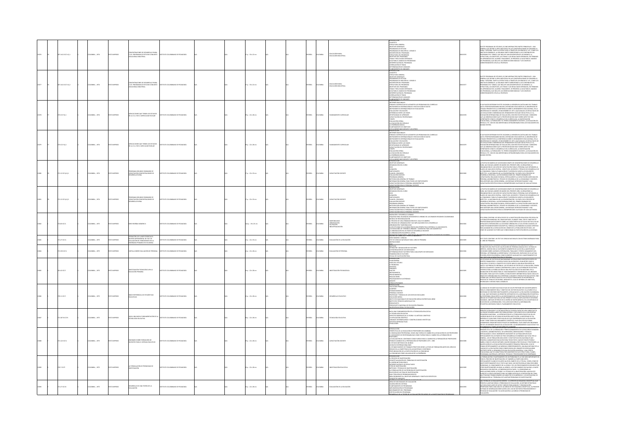|  | 07.1412 IC17c Ej.1 | LOMBIA: , 1974 | O22RRM (CT) | C.D.R. PROGRAMAS DE ESTUDIO CONJUNTI<br>ACIONAL INDUSTRIAL                                                                                                            | ITUTO COLOMBIANO DE PEDAGOGÍA    |  | 17 p. : 33 x 22 cm          |  | <b>PAÑOL</b> | CLOMBIA        | .<br>Ducación Rural<br>Ducación Industri | <b>NITADOCCOM</b><br>CONCERTO<br>- CHINICAL CANDAL<br>- CHINICAL CANDAL<br>- PROGRAMA DE REVISIONAL<br>- PROGRAMA DE ROUSSINAL<br>- PROGRAMA DE ROSAMA<br>- CHINICAL CANDAL CANDAL<br>- CHINICAL CANDAL CANDIDER PROGRAMA<br>- CHINICAL CANDAL CANDIDER<br>- CHIN<br><b>LANCAMENTO DE UNDADE</b>                                                                                                                                                                                                                                                                                                                                                                                                                                                                                                                                 |             | HOS, SE ENCUENTRAN TRES PARTES PRINCIPALES : UNI<br>TRUCTURA, LOS ORIETIVOS, LOS TEMAS Y LOS RESULTADOS ESPERADOS, EN TÉRMINOS<br>11. APRENDIZAIE DEL ALUMINO. FINALMENTE, SE PRESENTA LA GUÍA PARA EL MANEJO<br>.<br>PROGRAMA, QUE INCLIVE LAS ORIENTI                                                                                                                                                                                                                                                                                                                                                                            |
|--|--------------------|----------------|-------------|-----------------------------------------------------------------------------------------------------------------------------------------------------------------------|----------------------------------|--|-----------------------------|--|--------------|----------------|------------------------------------------|----------------------------------------------------------------------------------------------------------------------------------------------------------------------------------------------------------------------------------------------------------------------------------------------------------------------------------------------------------------------------------------------------------------------------------------------------------------------------------------------------------------------------------------------------------------------------------------------------------------------------------------------------------------------------------------------------------------------------------------------------------------------------------------------------------------------------------|-------------|------------------------------------------------------------------------------------------------------------------------------------------------------------------------------------------------------------------------------------------------------------------------------------------------------------------------------------------------------------------------------------------------------------------------------------------------------------------------------------------------------------------------------------------------------------------------------------------------------------------------------------|
|  | 07.1412 1017c EL2  | COMBIA: . 1974 |             | CONCENTRACIONES DE DESARROLLO RURAL<br>2.D.R. PROGRAMAS DE ESTUDIO CONJUNTO<br>JOCACIONAL INDUSTRIAL                                                                  |                                  |  | 07 p. : 33 x 22 cm          |  | <b>DAR</b>   | <b>AIGNOJO</b> | .<br>Educación Rura<br>Educación Indus   | CONCEPTO<br>ESTRUCTURA GENERAL<br>ORIETIVOS GENERALES<br>PROGRAMAS DE ESTUDIO<br>-PROGRAMMS OF ESTUATO<br>-PROGRAMMS OF INDUSTRIAL 1, GRADO 6<br>-DISCERPOIDN DIL PROGRAMM<br>-DISTRICTURA DEL PROGRAMM<br>-DISTRICTURA DEL PROGRAMM<br>-DISTRICTURA DE MONTO DE PROGRAMMS<br>-RUÍN 9 FRAS EL MANNEO DE PROGRAMMS<br>-RUÍN P<br>ANCAMENTO DE UN<br>ESENTACIÓN                                                                                                                                                                                                                                                                                                                                                                                                                                                                    | a sora      | este programa de estudios, se encuentran tres partes principales : una<br>Neral que define el área industrial en las concentraciones de desarrollo<br>MIRIONAL QUE LA PIERRE TANTO LA ESTERATURA A TRAVÉS DE LOS GRADOS OF A 97, COMO LOS<br>RURAL Y OSSCRIBALTANTO LA ESTRUATURA A TRAVÉS DE LOS GRADOS OF A 97, COMO LOS<br>PROCRAMA DE 97 GRADO, QUE INCLUIT UNA DESCRIPIDA PA LOS CONT<br>I NOLI UNO, LOS DUBLINICOS, LOS TIMPAS Y LOS PASOLI ALDOS ISMINALDO, UN I HANNIKO<br>11. APRENDIZAJE DEL ALUMNO, FINALMENTE, SE PRESENTA LA GUÍA PARA EL MANEJO<br>11. PROGRAMA, QUE INCLUYE LAS ORIENTACIONIS BÁSICAS Y LOS EIEMPLO |
|  | 5.017(6)           | MEIA: , 1974   |             | MPLICACIONES QUE TIENEN LOS ESTUDIOS<br>DE LA LE A. EN EL CURRICULUM ESCOLAR                                                                                          |                                  |  | $: 22 \times 28$ cm         |  | ñα           |                |                                          | N<br>NOONALES<br>UNINE FRANCISCO DE ACOMETER LOS PROB<br>-TOMAS COOPRATING DE ACOMITAT IOS PRODUMAS DE CARANTER ESTADO -<br>-RESTRUMENTOS ATTENHACIONALES DE EVALUACIÓN DE DATOS<br>-EVALUACIÓN Y EDUCACIÓN<br>-EVALUACIÓN Y EDUCACIÓN<br>-EVALUACIÓN DEL FADERER<br>-CARANTERIADO - EN APRENDER<br>-ERAN<br>- Ilmpo<br>Evaluación Verbal<br>La Educación del Párvulo<br>La Enseñanza Básica<br>LANTEAMENTO DE OBJETIVOS<br>OS ALUMNOS MAS CAPACES Y L                                                                                                                                                                                                                                                                                                                                                                           |             | UN PLACER ENTREGAR EN ESTE VOLÚMEN LA VERSIÓN EN CASTELLANO DEL TRABAJO<br>.<br>CHE EL PROFESOR BENJAMIN BLOOM, EISTINGUIDO EDUCADOR DE LA UNIVERSIDAD DE<br>CHICAGO PRESENTÓ EN LA CONFERENCIA SOBRE EL RENDIMIENTO EDUCACIONAL, EN LA<br>UNIVERSIDAD DE HARVARD, EN NOVIEMBRE DE 1973. AQUÍ ANALIZA LOS RESULTAD<br>UNIVERSIDO DE MANARO, EN NOVEMBRE DE 2017. ACUA MANZA LOS ESEGUENDOS ANAS EN EL CALICA EN EL CALICA (EL CALICA<br>LAS ENQUICIDES COMPARANAS DE RENDOMENTO ESCOLRA HISCA EN EL LEJA, OS<br>MOCARCÓN INTERNACIONAL DE UNALIGADA, CON S                                                                         |
|  | 25 10171 012       | LOMBIA: , 1974 | O22RRM (CT) | UCACIONES QUE TIENEN LOS ESTUDIOS<br>LA LEA EN EL CURICULUM ESCOLAR                                                                                                   | NTO COLOMBIANO DE PEDAGOGÍA      |  | 19 p. : 22 x 28 cm          |  | <b>MACL</b>  | <b>CLOMBIA</b> |                                          | BSBNI ALIUN<br>IFORMES NACIONALES<br>DRMAS COOPERATIVAS DE ACOMETER LOS PROBLEMAS DEL CURRÍCULO<br>FORMAS COOPERATIVAS DE ACOMITER LOS PROBLEMAS DEL CL<br>VISTRIMININTOS INTERNACIONALES DE FICOLCICIÓN DE DATOS<br>EVATRIMININTOS INTERNACIONALES DE FURLUACIÓN<br>EVALUACIÓN Y EDUCACIÓN<br>OFORTUNIDAD DE APRENDER<br>OFORTUNIDAD DE APRENDE<br>-<br>- CAPACITACIÓN DEL PROFESORADO<br>- EVALUACIÓN VERBAL<br>- EVALUACIÓN VERBAL<br>-LA EDUCACIÓN DEL PÁRVULO<br>-LA ENSEÑANZA BÁSICA<br>-PLANTEAMENTO DE OBJETIVOS<br>-<br>NUMBER MAS CARAC                                                                                                                                                                                                                                                                                |             | IN DIACED ENTORCAD EN ESTE VOLÚMEN LA VEDSIÓN EN CASTELLANO DEL TRABAJO<br>IN USA PACKER DISTRIBUTION CONTINUES AND VIOLATION CONTINUES ON THAT ON A REPORT OF A REPORT OF A REPORT OF A REPORT OF A REPORT OF A REPORT OF A REPORT OF A REPORT OF A REPORT OF A REPORT OF A REPORT OF A REPORT OF A REP                                                                                                                                                                                                                                                                                                                           |
|  | $1.12$ (C17p Ej.1  | CMBIA: , 1974  |             | OGRAMA SEGUNDO SEMINARIO DE<br>PACITACIÓN CONCENTRACIONES DE<br>SARROLLO RURAL                                                                                        | MNO DE PEDAGOGÍA                 |  | $\tau_{\rm p}$ : 22 x 33 cm |  | wkou         |                | MCITACIÓN DOCENT                         | INTRODUCCIÓN<br>-ORGANIZACIÓN DEL CURSO<br>-SEDE<br>-OURACIÓN<br>-DURAIDIN<br>- PARTIDINANTIS<br>- FARUSHAN GENERAL<br>- FANLUACIÓN DOCENTE<br>- METODOLOGÍA GENERAL DE TRABAID<br>- METODOLOGÍA GENERAL PARA TODOLOGÍA SENTIDINATES<br>- CAPACITACIÓN PARA EL PERGINAL ADMINISTRATIVO<br>- CAPACITACIÓN PARA EL PER<br>APACITACIÓN PARA EL PERSONAL DOCENTE                                                                                                                                                                                                                                                                                                                                                                                                                                                                     |             | PUESTA EN MARCHA DE UN SEGUNDO GRUPO DE CONCENTRACIONES DE DESARROLLO<br>t the substitution of the manufacturer of the content website and substitution of the substitution of the substitution of the substitution of the substitution of the substitution of the current and state content of the sub<br>PARA DE CAPA EST CENTRA: COSCITANTES CONTENENTADO E CAPA EN ANTESTADO E CON EN ANGELES EN EL CONTROL DE CAPA E<br>A COMUNIDAD PARA SU FAMEACIÓN SE TUNISIDADE NO ENFIR LOS SIGUIENTES<br>A COMUNIDAD PARA SU FAMEACIÓN SE TUNISIDADE                                                                                    |
|  | $1.12$ (C17p E).2  | CMBIA: , 1974  |             | OGRAMA SEGUNDO SEMINARIO DE<br>PACITACIÓN CONCENTRACIONES DE<br>SARROLLO RURAL                                                                                        | MANO DE PEDAGOGÍA                |  | 7 p. : 22 x 33 cm           |  | <b>MG</b>    |                | ACITACIÓN DOCENTI                        | <b>DALCS</b><br>-DERITIVOS GENERALES<br>-DRGANIZACIÓN DEL CURSO<br>-DURACIÓN<br>SINGOS<br>ANDRES COMPANY<br>MANIRAL COMPANY<br>MANIRAL COMPANY<br>MANIRAL COMPANY<br>MANIRAL COMPANY<br>MANIRAL COMPANY<br>COMPANY<br>MANIRAL COMPANY<br>MANIRAL COMPANY<br>MANIRAL COMPANY<br>MANIRAL COMPANY<br>MANIRAL COMPANY<br>MANIRAL COMPANY<br>MANIRAL COMPANY<br>                                                                                                                                                                                                                                                                                                                                                                                                                                                                      |             | A PUESTA EN MARCHA DE UN SEGUNDO GRUPO DE CONCENTRACIONES DE DESARROLLO<br>HAT THE INTERNATIONAL UNIT AND A MARKED DEL PRESENTE AÑO, HA REQUERED DI LA<br>RURAL QUE INICIAN LABORES EN MARZIO DEL PRESENTE AÑO, HA REQUERED DI LA<br>PEANTA DE CADA SEDE CENTRAL : DIRECTIVOS, DOCENTES Y TÉCNICOS DE DESARROLL<br>PLANTA DE CARA SEDE CONTRAL : DISECTIVOS, COCANTENT VÍCIAICOS OS CASAS COLORES (1992), ANO CONSTANTINO DE CONT<br>AL CORUNDAD, PARA SU PLANEACIÓN DE TUNIDIDA EN CURITA LOS SIGUIENTES :<br>AS CARACTERS : AN ANTIANCA CARACTER DE C                                                                            |
|  | 18310174           | MEA:, 1975     |             | RESEÑAS NÚMERO 6                                                                                                                                                      | TO COLOMBIANO DE PEDAGOGÍA       |  | .<br>Ap.: 19 x 25 cm        |  | <b>MGC</b>   |                | MAGINALDAD<br>Raanización<br>Kupación    | MUDILLO DE REGENVADACION<br>EL PROCESO DE URA LIRBAN D'ACIÓN EN EL VALLE DE ABURRÁ<br>EL PROCESO DE URBAN D'ACIÓN Y SUS IMPLICACIONES EN EL DESARROLLO<br>LIRBANIZACIÓN Y MARGINALIDAD<br>-UNIMALISCIUM T MAMALISMU<br>-LA SELECTIVINGO DE LA MIGRACIÓN EN UNA PERSPECTIVA HISTÓRICA: EL CASO BOGOTÁ<br>-LAS INVACIONES DE TERRENOS URBANOS - ELEMENTOS PARA UN DIAGNÓSTICO<br>-LA URBANIZACIÓN EN LOS PAÈIES DE DISSARDOLLO RECI<br>AUREAUXZACIÓN EN AMÉRICA LATINA<br><b>THE RESERVEY HALLS SAMM</b>                                                                                                                                                                                                                                                                                                                           |             | TA OBRA CONTIENE LOS RESULTADOS DE LA INVESTIGACIÓN REALIZADA POR DESAL EN<br>ISTA OBRA CONTINUES LOS RESULTAROS EN A NIVESTIGADON BANZINAL POR ESSA UNA POLICIA EN ANALISA EN ARCANDINA DE<br>LA POBLACIÓN MARGIANA DEL GRAN SANTAGO, DUBANTE 1966, CON EL CRILITAD DE<br>PROPORCONA ANTECESCATIVIS SOBRE LAS CAR                                                                                                                                                                                                                                                                                                                 |
|  | 27 (176            |                |             | ERACIÓN LOS LLANOS CRIENTALES:<br>HIRRADH LOS LORDOS DRIMITALES<br>VIERÍA EXPERIMENTAL DE TEST DE<br>VALUACIÓN DEL RENDIMIENTO EN LA<br>VEEÑANZA PRIMARIA EN COLOMBIA |                                  |  | $: 22 \times 32$ on         |  |              |                | UACIÓN DE LA EDUCACIÓN                   | SERIE NÚMERO I CIENCIAS<br>TEST DE CIENCIAS NATURALES PARA I AÑO DE PRIMARIA                                                                                                                                                                                                                                                                                                                                                                                                                                                                                                                                                                                                                                                                                                                                                     | $rac{1}{2}$ | .<br>TE TEXTO CONTIENE UN TEST DE CIENCAS NATURALES CON 30 ÍTEMS DISEÑADOS PARA<br>. I AÑO DE PRIMARIA.                                                                                                                                                                                                                                                                                                                                                                                                                                                                                                                            |
|  | 1.33310170         | OMBIA: . 1975  | OZBRNI OT   | ATILLA SOBRE EVALUACIÓN DE PERSONAL                                                                                                                                   | ARONAGER 30 OMAIRMOJOS OF UTITA  |  | $n: 22 \times 28$ cm        |  | <b>MACK</b>  | <b>CLOWBIA</b> | INLUNCIÓN DE PERSONAL                    | UNTERNAMINGON DE ENCTORES PARA CADA GRUPO DE EMPLEADOS<br>DETERNAMINÓN DE FACTORES PARA CADA GRUPO DE EMPLEADOS<br>FOCALA DE CALIFICACIÓN FINAL                                                                                                                                                                                                                                                                                                                                                                                                                                                                                                                                                                                                                                                                                  | 12094       | TWO DRADINE PERSONAL PRODUCT DAN CARRIER LOS SIGNIFIES FRES.<br>ABLICA UNA POLITICA DE CARRICOLAS DE PRESONAL BAGARA DE SETOS ACHIERA<br>DETOS, CONTAR CHE LOS SUPCIENTES CELEMATES DE ILICIO DE LA ADSOCÓNICA<br>COSMAS SOBRA ACCIDADE                                                                                                                                                                                                                                                                                                                                                                                            |
|  | 01421017           | CMBIA:, 1975   |             | ESTIGACIÓN TECNOLÓGICA EN LA<br>ICACIÓN PRIMARIA                                                                                                                      | NANO DE PEDAGOGÍA                |  | 14 p. : 22 x 28 cm          |  | <b>HÁOL</b>  |                | STIGACIÓN TECNOLÓGIC                     | NTRODUCCIÓN<br>FLAN GENERAL<br>-PLAN GENERAL<br>-FASS DEL ESTUDIO<br>-HIPÓTESIS<br>-HIPÓTESIS<br>-HIGTRUMENTOS<br>-PROCEDIMENTOS<br>-PROCEDIMENTOS<br>-- AJULIANSKITOS<br>- REAUZACIONES<br>- PROCESAMIENTO ELECTRÓNICO<br>- ANÁLISIS<br><b>TRAS ACTIVIDADES</b>                                                                                                                                                                                                                                                                                                                                                                                                                                                                                                                                                                 |             | A MARTINIAN ASSOCIATES CONTINUES AND MANUFACTURE INTERFERING A STANDARD CONTINUES INTO A STANDARD CONTINUES IN THE CONTINUES OF THE CONTINUES INTO A STANDARD CONTINUES INTO A CONTINUES INTO A CONTINUES INTO A CONTINUES IN                                                                                                                                                                                                                                                                                                                                                                                                      |
|  | 0.11 (27)          | COMBIA: . 1975 | COSSIGN ITT | DICE REFERENCIAL DE ESTADÍSTICAS<br>UCATIVAS                                                                                                                          | TUTO COLOMBIANO DE PEDAGOGÍA     |  | 2 n. : 22 x 28 cm           |  | <b>Wick</b>  | <b>OLOMBIA</b> | <b>EDOLLO EDUCATIVI</b>                  | ITANANCINA<br>DUCACIÓN PRIN<br>LUMNOS<br>usu.<br>ALUMNOS<br>ESTABLECIMENTOS<br>PERSONAL DOCENTE<br>PROPIEDAD Y TENENCIA DE LOS EDIFICIOS ESCOLARES<br>ASSIMI MODANT<br>ntiutos nacionales de educación media diversificada inem<br>titutos técnicos agricolas itas<br>MAINI INTERNATIONAL DE EDUCACIÓN<br>PRESLIPUESTO NACIONAL DE EDUCACIÓN PRIMARIA<br>INVERSIÓN NACIONAL EN EDUCACIÓN                                                                                                                                                                                                                                                                                                                                                                                                                                         | 1209        | IN DAD DE ESTADÍSTICAS EDUCATIVAS DE ICOLPE PRETENDE SER UN INSTRUMENTO<br>UN UNIVERSIDADE DE LA PORTUNIDA DE LA PRODUCATIVO DEL SURGE DE LA<br>PARA EL CONOCIMIENTO REAL Y ORIETIVO DEL SECTOR EDUCATIVO. ELLA SURGE DE LA<br>NECESIONO DE DESCISIBRI ORIETIVANENTE LA REALIDAD DE LA IDUCACIÓN COLOMBIAN<br>LO C<br>43 LOM MARI MIGASMO UN MOGIO NA DE DESIGNATIVA EN DE DESIGNATO DE LOS ESPORTA CON ACEIRO AL ANGESIA EN ANGESIA EN ANGESTA EN EN ANGESTA EN EL ANGESTA EN EL ANGESTA EN EL ANGESTA EN EL ANGESTA EN EL ANGESTA EN EL ANGESTA EN                                                                               |
|  | 1.30781017h        | COMBIA: . 1975 | OZERNI OTI  | NOLOGÍA EDUCATIVA                                                                                                                                                     | ARODAGER 30 OMAINMO DE PEDAGOGÍA |  | $18a : 22 \times 28$ cm     |  | <b>DAR</b>   | AIRMOJO        | <b>DIOLOGÍA EDUCATIVA</b>                | HACH UNA FUNDAMENTACIÓN DE LA TECNICIOGÍA EDUCATIVA<br>-AFPECACIÓ GEORANTINA<br>-AFPECTOS GENERALES DE LA TEORÍA Y EL MÉTODO CIDIVÍFICO<br>-AFRECTOS GENERALES DE LA TEORÍA Y EL MÉTODO CIDIVÍFICO<br>-HARABLES BIPROMECANAIS<br>-HAPOTESE BE                                                                                                                                                                                                                                                                                                                                                                                                                                                                                                                                                                                    | 012082      | ERMITIR LA REVISIÓN Y LA DECANTACIÓN DE LOS RESULTADOS DE UNA LABOR QUE SE<br>NIRMINI LA BEVISION T LA DELANTACION DE LOS RESOLTADOS DE UNA LAWOR QUE SI<br>IA VENDO DESARROLLANDO DI FORMA INTENSA Y DITUSSICTA DE LA UNIVERSIDAD<br>KDAGÓGICA NACIONAL: LA INTRODUCIÓN DE LA TECNOLOGÍA EDUCATIVA EN LOS<br>INTREOS<br>HVIRKOS NIVELIS DE ACTIVIDAD DE NUESTRA NISTITUICON. LA NICOSIDAD DE TAL<br>BAPRESA ES CLARA PARA TODOS AQUISLOS QUI COMPRINDIN QUE LA EDUCACIÓN<br>UEDE Y OEBE TENER UN FLINDAMENTO CIENTÍFICO, PUES SÓLO EN ESA FORMA<br>DOS DE LOS G                                                                   |
|  | 112210174          | LOMBIA: , 1975 | O23RRMI OTX | 33 MÖDAMADI 19802 OLAN<br>CINTES PARA EL SISTEMA EDUCATIVO                                                                                                            | TUTO COLOMBIANO DE PEDAGOGÍA     |  | .<br>29 р.: 22 х 28 ст.     |  | <b>PAÑOL</b> | ABM0J02        | <b>PACITACIÓN DOCENTE</b>                | INTRODUCCIÓN<br>-PERSPECTIVA DE LA EDUCACIÓN DE PROFESORES DEL MAÑANA.<br>-EL SINDICALISMO PROFESIONAL CONO UNA FUERZA DE CAMBIO EN LA EDUCACIÓN DE LOS PROFESORE<br>-sl andvarianto de responsabilidad con fundata por el cambio en Turcara de L'ai Profilmat<br>-el movimiento de responsabilidad como fuerza para el cambio en la formación de<br>-la evaluación del contemido como fuerza para el cam<br>UN MUEVO INTERNACIONALISMO<br>FOSBLES CAMBIOS EN LA PREPARACIÓN DE PROFESORES 1975 - 1985<br>EL ESTUDIO METÓDICO DEL MUNDO<br>UN MUEVO INTERNACIONALISMO<br>in Numan (Marthammann)<br>16 Establicarente de Trabauds prácticos desde la etapa de Formación antes del servicio<br>16 Establicarente de Trabauds prácticars o contenido<br>16 Egnuardas cono un auxulia de la enseñanza<br>14 Conumens co<br>RODUCCIÓN | 1208        | SOS AND ARRESTS WANDED WAS ARRESTED AND MESSAGED COMMITMOVER IN THE STATE OF THE STATE OF THE STATE OF THE STATE OF THE STATE OF THE STATE OF THE STATE OF THE STATE OF THE STATE OF THE STATE OF THE STATE OF THE STATE OF T<br>I UMIPIO OP DAT KONSTANTIS APARIMIS POD DATA DE MANARI DE DE DE DE MANARI DE LA EDUCACIÓN COMO CONSECUENCIA DE<br>CALIDAD DE LA EDUCACIÓN COMO CONSECUENCIA DEL DRAMÁTICO DESEQUILIBRO<br>EDUCACIÓN AL QUE SE CARACTERIZA POR MANITE<br>MAMS, MATERIALES, MÉTODOS, TÉCNICAS Y PROCEDIMIENTOS DE ENSEÑANO                                                                                          |
|  | 20.7 (CL21)        | LOMBIA: , 1975 | O22RRM (CT) | 30 2AM 240 OF PROBLEMAS DE<br>STIGACIÓN                                                                                                                               | TUTO COLOMBANO DE PEDAGOGÍA      |  | 0 p.: 22 x 28 cm            |  | <b>PAÑOL</b> | <b>CLOMBIA</b> |                                          | .<br>1 Proceso de Investigación<br>DNCEPTUAUZACIÓN DEL PROBLEMA DE INVESTIGACIÓN<br>-<br>- EL DISEÑO METODOLÓGICO<br>- INTERPRETACIÓN DE LOS RESULTADOS<br>- TIPOS DE INVESTIGACIÓN<br>I IPOS DE INVESTIGACIÓN<br>MÉTODOS Y TÉCNICAS DE INVESTIGACIÓN<br>LA FORMULACIÓN DE UN PROBLEMA DE INVESTIGACIÓN<br>SELECCIÓN DE UN TEMA DE INVESTIGACIÓN<br>-SELECTION DE UN TEMPLO EN MINISTRA-DON<br>- UNA TEOLOGÍA DE PROBLEMAS BÁSICOS<br>- JOAN PEOLOGÍA DE PROBLEMAS DE VENITALES Y COLETIVOS ESPECÍFICOS<br>- CONCEPTOS VARIABLES<br>- MALOS DE NICESSONOSE DE DUALUACIÓN<br>- JOAN DE NICESSONOS                                                                                                                                                                                                                                 |             | .<br>FORMULACIÓN O PLANTEAMENTO DE UN PROBLEMA ES LA FASE MÁS IMPORTANTE EN<br>IDO EL PROCESO DE INVESTIGACIÓN. ES TAMBIÉN LA PARTE MÁS DIFÍCIL<br>NN DE PROGRAM NO THURST FROM A THOMAS DE LO TRAVAL SE BEDI, COMO SE<br>PECHAMBATE CUANDO SE QUIERE SAUR DEL ÁMBITO DE LO TRAVAL. SE BEDI, COMO SE<br>ISETE REPETIDAMENTE EN EL TEXTO QUE SIGUE, NO EXISTEN REGLAS PARA DESCUBRIR<br>IOB<br>PROBIEMAS, IL COMPONIBITO DE LA IGRICAY DE LOS PROCEIDAIS/RISO SEGUEIDOS PORTEROS EN 1993<br>OSTRO INVISTIGADOSES ANUARA, IL INDICA A ENTRE CAMBIOS DE SALIDAD, A IMACE<br>PROGLIMAS CON SERVIDO, A PORTERO A IMAGIONAL EL A INVISTI |
|  | 1.27 (C17d         | CMBIA: , 1975  |             | .<br>Wardllo de una teoría de la<br>Luación                                                                                                                           | NO COLOMBANO DE PEDAGOGÍA        |  | 6 p. : 22 x 28 cm           |  | κkα          | <b>COMBA</b>   | INLUNDON DE LA EDUCACIÓN                 | -<br>-FLANTEAMENTO DE PROGRAMAS<br>-MEJORAMENTO DEL PROGRAMA<br>-MEJORAMENTO DEL PROGRAMA<br>CERTIFICACIÓN DEL PROGRAMA                                                                                                                                                                                                                                                                                                                                                                                                                                                                                                                                                                                                                                                                                                          |             | .<br>NA TEORÍA DE LA EVALUACIÓN DEBERÍA : (1) OFRECER UN ESQUEMA CONCEPTUAL QU<br>FRAITA CLASIFICAR ÁREAS O PROBLEMAS DE EVALUACIÓN. (2) DEFINIR ESTRATEGIAS<br>QUE INCLUYAN CLASES DE DATOS Y MEDIOS PARA ANÁLISES Y COMUNICACIÓN<br>APROPHONOS PARA CADA UNA DE LAS ÁREAS OS ESE ESQUIRAN CONCEPTUM. (3) PROVEES<br>SETERANS DE GENERALIZACIÓNES ACERCA DEL LISO DE DISTINTOS PROCEDIMIENTOS Y<br>SET                                                                                                                                                                                                                            |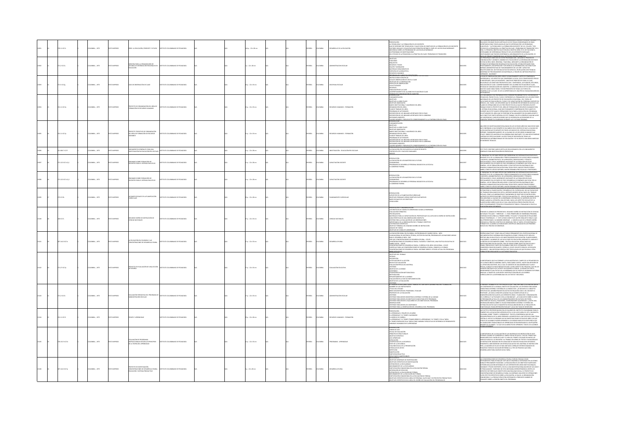|  | 111 (17)         | 2686A:, 1975      | O23RRMI OT  | ERE: LA EDUCACIÓN, PRESENTE Y FUTURO                                                        | ASTITUTO COLOMBIANO DE PEDAGOGÍA       |  | (Ap.: 22 x 28 cm         |  | <b>MACL</b>  | LOMBIA         | <b>ESARROLLO DE LA EDUCACIÓN</b>     | <b>ESENTACIÓN</b><br>A TECNOLOGÍA Y LA FORMACIÓN DE LOS DOCENTES<br>UE SE ENTIENDE POR TECNOLOGÍA Y CUALES SON LOS OBJETIVOS DE LA FORMACIÓN DE LOS DOCENTE<br>ACTORES SOCIALES Y EDUCATIVOS QUE PERMITEN DEFINIR EL PAREL DE LAS ESCUELAS NORMALES<br>NODENCIA SOBRE LOS PROGRAMAS DE LAS ESCUELAS NORMALES<br>JN PROGRAMA DE INVESTIGACIONES<br>EL ESTUDIO DE LA PEDAGOGÍA A LA PRÁCTICA EN CLASE: PROBLEMAS DE TRANSICIÓN                                                                                                                                                                              |       | est a moderno termino da de anía - de hodoratan fratami a termino", ter mino<br>Refuzaçõe con base en dos acatículos cuntos terais consoleranos es gava<br>Margatancia para teolos aquellos que se interesan por los problemas<br>Educa<br>.<br>ESTUDIO DE LA PEDAGOGÍA A LA PRÁCTICA EN CLASE : PROBLEMAS DE TRANSICIÓN" DE H<br>AEBLI: EL PRINCIPAL OBJETIVO QUE SE BUSCA CON ÉSTA SERIE, ES EL DE FACILITAR EL<br>INTERCAMBIO DE EXPERENCIAS PRODUCTO DE LOS DIFERENTES ENFOQUE<br>CPLINARIOS QUE PUEDEN CONTRIBUIR AL MEICRAMENTO DE LA EDUCACIÓN, SE                                                                                                                        |
|--|------------------|-------------------|-------------|---------------------------------------------------------------------------------------------|----------------------------------------|--|--------------------------|--|--------------|----------------|--------------------------------------|-----------------------------------------------------------------------------------------------------------------------------------------------------------------------------------------------------------------------------------------------------------------------------------------------------------------------------------------------------------------------------------------------------------------------------------------------------------------------------------------------------------------------------------------------------------------------------------------------------------|-------|----------------------------------------------------------------------------------------------------------------------------------------------------------------------------------------------------------------------------------------------------------------------------------------------------------------------------------------------------------------------------------------------------------------------------------------------------------------------------------------------------------------------------------------------------------------------------------------------------------------------------------------------------------------------------------|
|  | <b>DOM:</b>      | <b>CARLA 1975</b> | TO IMPRESO  | escria para la obganización de<br>Icinas de Información regional<br>Iucación                | CT/THTO COLOMBIANO DE REDACOCÍA        |  | $16.1243$ mm             |  | <b>PAÑOL</b> | LOMBIA         | NANCTRACYN ESCOLAR                   | <b>GUETIVOS</b><br>undows<br>REQUISITOS<br>REQUISITOS<br>EQUIPO Y MOBILIARIO<br>MATERIALES BIBLIOGRAFICOS<br>-<br>PAPELERIA DE LA BIBLIOTECA<br>RECURSOS HUMANOS<br>RECIGRAMA DEL CURSO DE CA                                                                                                                                                                                                                                                                                                                                                                                                             |       | SIGNIFICATION CON FINISHO CONTINUES AND CARRIED CONTINUES OF A CONTINUES OF A CONTINUES OF A CONTINUES OF A CONTINUES OF A CONTINUES OF A CONTINUES OF A CONTINUES OF A CONTINUES OF A CONTINUES OF A CONTINUES OF A CONTINUES<br>- HACENDO".<br>COSERVACIÓN DEBE LEERSE CUIDADOSAMENTE ANTES DE COMENZAR À                                                                                                                                                                                                                                                                                                                                                                      |
|  | $1.5 \times 17g$ | CMBIA:, 1975      | O22RRMI OT  | JALO 30 MÖLSAVADEDE GUASE                                                                   | NSTITUTO COLOMBIANO DE PEDAGOGÍA       |  | 10 p.: 22 x 33 cm        |  | <b>PAÑOL</b> | CMBA           | SCIPLINA ESCOLAR                     | AROGANNA PEL CUBER DE CHRISTIALINE,<br>- GUÍR DE OBSERVACIÓN<br>- GUÍR DE OBSERVACIÓN DE VISITA A CLASE<br>- GUÍRTIVOS DE LA OBSERVACIÓN<br>- AS ACTIVIDADES<br>- GECURSOS<br>- GECURSOS<br>INAUZACIÓN DE LA CLASE<br>PORTAMENTO DEL ALUMNO EN SITUACIÓN DE CLASE                                                                                                                                                                                                                                                                                                                                         |       | GENOMIA, LOS ASPECTO<br>ENDE LA GUÍA, CUND CO<br>JGENCIARLA, LOS ASPECTOS QUE COMPRENDE LA GUÍA, CUNO CONOCIMIENTO<br>IMPORTANTE, SON LOS SIGUIENTES : OBIETINOS PROPUESTOS PARA LA CLASE,<br>es medienaiti, son los siguintes : delitwos propustes para la cake,<br>remajnar els crietivos propustes con : contrinds, actividades, recursos,<br>remajnar els crietivos profusterio de alumno en stilicada el case,<br>recursos comun                                                                                                                                                                                                                                            |
|  | 111 (179         | MEM  1975         |             | ACIÓN DEL ÁREA DE                                                                           | (THE COLOMBIAN) OF REPAIRING           |  | 12 p. : 22 x 33 cm       |  | <b>AÑOL</b>  | <b>CIVELA</b>  | ECURSOS HUMANOS - FORMACIÓN          | ÉCRICAS DE COMPRICACIÓN<br>UNDAMENTACIÓN<br>UNDAMENTACIÓN<br>NUETIVOS A LARGO PLAZO<br>-DIATIVOS A LARGO PARA<br>CHATINGS MARCIANTS<br>- CHATINGS MARCIANTS<br>- CHATINGS MARCIANTS<br>- CHATAIN DE MATHAM CHATINGS CON AREA<br>- CHATAIN DE MATHAMARCS<br>- CHATAIN DE MATHAMARCS<br>- CHATAIN DE MATHAMARCS<br>- CHATAIN DE MATHAMARCS APOR<br>ADRO NÚMERO 1 PRESUPUESTO CORRESPONDIENTE A LA CONTRIBUCIÓN DEL PNUD.<br>RODUCCIÓN                                                                                                                                                                       |       | kstrumento.<br>Ste documento fue preparado en su version prelimitar por el coditenador<br>Konco del proyecto col 73/032 y representa el persanerito de los directores<br>Molevaris de educación col 73/045 y de Capacitación del person<br>SPALENDE DE ENSACIONE COLORES COMPANY EN CONSUMENCIÓN DE PRESIDENTE DE CONSUMERACIÓN EN CONSUMERACIÓN DE CONSUMERACIÓN DE CONSUMERACIÓN DE CONSUMERACIÓN DE CONSUMERACIÓN DE CONSUMERACIÓN DE CONSUMERACIÓN DE CONSUMERACIÓN<br>ANSIÓN TRIPARTITA CELEBRADAS DURANTE LAS 3 ÚLTIMAS SEMANAS.                                                                                                                                           |
|  | 111 (179         | 2022 - AMBRIC     | O2995641 OT | <b>CONTINUES</b> OF CREAM<br>del Área de Formación de Recursos<br>Humanos                   | <b>DITO COLOMBIANO DE REDACOCÍA</b>    |  | $10.123$ x 33 cm         |  | x6o.         | owaw           | WOMANG LIBRARIES - COMMAND           | INDAMENTACIÓN<br>BIETIVOS<br>NEETIVOS A LARGO PLAZO<br>-DEILTIVOS INMEDIATOS<br>-MARCO INSTITUCIONAL Y ACADÉMICO DEL ÁREA<br>-DRGANIZACIÓN DEL ÁREA<br>-PLAN DE TRABAJO DEL ÁREA<br>mi (di Innimo Valme)<br>Scrama de Actividades<br>Scrama de Liss Insumos aportados por el Paud<br>Iscripción de Liss Insumos aportados por el Gobierno<br>Iscripción de Liss<br>T<br>ADRO NÚMERO 1 PRESUPUESTO CORRESPONDIENTE A LA CONTRIBUCIÓN DEL PNUD<br>REEMATICA EN LA EDUCACIÓN DEL PRE-ESCOLAR COLOMBIANO                                                                                                      |       | UNA SERIE DE INVESTIGACIONES REALEXANS EN LOS ÚLTIMOS AÑOS NO HAN HECHO MÁS<br>QUE CONFIRMA LO QUE SERAPRE SE VA SABIO DE N. EL SINTIOS DE QUE LA CALIBAD DE<br>LA EDLICACIÓN QUE SE MAPARTE EN TODOS LOS INVELES DE SISTEMA EDLICAC<br>CANTIDAD DE ESPECULACIONES. HA SIDO TEMA DE DISCUSIÓN EN TODAS LAS<br>CONFERENCIAS INTERNACIONALES DE EDUCACIÓN Y SE HA ESCRITO UNA GRAN VARIEDAD<br>DE INFORMES TÉCNICOS.                                                                                                                                                                                                                                                               |
|  | 00071017         | CMBIA:, 1975      | O22R4MI OT  | EAMENTOS GENERALES PARA UNA<br>ESTIGACIÓN EN EDUCACIÓN PRE-ESCOLA                           | ALCOADED DE CAMBARO DE PERMISCIÓN      |  | $11 p : 22 \times 28$ cm |  | <b>PAÑOL</b> | <b>LOMBIA</b>  | NVESTIGACIÓN - EDUCACIÓN PRE-ESCOLAR | A EDUCACIÓN PRE-ESCOLAR EN LA CIUDAD DE BOGOTÁ<br>ENTROS PILOTO Y NUCLEOS FAMILIARES                                                                                                                                                                                                                                                                                                                                                                                                                                                                                                                      | 12096 | ESTE TEXTO CONTIENE VARIOS ARTÍCULOS RELACIONADOS CON LOS LINEAMIENTOS<br>GENERALES PARA INVESTIGACIÓN EN PRESECUJAR.                                                                                                                                                                                                                                                                                                                                                                                                                                                                                                                                                            |
|  | 12210171011      | MEIA: , 1975      |             | INARIO SOBRE FORMACIÓN DE<br>ENTES PARA EL SISTEMA EDUCATIVO                                | NTO COLOMBIANO DE PEDAGOGÍA            |  | $1 p : 22 \times 28$ cm  |  | xkou         | <b>CIVILIA</b> |                                      | ODUCCIÓN<br>LA EDUCACIÓN DE LOS MAESTROS EN EL FUTURO<br>INSUMISMO<br>IDGRAMAS DE DESARROLLO PERSONAL BASADOS EN LA ESCUELA<br><b>COBIERNO FEDERAL</b>                                                                                                                                                                                                                                                                                                                                                                                                                                                    |       | .<br>1 PROBLEMA TAL VEZ MÁS CRÍTICO QUE ENFRENTAN LOS SISTEMAS EDUCATIVOS EN EL<br>RESENTE ES EL DE LA FORMACIÓN Y PERFECCIONAMIENTO DE SUS RECURSOS HUMANOS<br>DOCENTES, ADMINISTRATIVOS, DE SUPERVISIÓN, OBIENTADORES Y TÉCNICOS<br>SPICANLIZAOS: CON EL INCERMENTO INCESANTE DE LA POBLACIÓN ESCOLAR<br>SPICANLINENTE EN LOS PAÍSES DE POCO DESARROLLO ECONÓMICO QUE SON, POR LO<br>ENIGINA, LOS DE<br>MBÁ, COMO ES LÓGICO SUPONER, MAYOR DEMANDA PRO ESCUELAS Y PROFESORES.<br>PROBLEMA TAL VEZ MÁS CRÍTICO QUE ENFRENTAN LOS SISTEMAS EDUCATIVOS EN EL                                                                                                                      |
|  | 12210174 012     | MEIA: , 1975      | OZBRRNI OT  | enario sobre formación de<br>Centes para el sistema educativo                               | ARONADIA 30 OMAINMO DE DELA            |  | 11 p. : 22 x 28 cm       |  | wice         | owaw           | <b>MACITACIÓN DOCENTE</b>            | NTROQUECIÓN<br>LA EDUCACIÓN DE LOS MAESTROS EN EL FUTURO<br>CONQUIMISMO<br>ROGRAMAS DE DESARROLLO PERSONAL BASADOS EN LA ESCUELA<br>L GOBIERNO FEDERAL                                                                                                                                                                                                                                                                                                                                                                                                                                                    |       | .<br>PRESENTE ES EL DE LA FORMACIÓN Y PERFECCIONAMIENTO DE SUS RECURSOS HUMANOS<br>: DOCENTES, ADMINISTRATIVOS, DE SUPERVISIÓN, ORIENTADORES Y TÉCNICOS<br>ESPECIALIZADOS. CON EL INCREMENTO INCESANTE DE LA PORLACIÓN ESCOLAR<br>SPECIALMENTE EN LOS PAÍSES DE POCO DESARROLLO ECONÓMICO QUE SON. POR LO<br>SPECIALMENTE EN LOS PAÍSES DE POCO DESARROLLO ECONÓMICO QUE SON. POR LO                                                                                                                                                                                                                                                                                             |
|  | 75 IC17b         | CMEIA: , 1975     | O22RRMI OT  | AS BASES SOCIALES DE LA PLANIFICACIÓN<br>IJRRICULAR                                         | TITUTO COLOMBIANO DE PEDAGOGÍA         |  | 20 p. : 22 x 28 cm       |  | <b>PAÑOL</b> | <b>CIVELA</b>  |                                      | courring<br>INIMULICIÓN<br>-SUPUESTOS DE LA PLANIFICACIÓN CURRICULAR<br>-DEUTIVOS FORMALES VERSUS OBUETIVOS SUSTANTIVOS<br>-BASES SOCIALES DE LOS OBUETIVOS<br>-CONCLUSIÓN<br><b>SSENTACIÓN Y FUNDAMENTACIÓN</b>                                                                                                                                                                                                                                                                                                                                                                                          |       | <b>ROYALMATH IN 15 AND SET OF DESCRIPTION ON A CITY OF DESCRIPTION OF A CALCULATION CONTINUES.</b><br><b>SERVICE CONTINUES AND DESCRIPTION ON A CONTINUES AND CONTINUES ARE CONTINUES.</b><br><b>SERVICE CONTINUES AND SERVICE CONTINUES AND </b>                                                                                                                                                                                                                                                                                                                                                                                                                                |
|  | 0.0176           | MEIA: , 1975      | D22R4MI OT  | EGUNDO DISEÑO DE INSTRUCCIÓN DE<br>ENCIAS NATURALES                                         | TUTO COLOMBIANO DE PEDAGOGÍA           |  | 17 p. : 22 x 33 cm       |  | <b>PAÑOL</b> | <b>KOMBIA</b>  | NCIAS NATURALE                       | PRE ADQUISTOS<br>AMATERIALES PARA LA CAPACITACIÓN DEL PROFESOR QUE VA A APLICAR EL DISEÑO DE INSTRUCCIÓN<br>CARATERIALES PARA LA CAUSICAPICA DE CA OBERVACIONES<br>OSTERIA PARA LA CAUSILICACÍN DE LAS OBERVACIONES<br>ROFORTANCA DE LA DI<br>lus prulašos cientificos<br>Jaktivo terminal del segundo delfío de instrucción<br>Vaíles de Tareas<br>Vailtivos de Conducta Observarie                                                                                                                                                                                                                      |       | INCEL ACRANO DE RRECENTAR EL SECUNDO DISCÑO DE INCERNICO ÓN DE OENOJA<br>TURALES TITULADO : "OBSERVAR - 1", PARA PRIMER AÑO DE ENSEÑANZA PRIN<br>UNICORAL IN INSURANCE - 1, 1935, PROVINCIA IN INSURANCE PRODUCTS<br>CONTROL IN SCIENCIA AL PRIMER DISTRICT IN INSURANCE IN INCOMES<br>ISSUADO TRAPORALES – 1, 1531 GUINALO CONSTITUIR UN 1965 AEQUESTO PARA IL CAST<br>ACLÍ PRESIDE ANO<br>VELES DEL PROCESO DE OBSERVAR.                                                                                                                                                                                                                                                       |
|  | 27.1412 IC17e    | LOMBIA: 1975      | OZRRNI OT   | <b>EDUCACIÓN EN COLOMBIA Y LAS</b><br>CENTRACIONES DE DESARROLLO RURAL                      | TITUTO COLOMBIANO DE PEDAGOGÍA         |  | 27 p. : 22 x 33 cm       |  | <b>PAÑOL</b> | <b>AIGNOZ</b>  | CLEROLIC BIRA                        | A EDUCACIÓN RURAL EN COLOMBIA, UN PROGRAMA DE CAMBIO SOCIAL - MEN<br>YAN NACIONAL DE ASISTENCIA TÉCNICA, SECTOR EDUCACIÓN, PROGRAMA DE LAS NACIONES UNIDAS<br>para el desarrollo men - dad<br>- for que concentraciones de desarrollo rubal - icolee<br>- concentraciones de desarrollo rubal - ricolofía y drietivos; una política educativa de<br>JUNIJANI NAMANI<br>KNORO SOCIAL - ICOLOF<br>CONCENTRACIONIS DE OSSANOSLI O RUBAL: CURRÍCULO DEL ÁRSA VOCACIONAL - ICOLOF<br>CURRENLIO PARA LAS CONCENTRACIONIS DE DESARROLLO RURAL: GRADOS 6 A 9 GRADO<br>CURCENTRACIONIS DE DESARROLLO RU<br>6000000 |       | ESEÑAS ANALÍTICAS" COMO UNA ACTIVIDAD PERMANENTE DEL CENTRO NACIONAL DE<br>IOCUMENTACIÓN E INFORMACIÓN PEDAGÓGICA CENDIP. PERSIGUE ESTE SERVICIO<br>.<br>RESTAR UNA ANUDA EFICAZ A LOS INVESTIGADORES EN EDUCACIÓN, PLANIFICADORES,<br>DUCADORES Y ALUMNOS DE LAS FACULTADES DE EDUCACIÓN, MEDIANTE EL ANÁLEIS Y<br>A SÍNTESIS DE DOCUMENTOS SOBRE : POLÍTICA EDUCATIVA, RESULTADOS DE<br><b>PORTIFICAL SOCIONAL ROMAN - POINTS AND SOMETIME CONTRACTORS ON THE SUBMISSION CONTRACTORS AND SUBMISSION CONTRACTORS IN COLORATION (STATE SUBMISSION CONTRACTORS)</b><br>ROMAN PORTION CONDIST THAT ON THE SUBMISSION CONDITION CON                                                 |
|  | 127 (176)        | COMBIA: 1975      | TO IMPRESO  | HECTO DE EVALUACIÓN DE UNA LECCIÓN<br>ESPAÑOL                                               | STITUTO COLOMBIANO DE PEDAGOGÍA        |  | 7 p. : 22 x 33 cm        |  | usor         | LOMBIA         | <b>BUILDING</b> COUCATE              | INTRODUCCIÓN<br>-OBJETIVOS DEL TRABAJO<br>-ENTIDAD<br>-DESCRIPCIÓN<br>UNESPICACIÓN DE LA LECCIÓN<br>NIVELES DE EVALUACIÓN<br>EVALUACIÓN PREVIA DEL MATERIAL<br>CRITERIOS<br>OBIETIVO DE LA UNIDAD<br>CONTENDO<br>COMPLEMENTACIÓN METODOLÓGICA<br>METODOLOGÍA<br>SPLANTEAMENTO DE LA UNIDAD<br>VALUACIÓN EN LA FASE DE IMPLEMENTACIÓN<br>NUETIVO DE LA EVALUACIÓN<br>CELSUB-GRUPO ADMI                                                                                                                                                                                                                     |       | MPORTANCIA QUE HA CORRADO LA EVALUACIÓN EN EL CAMPO DE LA PEDAGOGÍA EN<br>.<br>LOS ÚLTIMOS AÑOS ES INMENSA: BASTA, PARA DARSE CUENTA, HACER UNA REVISIÓN DE<br>LA UTERATURA EXISTENTE, EN LA CUAL SE ADVIERTE DE UNA MANERA MUN CLARA Y<br>PRECISA, AUNIQUE SE HAGA ÉNFASIS EN UNO U OTRO ASPECTO DEL PROCESO, QU<br>TRANSA ANNOUNCE AN ANNOUNCE ANNOUNCE AN ANNOUNCE AN AN ANNOUNCE AN ANNOUNCE AN ANNOUNCE AN AN ANNOUNCE AN ANNOUNCE AN AN ANNOUNCE AN AN ANNOUNCE AN AN ANNOUNCE AN AN ANNOUNCE AN AN ANNOUNCE AN AN ANNOUNCE AN AN AN ANNOUNCE                                                                                                                              |
|  | 1210174          | CMEIA: , 1975     | TO IMPRESO  | LUACIÓN FORMATIVA DEL PROGRAMA DE                                                           | AND AN AMERICAN DE PERMISSION          |  | 17 p. : 22 x 33 cm       |  | xkou         | CMBA           |                                      | ENTERIOS<br>CTIVIDADES EXTRACURRICULARES<br>VOMBRE DE LOS PARTICIPANTES<br>-TÍTULO DEL ESTUDIO<br>6REVE DESCRIPCIÓN DEL PROGRAMA / EVALUAR<br>FROPÓSITO DE LA EVALUACIÓN<br>-<br>CRITERIOS<br>-CRITERIOS PARA MEDIR CONSISTENCIA INTERNA Y EXTERNA DE LA UNIDAD<br>-CRITERIOS PARA MEDIR LOS OBIETIVOS FILADOS PARA ESTE PROGRAMA<br>STERIOS PARA MEDIR EL EQUILIBRIO DE LOS OBJETIVOS DEL PROGRAMA<br>SERVACIONES<br>TERIOS RADA MEDIR LOS CONTENIDOS<br>RITERIOS PARA LA OBSERVACIÓN DEL DESARROLLO DEL PROGR                                                                                           |       | IL PREDIVIT TRANSO EL DE TROI DICUESTA QUE TUDA DE DE CONTIDUA D'AVALIACIÓN DE CONTINUESTA QUE L'ANDI SUBJECTIVO EL DE CONTINENTE DE CONTINENTE DE CONTINUESTA PARA CONTINUESTA DE CONTINUESTA DE CONTINUESTA DE CONTINUESTA<br>IN PREPRAISING PELURU DE SUS PRINCIPALISMOS ESSOCIATIVOS, NEL IGNILI,<br>IRECTORES DE ESCUELA, PAGADORES, COORDINADORES ACADÉMICOS?, / EXISTE UNA<br>MILITANA DE MARIA SOBRE EL ESCASO RENDOMENTO INTERNO Y EXTERNO DEL<br>TEMA EDUCATIVO QUE SE MANIFIESTA EN BAJA ARSORCIÓN DE LA POBLACIÓN EN<br>AD ESCOLAR EDCASA BETRACIÓN ESCOLAR Y LAS ALTAS TASAS DE DESERCIÓN EN<br>AD ESCOLAR ESCA                                                     |
|  | 1110171          | MEIA: , 1975      |             | APO Y APREMOGAJE                                                                            | TUTO COLOMBIANO DE PEDAGOGÍA           |  | 19 p. : 22 x 28 cm       |  | ŵα           |                | CURSOS HUMANOS - FORMACIÓN           | RESENTACIÓN<br>PRESIDIACIÓN<br>EL AMERICANO, A TRAVÉS DE LOS AÑOS<br>EL AMERICANO, EL CARROL.<br>EL TAMBO DONTARON DIN A TARACO DENO COLO AMERICANE Y EL TERMO Y EN LA TABEA<br>EL TAMBO DEMILADO DIN LA AMERICANA<br>VARIARIES HUNANAS EN EL AMERICANA<br>VARI<br><b>DONEY COM</b>                                                                                                                                                                                                                                                                                                                       |       | N BELL FRANCO FREMIN FRIDA UNA VERMILLICE DEL INSTITUTO COLOMBIANO PARA EL<br>UN UNICULAR PRODUCTION DE MOS DE MONTEN DE MONTEN DE LOS DE MOS DE MOS DE MOS DE MOS DE MOS DE MOS DE MOS DE M<br>DOMENTO DE LA EDUCACIÓN SUPERIOR (VECE), EL DÍA 18 DE ABRIL DE 1975, EN BODOTÁ,<br>DOMENTO DE LA EDUCACIÓN SUPERIO<br>n condiciones tradicionales de aprendizaje están reservados a un pequeño<br>Úmero de alumnos. "Lo que un alumno puede aprender, todos los alumnos                                                                                                                                                                                                          |
|  | 20.152.3 IC17e   | CMBIA:, 1975      | O22RRMI OTX | LUADÓN DE PROGRAMAS<br>INSTRUCCIONALES SEGÚN LOS PRINCIPIOS<br>DE LA TEORÍA DEL APRENDIZAJE | ITUTO COLOMBIANO DE PEDAGOGÍA          |  | 12 p. : 22 x 33 cm       |  | AÑOL.        | <b>KOMBIA</b>  | BOGRAMAS - APRENDIZAJ                | MINIMA DE USO<br>-ESCALA DE EVALUAÇIÓN<br>-FRINGIPIOS ESTRUCTURALES<br>-DEIETIVO ESPECÍFICO<br>-USO APROPIADO<br>EXPLICACIÓN<br>-LEMACACION<br>- COMPENSION DE LA SECUENCIA<br>- CAYTO DE LA SECUENCIA<br>- TASA INDICIDUAL DE LA PRESENTACIÓN<br>- ESTÍMULOS DE APOYO<br>- RALBERTACIÓN<br>- RALBERTACIÓN<br><b>FICACIÓN</b><br>ICIRACIÓN ACTIVA                                                                                                                                                                                                                                                         |       | LA IMPORTANCIA DE LA EVALUACIÓN DE LOS MATERIALES DE INSTRUCCIÓN SE HACE<br>EVIDENTE CLIANDO SE CONSIDERA EL SIMPLE HECHO DE QUE EL 75% DEL TIEMPO QUE<br>TRANSCURRE EN EL SALÓN DE CLASE Y EL 90% DEL TIEMPO UTILIZADO EN HACER LAS<br>REAS SE DEDICA A LA REVISIÓN Y AL TRABAJO EN LIBROS DE TEXTOS Y EN MATERIALES<br>.<br>DE INSTRUCCIÓN, BASADOS EN ESTA REALIDAD SE HAN HECHO MUCHOS ESPUERZOS<br>TENDIENTES A IMPLEMENTAR UN SISTEMA EVALUATIVO DEL MATERIAL DE INSTRUCCIÓN<br>PERO, LA MAYORÍA DE ELLOS SE HAN LIMITADO A SEÑALAR CRITERIOS BASADOS EN<br>RINCIPIOS TEÓRICOS SIN HACER REFERENCIA AL TIPO DE PROCESO QUE DEBA.<br>ESARROLLARSE PARA CUMPLIR DICHA TAREA. |
|  | $7.1412$ iC17p   | MEIA: , 1975      |             | .<br>Kentraciones de desarrollo Rural:<br>Jeación y Sistema Productivo                      | <b>ITITUTO COLOMBIANO DE REDACOCÍA</b> |  | $p. : 22 \times 28$ cm   |  |              | wax            |                                      | PRINCIPADOS<br>SSULTADOS CUNVIFICABLES<br>NEICEOENTES<br>NIETIVOS ESPECÍFICOS DE INVESTIGACIÓN<br>NIETIVOS ESPECÍFICOS DE INVESTIGACIÓN<br>OBIETIVOS ESPECÍFICOS DE INVESTIGACIÓN<br>EXTENCIÓN DE LA ESCOLABIDAD<br>MEDORAMENTO DE LA ESCOLABIDAD<br>PARTICIPACIÓN DE SERVICIOS<br>ENTERRACIÓN DE SERVICIOS<br>EXTENCIÓN DE SERVICIOS<br>KARINGON NE DA KOLONIGON NO PORMAL<br>PARTICIPACIÓN COMUNITARIA EN LA EDUCACIÓN NO FORMAL<br>PARTICIPACIÓN COMUNITARIA EN LA EDUCACIÓN NO FORMAL<br>OBIETIVOS ESPECÍFICOS EN EL ÁREA DEL DISEÑO DE EVALUACIÓN DEL PROYECTOS<br>OBIETIVOS E<br>DAMA DE            |       | LAS CONCENTRACIONES DE DESARROLLO RURAL FUERON CREADAS COMO<br>INSTRUMENTOS PARA ESTIMULAR UN PLAN DE DESARROLLO INTEGRADO EN LAS 2014AS<br>RURALES PREVIAMENTE ESCOGIDAS. LA REALIZACIÓN DE LOS OBJETIVOS PLANTEADOS<br>UPONEN UNA ACCIÓN INTEGRADA DE LOS DIFERENTES RECURSOS INSTITUCIONALES,<br>RUPONIN I MAI ACCOR INTEGRANO, DE LOS SPERANTES ERCURICOS HENTINCONALES,<br>AUMANOS Y FESCOS INSTERTES, EN VÍA A UNA MANCA BACIDONALENCIÓN EN SUS USOS<br>AUMANOS Y FESCOS INSTERTES, EN VÍA A UNA MANCA BACIDONALENCIÓN EN SUS USOS                                                                                                                                         |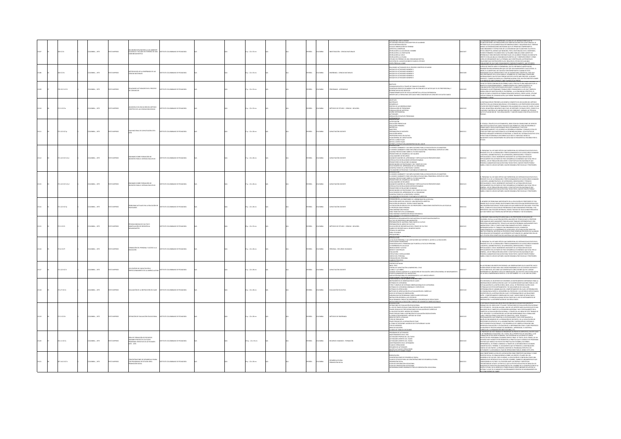|  | 0.017e        | <b>COMBIA: . 1975</b> | O22RRMI OT     | ODN EVRIORATORIA A LIN AMBIENTI<br>00000<br>A310/8 GAO MUM                                     | STITUTO COLOMBIANO DE PEDAGOGÍA          |  | $20.122 \times 32$ cm    |  | PAÑOL        | <b>OMBIA</b>   | <b>NESTIGACIÓN - CIENCIAS NATURALES</b> | COON DEL STIO A VISITAR<br><b>COUR DE SINOR VISITAR</b><br>CTIVIDADES PREVIAS A REALIZAR POR LOS ALUMNOS<br>DATOS METEREOLÓGICOS<br>GUÍA DE OBSERVACIÓN EN TERRENO<br>ASPECTOS A OBSERVACIÓN EN TERRENO<br>EN RELACIÓN A LA ACCIÓN DEL HOMBRE<br>EN RELACIÓN A LA VEGETACIÓN<br>N RELACIÓN AL SUELO<br>en Belación a la Falina<br>Estudio en Terreno de Una Comunidad Biótica<br>Elección del Lugar en Donde se Hará el Estudio<br><b>SADULIA ALCORA</b>                                                                                                                                                             | 12107  | MUNDAD BIÓTICA COMPRENDE LA SUMA DE LAS INTERACCIONES QUE SE<br>ABLECEN ENTRE LAS POBLACIONES QUE HABITAN UN ÁREA EN LA NATURALEZA. SE<br>PRETENDE QUE LOS ALUMNOS REAUCEN DISDIVACIONES Y ADQUIERMI EN EL TERRINO<br>MISMO LAS INFORMACIONES NECESSARIS QUE LES PERMITAN COMPRIMORI EL<br>EUNGONAMIENTO Y ESTRUCTURA DE LA COMUNISMO QUE ELLIAN PARA TAL EFECTO.<br>EUNGONAMIENT<br>RENDIZAJE, SERÁ NECESARIO ENTONCES QUE LOS ALUMNOS TENGAN UN CONTACTO<br>.<br>DIRECTO CON ALGUNA (S) COMUNIDAD (ES) BIÓTICA (S) Y ORSERVEN DÓNDE Y CÓMO<br>HNEN LOS ORGANISMOS QUE LA FORMAN, QUE IDENTIFIQUEN LAS PRINCIPALES<br>REJACIONES QUE DISTEN ENTRE ELLOS, REALICEN EL ESTUDIO DE ALGUNAS |
|--|---------------|-----------------------|----------------|------------------------------------------------------------------------------------------------|------------------------------------------|--|--------------------------|--|--------------|----------------|-----------------------------------------|----------------------------------------------------------------------------------------------------------------------------------------------------------------------------------------------------------------------------------------------------------------------------------------------------------------------------------------------------------------------------------------------------------------------------------------------------------------------------------------------------------------------------------------------------------------------------------------------------------------------|--------|------------------------------------------------------------------------------------------------------------------------------------------------------------------------------------------------------------------------------------------------------------------------------------------------------------------------------------------------------------------------------------------------------------------------------------------------------------------------------------------------------------------------------------------------------------------------------------------------------------------------------------------------------------------------------------------|
|  | 01017m        | COMBIA: , 1975        | O22RRMI OT     | 2AJ 30 ASMAÑAN AJ 30 AÑOJO<br>NOAS NATURALES                                                   | <b>TITUTO COLOMBANO DE PEDAGOGÍA</b>     |  | $6 p. : 22 \times 33$ cm |  | SPAÑOL       | <b>KOMBIA</b>  | GEÑANZA - CIENCIAS NATURALES            | ALIZANDO ACTIVIDADES EN EL BROCESO CIENTÍBICO DE MEDIR<br>MOQUE DE ACTIVIDADES NÚMERO I<br>MOQUE DE ACTIVIDADES NÚMERO I<br>iloque de actividades número ;<br>iloque de actividades número ;<br>iloque de actividades número ;                                                                                                                                                                                                                                                                                                                                                                                       | 013108 | .<br>Aciones de un o más comunidades comparativamente, que estudien<br>Kultura da may mondicarta en la timbara cuatinen, ma que usa unita<br>Kanten más información que los que so difienen cuantificados.<br>Emiten más información que l<br>MEDIR. EL CUANTIFICAR, NO TAN SÓLO SON IMPORTANTES CUANDO SE ESTÁ<br>MIR, IN LAMINUM PAR, IN VIAM AND ARRAIGNEMENT DU DE LA SUR DE LA SUR DE LA SURFACIA DE LA SURFACIA CON ESCALA<br>CLARADO DI UN LAGORATORO O EN LAS ASSENATURAS CIENTÍFICAS, SINO QUE<br>CLARACONES CUALITATIVAS FORQUE NECESITA DATO                                                                                                                                  |
|  | 0.152.3 (C17) | LOMBIA: , 1975        | O22RRMI OT:    | LEANDO ACTIVIDADES EN EL PROCESO<br>COMUNICAR                                                  | STITUTO COLOMBIANO DE PEDAGOGÍA          |  | $p. : 22 \times 33$ cm   |  | PAÑOL        | <b>LOMBIA</b>  | OGRAMAS - APRENDIZAJI                   | DRIETINOS<br>COMUNICAR DATOS A TRAVÉS DE TABLAS DE VALORES<br>CONSTRUIR GRÁFICOS DE BARRAS CON UN CONJUNTO DE DATOS QUE SE LES PROPORCIONA, E<br>ITERPRETAR DICHOS GRÁFICOS<br>RANSFORMAR DATOS DE ESCALA ARITMÉTICA A ESCALA DIPONENCIAL<br>DENTIFICAR LA FORMA MAS ADECLIADA PARA COMUNICAR UN CONJUNTO DE DATOS DADOS                                                                                                                                                                                                                                                                                             | 13109  | EMPERS: COMMISSION DE VAN COMPROME MAGINA COSA, NO OCO NECESSIONE NAEL<br>COMPROCATION DE VAN COMPROMENTATION DE VAN PROCESSIONE DE VAN MAGINARE PERSON DE VAN COMPROME PERSON DE VAN P<br>COMPROCATION COMPANY DE VAN COMPROMENTATI<br>.<br>MEMA LÍNEA DE INVESTIGACIÓN O, EN GENERAL, A LA COMUNIDAD CIENTÍFICA. EL<br>HECHO DE DAR A CONOCER UN TRABAID REALIZADO IMPLICA, DESDE LUEGO, UTILIZAR<br>CIERTAS FORMAS DE COMUNICACIÓN, QUE DEBEN TRANSMITR UN MENSAJE CLARO,                                                                                                                                                                                                             |
|  | 1310174       | CMBIA:, 1975          | O23R4MI OT     | OGOTAN JIG WOLKHOUSE IN GJODDAN<br>NTÍFICO DE LAS CIENCIAS BIOLÓGICAS                          | ITUTO COLOMBIANO DE PEDAGOGÍA            |  | $p. : 22 \times 33$ cm   |  | <b>PAÑOL</b> | <b>LOMBIA</b>  | AÍTODOS DE ESTUDIO - OENCAS - BIOLOGÍA  | OBJETIVOS<br>MATERIALES<br>OESARROLLO<br>INTESIS DE LAS DESERVACIONES<br>ORMULADÓN DE PROBLEMAS<br>ORMULADÓN DE HIPÓTESIS<br>ISEÑO EXPERIMENTAL<br>CTIVIDADES<br><b>HACIÓN DE MILENDS DROBI EM</b>                                                                                                                                                                                                                                                                                                                                                                                                                   | 12110  | <b>ITINUACIÓN SE PRESENTA UN EIEMPLO CONCRETO DE APUCACIÓN DEL MÉTODO</b><br>FICO EN LAS CIENCIAS BIOLÓGICAS, ESTÁ D<br>NIMITORIO HIN ON NIMINAMI MINORALAMO CON ALUMANDS DE MA PAPARAMA O CONSEGUIA<br>UTILIZA, NI MATESIANA DEL CONCO MUNYAMO CON MUNANDS DE MA SALA DE CLASES, YA QUE<br>UTIVIZA NI MATESIANA DEL CADONI FIVACI DE CO OBTENIRY DE BAJO CO                                                                                                                                                                                                                                                                                                                             |
|  | 112210170     | <b>CRABLE: 1975</b>   | OZERNI OT      | PLAN NACIONAL DE CAPACITACIÓN 1974-                                                            | ABOGAGER 30 OMAIRMOJO DE UTITZ           |  | $n: 22 \times 28$ cm     |  | <b>PAÑOL</b> | <b>LOMBIA</b>  | <b>PACITACIÓN DOCENTE</b>               | STIFICACIÓN<br>UCACIÓN PRESCOLAR<br>UCACIÓN PRIMARIA<br>ATRÍCULA<br>MATRÍCULA<br>MAESTROS<br>PROFASACIÓN DE DOCENTES<br>PROFESORES NIVEL EDUCATIVO<br>PLAN GENERAL DE CAPACITACIÓ<br>METAS A LARGO PLAZO<br><b>STAS A CORTO PLAZO</b><br>-<br>FINIR LA ESTRUCTURA ADMINIST<br><b><i>CTIVA DEL ICOLPS</i></b>                                                                                                                                                                                                                                                                                                         | 12111  | ESTADO A TRAVÉS DE SUS ESTAMENTOS, DEBE ESTAR EN CONDICIONES DE OFRECER<br>LA POLÍTICA EDUCATIVA CLARA Y REALISTA QUE PERMITA AL PAÍS UN DESARROLLO<br>INSECUENTE CON SUS NECESIDADES SOCIO-ECONÓMICAS Y POLÍTICAS<br>CONSILUURI IL CON SUS NELL'SEMULES SULTU-ELONOMICAS T PULITIE PAREILO CON LOS<br>EUROANISTITAURISTE Y DE ACLISSIO AL DESARROLLO GENERAL Y PARAILLO CON LOS<br>OTROS SECTORES QUE PARTICIPAN DE LA ECONOMÍA NACIONAL. ESTA POLÍTICA S<br>TRUCTURA DETERMINA EL RECORRIDO QUE HACE EL INENVIDUO DESDE SU<br>IGMIENTO HASTA ENCONTRARSE EN CAPACIDAD DE REINVERTIR LO RECIBIDO POR EL                                                                                 |
|  | 12210174 Ejit | MEIA: , 1975          |                | minario sobre formación de<br>Kentes para el sistema educat                                    |                                          |  | $x: 22 \times 28$ cm     |  | PAÑOL        |                |                                         | KTROUICION<br>LL MUNDO CAMBIANTE Y SUS IMPUCACIONES PARA LA EDUCACIÓN DE LOS MAKSTROS<br>LL MUNDO CAMBIANTE COMO INFLUENCIA EDUCACIONAL PRIMORDIAL DESPUÉS DE 1990<br>MOMOTORES DEL DESARROLLO DE VALORES<br>PROMOTORES DEL DESARROLLO DE<br>OCALIZADORES DE RECURSOS<br>HAGAOSTICADORES DEL APRINDIZAJE Y ESPECIAISTAS EN PREESCRIPCIONES<br>SPECIALISTAS EN RELACIONES INTERDICIPLINARIAS<br>ROMOTORES DE RELACIONES HUMANAS<br>RENTADORES DE PROFESIONES Y DEL TIEMPO DE OCID<br>ICILITADORES DEL APRENDIZAJE DE LA COMUNIDAD<br><b>ESTRUCTORES DE LA PROFESIÓN Y LÍDERES</b><br>.<br>TRODUCCIÓN<br>TRODUCCIÓN    |        | PROBLEMA TAL VEZ MÁS CRÍTICO QUE ENFRENTAN LOS SISTEMAS EDUCATIVOS EN EL<br>RESENTE ES EL DE LA FORMACIÓN Y PERFECCIONAMENTO DE SUS RECURSOS HUMANO<br>DOCENTIS, ADMINISTRATIVOS, DE SUPERVISON, OBIENTADORES Y TÉCNICOS<br>ESPECAUZADOS: CON EL INCERMENTO INCESANTE DE LA POBLACIÓN ESCOLAR<br>ESPECAUZADOS: CON EL INCERMENTO INCESANTE DE LA POBLACIÓN ESCOLAR<br>ESPECAUZADOTE DE LOS PAÑ<br>ARA, COMO ES LÓGICO SUPONER, MAYOR DEMANDA POR ESCUELAS Y PROFESORES.                                                                                                                                                                                                                  |
|  | 112210171512  | <b>CRABLE: 1975</b>   | O23RRMI OT     | 30 HODAMADO 39802 OSM<br>CENTES PARA EL SISTEMA EDUCATIVO                                      | ALCOLAGED DE PERSONAL                    |  | $p. : 22 \times 28$ cm   |  | PAÑOL        | OMBA           | <b>PACITACIÓN DOCENTI</b>               | ei ruuulluun.<br>11. Mundo Cambiante y sus impucaciones para la educación de los maestros.<br>1. MINIMO CAMBANTE COMO INFLUENCIA ETANCADA DA MUNDA DESPUÉS DE 1990<br>LGANAS POSTECIONES SOBRE EL FUTURO MASSTRO<br>MGANAS POSTECIONES SOBRES EL FUTURO MASSTRO<br>OCALIZACIONES DE RECARSOLLO DE VALIDRES<br>COMARIZATICADORES DEL APRI<br>SPECIALISTAS EN RELACIONES INTERDICIPLINARIAS<br>KOMOTORES DE RELACIONES HUMANAS<br>RENTADORES DE PROFESIONES Y DEL TIEMPO DE OCIO<br>LITADORES DEL APRENDIZAJE DE LA COMUNIDAD<br>STRUCTORES DE LA PROFESIÓN Y LÍDERES<br>LIZADORES DE PROCESOS Y SUSTANCIA FUTURÍSTICO |        | .<br>Poblema tal vez más crítico que enfrentan los sistemas educativos en el<br>L'HAMMINI I PAL MONTADO I VIDEO CON MARIA LOS ANTIGOS ES RECURSOS HUMANOS<br>RESENTE ES EL DE LA FOBMACIÓN Y PERFECCIONAMENTO DE SUS RECURSOS HUMANOS<br>SPECIALIZADOS, CON EL INCREMENTO INCESANTE DE LA POBLACIÓN ESCOLAR<br>PALIMALINUUS. LUIN ILI INGAIMMI IU INASANIILI ILI LA PAIMALIUN ISALUMI<br>DRECHAMENTE EN LOS PAÏSS DE POCO DISARROLLO ECONÓMICO QUE SON, POR LO<br>DRIDINI, LOS DE PORILICIÓN MÁS JOVEN Y CON POLÍTICAS EDUCACIONALES QUE<br>ENDEN, AGA                                                                                                                                   |
|  | 12210170      | MEM  1975             | <b>CORRENT</b> | PROBLEMAS ACTUALES EN LA EDUCACIÓN DE                                                          | <b>CTITITO COLOMBIANO DE REDACOCÍA</b>   |  | $p. : 22 \times 28$ cm   |  | <b>HÁOL</b>  |                | MOTACOON DOCENTE                        | STIMACIÓN DE LOS PROFESORES VS. APRENDIZAJE EN LA ESCUELA<br>UCACIÓN ANTES DEL SERVICIO: UNA PROPUESTA HERÉTICA<br>ducación en Servicio: Teoría e investigación<br>A educación en Servicio de los profesores: Condiciones existentes en las escuelas<br>L'Profesor Como persona<br>el Profesor Como Persona<br>Para Enseñar Creatividad<br>Para Tener Éxito en la Enseñanza<br>Para Enseñar Confosición Redacción Básica                                                                                                                                                                                             |        | VÁMERO DE PROBLEMAS IMPORTANTES EN LA EDUCACIÓN DE PROFESORES ES TAN<br>.<br>SPANDE QUE LOS QUE HEMOS SELECCIONADO PARA DISCUTIR AQUÍ REPRESENTAN SÓLO.<br>JNA PEQUEÑA FRACCIÓN DE TODOS AQUILLAS QUE MERECEN SER TRATADOS. POR OTRA<br>PARTE, SI BEN ESTA SELECCIÓN DE PROBLEMAS DE INEVITABLIMENTE PERSONA Y<br>MAN, ALBEM KAN POSICIÓN DEFENSALISMOS TRATADO DE SELECCIONAR PREG.<br>FPRESENTA UNA POSICIÓN DEFENSALA, NEMOS TRATADO DE SELECCIONAR PREG.<br>UE NOS PARECE QUE TIENEN UNA IMPORTANCIA PRIMARIA Y NO SECUNDARIA.                                                                                                                                                       |
|  | La ICLPE      | <b>CRABLE</b> , 1975  | m imageron     | <b>NICAS BÁSICAS DE CULTIVO Y</b><br>MANPULACIÓN DE DROSOFHILA<br>MELANOGASTER                 | <b>COLOR COLORADO DE REDACIÇÃO</b>       |  | $n: 22 \times 33$ cm     |  | <b>PAÑOL</b> | <b>LOMBIA</b>  | MÉTODOS DE ESTUDIO - OENOAS - BIOLOGÍA  | <del>ríal Natúr</del><br>Rodophia Melmocastir Caro Mateira de Investigación genética<br>Diltro de Rodophila Melmogaster<br>Reparción del Mateira de Cultino<br>Reparación del Medio de Cultino<br>Reparación del Medio de Cultino<br><b>LOCACIÓN DE DROSOPHILAS EN EL FRASCO DE CULTIVO</b><br>VIRIO DE DROSOPHILAS A UN MEDIO NUEVO<br><b>I CNICA DE ANESTESIA</b><br>RA UTILIZARLO<br>ECAUSIONES                                                                                                                                                                                                                   |        | UA PRESENTE PUBLICACIÓN ESTÁ DEDICADA A LOS PROFESORES DE BIOLOGÍA DE<br>ODLOMBIA: EN ELIA LA AUTORA MUSITAR UNA SEBIL DE TÉCNICAS QUE EL PROFESOR<br>DEBE MANEJAR ADECLIADAMENTE PARA REALIZAR TRABAJOS EXPERIMENTALES CON<br>DEBOGPIT<br>PERIMENTACIÓN Y EL TRABAJO CON ORGANISMOS VIVOS. ELEMENTOS<br>PERMINIMINANT I SI FIMMOU CUI UMINIMINING VIVO, BAMIN ION<br>BIETITUO PRINCIPAL MOSTRARIZA DE LA BIOLOGÍA, ESTA PUBLICACIÓN TIENE POR<br>BIETITUO PRINCIPAL MOSTRAR AL PROFESOR CÓMO DEBRÉHI PROCESE SUS ALIUNIO<br>VIA REALIZAR ENTOSA                                                                                                                                         |
|  | 161037        | MEIA: , 1975          |                | RMACIÓN DEL PERSONAL Y ACCESO A LA<br>UCACIÓN                                                  | <b>STITUTO COLOMBIANO DE PEDAGOGÍA</b>   |  | $p. : 22 \times 28$ cm   |  | <b>PAÑOL</b> |                | SONAL - RECURSOS HUR                    | A FALTA DE PERSONAL Y LAS LIMITACIONES QUE IMPONE EL ACCESO A LA EDUCACIÓN<br><b>ITACIONES ENANCIERAS</b><br>OMO RESOLVER EL PROBLEMA QUE PLANTEA LA FALTA DE PERSONAL<br>LENSEÑANZA EN LAS AULAS<br>NNOVACIONES Y ACCESO<br>MEDIOS Y MATERIALES<br>LVALUACIÓN<br>STRUCTURA E INSTALACIONES<br>MPLEO DEL PERSONAL<br>DRMACIÓN DEL PERSONAL<br>20T2V2R12CSMK                                                                                                                                                                                                                                                          |        | PROBLEMA TAL VEZ MÁS CRÍTICO QUE ENFRENTAN LOS SISTEMAS EDUCATIVOS EN E<br>s Prainainet I de Las IDSMAGION VIRTERCONNAMISATO DE SUS RECURSOS HUMANOS<br>DOCINTES LE DE LA FORMAGION VIRTERCONNAMISATO DE SUS RECURSOS HUMANOS<br>DOCINTES LE DE LA FORMAGION VIRTERCONNAMISATO DE SUS RECURSOS HUMANOS<br>SPICINAL<br>.<br>ENDEN A GARANTIZAR EDUCACIÓN FARA TODOS POR EL MANDR TIEMPO POSIBLE<br>MRÁ, COMO ES LÓGICO SUPONER, MAYOR DEMANDA POR ESCUELAS Y PROFESORES.                                                                                                                                                                                                                  |
|  | 1221017       | COMBIA: . 1975        | OZRRNI OT      | S CENTROS DE CAPACITACIÓN Y<br>ECCIONAMENTO DE LA AMÉRICA LA                                   | ARODAGER 30 OMAIRMOJO OTUTTZK            |  | $a: 22 \times 28$ cm     |  | <b>PAÑOL</b> | LOMBIA         | <b>PACITACIÓN DOCENTE</b>               | garni Aliun<br>Entros visitados<br>Vide: Perú<br>Entro de Capacitación La Barneoiea. Oille<br>.<br>1 IBECC Y LA FUNBEC<br>DINSEIO TÉCNICO ASESOR DE LA SECRETARÍA DE EDUCACIÓN. DIRECCIÓN GENERAL DE MEJORAN<br>ESEECODNAMENTO DEL MAGISTERIO<br>SOCIACIÓN NACIONAL DE UNIVERSIDADES EL ILCE UNESCO MÉRICO<br>NECESIDAD DE DATOS SOBRE LA INSTRUCCIÓN                                                                                                                                                                                                                                                                | 013117 | LAS DÉCINAS SIGUENTES DECOGENOS LAS OBSEDUACIONES QUE A NUESTRO UUCIO<br>in lan prainva siguienti in billeridantes las legandamaturas que a musici existentes.<br>De siguientes as dasse para l'ina visión pangrámica de los contros visitados y<br>De siguientinos, así como las en l'inatatales conclusione                                                                                                                                                                                                                                                                                                                                                                            |
|  | 71.27 (C17e   | LOMBIA: , 1975        | O22RRMI OT     | LUACIÓN DE LA INSTRUCCIÓN EN CLASE                                                             | STITUTO COLOMBIANO DE PEDAGOGÍA          |  | $p. : 22 \times 28$ cm   |  | SPAÑOL       | <b>LOMBIA</b>  | ALUACIÓN EDUCATIVI                      | R NELLSHAND DE DRI DIS SOBRE DR INSTRUCCION<br>NSTELWICH DIS DE OBSERVACIÓN DE CLASES<br>18TEIMAS DE CATEGORÍAS<br>19OS Y EJEMPLOS DE SISTEMAS OBSERVACIONALES DE CATEGORÍAS<br>STEMAS DE CATEGORÍAS GENERALES Y ESPECÍFICOS<br>STEMAS DE APRECIACIÓN<br>ÉTODOS DE APRECIACIÓN<br>IGOS DE SISTEMAS DE DRESEVIACIÓN<br>IGOS DE SISTEMAS DE DRESEVIACIÓN<br>IGNRILIDAD EN PROGRAMAS CURRICULARES ESPECIALES<br><b>ISTRUCCIÓN REFERIDA A LOS CRITERIOS</b><br>CON MEDIDAS DE RESULTADOS<br>NDO CONDUCTAS OBSERVADA<br>CULTADES EN LA SELECCIÓN Y EMPLEO DE ELEMENTOS OBSERV<br>CONVICION                                | 1311   | STA REVISIÓN. ES UN INTENTO DE DESCRIBIR LOS INSTRUMENTOS DISPONIBLES PARA LA<br>ISERVACIÓN DE INSTRUCCIÓN EN CLASE Y DE SUGERIR MODIFICACIONES PARA SU L<br>4 EVALUACIÓN DE LA INSTRUCCIÓN A NIVEL LOCAL SE PRESENTAN CUATRO USOS<br>VOTINGMALES DE ESTOS INSTRUMENTOS Y SE DAN EJEMPLOS DE CADA UNO :<br>ETERMINACIÓN DE VARMALLIANO DEL COMPONTAMENTO DE CADA DETERMINACIÓN<br>E CONSINUENCA ENTER EL DESEMPEÑO DEL PROFESOR Y LOS CRITEROS ESPECIFICADO<br>ESCRIPCIÓN DE<br>ALMENTE, SE INDICAN ALGUNAS DIRICULTADES EN EL USO DE INSTRUMENTOS DE<br>SERVACIÓN Y LA INTERPRETACIÓN DE SUS RESULTADOS.<br>IN DIATO DECENTAD A NIKCTON INCTINCIANT CYNECAL ENLY ANNOUNCE               |
|  | 21.3 (017)    | 2010 - AMBAD 20       | O2100MI CTV    | IMPOUNDED IN CALIFORNIA DE MODERNI                                                             | <b>VETITI TO COLOMBIANO DE REDACOGÍA</b> |  | $5a: 22 \times 28$ cm    |  | <b>DARGE</b> | AIRMOJO        | aftronos ne existítava                  | <b>EFINICIONES DE EVALUACIÓN EDUCACIONAL</b><br>L USO DE FRASES CROQUIS PARA PRESENTAR UNA DEFINICIÓN DE CONCEPTO<br>L'ANCIS CROQUES DE TRES DEFINICIONES DE EVALUACIÓN DE CURRÈCULO<br>RASES CROQUES DE TRES DEFINICIONES DE EVALUACIÓN DE CURRÈCULO<br>RASE CROQUES PARA LA DEFINICIÓN DE SCRIVEN<br>1. MODELO RESPONDIENTE: MÉTODO DE STAKE<br>1. MODELO RES<br><b>EAS DE ENTES A EVALUAR</b><br>TIPOS DE PREGUNTAS<br>PUS DE PREGUNTAS<br>USE CROQUIS DE LA DEFINICIÓN DE STALE<br>A TOMA DE DECISIONES: MODELOS DE STUFFLEBEAM Y ALKIN<br>FPO DE INTERESES<br>ÁREAS DE DECISIÓN<br>WATEL DE TOMA DE DEC         |        | ONES DE EVALUACIÓN EDUCACIONAL<br>NO DEL DR. AREH LEWY TITULADO "DEF<br>TE ESTUDIO ES . SIN DUDA ALGUNA, UNO DE LOS APORTES MÁS VALIOSOS QUE SE HAN<br>IN BATIONICAL APPOINTMENT AND ON CONCEPTION IN MITTERFICALIZATION IN A PROCESSION IN A TRANSCO EN EL CAMPO DE LA PROACCIÓN ARCHERANT MITTE EN EL CAMPO DE LA PROACCIÓN ARCHERANT EN LI FECHAL AND SE<br>AMPO DE LA EVALUACIÓN EDU<br>CARAN Y PRECISA PODEMI: UNA SERE DE CONSERVOIS, DENS, TÍCULOS PODEMIENTA A PODEMIENTO QUE FORMAN LOS EDUCADORES Y NUN ESPECIALMENTI A MODEMIENTO A PODEMIENTO DE LA CARANTENCIÓN DE SUBSTANCIA DE CONSERVOIS DE LA CARANTENA                                                                 |
|  | 111 (174      | <b>CRABLE: 1975</b>   | O22RRMI OT     | nt comunión nt atribuos<br>HUMANOS PROYECTO<br>PROGRAMA TENTATIVO DE ACTIVIDADES<br>125 - 1976 | STITUTO COLOMBIANO DE PEDAGOGÍA          |  | 11 p. : 22 x 33 cm       |  | <b>PAÑOL</b> | <b>AIRMOJO</b> | RECURSOS HUMANOS - FORMACIÓN            | <b>HIMMONDUM CONTROLS<br/>FROGRAMA DE ACTIVIDADES<br/>ADISSTRAMENTO EN EL PAÍS<br/>ACTIVIDADES ARQIPIAS COL 72/015<br/>ACTIVIDADES APQRITIS COL 72/014<br/>ADISSTRAMENTO EN EL EXTRANIERO</b><br><b>HAN DE OPERACIONES<br/>RESUMEN DE ACTIVIDADES</b><br>NUSTES AL PLAN DE OPER                                                                                                                                                                                                                                                                                                                                      | 013120 | SE MUGONALE A PROCESO MISMO DE ENCEMANO-APRIS MONTENELE, EL MATERIAL<br>CARRO DE ANTIGUALE EN EN ENCEMANO DE EN ENTRE EN ESTA CARRO DE ENCERACIÓN EN ENTERTADO<br>CARRO DE ANTIGUALE EN ENCERACIÓN EN ENTRE EN ENTRE EN ENTRE ARABEI<br>OR PAÍS QUE UNESCO HA PUESTO EN PRÁCTICA EN COLOMBIA, EN FORMA<br>M'PROFONIAL ES POSIBIE LOGRABLO A TRAVÉS DE LA INTEGRACIÓN DE ACCIONES<br>PARMININAL, ES POSIBIE: LOGRABLO A TRAVÉS DE LA INTEGRACIÓN DE ACCIONES<br>PASTANS EN EL TERSINO: LA PORMENTO QUE SE PRESENTA A CONTINUACIÓN<br>TINDADES Y LA                                                                                                                                        |
|  | 141210170     | LOMBIA: , 1975        | O23R4MI OT     | <b>CONES DE DESARROLLO RURA</b><br>CDR PROGRAMAS DE ESTUDIO ÁREA.<br>PROMOCIÓN SOCIAL          | TUTO COLOMBIANO DE PEDAGOGÍA             |  | p. : 22 x 28 cm          |  | SPAÑOL       | <b>CLOWAIA</b> | ESARROLLO RURAL<br>ROMOCIÓN SOCIAL      | <b>CENTACIÓN</b><br>ONCENTRACIONES DE DESARROLLO RURAL<br>LAN DE ESTUDIOS PARA LAS CONCENTRACIONES DE DESARROLLO RURAL<br><b>ROMOCIÓN SOCIAL<br/>TAPA DE EXPLORACIÓN VOCACIONAL</b><br>TAPA DE ORIENTACIÓN VOCACIONAL<br>THAT MOVING CONTRAL EST ARE OF ORIGINAL CON MOCACION AN                                                                                                                                                                                                                                                                                                                                     |        | AN CONCRETANDO LA IDEA DE LA EDUCACIÓN COMO PROPÓSITO NA<br>N CONCRETANDO LA ISEA DE LA EDUCACIÓN COMO PROPOSITO NACIONAL Y COMO<br>DCESO SOCIAL, DE GRAN INCIDINCIA SOBRE LAS GENTES Y PILARES DEL DEL<br>LARROLLO DE UN PAÍS, POR LO MISMO, LA EDUCACIÓN SE CONFIGURA COMO UNA<br>JÁVICA QUE INTR<br>CONDICIONAL SU FUTURO Y SU POSICIÓN ANTE LAS PROPAS Y ISSPECIPICAS<br>CRICUNSTANCIAS VITAUES. ES POR INLO, QUE LA POLÍTICA EBUCATIVA SE BASA EN LOS<br>PRINCIPICS DE PARTICIPACIÓN DEMOCRÁTICA DEL NOMBRE EN LA CONSTRUCCIÓN DE SU<br>P                                                                                                                                           |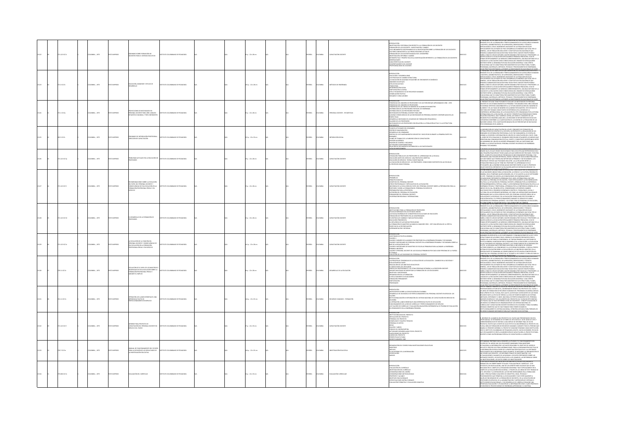| 13122 | 112210174   |  | CMBIA:, 1975   | O23RNI 0TX  | enario sobre formación de<br>Centes para el sistema educativo                                                                                                 | MANO DE PEDAGOGÍA                 |  | 65 p. : 22 x 28 cm       |  | <b>PAÑOL</b> | <b>COLOMBIA</b> | <b>PACITACIÓN DOCENTI</b>   | NTRODUCCIÓN<br>INVESTIGACIÓN Y REFORMA CON RESPECTO A LA FORMACIÓN DE LOS DOCENTES<br>-WORKHOOD IN THE COORDINATION HIGHLEND AND ASSOCIATE WAS USED AND ASSOCIATED AND CONSIDER A FORMATION CONSIDERATION SOMETIME CONSIDERED AS CONSIDERED AND CONSIDER A FORMATION CONSIDERATION AND CONSIDER A CONSIDERATION AND<br>CARACTERÍSTICAS DEL DOCENTE<br>OMPORTAMENTO DEL DOCENTE<br>ROFESIONALISMO DEL DOCENTE                                                                                                                                                                               |        | .<br>ESENTE ES EL DE LA FORMACIÓN Y PERFECCIONAMENTO DE SUS RECURSOS HUMANOS<br>JOCENTES, ADMINISTRATIVOS, DE SUPERVISIÓN, ORIENTADORES Y TÉCNICOS<br>usiania, punkoli mariamato internationale de la población escolar<br>ICAMLANDER EN LOS PÁRIS DE POCO DESARCILO ECONÓMICO (SI ESCOLAR)<br>ISDAL MENTE EN LOS PÁRIS DE POCO DESARCILO ECONÓMICO QUE SEU, POR LO<br>NEDIN, LOS DE POBLACIÓ<br>TIDRIDIN AGAMARIDAR EDUCACIONI PARA TODOS POR EL MARIS TEMPO POGRE<br>IAMBA, COMO ES LÓGICO SUPONER, MAYOR DEMANDA POR ESCUELAS Y PROFESORES. LA<br>TOMAN CONDITAVARENT LAS MEDICALAS DESPARADAS PRODUCALS, PAIS COMO ES<br>TOMAN CORDI<br>.<br>IAS PRÁCTICAS DESTINADAS A ATENIDER LAS NECESIDADES EDUCACIONALES DE UNO.<br>PROBLEMA TAL VEZ MAS CRITICO QUE ENFRENTAN LOS SISTEAMS EDUCATIVOS EN EL                                                                                   |
|-------|-------------|--|----------------|-------------|---------------------------------------------------------------------------------------------------------------------------------------------------------------|-----------------------------------|--|--------------------------|--|--------------|-----------------|-----------------------------|--------------------------------------------------------------------------------------------------------------------------------------------------------------------------------------------------------------------------------------------------------------------------------------------------------------------------------------------------------------------------------------------------------------------------------------------------------------------------------------------------------------------------------------------------------------------------------------------|--------|------------------------------------------------------------------------------------------------------------------------------------------------------------------------------------------------------------------------------------------------------------------------------------------------------------------------------------------------------------------------------------------------------------------------------------------------------------------------------------------------------------------------------------------------------------------------------------------------------------------------------------------------------------------------------------------------------------------------------------------------------------------------------------------------------------------------------------------------------------------------------------------|
|       | 3 10174     |  | MEA:, 1975     |             | UCACIÓN, IMÁGENES Y ESTILOS DE<br>SARROLLO                                                                                                                    |                                   |  | 15 p. : 22 x 28 cr       |  |              |                 |                             | RODUCCON<br>NITRODUCCÓN<br>- ECOLÓGÓN Y DISSARROLIDAD<br>- LA EDUCACIÓN ER ALGUNAS STUACIONS DE CRECIMIENTO ECONÓMICO<br>- LA EDUCACIÓN ER ALGUNAS STUACIONS DE CRECIMIENTO ECONÓMICO<br>- RADICION EXCUTIVOS<br>- ESTILOS EDUCATIVOS<br>- RADICIONALOGÍN SI<br>WINDOWN AND AND ALL AND A RECURSOS HUMANOS<br>ESTILO TECNOGRATIO VIO DE RECURSOS HUMANOS<br>CONGELACIÓN POLÍTICA<br>RESUMEN Y CONCLUSIONES<br><b>MOUNTAIN</b>                                                                                                                                                              |        | SENTE ES EL DE LA FORMACIÓN Y PERFECCIONAMENTO DE SUS RECURSOS HUI<br>SISSIMI ES LE OLA IMPARATOR Y SUSTECCIONAMENTO DE SE SECUES HAMANOS CONSTANTES (A SUSTENSIÓNS PORTUNAISSEN TECNOLOGICAL CONSTANTES (A SUSTENSIÓNS PORTUGAL) (CON EL CONSTANTES EN CARACTERISTIC CONSTANTES (A CONSTANTES EN C<br>I UMIPIO OP DAT KONSTANTIS APARIMIS POD DATA DE MANARI DE DE DE DE MANARI DE LA EDUCACIÓN COMO CONSECUENCIA DE<br>CALIDAD DE LA EDUCACIÓN COMO CONSECUENCIA DEL DRAMÁTICO DESEQUILIBRO<br>EDUCACIÓN AL QUE SE CARACTERIZA POR MANITE<br>OGRAMAS, MATERIALES, MÉTODOS, TÉCNICAS Y PROCEDIMENTOS DE ENSEÑANZA,<br>JGRAMAS, MATERIALES, MÉTODOS, TÉCNICAS Y PROCEDIMENTOS DE ENSEÑANZA,<br>JAS PRÁCTICAS DESTINADAS A ATENDER LAS NECESIDADES EDUCACIONALES DE UNE                                                                                                                   |
|       | 110179      |  | CMELA: , 1975  |             | OYECCIONES DE NECESIDADES EN<br>RSONAL DOCENTE PARA 1985: ANÁLISIS<br>FADÍSTICO MUNDIAL Y POR CONTINENTE                                                      | OMBANO DE PEDAGOGÍA               |  | sp.: 22 x 28 cm          |  | AÑOL         |                 | SONAL DOCENTE - ESTADÍSTICA | ENDENCIAS DEL NÚMERO DE PROFESORES Y DE LOS PORCENTAJES APROXIMADOS 1960 - 1970<br>-TRADICION ON INVINIO OF PROFICIONSY OF LOS PROTECTIVITY, APROXIMATION SIGN -1992<br>- TRADICIONAL CONSULTING CONTINUES AND MANUSCRIPTION CONTINUES.<br>- CONDITIONS ON LOS PROTECTIVITY ON INVINION POST ON MAKETING<br>- OSTROLOGY I<br>ALARIOS DE LOS PROFESORES<br>RECERDADES DE LOS PROFESORES CON RELACIÓN A LA POBLACIÓN ACTIVA Y A LA ESTRUCTURA.<br><b>EMOGRÁFICA</b>                                                                                                                          |        | EL PRESENTE ESTUDIO TIENE POR OBEITO EVALUAR LAS MECESENADES EN PERSONAL<br>OCCINIT EN LOS ESTABLICANENTOS EO PRIMARIA Y SECUNDANAIS ARA 1895 CON<br>EN DIVISIGAS HIPÓTESE CONCENHENTES A LA FUTURA MODIFICACIÓN EN INÍMEIRO DE<br>EN U<br>MAT PROVINCI INTERNACIONAL DE LA EDUCACIÓN EN 1975 CRIGANIZADA POR LA OFICINA<br>TRERINGIA INTERNACIONAL DE LA EDUCACIÓN EN 1975 CRIGANIZADA POR LA OFICINA<br>L'ALCON CON ÁREICA, KIAY I PAMÉRICA LATINA, ASÍ CONCE E L'ORIGINTADO<br>MINIMATING CONFORME A LA CLASIFICACIÓN DE LA DIVISIÓN DE LA POBLACIÓN DE LAS<br>ITIGORÍAS CONFORME A LA CLASIFICACIÓN DASADA EN LOS PORCENTAIES DE NATALIDAD<br>TÁ CONSIGNADA EN EL ANEXID II.                                                                                                                                                                                                         |
|       | 302.3 (C17) |  | LOMBIA: , 1975 | OZERNI OTH  | NARIO DE INTEGRACIÓN PROFESIONAL-<br>COÓN DE CAPACITACIÓN                                                                                                     | ARODARES DE OMAIRABLES DE INTERNA |  | 52 p. : 22 x 33 cm       |  | <b>PAÑOL</b> | <b>OLOMBIA</b>  | EGRACIÓN SOCIAL             | -PAN DE ACTIVIDADES DEL SEMINARIO<br>-SESON DE VANGUARCIÓN<br>-DESPRECIJO DEL SEMINARIO<br>-DESPRECIJO DEL SEMINARIO<br>-DESPRECIO DE SEMINARIO<br>-SEMINARO<br>-SEMINARO -<br>eminario<br>Flanes de Trabajo de la Subdirección de Capacitación<br>Onnsión académica: Y Recursos<br>Onnsión de Control y Recursos<br>.<br>CTIVIDADES COMPLEMENTARIAS<br>ELACIÓN DE DOCUMENTOS DISTRIBI,                                                                                                                                                                                                    |        | a subdirección de capacitación del Icolpe, pendente de establecer un<br>estema operativo dentro de la sección, ha propuesto la realización de lin<br>zminario de integración profesional cuivo en fundamental se centra en<br>diginal l<br>.<br>El logro de esta finalidad el seminard debe reunir vitalmente los medios que<br>permitan una comunicación efectiva, fuerte y consistente despertando divire<br>los membros del grupo un interés permanente for las cuestiones que<br>várin a la capacitación del personal docente en servicio de enseñanza.<br>Imaria y secundaria.                                                                                                                                                                                                                                                                                                      |
|       | 12210170    |  | OMBIA: . 1975  | inaggron.   | <b>SELEMAS ACTUALES EN LA EDUCACIÓN DE</b><br>DEESCRES                                                                                                        | mith chinesiano ne ethacocia      |  | $9a: 22 \times 28$ cm    |  | wiko         |                 | <b>MOTACIÓN DOCENTI</b>     | ntroducción<br>Estimación Müklica de los profesores ys. Aprindizaje en la escuela<br>Edicación entes des servicio: una profuesia<br>Leucación en servicio: tegría e investigación<br>El profesor como periora<br>El profesor como periora<br>El                                                                                                                                                                                                                                                                                                                                            |        | ANDE QUE LOS QUE HEMOS SELECCIONADO PARA DISCUTIR AQUÍ REPRESENTAN SÓLO<br><b>EARCH CONTINUES IN A CONSUMER CONSUMER AND ASSESSMENT OF A CONSUMERANT CONSUMER AND A CONSUMER CONSUMER AND A CONSUMER CONSUMER AND A CONSUMER AND A CONSUMER AND A CONSUMER AND A CONSUMER AND A CONSUMER AND A CONSUMER AN</b>                                                                                                                                                                                                                                                                                                                                                                                                                                                                                                                                                                           |
|       | 11221017    |  | LOMBIA: , 1975 |             | CIONES SOBRE LA EVOLUCIÓN<br>.<br>I PAPEL DEL PERSONAL DOCENTE Y<br>RISCUENCIAS DE ESA EVOLUCIÓN EN LA<br>RIAACIÓN PROFESIONAL PREVIA Y EN<br>menten<br>1800a |                                   |  | 12 p. : 22 x 28 cm       |  | <b>MG</b>    |                 | MCITACIÓN DO                | INTRODUCCIÓN<br>-PREÁMBILLO<br>-PRINCIPIOS BÁSICOS<br>-COMETIDO DEL PERSONAL DOCENTE<br>LUMINI DEN PRODUCTION DE MESSICA EN ESPACION<br>PRODUCTA EL A POLICIÓN DE PAPEL DEL FERGIONAL DOCENTE SOBRE LA PREPARACIÓN PARA LA<br>POCRENCA DE LA POLICIÓN DE PAPEL DEL FERGIONAL EN ESPACIO<br>PREPARACIÓN PARA LA PROFESIÓN LA CON                                                                                                                                                                                                                                                            |        | .<br>Constancia Milengona de l'organisme (monocata por la objanzación)<br>Lias Inciones unidas para la educación, la ciencia y la cultura, belinida en<br>Nebra, en su trigésimo quinta belinión, del 27 de agosto al 64 de septiembre<br><b>PRIME A, IN SUI TRECENSO QUATA ALA COMPRODUCTS, RECOMPENDADOREY E COME<br/>IS EST. TRIMENO DE CUERTA ALA COMPRODUCTS, RECOMPENDADOREY E COME<br/>ISOLADOREA E PRESIDENTA EN COMPRODUCTS, RECOMPENDADOREY E COME<br/>ISOLATIVA ALA STRUCC</b><br>ANAN INDIA EN LA SOCIEDADES MODERNAS, ASÍ COMO LAS ASPIRACIONES NACIONALES<br>CUETURAL EN LAS SOCIEDADES MODERNAS, ASÍ COMO LAS ASPIRACIONES NACIONALES<br>ENGEUCIÓN DE LA SOCIEDAD Y DE LA EDUCACIÓN TIENEN UNOS EFECTOS SOBRE LA<br>E<br>JOACIÓN INICIAL Y EL PERFECCIONAMENTO DURANTE EL SERVICIO DE VARIAS<br>TEGORÍAS DEL PERSONAL DOCENTE, Y DE OTROS TIPOS DE PERSONAL DE EDUCACIÓN, |
| 13128 | 21.12210174 |  | LOMBIA: , 1975 | O22RRMI OTX | 30 MODAMADA AJ 30 QUORAAZIO<br><b>CFESCRES</b>                                                                                                                | TUTO COLOMBIANO DE PEDAGOGÍA      |  | 41 p. : 22 x 28 cm       |  | <b>PAROL</b> | ABM0J02         | APACITACIÓN DOCENTI         | coucción<br>TITUCIONES PARA LA FORMACIÓN DE PROFESORES<br>ESCUELAS NORMALES EN LOS ESTADOS UNIDOS<br>LAS ESUELAS NORMALES SE CONVIERTEN EN FACULTADES DE EDUCACIÓN<br>FORMACIÓN DE PROFESORES EN LAS UNIVERSIDADES<br>LOSOFÍAS QUE CAMBIAN Y NUEVAS PSICOLOGÍAS<br>educación progresser.<br>La influencia de las nuevas psicologías:<br>La formación de maistros alcanza su maiolrez 1950 - 1957 una década de la crítica.<br>ASOS HACIA LA RECONCILIACIÓN<br>ERIMENTACIÓN Y REFORMA                                                                                                       | 013128 | )<br>FROMO SOBRE SU STINACIÓN SOCIALY SUS CONDICIONES DE TRABAIO.<br>FROMERIAN TAL VIZ AMÁ COTTO QUE ENFRENTAN LOS SISTEMAS EDUCATIVOS EN EL<br>ISSENTE ES EL DE LA FORMACIÓN Y PERFECCIONAMENTO DE SUS RECURSOS HUMANO<br>IOCENTES, ADMIN<br>$\begin{split} &\text{DOCER}(\mathbf{X}, \mathbf{A}, \mathbf{A}) \\ &\text{DOCER}(\mathbf{X}, \mathbf{A}) \\ &\text{DOCER}(\mathbf{X}, \mathbf{A}) \\ &\text{DOCER}(\mathbf{X}, \mathbf{A}) \\ &\text{DOCER}(\mathbf{X}, \mathbf{A}) \\ &\text{DOCER}(\mathbf{A}, \mathbf{A}) \\ &\text{DOCER}(\mathbf{A}, \mathbf{A}) \\ &\text{DOCER}(\mathbf{A}, \mathbf{A}) \\ &\text{DOCER}(\mathbf{A}, \mathbf{A}) \\ &\text{DOCER}(\mathbf{A}, \mathbf{A})$                                                                                                                                                                                         |
|       | 1.12210176  |  | CMBIA: , 1975  |             | A EVOLUCIÓN DE LA FUNCIÓN DEL<br>ERSONAL DOCENTE Y CONSECUENCIAS DE<br>SA EVOLUCIÓN EN LA FORMACIÓN<br>ROFESIONAL PREVIA Y EN EJERCICIO                       | CHAINMO DE PEDAGOGÍA              |  | 41 p. : 22 x 28 cm       |  | <b>MGC</b>   |                 | MCITACIÓN DOCENT            | NTRODUCCION<br>CLUSTICHUS DE POLÍTICA GENERAL<br>CLUADRO 1 NÚMERO DE ALLIMNOS POR PROFESOR EN LA ENSEÑANZA PRIMARIA Y SECUNDARIA<br>CLIADRO 3 NECESIDADES DE PORSONAL DOCENTE DU LA ENSEÑANZA PRIMARIA Y SECUNDARIA SOBRE LA<br>ANS DE LA RELACIÓN EN 1970<br>CLIADRO 4 NECESIDADES DE MAESTROS DE ESCUELAS PRIMARIAS PARA ALCANZAR LA ENSEÑANZA<br>LIADRO 4 NECESSIMARES DE MANESTROS DE ESCUEUAS PRIMARIAS PARA ALCANZAR LA ENGERANZA<br>LIADROS D'ENSIGINAL DOCENTE DE LAS ESCUEUAS PRIMARIAS POR CADA 2003 PRISGINAS DE LA FUERZA<br>LIADROJ<br>VOLUCIÓN DE LAS FUNCIONES DEL PERSONAL |        | NAISO CA LA DESCACHÓ CASO CONSCIENCIÓN EN SUR SUR ENFERITO CASTA DESCALA EN CASA EN EL CONSCIENCIÓN EN EL CONSCIENCIÓN EN EL CONSTANT EN EL CONSTANT EN EL CONSTANT EN EL CONSTANT EN EL CONSTANT EN EL CONSTANT EN EL CONSTA<br>NI TOMA DE EDUCACIÓN SOBRE LA EVOLUCIÓN DE LA FUNCIÓN DEL MAISTRO. EN LA<br>STEMA DE EDUCACIÓN SOBRE LA EVOLUCIÓN DE LA FUNCIÓN DEL MAISTRO. EN LA<br>SNETIDO DEL PERSONAL DOCENTE EN LO TOCANTE A LOS CURSOS Y CURSILLOS PARA:<br>SNET                                                                                                                                                                                                                                                                                                                                                                                                                 |
|       | 20.11 (C17e |  | LOMBIA: , 1975 | O IMPRESO   | INVIOR DI RADEI DE LOS MAESTRI<br>MACIÓN PROFESIONAL PREVIA Y<br>MACIÓN PROFESIONAL PREVIA Y                                                                  | TO COLOMBIANO DE PEDAGOGÍA        |  | 6 p. : 22 x 28 cm        |  | PAÑOL        | <b>CLOMBIA</b>  | ARROLLO DE LA EDUCACIÓ      | .<br>NTRODUCCIÓN<br>LAS PRINCIPALES TENDENCIAS DE LA EVOLUCIÓN DE LA EDUCACIÓN - CAMBIOS EN LA SOCIEDAD Y<br>CLUCIÓN RESULTANTE<br>IVOLUCIÓN RESULTANTE<br>REAUZIACÍÓN DE LOS COUETIVOS EDUCATIVOS<br>EL NUEVO PAREL DEL EDUCADOR<br>LINGINTE NECESENAD DE MODIFICAR LA FORMANIÓN DE LOS EDUCADORES<br>LINGINTE NECESENAD DE MODIFICAR LA FORMANIÓN DE LOS EDUCADORES<br>-<br>OBSANIZACIÓN DE LA FORMACIÓN<br>- EL RECLUTAMENTO DE EDUCADORES<br>LL HACLUTARMAN TO DE LEDUC<br>FORMACIÓN PERMANENTE<br>PARTICIPACIÓN<br>PRIORIDADES                                                        |        | .<br><b>TRENCHIA FALVIETAIRE CRITICO QUI DIVISITAN</b> I LOS SOTRAMS LOUCATIVOS EN EL<br>DOCHITE, ES EL DE LA FORMACIÓN Y PRIFEECCIONAMENTO DE SUS RECURSOS HUMANOS<br>DOCINIERADOS, CON EL INCREMENTO INCESANTE DE LA POBLACIÓN ESCOLAR<br>PECI<br><b>ENTERING WAS CONTINUOUS CONSTANT SUBMISSION CONSTANT AND ASSESS TO A CONSTANT AND CONSTANT AND CONSTANT AND CONSTANT AND CONSTANT AND CONSTANT AND CONSTANT AND CONSTANT AND CONSTANT AND CONSTANT AND CONSTANT AND CONSTANT</b>                                                                                                                                                                                                                                                                                                                                                                                                  |
|       | 1110170     |  | COMBIA: . 1975 |             | KALIUN LUS LLANCE<br>ERIENCIA PILOTO DE<br>COMMENTO EN SENIODO                                                                                                | UTO COLOMBIANO DE PEDAGOGÍA       |  | $A = 22 \times 33$ cm    |  | <b>HÁOL</b>  | <b>OLOMBIA</b>  | CURSOS HUMANOS - FORMACIÓ   | ENTACIÓN<br>NTECEDENTES SOBRE LA CAPACITACIÓN EN COLOMBIA<br>IESARROLLO DE UN MODELO DE PERFECCIONAMIENTO DEL PERSONAL DOCENTE EN SERVICIO: LOS<br>N.LERES<br>MUZACIÓN O INTEGRACIÓN DEL SISTEMA NACIONAL DE CAPACITACIÓN EN SERVICIO EN<br>DI IUDIARMANA ARTI O IN I MAMADIN DIL SO I MAR IMAGINA DI LAMACINA DI NA SANYA DI SI<br>A OPERACCHI LAMAC OBDITALISI UNA DOPERINCA PILOTO DE APACACON<br>ANCORAMENTO DE LA SER DE CUBRÈCIO Y PIERE COOMANISTO DE SERVICIO<br>UN ENDEMEN<br>micone                                                                                              |        | ROFESCOR MARKO LEYTON SOTO, COORDINADOR INTO AN APLIKIL IMPORTANTE DEL<br>ROFESCOR MARKO LEYTON SOTO, COORDINADOR TÉCNICO DEL PROFECTO COL 72/082 Y<br>ILI ÁREA DE FORMACIÓN DE RECURSOS HUMANIOS DEL PROGRAMA COLOMBIA-UNISSOD<br>CUIP<br>.<br>FICADOS HASTA LA FECHA EN TORNO A LA IDEA DE POMER EN MARCHA UN SISTEMA<br>IFICADO, INTEGRADO Y A NIVEL NACIONAL DE PERFECCIONAMIENTO DEL PERSONAL<br>CENTE EN SERVICIO Y DE LOS APORTES DEL PROVECTO COL 72/032 EN ESTE SENTIDO<br>UNGENISTAN MORTUG INTERNACIONAL PROTOCOLOUS, CONCEPTIVALENCIA (1)<br>UN SPACIS A QUE SE HACE REFERINCIA SON LOS SIGUENTES : CONCEPTIVALENCIÓN DE<br>UN MODELO ALTERNATIVO DE GROGNIZACIÓN DE UN SERTEMA MACIONAL (S)<br>UNISCULUIA Y CO<br>SOS HUMANOS NECESARIOS PARA QUE FUNCIONE DICHO SISTEMA.                                                                                                   |
|       | 11221017    |  | LOMBIA: , 1975 |             | MCITACIÓN DEL PERSONAL DOCENTE EN<br>VICIO COL 72/032                                                                                                         | TUTO COLOMBIANO DE PEDAGOG        |  | 87 p. : 22 x 33 cm       |  | <b>PAÑOL</b> | <b>CLOMBIA</b>  | <b>PACITACIÓN DOCENTI</b>   | ntroducción<br>institución del provecto<br>instalación del provecto<br>personal del provecto<br>homólogos y equipos técnicos<br>THUSICINAL DE APOND<br>-PERSONAL DE APOND<br>-ECLAS<br>-FORIDOS DE CONTRAPARTIDA<br>-FORIDOS DE CONTRAPARTIDA<br>-KCTIVIDADES DESARROLLADAS POR EL PROVECTO<br>LIMITACIONES DEL PROVECTO<br>LOGROS DEL PROVECTO<br>PERSPECTIVAS FUTURAS                                                                                                                                                                                                                    | 1313   | II, INFORME DE LA MARCHA DIL PROYECTO COL 72/032 QUE PRESENTAMOS EN ESTA SPORTUNIDAS, SE ESTANGO EN 2001 ANNO EN ESTA SUB ENERGIA EL ESTA DE LA MARCHA EN ESTA SUB ENERGIA EN ENERGIA EN ENERGIA EL ENERGIA EL ENERGIA EL ENE<br>E ORONLMENTE SE CREÓ LA SUBDIRECCIÓN DE CAPACITACIÓN, EL PROYECTO ESTABA<br>SCRITO COMO UN PROGRAMA ESPECIAL DE CAPACITACIÓN A LA DIRECCIÓN.                                                                                                                                                                                                                                                                                                                                                                                                                                                                                                            |
|       | 0.7 IC17m   |  | MEA:, 1975     |             | MANUAL DE FUNCIONAMENTO DEL FICHER<br>PARA LA DIFUSIÓN DE LOS RESULTADOS DE<br>LA INVESTIGACIÓN EDUCATIVA                                                     | TUTO COLOMBIANO DE PEDAGOGÍA      |  | Ap.: 22 x 33 cm          |  | <b>MG</b>    |                 |                             | VEACLON DEL ROHER<br>GACIONES EDUCATIVAS<br>uminimum čiai hlnibaj PARA INF<br>4GGSTADS<br>FADGTADS<br>FADJO INTERNO DE LA INFORMACIÓN<br>CODEFICACIÓN<br>VIENOS                                                                                                                                                                                                                                                                                                                                                                                                                            |        | ESTE MANUAL PRETENDE DAR A CONOCER LA UTILIDAD Y EL FUNCIONAMENTO DEL<br>FICHERO DE TAL MODO QUE SEA FÁCILMENTE MANEIABLE PARA MANTENER<br>ACTUALIZADA LA INFORMACIÓN Y ASÍ HACER REALIZABLE EL OBJETIVO DEL MODELO.<br>CTUMERING IN WESTMANICS IN ASSUMING THE CHARGE AND SERVED ON MIGHT CONTROL IN A STATISTIC COMMISSION IN THE CHARGE AND COMMISSION IN A STATISTIC COMMISSION IN THE CHARGE AND COMMISSION IN A STATISTIC COMMISSION IN THE CHAR                                                                                                                                                                                                                                                                                                                                                                                                                                   |
|       | 00610176    |  | CMBIA: , 1975  |             | UACIÓN DEL CURRÍCULO                                                                                                                                          | TO COLOMBIANO DE PEDAGOGÍA        |  | $4 p. : 22 \times 33$ cm |  |              |                 | LIACIÓN CURRICULA           | INTRODUCCIÓN<br>-EVALUACIÓN DEL CURRÉCILO<br>-RVASTIGACIÓN DEL CURRÉCILO<br>-CONSIDERACIONES IMETODOLÓGICAS<br>-FROPÓSITO Y ALCANCE<br>-FROPÓSITO Y ALCANCE<br>PROPOSITO Y ALCANCE<br>DBIETIVOS EDUCACIONALES<br>ESPECIFICACIONES INSTRUCCIONALES<br>EVALUACIÓN FORMATIVA Y EVALUACIO                                                                                                                                                                                                                                                                                                      |        | S UN PACIS PRESIDINA A NUSTRISO OSTANDO COLOGOS COLOGOS EL COLOGOS E ANTICIO A CARRICA EL CONSTANTANTO EL CONSTANTI<br>PARADO DE DA ROBIET BAIXE TITULADO "TUNUMICIÓN DEL CURRICALO", ESTE<br>PARADO DE RA CAMPACINA UNO DE LOS APOR<br>PROCEDIMIENTOS QUE PERMINAN A LOS ESICADORES Y MUY ESPECIAMENTE A<br>PAQUELLOS EN CARGADOS DE LA ACROMACIÓN DE DOCENTES, DE LA CAPACITACIÓN DE<br>PROFESORIS EN SERVICO, DE LA ACROMACITACIÓN Y SUPERNISTÓN DE SESTEMAS O<br>METTIVOCHI                                                                                                                                                                                                                                                                                                                                                                                                          |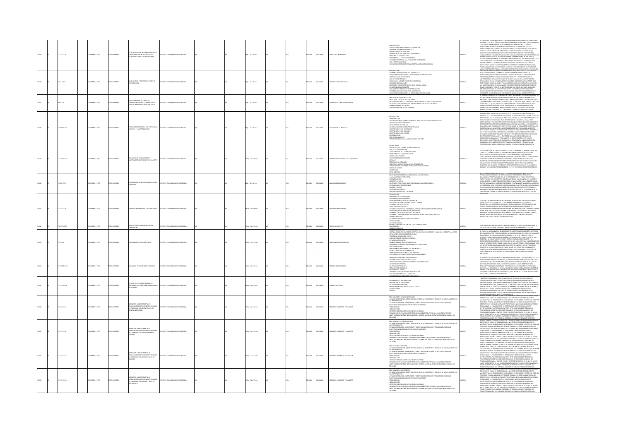|               |                        |             |                                                                                                                        |                                     |  |                       |  |               |                |                                |                                                                                                                                                                                                                                                                                                                                                                                                                                                                                                                                                                                                        |        | <b>DEVISIONAL TAILWEP MAC CEITICO ONE ENCERN TAN IOC OCTEMAC EDIA</b>                                                                                                                                                                                                                                                                                                                                                                                                                                                                                                                                                                                                                                                                                                                                                                                                                                                                                                                                 |
|---------------|------------------------|-------------|------------------------------------------------------------------------------------------------------------------------|-------------------------------------|--|-----------------------|--|---------------|----------------|--------------------------------|--------------------------------------------------------------------------------------------------------------------------------------------------------------------------------------------------------------------------------------------------------------------------------------------------------------------------------------------------------------------------------------------------------------------------------------------------------------------------------------------------------------------------------------------------------------------------------------------------------|--------|-------------------------------------------------------------------------------------------------------------------------------------------------------------------------------------------------------------------------------------------------------------------------------------------------------------------------------------------------------------------------------------------------------------------------------------------------------------------------------------------------------------------------------------------------------------------------------------------------------------------------------------------------------------------------------------------------------------------------------------------------------------------------------------------------------------------------------------------------------------------------------------------------------------------------------------------------------------------------------------------------------|
| 71.12 IC17e   | <b>ILOMBIA:</b> , 1975 | O2300MI OT  | STRATEGIAS PARA LA FORMACIÓN DE LOS<br>DUCADORES: APORTACIONES DE LAS<br>(CNICAS Y LOS MÉTODOS MODERNOS                | <b>DITO COLOMBIANO DE REDACOCÍA</b> |  | 8p.: 22 x 28 cm       |  | <b>PAÑOL</b>  | LOMBIA         | <b>BACTACIÓN BOCC</b>          | .<br>S SISTEMAS TRADICIONALES DE FC<br>IMINAR LA FORMACIÓN PRÁCTICA<br><b>UNITAR DE PRÁCTICAS<br/>REAR CENTROS DE PRÁCTICAS<br/>ROMOVER EL AUTOAPRENDIZAJE CONTINUE<br/>ROEFINIR LA ORGANIZACIÓN</b><br>LISTRIBUR LA FORMACIÓN TEÓRICA<br>INCEDER PRIORIDAD A LA FORMACIÓN PR<br>IA ESTRATEGIA NUEVA<br>K KATING HANDONES PARA LA COOPERACIÓN INTERNACIONAL                                                                                                                                                                                                                                            |        | NTE ES EL DE LA FORM<br>CINAMENTO DE SUS REQUISOS<br><b>MERIDIAN CONSULTANTS AND ARRESTS AND ARRESTS AND ARRESTS AND ARRESTS AND ARRESTS AND ARRESTS AND ARRESTS AND ARRESTS AND ARRESTS AND ARRESTS AND ARRESTS AND ARRESTS AND ARRESTS AND ARRESTS AND ARRESTS AND ARRESTS AND ARR</b>                                                                                                                                                                                                                                                                                                                                                                                                                                                                                                                                                                                                                                                                                                              |
| 0.7 (017)     | CMELA: , 1975          | O22RRM OT   | UCACIÓN A TRAVÉS DE 25 AÑOS DE                                                                                         | LOMBANO DE PEDAGOGÍA                |  | p.: 22 x 28 cm        |  | PAÑOL         | wax            |                                | ESENTACIÓN<br>FERENCIAS NONICUALES Y EL APRENDIZAIE<br>LRENDIARENTO ESCOLAR Y SUS EFECTOS EN LA PERSONALIDAD<br>ROFESOR VERSUS ENSEÑANZA<br>PRUNSIAIR VIRSIAISINTANIA<br>CUESCULUM LATENTEY CURRICULUM FORMAL<br>ELREICULUM LATENTEY CURRICULUM FORMAL<br>ELICILOGÍN COMO PARTE DE UN GRAN SISTEMA SOCIAL<br>EDUCACIÓN COMO PARTE DE UN GRAN SISTEMA SOCIAL<br>.<br>LINDEENCIA EN EDUCACIÓN<br>UE SIGNIFICA SER INDECNITES EN EDUCACIÓN<br>IFERENCIAS INDIVIDUALES EN EL APRENDIZAJ<br>L RENDIMENTO ESCOLAR Y SU EFECTO EN LA P                                                                        |        | I STOS MONDATOS IN QUE ON GRAN DEBATE SI HA ABERTO DE LI PÁS SOBRE LA<br>UCACIÓN MARITOS DE QUE OS ENCUMIDADES PORER DE CONDICAMENTO DE<br>POCAL STAS, POSTECOUSE, ESTUATORA DE PERÍS PORER DE LA CONDICATIONE DE LA<br>UVERSIDADE DE C<br>.<br>DESDE EL PUNTO DE VISTA DE LA METODOLOGÍA, NOS INDICA QUE MUCHOS DE LOS<br>ERRORES COMETIDOS EN EDUCACIÓN SE DEBEN A QUE EN LAS INVESTIGACIONES<br>EDUCACIONALES SE HAN UTILIZADO EN FORMA CASI EXCLUYENTE LA CORRELACIÓN Y                                                                                                                                                                                                                                                                                                                                                                                                                                                                                                                           |
| 500 IC17e     | LOMBIA: , 1975         | O22RRM OT   | A ENTERENTIA DE TAILER DE<br><b>JERICULUM Y PERFECCIONAMIENTO DE</b><br>ENCIAS NATURALES EN VILLAVICENCIO              | TO COLOMBIANO DE PEDAGOGÍA          |  | p.: 22 x 28 cm        |  | <b>SPAÑOL</b> | LOMBIA         | URRÍCULOS - CIENCIAS NATURALES | <b>CENTIME DE ESTA DI QUICACIÓN</b><br>BSEN DEL TALLER DE VILLAVICENCIO<br>IETODOLOGÀ PARA LA DIE-ANIZACIÓN DEL TRABAIO Y PARA SU BEALIZACIÓN<br>LAN DE TRABAIO DEL TALLER DE CURRICULUM DE VILLAVICENCIO<br>LAN DARBITACIÓN DE LOS TRABAIOS<br>UNDAMBITACIÓN DE LOS TRABAIOS                                                                                                                                                                                                                                                                                                                          |        |                                                                                                                                                                                                                                                                                                                                                                                                                                                                                                                                                                                                                                                                                                                                                                                                                                                                                                                                                                                                       |
| 5.00610176    | 200404-1975            | O22RRMI OT  | .<br>Numen i "La Metodología"<br>Kumen i "La Metodología"                                                              | TUTO COLOMBIANO DE PEDAGOGÍA        |  | p. : 22 x 28 cm       |  | <b>SPAÑOL</b> | owaw           | <b>ALUACIÓN - CURRÍCULOS</b>   | <b>FOOATAL</b><br>VERODUCCIÓN<br>A EVALUACIÓN DEL CURRICULUM EN LA 20NA SUR OCCIDENTAL DE COLOMBIA<br>JENTIFICACIÓN DEL PROBLEMA<br>NTITIONAGIN DE TRABAJO<br>ESTODOLOGÍA DE TRABAJO<br>ESTIONARIO PARA PROFESORES<br>UESTICINARIO PARA ALLIMNOS<br>UESTICINARIO PARA ALLIMNOS<br>RSERVACIONES<br>ST DE RENDE<br><b>MENTO</b><br>CEDIMENTO PARA LA CONSTRUCCIÓN DEL TEST<br>pranóv                                                                                                                                                                                                                     |        | LIED SE LAS DEFERENTS AGRAINABLES IN AN SI ESTUARIA COM LEGEN AL COMINIS CONTINUES CONTINUES CONTINUES IN A MANUFACTURE CONTINUES IN A CONTINUES CONTINUES IN A CONTINUES IN A CONTINUES IN A CONTINUES IN A CONTINUES IN A C<br>INDACIÓNAL AT TRAÍ A EN RITGENHA AN PROCESO DE PARAITOLOGIA V ESSERIGALIANO.<br>EL CORRELIUM DE TRAÍ ARMEIRA QUE AL PORTA A ESPERICIÓN DE PROTESORES Y<br>ENTRELAMENTE EXILUADOS A TRAÍSEAS EN 1948 EN CORRELIUM DE SASERINO DE PROT                                                                                                                                                                                                                                                                                                                                                                                                                                                                                                                                 |
| 1.335 (C17)   | COMBIA: , 1975         | O22RRMI OT: | .<br>MINARIO DE COMUNICACIÓN Y<br>TERNAI ES DIDÁCTICOS DE LISO N                                                       | ANO DE PEDAGOGÍA                    |  | 07 p. : 22 x 28 cm    |  | SPAÑOL        | <b>LOMBIA</b>  |                                | TORIA DE LA COMUNICACIÓN AUDIOVISUAL<br>UT ES LA COMUNICACIÓN<br>DS ELEMENTOS DE LA COMUNICACIÓN<br>ROBLEMAS DE LA COMUNICACIÓN<br>MUNIMAS DE CUMERICACIÓN<br>EJERCICIOS DE COMUNICACIÓN<br>MENSAJE<br>TÉCNICA DE LA PREGUNTA<br>KANDA DE LAS RESPUESTAS DE LOS ESTUDIANTES<br>LANEJO DE LAS RESPUESTAS DE LOS ESTUDIANTES<br>LASIS DE GRUPOS<br>L'SIMPOSIO<br>L'SIMPOSIO<br>AGNOGER AZ                                                                                                                                                                                                                |        | IA SUA-DIBECCIÓN DE CARACITACIÓN DEL ICEUXE, SE PROPONE LA REALIZACIÓN DE UN INSURENCIÓN DE UN COMANDE DE COLOR<br>CURSO DE COMANDENCIÓN E EDECTRIVA Y AVAILAMENTS ALEXISTANCIÓN, COM D'INSURANCIATAL SE CONTRA DE VIGNA DE UN C<br>ARENTA (40) ALLIMNOS-PROFESORES. ESTE CURSO SE REALIZARÁ EN VILLAVICENCIO<br>RANTE LOS DÍAS COMPRENDIDOS ENTRE EL 19 DE OCTUBRE AL 31 DE PRESENTE MES                                                                                                                                                                                                                                                                                                                                                                                                                                                                                                                                                                                                             |
| 71.2710127    | 2021 . AIRMOJO         | O22RRM (CTX | IONOMÍA ACTUAL DE LA EVALUACIÓN<br>ATIVA                                                                               | ARONAGER 30 CMMEMOLO DE UTITI       |  | $16:22 \times 28$ cm  |  | SPAÑOL        | <b>AIRMOX</b>  | <b>INLUNDON EDUCATION</b>      | ONTRIBUCIONES POTENCIALES DE LA EVALUACIÓN FORMAL<br>CA UNA DESCRIPCIÓN TOTAL<br>ALIA URA NEMAPINA<br>L'ADI, DEL JUIGO<br>NATRICES DE DATOS<br>NATRIVOS Y PROPÓSITOS SELECCIÓN BASADA EN LA OBSERVACIÓN<br>HA IINGENCIA Y CONGRUENCIA<br>INTINGENCIA Y CONGRUENCIA<br>.<br>ORMAS Y JUICIOS<br>OMPARACIÓN Y JUICIO<br>WALUACIÓN ABSOLUTA Y RELATIVA                                                                                                                                                                                                                                                     |        | A EDUCACIONAL: LA AMPUA GAMA DE PROPÓSITOS Y MÉTODOS DE<br>PROGRAMM EDICIONALE. A ARMAM GAMA CA PROFETIVO MÉTODO DE PRODUCADA EL PRODUCTO MENOR EN EL PRODUCTO MENOR EL PRODUCTO MENOR EL PRODUCTO MENOR EL PRODUCTO A EL PRODUCTO MENOR EL PRODUCTO MENOR EL PRODUCTO MENOR EL PRODUCTO                                                                                                                                                                                                                                                                                                                                                                                                                                                                                                                                                                                                                                                                                                              |
| 12710174      | MEIA: , 1975           |             |                                                                                                                        |                                     |  | .<br>7 p.: 22 x 28 cr |  | xkou          |                |                                | MINIMINATION<br>ISSENTACION<br>ILLIGAR CAMBINO DESARGOLEO<br>LLIGAR CAMBINATE DE LA EVALUACIÓN<br>ILLIGAR CAMBINATE DE LA EVALUACIÓN<br>IL EUGLACIÓN DE OBLITIVOS<br>IS EUGLACIÓN DE OBLITIVOS<br>IS EUGLACIÓN DE OBLITIVOS<br>IL EUGLACIÓN DE OBLITIV<br>estructura de una asignatura versus la estructura de AP<br>MPONENTES DEL PROCESO DE APRENDIZAJE<br>A DIFINICIÓN DE OBJETIVOS EDUCACIONALES<br>IFERENTES ENFOQUES PARA LA DEFINICIÓN DE OBJETIVOS EDUCACI<br>ERACIONALIDAD<br>APRENDIZAJE HASTA LOGRAR SU DOMINIO<br>ITECEDENTES                                                              |        | DE TODAS LAS ÁRIAS DE LA EDUCACIÓN LA QUE HA ALCANZADO UN MÁS ALTO NIVEL<br>TÉCHNO ES LA EVALUADÓN Y ES LA QUE EN MEDAR FORMA AN ITULIZADO LA<br>ESTADÉRICA, LA PICCIMITEÑY LA COMPUTACIÓN, GRACIAS A ESTE ESPUEDO SE HA<br>ESTADÉRICA,<br>NOS PROPORCIONA LA EVIDENCIA NECESARIA PARA SELECCIONAR BECARIOS Y EL<br>INGRESO DE LOS ALUMNOS A LAS UNIVERSIDADES.                                                                                                                                                                                                                                                                                                                                                                                                                                                                                                                                                                                                                                       |
| 20.77710171   | CMEA: , 1975           | OZSRRNI OT  | LISTA DE LIBROS PARA CAPACITACIÓN Y<br>MUJUSA                                                                          | STITUTO COLOMBIANO DE PEDAGOGÍA     |  | (Ap.: 22 x 33 cm      |  | <b>SPAÑOL</b> | <b>CLOWERA</b> | TEXTOS EDUCATIVOS              | CURVA NORMAL<br>WECTO DE CAPAC<br><b>GA DE CURRÍCULI</b>                                                                                                                                                                                                                                                                                                                                                                                                                                                                                                                                               | 13142  | ESTE TEXTO CONTIENE LISTADO DE LIBROS REFERENTES A CAPACITACIÓN, EN DONDE SE<br>DETALLA TÍTULO, AUTOR, EDITORIAL, AÑO DE EDICIÓN, Nº EJEMPLARES Y COSTOS.                                                                                                                                                                                                                                                                                                                                                                                                                                                                                                                                                                                                                                                                                                                                                                                                                                             |
| .<br>25 iC17p | CMEIA: , 1975          | O2385M CT   | MENTO DO CIRROLINA                                                                                                     | THE COLOMBIANO DE REDUCCIÓN         |  | Ap.: 22 x 33 cm       |  | SPAÑOL        | CARGA          |                                | rea de Curríciulo<br>Liggamm secretaría de Educación del Meta.<br>Arta al Señor Presidente de La República de Los Profesiores - Allimnos agestentes al Curso<br>Aforme del Coordinador del Curso<br>INDINA DA CODICIMADOR DEL CORRI<br>ROGRAMA GENERAL DEL CURSO<br>ISTRIBUCIÓN DE TEMAS EN EL TIEMPO<br>STA DE PARTICIPANTES<br>ISTA DE PARRIOPANTES<br>LAN DE TRABAD: ÁREA DE CURRÍCULO<br>ROGRAMA CÁTEDRA FLANEAMENTO DEL CURRICULUM<br>ESTANVEN CALIFICACIONES TEST DIAGNÓSTICO<br>ESRÍAVEN CALIFICACIONES TEST DIAGNÓSTICO<br>EORÍA Y PRÁCTICA DEL CURRICULUM<br>MEAMENTO DEL CURRICULUM, APUNTES |        | .<br>El curso de actualización administrativo docente para directores, rectores<br>Eupervisores y profesores de ciencia del departamento del meta fue realizad<br>En la ciudad de Villavicencio entre los días 12 al 31 de emero de 197<br>RN LA LUIGING DE VILLANDEARCHO INTENSIONALES PRODUIT DE MAINE DE SOCIALES DE LA SUB-<br>RECIETA DE LA PROGRAMA PREVAMENTE APROBADO POR EL DIRECTOR DE LA SUB-<br>DIRECCIÓN DE CAPACITACIÓN DE ICOLPE DOCTOR CAMILO CASTRO CASTRO I V<br>LA PARTICIPACIÓN ESMERADA DE LOS PROFESORES DE UNESCO Y DE LOS PROFESORES<br>TÉCNICOS DE LA SUB-DIRECCIÓN DE CAPACITACIÓN DEL KOUPE ASÍ : PLANEAMIENTO<br>CURRICULAR : UNA SEMANA, PARA 21 DIRECTORES, 6 SUPERVISORES, 22 RECTORES,<br>ACIONARIOS DE LA SECRETARÍA DE EDUCACIÓN Y 17 PROFESORES DE CIENCIAS<br>FURALES                                                                                                                                                                                             |
| 1,307 8 1017  | 200404-1975            | O22RRM (CTX | ANTAQUOS ASOLOGIA EDUCATIVA                                                                                            | ARONAGER 30 OMAIRMOJOS PEDICION     |  | $A = 22 \times 33$ cm |  | <b>SPAÑOL</b> | <b>OMBA</b>    | <b>DIOLOGÍA EDUCATIVA</b>      | S TALLERES DE CURRICULUM Y PERFECCIO<br>AUGUSTURIA DE TENIRIS DE AUTORIST<br>TRODUCOÓN AL ANÁLISIS DE SISTEMAS<br><b>FINANCIA DE TECNOLOGÍA EDUCATIVA<br/>DINCEPTO DE TECNOLOGÍA EDUCATIVA<br/>DINDUCTA DE ENTRADA</b><br>DINDUCTA DE ENTRADA<br>DNEUCHA DE ENTRADA<br>ECUENCIA DE CONDUCTA<br>ECUENCIA DE INSTRUCIÓN<br>ECUENCIA DE METRO<br>ISSARROLLO DE MATERALES DE INSTRUCCIÓN<br>VALUACIÓN FORMATIVALES DE INSTRUCCIÓN<br>VALUACIÓN FORMATIVALES DE INSTRUCTAS                                                                                                                                  | 3144   | EL OBJETIVO DE ESTE MATERIAL ES PROPORCIONAR ALGUNOS CONCEPTOS BÁSICOS DE L<br>III, GRATING OS ESTIMAS, ES CORRENTERA, QUE PARANTEM CONSENTANTA ÁNCIAS COMO COMO TENINAL OS ESTIMAS, OS ESTAMAS EN ENCICIONAL EN ENCICIOS EN ENCICIOS EN ENCICIOS EN ENCICIOS EN ENCICIOS EN ENCICIOS EN ENCICIOS EN ENCICIO                                                                                                                                                                                                                                                                                                                                                                                                                                                                                                                                                                                                                                                                                          |
| 127110176     | COMBIA: , 1975         | O22RRMI OT  | DIO PILOTO SOBRE PRUEBAS DE<br>.<br>Dinamiento lógico en 200 escolar<br>Rimaria                                        | MEMAIO DE PEDAGOGÍA                 |  | 14 p. : 22 x 33 cm    |  | SPAÑOL        | <b>AIGNO</b>   |                                | <b>NTEAMENTO DEI DOOGLEMA</b><br>ANTIANOLINTO DEL PROBERNA<br>STERAGO DE LAS PRUEBAS<br>STERAGO DE CALIFICACIÓN<br>ROCESAMIENTO ESTADÍSTICO DE LOS DATOS<br>DNCLUSIONES<br>$rac{1}{2000}$                                                                                                                                                                                                                                                                                                                                                                                                              | 113145 | .<br>TA TEDRIA DE CONDITIUS ES ALTUADRENTE CONSIDEADOR DA PIEDRA ANGULAR DE<br>"MATEMÁTICA MODERNA", EDASTITURE LA MÉDULA DE LA ESTRUCTURACIÓN DE LA<br>CÁLCULO PROPORIDONAL, CONSTITURE LA MÉDULA DE LA ESTRUCTURACIÓN DE LA<br>ÚCILIO PROPORODOMI, CONSTITUIR LA MÉDIA A DE ASTRUCTURADOÑ DE LA<br>ARTAMINA CONTRAPORÁNIA. OSBOD A ESTO, TANTO LA FORMALIZACIÓN COMO LA<br>SEÑANZA DE MUNDOS "CAPITALOS" DE LA MATEMÁTICA EX ORIGNARIA LOGA VIZ MÁ<br>I RUNDÓN DE LA T<br>.<br>CIE TRABAJO TENEMOS EL BIACER DE DRESENTAR INJA SERIE DE DOCUMENTOS                                                                                                                                                                                                                                                                                                                                                                                                                                                  |
| 221.111017c   | OLOMBIA: , 1975        | O22RRMI OT  | .<br>Peración Llancs Orientales<br>Valuación de la Enseñanza pr<br>COLOMBIA" VOLUMEN I TALLER DE<br>NICIAS NATURALES   | TO COLOMBIANO DE PEDAGOGÍA          |  | Ap.: 22 x 33 cm       |  | SPAÑOL        | LOMBIA         | ECURSOS HUMANOS - FORMACIÓN    | ERIE NÚMERO 1 CIENCIAS NATURALES<br>USTA DE SUPERVISORES, DIRECTORES DE LA ESCUELA, PROFESORES Y TÉCNICOS DE ICOLPE, AUTORES DE<br>NATIONADE L'IN LOS ENGANOS DE LOS INSTRUMENTOS<br>MATERIALCON<br>MATERIALCON<br>NATIONALCON DE VI LAPACITACIÓN EN CELOMBRIA<br>NOTIFICIONALES DE L'IN MODELO DE PERFECCIONAMIENTO DEL PERSONAL DOCENTE EN SERVICIO<br>DESARRELLO DE LIN MODEL                                                                                                                                                                                                                       |        | .<br>UFICAN EL LOGRO DE OBJETIVOS QUE A NUESTRO MODO DE VER SON APORTES<br>OSOS PARA EL DESARROLLO DE LA EDUCACIÓN EN COLOMBIA, PUESTO QUE NOS HA<br>.<br>PERMITIDO PROBAR ALGUNAS HIPÓTESE DE TRABAJO EN TORNO A LA CARACITACIÓN<br>DOCENTE EN EL PAÍS, QUE HASTA HACE POCO TIEMPO NOS IMAGINÁBAMOS IMPOSBILE<br>DE ALCANZAR: LA PRIMERA PARTE DE ESTE TRABAJO REPRESENTA UN APORTE<br>SE ALCANDAR, LA PROVESA PARTE DE TERRAS DE CODERNATO UN ANCIETA DE MONTENER ANOMENATO EL PRODUITO DE MONTENER<br>AMPORTANTE DEL PROFESOR MARID LI TERRASCON DE SE DECURSOS HALANDAS DE<br>PRODUITO COL 7 JUDI 2 Y DEL ÁRIA DE FORMAC                                                                                                                                                                                                                                                                                                                                                                          |
| 111022        | MEIA: , 1975           |             | ACIÓN LLANCS ORIENTALES<br>"EVALUACIÓN DE LA ENSEÑANZA PRIMA<br>EN COLONIEA" VOLUMEN II TALLER DE                      |                                     |  | Ap.: 22 x 33 cm       |  | ŵα            |                |                                | RE NÚMERO 2 CIDICIAS SOCIALES<br>KIIL NUMINIU JELIANUA SALIAKUS<br>151 NOESUKRANDOS – DIRICTORIS DE LA ESCUELA, PROFESORES Y TÉCNICOS DE ICOLPE, AUTORIS DE<br>151 NOESUKRANDOS<br>517A DE PROFESORES, SUPERVISORES Y DIRICTORES DE ESCUELAS Y TÉCNICOS DE ICOLPE QUE<br>LISTA DE PROSTEGOIS, SUPERVOORSE V DIRECTORES DE SCALIJAS VIEDINCOS DE ICOUPE QUE<br>PREDICADO IN LOS DIRENTOS DE LOS PRITRUMINTOS<br>PREDICADO IN<br>ROSTECORTIS DE LA CAPACITACIÓN EN COLONIBIA<br>ROSTECORTIS DE LA CAPACITACIÓN EN COL                                                                                    |        | MINE INVENIU IN INTERNATIO DE LA MUSSTRO MODO DE VIR SON APORTES<br>LOSOS PARA EL COSADOLO DE LA EQUICACIÓN EN COLOMBIA, PUESTO QUE NOS MANTES<br>LOSOS PARA EL COSADOLO DE LA EQUICACIÓN EN TORNO A LA CARACTACIÓN<br>SMITIDO PROBAR A                                                                                                                                                                                                                                                                                                                                                                                                                                                                                                                                                                                                                                                                                                                                                               |
| 11107         | CMEIA: , 1975          |             | OPERACIÓN LLANCS ORIENTALES<br>"EVALUACIÓN DE LA ENSEÑANZA PRIMAI<br>EN COLOMBIA" VOLUMEN III TALLER DE<br><b>LAIS</b> | DMBHAND DE DEDAGOGÍA                |  | Ap.: 22 x 33 cm       |  | <b>PAÑOL</b>  | wax            | <b>CURSOS HUR</b>              | RIE NÚMERO 3 LENGUAIE<br>ISTA DE SUPERVISORES, DIRECTORES DE LA ESCUELA, PROFESORES Y TÉCNICOS DE ICOLPE, AUTORES DE<br>IS INSTRUMENTOS<br>TA DE PROFESORES, SUPERVISORES Y DIRECTORES DE ESCUELAS Y TÉCNICOS DE ICOLPE QUE<br>RTICIPARON EN LOS ENSAVOS DE LOS INSTRUMENTOS<br>I HAUDULLUDNÍ<br>VEDEDENTIS DE LA CAPACITACIÓN EN COLOMBIA<br>STARROLLO DE LIN MODELO DE PERFECCIONAMIENTO DEL PERSONAL DOCENTE EN SERVICIO<br>I FINIRIA<br>I FINIRIA<br>I FINIRIA<br><b>MRIA</b>                                                                                                                      |        | .<br>IBSECCIÓN AMIENTO DEL PERSONAL DOCENTE EN SERVIGIO Y DE LOS APORTES DEL<br>1 ESTE TRABAJO TENEMOS EL PLACER DE PRESENTAR UNA SERIE DE DOCUMENTOS QU<br>MINI TAMMANO TANIMINA NA PAMANA NA PRAMANO EN LOS CONSTANTINOS (EL COCARDO DE VER SON ARORTES)<br>LOSOS PARA EL DESARROLLO DE LA EDUCACIÓN EN COLOMBIA, PUESTO QUE NOS<br>ANTIDO PROBAR ALGUNAS HIPÓTESIS DE TRABALO EN TORNO A LA C<br>DOCENTE EN EL PAÍS, QUE HASTA HACE POCO TIEMPO NOS IMAGINÁBANOS IMPOSIBLES<br>DE ALCANZAR: LA PRIMERA PARTE DE ESTE TRABAJO REPRESENTA UN APORTE<br>MAPORTANTE DEL PROFESOR MARIO LEYTON SOTO, CODRONADOR TÉCNICO DEL<br>MINORINAIS DE 7 PORTE ARRA DE FORMACIÓN DE RECURSOS HUMANOS DEL<br>PROGRAMA COLONIBA - UNISCO - PINJO (PROVECTO COL 75/016) EN EL QUE EL AUTOR<br>MACER UN RECUENTO DE LOS PASOS SEGUIDOS HASTA LA FECHA EN TORNO A LA IDEA E<br>ER EN MARCHA UN SISTEMA UNIFICADO, INTEGRADO Y A NIVEL NACIONAL DE<br>CCIONAMENTO DEL PERSONAL DOCENTE EN SERVICIO Y DE LOS APORTES DEL |
| 01.11 (C17m)  | OLOMBIA: , 1975        | O23RRM (DTX | OPERACIÓN LLANCS ORIENTALES<br>"EVALUACIÓN DE LA ENSEÑANZA PRIMARIA<br>COLOMBIA" VOLUMEN IV TALLER DE<br>KTEMÄTICA     | UTO COLOMBIANO DE PEDAGOGÍA         |  | Ap.: 22 x 33 cm       |  | <b>PAÑOL</b>  | CMBA           | ECURSOS HUMANOS - FORMACIÓN    | RIE NÚMERO 4 MATEMÁTICA<br>STA DE SUPERVISORES, DIRECTORES DE LA ESCUELA, PROFESORES Y TÉCNICOS DE ICOLPE, AUTORES DE<br>S INSTRUMENTOS<br>TA DE PROFESORES, SUPERVISORES Y DIRECTORES DE ESCUELAS Y TÉCNICOS DE ICOUPE QUE<br>RTICIPARON EN LOS ENSAVOS DE LOS INSTRUMENTOS<br>ietourandum<br>Particecorum de la caractación en colonibia<br>Particecorum de la caractación en colonibia<br>Partifucionalización e integración en settiva macional de caractacín en servicio<br>Partifucionalización e integración en set                                                                             |        | este trabajo tenenos el placer de presentar una serie de documentos que<br>Nifican el logro de dibietivos que a nuestro modo de ver son aportes<br>Lidsos para el desarrollo de la educación en colombia, puesto que nos ha<br>PERMITIDO PROBAR ALGUNAS HIPÓTESIS DE TRABAJO EN TORNO A LA CAPACITACIÓN<br>DOCENTE EN EL PAÍS, QUE HASTA HACE POCO TIEMPO NOS IMAGINÁBAMOS IMPOSIBLES<br>DE ALCANZAR: LA PRIMERA PARTE DE ESTE TRABAJO REPRESENTA UN APORTE<br>.<br>Mayortante del Rrofesor Mario Leyton soto, coordinador técnico del<br>Provecto col 72/032 y del Área de Formación de Recursos Humanos del<br>Programa colombia - Unesco - Pinud (Provecto col 75/016) en el que el autor<br>HACER UN RECUENTO DE LOS PASOS SEGUIDOS HASTA LA FECHA EN TORNO A LA IDEA DI<br>PONER EN MARCHA UN SISTEMA UNIFICADO, INTEGRADO Y A NIVEL NACIONAL DE<br>CIONAMENTO DEL PERSONAL DOCENTE EN SERVICIO Y DE LOS APORTES DEL                                                                             |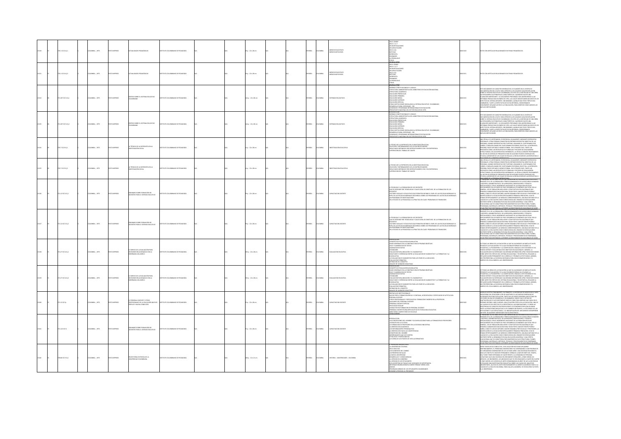|       | 0.1 (17) 611      | COMBIA: . 1975 | O23RRM OT   | <b>CTUALIDADES PEDAGÓGICAS</b>                                                           | TITUTO COLOMBIANO DE PEDAGOGÍA  |  | Pa.: 22 x 28 cm         |  | <b>SPAÑOL</b> | LOMBIA         | EDIOS EDUCATIVOS<br>EDIOS NOTICIOSOS       | IN EL CENDIP<br>IN EL C.I.C.F<br>-en investigacio<br>-en capacitació<br>-en el ilca<br>DTICIAS<br>CTREVISTA<br>:MINARIO<br>  PRENSA DILO<br> 1805                                                                                                                                                                                                                                                                                                                                                                       | 13150 | TO CON ARTÍCULOS RELACIONADOS EN TEMAS PEDAGÓGICOS.                                                                                                                                                                                                                                                                                                                                                                                                                                                                                                                                                                                                                                                                                                                         |
|-------|-------------------|----------------|-------------|------------------------------------------------------------------------------------------|---------------------------------|--|-------------------------|--|---------------|----------------|--------------------------------------------|-------------------------------------------------------------------------------------------------------------------------------------------------------------------------------------------------------------------------------------------------------------------------------------------------------------------------------------------------------------------------------------------------------------------------------------------------------------------------------------------------------------------------|-------|-----------------------------------------------------------------------------------------------------------------------------------------------------------------------------------------------------------------------------------------------------------------------------------------------------------------------------------------------------------------------------------------------------------------------------------------------------------------------------------------------------------------------------------------------------------------------------------------------------------------------------------------------------------------------------------------------------------------------------------------------------------------------------|
|       | 0.11017a112       | MEIA: , 1975   |             | <b>ALIDADE</b>                                                                           |                                 |  | $\therefore$ 22 x 28 cm |  | <b>PAÑOL</b>  |                | <b>EDIOS EDUCATIVO</b><br>EDIOS NOTICIOSOS | EN EL CENDIP<br>EN EL C.I.C.F<br>IN CAPACITACIÓN<br>IN EL ILCA<br>ATRICAR<br>UTREVISTA<br>EMINARIO<br><b>PRENSA DUO</b>                                                                                                                                                                                                                                                                                                                                                                                                 | 2151  | O CON ARTÍCULOS RELACIONADOS EN TEMA                                                                                                                                                                                                                                                                                                                                                                                                                                                                                                                                                                                                                                                                                                                                        |
|       | 120710174 Ej.1    | CMBIA:, 1975   |             | TESIS SOBRE EL SISTEMA EDUCATIVO<br>.OMBIANO                                             | THE COLOMBIANO DE REDACOCÍA     |  | Ap.: 22 x 28 cm         |  | <b>PAÑOL</b>  | wax            |                                            | ODELO CEREE<br>TITUCIONALES Y LEGALES<br>TRUCTURA ADMINISTRATIVA DEL MINISTERIO DE EDUCACIÓN NACIONAL<br>ITRUCTURA ACADÉMICA<br>XUCACIÓN PREESCOLAR<br>EDUCACIÓN PRIMARIA<br>EDUCACIÓN MEDIA<br>EDUCACIÓN SUPERIOR<br>DUCACIÓN ESPECIAL<br>MARINA MENDONES VINCULADAS AL SESTEMA EDUCATIVO COLOMBIANO<br>ESARROLLO RURAL INTEGRADO - DRI<br>DIVIENIOS Y PROGRAMAS INTERNACIONALES EN EDUCACIÓN<br>ES EN EDUCACIÓN<br>PRESUPUESTO INACIONAL DEL SECTOR EDUCATIVO 1976<br>PRESUPUESTO INACIONAL DEL SECTOR EDUCATIVO 1976 |       | 20 CATMENTO DE CARÁCTER INFORMATIVO, SE ELABORÓ EN EL CENTRO DE<br>II GOLUMENIU DE LONG. INFRANCIONO, SE LOMBOU DE EL CANINDATO DE COLUMENTATO DE LOCALISTA DE COLUMENTATO DE LO<br>EL CANINA EL CANINA DE LOCALISTA DE COLONIDADE DE LOCALISTA DE LOCALISTA DE LOCALISTA DE LOCALISTA DE LOCALIST<br>E<br>VAMMAT PRANALINNA UN UNIMOLO 4 UPA, PAR LUMAU MUGONO MOLOGO NO LUMA UN LUMA<br>MEITRE DEL SISTEMA DESCRITO, SIN DABARGO, AUNQUE MÚLTIPLES TÓPICOS NO<br>MINIARION, Y ANTE LA ESPECTATIVA DE DICHA REFORMA, CONSIDERANDS<br>MVMS/DISPOSI                                                                                                                                                                                                                          |
| 13153 | 120710174612      | LOMBIA: , 1975 | O22RRMI OT: | ITESIS SOBRE EL SISTEMA EDUCATIVO<br>LOMBIANO                                            | ITUTO COLOMBIANO DE PEDAGOGÍA   |  | (Ap.: 22 x 28 cm        |  | <b>SPAÑOL</b> | <b>KOMBIA</b>  | <b>EMAS EDUCATIVO</b>                      | TRODUCION<br>CRAMAS CONSTITUCIONALES Y LEGALES<br>STRUCTURA ADMINISTRATIVA DEL MINISTERIO DE EDUCACION NACIONAL<br>STRUCTON PREESCOLAR<br>DUCACION PREESCOLAR<br><b>UCACIÓN PRIMARIA</b><br>XUCACION MEDIA<br>XUCACION SUPERIOR<br>ANCHININ ANTARIAL<br>TRAS INSTITUIDONES VINCIUADAS AL SISTEMA EDUCATIVO COLOMBIANO<br>ESARROLLO RURAL INTEGRADO - DRI<br>ENVENIOS Y PROGRAMAS INTERIACIONALES EN EDUCACION<br>RESUPUESTO NACIONAL DEL SECTOR EDUCATIVO 1976                                                          |       | .<br>E DOCUMENTO DE CARÁCTER INFORMATIVO, SE ELABORÓ EN EL CENTRO DE<br>GER EL SISTEMA EDUCATIVO COLOMBIANO, EN VISTA DE LA INECESIDAD DE UNA OBRA<br>GER EL SISTEMA EDUCATIVO COLOMBIANO, EN VISTA DE LA INECESIDAD DE UNA OBRA<br>IN A AL ANTIMO IN DISPONSIBILITY OF THE RESISTING IN A CHARGE OF THE CHARGE OF THE CHARGE OF THE CHARGE OF THE<br>IL RESURVIERA SUS PRINCIPALES CARACTERÍSTICAS. QUEREMOS HACER UNA<br>LARACIÓN IMPORTANTE : EL DOCUMENTO PREPARADO<br>FORMAS PRODUCIDAS EN ENERO DE 1976, LAS CUALES MODIFICARON MUCHOS DE LOS<br>PECTOS DEL SESTENA DISCENTO: SIN DAMARGO, ALINGULA MÓLTIPASE TÓPADOS NO<br>MINARON, Y ANTE LA EXPRETATIVA DE DICIA REFORMA, CONSIDERAMOS<br>NVINGINTE AFACA                                                          |
| 1154  | 20210121011       | LOMBIA: 1975   | OZERNI OTX  | A TÉONICA DE LA ENTREVISTA EN LA                                                         | ARODAGER 20 CAMBARO DE PERSOGÍA |  | 4 p. : 22 x 28 cm       |  | SPAÑOL        | <b>AIRMOJO</b> | <b>INESTIGACIÓN EDUCATIVA</b>              | TÉCNICA DE LA ENTREVISTA EN LA INVESTIGACIÓN SOCIAL<br>: ILCNICA DI LA NIVIRANSIA LINI CU NIVISTIMALION SUCHE<br>ELECCIÓN Y ENTRENANENTO DE LOS ENTREVISTADORES<br>ESULTADOS ORTENIDOS POR ENTREVISTADORES CON Y SIN EXPERIENCIA<br>UPERVICIÓN DEL TRABAIO DE CAMPO                                                                                                                                                                                                                                                     |       | AN CONSULTANT CONTINUOUS CONTRACT CONSULTANT INTO A CONTRACT CONSULTANT CONSULTANT CONSULTANTS CONSULTANTS IN A CONSULTANT CONSULTANT CONSULTANTS IN A CONSULTANT CONSULTANT CONSULTANT CONSULTANTS IN A CONSULTANT CONSULTAN                                                                                                                                                                                                                                                                                                                                                                                                                                                                                                                                               |
|       | 0.7 (017) 612     | CMBIA:, 1975   |             | TÉONICA DE LA ENTREVISTA EN LA                                                           | TITUTO COLOMBIANO DE PEDAGOGÍA  |  | $x: 22 \times 28$ cm    |  | <b>PAÑOL</b>  | wax            |                                            | TECNICA DE LA ENTREVISTA EN LA INVESTIGACIÓN SOCIAL<br>ELECCIÓN Y ENTREMAMENTO DE LOS ENTREVISTADORES<br>ESULTADOS OBTENIDOS POR ENTREVISTADORES CON Y SIN EXPERENCIA<br>UPERVICION DEL TRABAIO DE CAMPO                                                                                                                                                                                                                                                                                                                |       | <del>tatorija oli nateganin portojora in un un kituani, kitalitorija</del><br>Ia cédula o cuestionario. Es recogion, usualmente, mediante entreve<br>MALES, OTRAS FORMAS CONSISTEN EN ORTENER RESPUESTAS DIRECTAS DE LAS<br>ANIMANIA A UPARA POMININ ANDATI ARTEO DE MARINALI PARA MARINA A LA MATEMA ESCALA ESPARA LA MARINA DE PORTE A<br>SEGRA EL LA MARIZANO DE CULESTIZINARIO EN FORMA COLLETIVA. LA MATEMANIA POR<br>SEGRA: PUEDE SER MÁS O MENOS FORMAL E<br>NO EN UN SISTEMA DE PREGUNTAS SINO EN AUGUNOS PUNTOS CENTRALES DEL<br>UDIO, AUREDEDOR DE LOS CUALES SE REALIZA LA RECOLECCIÓN DE LAS RESPUESTAS O                                                                                                                                                       |
|       | 112 (17) (11)     | CRABLA: . 1975 |             | NARIO SOBRE FORMACIÓN DE<br>DUTES DADA DI SISTEMA EDILEATIVO                             | (TO COLOMBIANO DE REDACOCÍA     |  | $p. : 22 \times 28$ cm  |  | <b>PAÑOL</b>  |                |                                            | TECNOLGIA Y LA FORMACIÓN DE LOS DOCENTES<br>UE SE ENTIENDE POR TECNOLOGIA Y CUALES SON LOS OBJETIVOS DE LA FORMACIÓN DE LOS<br>) CEMITES?<br>ACTORES SOCIALES Y EDUCATIVOS QUE PERMITEN DEFINIR EL PAPEL DE LAS ESCUELAS NORMALES EL<br>D'EL DE LAS ESCUELAS NORMALES INCIDENCIA SOBRE LOS PROGRAMAS DE LAS ESCUELAS NORMALES<br>N PROGRAMA DE INVESTIGACIONES<br>IL ESTUDIO DE LA PEDAGOGIA A LA PRACTICA EN CLASE: PROBLEMAS DE TRANSICION                                                                            |       | THE PARTICULAR AND COMPANY BEFAIL IN THE MATERIAL CONDUCTION IS A CHARGED FOR THE COMPANY OF THE CONDUCTION OF THE CONDUCTION OF THE CONDUCTION OF THE CONDUCTION OF THE CONDUCTION OF THE CONDUCTION OF THE CONDUCTION OF TH<br>NIMOR DE LA EGUACIÓN COMO CONSECUDIVA DEL DOMANTICO DESEQUIDIRO<br>OSTENTE DIVER LA DEMANDA POR UNA EDUCACIÓN UNIVERSAL Y UNA OFISETA<br>OSTENCIA AL QUE SE CARACTERIZA POR MANTIEMER DE USE ESTIUCTURAS, PAMES<br>QUERNAMS, MATERALES,                                                                                                                                                                                                                                                                                                    |
| 13157 | 271.12 (217) £12  | LOMBIA: , 1975 |             | HEIG SORRE CORNACIÓN DE<br>.<br>Kating                                                   | THEO COLOMBIANO DE REDUCOCÍA    |  | p. : 22 x 28 cm         |  | <b>SPAÑOL</b> | <b>AIGNOX</b>  | <b>INCRADON DOCEN</b>                      | TECNOLGIA Y LA FORMACION DE LOS DOCENTES<br>UE SE ENTIENDE POR TECNOLOGIA Y CUALES SON LOS OBJETIVOS DE LA FORMACION DE LOS<br>icentes?<br>Ictores sociales y educativos que permiten definir el papel de las escuelas normales el<br>Pel de las escuelas normales incidencia sobbe los programas de las escuelas normales<br>N PROGRAMA DE INVESTIGACIONES<br>EL ESTUDIO DE LA PEDAGOGIA A LA PRACTICA EN CLASE: PROBLEMAS DE TRANSICION                                                                               |       | MUZADOS, CON EL INCREMENTO INCESANTE DE LA POBLACIÓN ESCOLAR<br>REGIADADES. CON IL INSERMATO INSERVATO EL A PORSACION ISCORA<br>REGIARANTE DE LOS PARAS EN POCO DISPARSALO ECONÓMICO QUI SON, POR LO<br>O COMERCIO I DE LOS PARAS EN POCO DISPARSALO ECONÓMICO QUI SON, POR LO<br>O COMERCIO I LOS CONS<br>imu de interession como comercianos no como no protessi.<br>Cacional que se caracteren for nantener en sus estructuras, planes,<br>Sankas, que se caracteren for nantener en sus estructuras, planes,<br>Sanaas, naternales, métodos, t                                                                                                                                                                                                                          |
|       | 127 (174 E) 1     | CMBIA: , 1975  |             | EMPLED DE LA EVALUACIÓN PARA<br>ISIONES RELACIONADAS CON LA<br>EÑANZA VOLUMEN II         | NTO COLOMBANO DE PEDAGOGÍA      |  | 0 p.: 22 x 28 cm        |  | PAÑOL         |                | <b>UACION EDUCATIV</b>                     | ESENTACIÓN<br>JNCEPTO DE EVALUACIÓN ACUMULATIVA<br>KOS GENERALES EN LA CONSTRUCCIÓN DE PRUEBAS OBJETIVAS<br>RUS Y ELABORACIÓN DE TEXTOS<br>GNADON DE NOTAS<br>SMAHNAHATH<br>STANDARIS<br>STANDARIS PARA UBICACIÓN Y EL EMANOSTICO<br>SANUTUDES Y DIFERENCIAS ENTRE LA EVALUACIÓN DE DIAGNOSTICO Y LA FORMATIVA Y LA<br>ALLIACIÓN FORMATIVA<br>NICION DEL CONCEPTO<br>NALISIS DE UNIDADES DIDACTICAS                                                                                                                     |       | todas las Áreas de la educación la que ha alcanzado un más alto nivel<br>Difico es la enaulación y es la que en mejor forma ha utilizado la<br>Fadética, la psicometría y la computación. Gracias a este espuerzo se ha<br>Oido definir<br>ALUACIÓN NOS HA ENTREGADO VALIOSÍSMA INFORMACIÓN APRA TOMAR DECISION<br>BRE ASPECTOS CRÍTICOS DEL SISTEMA EDUCACIONAL Y EN DEFINITIVA, RANLIZAR LA<br>PLANIFICACIÓN FERMANENTE DEL CURRÍCULO Y PROBAR SU EFECTIVIDAD. ADRIMÁS,<br>SPRED<br>RESO DE LOS ALUMINOS A LAS UNIVERSIDADES.                                                                                                                                                                                                                                             |
|       | 127 (17 6 8 2     | OMBIA: . 1975  |             | empleo de la evaluación para<br>Cisiones relacionadas con la<br>Señanza volumen II       | TO COLOMBIANO DE REDACOCÍA      |  | 0 a.: 22 x 28 cm        |  | <b>PAÑOL</b>  |                | <b>UNION PROPERTY</b>                      | RESENTACIÓN<br>CONCEPTO DE EVALUACIÓN ACUMULATIVA<br>JOSE CATRIBULES EN LA CONSTRUCCIÓN DE PRUEBAS OBJETIVAS<br>JOSE VELHAGIACIÓN DE TEXTOS<br>VALUACIÓN PRIA URISALÓN Y IL EMAGNOTICO<br>VALUACIÓN Y DEFRIRACIÓN DATRE LA EVALUACIÓN DE DAGN<br>LIMULATIVA<br>I EVALUACION DE DIAGNOSTICO PARA LOS FINES DE LA UBICACION<br><b><i>LUACION FORMATIVA</i></b><br>FINICION DEL CONCEPTO<br>ALISIS DE UNIDADES DIDACTICAS                                                                                                  |       | TODAS LAS ÁREAS DE LA EDUCACIÓN LA QUE HA ALCANZADO UN MÁS ALTO NIVEL<br>-INHO ESTA DVARIA NO MONARCHI PASSA PRO PRODUCIDA UN UNITEDAD LA<br>CRICO ESTA PARLICANTERÍA Y LA CADAPITACIÓN GRACIA A ESTE ESPUEDO SE HA<br>CRICO ESTA PARLICA MUENTO OBITINOS EDUCACIONALES. ADDIARO ESTAN<br>ALIXICÓN MOS HA ENTERG<br>LANIFICACIÓN PERMANENTE DEL CURRÍCULO Y PROBAR SU EFECTIVIDAD. ADEMÁS,<br>I PROPORCIONA LA EVIDENCIA NECESARA PARA SELECCIONAR BECARIOS Y EL<br>RESO DE LOS ALUMNOS A LAS UNIVERSIDADES.                                                                                                                                                                                                                                                                |
|       | 71.12 (C170)      | LOMBIA: . 1975 | CORRECTED   | ERSONAL DOCENTE Y OTROS<br>FESIONALES DE LA EDUCACIÓN<br><b>RFILES Y MUEVA CONDICIÓN</b> | TUTO COLOMBIANO DE PEDAGOGÍA    |  | $n: 22 \times 28$ cm    |  | <b>SPAÑOL</b> | LOMBIA         | <b>MACITACION DOCENTE</b>                  | <b>ESTACULOS INSTITUCIONALES</b><br>UEVO PERFIL FORMACIÓN PREVIA Y CONTINUA, ACREDITACIÓN Y CERTIFICADOS DE APTITUD DEL<br>2TM3300 JAMG<br>RSUNNA LIOLEANTA<br>TROS PROFESIDINALES Y ESPECIALISTAS: FORMACION E INGRESO EN LA PROFESION<br>LIXILIARES DEL PERSONAL DOCENTE<br>ERSONAL DOCENTE ESPECIAL<br>SECLOGO ESCOLAR<br>icologo escolar<br>Insultor en Formacion de Personal Docente<br>Irsonal Docente Rubalespecialistas en Tecnologia educativa<br>Niciunonie:<br>Niciunonie:                                   |       | IORA SE ACEPTA COMUNIMENTE, EN PRINCIPIO, LA NECESSIAD DE MODIFICAR EL PAPE<br>AGICIONAL CRE ESEUCADOR A PIN EN PRINCIPIA DE AL ALENCIANA EXIGINALISTA EN<br>CEDADES EN PLENA FUCULIDÓN, TANTO EN LOR PÁRES ESCARROLLADOS COMO EN<br>19<br>: CAUSAS DE ESA LENTITUD ES LA RESISTENCIA A LAS INNOVACIONES, Y SI BIEN LAS<br>ISTENCIAS DE CARÁCTER PSICOSOCIOLÓGICO O ECONÓMICO EXPLICAN EN GRAN<br>RTE LAS REACCIONES MEGATIVAS A LOS CAMBIOS NECESARIOS, LA ESCLEROSE DE LAS<br>ITITUCIONES Y LAS ESTRUCTURAS, Y LA NAEDAPALÓN DEL MECANISMO DESEMPEÑAN<br>I PAPEL IGLALIARINTE IMPORTANTE EN ESA RESISTENCIA.<br>I PADRILBIAN TAL Y LE M                                                                                                                                   |
| 13161 | 271.12210174      | LOMBIA: 1975   | OZBRNI OTX  | INARIO SOBRE FORMACIÓN DE<br>IDVITES PARA EL SISTEMA EDUCATIVO                           | TUTO COLOMBIANO DE PEDAGOGÍA    |  | $5a:22 \times 28$ cm    |  | <b>SPAÑOL</b> | <b>AIRMOJO</b> | <b>APACITACION DOCENTE</b>                 | FORMACION DE PROFESORES EN LA SOCIEDAD INDUSTRIAL<br>ORENTACION ACADEMICA<br>S REFORMADORES PERSONALISTAS<br>OS MINIMANDUNIS PIRSONALISTAS<br>LORENTACION INCIA LAS COMPETENCIAS<br>TREROGANTES QUE HOY EXISTEN<br>TERROGANTES QUE HOY EXISTEN<br>TALISTAS Y PARTICIONISTAS<br>FUERZA DE LOS PUNTOS DE VISTA ALTERNATIVOS                                                                                                                                                                                               |       | PARAMIN I AN 184 INNOVATION QUI INFRANCIA LOS ASSOCIADOS DE LA CALIFICACIÓN (POR EL CALIFICACIÓN DE LA CALIFICACIÓN DE LA CALIFICACIÓN (POR EL CALIFICACIÓN DE LA CALIFICACIÓN DE LA CALIFICACIÓN (POR EL CALIFICACIÓN DE LA P<br>INTH A CARANTIZAR EDUCACIÓN PARA TODOS POR EL MANDR TIEMPO ROGRI E<br>iinkiin alamanikun kuulmalin yhden kuudi purkit kunden Hadria variikin kuudi.<br>Mara, Como es lögiko supener, mandi osmanika por eseitilas y prosesores. La<br>Mara, Como es lögiko supener, mandisk correspondientes, lina baja no<br>UCACIONAL QUE SE CARACTERIZA POR MANITENER EN SUS ESTRUCTURAS, PLANES,<br>OGRAMAS, MATERALES, MÉTODOS, TÉCNICAS Y PROCEDIMIENTOS DE ENSEÑANZA.<br>LIAS PRÁCTICAS DESTINADAS A ATENDER LAS NECESIDADES EDUCACIONALES DE UNOS |
|       | 228.86 (C17t EL1) | LOMBIA: 1975   |             | AVECTORIA HISTORICA DE LA<br>VERSIDAD COLOMBIANA                                         | NTO COLOMBIANO DE PEDAGOGÍA     |  | E8 p. : 12 x 21 cm      |  | PAÑOL         | <b>OMBA</b>    | STORIA - UNIVERSIDADES - COLOMBIA          | UNIVERSIDAD COLONIAL<br>A UNINISSIDAD<br>OS ELEMENTOS DEL CAMBIO<br>OS ELEMENTOS DEL CAMBIO<br>AS PRIMERAS BATALLAS<br>A NUEVA UNINERSIDAD<br>DESARROLLOS Y CONSECUENCIAS<br>OWNERS JR WORKSHA<br>A VERSION DE LOS ESTUDIANTES<br>ICS ADVERTENCIAS FINALES QUE JUZGAMOS DE IMPORTANO<br>VFORMACION BIBLIOGRAFICA SOBRE FERMAN TORRES LEON<br>NEXOS<br>-<br>AMA MINIMO DE LOS ESTUDIANTES COLOMBIANOS<br><b>LADE ATEN</b>                                                                                                |       | TRE TODOS ESTOS CONFLICTOS, CUNA SOLUCIÓN NO PUEDE APLAZARSE<br>MI VOORTMENTE, EL PROBILISMA, UNIVERSITANDE IN COMBILISMO DA DAS PRUEBAS DE<br>L'ENEDAMENTE, EL PROBILISMA UNIVERSITAND INI COMBILISMO A DAS PRUEBAS DE<br>L'ENEDAMENTE, EL PROBILISMA UNIVERSITAND INI COMBILISMO DI DIDING EL<br>L'AU<br>PMILINDO QUE UNIVIDUOLE DE MEDIARDO QUE SE VEN OBILISADOS A HACER EN CUATRO<br>CROSS, LOS HAGENEROS, LOS AROGAROS QUE SE VEN OBILISADOS A HACER EN CUATRO<br>CROSS MERIA UNA INVESTIGACIÓN ESPARATIVA SOBRE LAS CAUSAS DEL RALISTAR<br>                                                                                                                                                                                                                          |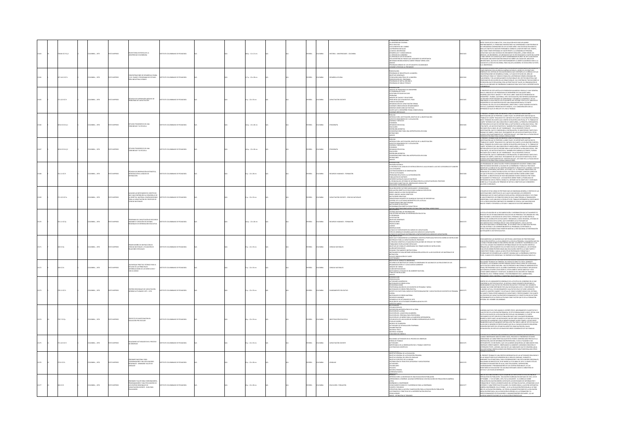| $278.86$ KC17t Ej.2 |                        | DO MPRESO           | AYECTORIA HISTORICA DE LA<br>INTERIMADO NAMBIAMA                                                                                                                       | TITUTO COLOMBIANO DE PEDAGOGÍA        |  | 68 p. : 12 x 21 cm      |  | AÑOL         | OMBIA          | ISTORIA - UNIVERSIDADES - COLOM          | IA PROVIDEND COONING<br>$\sim$ LA UNIVERSIDAD COONING<br>$\sim$ LA UNIVERSIDAD COONING<br>$\sim$ LA UNIVERSIDAD COONING<br>$\sim$ LA UNIVERSIDAD COON<br>CAN UNIVERSIDAD COON<br>CAN UNIVERSIDAD COONING<br>COORING COONING COONING<br>COORING COONIN<br>OGRAMA MINIMO DE LOS ESTUDIANTES COLOMBIANOS                                                                                                                                                                                          |        | EN THE TODOS ESTICS CONFLUTING, CUPA SOLUCIÓN NO PAISE APASAMES<br>ANTERNAMENTAL EL PRODUCTION CONFIDENCIA (ACCORDINATOR ARCHITECTURE DE CONFIDENCIA (ACCORDINATOR)<br>ANGLES TRE TRE EN ESTADO DE CONFIDENCIA (ACCORDINATOR ACCORD<br>A UNIVERSIDAD.                                                                                                                                                                                                                                                                                                                                                                                                                                                                                                                                                                                                                            |
|---------------------|------------------------|---------------------|------------------------------------------------------------------------------------------------------------------------------------------------------------------------|---------------------------------------|--|-------------------------|--|--------------|----------------|------------------------------------------|------------------------------------------------------------------------------------------------------------------------------------------------------------------------------------------------------------------------------------------------------------------------------------------------------------------------------------------------------------------------------------------------------------------------------------------------------------------------------------------------|--------|----------------------------------------------------------------------------------------------------------------------------------------------------------------------------------------------------------------------------------------------------------------------------------------------------------------------------------------------------------------------------------------------------------------------------------------------------------------------------------------------------------------------------------------------------------------------------------------------------------------------------------------------------------------------------------------------------------------------------------------------------------------------------------------------------------------------------------------------------------------------------------|
| 207.1412 IC17c      | 300MBIA: . 1976        | O22RRM (CTX         | CONCENTRACIONES DE DESARROLLO RURAL<br>C.D.R. PLANES Y PROGRAMAS DE ESTUDIO<br>ÁREA INDUSTRIAL B GRADO                                                                 | TTUTO COLOMBIANO DE PEDAGOGÍA         |  | 17 p. : 22 x 28 cm      |  | <b>PAÑOL</b> | <b>AIGNOX</b>  | AROCHIO BIRAI                            | 3THROGRES AN OCATHER 30RAGO<br>RESENTACIÓN<br>PEOGRAMA DE INDUSTRIA DE LA MADERA<br>DRETTIVOS GENERALES<br>PESENTACIÓN IDEL PROGRAMA<br>PEOGRAMA DE DREJIA MECÁNICA<br>PEOGRAMA DE DREJIA MECÁNICA<br>PEOGRAMA DE DREJIA MECÁNICA                                                                                                                                                                                                                                                              | 013164 | $\begin{minipage}[t]{0.03\textwidth} \begin{tabular}{l ccccccccccccccccccccccc} \multicolumn{4}{c}{\textbf{C0.045\textwidth} \begin{tabular}{lccccccccccccccc} \multicolumn{4}{c}{\textbf{C0.045\textwidth} \begin{tabular}{lccccccccccc} \multicolumn{4}{c}{\textbf{C0.045\textwidth} \begin{tabular}{lccccccccccc} \multicolumn{4}{c}{\textbf{C0.045\textwidth} \begin{tabular}{lccccccc} \multicolumn{4}{c}{\textbf{C0.045\textwidth} \begin{tabular}{lccccccc} \multicolumn{4}{c}{\textbf{C0.045$                                                                                                                                                                                                                                                                                                                                                                            |
| 221.12210176        | DLOMBIA: , 1976        | O23RRMI OTX         | CNICAS DE SUPERVISIÓN ANÁLISIS DE<br>ROBLEMAS DE CAPACITACIÓN                                                                                                          | TUTO COLOMBIANO DE PEDAGOGÍA          |  | $5 p : 22 \times 33$ cm |  | <b>PAÑOL</b> | <b>CLOMBIA</b> | PACITACIÓN DOCENTI                       | -PRODUCED MICHAEL INCREDI<br>FROM CONTRACTOR (SCIENCISTS)<br>41 DE CENTRAL DE TRIUD<br>41 DE CENTRAL DE TRIUD<br>41 DE CENTRAL DE TRIUD<br>41 DE CENTRAL DE TRIUD<br>42 PRODUCES DE TRIUDUCES<br>CHERRAL DE CENTRAL DE TRIUDUCES<br>CHERRAL DE CENTRA<br>MINAR CRISTÁCULOS                                                                                                                                                                                                                     | 113165 | ROPÓSITO DE ESTE ARTÍCULO ES PRESENTAR UN MODELO SENCILLO Y MUY GENERA<br>In Proposition estimation de State Constantin un modello de Language de Constantin en la proposition de Constantin de Constantin de Constantin de Constantin de Constantin de Constantin de Constantin de Constantin de Const                                                                                                                                                                                                                                                                                                                                                                                                                                                                                                                                                                          |
| 05.8 (017 0 011)    | <b>JLOMBIA: . 1976</b> | OZRRAMI OTX         | itudio etnográfico de UNA<br>Dmunidad y su escuela                                                                                                                     | TITUTO COLOMBIANO DE PEDAGOGÍA        |  | (Ap.: 22x28cm)          |  | <b>Wick</b>  | <b>AIGNOX</b>  | ncastia                                  | .<br>1750 ducción: Justificación, gristivo de la investigación<br>-WITODUCOLO: ALITIFICACIO, QUIETITO DE LA INVESTICACIONALE ANCHE VINCINAIS (CON VICOLUZICACIO)<br>ASFECTOS DEMOGRAFICOS Y LOCAUZICACIO<br>VICINICAL Y SERVICOS<br>CEONOMÍA<br>SERVICACION<br>SERVICACIO<br>MEDICACIO<br>ODERICACIONALES<br>ORIGINAIS                                                                                                                                                                         | 13166  | el Presente Trabajo debe entenderse como la Primera etapa de Una<br>Investigación que se propone a largo fazo. Es importante anotar que el<br>"Trabajo de Campo" realizado fue umitado en Cuanto a su duración (3 mese<br>A MARINA DE DE LA MARINA QUE DENTRO DE NUESTRA DISCIPUINA, ES "EL TRABAJO DE CARRO DE CARRO DE CARRO DE CARRO DE CARRO DE CARRO DE CARRO DE CARRO DE CARRO DE CARRO DE CARRO DE CARRO DE CARRO DE CARRO DE CARRO DE CARRO DE C<br>MILIONIDUCKUL QUA SE ISSNOM VARIA AL CAMENANI IL A MARIAMO SACIALE AUNI ANTARIO SANTA LE CHARACIO SANTA LE CAMEN<br>DIVA PARTI, LISI DAVICS ESTADENTICO, TAMBIÉN POR CARBACHA DE TRANSO, FAIRINN<br>TRANSOS SÓLO A QUE SE COMPANAÑ A                                                                                                                                                                                 |
| 5.8 (17 6 12        | 300MBIA: , 1976        | O23RRM (DTX         | TUDIO ETNOGRÁFICO DE UNA<br>MUNIDAD Y SU ESCUELA                                                                                                                       | <b>IT ITO COLOMBIANO DE REDACOCÍA</b> |  | (Ap.: 22 x 28 cm        |  | wkou         | <b>CIVER</b>   |                                          | PRÓLOGO<br>RYTROUCOÓN: AUSTREACIÓN, OBIETIVO DE LA RWESTIGACIÓN<br>AGFICTOS DEMOGRÁFICOS Y LOCAUZACIÓN<br>VIVIERIDA Y SERVICOS<br>OBEANZACIÓN SOCIA<br>OBEANZACIÓN<br>OBEANZACIÓN<br>EDUCACIÓN<br>COLOGON NOTADON<br>UULALIUN<br>ESEÑA BIBLIOGRÁFICA<br>ONSIDERACIONES PARA UNA ANTROPOLOGÍA APUICADA<br>EFINICIONES<br>NEXOS<br><b>WOLFFIND</b>                                                                                                                                               |        | HERENTES PRUEBAS PARA LOGINA CORRELACIONES.<br>I PRESENTE TRABAIO DERE DITENDISTE CONO LA PRIMERA ETAPA DE UNA<br>VINSTIGACIÓN QUE SE PROPONE A LARGO PLAZO. ES IMPORTANTE ANOTAR QUE EL<br>TRABAIO DE CANNO "REALIZADO PUE LIMITADO EN<br>ias si transcento (Carva que, Carvador Valeria Rochima, es transador<br>Marci Internacia corva que con de Nadia Nadia Rochima, es transada de Nadia<br>Marci Internacia de Unió de Nadia Carvadór de La Rollina (Carvador)<br>Marci Int<br>ERENTES PRUEBAS PARA LOGRAR CORRELACIONES.                                                                                                                                                                                                                                                                                                                                                 |
| 331.11 (217)        | OLOMBIA: , 1976        | <b>O22RRMI OTXI</b> | <b>CNICAS DE OBSERVACIÓN SISTEMÁTICA</b><br>INTRODUCCIÓN AL ANÁLISIS DE<br>INTERACCIÓN                                                                                 | TUTO COLOMBIANO DE PEDAGOGÍA          |  | 4 p. : 22 x 28 cm       |  | <b>MACL</b>  | <b>KOMBIA</b>  | ECURSOS HUMANOS - FORMACIÓN              | <b>TORICA</b><br>ENVIRON HISTORICA<br>LIS CRUZIONES ANÁLISE DE WITERACIÓN EN EL AULA EVANGE A LAS DEZ CATEGORÍAS DE FLANDERS<br>LIS CRUCICIONES<br>PRO DE ACTIVONADES<br>FRO DE ACTIVONADES<br>FRONTE DE LOS MATICOS A LA CATEGORIZACÍN<br>FRONTE DE LOS MATICOLA                                                                                                                                                                                                                              | 1216   | .<br>DIS PROGRAMAIS DE CAPACITACIÓN Y PERFECCIONAMIENTO DOCENTE TIENEN COMO<br>BIETIVO BÁSICO MEIORAR LA CALIDAD DE LA ENSEÑANZA Y PARA ELLO TRATAN DE<br>NINTHON AN ANNUARY OF MALERIED MEDIANTE EL BEAUXIE DE LA MISMA A NUEV<br>DENFICAR LA CONDUCTA DEL MALSTRO MEDIANTE EL BEAUXIE DE LA MISMA A NUEV<br>IDEIEMA DE LA CAPACITACIÓN HA SIDO, EN TODOS LOS PAÏSES, OFRECER CURSOS EN<br>IDEIE<br>LOS QUE SE REUNÍA A LOS MAESTROS PARA DARLES INSTRUCCIONES SOBRE COMO<br>PROCEDER: LA INSUFICIENCIA DE ESOS MECANISMOS ES BIEN CONOCIOA POR TODOS.<br>ACTUALMENTE SE PIENSA QUE : LOS MAESTROS DEBEN TENER LA POSIBILIDAD DE<br><b>NUMBER CONSUMER CONSUMER STATES OF STATES AND ASSESSMENTS</b><br>EXPERIMENTAR CON SU PROPA CONDUCTA, ORTENER DATOS ORIETIVOS Y CONFAREES<br>SORRE ELLA Y EVALUARIA EN TÉRANNOS DE METAS U ORIETIVOS QUE CONSIDEREN<br>VALIOSOS O DESEARL |
| 112210174           | CMEIA: , 1976          | TO IMPRESO          | LGUNOS ACONTECHMENTOS CENTÍFICOS<br>LE HAN CONTRIBUÍDO AL DESARROLLO DE<br>LGENÉTICA, MATERIAL COMPLEMENTARIO<br>NRA LA CAPACITACIÓN DEL PROFESOR DE<br>NOAS NATURALES | MNO DE PEDAGOGÍA                      |  | $1 p : 22 \times 33$ cm |  | wice         | <b>AIRMC</b>   | APACITACIÓN DOCENTE - CIENCIAS NATURALES | en The Microsoft Model Marketing (m. 1479)<br>1870 - Antonio Gallingo, angles ang matamatika (m. 1479)<br>1870 - Antonio Gallingo, anggot may katalog (m. 1500)<br>1870 - Antonio Gallingo, anggot may katalog (m. 1470)<br>1870 - Antoni                                                                                                                                                                                                                                                      |        | AVID DE ESTAS I ÎNEAS SE DOETENDE DAR I IN DANDRAMA CENERAL O SÍNTESIS DE I<br>IRMINS IN SI NORDERS DE MARINE DE COMERCIA DE MARINE DE MARINE DE LA CONSTANCIONES CERTÍFICAS DE LA CONSTANCION<br>ROSSITANCIONES CERTÍFICAS DE LAS CONSTS INNI SUBGIDO LOS DIFERIOS BIOLOGOS DE MARINE DE MARINE DE MARINE DE M<br><br>DE LA PREDCUPACIÓN CONSTANTE DE HOMBRES DE CIENCIA, QUE HAN DEDICADO<br>IUCHO TIEMPO Y ESFUERZO AL ESTUDIO Y ANÁLISIS DE SUS DESCUBRIMENTOS.                                                                                                                                                                                                                                                                                                                                                                                                              |
| 81.11 IC17p         |                        | <b>CONFRANT</b>     | ROGRAMA DE CAPACITACIÓN DE RECURSO:<br>IUMANOS Y CREACIÓN DE OFICINAS<br>IEGIONALES DE INFORMACIÓN EDUCATIVA                                                           | TO COLOMBIANO DE PEDAGOGÍA            |  | .<br>(Ap.: 22 x 28 cm   |  | ŵα           | CMBA           | <b>ECURSOS HL</b>                        | KTECEDENTES<br>KTECEDENTES<br>ISTEMA NACIONAL DE INFORMACIÓN<br>UR SISTEMA NACIONAL DE INFORMACIÓN EDUCATIVA<br>PROGRAMA<br>STEICACIÓN<br>USTRICADON<br>BRITIVOS GENERALES<br>BRITIKOLONES<br>BOYECCIONES<br>OGROS<br>XGROS<br>BSERVACIONES<br>STADO DE PARTICIPANTES EN CURSOS DE CAPACITACIÓN<br>ÓPICOS GENERALES DESARROLLADOS EN CURSOS DE CAP<br>tación<br>STADO DE MATERALES DISTRIBUIDOS A PARTICIPANTES EN CURSOS DE CAPACITACIÓN.<br>INDAMENTACIÓN                                    | 013170 | A POCA (FILIDECOR) DE A DOCUMENTACIÓN E DE DEMANCIÓN QUE A TUNAMENT ELECTRONICO DE ACTIVISTE EN EN EN ELECTRONICO DE CONTINUES DE CONTRA DE CONTRA DE CONTRA DE CONTRA DE CONTRA DE CONTRA DE CONTRA DE CONTRA DE CONTRA DE C                                                                                                                                                                                                                                                                                                                                                                                                                                                                                                                                                                                                                                                    |
| 500 IC17p           | 300MBIA: , 1976        | O23RRMI OTX         | 30 MODUNTZA DO ORRESTS R3MI<br>dencias naturales: utilización de<br>Klaciones espaciales                                                                               | TUTO COLOMBIANO DE PEDAGOGÍA          |  | 3p.: 22 x 33 cm         |  | <b>MACL</b>  | <b>AIGNOJO</b> | NCIAS NATURALE                           | MANARTATEON<br>ARTS QUE FUROAMENTAN LA ENSEÑANZA CENTÍFICA PROPICNOA POR ESTOS DISEÑO DE INSTRUCCIÓN<br>ARTS QUE FUROAMENTAN LA ENSEÑANZES<br>PARANNO DE IRLACIONS ESPACANZES<br>PARTINOS DE CONDUCTA DISERVABLE DEL PRIMER DISEÑO DE INST<br>kućni metodológico<br>Eglingo tratamento instruccional<br>Kstrumentos para obtener información acerca de la aplicación de los materiales de                                                                                                      | 112171 | I NUMEROSAS LAS RAZONES QUE JUSTIFICAN LA NECESIDAD DE PROPORCIONAR<br>.<br>EDUCACIÓN CENTÉRCA A LOS ALUMNOS DE LA ESCUELA PRIMARIA, CUALQUERIA QUE SE<br>LA ZONA O REGIÓN DOMOE SE ENCUENTRA UBICADA ACUERDOS Y SUGERENCIAS A LOS<br>QUE SE HA LLEGADO EN CONGRESOS INTERNACIONALES DE EDUCACIÓN CIENTÍFICA<br>UR SI PA LIGARDU IN CONVASIÓN INTERNACIONALIS DE EDUCACION CIENTIFICA<br>EÑALAN QUE, ESPECIALMENTE EN LOS PAÈSS EN VÍA DE DESARROLLO, LOS SISTEMAS<br>DUCATIVOS DEBEN PROPORCIONAR UNA EDUCACIÓN CENTÍFICA LO MÁS FUERTE Y<br>CONSISTEN<br>OSIBILIDADES DE DESARROLLAR LA MENTE HUMANA QUE LA ENSEÑANZA CIENTÍFICA<br>OSEE, CUANDO ESTÁ ORIENTADA Y SE ENFRENTA EN FORMA ADECUADA PARA ELLO.                                                                                                                                                                     |
| 200 K17e            | LOMBIA: . 1976         | OZBRNI OT           | ENFOQUE PRÁCTICO TEÓRICO PARA E<br>N MODULO PRACTICO TRONCO PARA EL<br>ITUDIO DE LAS PRINCIPALES<br>ITERRELACIONES DE LOS SERES VIVOS Y<br>ON SU MEDIO                 | TUTO COLOMBIANO DE PEDAGOGÍA          |  | $20.22 \times 12$ cm    |  | wice         | OMBA           | ENCIAS NATURALES                         | CUISTIONARIO<br>SECUNICA DE CONDUCTA OBSERVABLE<br>SECUNICIA DE OBJETIVOS DE CONDUCTA OBSERVABLE DE AUGUNAS DE LAS RELACIONES DE LOS<br>RIGANISMOS ENTRE SI Y CON SU MEDIO AMBIENTE<br>NÁLISIS DE TAREAS<br>UIÓN METODOLÓGICO<br>IOTIVANDO EL ESTUDIO DE UN AMBIENTE NATURAL<br>AREA DE INSTRUCCIÓN<br>NEXITE<br>RODUCCION                                                                                                                                                                     | 12172  |                                                                                                                                                                                                                                                                                                                                                                                                                                                                                                                                                                                                                                                                                                                                                                                                                                                                                  |
| 20.11 IC17c         | DLOMBIA: , 1976        | <b>O22RRMI OTXI</b> | INTROS REGIONALES DE CAPACITACIÓN.<br>FORME ACTIVIDADES 1975 - 1976                                                                                                    | FUTO COLOMBIANO DE PEDAGOGÍA          |  | $2p:22 \times 33$ cm    |  | MROL.        | <b>CLOMBIA</b> |                                          | NITROSACCO<br>- MICROSACCO - MICROSACCO<br>- MICROSACCO CONDUCIÓN<br>- MICROSACCO CONDUCIÓN<br>- MICROSACCO CONDUCIÓN<br>- MICROSACCO CONDUCIÓN<br>- MICROSACCO - MICROSACCO PROTOCONALISACÓN Y CAPACTACÓN DE DOCENTES DE PRIM<br>- MICRO<br>- MICROSA<br>ILIUM<br>CLISIONOES DE ORDEN MATERIAL<br>CLISSOS HUMANOS<br>SARROLLO DE ACTIVIDADES DE 1975<br>LACIÓN DE LAS ACTIVIDADES DESARRI<br><b>INASCH 1975</b><br><b><i>PECTOS VARIOS</i></b>                                                | 013172 | TRO DE LOS LINEAMIENTOS GENERALES DE LA POLÍTICA DEL GOBIERNO EN LO QUE<br>DENTION LOS COMERCIMONS DESIGNATION LA POLÍTICA A EL COMERCIMO DE LOS COMERCIMONES EN ARCHITECTURA EL COMERCIMON DE LOS COMERCIMONES DE LOS COMERCIMONES DE LOS COMERCIMONES DE LOS COMERCIMONES DE LOS COMERCIMONES DE LOS C                                                                                                                                                                                                                                                                                                                                                                                                                                                                                                                                                                         |
| 270.7 (C17p         | COLOMBIA: . 1976       | OZERNI OTXI         | OYECTO DE INVESTIGACIÓN EN<br>IUCACIÓN PRE-ESCOLAR                                                                                                                     | ALCOLAGED DE PERSONAL                 |  | 18 p. : 22 x 33 cm      |  | <b>JOANS</b> | <b>AIGNOJO</b> | INESTIGACIÓN EDUCATI                     | STIFICACION<br>STUDIOS PREVIOS<br>ESCRIPCIÓN ANTROPOLÓGICA DE LA ZONA<br>ELECCIÓN DEL LUGAR PARA GUARDERÍA<br>ELECCIÓN DEL LUGAR PARA GUARDERÍA<br>SELECCIÓN DEL LUGAIR PRAN GUARDESIA<br>SELECCIÓN DEL LUGAIR PARA PRANCIPES DEPENDENTAL<br>SELECCIÓN DE LOS NIÑES PARA PRANCIPES DEPENDENTAL<br>ESTUDIOS PILOTO APULSACIÓN DE DISTÑOS EXPERIMENTALES PI<br>ACTURINAS DE GENADERÍA<br>ACTURINAS                                                                                               |        | .<br>COOM OUE DUE: DAR AVANTA EL INTERÉS DOR EL MEJORAMENTO<br>A MIDIOA QUE DE LI PAS AVANDA IL INTERES POÈ IL MIGIDAMANDO CUANTITATIVO DI LA ESCALISTA DE LI PASSANO CON CON<br>POLITATURO DE LA ESCACIÓN PRIMARIA, SE ESTÁ FORMANDADO A AUNT. CIFICIEL UN<br>POLITAR DE VAVO DE LO ESCACIÓN PIE-S<br>COMMINING DE MUNISION PUNIN D'ARRIN MODON IN MARIN INDEPENDIENCE DE SUR L'ARRINGIA CULTURA EN MARINA DE MARIN<br>EN MADIOIR EN L'ANNIERA DE PRESIDENCIA DES ENLES ILS ILS ANDRE DE ROCKER EQUERÉMI<br>ATENCIÓN POR PARTE DEL ESTADO                                                                                                                                                                                                                                                                                                                                       |
| 1122102x            | OMBIA: , 1976          | O22RRMI OTH         | REALIZANDO ACTIVIDADES EN EL PROCESO<br>DE OBSERVAR                                                                                                                    |                                       |  | $5p:22\times33$ cm      |  |              | AAGMA          | ACITACIÓN DOCENTI                        | ealexado actividades en el proceso de Observar<br>Orma de Trabajo<br>Atividades<br>Viportancia de la Observación en el Trabajo Científico<br>26 procesos científicos                                                                                                                                                                                                                                                                                                                           | 113175 | -MOULTAIN MANAGEMENT CHANNEL CONTRACT A DISTURBANCE DE MARIE CHARGE<br>LANGO DESERVANOS CRITISISTES VIOS, PROCESSO O EN ÓNIMOS ESTANDO<br>CONCORRO LA CANCETRÍFICANA QUE SETO COSTA NA TRA UTILIZANDO O NO<br>CERTANO DE NA CANCETRÍFIC                                                                                                                                                                                                                                                                                                                                                                                                                                                                                                                                                                                                                                          |
| 22.6 K171           | 30MBIA: , 1976         | OZERNI OTX          | SAMINARIO NACIONAL PARA<br>"CORDINADORES Y MULTIPLICADORES<br>"GOONALES : SEMINARIO TALLER DE<br>"VGUAJE                                                               | TTUTO COLOMBIANO DE PEDAGOGÍA         |  | $6a:22 \times 28$ cm    |  | <b>PAÑOL</b> | <b>AIGNOJC</b> | NGUAI                                    | MUNITIMO<br>DESTIVO GENERAL DE LA EDUCACIÓN<br>DESTIVO GENERAL DE LA EDUCACIÓN PRIMARIA<br>DBETTVO GRIERAL DE LA EDUCACIÓN FRIMANIA<br>DBETTVO GRIERAL DEL ÁSEA DE LINGUALE<br>DBETTVO GRIERAL DEL ÁSEA DE LINGUALE<br>ACTIVIDADES<br>ACTABLIARIO<br>NOGÓN LITERABIA<br>NOGÓN LITERABIA<br>NOGÓN LITERABIA<br>NOGÓN LITERABIA                                                                                                                                                                  | uain.  | 1 PRESINTE TRABAD ES UNA ÉRITESE INFORMATIVA DE LAS ACTIVIDADES ER AUZADAS Y<br>E LAS INDUENCIAS EQUE SUBSIDIANTO POR A MAR DE EDICIALIAS, COMPARE DE CONVIENCIAS EN ANGELIA (EL CONVIETO DE<br>EL CONDO DE ENCOCA DEL 20 DE LANCA D                                                                                                                                                                                                                                                                                                                                                                                                                                                                                                                                                                                                                                             |
| 00 IC17t            | COMBIA: , 1976         | O22RRMI OTX         |                                                                                                                                                                        | TO COLOMBIANO DE PEDAGOGÍA            |  | il p.: 22 x 28 cm       |  | AROL         | LOMBIA.        | <b>DUCACIÓN - POBLACIÓN</b>              | AÍNCIO<br>EFACIO:<br>PRENDIENDO A ENSEÑAR: ALGUNAS EXPERIENCIAS CON EDUCACIÓN EN POBLACIÓN EN AMÉRICA.<br>PRENDIENDO A ENSEÑAR: ALGUNAS EXPERIENCIAS CON EDUCACIÓN EN POBLACIÓN EN AMÉRICA.<br>AINA<br>CERANDO A COMPRENDER<br>ONOCIMIENTOS BÁSICOS Y SUGERENCIAS PARA LA ENSEÑANZA<br>entes y recursos<br>Trategía para la acción, planificación para la educación en población<br>S PRINCIPIOS Y PRÁCTICAS DE LA INTERPRETACIÓN CREATIVA<br>-CONCLUSIONES<br>-ANEXO - DEFINICIÓN DE TERMINOS |        | THE UNITED CONTAINSTANCE IN COLLECTIVE IN A DISTURBATION OF THE CONDUCT OF THE CONDUCT CONDUCTS IN THE CONDUCTS IN THE CONDUCTS IN A REPORT OF THE CONDUCTS IN A STATE CONDUCTS IN THE CONDUCTS IN A STATE CONDUCTS IN THE CO                                                                                                                                                                                                                                                                                                                                                                                                                                                                                                                                                                                                                                                    |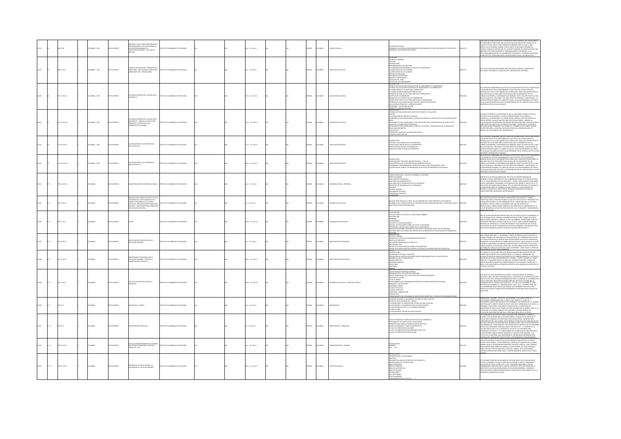|       |                               | <b>0 K17p</b>  | MEM., 1976      |                      | INARIO TALLER PARA COORDINADORES,<br>GRAMADORES Y MULTIPLICADORES DE<br>CENTROS REGIONALES DE<br>ACITACIÓN DOCENTE - LAS CIENCIAS<br>CIALES                                                                            | UTO COLOMBIANO DE PEDAGOGÍA            |  | $5.122 \times 28$ cm       |  | xka          |                | <b>NCMS SOCIALE</b>                       | i CIENCIAS SOCIALES<br>MINARIO TALLER PARA COORDINADORES, PROGRAMADORES Y MULTIPLICADORES DE LOS CENTROS<br>GIONALES DE CAPACITACIÓN DOCENTE                                                                                                                                                                                                                                                                                                                                                                                                                                                                                                                                                                                                   |        | UÉSON LAS CIENCIAS SOCIALES? LA RESPUESTA MÁS ELEMENTAL QUE PUEDE DARSE A<br>FA PREGUNTA ES DECIR QUE SON LAS DISCIPLINAS QUE TRATAN DEL HOMBRE EN SU<br>A PRIMINALIS NA MARIN PUEDE APRENDER NI ENGEÑAR TODO LO QUE SE SABE<br>VECTO A LA SOCIEDAD HURANNA, POR LO TANTO, ES NECESARIO SEPARAR LAS<br>IERSAS FORMAS DE INTERACCIÓN DE LOS SERES HUMANIOS, DE MODO QUE RESULTEN<br>ADES DE ESTUDIO MANEJABLES Y RAZONABLEMENTE COHERENTES. A LAS<br>PLINAS MENCIONADAS LAS LLAMAREMOS, POR EJEMPLO : ECONOMÍA, SOCIOLOGÍA,<br>ÍA POLÍTICA, PSICOLOGÍA SOCIAL, ANTROPOLOGÍA SOCIAL O HISTORIA SOCIAL. |
|-------|-------------------------------|----------------|-----------------|----------------------|------------------------------------------------------------------------------------------------------------------------------------------------------------------------------------------------------------------------|----------------------------------------|--|----------------------------|--|--------------|----------------|-------------------------------------------|------------------------------------------------------------------------------------------------------------------------------------------------------------------------------------------------------------------------------------------------------------------------------------------------------------------------------------------------------------------------------------------------------------------------------------------------------------------------------------------------------------------------------------------------------------------------------------------------------------------------------------------------------------------------------------------------------------------------------------------------|--------|------------------------------------------------------------------------------------------------------------------------------------------------------------------------------------------------------------------------------------------------------------------------------------------------------------------------------------------------------------------------------------------------------------------------------------------------------------------------------------------------------------------------------------------------------------------------------------------------------|
|       |                               | 0.11 (217)     | OMBIA: , 1976   |                      | .<br>DESORES : ANOTACIONES ELEMENTALE<br>BRE OBJETIVOS Y METODOLOGÍA                                                                                                                                                   | <b>THE COLOMBIANO DE REDACOCÍA</b>     |  | $p. : 22 \times 28$ cm     |  | PAÑOL        |                |                                           | EFINICIÓN<br>ONDUCTA TERMINAL<br>RITERIO<br>L'ANIMO<br>INTERISCOLOGÍA<br>INCABEZAMENTOS DE OBIETINOS<br>LAS RESPUESTAS DE LOS ALUMINOS<br>LAS RESPUESTAS DE LOS ALUMINOS<br>LAS PREGUNTAS DE LOS ALUMINOS<br>REPRESENTATOR CONTROL<br>ITILIDAD DE LA DISCUSIÓN<br>IEBATE O CONTROVERSIA<br>ELECCIÓN DEL TEMA                                                                                                                                                                                                                                                                                                                                                                                                                                   | 1178   | EE TEXTO CONTIENE DEFINICIONES, METODOLOGÍAS, INFORMES Y EJEMPLOS DE<br>TIVIDADES REFERENTES A CAPACITACIÓN Y FORMACIÓN DE DOCENTES.                                                                                                                                                                                                                                                                                                                                                                                                                                                                 |
|       |                               | 871.27 (C17e1) | OLOMBIA: , 1976 | <b>CORRECTED</b>     | LLIMEN III                                                                                                                                                                                                             | <b>STITUTO COLOMBIANO DE REDACOCÍA</b> |  | $7a:22\times28$ cm         |  | <b>PAÑOL</b> | <b>AIGNOJO</b> | WALLMCIÓN EDUCATIVO                       | kakcijn uni i krat<br>CTITUD DE LOS PARTICIPANTES<br>TRODUCCIÓN<br>ÉCRECAS DE TVALUACIÓN PARA OBUETIVOS DE CONOCIMIENTO Y COMPRENSIÓN<br>ÉCRECAS DE TVALUACIÓN DE OBUETIVOS DE CONOCIMIENTO Y COMPRENSIÓN<br>IN MINOR IN THE LOS GRIETINGS COGNOSITIVOS<br>LA MPORTANCIA DE LOS GRIETINGS COGNOSITIVOS<br>LA MPORTANCIA DE DRIETINGS COGNOSITIVOS<br>ERIANGOS DE COMPRENSIÓN<br>ENLINCIADO DE LOS GRIETINOS DE COMPRENSIÓN<br>ENLINCIADO DE LOS GRIETINOS<br>NYMINONO DE NOI ONE INTO DE L'ORITANISMO<br>TÉCNICACIÓN DE TERME DE TEST PARA OBJETIVOS DE COMPRENSIÓN<br>APLICACIÓN DE PRINCIPÓN PARA APUCACIÓN Y OBJETIVOS DE ANÁLISIS<br>APLOILEMAIS Y SITUACIÓNES NUEVAS<br>PROBLEMAIS Y SITUACIÓNES N<br><b>RINGIPIOS Y GENERALIZACIONES</b> |        | OS MUCHOS PROBLEMAS QUE AFECTAN A LOS SISTEMAS EDUCATIVOS EL MÁS AGUDO<br>e LOU MINICIPATION EN MEDIDIANTO CUALITATIVO DE LA EDICACIÓN ESTA<br>10 de Mayor estato en el Medidianto cualitativo de la edicación esta<br>10 de Mayor estato en el Medidianto cualitativo de la edicación esta<br>10 de Mayor estato<br>QUE ANTIQUE DE INSURANCIA POR CONCEPTO PAPIE LOS CONSULTAN DE INSURANCE EN LOS CONSULTANTES<br>LAS AULAS ESCOLARES HAN SEO YA INCORPORADOS EN LOS CURRICULUM DE LOS MÁS<br>COERNOS SISTEMAS EDUCACIONALES.                                                                      |
|       |                               | 271.27 (01762) | OMBIA: , 1976   | <b>IMPRESO</b>       | ELIACIÓN FORMATIVA Y ACUMELATIVA<br>LIMEN IV : MANUAL DE EVALUACIÓN<br>MATIVA Y ACUMULATIVA DEL<br>DIGIZAJE DEL ALUMNO                                                                                                 | THE COLOMBIANO DE REDUCCIÓN            |  | 12 p. : 22 x 28 cm         |  | <b>PAÑOL</b> | <b>CLOMBIA</b> | <b>ALUACIÓN EDUCATIV</b>                  | RSEMFIACION<br>Întersa<br>Étalcas de Diviluación para drietinos de Síntese y evaluación<br>A Evaluación del Padceso de Síntese<br>Robleavas de Evaluación para el Proceso de Síntese a: Producción de UNA comunicación<br>ÚNICA<br>-PROBLEMAS DE EVALUACIÓN PARA EL PROCESO DE SÍNTESIS B: PRODUCCIÓN DE UN PLAN O DE UN<br>ON JUNTO DE OPERACIONES PRO<br>PROBLEMAS DE EVALUACIÓN PARA EL PROCESO DE SÍNTESIS C: DERIVACIÓN DE UN CONJUNTO DE<br>PARAINNIS AR ENVIRON FOR AL PROCESO DE A<br>VALUAÇÕN<br>ROBLEMAS, MATERNLES O SITUACIONES NUEVAS<br>MEILEMO PARA EVALUAR                                                                                                                                                                     |        | TODAS LAS ÁREAS DE LA EDUCACIÓN LA QUE HA ALCANZADO UN MÁS ALTO NIVEL<br>N IUDOS LOS MONO DE LA NUCLANDIN DA QUE EN ANLANDADO UN RODA ALIO PRESIDENTALES EL SU EN LA CONSTANTIN DE LA C<br>CONCO ES LA EVALUACIÓN Y ES LA QUE EN MEJOR GORONA HA UTILIZADO LA<br>STADÉRICA, LA PSICOMETRÍA Y LA COMPUTACIÓN G<br>MA MARCHINA DA MARCHINA MARCHINA DE MARCHINA (MARCHINA)<br>SANIFICACIÓN PERMANENTE DEL CURRÍCULO Y PROBAR SU EFECTIVIDAD. ADEMÁS,<br>SPESO DE LOS ALUMNOS A LAS UNIVERSIDADES.<br>SRESO DE LOS ALUMNOS A LAS UNIVERSIDADES.                                                         |
|       |                               | 371.122101711  | LOMBIA: . 1976  | O22RRM (TD)          | LA INTEGRACIÓN DE LAS EXPERENCIAS<br>EDUCATIVAS VOL. 1                                                                                                                                                                 | ABOGAGER 30 OMAIRMOJO DE UTITZ         |  | 5 p. : 22 x 28 cm          |  | <b>PAÑOL</b> | <b>AIRMOJO</b> | <b>PACITACIÓN DOCENTE</b>                 | ntroducción<br>Sección I la Naturaleza de la Integración<br>Significado e Importacia de la Integración<br>BASES FILOSÓFICAS PARA LA INTEGRACIÓN<br>BASES PSICOLÓGICAS PARA LA INTEGRACIÓN                                                                                                                                                                                                                                                                                                                                                                                                                                                                                                                                                      | 1210   | e los muchos problemas que afectava a los sentrans educativos el bás agudo<br>de mayor esecto da il indicamibinto dil cualizativo de la educación esec<br>aformo que se da al tracmandinto del cuaricaliza. Pasos muy baportantes se                                                                                                                                                                                                                                                                                                                                                                 |
|       |                               | 71.122101702   | CMBIA: , 1976   | O IMPRESO            | LA INTEGRACIÓN DE LAS DIPERENCIAS<br>EDUCATIVAS VOL. 3                                                                                                                                                                 | TITUTO COLOMBIANO DE PEDAGOGÍA         |  | 0 p. : 22 x 28 cm          |  | <b>MAGL</b>  |                | MCITACIÓN DOCENTI                         | RODUCCIÓN<br>obganización y procesos administrativos, h. Taylor<br>Características de la integración en deferates inveles<br>Programas y procedimientos illustrativos para la educación básica, ionn i<br>illustración de cursos y de programas de e                                                                                                                                                                                                                                                                                                                                                                                                                                                                                           |        | CHRISTIAN INTERFERING IN THE GRACING CHE ARRANGED TOOST US AN INCOLTA CHARGE AND A CHARGE IN THE CHARGE IN THE<br>USE OF THE MARKET IN COLORATION FOR DRIVING CHARGE TO A CHARGE IN THE CHARGE IN THE CHARGE IN THE CHARGE IN THE<br>ERNOS SISTEMAS EDUCACIONALES.                                                                                                                                                                                                                                                                                                                                   |
|       |                               | 27.1412 IC17d  | MAN.            | O22RRMI GTX          | LARUR QUIGRANZES DE 22MOIDANT                                                                                                                                                                                          | STITUTO COLOMBIANO DE PEDAGOGÍA        |  | $\upmu$ : 22 x 33 cm       |  | <b>PAÑOL</b> |                | ROLLO RURAL - PERSONAL                    | *MAINMEN T. DAMINUS<br>CARGOS REQUERDOS - REQUISITOS MÍNIMOS Y FUNCIONES<br>SUB-DIRECTOR PEDAGÓGICO<br>SUB-DIRECTOR ADMINISTRATIVO<br>SUB-DIRECTOR ADMINISTRATIVO<br>-<br>FIG DIRECTOR DE PROGRAMAS CON LA COMUNIDAD<br>-PROMOTOR DE DESARROLLO DE LA COMUNIDAD<br>-PAGADOR<br><b>XPERTO AGRÍCOLA</b><br>AEJORADOR DE HOGAR<br><b>PROS DE SELECCIÓN</b>                                                                                                                                                                                                                                                                                                                                                                                        |        | .<br>TRO DE LA RUESTA EN MARCHA DEL RROVECTO DE CONCENTRACIONES DE<br>DENTRO DE A PUESTA EN MARGANA DEL GOBERNO MACIONAL, SE DA PREVISTO PARA<br>ESAMELLO RUAN, EMPRIMO DO POR EL GOBERNO MACIONAL, SE DA PREVISTO PARA<br>VAUJES, SANTANGER, ATENGINADO LO ESTABLICIO DE LA GENERA 2002 DE 1873 Y 20<br>VAUJ<br>NCENTRACIONES ENUNCIADAS ANTERIORMENTE.                                                                                                                                                                                                                                             |
|       | $8 - 2$                       | 20111C17a      | LOMBIA:         | OZBRANI OTX          | GUNAS IDEAS ACERCA DEL PAPEL Y DE LAS<br>NOOMES DEL ICOLPE DENTRO DE LOS<br>ANES DE DESARROLLO DEL SISTEMA<br>UCATIVO, PROPUESTOS POR PLANEACIÓN<br>ONAL Y ADOPTADOS POR EL MINISTERI<br><b>INVESTIGATION MACIONAL</b> | ABOGACER 20 OMAIRMOJOS OTUTTI          |  | $: 22 \times 28$ cm        |  | <b>PAÑOL</b> | <b>AIRMOJO</b> | SARROLLO EDUCATIVO                        | .<br>Narollo del Acerca del Papel de las funciones del Icolpe dentro de los Planes de<br>Arrollo del Sistema educativo, propulstos por Planeación Nacional y Adoptados por el<br>ARROLLO DEL SISTEMA EDUCATIVO,<br>ESTERIO DE EDUCACIÓN NACIONAL                                                                                                                                                                                                                                                                                                                                                                                                                                                                                               | 112185 | .<br>EALIDAD EDUCATIVA DEL PAÍS RESULTA INAPLAZABLE, POR CUANTO EL "MARCO<br>ONCEPTUAL PARA UN PLAN DE DESARROLLO DEL SECTOR EDUCATIVO", PREPARADO POR<br>LANEACIÓN INACIONAL HA SIDO APROBADO POR EL CONSEJO NACIONAL DE POLÍTICA<br>20 OTHLIND HIJ 2UD OTHERS DOCUMENTS ON THE RESERVED OF<br>-APPAPPARY I HARAPA COMPUTE DOUGRABATO QUE FEA UN CONSUNTO DE<br>AN DE DISARROLLO EDUCATIVO POR MEDIO DEL CUAL SE DINAMICA Y TRANSPORME LA<br>AN DE DISARROLLO EDUCATIVO POR MEDIO DEL CUAL SE DINAMICE Y TRANSPORME LA<br>HICHICÓN DEI                                                              |
|       | $8 - 32$                      | 270.11 (C17)   | CMELA:          | DO MPRESO            |                                                                                                                                                                                                                        | STITUTO COLOMBIANO DE PEDAGOGÍA        |  | Ap.: 22 x 28 cm            |  | <b>PAÑOL</b> | <b>CLOMBIA</b> |                                           | <b>ATRICIANA, LUID MIRICANA</b><br>- (LISTIFICACIÓN<br>- ESTUDIO SOBRE LOS COSTOS DE LA EDUCACIÓN PRIMARIA<br>- METODOLOGÍA<br>-Temanos<br>- Contro de La Regionação Media<br>- Contro de La Regionação Media<br>- Estructura Corpísico del Carrículo de La Educación<br>- Antonio Joach Cathurales que Regiona de La Educación<br>- Antonio Joach Cathurales que Regiona el                                                                                                                                                                                                                                                                                                                                                                   |        | NA DE LAS NECESIDADES MÁS IMPORTANTES DEL SECTOR EDUCATIVO COLOMBIANO,<br>A DE RACIONALIZAR AL MÁXIMO LA INVERSIÓN EN EDUCACIÓN. CUANDO SE CUENTA<br>on Recursos Limitados, como en el caso colombiano, es necesario conocer<br>On Mucha Precisón la estructura de los costos, para poder recomplerar<br>Iedena que permitan la utilización náviria de casa inversión que se imaj.<br>En enl                                                                                                                                                                                                         |
| 3187  | $8 - 42$                      | 001.42 (C17)1  | DLOMBIA:        | OZERNI OTXIT         | INVESTIGACIÓN TECNOLÓGICA EN LA<br>EDUCACIÓN PRIMARIA                                                                                                                                                                  | ABOGACER 30 OMAIDMOJO OF UTITA         |  | $n: 22 \times 28$ cm       |  | <b>PAÑOL</b> | <b>AIRMOJO</b> | MESTIGACIÓN TECNOLÓGICA                   | OLFALMIA<br>KTRODUCCIÓN<br>OBIETIVO GENERAL<br>CONCEPTO DE SISTEMA DE INFORMACIÓN ESTADÍSTICO<br>Concepto de Sistema de Hiformación estabistico<br>Actividades Belheradas in el año 1875<br>Actividades Belheradas en el año 1875<br>Printecto de Ministrahoña: Control de Calibão en la producción de Estadésticas<br>Printecto de Ministr                                                                                                                                                                                                                                                                                                                                                                                                    | 013187 | versmerten bedusenden et den seuren der al utalis forfören merkette.<br>KRA (OGRAR TRES FRISS : 1. CONTRIBUR A TODOS LOS PROCESOS QUE EN UN PAÍS SE<br>JEDAN DESAFROLLAR PARA AN ÁLISE Y ENNLIACIÓN DE LOS FEMÓNIENOS EDUCATIVOS<br>TÉC<br>ANÁLISIS Y EVALUACIÓN EN LOS PROBLEMAS EDUCATIVOS. HASTA AHORA SE LE HABÍA<br>PORMULAR PLANES DE EDUCACIÓN, METAS A MEDIANO Y LARGO PLAZO Y FORMULAR<br>NIFICACIÓN DE LA EDUCACIÓN, DESDE HACE ALGUNOS AÑOS SUNGIÓ LA NECESIDAD<br>FORMULAR PLANES DE EDUCACIÓN, METAS A MEDIANO Y LARGO PLAZO Y FORMULAR                                                 |
|       | $2 - 32$                      | 001.42 (C17)2  | CMELA:          | DO MPRESO            | INVESTIGACIÓN TECNOLÓGICA EN LA<br>EDUCACIÓN PRIMARIA - MÉTODO DE<br>ALFABETIZACIÓN FASCÍCULO I                                                                                                                        | TITUTO COLOMBIANO DE PEDAGOGÍA         |  | 4 p.: 22 x 28 cm           |  | <b>PAÑOL</b> | <b>CLOMBIA</b> | ESTIGACIÓN TECNOLÓGIC                     | LAMM<br>VTRODUCCIÓN<br>ISFINICIÓN DE LECTURA Y ESCRITURA<br>AUFRICANA AN ALANCIO DE ALFABETERCIÓN PROGRAMADO PARA LA INVESTIGACIÓN<br>DESCRIPCIÓN DE MITODO DE ALFABETERCIÓN<br>DESCRIPCIÓN EL INVESTIGACIÓN<br>SEGULTADOS<br>RESULTADOS<br>RESULTADOS<br>cusión<br><b>AEXOS</b> - ANDRE LIVE AP I L'ANNIEURE                                                                                                                                                                                                                                                                                                                                                                                                                                  |        | TE RROYECTO THAN COMO ORIETIVO PROGRA A MINEI DE GRIIRO HIM MÉTODO DE<br>ABETIZACIÓN BASADO EN LOS PRINCIPIOS DE LA TEORÍA DEL APRENDIZAJE Y EN<br>lfarmidzīdzinācija un sala partizativa var indivarminātu ar tastudio se tam<br>Leginas Technologija un sala sala edzemninka gel comportamento. El estudio se<br>Leginas Technologija spremnintalse "Canadán" y rockante el pasaris<br>D<br><b>CTURA Y ESCRITURA</b>                                                                                                                                                                               |
| 13189 | $36 - 6$                      | 220.11 (C17)   | DLOMBIA:        | DESPAIN OTXET        | UCITUD DE ASISTENCIA TÉCNICA Y<br><b><i>HNCIERA</i></b>                                                                                                                                                                | ALCOARDED DE PERSONAL DE TANGE         |  | N/A p.: 22 x 28 cm         |  | SPAÑOL       | AMADJO2        | DESARROLLO EDUCATIVO - ASISTENCIA TÉCNICA | ESCRIPCIÓN DEL PROGRAMA GENERAL<br>ESCRIPCIÓN DEL PROGRAMA GENERAL<br>IRGANIZACIÓN Y EJECUCIÓN DEL PROGRAMA<br>AETAS PERSEGUIDAS CON LA EJECUCIÓN DEL PRESENTE PROGRAMA<br>PRESUPUESTO GLOBAL<br>USTA DE ANEXOS<br>FINANCIAMENTO DEL PROGRAMA DE M<br>AGISTER EN ADMINISTRACIÓN EDUCACIONAL<br>INAUDAD Y JUSTIFICACIÓN<br>FRANSIÓN Y GRADO<br>FLAN DE ESTUDIOS A<br>FLAN DE ESTUDIOS B<br>CAPACIDAD Y FINANCIACIÓN<br><b>DESLIPLIESTO</b><br>MICHAENTO DEL PRO                                                                                                                                                                                                                                                                                 |        | A SOLICITUD ESTÁ ENCAMINADA A LOGRAR : LA REALIZACIÓN DE ACCIONES DE<br>.<br>LIFRZO A INSTITUCIONES COLOMBIANAS QUE HACEN PARTE DE LA INFRAESTRUCTURA<br>ICATINA DEL PAÈS; OBTENER ASESORAMENTO PARA EL GOBIERNO DE COLOMBIA EN L<br>RUCTURACIÓN E INICIACIÓN DE OPERACIONES DEL INSTITUTO COLOMBIANO DE<br>FINICI LUMMALINĂ E RIOGRADINA EXPORACIONIS DIE LINSTITUTO COLONIARIANO DIS<br>ESKATAR OPCIAR, DISRAED POR DECRETO Nº 1935 DEI 15 DE DICIEMBRE DE 1968;<br>ESKATAR OPCHANANTE I LA "LINIVERSIANA DEL VALLE" (CATAL, CELONARIA PARA QU                                                     |
| 3190  | $8 - 7$                       |                |                 |                      |                                                                                                                                                                                                                        |                                        |  |                            |  | <b>PAÑOL</b> |                | <b>ATEMÁTICAS</b>                         | HIRADA MARIA ILIAN ANIMARANA LA MARAILMAN MARIAMA EN MARIAMA EN ANIMARA EN ANIMARA EN ANIMARA EN ANIMARA EN AN<br>LONGUNTO AKOCHADO A UN ATRIBUTO, ESTUDIO DE UNA SITUACIÓN<br>LA CONUNCIÓN V LA INTERESCCIÓN, ESTUDIO DE UNA SITUAC                                                                                                                                                                                                                                                                                                                                                                                                                                                                                                           |        | SERVEMOS A UN NIÑO : SUS ACTOS, SUS PALABRAS Y SUS JUEGOS ESTÁN YA<br>ERTEMENTE IMPREGIMIDOS POR LA LÓGICA. MUY PRONTO, EL POSEE UN<br>ISAMIENTO LÓGICO QUE NECESITA SE LE DESARROLLE. LOS TRABAJOS DE Z.P. QUIENIO                                                                                                                                                                                                                                                                                                                                                                                  |
|       |                               | \$10 (0.17)    | OLOMBIA:        | <b>OZZRRMI OTX2T</b> | <b>CHOÓN A LA LÓGICA</b>                                                                                                                                                                                               | STITUTO COLOMBIANO DE PEDAGOGÍA        |  | $\frac{1}{2}$ : 22 x 33 cm |  |              | CLOMBA         |                                           |                                                                                                                                                                                                                                                                                                                                                                                                                                                                                                                                                                                                                                                                                                                                                |        |                                                                                                                                                                                                                                                                                                                                                                                                                                                                                                                                                                                                      |
|       | $\mathbf{g} \cdot \mathbf{g}$ | 275 (C17)      | CANBAN:         | O22RRMI OTH          | STIGACIÓN CURRICULAR                                                                                                                                                                                                   | ARODAGED DE CAMBARDED DE UTITS         |  | $: 22 \times 28$ cm        |  | <b>PAÑOL</b> | <b>CLOWAIA</b> | NESTIGACIÓN - CURRÍCULOS                  | COMO DISTERMINA Y FORMULAR OBIETIVOS EN LA ENSEÑANZA<br>-FINICIONES DE LEO OBIETIVOS DE LA EDUCACIÓN<br>-FINICIONES DE LOS OBIETIVOS DE LA EDUCACIÓN DE OBIETIVOS<br>-BINICINOS GENERALES Y COLETIVOS ESPECÍFICOS<br>-LO QUE LOS NIÑOS NEC                                                                                                                                                                                                                                                                                                                                                                                                                                                                                                     |        | WEN MANUFACTOR ON THE STATISTIC STATISTIC COTTINUES IN A MANUFACTOR COMMUNISTIC CONTINUES IN THE STATISTIC CONTINUES IN THE STATISTIC CONTINUES IN THE STATISTIC CONTINUES IN A MANUFACTOR COMPANY IN THE STATISTIC CONTINUES<br>LENGINING UN TAPALISMUSIONE PROSTVERNINGSPANDONI INTO UNITS STATEMENT PRODUCTS IN THE SAMELON CONTROL IS A STA<br>In the statement of the language in the statement of the same statement of language in the same of statement of                                                                                                                                   |
|       | 0.33                          | 0.15310176     | CANSIA:         | OZBRANI OT           | LA DE COMPORTAMENTO ACTITUDI<br>ACIÓN EN POBLACIÓN, ECOLOGÍA Y<br><b>WILIA EAC - PEE</b>                                                                                                                               | TITUTO COLOMBIANO DE PEDAGOGÍA         |  | $p. : 22 \times 28$ cm     |  | PAÑOL        | <b>AIRMC</b>   | MPORTAMENTO - PRUEBAS                     | NSTRUCCIONES<br>PRUEBAS<br>EAC - 1 - PEF<br>MTRODUCCIÓN<br>OISCRIPCIÓN DEL CUESTITONARIO<br>RESUMEN DEL ANÁLISIS ESTADÍSTICO DE LA ENCUESTA                                                                                                                                                                                                                                                                                                                                                                                                                                                                                                                                                                                                    | 2192   | .<br>DR CUÁLES HABILIDADES INTELECTUALES Y ENTENDIMIENTOS SON APROPIADOS.<br>FOLLETO CUNTIUNI, AFRIGALIDAES ALERLA DE LONIO SE LONPORTA LA GENTE E<br>ATA PASATA SUGUNIKA PORAMSAANA PASATA NA SAMU AL OSMATA DE LA MERIA<br>ERTAS SITUACIONES O CUÁLES SON SUS SENTIMIENTOS CON RESPECTO A CIERTOS<br>KANERA HACIA LA EDICACIÓN EN PORLACIÓN, A MENULOS SE COMPORTA DE LA MERIA<br>MINE ALGU<br>BBE LA EDUCACIÓN EN POBLACIÓN, ECOLOGÍA Y FAMILIA. ESTE CUESTIONARIO<br>INTIENE AFRIMACIONES SOBRE IDEAS Y COMPORTAMIENTOS ACERCA DE LOS TEMAS                                                      |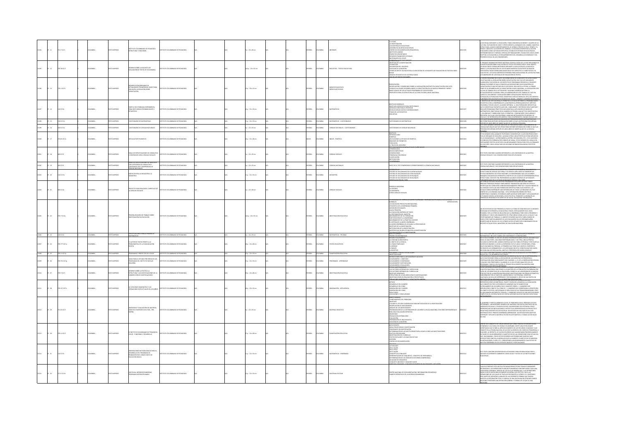|                   | $8 - 11$   | 21.7 (017)       | <b>MARIA</b>   | O22RRMI OTX       | INSTITUTO COLOMBIANO DE PEDAGOGÍA<br>ESTRUCTURA Y FUN CIONES                                                                   | TUTO COLOMBIANO DE PEDAGOGÍA           |  | $1:22 \times 28$ cm      |  | AÑOL.        | <b>LOMBIA</b>  | FORMES                                | PRESIDENCI<br>4. EL ROLER<br>4. ES MATERALES EDUCATIVOS<br>4. ES MATERALES EDUCATIVOS<br>4. ES MATERALES EDUCATIVOS<br>4. ESTRUTOS ARGOS EN EN ENGLADOS PERIODES<br>4. PEDITECTOS PRODUENDOS<br>4. ESTRUTOS PRODUENDOS<br>4. ESTRUTOS PRODUENTOS<br>4. ES                                                                                                                                                                                                                                                                                                                                                                        |            | sociedad, mediante la educación, toma concernoa de Bienes y Valdres de Su<br>Ltura: en Función de Unos y Otros Obienta la Dinámica del Cambio, modifica<br>Ructuras, Asume Comportamientos, Se Aframa y Proyecta en el Tiempo y el<br>STRUCTURA, NAUME COMPOSTANISTICS, SE APRAIA V PROYECULATI DE TEMPO Y INTERIOR DE STATE EN CONTRA COMPOSTANTE D<br>STARCO, GRACAS A LA DIVISIÓN DEL TRABAD, LA SOCIEDAD DIVISIEIRO I LA ACOÓN<br>STETEMINÓ INVELSI Y FORMAS, ESPECIAL                                                                                                                                                                                                                                                                            |
|-------------------|------------|------------------|----------------|-------------------|--------------------------------------------------------------------------------------------------------------------------------|----------------------------------------|--|--------------------------|--|--------------|----------------|---------------------------------------|----------------------------------------------------------------------------------------------------------------------------------------------------------------------------------------------------------------------------------------------------------------------------------------------------------------------------------------------------------------------------------------------------------------------------------------------------------------------------------------------------------------------------------------------------------------------------------------------------------------------------------|------------|-------------------------------------------------------------------------------------------------------------------------------------------------------------------------------------------------------------------------------------------------------------------------------------------------------------------------------------------------------------------------------------------------------------------------------------------------------------------------------------------------------------------------------------------------------------------------------------------------------------------------------------------------------------------------------------------------------------------------------------------------------|
| 13195             | $12 - 12$  | 220.28 (C17)     | DLOMBIA:       | OZERNI OTXI       | 30 AT23U3KI AJ 38602 3MRO<br>ALLIACIÓN DE TEXTOS DE SECUNDARIA                                                                 | ARODACES DE OMAINMO DE PERSONA         |  | (Ap.: 22 x 33 cm         |  | <b>PAÑOL</b> | <b>AIRMOJO</b> | ENCUESTAS - TEXTOS EDUCATIVOS         | <b>ANRESOCUER</b> PROPINSIVATION<br>:<br>Nuestra<br>Eccion de Universo<br>Eccion de La Muestra<br>INFICACIÓN DE COLEGIOS PARA LA APLICACIÓN DE LA ENCUESTA DE EVALUACIÓN DE TEXTOS A NIVEL<br>ICO<br>PAISIS ESTADISTICO DE LOS RESULTADOS                                                                                                                                                                                                                                                                                                                                                                                        | 13105      | IL PRESENTE INFORME PRETENDE MOSTRAR LOS RESULTADOS DE LA FASE PRELIMINAR DE<br>LA INVESTIGACIÓN SOBRE D'ULLIACIÓN DE TEXTOS ESCOLARES PARA EL NIVEL BÁSICO.<br>LOS RESULTADOS FUERON ORTENIDOS MEDIANTE LA APLICACIÓN DE LA ENCLUST                                                                                                                                                                                                                                                                                                                                                                                                                                                                                                                  |
| $48 - 13$         |            | 001110174        | CMELA          | m isabarsh        | ACTUALIDADES PEDAGÓGICAS: BASES PAR<br>UNA NUEVA LEGISLACIÓN SOBRE<br>ACITACIÓN                                                | UTO COLOMBIANO DE REDACOGÍA            |  | 10:22:22:22              |  |              | OMBIA          | MEDIOS EDUCATIVO<br>MEDIOS NOTICIOSOS | PRESENTACIÓN<br>«BECENTACIÓN Y COMENTARIO SOBRE LA LEGISLACIÓN EXISTENTE EN CAPACITACIÓN 1934-1974<br>«COMO SE HA YONDO DESARROLLANDO LA CAPACITACIÓN EN LOS NIVELES PRIMARIO Y MEDIO<br>«BECH LEGIALES EN LOS ACTUALES PROGRAMAS DE CA                                                                                                                                                                                                                                                                                                                                                                                          |            | WEND THE UNKLOCKER WAS CITED FOR DESCRIPTION OF THE UNKLOCKER CONSULTANCE CONTINUES IN THE UNKLOCKER CONSULTANCE CONTINUES IN THE UNKLOCKER WAS CITED FOR THE UNKLOCKER WAS CITED FOR THE UNKLOCKER WAS CITED FOR THE UNKLOCK<br>MOO FOR UN GRUPO DE TÉCNICOS DEL DICMA - CENAPER Y CENTROS REG                                                                                                                                                                                                                                                                                                                                                                                                                                                       |
| $14 - 32$         |            | \$10 K17p        | CANBIA:        | OZRRNI OTI        | <b>TEVING ONCOA</b><br>DO PROBABILIDADES Y<br>ADISTICA                                                                         | TUTO COLOMBIANO DE PEDAGOGÍA           |  | $4a:22 \times 32$ cm     |  | <b>PAÑOL</b> | <b>AIGNOX</b>  | ATEMÁTICAS                            | OBIETIVOS GENERALES<br>-OBIETIVOS ESPECÍFICOS PARA SEXTO GRADO<br>-INTRODUCCIÓN PARA EL PROFESOR<br>-RECOLECCIÓN DE DATOS E INFORMACIONES<br>TEMAS DE LAS ENCUESTAS<br>LIESTAS                                                                                                                                                                                                                                                                                                                                                                                                                                                   |            | DAIETIVO DE ESTE MATERIALES PREMITIR EL ESTUDO REFERENTE A PROBARILISMOS<br>AKÉSTICA CON LA ENSEÑANZA DE LA MATERAÑTICA (FORMULADOS EN EL MÉTODO<br>LOMBIA), SE BUSCA QUE EL ALUMNO OBITENSA : A. UNA FORMACIÓN INTELECTUAL<br>E SE IDE<br>wayny projekarinya popiejislas quik puonteput ka papulpilium de medeeleds<br>Temačincos; objectividade en su maneria de pensari; unia accititud investigativa<br>N lengenae y smardikemo que le permitant : comunicarese con clarien<br>lulo y de representación gráfica para comprender el mundo en que vn<br>Cuestionario contrine una serie de preguntas sobre matematicas que                                                                                                                          |
| $3 - 15$          |            | \$10 IC17c1      | CMBIA:,        | O22R4MI OT        | DINARO DE MATEMÁTICAS                                                                                                          |                                        |  | $\upmu$ : 22 x 33 cm     |  | <b>PAÑOL</b> | CMGA           | MITMÁTICAS - CUESTIONARIOS            | DNARIO DE MATEMÁTICAS                                                                                                                                                                                                                                                                                                                                                                                                                                                                                                                                                                                                            | 3198       | MITRÁN OBTENER INFOR<br>MOÓN SOBRE LO QUE LAS PERSONAS RECUERDAN                                                                                                                                                                                                                                                                                                                                                                                                                                                                                                                                                                                                                                                                                      |
|                   | $-16$      | 00 IC17c2        | <b>SABAC</b>   | OZBRNI O          | ONARIO DE CIENCIAS NATURALES                                                                                                   | TUTO COLOMBIANO DE PEDAGOGÍA           |  | : 22 x 33 cm             |  | <b>AROL</b>  | <b>OMBA</b>    |                                       |                                                                                                                                                                                                                                                                                                                                                                                                                                                                                                                                                                                                                                  | 12199      | .<br>ESPUÉS DE UNIDE AÑOS DE HABER SAUDO DE LA ESCUELA PRINARIA.<br>EL CUESTIONARIO CONTIENE UNA SERIE DE PREGUNTAS SOBRE CONOCIMIENTOS DI<br>ecias naturales que nos permitirán obtener información sobre lo que las<br>Sonas recuerdan después de unos años de Haber Saudo de la escuela                                                                                                                                                                                                                                                                                                                                                                                                                                                            |
|                   | $x - 17$   | 222.65 IC17a     | <b>CANBLAC</b> | OZERNI OT         | TIQULATORY PHONETICS                                                                                                           | TTUTO COLOMBIANO DE PEDAGOGÍA          |  | $n: 22 \times 28$ cm     |  |              | owaw           | vouts - FONETION                      | OBJETINOS<br>-INTRODUCCIÓN<br>-FONÉTICA<br>-RFUCACIONES AL ESTUDIO DE FONÉTICA<br>MAILINES DE PHONETICS<br>INOLOGÍA<br>TRUCO DEL DISCURSO<br>17 HENDRANDIS GEN                                                                                                                                                                                                                                                                                                                                                                                                                                                                   |            | BRIA.<br>Rossza usz utacjenu: sz utacjienu cursiste us ura nucenum us nureugs.<br>I UNIMALA NEL INSCRIMI A LUBALISMO DE DE MARIA LUBA NA LUBA DE MARIA EL EL CORRENTE EL CONTROL EN EN CONTROL DE<br>1935 SEMILOR SON LUBARDO DE MARIA COTA CON EN EN EN EN CONTROL ESTA NA MADISSIONA EN EN EN EN EN EN EN EN EN<br>1                                                                                                                                                                                                                                                                                                                                                                                                                                |
|                   | $8 - 18$   | <b>200 IC171</b> | <b>CANBLAC</b> | OZBRNI OT         | .<br>No de especificaciones de conduc<br>Notaidos: Área ciencias sociales<br>THE ESPECIAL ACHINES OF ORIES                     | <b>TITUTO COLOMBANO DE PEDAGOGÍA</b>   |  | $1:22 \times 32$ cm      |  | <b>AROL</b>  | LOMBIA         | <b>ENCIAS SOCIALES</b>                | ERMINDLOGÍA<br>IECHOS ESPECÍFICOS<br>DIVIENCIONES<br>ENDENCIAS SECUENCIAS<br>ASFICACIÓN<br>ETODOLOGÍA                                                                                                                                                                                                                                                                                                                                                                                                                                                                                                                            | 12201      | IE TEXTO CONTIENE CUADROS REFERENTES A LOS CONTENIDO<br>NOJAS SOCIALES Y SUS CONVENCIONES PARA SER APLICADAS.                                                                                                                                                                                                                                                                                                                                                                                                                                                                                                                                                                                                                                         |
| cocc              | $91 - 33$  | <b>500 K17t</b>  | CMEIA .        | <b>O22RRMI OT</b> | ON CATEGORÍAS DE CONDUCTAS Y<br>ON TENIDOS TEST COMPRENSIVO DE                                                                 | ALCOLAGED 20 CMMBMODD OT UTIT          |  | $1:22 + 33$ cm           |  | <b>PAÑOL</b> | <b>AIRWAY</b>  | <b>ENCIAS NATURALES</b>               | ARTE DE EL TEST COMPRENSIVO CORRESPONDIENTE A OENCIAS NATURALES                                                                                                                                                                                                                                                                                                                                                                                                                                                                                                                                                                  | 12202      | ISTE TEXTO CONTIENE CUADROS REFERENTES A LOS CONTENIDOS DE LA MATERIA<br>NCIAS NATURALES Y SUS CONVENCIONES PARA SER APLICADAS.                                                                                                                                                                                                                                                                                                                                                                                                                                                                                                                                                                                                                       |
|                   | $-20$      | <b>06 K17m</b>   | <b>OMBIA:</b>  | TO IMPRESO        | <b>GLOS PARA LA INICIACIÓN A LA</b><br><b>OMETRIA</b>                                                                          | TUTO COLOMBIANO DE PEDAGOGÍA           |  | $n: 22 \times 33$ cm     |  | <b>AROL</b>  | owaw           | COMETRIA                              | RODUCCIÓN<br>TUDIO DE UN CONJUNTO DE CUATRO BEOQUES<br>TUDIO DE UN CONJUNTO DE OCHO BEOQUES<br>TUDIO DE UN CONJUNTO DE 2N BEOQUES<br>TUDIO DE UN CONJUNTO DE 3N BEOQUES<br>TUDIO DE UN CONJUNTO DE 3N BEOQUES                                                                                                                                                                                                                                                                                                                                                                                                                    |            | UNIVERSITATI ALTURA DE LA GEORGIA DE CONSTITUIR EN ESTADORIA, BASANDOSE EN ENTRE EN EL CONSTITUIR EN ENTRE EN ESTADORIA (PARANDOSE EN EL CONSTITUIR EN EL CONSTITUIR EN EL CONSTITUIR EN EL CONSTITUIR EN EL CONSTITUIR EN EL                                                                                                                                                                                                                                                                                                                                                                                                                                                                                                                         |
| $56 - 21$         |            | 300 K17p         | LOMBIA:        | OZRRNI OTI        | OVECTO PARA REALIZAR EL CURRÍCULO DE<br>CIENCIAS SOCIALES                                                                      | ARODAGER 20 CAMBARO DE PERSOGÍA        |  | $1:22 \times 28$ cm      |  | <b>AROL</b>  | <b>LOMBIA</b>  | <b>ENCIAS SOCIALES</b>                | INDENCIA MODERNA<br>A HISTORIA<br>A GEOGRAFÍA<br>ITRAS CIDNCIAS SOCIALES<br>ICABLIDAD DEL SISTEMA DE MICRO-EN                                                                                                                                                                                                                                                                                                                                                                                                                                                                                                                    | <b>DOL</b> | NGU UNANG KALIFUNG MANGARan NASA MASA DA UNANG KATA MANGARA NA MARAMAN<br>CIDATANG KATA KATA KEMURITANG MANGARANG KECALANG NA UNANG KATA MANGARan NASA MANGARAN NA MANGARan NA MANGARan<br>CIDATANG KECALAK SI NA MASA MANGARAN TA M<br>ANAMALI ANNIM MIFMANAN NINDI MAMANANIN NA INANA MAMANANIN DA ERA<br>19 METRO DE LA ECONOMÍA NACIONAL : ESTA INTEGRACIÓN DEBERÁ SER FÍSICA<br>19 METROS Y CAMINOSI, ECONÓMICA (AMPLIACIÓN EN MERCADOS Y LOCALIZA)<br>ACTIVIDADES SEGÚN L                                                                                                                                                                                                                                                                       |
| 3205              | $55 - 22$  | 270.7 (C17p)     | DLOMBIA:       | O22RRMI OTX3      | 24802 OLABART 20 HÖHMI2A ASSAMS<br><b>ASTIGACIÓN EN EDUCACIÓN</b>                                                              | A ADOGARDA DE PERSONA DE INTERNACIONAL |  | N/Ap.: 22 x 33 cm        |  | PAÑOL        | <b>AIGNOUS</b> | WESTIGACIÓN EDUCAT                    | SADA A LAS ESCUELAS<br>INTRODUCCIÓN<br>DRMALES<br>A EDUCACIÓN PREOCUPACIÓN NACIONAL<br>STADÍSTICA DE LA ENSEÑANZA PRIMARIA<br>ISSERCIÓN ESTUDIANTIL<br>.<br>CAUSA PRINCIPAL<br>LA EDUCACIÓN EMPRESA DE TODOS<br>LA PREPARACIÓN DEL MAESTRO<br>A PRIPPINALISM DIA MANSIMO<br>HADDRAMIENTO DE SU FORMACIÓN<br>HATICIPACIÓN DE LA UNIVERSIDAD<br>HIJORAMIENTO DE LA PAÁCITICA EDICINIE<br>JIJOREMAN DE LA MICRO-ENSEÑANZA<br>A MICRO-ENSEÑANZA ES APLICABLE A OTROS NIVELES<br>-MINERAL MANUSTRACIÓN<br>- GRIETINGS DE LA INVESTIGACIÓN<br>- MIETODOLOGÍA DE LA INVESTIGACIÓN<br>- HIPÓTESIS QUE QUIERE ESTABLECER LA INVESTIGACIÓN |            | UN HIGHD POSITIVO QUE PRESENTA EL PAÚS ES LA TOMA DE CONGENIÇÃO DE LA USEGENTE EN LA CARACTERA DE LA CARACTERA EL CARACTERA EL CARACTERA EL CARACTERA EL CARACTERA EL CARACTERA EL CARACTERA EL CARACTERA EL CARACTERA EL CAR                                                                                                                                                                                                                                                                                                                                                                                                                                                                                                                         |
| $46 - 23$<br>3206 |            | \$10 K17e        | OLOMBIA:       | O22RRMI OTX3      | FICACIONES PARA LA PRUEBA DE                                                                                                   | ARRAIGNED DE PERSONA DE LITITA         |  | $p:22$ is $22$ cm        |  | <b>JORNS</b> | CLOMBA         | MATEMÁTICAS - PRUEBAS                 |                                                                                                                                                                                                                                                                                                                                                                                                                                                                                                                                                                                                                                  | 00013206   | .<br>TO CONTENE LA DESCRIPCIÓN Y EIERCICIOS PARA REALIZAR LA PRUEBA D                                                                                                                                                                                                                                                                                                                                                                                                                                                                                                                                                                                                                                                                                 |
|                   | $45 - 24$  | 2022271012a      | <b>CRABLE:</b> | CO IMPRESO        | AUTOR DE TEXTOS FRENTE A LA<br>OBLEMÁTICA DE LA COMUNICACIÓN<br>CRITA                                                          | <b>THE COLOMBIANO DE REDACOCÍA</b>     |  | $10.123 \times 28$ cm    |  | <b>DAR</b>   | OMBA           | <b>DODS</b> ENVIRONMEN                | <b>SUEBA DE MATEMÁTICAS</b><br>MARIO ESQUANNILLO<br>1. COMUNICACIÓN ESCRITA<br>1. CÓDIGO EMPLEADO<br>L CODIGO EN<br>L MENSAJE<br>L EMISOR<br>L RECEPTOR                                                                                                                                                                                                                                                                                                                                                                                                                                                                          | .<br>200   |                                                                                                                                                                                                                                                                                                                                                                                                                                                                                                                                                                                                                                                                                                                                                       |
| $9 - 25$          |            | 270.11 IC17p     | COLOMBIA:      | O22RRMI OTX2T     | ROGRAMAS Y PROVECTOS DEL ICOLPE                                                                                                | A ABODARD DE PERSONAL                  |  | 22 p. : 22 x 33 cm       |  |              | COLOMBIA       | PLANIFICACIÓN EDUCATIVA               | CAMMAS Y PROVECTOS DEL ICOLPE                                                                                                                                                                                                                                                                                                                                                                                                                                                                                                                                                                                                    | 00013208   |                                                                                                                                                                                                                                                                                                                                                                                                                                                                                                                                                                                                                                                                                                                                                       |
|                   | 26.1       | 17221C17g        | CANBLA:        | O22RRM (D)        | <b>K DASA EL ESTUDIO EDE ÁSEAS DE LO</b><br>AMAS DEL INSTITUTO NICOLÁS<br><b>ARR3L</b>                                         | TUTO COLOMBIANO DE PEDAGOGÍA           |  | $5 p. : 22 \times 33$ cm |  | AÑOL.        | OMBIA          | OGRAMAS - APRENDIZAJE                 | MUSSINGACIONES<br>ISTRUCCIONES PARA LA APUCACIÓN DE LAS GUÍAS<br>GUÍA NÚMERO 1 ORIETIVOS<br>GUÍA NÚMERO 2 CONTENIDOS<br>AROUGHTER GRANDA AR<br>NÚMERO 4 EVALUACIÓN -<br>No investigaciones                                                                                                                                                                                                                                                                                                                                                                                                                                       | 112209     | NOTER AS MUNICIPALITY ANTIMANO - Engagement company may be the second                                                                                                                                                                                                                                                                                                                                                                                                                                                                                                                                                                                                                                                                                 |
|                   | $\cdot$ 27 | 171017           | MELA:          |                   | AJ ADITÍJOR AJ 25502 2MR<br>DRINE SOBRE LA POLITICA LA<br>RUCTURA Y LAS INVESTIGACIONES DE LA<br>IDRIECCIÓN DE INVESTIGACIONES | UTO COLOMBIANO DE PEDAGOGÍ             |  | p.: 22 x 28 cm           |  |              |                |                                       | <br>IS FACTORES EXTERNOS DEL CURRICULUM<br>IS FACTORES INTERNOS DEL CURRICULUM<br>:<br>STRUCTURA DE LA SUB DIRECCIÓN DE INVESTIGACIONES<br>VASSTIGACIONES EN REALIZACIÓN O PROYECTADAS<br>ACCRES MARGINALES YOU                                                                                                                                                                                                                                                                                                                                                                                                                  |            | UN POIS LONDU LA VASINIUI, UDURIS IL SALO MORDI FUOLO DE SALO MANOS DE LOS CONDIDANAS POR<br>LOCATIVO PARCIDINAL HANA DE MODUCALIDAS, DO PODE DA LA PORTACIÓN DE LOS CONDIDANAS POR<br>LOCATIVO POR LA MAGIÓN HANA DEMOCADO, DIVINST<br>(20 ORDA: DEVOKOLA JA INVESTIGAÇÃO EN ERICATIVA                                                                                                                                                                                                                                                                                                                                                                                                                                                               |
|                   | $28 - 28$  | 20.157 IC17c     | LOMBIA:        | O23R4MI OTX       | .<br>Capacidad imaginativa y las<br>Canciones intelectuales en los Niño                                                        | TUTO COLOMBIANO DE PEDAGOGÍA           |  | 18 p. : 22 x 33 cm       |  | AÑOL.        | <b>AIGNOZ</b>  | MGINACIÓN - INTELIGENCI               | ctodo<br>Esaracllo del clindro<br>NESARROLLO DEL CONO<br>GENERACIÓN DEL CIUNDRO<br>GENERACIÓN DEL CONO<br>GESULTADOS<br>CUSIONES Y CONCLUSIONES                                                                                                                                                                                                                                                                                                                                                                                                                                                                                  | 13211      | <b>NGERING ANY AN ORIGINAL ANY ANY ACCORDINATE OF A LONG USE OF A STATE OF A STATE OF A LONG USE OF A LONG USE OF A LONG USE OF A LONG USE OF A LONG USE OF A LONG USE OF A LONG USE OF A LONG USE OF A LONG USE OF A LONG USE O</b><br>PLETAS DE LOS RESULTADOS DE CIERTAS ACCIONES QUE NO HAN SIDO EJECUTADAS                                                                                                                                                                                                                                                                                                                                                                                                                                       |
|                   | $-29$      | 71.33 (C17)      | <b>MELK:</b>   |                   | ------------- + + YALUALIUN DEL MATERIAL<br>DIDÁCTICO EXISTENTE EN EL PAÍS - PRE -<br>DISEÑO                                   | COLOMBIANO DE PEDAGOGÍA                |  | $: 22 \times 33$ cm      |  |              |                |                                       | HARCO GENERAL<br>FARCO GENERAL<br>JANTTANIENTO DEL PROBLEMA<br>JTILIDAD EL ESTUDIO SUGERENCIAS PARA METODOLOGÍA DE LA INVESTIGACIÓN<br>ISCOPILACIÓN DE ANTECEDENTES<br>RIÁLISES DE LOS ANTECEDENTES<br>RIGGRAMACIÓN DE LA DISTRIBUCIÓ<br>RIA UNA EVALUACIÓN DEFINITIVA<br>NEWSASO<br>NEWSASO<br>HALLACIÓN DISTRIBUCIÓN<br>ISPARACIÓN DE UNA ENCUESTA<br>ECCIÓN DE LA MUESTRA                                                                                                                                                                                                                                                     |            | CRIERNO Y PARTICULARMENTE ICOLPE, SE PROPONEN CON EL PRESENTE ESTUDI<br>NAMINO I FORMANDOMO DE MARIA DEL MATERIAL EDUCATIVO DISTENTE EN 145<br>SEMITES ESCUELAS Y COLEGIOS DE PAÍS; UN INVENTARIO DEL POTENCIAL FÍSICO<br>PRESINTAS DE INSTALACIONS DE PAÍS; UN INVENTARIO DEL POTENCIAL FÍSICO<br>PRESINTASI D<br>HINGPLOYING RAMSKATIK KIN LAS KSALDILAS, UN KSTUDIO DIK USU QUE SE DA A LOS<br>MATERIALES EN EL PROCESO ENSEÑANZA-APRENDIZALE, UN ESTUDIO PARA AGAPTAR,<br>DEL RAÍS.<br>DEL PAÍS.<br>DEL PAÍS.                                                                                                                                                                                                                                     |
|                   | $8 - 20$   | 0.11 (22)        | LOMBIA:        | O22RRMI OTX       | EL INSTITUTO COLOMBIANO DE PEDAGOGÍA<br>ICOLPE - FUNCIONES Y DESARROLLO                                                        | TITUTO COLOMBIANO DE PEDAGOGÍA         |  | $7 p. : 22 \times 28$ cm |  | AÑOL.        | <b>LOMBIA</b>  | <b>NIFICACIÓN EDUCATI</b>             | ntecedentes<br>Reas probetarias e investigación<br>Rederaldes en investigación<br>Ilterninación de las instituciones para llevar a cabo las investigaciones<br>-<br>POLÍTICA POR SEGUIRSE<br>- EVASTIGACIÓN DEL CURRÍCULO<br>- TEXTOS ESCOLARES Y AYUDAS EDUCATIVAS<br>IESORÍA<br>ENTRO DE DOCUMENTACIÓN                                                                                                                                                                                                                                                                                                                         |            | NTRO DEL CONCIERTO DE CRELISTANCIAS QUE CARACTERIZA LA SITUACIÓN SOCIAL,<br>DRÓMECA Y CULTURAL DEL PUEBLO COLOMBIANO, EXISTE UNA DE RELEVANTE<br>POETINICIA QUE ATAÑE JA JAPOVEOLIAMENTO DE LOS RECURSOS HUMANOS Y QUE<br>NISITE EN LA<br>educarse. Al respecto, se hacen espusizios que alimentadán processivamente<br>En ravor de un megoranento cuantificativo de las condecidais eddicatas<br>PAR, sin embaggo, todos estos espusizios no podrán dar un resultado<br>Antisact<br>STRA ENSEÑANZA EN SUS DISTINTOS NIVELES Y ESPECIALIDADES.                                                                                                                                                                                                        |
|                   | $x - 31$   | 500 KC17o        | LOMBIA:        | CTO IMPRESO       | IENTACIONES METODOLÓGICAS PAI<br>SARROLLO DEL PROGRAMA DE<br>ANGICIÓN EN EL GRADO SEXTO DE<br>UCACIÓN BÁSICA                   | UTO COLOMBIANO DE PEDAGOGÍA            |  | $1 p : 22 \times 33$ cm  |  | xko.         | LOMBIA         | <b>CEMÁTICAS - DISEÑANZA</b>          | HALLINGA<br>HCTIVIDADES<br>EN EL SALÓN<br>EN EL PATIO<br>-EN EL SALÓN<br>- CONCEPTO DE CONJUNTO<br>- REPRESENTACIÓN DE CONJUNTOS - CONCEPTO DE PERTENEN<br>- GELHLDAD DE CONJUNTOS<br>- GELHLDAD DE CONJUNTOS<br>UNTO UNITARIO Y CONJUNTO VACÍO                                                                                                                                                                                                                                                                                                                                                                                  |            | ESTE TEXTO CONTIENE DESCRIPCIÓN DE ACTIVIDADES PARA SER REALIZADAS POR EL<br>DOCEMTE EN DIFERENTES AMBIENTES COMO ÁULAS Y PATIOS DE LAS INSTITUCIONES<br>FENICIETALIS                                                                                                                                                                                                                                                                                                                                                                                                                                                                                                                                                                                 |
|                   | 56 - 32    | 271.5 IC17d      |                | TO IMPRESO        | DISCIPLINA, INTERDISCIPLINARIDAD,<br>PROGRAMA INTERDICIPLINARIO                                                                |                                        |  | $2p:22 \times 32$ cm     |  |              |                | <b>ISOPLINA ESCOLAR</b>               | CENTRO NACIONAL DE DOCUMENTACIÓN E INFORMACIÓN PEDAGÓGICA.<br>-CAMPOS OPERATIVOS DE LA INTERDISCIPLINARIEDAD                                                                                                                                                                                                                                                                                                                                                                                                                                                                                                                     |            | TOWNS MISSING ISSUES AND A MISSING AND A CONSUMING THE COMPANY OF THE COMPANY CONSUMING THE RECORD OF THE RECORD OF THE RECORD OF THE RECORD OF THE RECORD OF THE RECORD OF THE RECORD OF THE RECORD OF THE RECORD OF THE RECO<br>A MINIARIO TRIMANIÁRIO (RODENCO EL LOS QUE LAS MANARISLANO, Y LAS CATRINCORES<br>DADAS A VECES HACEN INDUÍCTIVAMENTE ALUDIÓN A LOS EXECTOS Y NO A LAS<br>DERIMONDARS DE LAS CUALES SE TRANSA DE EMIS CONDERE LO LÓDICOV EL CONTRIBUO<br>.<br>ESTR LA INTEGRACIÓN TOTAL O PARCIAL DE UNA DISCIPLINA EN OTRA NOS PARECE<br>JITABLE PROPONER UNA DEFINICIÓN GENERAL Y FORMAL DE LO QUE ES UNA<br>the state of the control of the control of the control of the control of the control of the control of the control of |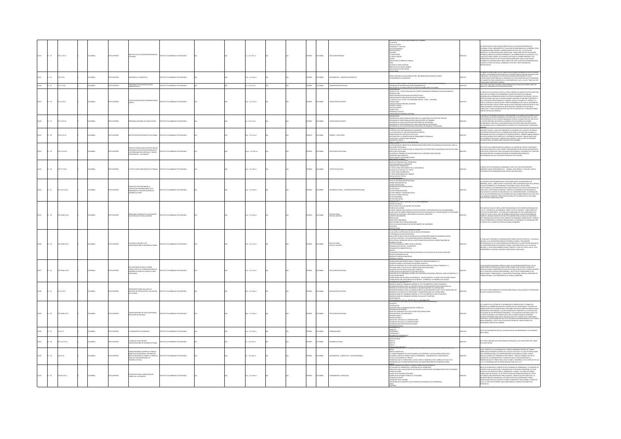|       |                 |                 |                |              |                                                                                                                                                                       |                                       |  |                       |  |               |                |                                             | sónco                                                                                                                                                                                                                                                                                                                                                                                                                                                                                                                                                                                                                                                                                                                                                   |        |                                                                                                                                                                                                                                                                                                                                                                                                                                                                                                                                                                                                                                                                                      |
|-------|-----------------|-----------------|----------------|--------------|-----------------------------------------------------------------------------------------------------------------------------------------------------------------------|---------------------------------------|--|-----------------------|--|---------------|----------------|---------------------------------------------|---------------------------------------------------------------------------------------------------------------------------------------------------------------------------------------------------------------------------------------------------------------------------------------------------------------------------------------------------------------------------------------------------------------------------------------------------------------------------------------------------------------------------------------------------------------------------------------------------------------------------------------------------------------------------------------------------------------------------------------------------------|--------|--------------------------------------------------------------------------------------------------------------------------------------------------------------------------------------------------------------------------------------------------------------------------------------------------------------------------------------------------------------------------------------------------------------------------------------------------------------------------------------------------------------------------------------------------------------------------------------------------------------------------------------------------------------------------------------|
|       | $-22$           | 3.11 IC17a      |                |              | CRASH                                                                                                                                                                 | mmco                                  |  | $1:22\times 28$ cm    |  | xko.          | <b>OMBIA</b>   |                                             | ILOSOFICO<br>ICOLO CULTURAL<br>ICOMÓNICO Y FOLÍ<br>SECO-PEDAGÓGICO<br>ISTSORES<br>ILOSUFO BASE<br>ILOSUFO ASESOR<br>ILOSUFO ASESOR<br>ILOSUFO ASESOR<br>ILOSUFO ASESOR<br>ILOSUFO ASESOR<br>SOCIACIÓN DE PADRES DE FAMILI<br>INA<br>ICIÓN CULTURAL POPULAR<br>BLIOTECA LUIS ANGEL ARANGO<br>IOCIACIÓN DE EDUCADORES                                                                                                                                                                                                                                                                                                                                                                                                                                     |        | r Necesidad de Fuar Augunos Obietivos de la Educación Primaria en<br>Jonibia, como fundamento de Cualquier Recomendación al Gobiern<br>Jomendaciones Podrán y Deberán Darse de Dos Tipos : de Ejecución<br>LUMENHALUUNS PULIKAN TURKIKAN DAGI DU DUR IIPUS : DI BIELDURI<br>MEDATA Y DE PREVISIÓN A MÁS LARGO PLAZO. TRAZIA CIERTAIS ES EDUCACIÓN<br>IMARIA CONSISTE EN DEFINIR CLARAMENTE Y DE MANERA SENCILLA LAS METAS A LA<br>ALES ESTA DEBE T<br>PHAR HATH NAWN THOMAS, NAV PHARMAN COMMISSION IN MANUS TO CONTROL CONTROL OF THE SAME STATE OF THE MANUSCRIPT OF THE MANUSCRIPT OF THE MANUSCRIPT OF THE MANUSCRIPT OF THE MANUSCRIPT OF THE MANUSCRIPT OF THE MANUSCRIPT OF T |
|       | $-24$           | $0$ K17m        | CARBLAC        | O22RRM OT    | MÁTICA Y LINGÜÍSTICA                                                                                                                                                  | ITUTO COLOMBIANO DE PEDAGOGÍA         |  | p.: 22 x 28 cm        |  | <b>AÑOL</b>   | LOMBIA.        | ATEMÁTICAS - LENGUAJE MATEMÁTICO            | NTRO NACIONAL DE DOCUMENTACIÓN E INFORMACIÓN PEDAGÓGICA CENDIP<br>NSIDEREMOS LA GRAMÁTICA                                                                                                                                                                                                                                                                                                                                                                                                                                                                                                                                                                                                                                                               |        | LUNGUSTICA MATEMATICA HA TENIEO UN ACELERNEO DESARROLLO EN LOS LUTINOS<br>NAOCA (LOS PROGRESOS REALIZADOS EN LA ESECRIPICÁN DE LENGUAS NATURALES (EN<br>NACIOLÁN VEN SURVADOS Y EL ESTUDO DE ALGUNAS PROPININA QUE SE<br>TENIENDATE FON                                                                                                                                                                                                                                                                                                                                                                                                                                              |
| 13218 | $25 - 32$       | 271.2 (C17p)    | COLOMBIA:      | OZBRRINI OTX | PROGRAMA DE DESCENTRAUZACIÓN<br>ADMINISTRATIVA                                                                                                                        | AROGA CE DI CAMBARO DE PEDAGOGÍA      |  | $n: 22 \times 22$ cm  |  | <b>SPAÑOL</b> | COLOMBIA       | ADMINISTRACIÓN ESCOLAR                      | UISTA SOBRE ORIGEN Y DESTINACIÓN DE LOS FONDOS-EDUCATIVOS REGI<br>IGRAMA DE DESCENTRALIZACIÓN ADMINISTRATIVA                                                                                                                                                                                                                                                                                                                                                                                                                                                                                                                                                                                                                                            | 013218 | e texto contiene cuadros con información de encuestas sobre aspectos.<br>Nos del programa de descentralización.                                                                                                                                                                                                                                                                                                                                                                                                                                                                                                                                                                      |
|       |                 |                 |                |              |                                                                                                                                                                       |                                       |  |                       |  |               |                |                                             | -<br>ADRANDUM<br>ADRANDUM                                                                                                                                                                                                                                                                                                                                                                                                                                                                                                                                                                                                                                                                                                                               |        |                                                                                                                                                                                                                                                                                                                                                                                                                                                                                                                                                                                                                                                                                      |
| 13219 | $-26$           | 1.12 (C17c      | CAMBAC,        | O22RRMI OTX  | ACITACIÓN DOCENTE PROGRAMA PNUD<br><b>ISCO</b>                                                                                                                        | STITUTO COLOMBIANO DE PEDAGOGÍA       |  | $3p:22 \times 33$ cm  |  | <b>JOANS</b>  | <b>AIGNOJC</b> | APACITACIÓN DOCENT                          | imurandum<br>Ionecto col. 72/032 capacitación y perfeccionamiento personal docente en servicio<br>UTRA VOLUMENT<br>ITADOUCOÓN<br>KOPOSCOONES EN RELACIÓN CON APORTES PNUD<br>ROPOSCOONES EN RELACIÓN CON APORTE NACIONAL<br>PROYECTO COL 72/032 Y EL PROGRAMA UNESCO - PNUD - COLOMBIA<br><b>ENSULTORES</b><br>DNSULTORES<br>QUIPOS Y LIBROS<br>QUIPOS Y LIBROS<br>ASTOS DIVERSOS<br>CAMÓLOGOS<br>ERSCINAL DE APOYO<br>DRAMADÓN DE PERSONAL NACIONAL                                                                                                                                                                                                                                                                                                    |        | PROYECTO HA CUMPLIDO, HASTA LA FECHA, DENTRO DEL MARCO DE ESTOS OBIETIVOS,<br>ILTERPA DE TRABANO DE CONSIDERABLE VALOR POR CUANTO HA LOGRADO, QUE HA<br>ARROLLAR UN VERSADERO MODELO DE PERFECODIAMMENTO EN SERVICIO, QUE HA<br>VIDO DE<br>KVIKOUL WAN MARAJUL SA HAMAN LOKANGU UNA SANIL OK MALDIAN LINNIANIA SA<br>OO DE SISTEMA DE CAPACITACIÓN Y PORTECOCNAMIENTO DEL PAÑ, AL INTIGRAR EN<br>OO DE SISTEMA DE CAPACITACIÓN Y PORTECOCNAMIENTO DEL PAÑ, AL INTIGRAR EN<br>A SOL                                                                                                                                                                                                   |
|       | $8 - 37$        | 1.12 IC17p      | <b>CARELA</b>  | TO IMPRESO   | ONAL DE CAPACITACIÓN                                                                                                                                                  |                                       |  | $: 33 \times 22$ cm   |  | <b>PAÑOL</b>  | wax            | <b>PACITACIÓN DOCENTE</b>                   | SENTACIÓN<br>DGRAMA DE PROFESIONALIZACIÓN PARA EL EL MAGISTERIO DEL NIVEL PRE-ESCOLAR<br>IOGRAMA DE PROFESIONALIZACIÓN PARA DOCENTES DE PRIMARIA<br>IOGRAMA DE CAPACITACIÓN PARA PROFESORES DE SECUNDARIA<br>IOGRAMA DE PERFECIONAMIENTO PARA PROFESORES DE SECUNDARIA                                                                                                                                                                                                                                                                                                                                                                                                                                                                                  |        | INIMIS DE MINIMAM A DOLANI. DISTORDANTO DI COMOTO NA DIONETA DE SI CONTRA<br>E DISTORDADO DE SUS CIVISIONES QUE REGULAN LA CAPACITACIÓN QUE EL ICOLEE<br>E INTERACIO DE SUS CIVISIOS REGIONALES CIPEES AL AMASSITERDO DE JARS LLEVÓ<br>                                                                                                                                                                                                                                                                                                                                                                                                                                              |
|       | 1.16            | 2.65 IC17b      | waw.           | TO IMPRESO   |                                                                                                                                                                       | TITUTO COLOMBIANO DE PEDAGOGÍA        |  | $x: 22 \times 33$ cm  |  | ANCES         | Milia.         | wcts - EDUCACIÓN                            | RUMARRA DE PARSILIDIRARIENTO PRAN PROFISORIS DE SEGURIARIA<br>PROGRAMA DE ACTUALIZACIÓN PARA PROFESORES DE PRIMARIA Y SECURI<br>PRIMA Y PROPURTIVA<br>A UTILIZACIÓN DE EL MÉTODO FRANCÉS EN DIRECTO<br>A UTILIZACIÓN DE EL MÉTODO FRANCÉS<br>N UTALISACIÓN DEL MÉTODO DE VINE VOIX<br>ESCENTACIÓN DEL MÉTODO DE VINE VOIX<br>ESCENTACIÓN DEL MÉTODO DE VINE VOIX<br>ESCENTAR: LA BEVOLUCIÓN FRANCESA<br>LECCIÓN DE TECTOS<br>LECCIÓN DE TECTOS                                                                                                                                                                                                                                                                                                          | 2221   | .<br>IERIOOS COLEGAS , AQUÍ ESTÁ FINALMENTE EL NÚMERO 2 DE LA REVISTA DE ENLACE.<br>5 SERVICIOS EDUCATIVOS DE LA EMBAIADA DE FRANCIA QUIENES HAN ASUMIDO LA<br>H MINIMALION DER LA EMISIÓN DE LA PRIMERA EDICIÓN, TAMBIÉN HABAN PENSADE<br>EPOKARILIDAD POR LA EMISIÓN DE LA PRIMERA EDICIÓN, TAMBIÉN HABAN PENSADE<br>ESTRAR UN BOLETÍN CO CORTITUCAY Y CONTENDOS SIMUARSS. HAN DECISIÓN UNIR<br>E SE                                                                                                                                                                                                                                                                               |
|       | $65 - 3$        | 11310170        | <b>SMEAK</b>   | TO IMPRESO   | ECTO PRODUCCIÓN DE PROTOTIPOS D<br>iateriales educativos requeridos en<br>1 programación curroular - Ramas<br>Doacionales - Oclo Básico                               | TITUTO COLOMBIANO DE PEDAGOGÍA        |  | .<br>4p.:22x28cm      |  | <b>MGC</b>    | .<br>Wilia     | <b>BUCACIÓN VOCACION</b>                    | NAMENT WAS TRANSMISSION OF PRODUCTION OF PROTOTIPOS DE MATERIALES EDUCATIVOS PARA LA<br>SERVICIUMENTO EN PROYECTO DE PRODUCTIÓN DE PROTOTIPOS DE MATERIALES EDUCATIVOS PARA LA<br>JCACIÓN VOCACIONAL<br>.<br>FRATEGIA QUE SE ADOPTA PARA LA PRODUCCIÓN: DE PROTOTIPOS DE MATERIALES EDUCATIVOS PA<br>ACACIÓN VOCACIONAL<br>ación vocacional<br>Lario de Términos de Mayor empleo en la presente investigación<br>-GIOSARIO DE TERRINOIS DE MAYOR EMPL<br>-WANTARIO BRIUGERÁFICO<br>-CONCLUQUINS Y RECONNINGADINS<br>-CONCLUQUINS Y RECONNINGADINS<br>-COLETING GENERALES DE APRINCIALE<br>-FSICCLÓGICAMENTE COMPRENDE<br>-VARIABLES DEL APRINCIZAJE                                                                                                     |        | TEXTO VA A PERMITIR MAYOR CLARIDAD A LA DIVISIÓN DE TEXTOS Y MATERIALES<br>.<br>CATINOS PARA EFECTO DEL DISEÑO Y PREPARACIÓN DE PROTOTIPOS DE MATERIALES<br>CATINOS, DEFINITAVOS, PARA LAS RAMAS VOCACIONALES. ASÍ MISMO ESTE TIENE POR<br>NIDAD PRESTAR UN VARIADO NÚMERO DE ASESORÍAS BIBLIOGRÁFICAS<br>ACIONADAS CON LAS FUNCIONES PROPIAS DE ESTA DIVISIÓN.                                                                                                                                                                                                                                                                                                                      |
|       | $\omega$        | 33310176        | MEIA:          | O22RRMI OT   | .<br>XTO COMO INSTRUMENTO DE TRABAJO                                                                                                                                  |                                       |  | $p: 22 \times 28$ cm  |  | <b>MACL</b>   |                | <b>CTOS EDUCATIVO</b>                       | NINTEN COMO INSTRUMENTO DE LA INTELIGENCIA<br>FICACIA DE LA ESCUELA Y EL TEXTO<br>FICACIA DE LA ESCUELA Y EL TEXTO<br>FICACIA DE LA ESCUELA Y EL TEXTO<br>FICOLOGÍN DE TEXTOS<br>FICOLOGÍN DE TEXTOS                                                                                                                                                                                                                                                                                                                                                                                                                                                                                                                                                    | 1223   | L OBJETO DE ESTE MATERIAL ES ANALIZAR EL PAPEL DEL TEXTO EN DIFERENTES<br>MBIENTES COMO INSTRUMENTO DE : TRABAJO, INTELIGENCIA, Y ESCOLAR. CUENTA<br>ON GRÁFICOS DE PROGRAMACIÓN DE MEDIOS AUDIOVISUALES.                                                                                                                                                                                                                                                                                                                                                                                                                                                                            |
|       | $18 - 32$       | .<br>1412 IC17p | -<br>Militar   | O23R4MI OT   | PUESTA PARA ORGANIZAR LA<br>PERACIÓN INTERNACIONAL EN EL<br>GRAMA DE CONCENTRACIONES DE<br>ARROLLO RURAL                                                              | TUTO COLOMBIANO DE PEDAGOGÍA          |  | p.: 22 x 28 cm        |  | xkou          | wax            | SARROLLO RURAL - COOPERACIÓN INTERNACION    | <del>, KENYSKYZMÁRULA</del><br>IVEL DE INTEGRACIÓN OPERACIONAL<br>NIDAD ADMINISTRATIVA<br>NIDAD OPERACIONAL<br>NEUNO LANGALIZIONAL<br>RGANISMOS DESCENTRALIZADOS<br>ECTOR COMUNICACIONES<br>ECTOR TRABALO Y SEGURIDAD SOC<br><b>RIDAD SOCIAL</b><br>L'EURO DE DERAS PÚBLICAS<br>ECTOR GEOBRINO<br>ECTOR GEOBRINO<br>SHENOX DEL CENTRO REGIONAL ICCE DE BUCARAMANGA                                                                                                                                                                                                                                                                                                                                                                                      |        | .<br>COOPERACIÓN INTERMINISTERIAL SE REALIZARÁ ENTRE LOS MINISTERIOS DE<br>BIERNO, SALUD , AGRICULTURA Y EDUCACIÓN, PERO ES NECESARIO QUE EN LA MEDID.<br>COMERO, SAUD, AGRECULTURA VEDCACAÇÃO PRO ES NATELES COMERCIA QUE DE ANALISTA COMERCIA DE SERVEIRO E EN CARACTER<br>EN QUE EL COMERCULTURA DE PORTEMAN, ES INTEGRAN DE COMERCULTURA (EL COMERCULTURA DE COMERCULTURA DE COMERCULTU                                                                                                                                                                                                                                                                                          |
|       | $\overline{a}$  | 119346 IC17p    | Anton.         | O2300MI OT   | COMUNES EN LA APLICACIÓN<br>DEL SISTEMA DE ESCUELA UNITARI                                                                                                            | <b>IT ITO COLOMBIANO DE REDACOCÍA</b> |  | $p: 22 \times 28$ cm  |  | ukor          | OMBIA          | :<br>SCUELA RURAL<br>SCUELA UNITARI         | SSEÑA HISTÓRICA<br>IEICULTADES EN LA APLICACIÓN DEL SISTEMA<br>OSIBLES SOLUCIONES<br>Purnia Fannaunna<br>Furn Teitrataud Praa Cursos de Escuela Unitaria. Centro regional ICCE Bucaramanga<br>Furn Teitrataud Praa Cursos de Facuela un infurnació en el departamento de Santa<br>Criterios de Selección y Ubicación de Escu<br>OTHERMUDE 20 ROBA<br>ANNA NA MANIMININ'<br>ISRAECIÓN COORDINADA<br>NSTITUCIONS QUE FUEDEN VINCULARSE<br>NSTA A ESCUELAS RURALES DEL DEPARTAMENTO DE SANTANDER<br><b>FACIÓN</b>                                                                                                                                                                                                                                          |        | EL MES DE JULIO DE 1.966 LA DIRECCIÓN NACIONAL DE LOS CENTROS REGIONALES DE<br>IN IL MIES DE LUIU DE 1964 A DISCOCION MACOMA DE COS CENTROS REGIONALES DE 1965 A UNICIDADENTE COMPOSTA UN SERVATO DE CONTROL A UN SERVATO DE CONTROL A UNICIDADE CON ESTA ESTA ESTA CONTROL EN EL CONTROL EN EL CONTROL EN E                                                                                                                                                                                                                                                                                                                                                                         |
|       | $-42$           | 119346 K17e     | CRABLA:        | OZRRAMI OTX  | .<br>Cuela unitaria y las<br>Entraciones de desarrollo rural                                                                                                          | ALCOARDED DE PERSONAL DE TANGE        |  | $2a:22 \times 32$ cm  |  | <b>JOANS</b>  | <b>AIGNOJO</b> | <b>PORTAL ATEN</b>                          | SPECTO FÍSICO<br>SE CONCENTRACIONES DE DESARROLLO RURAL<br>i concentraciones de desarrollo rural<br>Liál sería la estartigia de Aplicación del Programa?<br>Programa de Educación rural<br>Ricación de Más escuelas unitarias en las concentraciones de desarrollo rural<br>LESCUELA UNITARIA Y LAS CONCENTRACIONES DE DESARROLLO RURAL<br>N BALGINA U ORGANIZACIÓN DE LA INSTITUCIÓN ESCOLAR EN LAS CONCENTRACIONES DE<br>SARROLLO RURAL<br>SARROLLO RURAL<br>SARCTOS GENERALES SOBRE ESCUELA UNITARIA<br>NEW MORNING TENICO - PEDAGÓGICA<br>DRGANIZACIÓN ADMINISTRATIVA<br>NEXOS<br>SECOMENDACIONES INTERNACIONALES E<br><b>OSTENCIA DE LAS ESCUELAS DE UN SOLO MAESTRO</b><br>EDIDAS ADMINISTRATIVAS<br>DIDAS DE ORDEN PEDAGÓGICO<br>ESCINAL DOCENTE |        | TEMA QUI LE PRESENTA A CONTINUACIÓN SE DISPOCA EN DIS ASPECTOS : LA ESCUELA<br>INFARA, Y LAS CONCENTEACONES DE DESARROLID RUBAL. POR RAZIDINE<br>INFARA, Y LAS CONCENTEACONES DE DESARROLID RUBAL POR RAZIDINE<br>INFORMATIONIS DE DEMO<br>PEÑAR A LA ESCUELA UNITARIA COMO ESCUELA VINCULADA                                                                                                                                                                                                                                                                                                                                                                                        |
|       | $\overline{44}$ | 193461017b      | LOMBIA:        | O22RRMI OTX  | LIQIOS BÁSICOS PARA EL DISEÑO<br>CURRICULAR DE LAS CONCENTRACIONES DE<br>CURRICULAR DE LAS CONCENTRACIONES DE<br>VOCACIONAL                                           | TUTO COLOMBIANO DE PEDAGOGÍA          |  | $n = 22 \times 32$ cm |  | PAÑOL         | <b>KOMBIA</b>  | <b>DUCACIÓN VOCACION</b>                    | 17 9 2004/00 HARD RESERVE AND THE TRAINER OF A REPORT OF A REAL PROPERTY.<br>OBRANCION MICHOLOGOS PARA EL TURANO DEI PROFESO GRADOS E Y 7<br>DIKEPTO SOBRE LA EDUCACIÓN VOCACIONAL AGRÍCOLA:<br>BIETROS GRARFALES DE LA EDUCACIÓN VOCACIONAL AGRÍCOLA PARA LOS GRADOS E Y 7<br>NISIDES DE RALA SOLUTUD DE CORRELACIÓ<br>AGRÍCOLA PARA LOS GRADOS 6<br>) RRELACIÓN CON LAS ÁREAS VOCACIÓN ALES - TALLER AGRÍCOLA - EN BASE A SITUACIÓNES FINALES<br>) RRELACIÓN CON OTRAS ÁREAS VOCACIÓNALES - COMERCIAL Y ECONÓMICA DEL HOGAR                                                                                                                                                                                                                           |        | .<br>IDUCACIÓN VOCACIONAL AGRÍCOLA, BASA SUS CONTENIDOS ESPECÍFICOS, EN LAS<br>IACTERÍSTICAS PROPIAS DEL MEDIO RURAL DONDE HA DE OPERAR: CAPACITA AL<br>LAMALINAIN PARA IR DESEMPEÑO DE UNA OCUPACIÓN LUCRATIVA DE ACUERDO AL MEDIC<br>QUE LE PRODUCTA SATEFACIÓN DE REGIONAL Y QUE ESTÍ DE CONFORMIDAD A SUS<br>QUE LE PRODUCTA SATEFACIÓN PERCIMAL Y QUE ESTÍ DE CONFORMIDAD A SUS<br>ASPRIAC                                                                                                                                                                                                                                                                                      |
|       | $-45$           | 27 1017         | MER.           | O22RRMI OT:  | INSTRUMENTO PARA EVALUAR LOS<br>PROCESOS DE INSTRUCCIÓN Y EVALUACIÓN<br>DE LOS INEM                                                                                   | TITUTO COLOMBIANO DE PEDAGOGÍA        |  | p.: 22 x 28 cm        |  | <b>PAÑOL</b>  | <b>OMBIA</b>   | <b>ALUACIÓN EDUCATIV</b>                    | <b>SORRANOONS DIE SEARKAND INTERNA INTERNATIONAL IN DER DE SUITS ANDERE DE SEARKE DIE SEARKE DIE SEARKE DIE SEAR<br/>DESERVACIONS DIE SEARKAND INTERNATION DE UN INSTRUMENTE DAAR ESTUDIANTES<br/>DESERVACIONS DIE SEARKE DIE SEARKE DIE</b><br>ESERVACIONES DEL SEMBARIO INTERNO A ESCALA DE THURSTONE<br>STRUMENTOS<br>.<br>TENMENTOS DARA LA COTENCIÓN DE LA INSCIDIALICIÓN.<br>UCACIÓN VOCACIONAL EN LAS CONCENTRACIONES DE DE                                                                                                                                                                                                                                                                                                                      | 13238  | .<br>I TEXTO TIENE FORMATOS E INSTRUCCIONES PARA LA EVALUACIÓN DE LOS PROCESO<br>NSTITUCIONES EDUCATIVAS.                                                                                                                                                                                                                                                                                                                                                                                                                                                                                                                                                                            |
|       | $-46$           | 19346 K17c      | CAIGLA:        | O22RRMI OTX  | CONCENTRACIONES DE EDUCACIÓN RURAL<br>EDUCACIÓN VOCACIONAL                                                                                                            | ALCOARDO DE CAMBAROJOS DE INTER       |  | 8p.: 22 x 28 cm       |  | <b>MACL</b>   | LOMBIA.        | DUCACIÓN VOCA                               | TEICACIÓN<br>ITERIOS PARA LA ORGANIZACIÓN DEL CURRÉCULO<br>DGRAMACIÓN GENERAL<br>ELEMENTARIA VIENNAS<br>ELETIVOS GENERALES DE LA EDUCACIÓN VOCACIONAL RURAL<br>SCRIPCIÓN DE LOS CONCURSOS<br>SOPICIURINS<br>JROPECUARNS II<br>JROPECUARNS II<br>DUSTRAL APUCADA A LA AGROPECUARIA<br>JNERENIA APUCADA A LA AGROPECUARIA<br>JNERENIACÓN SOCIAL<br>ANANYIÓN SOCIAL                                                                                                                                                                                                                                                                                                                                                                                        |        | (A) MARCH CHAIR STRUCK IN A MARKING STRUCK CHAIR SECTION AND COMPANY OR A MANAGEMENT CONSTANT IN THE CHAIR STRUCK CHAIR SECTION AND COMPANY IN A MANAGEMENT COMPANY OR AN ANGLE OF A MANAGEMENT AN AN ART DESCRIPTION OF A MA<br><b>IDADES PROPIAS DEL HOMBRE</b>                                                                                                                                                                                                                                                                                                                                                                                                                    |
|       | $\alpha$        | is icin         | CANBIA:        | OZBRAN OT    | <b>NZAMENTO DE MONEDAS</b>                                                                                                                                            | ALCOLAGED DE PERSONS DE TUTT          |  | $n: 22 \times 28$ cm  |  | <b>Wick</b>   | <b>AIGNOJO</b> | BABILIDADES                                 | GMOCIÓN SOCIAL<br>ECEMENTO E<br>jerlajo<br>N resumen                                                                                                                                                                                                                                                                                                                                                                                                                                                                                                                                                                                                                                                                                                    | 13230  | TO QUE DESCRIBE EN DETALLE LA APLICACIÓN DE UN EXPERIMENTO Y SUS POSIBLES                                                                                                                                                                                                                                                                                                                                                                                                                                                                                                                                                                                                            |
|       | $-48 -$         | 3412 (017)      | CANBIA:        | OZBRANI OT   | jeso de Capacitación<br>I centraciones de Desarrollo Rural                                                                                                            | STITUTO COLOMBIANO DE PEDAGOGÍA       |  | $: 22 \times 28$ cm   |  | <b>Wick</b>   | <b>AIGNOJO</b> | <b>SARROLLO RURAL</b>                       | <b>PERIMENTO</b><br>SUMEN DEL EXPER<br>NSTRUCCIONES<br>MARTE A<br>MARTE B                                                                                                                                                                                                                                                                                                                                                                                                                                                                                                                                                                                                                                                                               | 313231 | CASHO CONTIENE UN CUESTIONARIO DETALLADO EL CUAL HACE PARTE DEL CURSO<br>APACITACIÓN                                                                                                                                                                                                                                                                                                                                                                                                                                                                                                                                                                                                 |
| 13232 | $-49 -$         | 0.017p          | <b>LOMBIA:</b> | O22RRM (CTX  | PRIMER SENINARIO INTERNO DE TRABAJO<br>SOBRE EDUCACIÓN BÁSICA: INFORME DEL<br>ÁREA DE MATEMÁTICA SOBRE EL CURRÍCUL<br>PARA LAS CONCENTRACIONES DE<br>DESARROLLO RURAL | ARODAGER 30 OMAIRMOJOS OTUTT          |  | $: 22 \times 28$ cm   |  | <b>PAÑOL</b>  | <b>ABMOX</b>   | AATEMÄTICAS - CURRÍCULOS - EDUCACIÓN BÁSICA | HAM<br>URCO CONCEPTUAL<br>COMPORTANHENTO DE LOS EDUCANDOS, DEL PROFESOR Y LAS RELACIONES ENTRE ESTOS<br>N MARCO CIENTÍFICO TEÓRICO PARA LA ENSEÑANZA - APRENDIZAJE DE LA MATEMÁTICA<br>AN WARRAJ LIBRI IMELI INGRECO PARA LA ENSENIANZA - APRENDIZAJE DE LA MATEMÁTICA<br>O QUE ACTUALMENTE SE TIENE K 9<br>900KERANS QUE SE TIENEN PARA LIEVAR A CABO EL DESARROLLO DEL CURRÍCULO DE LAS C.D.R.<br>907KRAMA QUE SE PIENSA REA                                                                                                                                                                                                                                                                                                                          | 2222   | .<br>CON EL PROPÓSITO DE INFORMAR EN EL PRIMER SEMINARIO INTERNO DE TRABAJO<br>2005: EDUCACIÓN BÁSICA ACERCA DE LO QUE SE HA HECHO Y LO QUE SE PIENSA HACER.<br>31 EL PROGRAMA PARA LAS CONCENTRACIONES DE DESARROLLO RURAL, HEMOS<br>i el Programa para las concentraciones de desparcillo Rivan, Hamus<br>Suilto dividir este informe en tres partes: l'arcelos general que se ha<br>Guido en la elaboración del cubrícillo para la educación dificia, il<br>Doblemas que s                                                                                                                                                                                                        |
|       | $-50 -$         | 5.00110176      | CANBIA:        | OZERNI OT    | ITRATEGIAS PARA ELABORACIÓN DEL<br>JRRÍCULO: ACTIVIDADES                                                                                                              | ADDAAGER 20 OMAIRMOJO OF UTIT         |  | $n: 22 \times 28$ cm  |  | <b>Wick</b>   | <b>AIGNOX</b>  |                                             | KENO<br>IMER SEMINARIO INTERNO DE TRABAJO SOBRE EDUCACIÓN BÁSICA<br>PRIMA EXAMADO RITERIO DE TRANSCOSIS EDUCACIÓN BÍOS CON PRIMADO RELATIVIDADES<br>ACTIVIDADES DE APRIMIDADE Y DEPERIDADE DE AMBIENCADA<br>FINADRES DE MATINDADE ESCULARES<br>LEMES DE ACTIVIDADES ESCULARES<br>CAMES DE ACTIVIDADES ESCULARE<br><b>EAS</b><br>CERA                                                                                                                                                                                                                                                                                                                                                                                                                    |        | .<br>TES DE ESTABLECER EL CONCEPTO DE ACTIVIDADES DE APRENDIZAJE, Y DE INDICAR LOS<br>NITS OS ESTADAISENS EL CONCEPTO DE ACTIVIDADES DE PARTICULATIV DE MODALI CONDENANTA EN MECANISTA DE CONDENANTA<br>ENTREGA PARA EL MILITAR DE CONDENANTA EL MICRO DE CONDENANTA EL MINITO DE CONDENANTA EL MINITO DE CONDENANTA<br>EN                                                                                                                                                                                                                                                                                                                                                           |